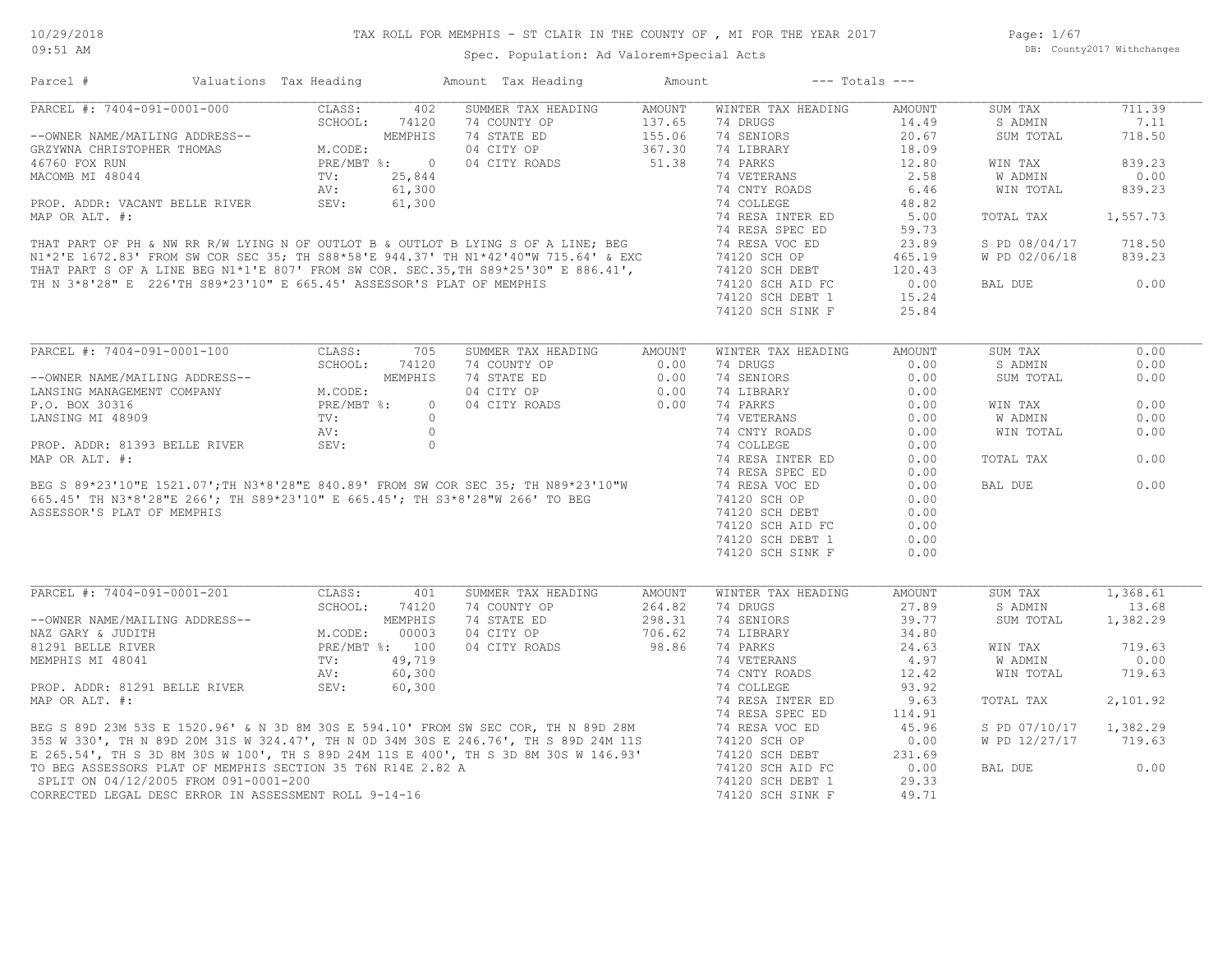Page: 1/67 DB: County2017 Withchanges

| Parcel #                                                                                                                                                                                                                                       | Valuations Tax Heading                     |         | Amount Tax Heading                                                                                                                                                                                                                                         | Amount                     | $---$ Totals $---$ |               |               |          |
|------------------------------------------------------------------------------------------------------------------------------------------------------------------------------------------------------------------------------------------------|--------------------------------------------|---------|------------------------------------------------------------------------------------------------------------------------------------------------------------------------------------------------------------------------------------------------------------|----------------------------|--------------------|---------------|---------------|----------|
| PARCEL #: 7404-091-0001-000                                                                                                                                                                                                                    | CLASS:                                     | 402     | SUMMER TAX HEADING                                                                                                                                                                                                                                         | AMOUNT                     | WINTER TAX HEADING | AMOUNT        | SUM TAX       | 711.39   |
|                                                                                                                                                                                                                                                | SCHOOL:                                    | 74120   | 74 COUNTY OP                                                                                                                                                                                                                                               | 137.65                     | 74 DRUGS           | 14.49         | S ADMIN       | 7.11     |
| --OWNER NAME/MAILING ADDRESS--<br>GRZYWNA CHRISTOPHER THOMAS<br>46760 FOX RUN<br>MACOMB MI 48044<br>PROP. ADDR: VACANT BELLE RIVER<br>PROP. ADDR: VACANT BELLE RIVER<br>PROP. ADDR: VACANT BELLE RIVER<br>PROP. ADDR: VACANT BELLE RIVER<br>SE |                                            |         | 74 STATE ED                                                                                                                                                                                                                                                | 137.65<br>155.06<br>367.30 | 74 SENIORS         | 20.67         | SUM TOTAL     | 718.50   |
|                                                                                                                                                                                                                                                |                                            |         | 04 CITY OP                                                                                                                                                                                                                                                 | 367.30                     | 74 LIBRARY         | 18.09         |               |          |
|                                                                                                                                                                                                                                                |                                            |         | 04 CITY ROADS                                                                                                                                                                                                                                              | 51.38                      | 74 PARKS           | 12.80         | WIN TAX       | 839.23   |
|                                                                                                                                                                                                                                                |                                            |         | MACOMB MI 48044<br>MACOMB MI 48044<br>MACOMB MI 48044<br>MACOMB MI 48044<br>MACOMB MI 48044<br>MACOMB MI 48044<br>MACOMB MI 48044<br>MI 2.5, 844<br>MI 2.5, 844<br>MI 2.5, 844<br>MI 2.5, 844<br>MI 2.5, 844<br>MI 2.64<br>MI 2.74 COLLEGE<br>MI 74 COLLEG |                            |                    | 2.58          | W ADMIN       | 0.00     |
|                                                                                                                                                                                                                                                |                                            |         |                                                                                                                                                                                                                                                            |                            | 74 CNTY ROADS      | 6.46          | WIN TOTAL     | 839.23   |
|                                                                                                                                                                                                                                                |                                            |         |                                                                                                                                                                                                                                                            |                            |                    | 48.82         |               |          |
|                                                                                                                                                                                                                                                |                                            |         |                                                                                                                                                                                                                                                            |                            | 74 RESA INTER ED   | 5.00          | TOTAL TAX     | 1,557.73 |
|                                                                                                                                                                                                                                                |                                            |         |                                                                                                                                                                                                                                                            |                            | 74 RESA SPEC ED    | 59.73         |               |          |
|                                                                                                                                                                                                                                                |                                            |         |                                                                                                                                                                                                                                                            |                            | 74 RESA VOC ED     | 23.89         | S PD 08/04/17 | 718.50   |
|                                                                                                                                                                                                                                                |                                            |         |                                                                                                                                                                                                                                                            |                            |                    | 465.19        | W PD 02/06/18 | 839.23   |
|                                                                                                                                                                                                                                                |                                            |         |                                                                                                                                                                                                                                                            |                            | 74120 SCH DEBT     | 120.43        |               |          |
|                                                                                                                                                                                                                                                |                                            |         |                                                                                                                                                                                                                                                            |                            |                    |               |               | 0.00     |
| TH N 3*8'28" E 226'TH S89*23'10" E 665.45' ASSESSOR'S PLAT OF MEMPHIS                                                                                                                                                                          |                                            |         |                                                                                                                                                                                                                                                            |                            | 74120 SCH AID FC   | 0.00          | BAL DUE       |          |
|                                                                                                                                                                                                                                                |                                            |         |                                                                                                                                                                                                                                                            |                            | 74120 SCH DEBT 1   | 15.24         |               |          |
|                                                                                                                                                                                                                                                |                                            |         |                                                                                                                                                                                                                                                            |                            | 74120 SCH SINK F   | 25.84         |               |          |
|                                                                                                                                                                                                                                                |                                            |         |                                                                                                                                                                                                                                                            |                            |                    |               |               |          |
| PARCEL #: 7404-091-0001-100                                                                                                                                                                                                                    | CLASS:                                     | 705     | SUMMER TAX HEADING                                                                                                                                                                                                                                         | <b>AMOUNT</b>              | WINTER TAX HEADING | <b>AMOUNT</b> | SUM TAX       | 0.00     |
|                                                                                                                                                                                                                                                | SCHOOL:                                    | 74120   | 74 COUNTY OP                                                                                                                                                                                                                                               | 0.00                       | 74 DRUGS           | 0.00          | S ADMIN       | 0.00     |
| --OWNER NAME/MAILING ADDRESS--                                                                                                                                                                                                                 |                                            | MEMPHIS | 74 STATE ED                                                                                                                                                                                                                                                | 0.00                       | 74 SENIORS         | 0.00          | SUM TOTAL     | 0.00     |
| LANSING MANAGEMENT COMPANY                                                                                                                                                                                                                     | M.CODE:                                    |         | 04 CITY OP                                                                                                                                                                                                                                                 | 0.00                       | 74 LIBRARY         | 0.00          |               |          |
| P.O. BOX 30316                                                                                                                                                                                                                                 | PRE/MBT %:                                 | $\circ$ | 04 CITY ROADS                                                                                                                                                                                                                                              | 0.00                       | 74 PARKS           | 0.00          | WIN TAX       | 0.00     |
| LANSING MI 48909                                                                                                                                                                                                                               | TV:                                        | $\circ$ |                                                                                                                                                                                                                                                            |                            | 74 VETERANS        | 0.00          | W ADMIN       | 0.00     |
|                                                                                                                                                                                                                                                | AV:                                        | $\circ$ |                                                                                                                                                                                                                                                            |                            | 74 CNTY ROADS      | 0.00          | WIN TOTAL     | 0.00     |
| PROP. ADDR: 81393 BELLE RIVER                                                                                                                                                                                                                  | SEV:                                       | $\circ$ |                                                                                                                                                                                                                                                            |                            | 74 COLLEGE         | 0.00          |               |          |
| MAP OR ALT. #:                                                                                                                                                                                                                                 |                                            |         |                                                                                                                                                                                                                                                            |                            | 74 RESA INTER ED   | 0.00          | TOTAL TAX     | 0.00     |
|                                                                                                                                                                                                                                                |                                            |         |                                                                                                                                                                                                                                                            |                            | 74 RESA SPEC ED    | 0.00          |               |          |
|                                                                                                                                                                                                                                                |                                            |         |                                                                                                                                                                                                                                                            |                            | 74 RESA VOC ED     | 0.00          | BAL DUE       | 0.00     |
|                                                                                                                                                                                                                                                |                                            |         | BEG S 89*23'10"E 1521.07';TH N3*8'28"E 840.89' FROM SW COR SEC 35; TH N89*23'10"W<br>665.45' TH N3*8'28"E 266'; TH S89*23'10" E 665.45'; TH S3*8'28"W 266' TO BEG                                                                                          |                            | 74120 SCH OP       | 0.00          |               |          |
| ASSESSOR'S PLAT OF MEMPHIS                                                                                                                                                                                                                     |                                            |         |                                                                                                                                                                                                                                                            |                            | 74120 SCH DEBT     | 0.00          |               |          |
|                                                                                                                                                                                                                                                |                                            |         |                                                                                                                                                                                                                                                            |                            | 74120 SCH AID FC   | 0.00          |               |          |
|                                                                                                                                                                                                                                                |                                            |         |                                                                                                                                                                                                                                                            |                            | 74120 SCH DEBT 1   | 0.00          |               |          |
|                                                                                                                                                                                                                                                |                                            |         |                                                                                                                                                                                                                                                            |                            | 74120 SCH SINK F   | 0.00          |               |          |
|                                                                                                                                                                                                                                                |                                            |         |                                                                                                                                                                                                                                                            |                            |                    |               |               |          |
|                                                                                                                                                                                                                                                |                                            |         |                                                                                                                                                                                                                                                            |                            |                    |               |               |          |
| PARCEL #: 7404-091-0001-201                                                                                                                                                                                                                    | CLASS:                                     | 401     | SUMMER TAX HEADING                                                                                                                                                                                                                                         | AMOUNT                     | WINTER TAX HEADING | AMOUNT        | SUM TAX       | 1,368.61 |
|                                                                                                                                                                                                                                                | SCHOOL:                                    | 74120   | 74 COUNTY OP                                                                                                                                                                                                                                               | 264.82                     | 74 DRUGS           | 27.89         | S ADMIN       | 13.68    |
| --OWNER NAME/MAILING ADDRESS--                                                                                                                                                                                                                 | MEMPHIS<br>M.CODE: 00003<br>PRE/MBT %: 100 |         | 74 STATE ED                                                                                                                                                                                                                                                | 298.31                     | 74 SENIORS         | 39.77         | SUM TOTAL     | 1,382.29 |
| NAZ GARY & JUDITH                                                                                                                                                                                                                              |                                            |         | 04 CITY OP                                                                                                                                                                                                                                                 | 706.62                     | 74 LIBRARY         | 34.80         |               |          |
| 81291 BELLE RIVER                                                                                                                                                                                                                              |                                            |         | 04 CITY ROADS                                                                                                                                                                                                                                              | 98.86                      | 74 PARKS           | 24.63         | WIN TAX       | 719.63   |
| MEMPHIS MI 48041                                                                                                                                                                                                                               | $\texttt{TV}$ :                            | 49,719  |                                                                                                                                                                                                                                                            |                            | 74 VETERANS        | 4.97          | W ADMIN       | 0.00     |
|                                                                                                                                                                                                                                                | AV:                                        | 60,300  |                                                                                                                                                                                                                                                            |                            | 74 CNTY ROADS      | 12.42         | WIN TOTAL     | 719.63   |
| PROP. ADDR: 81291 BELLE RIVER                                                                                                                                                                                                                  | SEV:                                       | 60,300  |                                                                                                                                                                                                                                                            |                            | 74 COLLEGE         | 93.92         |               |          |
| MAP OR ALT. #:                                                                                                                                                                                                                                 |                                            |         |                                                                                                                                                                                                                                                            |                            | 74 RESA INTER ED   | 9.63          | TOTAL TAX     | 2,101.92 |
|                                                                                                                                                                                                                                                |                                            |         | MAP OR ALT. #:<br>BEG S 89D 23M 53S E 1520.96' & N 3D 8M 30S E 594.10' FROM SW SEC COR, TH N 89D 28M<br>35S W 330', TH N 89D 20M 31S W 324.47', TH N 0D 34M 30S E 246.76', TH S 89D 24M 11S<br>35S W 330', TH N 89D 20M 31S W 324.47',                     |                            | 74 RESA SPEC ED    | 114.91        |               |          |
|                                                                                                                                                                                                                                                |                                            |         |                                                                                                                                                                                                                                                            |                            | 74 RESA VOC ED     | 45.96         | S PD 07/10/17 | 1,382.29 |
|                                                                                                                                                                                                                                                |                                            |         |                                                                                                                                                                                                                                                            |                            | 74120 SCH OP       | 0.00          | W PD 12/27/17 | 719.63   |
|                                                                                                                                                                                                                                                |                                            |         |                                                                                                                                                                                                                                                            |                            | 74120 SCH DEBT     | 231.69        |               |          |
| TO BEG ASSESSORS PLAT OF MEMPHIS SECTION 35 T6N R14E 2.82 A                                                                                                                                                                                    |                                            |         |                                                                                                                                                                                                                                                            |                            | 74120 SCH AID FC   | 0.00          | BAL DUE       | 0.00     |
| SPLIT ON 04/12/2005 FROM 091-0001-200                                                                                                                                                                                                          |                                            |         |                                                                                                                                                                                                                                                            |                            | 74120 SCH DEBT 1   | 29.33         |               |          |
| CORRECTED LEGAL DESC ERROR IN ASSESSMENT ROLL 9-14-16                                                                                                                                                                                          |                                            |         |                                                                                                                                                                                                                                                            |                            | 74120 SCH SINK F   | 49.71         |               |          |
|                                                                                                                                                                                                                                                |                                            |         |                                                                                                                                                                                                                                                            |                            |                    |               |               |          |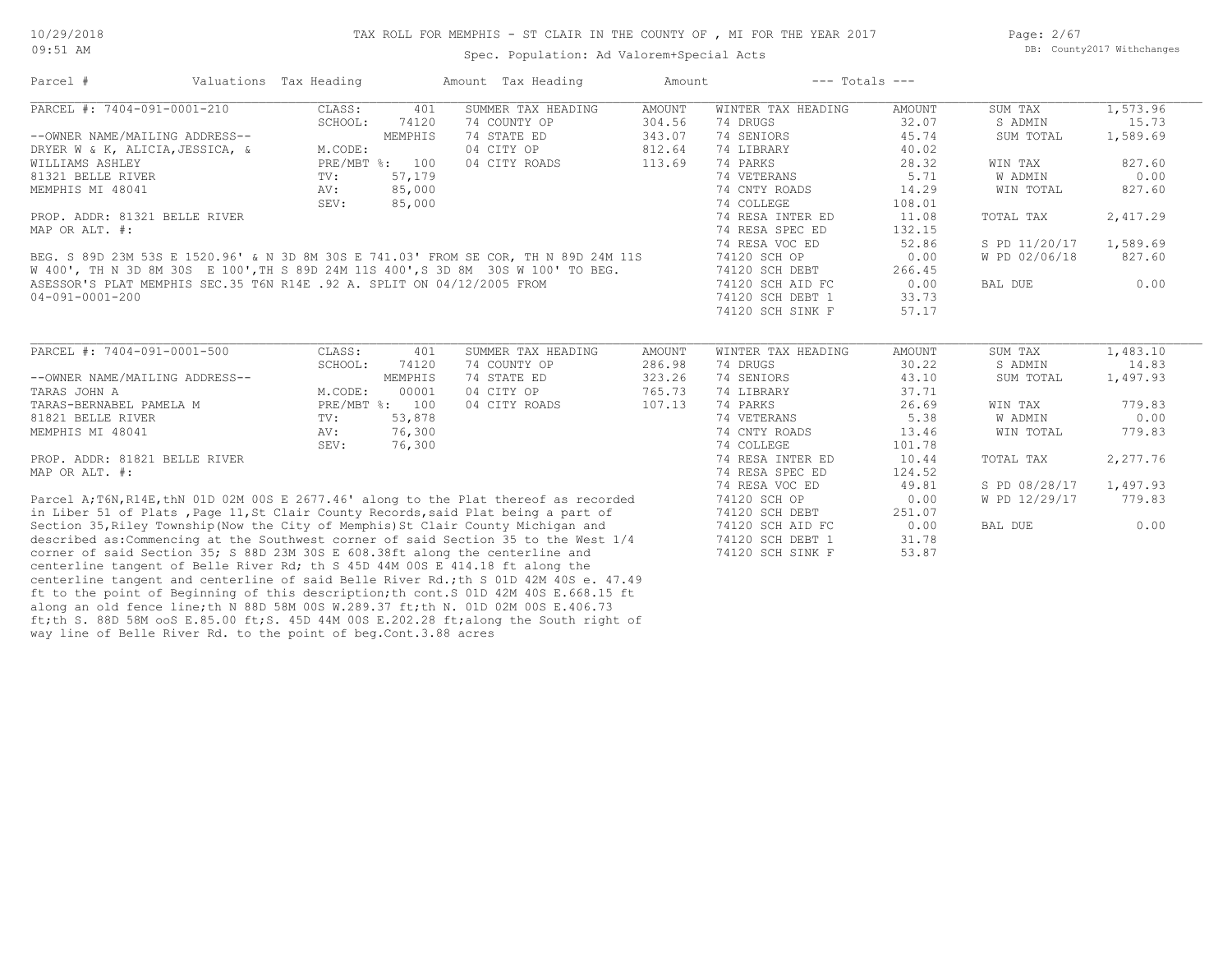Page: 2/67 DB: County2017 Withchanges

#### Spec. Population: Ad Valorem+Special Acts

Parcel # Valuations Tax Heading Amount Tax Heading Amount --- Totals ---

| PARCEL #: 7404-091-0001-210                                                          | CLASS:        | 401            | SUMMER TAX HEADING | <b>AMOUNT</b> | WINTER TAX HEADING | AMOUNT        | SUM TAX       | 1,573.96 |
|--------------------------------------------------------------------------------------|---------------|----------------|--------------------|---------------|--------------------|---------------|---------------|----------|
|                                                                                      | SCHOOL:       | 74120          | 74 COUNTY OP       | 304.56        | 74 DRUGS           | 32.07         | S ADMIN       | 15.73    |
| --OWNER NAME/MAILING ADDRESS--                                                       |               | MEMPHIS        | 74 STATE ED        | 343.07        | 74 SENIORS         | 45.74         | SUM TOTAL     | 1,589.69 |
| DRYER W & K, ALICIA, JESSICA, &                                                      | M.CODE:       |                | 04 CITY OP         | 812.64        | 74 LIBRARY         | 40.02         |               |          |
| WILLIAMS ASHLEY                                                                      |               | PRE/MBT %: 100 | 04 CITY ROADS      | 113.69        | 74 PARKS           | 28.32         | WIN TAX       | 827.60   |
| 81321 BELLE RIVER                                                                    | TV:           | 57,179         |                    |               | 74 VETERANS        | 5.71          | W ADMIN       | 0.00     |
| MEMPHIS MI 48041                                                                     | AV:           | 85,000         |                    |               | 74 CNTY ROADS      | 14.29         | WIN TOTAL     | 827.60   |
|                                                                                      | SEV:          | 85,000         |                    |               | 74 COLLEGE         | 108.01        |               |          |
| PROP. ADDR: 81321 BELLE RIVER                                                        |               |                |                    |               | 74 RESA INTER ED   | 11.08         | TOTAL TAX     | 2,417.29 |
| MAP OR ALT. #:                                                                       |               |                |                    |               | 74 RESA SPEC ED    | 132.15        |               |          |
|                                                                                      |               |                |                    |               | 74 RESA VOC ED     | 52.86         | S PD 11/20/17 | 1,589.69 |
| BEG. S 89D 23M 53S E 1520.96' & N 3D 8M 30S E 741.03' FROM SE COR, TH N 89D 24M 11S  |               |                |                    |               | 74120 SCH OP       | 0.00          | W PD 02/06/18 | 827.60   |
| W 400', TH N 3D 8M 30S E 100', TH S 89D 24M 11S 400', S 3D 8M 30S W 100' TO BEG.     |               |                |                    |               | 74120 SCH DEBT     | 266.45        |               |          |
| ASESSOR'S PLAT MEMPHIS SEC.35 T6N R14E .92 A. SPLIT ON 04/12/2005 FROM               |               |                |                    |               | 74120 SCH AID FC   | 0.00          | BAL DUE       | 0.00     |
| 04-091-0001-200                                                                      |               |                |                    |               | 74120 SCH DEBT 1   | 33.73         |               |          |
|                                                                                      |               |                |                    |               | 74120 SCH SINK F   | 57.17         |               |          |
|                                                                                      |               |                |                    |               |                    |               |               |          |
| PARCEL #: 7404-091-0001-500                                                          | CLASS:        | 401            | SUMMER TAX HEADING | <b>AMOUNT</b> | WINTER TAX HEADING | <b>AMOUNT</b> | SUM TAX       | 1,483.10 |
|                                                                                      | SCHOOL:       | 74120          | 74 COUNTY OP       | 286.98        | 74 DRUGS           | 30.22         | S ADMIN       | 14.83    |
| --OWNER NAME/MAILING ADDRESS--                                                       |               | MEMPHIS        | 74 STATE ED        | 323.26        | 74 SENIORS         | 43.10         | SUM TOTAL     | 1,497.93 |
| TARAS JOHN A                                                                         | M.CODE:       | 00001          | 04 CITY OP         | 765.73        | 74 LIBRARY         | 37.71         |               |          |
| TARAS-BERNABEL PAMELA M                                                              |               | PRE/MBT %: 100 | 04 CITY ROADS      | 107.13        | 74 PARKS           | 26.69         | WIN TAX       | 779.83   |
| 81821 BELLE RIVER                                                                    | $\text{TV}$ : | 53,878         |                    |               | 74 VETERANS        | 5.38          | W ADMIN       | 0.00     |
| MEMPHIS MI 48041                                                                     | AV:           | 76,300         |                    |               | 74 CNTY ROADS      | 13.46         | WIN TOTAL     | 779.83   |
|                                                                                      | SEV:          | 76,300         |                    |               | 74 COLLEGE         | 101.78        |               |          |
| PROP. ADDR: 81821 BELLE RIVER                                                        |               |                |                    |               | 74 RESA INTER ED   | 10.44         | TOTAL TAX     | 2,277.76 |
| MAP OR ALT. #:                                                                       |               |                |                    |               | 74 RESA SPEC ED    | 124.52        |               |          |
|                                                                                      |               |                |                    |               | 74 RESA VOC ED     | 49.81         | S PD 08/28/17 | 1,497.93 |
| Parcel A;T6N, R14E, thN 01D 02M 00S E 2677.46' along to the Plat thereof as recorded |               |                |                    |               | 74120 SCH OP       | 0.00          | W PD 12/29/17 | 779.83   |
| in Liber 51 of Plats, Page 11, St Clair County Records, said Plat being a part of    |               |                |                    |               | 74120 SCH DEBT     | 251.07        |               |          |
| Section 35, Riley Township (Now the City of Memphis) St Clair County Michigan and    |               |                |                    |               | 74120 SCH AID FC   | 0.00          | BAL DUE       | 0.00     |
| described as: Commencing at the Southwest corner of said Section 35 to the West 1/4  |               |                |                    |               | 74120 SCH DEBT 1   | 31.78         |               |          |
| corner of said Section 35; S 88D 23M 30S E 608.38ft along the centerline and         |               |                |                    |               | 74120 SCH SINK F   | 53.87         |               |          |
| centerline tangent of Belle River Rd; th S 45D 44M 00S E 414.18 ft along the         |               |                |                    |               |                    |               |               |          |

way line of Belle River Rd. to the point of beg. Cont. 3.88 acres ft;th S. 88D 58M ooS E.85.00 ft;S. 45D 44M 00S E.202.28 ft;along the South right of along an old fence line;th N 88D 58M 00S W.289.37 ft;th N. 01D 02M 00S E.406.73 ft to the point of Beginning of this description;th cont.S 01D 42M 40S E.668.15 ft centerline tangent and centerline of said Belle River Rd.;th S 01D 42M 40S e. 47.49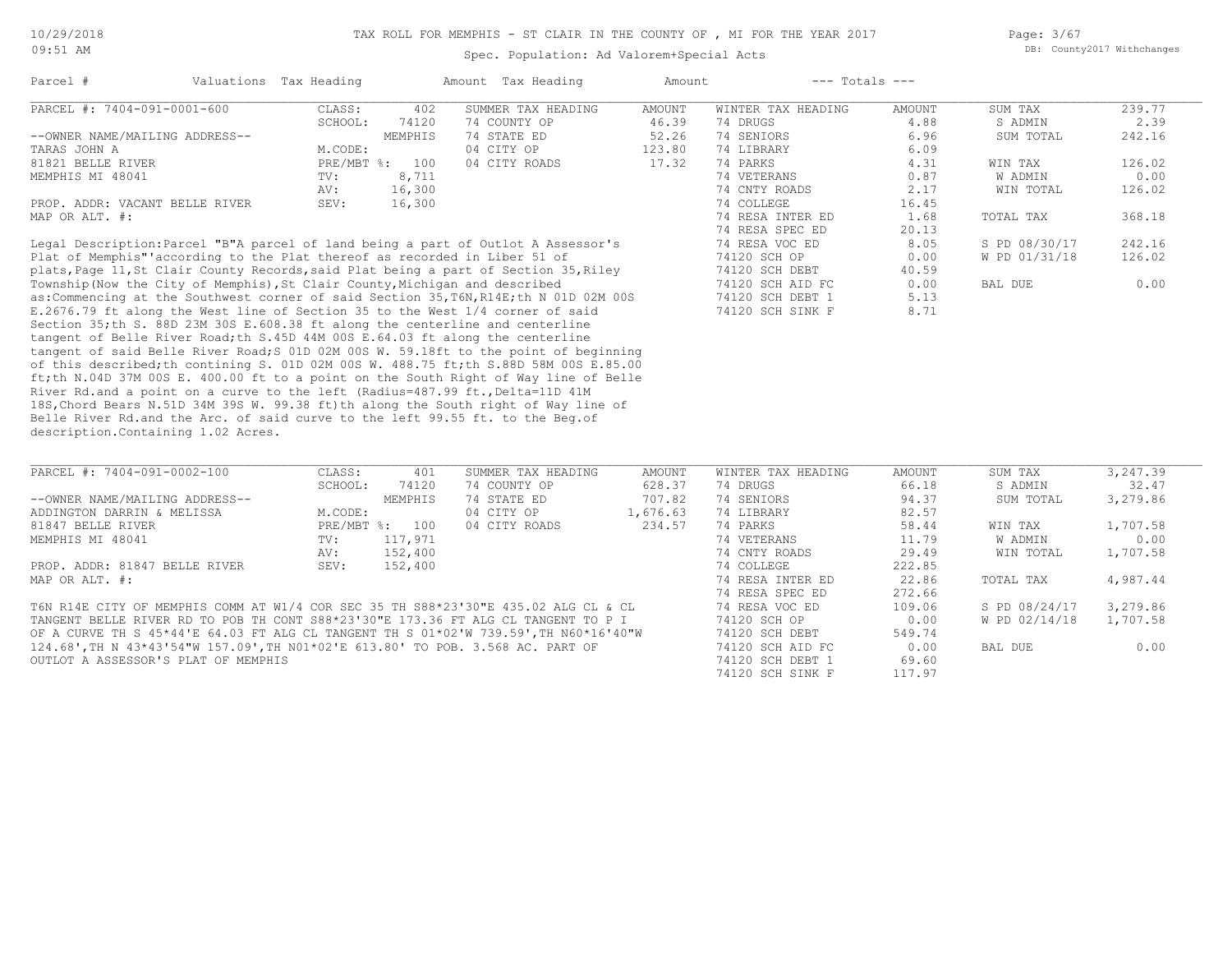Page: 3/67 DB: County2017 Withchanges

| Parcel #                       |  | Valuations Tax Heading |         | Amount Tax Heading | Amount |                    | $---$ Totals $---$ |           |        |
|--------------------------------|--|------------------------|---------|--------------------|--------|--------------------|--------------------|-----------|--------|
| PARCEL #: 7404-091-0001-600    |  | CLASS:                 | 402     | SUMMER TAX HEADING | AMOUNT | WINTER TAX HEADING | AMOUNT             | SUM TAX   | 239.77 |
|                                |  | SCHOOL:                | 74120   | 74 COUNTY OP       | 46.39  | 74 DRUGS           | 4.88               | S ADMIN   | 2.39   |
| --OWNER NAME/MAILING ADDRESS-- |  |                        | MEMPHIS | 74 STATE ED        | 52.26  | 74 SENIORS         | 6.96               | SUM TOTAL | 242.16 |
| TARAS JOHN A                   |  | M.CODE:                |         | 04 CITY OP         | 123.80 | 74 LIBRARY         | 6.09               |           |        |
| 81821 BELLE RIVER              |  | $PRE/MBT$ %:           | 100     | 04 CITY ROADS      | 17.32  | 74 PARKS           | 4.31               | WIN TAX   | 126.02 |
| MEMPHIS MI 48041               |  | TV:                    | 8,711   |                    |        | 74 VETERANS        | 0.87               | W ADMIN   | 0.00   |
|                                |  | AV:                    | 16,300  |                    |        | 74 CNTY ROADS      | 2.17               | WIN TOTAL | 126.02 |
| PROP. ADDR: VACANT BELLE RIVER |  | SEV:                   | 16,300  |                    |        | 74 COLLEGE         | 16.45              |           |        |
| MAP OR ALT. #:                 |  |                        |         |                    |        | 74 RESA INTER ED   | 1.68               | TOTAL TAX | 368.18 |
|                                |  |                        |         |                    |        | 74 RESA SPEC ED    | 20.13              |           |        |

description.Containing 1.02 Acres. Belle River Rd.and the Arc. of said curve to the left 99.55 ft. to the Beg.of 18S,Chord Bears N.51D 34M 39S W. 99.38 ft)th along the South right of Way line of River Rd.and a point on a curve to the left (Radius=487.99 ft., Delta=11D 41M ft;th N.04D 37M 00S E. 400.00 ft to a point on the South Right of Way line of Belle of this described;th contining S. 01D 02M 00S W. 488.75 ft;th S.88D 58M 00S E.85.00 tangent of said Belle River Road;S 01D 02M 00S W. 59.18ft to the point of beginning tangent of Belle River Road;th S.45D 44M 00S E.64.03 ft along the centerline Section 35;th S. 88D 23M 30S E.608.38 ft along the centerline and centerline E.2676.79 ft along the West line of Section 35 to the West 1/4 corner of said 74120 SCH SINK F 8.71 as:Commencing at the Southwest corner of said Section 35,T6N,R14E;th N 01D 02M 00S 74120 SCH DEBT 1 5.13 Township(Now the City of Memphis),St Clair County,Michigan and described 74120 SCH AID FC 0.00 BAL DUE 0.00 plats,Page 11,St Clair County Records,said Plat being a part of Section 35,Riley 74120 SCH DEBT 40.59 Plat of Memphis"'according to the Plat thereof as recorded in Liber 51 of 74120 SCH OP 0.00 W PD 01/31/18 126.02 Legal Description:Parcel "B"A parcel of land being a part of Outlot A Assessor's 74 RESA VOC ED 8.05 S PD 08/30/17 242.16

| PARCEL #: 7404-091-0002-100                                                                     | CLASS:     | 401     | SUMMER TAX HEADING | AMOUNT   | WINTER TAX HEADING                                                                                                                                                                                                                                                                                                                                                                   | AMOUNT        | SUM TAX         | 3,247.39      |
|-------------------------------------------------------------------------------------------------|------------|---------|--------------------|----------|--------------------------------------------------------------------------------------------------------------------------------------------------------------------------------------------------------------------------------------------------------------------------------------------------------------------------------------------------------------------------------------|---------------|-----------------|---------------|
|                                                                                                 | SCHOOL:    | 74120   | 74 COUNTY OP       | 628.37   | 74 DRUGS                                                                                                                                                                                                                                                                                                                                                                             | 66.18         | S ADMIN         | 32.47         |
| --OWNER NAME/MAILING ADDRESS--                                                                  |            | MEMPHIS | 74 STATE ED        | 707.82   | 74 SENIORS                                                                                                                                                                                                                                                                                                                                                                           | 94.37         | SUM TOTAL       | 3,279.86      |
| ADDINGTON DARRIN & MELISSA                                                                      | M.CODE:    |         | 04 CITY OP         | 1,676.63 | 74 LIBRARY                                                                                                                                                                                                                                                                                                                                                                           | 82.57         |                 |               |
| 81847 BELLE RIVER                                                                               | PRE/MBT %: | 100     | 04 CITY ROADS      | 234.57   | 74 PARKS                                                                                                                                                                                                                                                                                                                                                                             | 58.44         | WIN TAX         | 1,707.58      |
| MEMPHIS MI 48041                                                                                | TV:        | 117,971 |                    |          | 74 VETERANS                                                                                                                                                                                                                                                                                                                                                                          | 11.79         | W ADMIN         | 0.00          |
|                                                                                                 | AV:        | 152,400 |                    |          | 74 CNTY ROADS                                                                                                                                                                                                                                                                                                                                                                        | 29.49         | WIN TOTAL       | 1,707.58      |
| PROP. ADDR: 81847 BELLE RIVER                                                                   | SEV:       | 152,400 |                    |          | 74 COLLEGE                                                                                                                                                                                                                                                                                                                                                                           | 222.85        |                 |               |
| MAP OR ALT. #:                                                                                  |            |         |                    |          | 74 RESA INTER ED                                                                                                                                                                                                                                                                                                                                                                     | 22.86         | TOTAL TAX       | 4,987.44      |
|                                                                                                 |            |         |                    |          | 74 RESA SPEC ED                                                                                                                                                                                                                                                                                                                                                                      | 272.66        |                 |               |
| T6N R14E CITY OF MEMPHIS COMM AT W1/4 COR SEC 35 TH S88*23'30"E 435.02 ALG CL & CL              |            |         |                    |          | 74 RESA VOC ED                                                                                                                                                                                                                                                                                                                                                                       | 109.06        | S PD 08/24/17   | 3,279.86      |
| TANGENT BELLE RIVER RD TO POB TH CONT S88*23'30"E 173.36 FT ALG CL TANGENT TO P I               |            |         |                    |          | 74120 SCH OP                                                                                                                                                                                                                                                                                                                                                                         | 0.00          | W PD 02/14/18   | 1,707.58      |
| OF A CURVE TH S 45*44'E 64.03 FT ALG CL TANGENT TH S 01*02'W 739.59', TH N60*16'40"W            |            |         |                    |          | 74120 SCH DEBT                                                                                                                                                                                                                                                                                                                                                                       | 549.74        |                 |               |
| $101.001$ mm is $10110101$ $10111$ $1011$ mm is $011001$ m $0101$ mo mom $0$ $0.001$ moments of |            |         |                    |          | $\overline{a}$ $\overline{a}$ $\overline{a}$ $\overline{a}$ $\overline{a}$ $\overline{a}$ $\overline{a}$ $\overline{a}$ $\overline{a}$ $\overline{a}$ $\overline{a}$ $\overline{a}$ $\overline{a}$ $\overline{a}$ $\overline{a}$ $\overline{a}$ $\overline{a}$ $\overline{a}$ $\overline{a}$ $\overline{a}$ $\overline{a}$ $\overline{a}$ $\overline{a}$ $\overline{a}$ $\overline{$ | $\sim$ $\sim$ | $- - - - - - -$ | $\sim$ $\sim$ |

 $\mathcal{L}_\mathcal{L} = \mathcal{L}_\mathcal{L} = \mathcal{L}_\mathcal{L} = \mathcal{L}_\mathcal{L} = \mathcal{L}_\mathcal{L} = \mathcal{L}_\mathcal{L} = \mathcal{L}_\mathcal{L} = \mathcal{L}_\mathcal{L} = \mathcal{L}_\mathcal{L} = \mathcal{L}_\mathcal{L} = \mathcal{L}_\mathcal{L} = \mathcal{L}_\mathcal{L} = \mathcal{L}_\mathcal{L} = \mathcal{L}_\mathcal{L} = \mathcal{L}_\mathcal{L} = \mathcal{L}_\mathcal{L} = \mathcal{L}_\mathcal{L}$ 

74120 SCH SINK F 117.97

OUTLOT A ASSESSOR'S PLAT OF MEMPHIS **1994, 1994** 2005 11 2006 12:00 12:00 12:00 12:00 12:00 12:00 12:00 12:00 12:00<br>74120 SCH STNK F 117.97 124.68',TH N 43\*43'54"W 157.09',TH N01\*02'E 613.80' TO POB. 3.568 AC. PART OF 74120 SCH AID FC 0.00 BAL DUE 0.00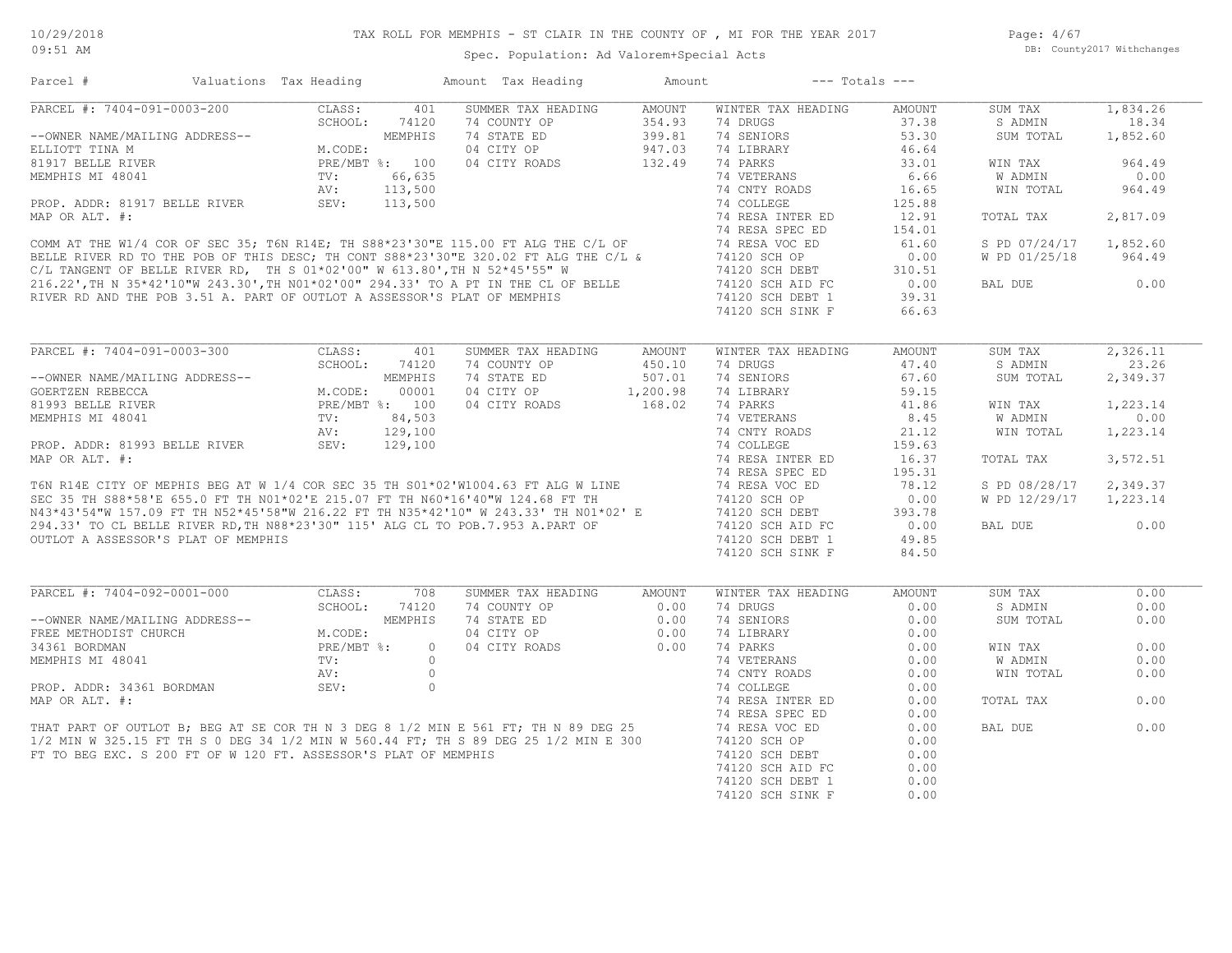Page: 4/67 DB: County2017 Withchanges

| PARCEL #: 7404-091-0003-200<br>CLASS:<br>SUMMER TAX HEADING<br><b>AMOUNT</b><br>WINTER TAX HEADING<br>1,834.26<br>401<br>AMOUNT<br>SUM TAX<br>354.93<br>SCHOOL:<br>74120<br>74 COUNTY OP<br>74 DRUGS<br>37.38<br>S ADMIN<br>18.34<br>MEMPHIS<br>74 STATE ED<br>399.81<br>74 SENIORS<br>53.30<br>1,852.60<br>--OWNER NAME/MAILING ADDRESS--<br>SUM TOTAL<br>M.CODE:<br>04 CITY OP<br>947.03<br>74 LIBRARY<br>46.64<br>132.49<br>74 PARKS<br>33.01<br>964.49<br>PRE/MBT %: 100<br>04 CITY ROADS<br>WIN TAX<br>6.66<br>0.00<br>74 VETERANS<br>W ADMIN<br>74 CNTY ROADS<br>16.65<br>964.49<br>WIN TOTAL<br>74 COLLEGE<br>125.88<br>74 RESA INTER ED<br>12.91<br>TOTAL TAX<br>2,817.09<br>74 RESA SPEC ED<br>154.01<br>74 RESA VOC ED<br>S PD 07/24/17<br>1,852.60<br>61.60<br>74120 SCH OP<br>0.00<br>W PD 01/25/18<br>964.49<br>74120 SCH DEBT<br>310.51<br>74120 SCH AID FC<br>0.00<br>BAL DUE<br>0.00<br>74120 SCH DEBT 1<br>39.31<br>74120 SCH SINK F<br>66.63<br>2,326.11<br>WINTER TAX HEADING<br>AMOUNT<br>SUM TAX<br>SCHOOL:<br>23.26<br>74120<br>74 COUNTY OP<br>450.10<br>74 DRUGS<br>47.40<br>S ADMIN<br>MEMPHIS<br>74 STATE ED<br>507.01<br>74 SENIORS<br>67.60<br>SUM TOTAL<br>2,349.37<br>--OWNER NAME/MAILING ADDRESS--<br>M.CODE:<br>00001<br>04 CITY OP<br>1,200.98<br>74 LIBRARY<br>59.15<br>PRE/MBT %: 100<br>04 CITY ROADS<br>168.02<br>74 PARKS<br>1,223.14<br>41.86<br>WIN TAX<br>TV:<br>84,503<br>74 VETERANS<br>8.45<br>W ADMIN<br>0.00<br>129,100<br>74 CNTY ROADS<br>21.12<br>WIN TOTAL<br>1,223.14<br>AV:<br>SEV:<br>PROP. ADDR: 81993 BELLE RIVER<br>129,100<br>74 COLLEGE<br>159.63<br>74 RESA INTER ED<br>3,572.51<br>16.37<br>TOTAL TAX<br>74 RESA SPEC ED<br>195.31<br>T6N R14E CITY OF MEPHIS BEG AT W 1/4 COR SEC 35 TH S01*02'W1004.63 FT ALG W LINE<br>SEC 35 TH S88*58'E 655.0 FT TH N01*02'E 215.07 FT TH N60*16'40"W 124.68 FT TH<br>N43*43'54"W 157.09 FT TH N52*45'58"W 216.22 FT TH N35*42'10" W<br>74 RESA VOC ED<br>78.12<br>S PD 08/28/17<br>2,349.37<br>74120 SCH OP<br>1,223.14<br>0.00<br>W PD 12/29/17<br>74120 SCH DEBT<br>393.78<br>74120 SCH AID FC<br>0.00<br>BAL DUE<br>0.00<br>74120 SCH DEBT 1<br>49.85<br>OUTLOT A ASSESSOR'S PLAT OF MEMPHIS<br>74120 SCH SINK F<br>84.50<br>PARCEL #: 7404-092-0001-000<br>CLASS:<br>708<br>SUMMER TAX HEADING<br>SUM TAX<br>0.00<br>AMOUNT<br>WINTER TAX HEADING<br>AMOUNT<br>SCHOOL:<br>74120<br>0.00<br>0.00<br>74 COUNTY OP<br>0.00<br>74 DRUGS<br>S ADMIN<br>MEMPHIS<br>74 STATE ED<br>0.00<br>74 SENIORS<br>0.00<br>SUM TOTAL<br>0.00<br>--OWNER NAME/MAILING ADDRESS--<br>M.CODE:<br>04 CITY OP<br>0.00<br>74 LIBRARY<br>0.00<br>PRE/MBT %:<br>04 CITY ROADS<br>0.00<br>74 PARKS<br>0.00<br>$\circ$<br>0.00<br>WIN TAX<br>$\text{TV}$ :<br>$\Omega$<br>74 VETERANS<br>0.00<br>0.00<br>W ADMIN<br>$\circ$<br>74 CNTY ROADS<br>WIN TOTAL<br>0.00<br>AV:<br>0.00<br>SEV:<br>$\circ$<br>74 COLLEGE<br>0.00<br>74 RESA INTER ED<br>0.00<br>0.00<br>TOTAL TAX<br>74 RESA SPEC ED<br>0.00<br>THAT PART OF OUTLOT B; BEG AT SE COR TH N 3 DEG 8 1/2 MIN E 561 FT; TH N 89 DEG 25<br>0.00<br>74 RESA VOC ED<br>BAL DUE<br>0.00<br>1/2 MIN W 325.15 FT TH S 0 DEG 34 1/2 MIN W 560.44 FT; TH S 89 DEG 25 1/2 MIN E 300<br>74120 SCH OP<br>0.00<br>FT TO BEG EXC. S 200 FT OF W 120 FT. ASSESSOR'S PLAT OF MEMPHIS<br>74120 SCH DEBT<br>0.00<br>74120 SCH AID FC<br>0.00<br>74120 SCH DEBT 1<br>0.00<br>74120 SCH SINK F<br>0.00 | Parcel #                  | Valuations Tax Heading | Amount Tax Heading | Amount | $---$ Totals $---$ |  |  |
|---------------------------------------------------------------------------------------------------------------------------------------------------------------------------------------------------------------------------------------------------------------------------------------------------------------------------------------------------------------------------------------------------------------------------------------------------------------------------------------------------------------------------------------------------------------------------------------------------------------------------------------------------------------------------------------------------------------------------------------------------------------------------------------------------------------------------------------------------------------------------------------------------------------------------------------------------------------------------------------------------------------------------------------------------------------------------------------------------------------------------------------------------------------------------------------------------------------------------------------------------------------------------------------------------------------------------------------------------------------------------------------------------------------------------------------------------------------------------------------------------------------------------------------------------------------------------------------------------------------------------------------------------------------------------------------------------------------------------------------------------------------------------------------------------------------------------------------------------------------------------------------------------------------------------------------------------------------------------------------------------------------------------------------------------------------------------------------------------------------------------------------------------------------------------------------------------------------------------------------------------------------------------------------------------------------------------------------------------------------------------------------------------------------------------------------------------------------------------------------------------------------------------------------------------------------------------------------------------------------------------------------------------------------------------------------------------------------------------------------------------------------------------------------------------------------------------------------------------------------------------------------------------------------------------------------------------------------------------------------------------------------------------------------------------------------------------------------------------------------------------------------------------------------------------------------------------------------------------------------------------------------------------------------------------------------------------------------------------------------------------------------------------------------------|---------------------------|------------------------|--------------------|--------|--------------------|--|--|
|                                                                                                                                                                                                                                                                                                                                                                                                                                                                                                                                                                                                                                                                                                                                                                                                                                                                                                                                                                                                                                                                                                                                                                                                                                                                                                                                                                                                                                                                                                                                                                                                                                                                                                                                                                                                                                                                                                                                                                                                                                                                                                                                                                                                                                                                                                                                                                                                                                                                                                                                                                                                                                                                                                                                                                                                                                                                                                                                                                                                                                                                                                                                                                                                                                                                                                                                                                                                                     |                           |                        |                    |        |                    |  |  |
|                                                                                                                                                                                                                                                                                                                                                                                                                                                                                                                                                                                                                                                                                                                                                                                                                                                                                                                                                                                                                                                                                                                                                                                                                                                                                                                                                                                                                                                                                                                                                                                                                                                                                                                                                                                                                                                                                                                                                                                                                                                                                                                                                                                                                                                                                                                                                                                                                                                                                                                                                                                                                                                                                                                                                                                                                                                                                                                                                                                                                                                                                                                                                                                                                                                                                                                                                                                                                     |                           |                        |                    |        |                    |  |  |
|                                                                                                                                                                                                                                                                                                                                                                                                                                                                                                                                                                                                                                                                                                                                                                                                                                                                                                                                                                                                                                                                                                                                                                                                                                                                                                                                                                                                                                                                                                                                                                                                                                                                                                                                                                                                                                                                                                                                                                                                                                                                                                                                                                                                                                                                                                                                                                                                                                                                                                                                                                                                                                                                                                                                                                                                                                                                                                                                                                                                                                                                                                                                                                                                                                                                                                                                                                                                                     |                           |                        |                    |        |                    |  |  |
|                                                                                                                                                                                                                                                                                                                                                                                                                                                                                                                                                                                                                                                                                                                                                                                                                                                                                                                                                                                                                                                                                                                                                                                                                                                                                                                                                                                                                                                                                                                                                                                                                                                                                                                                                                                                                                                                                                                                                                                                                                                                                                                                                                                                                                                                                                                                                                                                                                                                                                                                                                                                                                                                                                                                                                                                                                                                                                                                                                                                                                                                                                                                                                                                                                                                                                                                                                                                                     | ELLIOTT TINA M            |                        |                    |        |                    |  |  |
|                                                                                                                                                                                                                                                                                                                                                                                                                                                                                                                                                                                                                                                                                                                                                                                                                                                                                                                                                                                                                                                                                                                                                                                                                                                                                                                                                                                                                                                                                                                                                                                                                                                                                                                                                                                                                                                                                                                                                                                                                                                                                                                                                                                                                                                                                                                                                                                                                                                                                                                                                                                                                                                                                                                                                                                                                                                                                                                                                                                                                                                                                                                                                                                                                                                                                                                                                                                                                     | 81917 BELLE RIVER         |                        |                    |        |                    |  |  |
|                                                                                                                                                                                                                                                                                                                                                                                                                                                                                                                                                                                                                                                                                                                                                                                                                                                                                                                                                                                                                                                                                                                                                                                                                                                                                                                                                                                                                                                                                                                                                                                                                                                                                                                                                                                                                                                                                                                                                                                                                                                                                                                                                                                                                                                                                                                                                                                                                                                                                                                                                                                                                                                                                                                                                                                                                                                                                                                                                                                                                                                                                                                                                                                                                                                                                                                                                                                                                     |                           |                        |                    |        |                    |  |  |
|                                                                                                                                                                                                                                                                                                                                                                                                                                                                                                                                                                                                                                                                                                                                                                                                                                                                                                                                                                                                                                                                                                                                                                                                                                                                                                                                                                                                                                                                                                                                                                                                                                                                                                                                                                                                                                                                                                                                                                                                                                                                                                                                                                                                                                                                                                                                                                                                                                                                                                                                                                                                                                                                                                                                                                                                                                                                                                                                                                                                                                                                                                                                                                                                                                                                                                                                                                                                                     |                           |                        |                    |        |                    |  |  |
|                                                                                                                                                                                                                                                                                                                                                                                                                                                                                                                                                                                                                                                                                                                                                                                                                                                                                                                                                                                                                                                                                                                                                                                                                                                                                                                                                                                                                                                                                                                                                                                                                                                                                                                                                                                                                                                                                                                                                                                                                                                                                                                                                                                                                                                                                                                                                                                                                                                                                                                                                                                                                                                                                                                                                                                                                                                                                                                                                                                                                                                                                                                                                                                                                                                                                                                                                                                                                     |                           |                        |                    |        |                    |  |  |
|                                                                                                                                                                                                                                                                                                                                                                                                                                                                                                                                                                                                                                                                                                                                                                                                                                                                                                                                                                                                                                                                                                                                                                                                                                                                                                                                                                                                                                                                                                                                                                                                                                                                                                                                                                                                                                                                                                                                                                                                                                                                                                                                                                                                                                                                                                                                                                                                                                                                                                                                                                                                                                                                                                                                                                                                                                                                                                                                                                                                                                                                                                                                                                                                                                                                                                                                                                                                                     |                           |                        |                    |        |                    |  |  |
|                                                                                                                                                                                                                                                                                                                                                                                                                                                                                                                                                                                                                                                                                                                                                                                                                                                                                                                                                                                                                                                                                                                                                                                                                                                                                                                                                                                                                                                                                                                                                                                                                                                                                                                                                                                                                                                                                                                                                                                                                                                                                                                                                                                                                                                                                                                                                                                                                                                                                                                                                                                                                                                                                                                                                                                                                                                                                                                                                                                                                                                                                                                                                                                                                                                                                                                                                                                                                     |                           |                        |                    |        |                    |  |  |
|                                                                                                                                                                                                                                                                                                                                                                                                                                                                                                                                                                                                                                                                                                                                                                                                                                                                                                                                                                                                                                                                                                                                                                                                                                                                                                                                                                                                                                                                                                                                                                                                                                                                                                                                                                                                                                                                                                                                                                                                                                                                                                                                                                                                                                                                                                                                                                                                                                                                                                                                                                                                                                                                                                                                                                                                                                                                                                                                                                                                                                                                                                                                                                                                                                                                                                                                                                                                                     |                           |                        |                    |        |                    |  |  |
|                                                                                                                                                                                                                                                                                                                                                                                                                                                                                                                                                                                                                                                                                                                                                                                                                                                                                                                                                                                                                                                                                                                                                                                                                                                                                                                                                                                                                                                                                                                                                                                                                                                                                                                                                                                                                                                                                                                                                                                                                                                                                                                                                                                                                                                                                                                                                                                                                                                                                                                                                                                                                                                                                                                                                                                                                                                                                                                                                                                                                                                                                                                                                                                                                                                                                                                                                                                                                     |                           |                        |                    |        |                    |  |  |
|                                                                                                                                                                                                                                                                                                                                                                                                                                                                                                                                                                                                                                                                                                                                                                                                                                                                                                                                                                                                                                                                                                                                                                                                                                                                                                                                                                                                                                                                                                                                                                                                                                                                                                                                                                                                                                                                                                                                                                                                                                                                                                                                                                                                                                                                                                                                                                                                                                                                                                                                                                                                                                                                                                                                                                                                                                                                                                                                                                                                                                                                                                                                                                                                                                                                                                                                                                                                                     |                           |                        |                    |        |                    |  |  |
|                                                                                                                                                                                                                                                                                                                                                                                                                                                                                                                                                                                                                                                                                                                                                                                                                                                                                                                                                                                                                                                                                                                                                                                                                                                                                                                                                                                                                                                                                                                                                                                                                                                                                                                                                                                                                                                                                                                                                                                                                                                                                                                                                                                                                                                                                                                                                                                                                                                                                                                                                                                                                                                                                                                                                                                                                                                                                                                                                                                                                                                                                                                                                                                                                                                                                                                                                                                                                     |                           |                        |                    |        |                    |  |  |
|                                                                                                                                                                                                                                                                                                                                                                                                                                                                                                                                                                                                                                                                                                                                                                                                                                                                                                                                                                                                                                                                                                                                                                                                                                                                                                                                                                                                                                                                                                                                                                                                                                                                                                                                                                                                                                                                                                                                                                                                                                                                                                                                                                                                                                                                                                                                                                                                                                                                                                                                                                                                                                                                                                                                                                                                                                                                                                                                                                                                                                                                                                                                                                                                                                                                                                                                                                                                                     |                           |                        |                    |        |                    |  |  |
|                                                                                                                                                                                                                                                                                                                                                                                                                                                                                                                                                                                                                                                                                                                                                                                                                                                                                                                                                                                                                                                                                                                                                                                                                                                                                                                                                                                                                                                                                                                                                                                                                                                                                                                                                                                                                                                                                                                                                                                                                                                                                                                                                                                                                                                                                                                                                                                                                                                                                                                                                                                                                                                                                                                                                                                                                                                                                                                                                                                                                                                                                                                                                                                                                                                                                                                                                                                                                     |                           |                        |                    |        |                    |  |  |
|                                                                                                                                                                                                                                                                                                                                                                                                                                                                                                                                                                                                                                                                                                                                                                                                                                                                                                                                                                                                                                                                                                                                                                                                                                                                                                                                                                                                                                                                                                                                                                                                                                                                                                                                                                                                                                                                                                                                                                                                                                                                                                                                                                                                                                                                                                                                                                                                                                                                                                                                                                                                                                                                                                                                                                                                                                                                                                                                                                                                                                                                                                                                                                                                                                                                                                                                                                                                                     |                           |                        |                    |        |                    |  |  |
|                                                                                                                                                                                                                                                                                                                                                                                                                                                                                                                                                                                                                                                                                                                                                                                                                                                                                                                                                                                                                                                                                                                                                                                                                                                                                                                                                                                                                                                                                                                                                                                                                                                                                                                                                                                                                                                                                                                                                                                                                                                                                                                                                                                                                                                                                                                                                                                                                                                                                                                                                                                                                                                                                                                                                                                                                                                                                                                                                                                                                                                                                                                                                                                                                                                                                                                                                                                                                     |                           |                        |                    |        |                    |  |  |
|                                                                                                                                                                                                                                                                                                                                                                                                                                                                                                                                                                                                                                                                                                                                                                                                                                                                                                                                                                                                                                                                                                                                                                                                                                                                                                                                                                                                                                                                                                                                                                                                                                                                                                                                                                                                                                                                                                                                                                                                                                                                                                                                                                                                                                                                                                                                                                                                                                                                                                                                                                                                                                                                                                                                                                                                                                                                                                                                                                                                                                                                                                                                                                                                                                                                                                                                                                                                                     |                           |                        |                    |        |                    |  |  |
|                                                                                                                                                                                                                                                                                                                                                                                                                                                                                                                                                                                                                                                                                                                                                                                                                                                                                                                                                                                                                                                                                                                                                                                                                                                                                                                                                                                                                                                                                                                                                                                                                                                                                                                                                                                                                                                                                                                                                                                                                                                                                                                                                                                                                                                                                                                                                                                                                                                                                                                                                                                                                                                                                                                                                                                                                                                                                                                                                                                                                                                                                                                                                                                                                                                                                                                                                                                                                     |                           |                        |                    |        |                    |  |  |
|                                                                                                                                                                                                                                                                                                                                                                                                                                                                                                                                                                                                                                                                                                                                                                                                                                                                                                                                                                                                                                                                                                                                                                                                                                                                                                                                                                                                                                                                                                                                                                                                                                                                                                                                                                                                                                                                                                                                                                                                                                                                                                                                                                                                                                                                                                                                                                                                                                                                                                                                                                                                                                                                                                                                                                                                                                                                                                                                                                                                                                                                                                                                                                                                                                                                                                                                                                                                                     | GOERTZEN REBECCA          |                        |                    |        |                    |  |  |
|                                                                                                                                                                                                                                                                                                                                                                                                                                                                                                                                                                                                                                                                                                                                                                                                                                                                                                                                                                                                                                                                                                                                                                                                                                                                                                                                                                                                                                                                                                                                                                                                                                                                                                                                                                                                                                                                                                                                                                                                                                                                                                                                                                                                                                                                                                                                                                                                                                                                                                                                                                                                                                                                                                                                                                                                                                                                                                                                                                                                                                                                                                                                                                                                                                                                                                                                                                                                                     | 81993 BELLE RIVER         |                        |                    |        |                    |  |  |
|                                                                                                                                                                                                                                                                                                                                                                                                                                                                                                                                                                                                                                                                                                                                                                                                                                                                                                                                                                                                                                                                                                                                                                                                                                                                                                                                                                                                                                                                                                                                                                                                                                                                                                                                                                                                                                                                                                                                                                                                                                                                                                                                                                                                                                                                                                                                                                                                                                                                                                                                                                                                                                                                                                                                                                                                                                                                                                                                                                                                                                                                                                                                                                                                                                                                                                                                                                                                                     | MEMPHIS MI 48041          |                        |                    |        |                    |  |  |
|                                                                                                                                                                                                                                                                                                                                                                                                                                                                                                                                                                                                                                                                                                                                                                                                                                                                                                                                                                                                                                                                                                                                                                                                                                                                                                                                                                                                                                                                                                                                                                                                                                                                                                                                                                                                                                                                                                                                                                                                                                                                                                                                                                                                                                                                                                                                                                                                                                                                                                                                                                                                                                                                                                                                                                                                                                                                                                                                                                                                                                                                                                                                                                                                                                                                                                                                                                                                                     |                           |                        |                    |        |                    |  |  |
|                                                                                                                                                                                                                                                                                                                                                                                                                                                                                                                                                                                                                                                                                                                                                                                                                                                                                                                                                                                                                                                                                                                                                                                                                                                                                                                                                                                                                                                                                                                                                                                                                                                                                                                                                                                                                                                                                                                                                                                                                                                                                                                                                                                                                                                                                                                                                                                                                                                                                                                                                                                                                                                                                                                                                                                                                                                                                                                                                                                                                                                                                                                                                                                                                                                                                                                                                                                                                     |                           |                        |                    |        |                    |  |  |
|                                                                                                                                                                                                                                                                                                                                                                                                                                                                                                                                                                                                                                                                                                                                                                                                                                                                                                                                                                                                                                                                                                                                                                                                                                                                                                                                                                                                                                                                                                                                                                                                                                                                                                                                                                                                                                                                                                                                                                                                                                                                                                                                                                                                                                                                                                                                                                                                                                                                                                                                                                                                                                                                                                                                                                                                                                                                                                                                                                                                                                                                                                                                                                                                                                                                                                                                                                                                                     | MAP OR ALT. #:            |                        |                    |        |                    |  |  |
|                                                                                                                                                                                                                                                                                                                                                                                                                                                                                                                                                                                                                                                                                                                                                                                                                                                                                                                                                                                                                                                                                                                                                                                                                                                                                                                                                                                                                                                                                                                                                                                                                                                                                                                                                                                                                                                                                                                                                                                                                                                                                                                                                                                                                                                                                                                                                                                                                                                                                                                                                                                                                                                                                                                                                                                                                                                                                                                                                                                                                                                                                                                                                                                                                                                                                                                                                                                                                     |                           |                        |                    |        |                    |  |  |
|                                                                                                                                                                                                                                                                                                                                                                                                                                                                                                                                                                                                                                                                                                                                                                                                                                                                                                                                                                                                                                                                                                                                                                                                                                                                                                                                                                                                                                                                                                                                                                                                                                                                                                                                                                                                                                                                                                                                                                                                                                                                                                                                                                                                                                                                                                                                                                                                                                                                                                                                                                                                                                                                                                                                                                                                                                                                                                                                                                                                                                                                                                                                                                                                                                                                                                                                                                                                                     |                           |                        |                    |        |                    |  |  |
|                                                                                                                                                                                                                                                                                                                                                                                                                                                                                                                                                                                                                                                                                                                                                                                                                                                                                                                                                                                                                                                                                                                                                                                                                                                                                                                                                                                                                                                                                                                                                                                                                                                                                                                                                                                                                                                                                                                                                                                                                                                                                                                                                                                                                                                                                                                                                                                                                                                                                                                                                                                                                                                                                                                                                                                                                                                                                                                                                                                                                                                                                                                                                                                                                                                                                                                                                                                                                     |                           |                        |                    |        |                    |  |  |
|                                                                                                                                                                                                                                                                                                                                                                                                                                                                                                                                                                                                                                                                                                                                                                                                                                                                                                                                                                                                                                                                                                                                                                                                                                                                                                                                                                                                                                                                                                                                                                                                                                                                                                                                                                                                                                                                                                                                                                                                                                                                                                                                                                                                                                                                                                                                                                                                                                                                                                                                                                                                                                                                                                                                                                                                                                                                                                                                                                                                                                                                                                                                                                                                                                                                                                                                                                                                                     |                           |                        |                    |        |                    |  |  |
|                                                                                                                                                                                                                                                                                                                                                                                                                                                                                                                                                                                                                                                                                                                                                                                                                                                                                                                                                                                                                                                                                                                                                                                                                                                                                                                                                                                                                                                                                                                                                                                                                                                                                                                                                                                                                                                                                                                                                                                                                                                                                                                                                                                                                                                                                                                                                                                                                                                                                                                                                                                                                                                                                                                                                                                                                                                                                                                                                                                                                                                                                                                                                                                                                                                                                                                                                                                                                     |                           |                        |                    |        |                    |  |  |
|                                                                                                                                                                                                                                                                                                                                                                                                                                                                                                                                                                                                                                                                                                                                                                                                                                                                                                                                                                                                                                                                                                                                                                                                                                                                                                                                                                                                                                                                                                                                                                                                                                                                                                                                                                                                                                                                                                                                                                                                                                                                                                                                                                                                                                                                                                                                                                                                                                                                                                                                                                                                                                                                                                                                                                                                                                                                                                                                                                                                                                                                                                                                                                                                                                                                                                                                                                                                                     |                           |                        |                    |        |                    |  |  |
|                                                                                                                                                                                                                                                                                                                                                                                                                                                                                                                                                                                                                                                                                                                                                                                                                                                                                                                                                                                                                                                                                                                                                                                                                                                                                                                                                                                                                                                                                                                                                                                                                                                                                                                                                                                                                                                                                                                                                                                                                                                                                                                                                                                                                                                                                                                                                                                                                                                                                                                                                                                                                                                                                                                                                                                                                                                                                                                                                                                                                                                                                                                                                                                                                                                                                                                                                                                                                     |                           |                        |                    |        |                    |  |  |
|                                                                                                                                                                                                                                                                                                                                                                                                                                                                                                                                                                                                                                                                                                                                                                                                                                                                                                                                                                                                                                                                                                                                                                                                                                                                                                                                                                                                                                                                                                                                                                                                                                                                                                                                                                                                                                                                                                                                                                                                                                                                                                                                                                                                                                                                                                                                                                                                                                                                                                                                                                                                                                                                                                                                                                                                                                                                                                                                                                                                                                                                                                                                                                                                                                                                                                                                                                                                                     |                           |                        |                    |        |                    |  |  |
|                                                                                                                                                                                                                                                                                                                                                                                                                                                                                                                                                                                                                                                                                                                                                                                                                                                                                                                                                                                                                                                                                                                                                                                                                                                                                                                                                                                                                                                                                                                                                                                                                                                                                                                                                                                                                                                                                                                                                                                                                                                                                                                                                                                                                                                                                                                                                                                                                                                                                                                                                                                                                                                                                                                                                                                                                                                                                                                                                                                                                                                                                                                                                                                                                                                                                                                                                                                                                     |                           |                        |                    |        |                    |  |  |
|                                                                                                                                                                                                                                                                                                                                                                                                                                                                                                                                                                                                                                                                                                                                                                                                                                                                                                                                                                                                                                                                                                                                                                                                                                                                                                                                                                                                                                                                                                                                                                                                                                                                                                                                                                                                                                                                                                                                                                                                                                                                                                                                                                                                                                                                                                                                                                                                                                                                                                                                                                                                                                                                                                                                                                                                                                                                                                                                                                                                                                                                                                                                                                                                                                                                                                                                                                                                                     |                           |                        |                    |        |                    |  |  |
|                                                                                                                                                                                                                                                                                                                                                                                                                                                                                                                                                                                                                                                                                                                                                                                                                                                                                                                                                                                                                                                                                                                                                                                                                                                                                                                                                                                                                                                                                                                                                                                                                                                                                                                                                                                                                                                                                                                                                                                                                                                                                                                                                                                                                                                                                                                                                                                                                                                                                                                                                                                                                                                                                                                                                                                                                                                                                                                                                                                                                                                                                                                                                                                                                                                                                                                                                                                                                     |                           |                        |                    |        |                    |  |  |
|                                                                                                                                                                                                                                                                                                                                                                                                                                                                                                                                                                                                                                                                                                                                                                                                                                                                                                                                                                                                                                                                                                                                                                                                                                                                                                                                                                                                                                                                                                                                                                                                                                                                                                                                                                                                                                                                                                                                                                                                                                                                                                                                                                                                                                                                                                                                                                                                                                                                                                                                                                                                                                                                                                                                                                                                                                                                                                                                                                                                                                                                                                                                                                                                                                                                                                                                                                                                                     | FREE METHODIST CHURCH     |                        |                    |        |                    |  |  |
|                                                                                                                                                                                                                                                                                                                                                                                                                                                                                                                                                                                                                                                                                                                                                                                                                                                                                                                                                                                                                                                                                                                                                                                                                                                                                                                                                                                                                                                                                                                                                                                                                                                                                                                                                                                                                                                                                                                                                                                                                                                                                                                                                                                                                                                                                                                                                                                                                                                                                                                                                                                                                                                                                                                                                                                                                                                                                                                                                                                                                                                                                                                                                                                                                                                                                                                                                                                                                     | 34361 BORDMAN             |                        |                    |        |                    |  |  |
|                                                                                                                                                                                                                                                                                                                                                                                                                                                                                                                                                                                                                                                                                                                                                                                                                                                                                                                                                                                                                                                                                                                                                                                                                                                                                                                                                                                                                                                                                                                                                                                                                                                                                                                                                                                                                                                                                                                                                                                                                                                                                                                                                                                                                                                                                                                                                                                                                                                                                                                                                                                                                                                                                                                                                                                                                                                                                                                                                                                                                                                                                                                                                                                                                                                                                                                                                                                                                     | MEMPHIS MI 48041          |                        |                    |        |                    |  |  |
|                                                                                                                                                                                                                                                                                                                                                                                                                                                                                                                                                                                                                                                                                                                                                                                                                                                                                                                                                                                                                                                                                                                                                                                                                                                                                                                                                                                                                                                                                                                                                                                                                                                                                                                                                                                                                                                                                                                                                                                                                                                                                                                                                                                                                                                                                                                                                                                                                                                                                                                                                                                                                                                                                                                                                                                                                                                                                                                                                                                                                                                                                                                                                                                                                                                                                                                                                                                                                     |                           |                        |                    |        |                    |  |  |
|                                                                                                                                                                                                                                                                                                                                                                                                                                                                                                                                                                                                                                                                                                                                                                                                                                                                                                                                                                                                                                                                                                                                                                                                                                                                                                                                                                                                                                                                                                                                                                                                                                                                                                                                                                                                                                                                                                                                                                                                                                                                                                                                                                                                                                                                                                                                                                                                                                                                                                                                                                                                                                                                                                                                                                                                                                                                                                                                                                                                                                                                                                                                                                                                                                                                                                                                                                                                                     | PROP. ADDR: 34361 BORDMAN |                        |                    |        |                    |  |  |
|                                                                                                                                                                                                                                                                                                                                                                                                                                                                                                                                                                                                                                                                                                                                                                                                                                                                                                                                                                                                                                                                                                                                                                                                                                                                                                                                                                                                                                                                                                                                                                                                                                                                                                                                                                                                                                                                                                                                                                                                                                                                                                                                                                                                                                                                                                                                                                                                                                                                                                                                                                                                                                                                                                                                                                                                                                                                                                                                                                                                                                                                                                                                                                                                                                                                                                                                                                                                                     | MAP OR ALT. #:            |                        |                    |        |                    |  |  |
|                                                                                                                                                                                                                                                                                                                                                                                                                                                                                                                                                                                                                                                                                                                                                                                                                                                                                                                                                                                                                                                                                                                                                                                                                                                                                                                                                                                                                                                                                                                                                                                                                                                                                                                                                                                                                                                                                                                                                                                                                                                                                                                                                                                                                                                                                                                                                                                                                                                                                                                                                                                                                                                                                                                                                                                                                                                                                                                                                                                                                                                                                                                                                                                                                                                                                                                                                                                                                     |                           |                        |                    |        |                    |  |  |
|                                                                                                                                                                                                                                                                                                                                                                                                                                                                                                                                                                                                                                                                                                                                                                                                                                                                                                                                                                                                                                                                                                                                                                                                                                                                                                                                                                                                                                                                                                                                                                                                                                                                                                                                                                                                                                                                                                                                                                                                                                                                                                                                                                                                                                                                                                                                                                                                                                                                                                                                                                                                                                                                                                                                                                                                                                                                                                                                                                                                                                                                                                                                                                                                                                                                                                                                                                                                                     |                           |                        |                    |        |                    |  |  |
|                                                                                                                                                                                                                                                                                                                                                                                                                                                                                                                                                                                                                                                                                                                                                                                                                                                                                                                                                                                                                                                                                                                                                                                                                                                                                                                                                                                                                                                                                                                                                                                                                                                                                                                                                                                                                                                                                                                                                                                                                                                                                                                                                                                                                                                                                                                                                                                                                                                                                                                                                                                                                                                                                                                                                                                                                                                                                                                                                                                                                                                                                                                                                                                                                                                                                                                                                                                                                     |                           |                        |                    |        |                    |  |  |
|                                                                                                                                                                                                                                                                                                                                                                                                                                                                                                                                                                                                                                                                                                                                                                                                                                                                                                                                                                                                                                                                                                                                                                                                                                                                                                                                                                                                                                                                                                                                                                                                                                                                                                                                                                                                                                                                                                                                                                                                                                                                                                                                                                                                                                                                                                                                                                                                                                                                                                                                                                                                                                                                                                                                                                                                                                                                                                                                                                                                                                                                                                                                                                                                                                                                                                                                                                                                                     |                           |                        |                    |        |                    |  |  |
|                                                                                                                                                                                                                                                                                                                                                                                                                                                                                                                                                                                                                                                                                                                                                                                                                                                                                                                                                                                                                                                                                                                                                                                                                                                                                                                                                                                                                                                                                                                                                                                                                                                                                                                                                                                                                                                                                                                                                                                                                                                                                                                                                                                                                                                                                                                                                                                                                                                                                                                                                                                                                                                                                                                                                                                                                                                                                                                                                                                                                                                                                                                                                                                                                                                                                                                                                                                                                     |                           |                        |                    |        |                    |  |  |
|                                                                                                                                                                                                                                                                                                                                                                                                                                                                                                                                                                                                                                                                                                                                                                                                                                                                                                                                                                                                                                                                                                                                                                                                                                                                                                                                                                                                                                                                                                                                                                                                                                                                                                                                                                                                                                                                                                                                                                                                                                                                                                                                                                                                                                                                                                                                                                                                                                                                                                                                                                                                                                                                                                                                                                                                                                                                                                                                                                                                                                                                                                                                                                                                                                                                                                                                                                                                                     |                           |                        |                    |        |                    |  |  |
|                                                                                                                                                                                                                                                                                                                                                                                                                                                                                                                                                                                                                                                                                                                                                                                                                                                                                                                                                                                                                                                                                                                                                                                                                                                                                                                                                                                                                                                                                                                                                                                                                                                                                                                                                                                                                                                                                                                                                                                                                                                                                                                                                                                                                                                                                                                                                                                                                                                                                                                                                                                                                                                                                                                                                                                                                                                                                                                                                                                                                                                                                                                                                                                                                                                                                                                                                                                                                     |                           |                        |                    |        |                    |  |  |
|                                                                                                                                                                                                                                                                                                                                                                                                                                                                                                                                                                                                                                                                                                                                                                                                                                                                                                                                                                                                                                                                                                                                                                                                                                                                                                                                                                                                                                                                                                                                                                                                                                                                                                                                                                                                                                                                                                                                                                                                                                                                                                                                                                                                                                                                                                                                                                                                                                                                                                                                                                                                                                                                                                                                                                                                                                                                                                                                                                                                                                                                                                                                                                                                                                                                                                                                                                                                                     |                           |                        |                    |        |                    |  |  |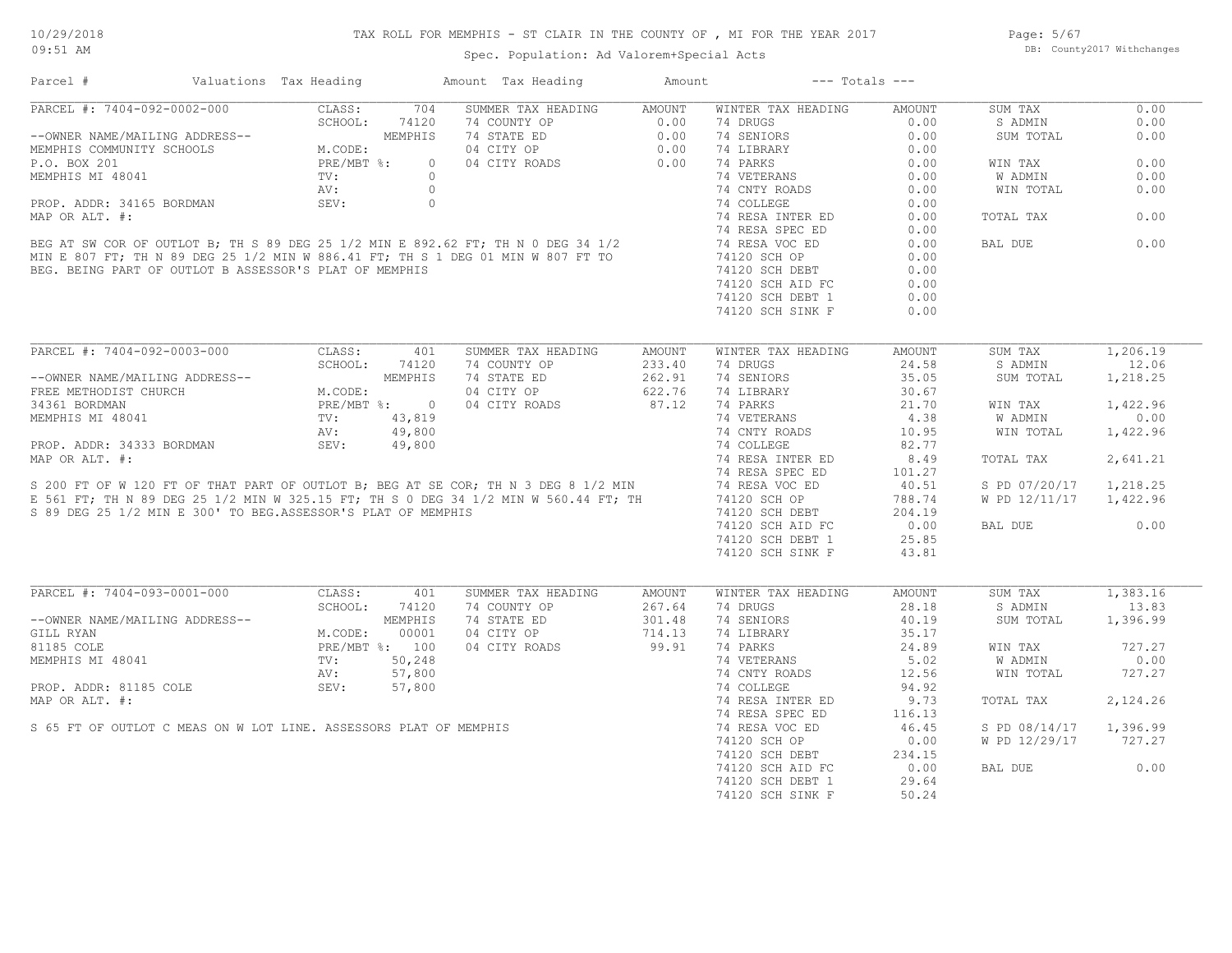# TAX ROLL FOR MEMPHIS - ST CLAIR IN THE COUNTY OF , MI FOR THE YEAR 2017

Spec. Population: Ad Valorem+Special Acts

Page: 5/67 DB: County2017 Withchanges

| Parcel #                                                          | Valuations Tax Heading                                                   |         | Amount Tax Heading                                                                                                                                                                                                            | Amount        |                    | $---$ Totals $---$ |                |          |
|-------------------------------------------------------------------|--------------------------------------------------------------------------|---------|-------------------------------------------------------------------------------------------------------------------------------------------------------------------------------------------------------------------------------|---------------|--------------------|--------------------|----------------|----------|
| PARCEL #: 7404-092-0002-000                                       | CLASS:                                                                   | 704     | SUMMER TAX HEADING                                                                                                                                                                                                            | AMOUNT        | WINTER TAX HEADING | <b>AMOUNT</b>      | SUM TAX        | 0.00     |
|                                                                   |                                                                          | 74120   | 74 COUNTY OP                                                                                                                                                                                                                  | 0.00          | 74 DRUGS           | 0.00               | S ADMIN        | 0.00     |
| --OWNER NAME/MAILING ADDRESS--                                    | $\beta$ -- $$\tt M.\mathrm{CODE}:\tt PRE/MBT$ %: $$\tt TV$\,:\tt$        | MEMPHIS | 74 STATE ED                                                                                                                                                                                                                   | 0.00          | 74 SENIORS         | 0.00               | SUM TOTAL      | 0.00     |
| MEMPHIS COMMUNITY SCHOOLS                                         |                                                                          |         | 04 CITY OP                                                                                                                                                                                                                    | 0.00          | 74 LIBRARY         | 0.00               |                |          |
| P.O. BOX 201                                                      |                                                                          | $\circ$ | 04 CITY ROADS                                                                                                                                                                                                                 | 0.00          | 74 PARKS           | 0.00               | WIN TAX        | 0.00     |
| MEMPHIS MI 48041                                                  |                                                                          | $\circ$ |                                                                                                                                                                                                                               |               | 74 VETERANS        | 0.00               | <b>W ADMIN</b> | 0.00     |
|                                                                   | AV:                                                                      | $\circ$ |                                                                                                                                                                                                                               |               | 74 CNTY ROADS      | 0.00               | WIN TOTAL      | 0.00     |
| PROP. ADDR: 34165 BORDMAN                                         | SEV:                                                                     | $\circ$ |                                                                                                                                                                                                                               |               | 74 COLLEGE         | 0.00               |                |          |
| MAP OR ALT. #:                                                    |                                                                          |         |                                                                                                                                                                                                                               |               | 74 RESA INTER ED   | 0.00               | TOTAL TAX      | 0.00     |
|                                                                   |                                                                          |         |                                                                                                                                                                                                                               |               | 74 RESA SPEC ED    | 0.00               |                |          |
|                                                                   |                                                                          |         | BEG AT SW COR OF OUTLOT B; TH S 89 DEG 25 1/2 MIN E 892.62 FT; TH N 0 DEG 34 1/2<br>MIN E 807 FT; TH N 89 DEG 25 1/2 MIN W 886.41 FT; TH S 1 DEG 01 MIN W 807 FT TO<br>BEG. BEING PART OF OUTLOT B ASSESSOR'S PLAT OF MEMPHIS |               | 74 RESA VOC ED     | 0.00               | BAL DUE        | 0.00     |
|                                                                   |                                                                          |         |                                                                                                                                                                                                                               |               | 74120 SCH OP       | 0.00               |                |          |
|                                                                   |                                                                          |         |                                                                                                                                                                                                                               |               |                    |                    |                |          |
| BEG. BEING PART OF OUTLOT B ASSESSOR'S PLAT OF MEMPHIS            |                                                                          |         |                                                                                                                                                                                                                               |               | 74120 SCH DEBT     | 0.00               |                |          |
|                                                                   |                                                                          |         |                                                                                                                                                                                                                               |               | 74120 SCH AID FC   | 0.00               |                |          |
|                                                                   |                                                                          |         |                                                                                                                                                                                                                               |               | 74120 SCH DEBT 1   | 0.00               |                |          |
|                                                                   |                                                                          |         |                                                                                                                                                                                                                               |               | 74120 SCH SINK F   | 0.00               |                |          |
|                                                                   |                                                                          |         |                                                                                                                                                                                                                               |               |                    |                    |                |          |
| PARCEL #: 7404-092-0003-000                                       | CLASS:                                                                   | 401     | SUMMER TAX HEADING                                                                                                                                                                                                            | <b>AMOUNT</b> | WINTER TAX HEADING | AMOUNT             | SUM TAX        | 1,206.19 |
|                                                                   | SCHOOL:                                                                  | 74120   | 74 COUNTY OP                                                                                                                                                                                                                  | 233.40        | 74 DRUGS           | 24.58              | S ADMIN        | 12.06    |
| --OWNER NAME/MAILING ADDRESS--                                    |                                                                          | MEMPHIS | 74 STATE ED                                                                                                                                                                                                                   | 262.91        | 74 SENIORS         | 35.05              | SUM TOTAL      | 1,218.25 |
| FREE METHODIST CHURCH                                             | M.CODE:                                                                  |         | 04 CITY OP                                                                                                                                                                                                                    | 622.76        | 74 LIBRARY         | 30.67              |                |          |
| 34361 BORDMAN                                                     | PRE/MBT %: 0                                                             |         | 04 CITY ROADS                                                                                                                                                                                                                 | 87.12         | 74 PARKS           | 21.70              | WIN TAX        | 1,422.96 |
| MEMPHIS MI 48041                                                  | ${\tt DRESS--} \label{ttd}$ ${\tt M. COI}$ ${\tt PRE}/\tt N$ ${\tt TV:}$ | 43,819  |                                                                                                                                                                                                                               |               | 74 VETERANS        | 4.38               | <b>W ADMIN</b> | 0.00     |
|                                                                   | AV:                                                                      | 49,800  |                                                                                                                                                                                                                               |               | 74 CNTY ROADS      | 10.95              | WIN TOTAL      | 1,422.96 |
| PROP. ADDR: 34333 BORDMAN                                         | SEV:                                                                     | 49,800  |                                                                                                                                                                                                                               |               | 74 COLLEGE         | 82.77              |                |          |
| MAP OR ALT. #:                                                    |                                                                          |         |                                                                                                                                                                                                                               |               | 74 RESA INTER ED   | 8.49               | TOTAL TAX      | 2,641.21 |
|                                                                   |                                                                          |         | MAP OR ALT. #:<br>S 200 FT OF W 120 FT OF THAT PART OF OUTLOT B; BEG AT SE COR; TH N 3 DEG 8 1/2 MIN<br>E 561 FT; TH N 89 DEG 25 1/2 MIN W 325.15 FT; TH S 0 DEG 34 1/2 MIN W 560.44 FT; TH                                   |               | 74 RESA SPEC ED    | 101.27             |                |          |
|                                                                   |                                                                          |         |                                                                                                                                                                                                                               |               |                    |                    |                |          |
|                                                                   |                                                                          |         |                                                                                                                                                                                                                               |               | 74 RESA VOC ED     | 40.51              | S PD 07/20/17  | 1,218.25 |
|                                                                   |                                                                          |         |                                                                                                                                                                                                                               |               | 74120 SCH OP       | 788.74             | W PD 12/11/17  | 1,422.96 |
| S 89 DEG 25 1/2 MIN E 300' TO BEG.ASSESSOR'S PLAT OF MEMPHIS      |                                                                          |         |                                                                                                                                                                                                                               |               | 74120 SCH DEBT     | 204.19             |                |          |
|                                                                   |                                                                          |         |                                                                                                                                                                                                                               |               | 74120 SCH AID FC   | 0.00               | BAL DUE        | 0.00     |
|                                                                   |                                                                          |         |                                                                                                                                                                                                                               |               | 74120 SCH DEBT 1   | 25.85              |                |          |
|                                                                   |                                                                          |         |                                                                                                                                                                                                                               |               | 74120 SCH SINK F   | 43.81              |                |          |
|                                                                   |                                                                          |         |                                                                                                                                                                                                                               |               |                    |                    |                |          |
| PARCEL #: 7404-093-0001-000                                       | CLASS:                                                                   | 401     | SUMMER TAX HEADING                                                                                                                                                                                                            | <b>AMOUNT</b> | WINTER TAX HEADING | AMOUNT             | SUM TAX        | 1,383.16 |
|                                                                   | SCHOOL:                                                                  | 74120   | 74 COUNTY OP                                                                                                                                                                                                                  | 267.64        | 74 DRUGS           | 28.18              | S ADMIN        | 13.83    |
| --OWNER NAME/MAILING ADDRESS--                                    |                                                                          | MEMPHIS | 74 STATE ED                                                                                                                                                                                                                   | 301.48        | 74 SENIORS         | 40.19              | SUM TOTAL      | 1,396.99 |
| GILL RYAN                                                         | M.CODE:                                                                  | 00001   | 04 CITY OP                                                                                                                                                                                                                    | 714.13        | 74 LIBRARY         | 35.17              |                |          |
| 81185 COLE                                                        | PRE/MBT %: 100                                                           |         | 04 CITY ROADS                                                                                                                                                                                                                 | 99.91         | 74 PARKS           | 24.89              | WIN TAX        | 727.27   |
| MEMPHIS MI 48041                                                  | TV:                                                                      | 50,248  |                                                                                                                                                                                                                               |               | 74 VETERANS        | 5.02               | W ADMIN        | 0.00     |
|                                                                   | AV:                                                                      | 57,800  |                                                                                                                                                                                                                               |               | 74 CNTY ROADS      | 12.56              | WIN TOTAL      | 727.27   |
|                                                                   |                                                                          |         |                                                                                                                                                                                                                               |               |                    |                    |                |          |
| PROP. ADDR: 81185 COLE                                            | SEV:                                                                     | 57,800  |                                                                                                                                                                                                                               |               | 74 COLLEGE         | 94.92              |                |          |
| MAP OR ALT. #:                                                    |                                                                          |         |                                                                                                                                                                                                                               |               | 74 RESA INTER ED   | 9.73               | TOTAL TAX      | 2,124.26 |
|                                                                   |                                                                          |         |                                                                                                                                                                                                                               |               | 74 RESA SPEC ED    | 116.13             |                |          |
| S 65 FT OF OUTLOT C MEAS ON W LOT LINE. ASSESSORS PLAT OF MEMPHIS |                                                                          |         |                                                                                                                                                                                                                               |               | 74 RESA VOC ED     | 46.45              | S PD 08/14/17  | 1,396.99 |
|                                                                   |                                                                          |         |                                                                                                                                                                                                                               |               | 74120 SCH OP       | 0.00               | W PD 12/29/17  | 727.27   |
|                                                                   |                                                                          |         |                                                                                                                                                                                                                               |               | 74120 SCH DEBT     | 234.15             |                |          |
|                                                                   |                                                                          |         |                                                                                                                                                                                                                               |               | 74120 SCH AID FC   | 0.00               | BAL DUE        | 0.00     |
|                                                                   |                                                                          |         |                                                                                                                                                                                                                               |               | 74120 SCH DEBT 1   | 29.64              |                |          |
|                                                                   |                                                                          |         |                                                                                                                                                                                                                               |               | 74120 SCH SINK F   | 50.24              |                |          |
|                                                                   |                                                                          |         |                                                                                                                                                                                                                               |               |                    |                    |                |          |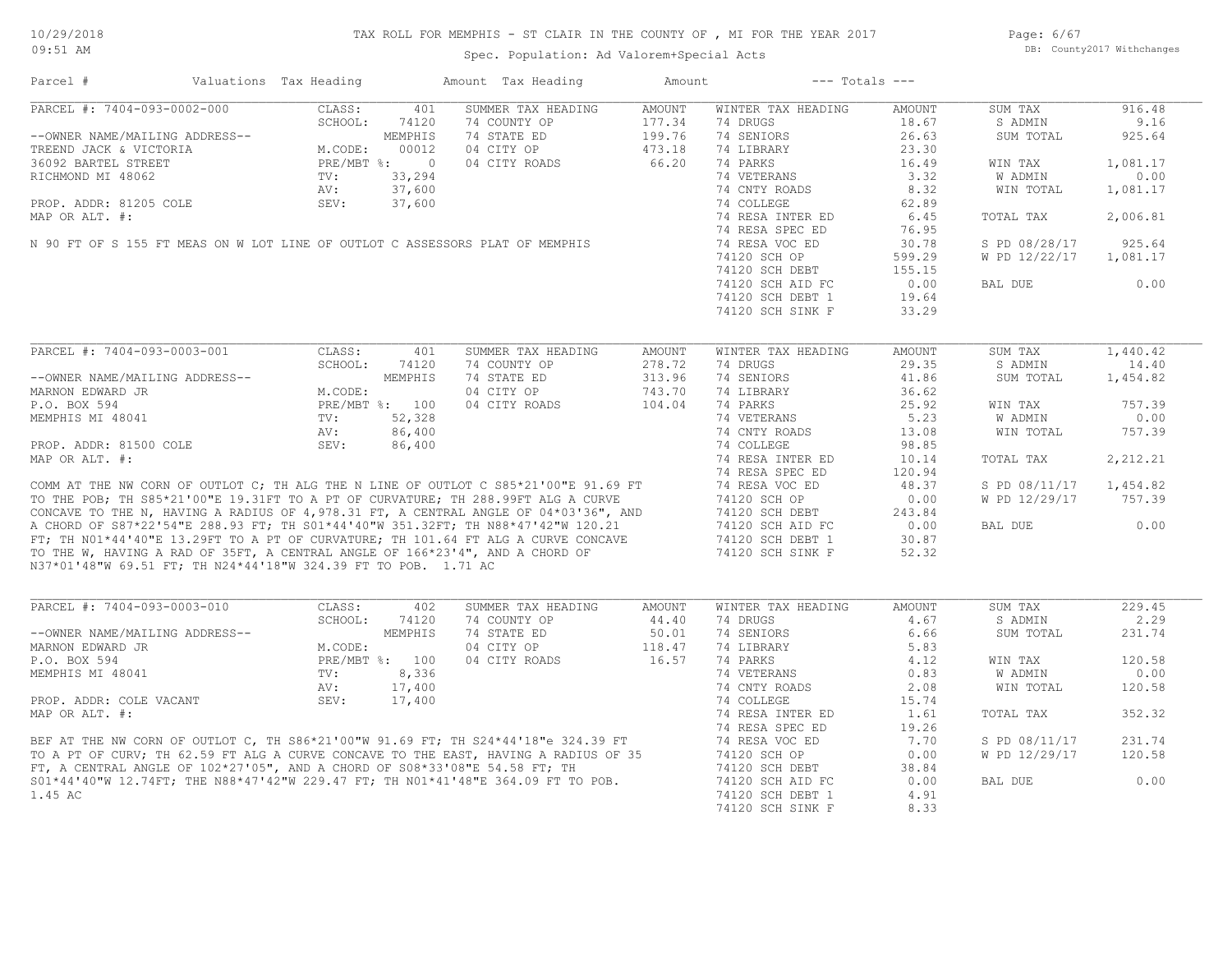Page: 6/67 DB: County2017 Withchanges

| Parcel #                                                       | Valuations Tax Heading |                | Amount Tax Heading                                                                                                                                                                                                                   | Amount        |                    | $---$ Totals $---$ |               |          |
|----------------------------------------------------------------|------------------------|----------------|--------------------------------------------------------------------------------------------------------------------------------------------------------------------------------------------------------------------------------------|---------------|--------------------|--------------------|---------------|----------|
| PARCEL #: 7404-093-0002-000                                    | CLASS:                 | 401            | SUMMER TAX HEADING                                                                                                                                                                                                                   | <b>AMOUNT</b> | WINTER TAX HEADING | AMOUNT             | SUM TAX       | 916.48   |
|                                                                | SCHOOL:                | 74120          | 74 COUNTY OP                                                                                                                                                                                                                         | 177.34        | 74 DRUGS           | 18.67              | S ADMIN       | 9.16     |
| --OWNER NAME/MAILING ADDRESS--                                 |                        | MEMPHIS        | 74 STATE ED                                                                                                                                                                                                                          | 199.76        | 74 SENIORS         | 26.63              | SUM TOTAL     | 925.64   |
| TREEND JACK & VICTORIA                                         | M.CODE:                | 00012          | 04 CITY OP                                                                                                                                                                                                                           | 473.18        | 74 LIBRARY         | 23.30              |               |          |
| 36092 BARTEL STREET                                            | PRE/MBT %: 0           |                | 04 CITY ROADS                                                                                                                                                                                                                        | 66.20         | 74 PARKS           | 16.49              | WIN TAX       | 1,081.17 |
| RICHMOND MI 48062                                              | TV:                    | 33,294         |                                                                                                                                                                                                                                      |               | 74 VETERANS        | 3.32               | W ADMIN       | 0.00     |
|                                                                | AV:                    | 37,600         |                                                                                                                                                                                                                                      |               | 74 CNTY ROADS      | 8.32               | WIN TOTAL     | 1,081.17 |
| PROP. ADDR: 81205 COLE                                         | SEV:                   | 37,600         |                                                                                                                                                                                                                                      |               | 74 COLLEGE         | 62.89              |               |          |
| MAP OR ALT. #:                                                 |                        |                |                                                                                                                                                                                                                                      |               | 74 RESA INTER ED   | 6.45               | TOTAL TAX     | 2,006.81 |
|                                                                |                        |                |                                                                                                                                                                                                                                      |               | 74 RESA SPEC ED    | 76.95              |               |          |
|                                                                |                        |                | N 90 FT OF S 155 FT MEAS ON W LOT LINE OF OUTLOT C ASSESSORS PLAT OF MEMPHIS                                                                                                                                                         |               | 74 RESA VOC ED     | 30.78              | S PD 08/28/17 | 925.64   |
|                                                                |                        |                |                                                                                                                                                                                                                                      |               | 74120 SCH OP       | 599.29             | W PD 12/22/17 | 1,081.17 |
|                                                                |                        |                |                                                                                                                                                                                                                                      |               | 74120 SCH DEBT     | 155.15             |               |          |
|                                                                |                        |                |                                                                                                                                                                                                                                      |               | 74120 SCH AID FC   | 0.00               | BAL DUE       | 0.00     |
|                                                                |                        |                |                                                                                                                                                                                                                                      |               | 74120 SCH DEBT 1   | 19.64              |               |          |
|                                                                |                        |                |                                                                                                                                                                                                                                      |               |                    |                    |               |          |
|                                                                |                        |                |                                                                                                                                                                                                                                      |               | 74120 SCH SINK F   | 33.29              |               |          |
|                                                                |                        |                |                                                                                                                                                                                                                                      |               |                    |                    |               |          |
| PARCEL #: 7404-093-0003-001                                    | CLASS:                 | 401            | SUMMER TAX HEADING                                                                                                                                                                                                                   | AMOUNT        | WINTER TAX HEADING | AMOUNT             | SUM TAX       | 1,440.42 |
|                                                                | SCHOOL:                | 74120          | 74 COUNTY OP                                                                                                                                                                                                                         | 278.72        | 74 DRUGS           | 29.35              | S ADMIN       | 14.40    |
| --OWNER NAME/MAILING ADDRESS--                                 |                        | MEMPHIS        | 74 STATE ED                                                                                                                                                                                                                          | 313.96        | 74 SENIORS         | 41.86              | SUM TOTAL     | 1,454.82 |
| MARNON EDWARD JR                                               | M.CODE:                |                | 04 CITY OP                                                                                                                                                                                                                           | 743.70        | 74 LIBRARY         | 36.62              |               |          |
| P.O. BOX 594                                                   |                        | PRE/MBT %: 100 | 04 CITY ROADS                                                                                                                                                                                                                        | 104.04        | 74 PARKS           | 25.92              | WIN TAX       | 757.39   |
| MEMPHIS MI 48041                                               | TV:                    | 52,328         |                                                                                                                                                                                                                                      |               | 74 VETERANS        | 5.23               | W ADMIN       | 0.00     |
|                                                                | AV:                    | 86,400         |                                                                                                                                                                                                                                      |               | 74 CNTY ROADS      | 13.08              | WIN TOTAL     | 757.39   |
| PROP. ADDR: 81500 COLE                                         | SEV:                   | 86,400         |                                                                                                                                                                                                                                      |               | 74 COLLEGE         | 98.85              |               |          |
| MAP OR ALT. #:                                                 |                        |                |                                                                                                                                                                                                                                      |               | 74 RESA INTER ED   | 10.14              | TOTAL TAX     | 2,212.21 |
|                                                                |                        |                |                                                                                                                                                                                                                                      |               | 74 RESA SPEC ED    | 120.94             |               |          |
|                                                                |                        |                | COMM AT THE NW CORN OF OUTLOT C; TH ALG THE N LINE OF OUTLOT C S85*21'00"E 91.69 FT                                                                                                                                                  |               | 74 RESA VOC ED     | 48.37              | S PD 08/11/17 | 1,454.82 |
|                                                                |                        |                | TO THE POB; TH S85*21'00"E 19.31FT TO A PT OF CURVATURE; TH 288.99FT ALG A CURVE                                                                                                                                                     |               | 74120 SCH OP       | 0.00               | W PD 12/29/17 | 757.39   |
|                                                                |                        |                | CONCAVE TO THE N, HAVING A RADIUS OF 4,978.31 FT, A CENTRAL ANGLE OF 04*03'36", AND<br>A CHORD OF S87*22'54"E 288.93 FT; TH 301*44'40"W 351.32FT; TH N88*47'42"W 120.21                                                              |               | 74120 SCH DEBT     | 243.84             |               |          |
|                                                                |                        |                |                                                                                                                                                                                                                                      |               | 74120 SCH AID FC   | 0.00               | BAL DUE       | 0.00     |
|                                                                |                        |                | FT; TH NO1*44'40"E 13.29FT TO A PT OF CURVATURE; TH 101.64 FT ALG A CURVE CONCAVE                                                                                                                                                    |               | 74120 SCH DEBT 1   | 30.87              |               |          |
|                                                                |                        |                | TO THE W, HAVING A RAD OF 35FT, A CENTRAL ANGLE OF 166*23'4", AND A CHORD OF                                                                                                                                                         |               | 74120 SCH SINK F   | 52.32              |               |          |
| N37*01'48"W 69.51 FT; TH N24*44'18"W 324.39 FT TO POB. 1.71 AC |                        |                |                                                                                                                                                                                                                                      |               |                    |                    |               |          |
|                                                                |                        |                |                                                                                                                                                                                                                                      |               |                    |                    |               |          |
| PARCEL #: 7404-093-0003-010                                    | CLASS:                 | 402            | SUMMER TAX HEADING                                                                                                                                                                                                                   | AMOUNT        | WINTER TAX HEADING | AMOUNT             | SUM TAX       | 229.45   |
|                                                                | SCHOOL:                | 74120          | 74 COUNTY OP                                                                                                                                                                                                                         | 44.40         | 74 DRUGS           | 4.67               | S ADMIN       | 2.29     |
| --OWNER NAME/MAILING ADDRESS--                                 |                        | MEMPHIS        | 74 STATE ED                                                                                                                                                                                                                          | 50.01         | 74 SENIORS         | 6.66               | SUM TOTAL     | 231.74   |
| MARNON EDWARD JR                                               | M.CODE:                |                | 04 CITY OP                                                                                                                                                                                                                           | 118.47        | 74 LIBRARY         | 5.83               |               |          |
| P.O. BOX 594                                                   |                        | PRE/MBT %: 100 | 04 CITY ROADS                                                                                                                                                                                                                        | 16.57         | 74 PARKS           | 4.12               | WIN TAX       | 120.58   |
| MEMPHIS MI 48041                                               | TV:                    | 8,336          |                                                                                                                                                                                                                                      |               | 74 VETERANS        | 0.83               | W ADMIN       | 0.00     |
|                                                                | AV:                    | 17,400         |                                                                                                                                                                                                                                      |               | 74 CNTY ROADS      | 2.08               | WIN TOTAL     | 120.58   |
| PROP. ADDR: COLE VACANT                                        | SEV:                   | 17,400         |                                                                                                                                                                                                                                      |               | 74 COLLEGE         | 15.74              |               |          |
| MAP OR ALT. #:                                                 |                        |                |                                                                                                                                                                                                                                      |               | 74 RESA INTER ED   | 1.61               | TOTAL TAX     | 352.32   |
|                                                                |                        |                |                                                                                                                                                                                                                                      |               | 74 RESA SPEC ED    | 19.26              |               |          |
|                                                                |                        |                | BEF AT THE NW CORN OF OUTLOT C, TH S86*21'00"W 91.69 FT; TH S24*44'18"e 324.39 FT<br>TO A PT OF CURV; TH 62.59 FT ALG A CURVE CONCAVE TO THE EAST, HAVING A RADIUS OF 35<br>FT, A CENTRAL ANGLE OF 102*27'05", AND A CHORD OF S08*33 |               | 74 RESA VOC ED     | 7.70               | S PD 08/11/17 | 231.74   |
|                                                                |                        |                |                                                                                                                                                                                                                                      |               | 74120 SCH OP       | 0.00               | W PD 12/29/17 | 120.58   |
|                                                                |                        |                |                                                                                                                                                                                                                                      |               | 74120 SCH DEBT     | 38.84              |               |          |
|                                                                |                        |                | S01*44'40"W 12.74FT; THE N88*47'42"W 229.47 FT; TH N01*41'48"E 364.09 FT TO POB.                                                                                                                                                     |               | 74120 SCH AID FC   | 0.00               | BAL DUE       | 0.00     |
| 1.45 AC                                                        |                        |                |                                                                                                                                                                                                                                      |               | 74120 SCH DEBT 1   | 4.91               |               |          |
|                                                                |                        |                |                                                                                                                                                                                                                                      |               | 74120 SCH SINK F   | 8.33               |               |          |
|                                                                |                        |                |                                                                                                                                                                                                                                      |               |                    |                    |               |          |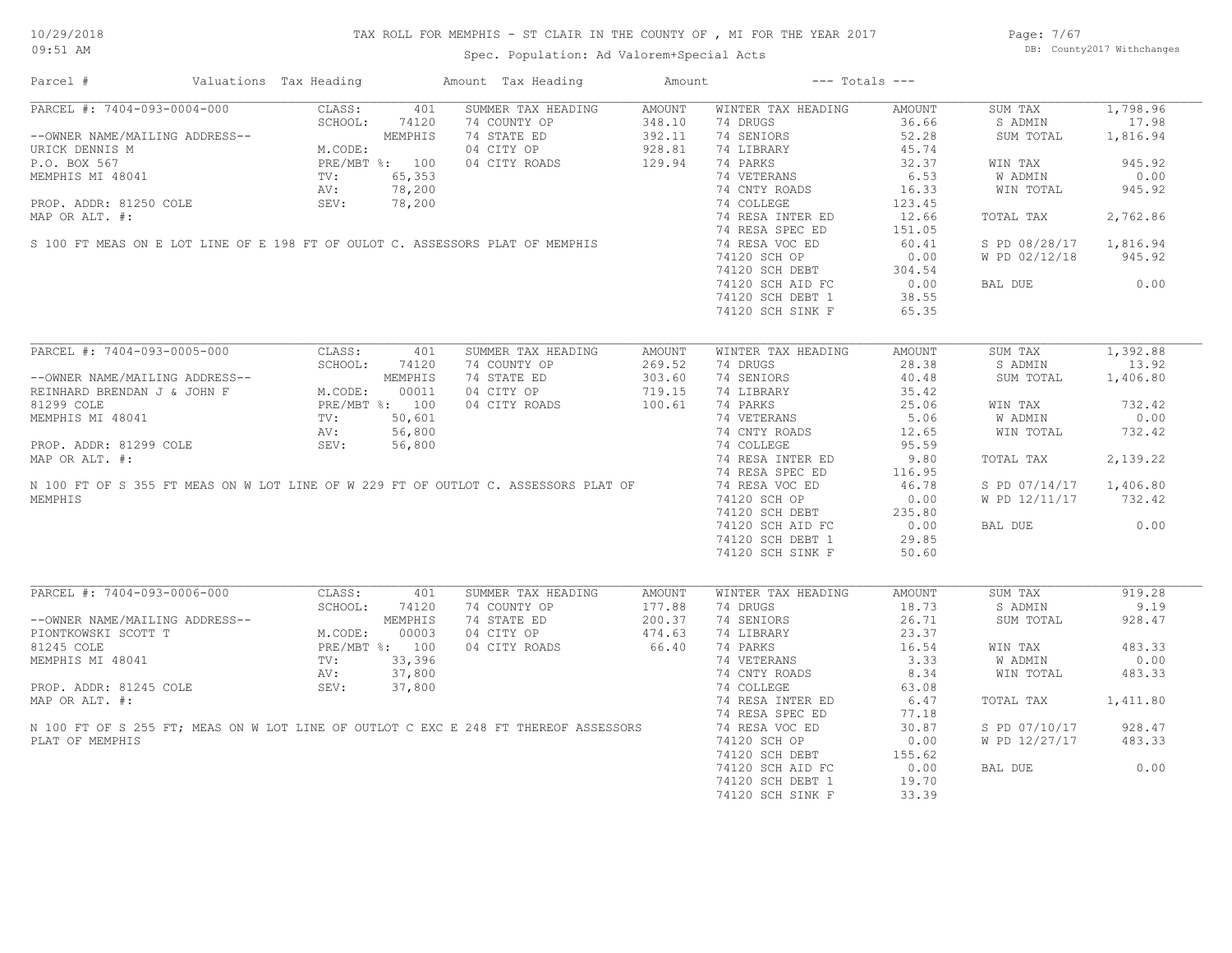# TAX ROLL FOR MEMPHIS - ST CLAIR IN THE COUNTY OF , MI FOR THE YEAR 2017

Spec. Population: Ad Valorem+Special Acts

Page: 7/67 DB: County2017 Withchanges

| Parcel #                                                                            | Valuations Tax Heading |                |                | Amount Tax Heading | Amount |                    | $---$ Totals $---$ |               |          |
|-------------------------------------------------------------------------------------|------------------------|----------------|----------------|--------------------|--------|--------------------|--------------------|---------------|----------|
| PARCEL #: 7404-093-0004-000                                                         |                        | CLASS:         | 401            | SUMMER TAX HEADING | AMOUNT | WINTER TAX HEADING | AMOUNT             | SUM TAX       | 1,798.96 |
|                                                                                     |                        | SCHOOL:        | 74120          | 74 COUNTY OP       | 348.10 | 74 DRUGS           | 36.66              | S ADMIN       | 17.98    |
| --OWNER NAME/MAILING ADDRESS--                                                      |                        |                | MEMPHIS        | 74 STATE ED        | 392.11 | 74 SENIORS         | 52.28              | SUM TOTAL     | 1,816.94 |
| URICK DENNIS M                                                                      |                        | M.CODE:        |                | 04 CITY OP         | 928.81 | 74 LIBRARY         | 45.74              |               |          |
| P.O. BOX 567                                                                        |                        |                | PRE/MBT %: 100 | 04 CITY ROADS      | 129.94 | 74 PARKS           | 32.37              | WIN TAX       | 945.92   |
| MEMPHIS MI 48041                                                                    |                        | TV:            | 65,353         |                    |        | 74 VETERANS        | 6.53               | W ADMIN       | 0.00     |
|                                                                                     |                        | AV:            | 78,200         |                    |        | 74 CNTY ROADS      | 16.33              | WIN TOTAL     | 945.92   |
| PROP. ADDR: 81250 COLE                                                              |                        | SEV:           | 78,200         |                    |        | 74 COLLEGE         | 123.45             |               |          |
| MAP OR ALT. #:                                                                      |                        |                |                |                    |        | 74 RESA INTER ED   | 12.66              | TOTAL TAX     | 2,762.86 |
|                                                                                     |                        |                |                |                    |        | 74 RESA SPEC ED    | 151.05             |               |          |
| S 100 FT MEAS ON E LOT LINE OF E 198 FT OF OULOT C. ASSESSORS PLAT OF MEMPHIS       |                        |                |                |                    |        | 74 RESA VOC ED     | 60.41              | S PD 08/28/17 | 1,816.94 |
|                                                                                     |                        |                |                |                    |        | 74120 SCH OP       | 0.00               | W PD 02/12/18 | 945.92   |
|                                                                                     |                        |                |                |                    |        | 74120 SCH DEBT     | 304.54             |               |          |
|                                                                                     |                        |                |                |                    |        | 74120 SCH AID FC   | 0.00               | BAL DUE       | 0.00     |
|                                                                                     |                        |                |                |                    |        | 74120 SCH DEBT 1   | 38.55              |               |          |
|                                                                                     |                        |                |                |                    |        | 74120 SCH SINK F   | 65.35              |               |          |
|                                                                                     |                        |                |                |                    |        |                    |                    |               |          |
| PARCEL #: 7404-093-0005-000                                                         |                        | CLASS:         | 401            | SUMMER TAX HEADING | AMOUNT | WINTER TAX HEADING | AMOUNT             | SUM TAX       | 1,392.88 |
|                                                                                     |                        | SCHOOL:        | 74120          | 74 COUNTY OP       | 269.52 | 74 DRUGS           | 28.38              | S ADMIN       | 13.92    |
| --OWNER NAME/MAILING ADDRESS--                                                      |                        |                | MEMPHIS        | 74 STATE ED        | 303.60 | 74 SENIORS         | 40.48              | SUM TOTAL     | 1,406.80 |
| REINHARD BRENDAN J & JOHN F                                                         |                        | M.CODE:        | 00011          | 04 CITY OP         | 719.15 | 74 LIBRARY         | 35.42              |               |          |
| 81299 COLE                                                                          |                        | PRE/MBT %: 100 |                | 04 CITY ROADS      | 100.61 | 74 PARKS           | 25.06              | WIN TAX       | 732.42   |
| MEMPHIS MI 48041                                                                    |                        | TV:            | 50,601         |                    |        | 74 VETERANS        | 5.06               | W ADMIN       | 0.00     |
|                                                                                     |                        | AV:            | 56,800         |                    |        | 74 CNTY ROADS      | 12.65              | WIN TOTAL     | 732.42   |
| PROP. ADDR: 81299 COLE                                                              |                        | SEV:           | 56,800         |                    |        | 74 COLLEGE         | 95.59              |               |          |
| MAP OR ALT. #:                                                                      |                        |                |                |                    |        | 74 RESA INTER ED   | 9.80               | TOTAL TAX     | 2,139.22 |
|                                                                                     |                        |                |                |                    |        | 74 RESA SPEC ED    | 116.95             |               |          |
| N 100 FT OF S 355 FT MEAS ON W LOT LINE OF W 229 FT OF OUTLOT C. ASSESSORS PLAT OF  |                        |                |                |                    |        | 74 RESA VOC ED     | 46.78              | S PD 07/14/17 | 1,406.80 |
| MEMPHIS                                                                             |                        |                |                |                    |        | 74120 SCH OP       | 0.00               | W PD 12/11/17 | 732.42   |
|                                                                                     |                        |                |                |                    |        | 74120 SCH DEBT     | 235.80             |               |          |
|                                                                                     |                        |                |                |                    |        | 74120 SCH AID FC   | 0.00               | BAL DUE       | 0.00     |
|                                                                                     |                        |                |                |                    |        | 74120 SCH DEBT 1   | 29.85              |               |          |
|                                                                                     |                        |                |                |                    |        | 74120 SCH SINK F   | 50.60              |               |          |
|                                                                                     |                        |                |                |                    |        |                    |                    |               |          |
| PARCEL #: 7404-093-0006-000                                                         |                        | CLASS:         | 401            | SUMMER TAX HEADING | AMOUNT | WINTER TAX HEADING | AMOUNT             | SUM TAX       | 919.28   |
|                                                                                     |                        | SCHOOL:        | 74120          | 74 COUNTY OP       | 177.88 | 74 DRUGS           | 18.73              | S ADMIN       | 9.19     |
| --OWNER NAME/MAILING ADDRESS--                                                      |                        |                | MEMPHIS        | 74 STATE ED        | 200.37 | 74 SENIORS         | 26.71              | SUM TOTAL     | 928.47   |
| PIONTKOWSKI SCOTT T                                                                 |                        | M.CODE:        | 00003          | 04 CITY OP         | 474.63 | 74 LIBRARY         | 23.37              |               |          |
| 81245 COLE                                                                          |                        |                | PRE/MBT %: 100 | 04 CITY ROADS      | 66.40  | 74 PARKS           | 16.54              | WIN TAX       | 483.33   |
| MEMPHIS MI 48041                                                                    |                        | TV:            | 33,396         |                    |        | 74 VETERANS        | 3.33               | W ADMIN       | 0.00     |
|                                                                                     |                        | AV:            | 37,800         |                    |        | 74 CNTY ROADS      | 8.34               | WIN TOTAL     | 483.33   |
| PROP. ADDR: 81245 COLE                                                              |                        | SEV:           | 37,800         |                    |        | 74 COLLEGE         | 63.08              |               |          |
| MAP OR ALT. #:                                                                      |                        |                |                |                    |        | 74 RESA INTER ED   | 6.47               | TOTAL TAX     | 1,411.80 |
|                                                                                     |                        |                |                |                    |        | 74 RESA SPEC ED    | 77.18              |               |          |
| N 100 FT OF S 255 FT; MEAS ON W LOT LINE OF OUTLOT C EXC E 248 FT THEREOF ASSESSORS |                        |                |                |                    |        | 74 RESA VOC ED     | 30.87              | S PD 07/10/17 | 928.47   |
| PLAT OF MEMPHIS                                                                     |                        |                |                |                    |        | 74120 SCH OP       | 0.00               | W PD 12/27/17 | 483.33   |
|                                                                                     |                        |                |                |                    |        | 74120 SCH DEBT     | 155.62             |               |          |
|                                                                                     |                        |                |                |                    |        | 74120 SCH AID FC   | 0.00               | BAL DUE       | 0.00     |
|                                                                                     |                        |                |                |                    |        | 74120 SCH DEBT 1   | 19.70              |               |          |
|                                                                                     |                        |                |                |                    |        | 74120 SCH SINK F   | 33.39              |               |          |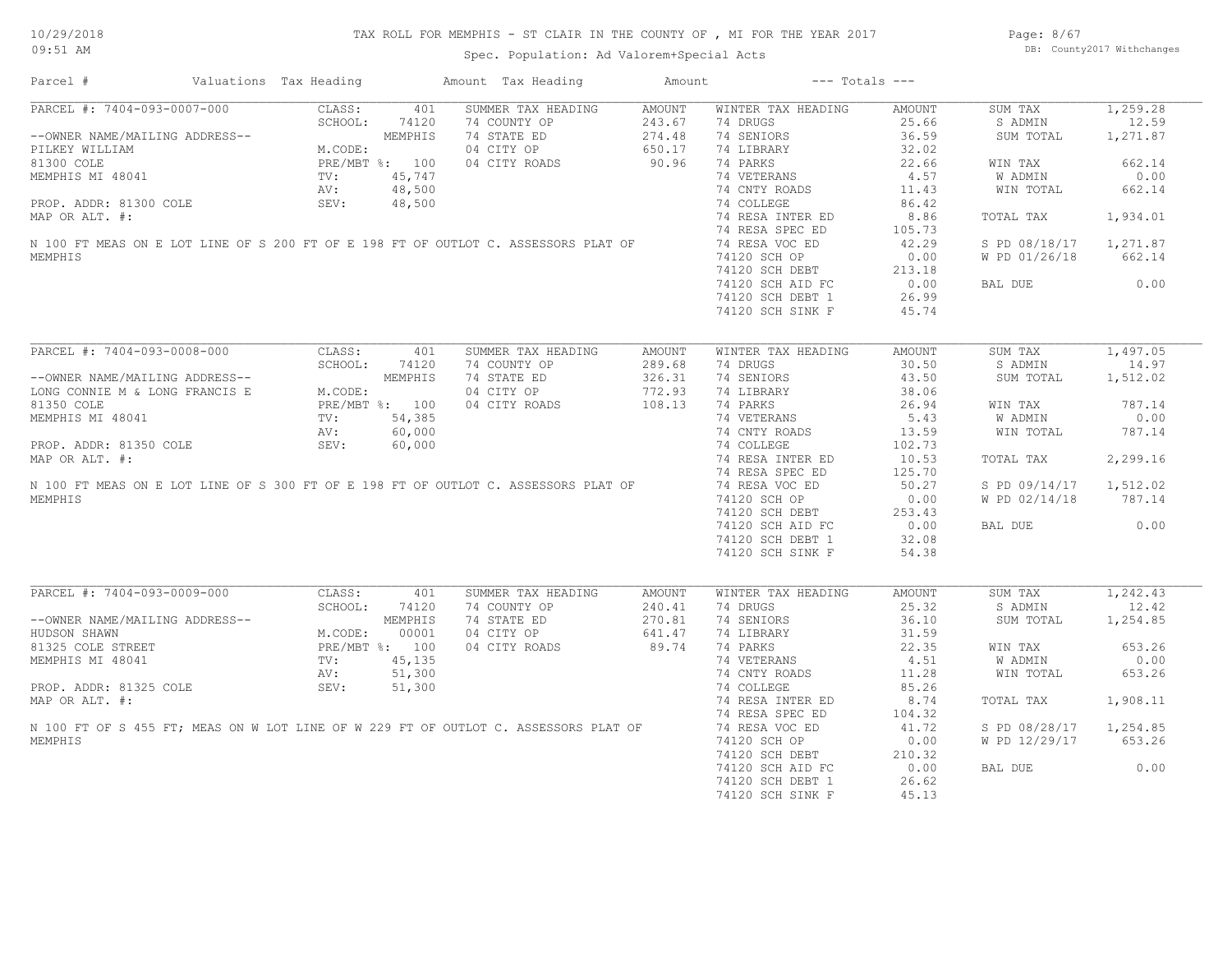Page: 8/67 DB: County2017 Withchanges

| PARCEL #: 7404-093-0007-000<br>CLASS:<br>401<br>SUMMER TAX HEADING<br>AMOUNT<br>WINTER TAX HEADING<br>SUM TAX<br>1,259.28<br>AMOUNT<br>SCHOOL:<br>74120<br>74 DRUGS<br>25.66<br>S ADMIN<br>74 COUNTY OP 243.67<br>74 STATE ED 274.48<br>04 CITY OP 650.17<br>04 CITY ROADS 90.96<br>--OWNER NAME/MAILING ADDRESS--<br>PILKEY WILLIAM M.CODE:<br>81300 COLE PRE/MBT %: 100<br>MEMPHIS MI 48041 TV: 45,747<br>PROP. ADDR: 81300 COLE SEV: 48,500<br>MAP OP AIT #:<br>18900 PAIT #:<br>74 SENIORS<br>36.59<br>1,271.87<br>SUM TOTAL<br>74 LIBRARY<br>32.02<br>74 PARKS<br>22.66<br>662.14<br>WIN TAX<br>4.57<br>W ADMIN<br>0.00<br>MEMPHIS MI 48041<br>MEMPHIS MI 48041<br>PROP. ADDR: 81300 COLE SEV: 48,500<br>MAP OR ALT. #: 74 COLLEGE<br>MAP OR ALT. #: 74 RESA INTERED<br>N 100 FT MEAS ON E LOT LINE OF S 200 FT OF E 198 FT OF OUTLOT C. ASSESSORS PLAT OF 74 RESA<br>11.43<br>WIN TOTAL<br>662.14<br>86.42<br>74 RESA INTER ED<br>8.86<br>1,934.01<br>TOTAL TAX<br>105.73<br>42.29<br>S PD 08/18/17 1,271.87<br>W PD 01/26/18<br>662.14<br>MEMPHIS<br>74120 SCH OP<br>74120 SCH DEBT 213.16<br>20.00 COMP AID FC 213.16<br>0.00<br>BAL DUE<br>74120 SCH DEBT 1<br>26.99<br>74120 SCH SINK F<br>45.74<br>ARCEL #: 7404-093-0008-000<br>CLASS:<br>SCHOOL: 7412<br>--OWNER NAME/MAILING ADDRESS--<br>NG CONNIE M & LONG FRANCIS E<br>PRE/MBT %: 100<br>TE TA1<br>TV: 54,385<br>AV: 60,00<br>SEV: 60,00<br>SEV: 128<br>SUMMER TAX HEADING<br>WINTER TAX HEADING<br>SUM TAX<br>AMOUNT<br>AMOUNT<br>74 COUNTY OP<br>289.68<br>74 DRUGS<br>30.50<br>S ADMIN<br>14.97<br>74 STATE ED<br>74 SENIORS<br>43.50<br>326.31<br>SUM TOTAL<br>04 CITY OP<br>04 CITY OP 772.93<br>04 CITY ROADS 108.13<br>38.06<br>74 LIBRARY<br>787.14<br>74 PARKS<br>26.94<br>WIN TAX<br>74 VETERANS<br>74 CNTY ROADS<br>5.43<br>0.00<br>W ADMIN<br>MEMPHIS MI 48041 TV: 54,385<br>AV: 60,000<br>MAP OR ALT. #: 60,000<br>MAP OR ALT. #:<br>N 100 FT MEAS ON E LOT LINE OF S 300 FT OF E 198 FT OF OUTLOT C. ASSESSORS PLAT OF<br>13.59<br>WIN TOTAL<br>787.14<br>74 COLLEGE<br>102.73<br>74 RESA INTER ED<br>10.53<br>2,299.16<br>TOTAL TAX<br>74 RESA SPEC ED<br>125.70<br>74 RESA VOC ED<br>50.27<br>S PD 09/14/17 1,512.02<br>MEMPHIS<br>74120 SCH OP<br>0.00<br>W PD 02/14/18<br>787.14<br>74120 SCH DEBT<br>253.43<br>0.00<br>74120 SCH AID FC<br>0.00<br>BAL DUE<br>74120 SCH DEBT 1<br>32.08<br>74120 SCH SINK F<br>54.38<br>PARCEL #: 7404-093-0009-000<br>CLASS:<br>401<br>SUMMER TAX HEADING<br>WINTER TAX HEADING<br>SUM TAX<br>AMOUNT<br>AMOUNT<br>74 COUNTY OP<br>74 STATE ED<br>04 CITY OP<br>240.41<br>25.32<br>S ADMIN<br>74 DRUGS<br>NG ADDRESS--<br>NG ADDRESS--<br>M.CODE: 00001<br>PRE/MBT %: 100<br>TV: 45,135<br>AV: 51,300<br>CEV: 51,300<br>270.81<br>74 SENIORS<br>36.10<br>SUM TOTAL<br>1,254.85<br>--OWNER NAME/MAILING ADDRESS--<br>641.47<br>31.59<br>HUDSON SHAWN<br>74 LIBRARY<br>74 PARKS<br>74 VETERANS<br>04 CITY ROADS<br>89.74<br>22.35<br>653.26<br>81325 COLE STREET<br>WIN TAX<br>W ADMIN<br>0.00<br>MEMPHIS MI 48041<br>4.51<br>74 CNTY ROADS<br>11.28<br>653.26<br>WIN TOTAL<br>PROP. ADDR: 81325 COLE<br>SEV:<br>51,300<br>74 COLLEGE<br>85.26<br>8.74<br>74 RESA INTER ED<br>TOTAL TAX<br>1,908.11<br>74 RESA SPEC ED<br>104.32<br>41.72<br>N 100 FT OF S 455 FT; MEAS ON W LOT LINE OF W 229 FT OF OUTLOT C. ASSESSORS PLAT OF<br>74 RESA VOC ED<br>S PD 08/28/17 1,254.85<br>74120 SCH OF<br>74120 SCH DEBT 210.32<br>20.00 20.00 PC 25.52<br>0.00<br>BAL DUE<br>74120 SCH DEBT 1<br>26.62<br>74120 SCH SINK F<br>45.13 | Parcel #       | Valuations Tax Heading | Amount Tax Heading | Amount | $---$ Totals $---$ |  |  |
|----------------------------------------------------------------------------------------------------------------------------------------------------------------------------------------------------------------------------------------------------------------------------------------------------------------------------------------------------------------------------------------------------------------------------------------------------------------------------------------------------------------------------------------------------------------------------------------------------------------------------------------------------------------------------------------------------------------------------------------------------------------------------------------------------------------------------------------------------------------------------------------------------------------------------------------------------------------------------------------------------------------------------------------------------------------------------------------------------------------------------------------------------------------------------------------------------------------------------------------------------------------------------------------------------------------------------------------------------------------------------------------------------------------------------------------------------------------------------------------------------------------------------------------------------------------------------------------------------------------------------------------------------------------------------------------------------------------------------------------------------------------------------------------------------------------------------------------------------------------------------------------------------------------------------------------------------------------------------------------------------------------------------------------------------------------------------------------------------------------------------------------------------------------------------------------------------------------------------------------------------------------------------------------------------------------------------------------------------------------------------------------------------------------------------------------------------------------------------------------------------------------------------------------------------------------------------------------------------------------------------------------------------------------------------------------------------------------------------------------------------------------------------------------------------------------------------------------------------------------------------------------------------------------------------------------------------------------------------------------------------------------------------------------------------------------------------------------------------------------------------------------------------------------------------------------------------------------------------------------------------------------------------------------------------------------------------------------------------------------------------------------------------------------------------------------------------------------------------------------------------------------------------------------------|----------------|------------------------|--------------------|--------|--------------------|--|--|
| 12.59<br>1,497.05<br>1,512.02<br>1,242.43<br>12.42<br>W PD 12/29/17 653.26                                                                                                                                                                                                                                                                                                                                                                                                                                                                                                                                                                                                                                                                                                                                                                                                                                                                                                                                                                                                                                                                                                                                                                                                                                                                                                                                                                                                                                                                                                                                                                                                                                                                                                                                                                                                                                                                                                                                                                                                                                                                                                                                                                                                                                                                                                                                                                                                                                                                                                                                                                                                                                                                                                                                                                                                                                                                                                                                                                                                                                                                                                                                                                                                                                                                                                                                                                                                                                                                   |                |                        |                    |        |                    |  |  |
|                                                                                                                                                                                                                                                                                                                                                                                                                                                                                                                                                                                                                                                                                                                                                                                                                                                                                                                                                                                                                                                                                                                                                                                                                                                                                                                                                                                                                                                                                                                                                                                                                                                                                                                                                                                                                                                                                                                                                                                                                                                                                                                                                                                                                                                                                                                                                                                                                                                                                                                                                                                                                                                                                                                                                                                                                                                                                                                                                                                                                                                                                                                                                                                                                                                                                                                                                                                                                                                                                                                                              |                |                        |                    |        |                    |  |  |
|                                                                                                                                                                                                                                                                                                                                                                                                                                                                                                                                                                                                                                                                                                                                                                                                                                                                                                                                                                                                                                                                                                                                                                                                                                                                                                                                                                                                                                                                                                                                                                                                                                                                                                                                                                                                                                                                                                                                                                                                                                                                                                                                                                                                                                                                                                                                                                                                                                                                                                                                                                                                                                                                                                                                                                                                                                                                                                                                                                                                                                                                                                                                                                                                                                                                                                                                                                                                                                                                                                                                              |                |                        |                    |        |                    |  |  |
|                                                                                                                                                                                                                                                                                                                                                                                                                                                                                                                                                                                                                                                                                                                                                                                                                                                                                                                                                                                                                                                                                                                                                                                                                                                                                                                                                                                                                                                                                                                                                                                                                                                                                                                                                                                                                                                                                                                                                                                                                                                                                                                                                                                                                                                                                                                                                                                                                                                                                                                                                                                                                                                                                                                                                                                                                                                                                                                                                                                                                                                                                                                                                                                                                                                                                                                                                                                                                                                                                                                                              |                |                        |                    |        |                    |  |  |
|                                                                                                                                                                                                                                                                                                                                                                                                                                                                                                                                                                                                                                                                                                                                                                                                                                                                                                                                                                                                                                                                                                                                                                                                                                                                                                                                                                                                                                                                                                                                                                                                                                                                                                                                                                                                                                                                                                                                                                                                                                                                                                                                                                                                                                                                                                                                                                                                                                                                                                                                                                                                                                                                                                                                                                                                                                                                                                                                                                                                                                                                                                                                                                                                                                                                                                                                                                                                                                                                                                                                              |                |                        |                    |        |                    |  |  |
|                                                                                                                                                                                                                                                                                                                                                                                                                                                                                                                                                                                                                                                                                                                                                                                                                                                                                                                                                                                                                                                                                                                                                                                                                                                                                                                                                                                                                                                                                                                                                                                                                                                                                                                                                                                                                                                                                                                                                                                                                                                                                                                                                                                                                                                                                                                                                                                                                                                                                                                                                                                                                                                                                                                                                                                                                                                                                                                                                                                                                                                                                                                                                                                                                                                                                                                                                                                                                                                                                                                                              |                |                        |                    |        |                    |  |  |
|                                                                                                                                                                                                                                                                                                                                                                                                                                                                                                                                                                                                                                                                                                                                                                                                                                                                                                                                                                                                                                                                                                                                                                                                                                                                                                                                                                                                                                                                                                                                                                                                                                                                                                                                                                                                                                                                                                                                                                                                                                                                                                                                                                                                                                                                                                                                                                                                                                                                                                                                                                                                                                                                                                                                                                                                                                                                                                                                                                                                                                                                                                                                                                                                                                                                                                                                                                                                                                                                                                                                              |                |                        |                    |        |                    |  |  |
|                                                                                                                                                                                                                                                                                                                                                                                                                                                                                                                                                                                                                                                                                                                                                                                                                                                                                                                                                                                                                                                                                                                                                                                                                                                                                                                                                                                                                                                                                                                                                                                                                                                                                                                                                                                                                                                                                                                                                                                                                                                                                                                                                                                                                                                                                                                                                                                                                                                                                                                                                                                                                                                                                                                                                                                                                                                                                                                                                                                                                                                                                                                                                                                                                                                                                                                                                                                                                                                                                                                                              |                |                        |                    |        |                    |  |  |
|                                                                                                                                                                                                                                                                                                                                                                                                                                                                                                                                                                                                                                                                                                                                                                                                                                                                                                                                                                                                                                                                                                                                                                                                                                                                                                                                                                                                                                                                                                                                                                                                                                                                                                                                                                                                                                                                                                                                                                                                                                                                                                                                                                                                                                                                                                                                                                                                                                                                                                                                                                                                                                                                                                                                                                                                                                                                                                                                                                                                                                                                                                                                                                                                                                                                                                                                                                                                                                                                                                                                              |                |                        |                    |        |                    |  |  |
|                                                                                                                                                                                                                                                                                                                                                                                                                                                                                                                                                                                                                                                                                                                                                                                                                                                                                                                                                                                                                                                                                                                                                                                                                                                                                                                                                                                                                                                                                                                                                                                                                                                                                                                                                                                                                                                                                                                                                                                                                                                                                                                                                                                                                                                                                                                                                                                                                                                                                                                                                                                                                                                                                                                                                                                                                                                                                                                                                                                                                                                                                                                                                                                                                                                                                                                                                                                                                                                                                                                                              |                |                        |                    |        |                    |  |  |
|                                                                                                                                                                                                                                                                                                                                                                                                                                                                                                                                                                                                                                                                                                                                                                                                                                                                                                                                                                                                                                                                                                                                                                                                                                                                                                                                                                                                                                                                                                                                                                                                                                                                                                                                                                                                                                                                                                                                                                                                                                                                                                                                                                                                                                                                                                                                                                                                                                                                                                                                                                                                                                                                                                                                                                                                                                                                                                                                                                                                                                                                                                                                                                                                                                                                                                                                                                                                                                                                                                                                              |                |                        |                    |        |                    |  |  |
|                                                                                                                                                                                                                                                                                                                                                                                                                                                                                                                                                                                                                                                                                                                                                                                                                                                                                                                                                                                                                                                                                                                                                                                                                                                                                                                                                                                                                                                                                                                                                                                                                                                                                                                                                                                                                                                                                                                                                                                                                                                                                                                                                                                                                                                                                                                                                                                                                                                                                                                                                                                                                                                                                                                                                                                                                                                                                                                                                                                                                                                                                                                                                                                                                                                                                                                                                                                                                                                                                                                                              |                |                        |                    |        |                    |  |  |
|                                                                                                                                                                                                                                                                                                                                                                                                                                                                                                                                                                                                                                                                                                                                                                                                                                                                                                                                                                                                                                                                                                                                                                                                                                                                                                                                                                                                                                                                                                                                                                                                                                                                                                                                                                                                                                                                                                                                                                                                                                                                                                                                                                                                                                                                                                                                                                                                                                                                                                                                                                                                                                                                                                                                                                                                                                                                                                                                                                                                                                                                                                                                                                                                                                                                                                                                                                                                                                                                                                                                              |                |                        |                    |        |                    |  |  |
|                                                                                                                                                                                                                                                                                                                                                                                                                                                                                                                                                                                                                                                                                                                                                                                                                                                                                                                                                                                                                                                                                                                                                                                                                                                                                                                                                                                                                                                                                                                                                                                                                                                                                                                                                                                                                                                                                                                                                                                                                                                                                                                                                                                                                                                                                                                                                                                                                                                                                                                                                                                                                                                                                                                                                                                                                                                                                                                                                                                                                                                                                                                                                                                                                                                                                                                                                                                                                                                                                                                                              |                |                        |                    |        |                    |  |  |
|                                                                                                                                                                                                                                                                                                                                                                                                                                                                                                                                                                                                                                                                                                                                                                                                                                                                                                                                                                                                                                                                                                                                                                                                                                                                                                                                                                                                                                                                                                                                                                                                                                                                                                                                                                                                                                                                                                                                                                                                                                                                                                                                                                                                                                                                                                                                                                                                                                                                                                                                                                                                                                                                                                                                                                                                                                                                                                                                                                                                                                                                                                                                                                                                                                                                                                                                                                                                                                                                                                                                              |                |                        |                    |        |                    |  |  |
|                                                                                                                                                                                                                                                                                                                                                                                                                                                                                                                                                                                                                                                                                                                                                                                                                                                                                                                                                                                                                                                                                                                                                                                                                                                                                                                                                                                                                                                                                                                                                                                                                                                                                                                                                                                                                                                                                                                                                                                                                                                                                                                                                                                                                                                                                                                                                                                                                                                                                                                                                                                                                                                                                                                                                                                                                                                                                                                                                                                                                                                                                                                                                                                                                                                                                                                                                                                                                                                                                                                                              |                |                        |                    |        |                    |  |  |
|                                                                                                                                                                                                                                                                                                                                                                                                                                                                                                                                                                                                                                                                                                                                                                                                                                                                                                                                                                                                                                                                                                                                                                                                                                                                                                                                                                                                                                                                                                                                                                                                                                                                                                                                                                                                                                                                                                                                                                                                                                                                                                                                                                                                                                                                                                                                                                                                                                                                                                                                                                                                                                                                                                                                                                                                                                                                                                                                                                                                                                                                                                                                                                                                                                                                                                                                                                                                                                                                                                                                              |                |                        |                    |        |                    |  |  |
|                                                                                                                                                                                                                                                                                                                                                                                                                                                                                                                                                                                                                                                                                                                                                                                                                                                                                                                                                                                                                                                                                                                                                                                                                                                                                                                                                                                                                                                                                                                                                                                                                                                                                                                                                                                                                                                                                                                                                                                                                                                                                                                                                                                                                                                                                                                                                                                                                                                                                                                                                                                                                                                                                                                                                                                                                                                                                                                                                                                                                                                                                                                                                                                                                                                                                                                                                                                                                                                                                                                                              |                |                        |                    |        |                    |  |  |
|                                                                                                                                                                                                                                                                                                                                                                                                                                                                                                                                                                                                                                                                                                                                                                                                                                                                                                                                                                                                                                                                                                                                                                                                                                                                                                                                                                                                                                                                                                                                                                                                                                                                                                                                                                                                                                                                                                                                                                                                                                                                                                                                                                                                                                                                                                                                                                                                                                                                                                                                                                                                                                                                                                                                                                                                                                                                                                                                                                                                                                                                                                                                                                                                                                                                                                                                                                                                                                                                                                                                              |                |                        |                    |        |                    |  |  |
|                                                                                                                                                                                                                                                                                                                                                                                                                                                                                                                                                                                                                                                                                                                                                                                                                                                                                                                                                                                                                                                                                                                                                                                                                                                                                                                                                                                                                                                                                                                                                                                                                                                                                                                                                                                                                                                                                                                                                                                                                                                                                                                                                                                                                                                                                                                                                                                                                                                                                                                                                                                                                                                                                                                                                                                                                                                                                                                                                                                                                                                                                                                                                                                                                                                                                                                                                                                                                                                                                                                                              |                |                        |                    |        |                    |  |  |
|                                                                                                                                                                                                                                                                                                                                                                                                                                                                                                                                                                                                                                                                                                                                                                                                                                                                                                                                                                                                                                                                                                                                                                                                                                                                                                                                                                                                                                                                                                                                                                                                                                                                                                                                                                                                                                                                                                                                                                                                                                                                                                                                                                                                                                                                                                                                                                                                                                                                                                                                                                                                                                                                                                                                                                                                                                                                                                                                                                                                                                                                                                                                                                                                                                                                                                                                                                                                                                                                                                                                              |                |                        |                    |        |                    |  |  |
|                                                                                                                                                                                                                                                                                                                                                                                                                                                                                                                                                                                                                                                                                                                                                                                                                                                                                                                                                                                                                                                                                                                                                                                                                                                                                                                                                                                                                                                                                                                                                                                                                                                                                                                                                                                                                                                                                                                                                                                                                                                                                                                                                                                                                                                                                                                                                                                                                                                                                                                                                                                                                                                                                                                                                                                                                                                                                                                                                                                                                                                                                                                                                                                                                                                                                                                                                                                                                                                                                                                                              |                |                        |                    |        |                    |  |  |
|                                                                                                                                                                                                                                                                                                                                                                                                                                                                                                                                                                                                                                                                                                                                                                                                                                                                                                                                                                                                                                                                                                                                                                                                                                                                                                                                                                                                                                                                                                                                                                                                                                                                                                                                                                                                                                                                                                                                                                                                                                                                                                                                                                                                                                                                                                                                                                                                                                                                                                                                                                                                                                                                                                                                                                                                                                                                                                                                                                                                                                                                                                                                                                                                                                                                                                                                                                                                                                                                                                                                              |                |                        |                    |        |                    |  |  |
|                                                                                                                                                                                                                                                                                                                                                                                                                                                                                                                                                                                                                                                                                                                                                                                                                                                                                                                                                                                                                                                                                                                                                                                                                                                                                                                                                                                                                                                                                                                                                                                                                                                                                                                                                                                                                                                                                                                                                                                                                                                                                                                                                                                                                                                                                                                                                                                                                                                                                                                                                                                                                                                                                                                                                                                                                                                                                                                                                                                                                                                                                                                                                                                                                                                                                                                                                                                                                                                                                                                                              |                |                        |                    |        |                    |  |  |
|                                                                                                                                                                                                                                                                                                                                                                                                                                                                                                                                                                                                                                                                                                                                                                                                                                                                                                                                                                                                                                                                                                                                                                                                                                                                                                                                                                                                                                                                                                                                                                                                                                                                                                                                                                                                                                                                                                                                                                                                                                                                                                                                                                                                                                                                                                                                                                                                                                                                                                                                                                                                                                                                                                                                                                                                                                                                                                                                                                                                                                                                                                                                                                                                                                                                                                                                                                                                                                                                                                                                              |                |                        |                    |        |                    |  |  |
|                                                                                                                                                                                                                                                                                                                                                                                                                                                                                                                                                                                                                                                                                                                                                                                                                                                                                                                                                                                                                                                                                                                                                                                                                                                                                                                                                                                                                                                                                                                                                                                                                                                                                                                                                                                                                                                                                                                                                                                                                                                                                                                                                                                                                                                                                                                                                                                                                                                                                                                                                                                                                                                                                                                                                                                                                                                                                                                                                                                                                                                                                                                                                                                                                                                                                                                                                                                                                                                                                                                                              |                |                        |                    |        |                    |  |  |
|                                                                                                                                                                                                                                                                                                                                                                                                                                                                                                                                                                                                                                                                                                                                                                                                                                                                                                                                                                                                                                                                                                                                                                                                                                                                                                                                                                                                                                                                                                                                                                                                                                                                                                                                                                                                                                                                                                                                                                                                                                                                                                                                                                                                                                                                                                                                                                                                                                                                                                                                                                                                                                                                                                                                                                                                                                                                                                                                                                                                                                                                                                                                                                                                                                                                                                                                                                                                                                                                                                                                              |                |                        |                    |        |                    |  |  |
|                                                                                                                                                                                                                                                                                                                                                                                                                                                                                                                                                                                                                                                                                                                                                                                                                                                                                                                                                                                                                                                                                                                                                                                                                                                                                                                                                                                                                                                                                                                                                                                                                                                                                                                                                                                                                                                                                                                                                                                                                                                                                                                                                                                                                                                                                                                                                                                                                                                                                                                                                                                                                                                                                                                                                                                                                                                                                                                                                                                                                                                                                                                                                                                                                                                                                                                                                                                                                                                                                                                                              |                |                        |                    |        |                    |  |  |
|                                                                                                                                                                                                                                                                                                                                                                                                                                                                                                                                                                                                                                                                                                                                                                                                                                                                                                                                                                                                                                                                                                                                                                                                                                                                                                                                                                                                                                                                                                                                                                                                                                                                                                                                                                                                                                                                                                                                                                                                                                                                                                                                                                                                                                                                                                                                                                                                                                                                                                                                                                                                                                                                                                                                                                                                                                                                                                                                                                                                                                                                                                                                                                                                                                                                                                                                                                                                                                                                                                                                              |                |                        |                    |        |                    |  |  |
|                                                                                                                                                                                                                                                                                                                                                                                                                                                                                                                                                                                                                                                                                                                                                                                                                                                                                                                                                                                                                                                                                                                                                                                                                                                                                                                                                                                                                                                                                                                                                                                                                                                                                                                                                                                                                                                                                                                                                                                                                                                                                                                                                                                                                                                                                                                                                                                                                                                                                                                                                                                                                                                                                                                                                                                                                                                                                                                                                                                                                                                                                                                                                                                                                                                                                                                                                                                                                                                                                                                                              |                |                        |                    |        |                    |  |  |
|                                                                                                                                                                                                                                                                                                                                                                                                                                                                                                                                                                                                                                                                                                                                                                                                                                                                                                                                                                                                                                                                                                                                                                                                                                                                                                                                                                                                                                                                                                                                                                                                                                                                                                                                                                                                                                                                                                                                                                                                                                                                                                                                                                                                                                                                                                                                                                                                                                                                                                                                                                                                                                                                                                                                                                                                                                                                                                                                                                                                                                                                                                                                                                                                                                                                                                                                                                                                                                                                                                                                              |                |                        |                    |        |                    |  |  |
|                                                                                                                                                                                                                                                                                                                                                                                                                                                                                                                                                                                                                                                                                                                                                                                                                                                                                                                                                                                                                                                                                                                                                                                                                                                                                                                                                                                                                                                                                                                                                                                                                                                                                                                                                                                                                                                                                                                                                                                                                                                                                                                                                                                                                                                                                                                                                                                                                                                                                                                                                                                                                                                                                                                                                                                                                                                                                                                                                                                                                                                                                                                                                                                                                                                                                                                                                                                                                                                                                                                                              |                |                        |                    |        |                    |  |  |
|                                                                                                                                                                                                                                                                                                                                                                                                                                                                                                                                                                                                                                                                                                                                                                                                                                                                                                                                                                                                                                                                                                                                                                                                                                                                                                                                                                                                                                                                                                                                                                                                                                                                                                                                                                                                                                                                                                                                                                                                                                                                                                                                                                                                                                                                                                                                                                                                                                                                                                                                                                                                                                                                                                                                                                                                                                                                                                                                                                                                                                                                                                                                                                                                                                                                                                                                                                                                                                                                                                                                              |                |                        |                    |        |                    |  |  |
|                                                                                                                                                                                                                                                                                                                                                                                                                                                                                                                                                                                                                                                                                                                                                                                                                                                                                                                                                                                                                                                                                                                                                                                                                                                                                                                                                                                                                                                                                                                                                                                                                                                                                                                                                                                                                                                                                                                                                                                                                                                                                                                                                                                                                                                                                                                                                                                                                                                                                                                                                                                                                                                                                                                                                                                                                                                                                                                                                                                                                                                                                                                                                                                                                                                                                                                                                                                                                                                                                                                                              |                |                        |                    |        |                    |  |  |
|                                                                                                                                                                                                                                                                                                                                                                                                                                                                                                                                                                                                                                                                                                                                                                                                                                                                                                                                                                                                                                                                                                                                                                                                                                                                                                                                                                                                                                                                                                                                                                                                                                                                                                                                                                                                                                                                                                                                                                                                                                                                                                                                                                                                                                                                                                                                                                                                                                                                                                                                                                                                                                                                                                                                                                                                                                                                                                                                                                                                                                                                                                                                                                                                                                                                                                                                                                                                                                                                                                                                              |                |                        |                    |        |                    |  |  |
|                                                                                                                                                                                                                                                                                                                                                                                                                                                                                                                                                                                                                                                                                                                                                                                                                                                                                                                                                                                                                                                                                                                                                                                                                                                                                                                                                                                                                                                                                                                                                                                                                                                                                                                                                                                                                                                                                                                                                                                                                                                                                                                                                                                                                                                                                                                                                                                                                                                                                                                                                                                                                                                                                                                                                                                                                                                                                                                                                                                                                                                                                                                                                                                                                                                                                                                                                                                                                                                                                                                                              |                |                        |                    |        |                    |  |  |
|                                                                                                                                                                                                                                                                                                                                                                                                                                                                                                                                                                                                                                                                                                                                                                                                                                                                                                                                                                                                                                                                                                                                                                                                                                                                                                                                                                                                                                                                                                                                                                                                                                                                                                                                                                                                                                                                                                                                                                                                                                                                                                                                                                                                                                                                                                                                                                                                                                                                                                                                                                                                                                                                                                                                                                                                                                                                                                                                                                                                                                                                                                                                                                                                                                                                                                                                                                                                                                                                                                                                              |                |                        |                    |        |                    |  |  |
|                                                                                                                                                                                                                                                                                                                                                                                                                                                                                                                                                                                                                                                                                                                                                                                                                                                                                                                                                                                                                                                                                                                                                                                                                                                                                                                                                                                                                                                                                                                                                                                                                                                                                                                                                                                                                                                                                                                                                                                                                                                                                                                                                                                                                                                                                                                                                                                                                                                                                                                                                                                                                                                                                                                                                                                                                                                                                                                                                                                                                                                                                                                                                                                                                                                                                                                                                                                                                                                                                                                                              |                |                        |                    |        |                    |  |  |
|                                                                                                                                                                                                                                                                                                                                                                                                                                                                                                                                                                                                                                                                                                                                                                                                                                                                                                                                                                                                                                                                                                                                                                                                                                                                                                                                                                                                                                                                                                                                                                                                                                                                                                                                                                                                                                                                                                                                                                                                                                                                                                                                                                                                                                                                                                                                                                                                                                                                                                                                                                                                                                                                                                                                                                                                                                                                                                                                                                                                                                                                                                                                                                                                                                                                                                                                                                                                                                                                                                                                              |                |                        |                    |        |                    |  |  |
|                                                                                                                                                                                                                                                                                                                                                                                                                                                                                                                                                                                                                                                                                                                                                                                                                                                                                                                                                                                                                                                                                                                                                                                                                                                                                                                                                                                                                                                                                                                                                                                                                                                                                                                                                                                                                                                                                                                                                                                                                                                                                                                                                                                                                                                                                                                                                                                                                                                                                                                                                                                                                                                                                                                                                                                                                                                                                                                                                                                                                                                                                                                                                                                                                                                                                                                                                                                                                                                                                                                                              |                |                        |                    |        |                    |  |  |
|                                                                                                                                                                                                                                                                                                                                                                                                                                                                                                                                                                                                                                                                                                                                                                                                                                                                                                                                                                                                                                                                                                                                                                                                                                                                                                                                                                                                                                                                                                                                                                                                                                                                                                                                                                                                                                                                                                                                                                                                                                                                                                                                                                                                                                                                                                                                                                                                                                                                                                                                                                                                                                                                                                                                                                                                                                                                                                                                                                                                                                                                                                                                                                                                                                                                                                                                                                                                                                                                                                                                              |                |                        |                    |        |                    |  |  |
|                                                                                                                                                                                                                                                                                                                                                                                                                                                                                                                                                                                                                                                                                                                                                                                                                                                                                                                                                                                                                                                                                                                                                                                                                                                                                                                                                                                                                                                                                                                                                                                                                                                                                                                                                                                                                                                                                                                                                                                                                                                                                                                                                                                                                                                                                                                                                                                                                                                                                                                                                                                                                                                                                                                                                                                                                                                                                                                                                                                                                                                                                                                                                                                                                                                                                                                                                                                                                                                                                                                                              |                |                        |                    |        |                    |  |  |
|                                                                                                                                                                                                                                                                                                                                                                                                                                                                                                                                                                                                                                                                                                                                                                                                                                                                                                                                                                                                                                                                                                                                                                                                                                                                                                                                                                                                                                                                                                                                                                                                                                                                                                                                                                                                                                                                                                                                                                                                                                                                                                                                                                                                                                                                                                                                                                                                                                                                                                                                                                                                                                                                                                                                                                                                                                                                                                                                                                                                                                                                                                                                                                                                                                                                                                                                                                                                                                                                                                                                              |                |                        |                    |        |                    |  |  |
|                                                                                                                                                                                                                                                                                                                                                                                                                                                                                                                                                                                                                                                                                                                                                                                                                                                                                                                                                                                                                                                                                                                                                                                                                                                                                                                                                                                                                                                                                                                                                                                                                                                                                                                                                                                                                                                                                                                                                                                                                                                                                                                                                                                                                                                                                                                                                                                                                                                                                                                                                                                                                                                                                                                                                                                                                                                                                                                                                                                                                                                                                                                                                                                                                                                                                                                                                                                                                                                                                                                                              |                |                        |                    |        |                    |  |  |
|                                                                                                                                                                                                                                                                                                                                                                                                                                                                                                                                                                                                                                                                                                                                                                                                                                                                                                                                                                                                                                                                                                                                                                                                                                                                                                                                                                                                                                                                                                                                                                                                                                                                                                                                                                                                                                                                                                                                                                                                                                                                                                                                                                                                                                                                                                                                                                                                                                                                                                                                                                                                                                                                                                                                                                                                                                                                                                                                                                                                                                                                                                                                                                                                                                                                                                                                                                                                                                                                                                                                              | MAP OR ALT. #: |                        |                    |        |                    |  |  |
|                                                                                                                                                                                                                                                                                                                                                                                                                                                                                                                                                                                                                                                                                                                                                                                                                                                                                                                                                                                                                                                                                                                                                                                                                                                                                                                                                                                                                                                                                                                                                                                                                                                                                                                                                                                                                                                                                                                                                                                                                                                                                                                                                                                                                                                                                                                                                                                                                                                                                                                                                                                                                                                                                                                                                                                                                                                                                                                                                                                                                                                                                                                                                                                                                                                                                                                                                                                                                                                                                                                                              |                |                        |                    |        |                    |  |  |
|                                                                                                                                                                                                                                                                                                                                                                                                                                                                                                                                                                                                                                                                                                                                                                                                                                                                                                                                                                                                                                                                                                                                                                                                                                                                                                                                                                                                                                                                                                                                                                                                                                                                                                                                                                                                                                                                                                                                                                                                                                                                                                                                                                                                                                                                                                                                                                                                                                                                                                                                                                                                                                                                                                                                                                                                                                                                                                                                                                                                                                                                                                                                                                                                                                                                                                                                                                                                                                                                                                                                              |                |                        |                    |        |                    |  |  |
|                                                                                                                                                                                                                                                                                                                                                                                                                                                                                                                                                                                                                                                                                                                                                                                                                                                                                                                                                                                                                                                                                                                                                                                                                                                                                                                                                                                                                                                                                                                                                                                                                                                                                                                                                                                                                                                                                                                                                                                                                                                                                                                                                                                                                                                                                                                                                                                                                                                                                                                                                                                                                                                                                                                                                                                                                                                                                                                                                                                                                                                                                                                                                                                                                                                                                                                                                                                                                                                                                                                                              | MEMPHIS        |                        |                    |        |                    |  |  |
|                                                                                                                                                                                                                                                                                                                                                                                                                                                                                                                                                                                                                                                                                                                                                                                                                                                                                                                                                                                                                                                                                                                                                                                                                                                                                                                                                                                                                                                                                                                                                                                                                                                                                                                                                                                                                                                                                                                                                                                                                                                                                                                                                                                                                                                                                                                                                                                                                                                                                                                                                                                                                                                                                                                                                                                                                                                                                                                                                                                                                                                                                                                                                                                                                                                                                                                                                                                                                                                                                                                                              |                |                        |                    |        |                    |  |  |
|                                                                                                                                                                                                                                                                                                                                                                                                                                                                                                                                                                                                                                                                                                                                                                                                                                                                                                                                                                                                                                                                                                                                                                                                                                                                                                                                                                                                                                                                                                                                                                                                                                                                                                                                                                                                                                                                                                                                                                                                                                                                                                                                                                                                                                                                                                                                                                                                                                                                                                                                                                                                                                                                                                                                                                                                                                                                                                                                                                                                                                                                                                                                                                                                                                                                                                                                                                                                                                                                                                                                              |                |                        |                    |        |                    |  |  |
|                                                                                                                                                                                                                                                                                                                                                                                                                                                                                                                                                                                                                                                                                                                                                                                                                                                                                                                                                                                                                                                                                                                                                                                                                                                                                                                                                                                                                                                                                                                                                                                                                                                                                                                                                                                                                                                                                                                                                                                                                                                                                                                                                                                                                                                                                                                                                                                                                                                                                                                                                                                                                                                                                                                                                                                                                                                                                                                                                                                                                                                                                                                                                                                                                                                                                                                                                                                                                                                                                                                                              |                |                        |                    |        |                    |  |  |
|                                                                                                                                                                                                                                                                                                                                                                                                                                                                                                                                                                                                                                                                                                                                                                                                                                                                                                                                                                                                                                                                                                                                                                                                                                                                                                                                                                                                                                                                                                                                                                                                                                                                                                                                                                                                                                                                                                                                                                                                                                                                                                                                                                                                                                                                                                                                                                                                                                                                                                                                                                                                                                                                                                                                                                                                                                                                                                                                                                                                                                                                                                                                                                                                                                                                                                                                                                                                                                                                                                                                              |                |                        |                    |        |                    |  |  |
|                                                                                                                                                                                                                                                                                                                                                                                                                                                                                                                                                                                                                                                                                                                                                                                                                                                                                                                                                                                                                                                                                                                                                                                                                                                                                                                                                                                                                                                                                                                                                                                                                                                                                                                                                                                                                                                                                                                                                                                                                                                                                                                                                                                                                                                                                                                                                                                                                                                                                                                                                                                                                                                                                                                                                                                                                                                                                                                                                                                                                                                                                                                                                                                                                                                                                                                                                                                                                                                                                                                                              |                |                        |                    |        |                    |  |  |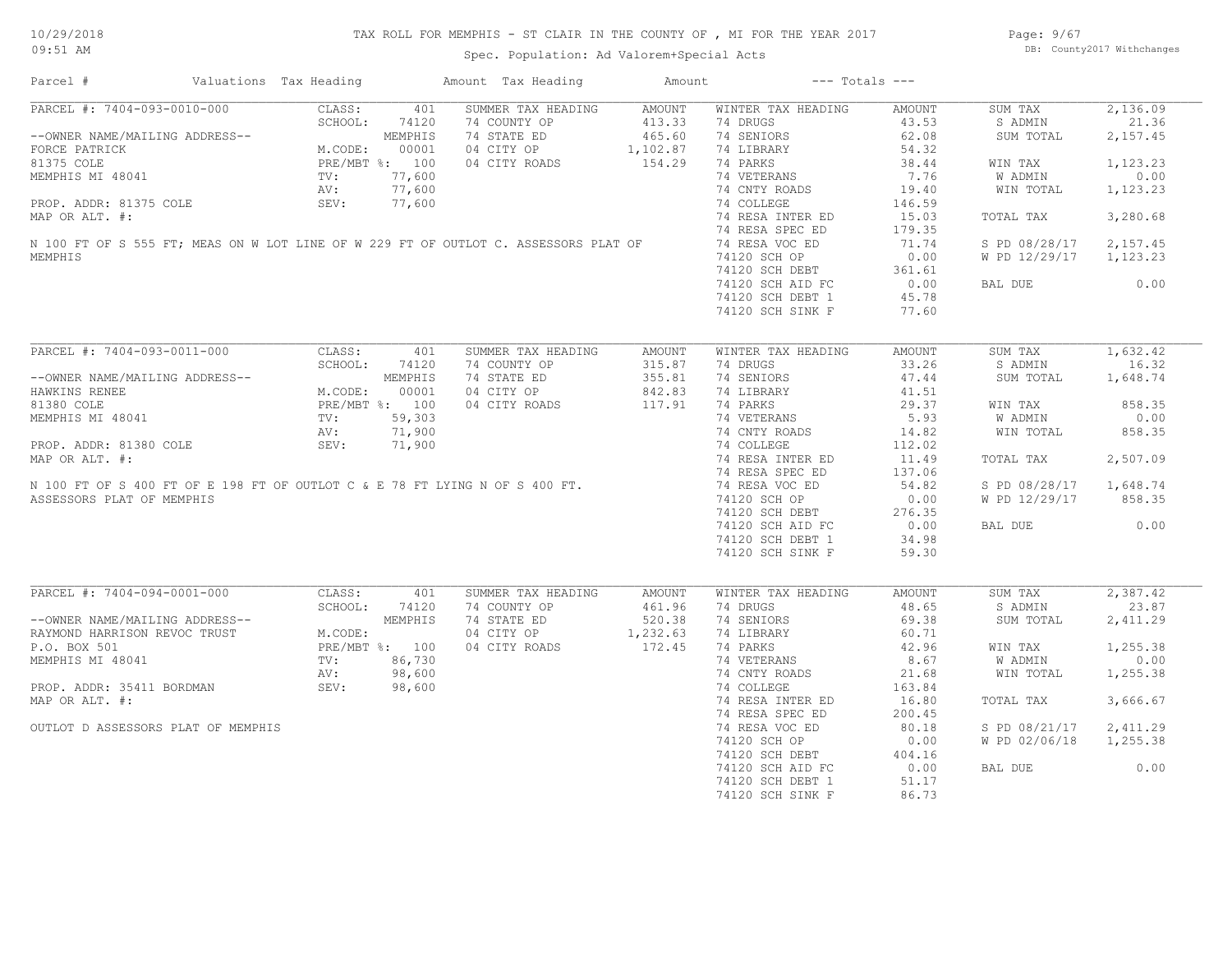Page: 9/67 DB: County2017 Withchanges

| PARCEL #: 7404-093-0010-000 CLASS:<br>401<br>SUMMER TAX HEADING AMOUNT<br>WINTER TAX HEADING<br>SUM TAX<br>AMOUNT<br>21.36<br>SCHOOL:<br>74120<br>74 COUNTY OP 413.33<br>74 STATE ED 465.60<br>04 CITY OP 1, 102.87<br>04 CITY ROADS 154.29<br>74 DRUGS<br>43.53<br>S ADMIN<br>--OWNER NAME/MAILING ADDRESS--<br>FORCE PATRICK MEMPHIS<br>81375 COLE PRE/MBT %: 100<br>MEMPHIS MI 48041 TV: 77,600<br>PROP. ADDR: 81375 COLE SEV: 77,600<br>MAP OP ALT #: 77,600<br>74 SENIORS<br>62.08<br>SUM TOTAL<br>74 LIBRARY<br>54.32<br>74 PARKS<br>38.44<br>WIN TAX<br>74 VETERANS<br>74 OVER<br>7.76<br>W ADMIN<br>0.00<br>MEMPHIS MI 48041<br>MEMPHIS MI 48041<br>PROP. ADDR: 81375 COLE (2012)<br>MAP OR ALT. #:<br>N 100 FT OF S 555 FT; MEAS ON W LOT LINE OF W 229 FT OF OUTLOT C. ASSESSORS PLAT OF (2012)<br>MAP OR ALT. #:<br>M 100 FT OF S 555 FT; MEAS ON W<br>74 CNTY ROADS<br>19.40<br>WIN TOTAL<br>146.59<br>74 RESA INTER ED<br>3,280.68<br>15.03<br>TOTAL TAX<br>179.35<br>71.74<br>S PD 08/28/17 2,157.45<br>W PD 12/29/17 1,123.23<br>74120 SCH OP<br>74120 SCH DEBT 361.61<br>20 SCH AID FC 0.00<br>45.78<br>0.00<br>BAL DUE<br>74120 SCH DEBT 1<br>45.78<br>74120 SCH SINK F<br>77.60<br>PARCEL #: 7404-093-0011-000<br>CLASS:<br>SUMMER TAX HEADING<br>WINTER TAX HEADING<br>AMOUNT<br>SUM TAX<br>401<br>AMOUNT<br>74 COUNTY OP<br>315.87<br>74 DRUGS<br>33.26<br>S ADMIN<br>--OWNER NAME/MAILING ADDRESS--<br>HAWKINS RENEE<br>HAWKINS RENEE<br>81380 COLE<br>81380 COLE<br>MEMPHIS MI 48041<br>MEMPHIS MI 48041<br>PROP. ADDR: 81380 COLE<br>PROP. ADDR: 81380 COLE<br>MAP OP ALT *.<br>71,900<br>MEMP OP ALT *.<br>71,900<br>74 STATE ED<br>355.81<br>74 SENIORS<br>47.44<br>SUM TOTAL<br>04 CITY OP 842.83<br>04 CITY ROADS 117.91<br>74 LIBRARY<br>41.51<br>29.37<br>74 PARKS<br>WIN TAX<br>858.35<br>74 VETERANS<br>74 CNTY ROADS<br>5.93<br>W ADMIN<br>0.00<br>PROP. ADDR: 81380 COLE<br>MAP OR ALT. #:<br>N 100 FT OF S 400 FT OF E 198 FT OF OUTLOT C & E 78 FT LYING N OF S 400 FT.<br>ASSESSORS PLAT OF MEMPHIS<br>858.35<br>14.82<br>WIN TOTAL<br>74 COLLEGE<br>112.02<br>74 RESA INTER ED<br>2,507.09<br>11.49<br>TOTAL TAX<br>74 RESA SPEC ED<br>137.06<br>74 RESA VOC ED<br>54.82<br>S PD 08/28/17 1,648.74<br>74120 SCH OP<br>0.00<br>W PD 12/29/17 858.35<br>74120 SCH DEBT<br>276.35<br>0.00<br>74120 SCH AID FC<br>0.00<br>BAL DUE<br>74120 SCH DEBT 1<br>34.98<br>74120 SCH SINK F<br>59.30<br>PARCEL #: 7404-094-0001-000<br>CLASS: 401<br>SUMMER TAX HEADING<br>WINTER TAX HEADING<br>SUM TAX<br>AMOUNT<br>AMOUNT<br>SCHOOL: 74120<br>74 COUNTY OP<br>74 STATE ED 520.38<br>74 DRUGS<br>48.65<br>S ADMIN<br>--OWNER NAME/MAILING ADDRESS--<br>RAYMOND HARRISON REVOC TRUST<br>P.O. BOX 501<br>MEMPHIS MI 48041<br>MEMPHIS MI 48041<br>MEMPHIS MI 48041<br>PRE/MBT %: 100<br>NEMPHIS MI 48041<br>NV: 98,600<br>74 SENIORS<br>69.38<br>SUM TOTAL<br>04 CITY OP<br>1,232.63<br>74 LIBRARY<br>60.71<br>172.45<br>74 PARKS<br>74 VETERANS<br>04 CITY ROADS<br>42.96<br>1,255.38<br>WIN TAX<br>8.67<br>W ADMIN<br>0.00<br>$86,730$<br>98,600<br>98,600<br>98,600<br>21.68<br>74 CNTY ROADS<br>WIN TOTAL<br>1,255.38<br>$\mathbf{p}$<br>SEV: 98,600<br>PROP. ADDR: 35411 BORDMAN<br>74 COLLEGE<br>163.84<br>MAP OR ALT. #:<br>3,666.67<br>74 RESA INTER ED<br>16.80<br>TOTAL TAX<br>74 RESA SPEC ED<br>200.45<br>80.18<br>OUTLOT D ASSESSORS PLAT OF MEMPHIS<br>74 RESA VOC ED<br>S PD 08/21/17 2,411.29<br>W PD 02/06/18 1,255.38<br>0.00<br>BAL DUE<br>74120 SCH DEBT 1<br>51.17<br>74120 SCH SINK F<br>86.73 | Parcel # | Valuations Tax Heading | Amount Tax Heading | Amount | $---$ Totals $---$ |  |          |
|---------------------------------------------------------------------------------------------------------------------------------------------------------------------------------------------------------------------------------------------------------------------------------------------------------------------------------------------------------------------------------------------------------------------------------------------------------------------------------------------------------------------------------------------------------------------------------------------------------------------------------------------------------------------------------------------------------------------------------------------------------------------------------------------------------------------------------------------------------------------------------------------------------------------------------------------------------------------------------------------------------------------------------------------------------------------------------------------------------------------------------------------------------------------------------------------------------------------------------------------------------------------------------------------------------------------------------------------------------------------------------------------------------------------------------------------------------------------------------------------------------------------------------------------------------------------------------------------------------------------------------------------------------------------------------------------------------------------------------------------------------------------------------------------------------------------------------------------------------------------------------------------------------------------------------------------------------------------------------------------------------------------------------------------------------------------------------------------------------------------------------------------------------------------------------------------------------------------------------------------------------------------------------------------------------------------------------------------------------------------------------------------------------------------------------------------------------------------------------------------------------------------------------------------------------------------------------------------------------------------------------------------------------------------------------------------------------------------------------------------------------------------------------------------------------------------------------------------------------------------------------------------------------------------------------------------------------------------------------------------------------------------------------------------------------------------------------------------------------------------------------------------------------------------------------------------------------------------------------------------------------------------------------------------------------------------------------------------------------------------------------------------------------------------------------------------------------------------------------------------------------------------------------------------|----------|------------------------|--------------------|--------|--------------------|--|----------|
| 2,157.45<br>1,123.23<br>1,123.23<br>1,632.42<br>16.32<br>1,648.74<br>23.87<br>2,411.29                                                                                                                                                                                                                                                                                                                                                                                                                                                                                                                                                                                                                                                                                                                                                                                                                                                                                                                                                                                                                                                                                                                                                                                                                                                                                                                                                                                                                                                                                                                                                                                                                                                                                                                                                                                                                                                                                                                                                                                                                                                                                                                                                                                                                                                                                                                                                                                                                                                                                                                                                                                                                                                                                                                                                                                                                                                                                                                                                                                                                                                                                                                                                                                                                                                                                                                                                                                                                                                      |          |                        |                    |        |                    |  | 2,136.09 |
| 2,387.42                                                                                                                                                                                                                                                                                                                                                                                                                                                                                                                                                                                                                                                                                                                                                                                                                                                                                                                                                                                                                                                                                                                                                                                                                                                                                                                                                                                                                                                                                                                                                                                                                                                                                                                                                                                                                                                                                                                                                                                                                                                                                                                                                                                                                                                                                                                                                                                                                                                                                                                                                                                                                                                                                                                                                                                                                                                                                                                                                                                                                                                                                                                                                                                                                                                                                                                                                                                                                                                                                                                                    |          |                        |                    |        |                    |  |          |
|                                                                                                                                                                                                                                                                                                                                                                                                                                                                                                                                                                                                                                                                                                                                                                                                                                                                                                                                                                                                                                                                                                                                                                                                                                                                                                                                                                                                                                                                                                                                                                                                                                                                                                                                                                                                                                                                                                                                                                                                                                                                                                                                                                                                                                                                                                                                                                                                                                                                                                                                                                                                                                                                                                                                                                                                                                                                                                                                                                                                                                                                                                                                                                                                                                                                                                                                                                                                                                                                                                                                             |          |                        |                    |        |                    |  |          |
|                                                                                                                                                                                                                                                                                                                                                                                                                                                                                                                                                                                                                                                                                                                                                                                                                                                                                                                                                                                                                                                                                                                                                                                                                                                                                                                                                                                                                                                                                                                                                                                                                                                                                                                                                                                                                                                                                                                                                                                                                                                                                                                                                                                                                                                                                                                                                                                                                                                                                                                                                                                                                                                                                                                                                                                                                                                                                                                                                                                                                                                                                                                                                                                                                                                                                                                                                                                                                                                                                                                                             |          |                        |                    |        |                    |  |          |
|                                                                                                                                                                                                                                                                                                                                                                                                                                                                                                                                                                                                                                                                                                                                                                                                                                                                                                                                                                                                                                                                                                                                                                                                                                                                                                                                                                                                                                                                                                                                                                                                                                                                                                                                                                                                                                                                                                                                                                                                                                                                                                                                                                                                                                                                                                                                                                                                                                                                                                                                                                                                                                                                                                                                                                                                                                                                                                                                                                                                                                                                                                                                                                                                                                                                                                                                                                                                                                                                                                                                             |          |                        |                    |        |                    |  |          |
|                                                                                                                                                                                                                                                                                                                                                                                                                                                                                                                                                                                                                                                                                                                                                                                                                                                                                                                                                                                                                                                                                                                                                                                                                                                                                                                                                                                                                                                                                                                                                                                                                                                                                                                                                                                                                                                                                                                                                                                                                                                                                                                                                                                                                                                                                                                                                                                                                                                                                                                                                                                                                                                                                                                                                                                                                                                                                                                                                                                                                                                                                                                                                                                                                                                                                                                                                                                                                                                                                                                                             |          |                        |                    |        |                    |  |          |
|                                                                                                                                                                                                                                                                                                                                                                                                                                                                                                                                                                                                                                                                                                                                                                                                                                                                                                                                                                                                                                                                                                                                                                                                                                                                                                                                                                                                                                                                                                                                                                                                                                                                                                                                                                                                                                                                                                                                                                                                                                                                                                                                                                                                                                                                                                                                                                                                                                                                                                                                                                                                                                                                                                                                                                                                                                                                                                                                                                                                                                                                                                                                                                                                                                                                                                                                                                                                                                                                                                                                             |          |                        |                    |        |                    |  |          |
|                                                                                                                                                                                                                                                                                                                                                                                                                                                                                                                                                                                                                                                                                                                                                                                                                                                                                                                                                                                                                                                                                                                                                                                                                                                                                                                                                                                                                                                                                                                                                                                                                                                                                                                                                                                                                                                                                                                                                                                                                                                                                                                                                                                                                                                                                                                                                                                                                                                                                                                                                                                                                                                                                                                                                                                                                                                                                                                                                                                                                                                                                                                                                                                                                                                                                                                                                                                                                                                                                                                                             |          |                        |                    |        |                    |  |          |
|                                                                                                                                                                                                                                                                                                                                                                                                                                                                                                                                                                                                                                                                                                                                                                                                                                                                                                                                                                                                                                                                                                                                                                                                                                                                                                                                                                                                                                                                                                                                                                                                                                                                                                                                                                                                                                                                                                                                                                                                                                                                                                                                                                                                                                                                                                                                                                                                                                                                                                                                                                                                                                                                                                                                                                                                                                                                                                                                                                                                                                                                                                                                                                                                                                                                                                                                                                                                                                                                                                                                             |          |                        |                    |        |                    |  |          |
|                                                                                                                                                                                                                                                                                                                                                                                                                                                                                                                                                                                                                                                                                                                                                                                                                                                                                                                                                                                                                                                                                                                                                                                                                                                                                                                                                                                                                                                                                                                                                                                                                                                                                                                                                                                                                                                                                                                                                                                                                                                                                                                                                                                                                                                                                                                                                                                                                                                                                                                                                                                                                                                                                                                                                                                                                                                                                                                                                                                                                                                                                                                                                                                                                                                                                                                                                                                                                                                                                                                                             | MEMPHIS  |                        |                    |        |                    |  |          |
|                                                                                                                                                                                                                                                                                                                                                                                                                                                                                                                                                                                                                                                                                                                                                                                                                                                                                                                                                                                                                                                                                                                                                                                                                                                                                                                                                                                                                                                                                                                                                                                                                                                                                                                                                                                                                                                                                                                                                                                                                                                                                                                                                                                                                                                                                                                                                                                                                                                                                                                                                                                                                                                                                                                                                                                                                                                                                                                                                                                                                                                                                                                                                                                                                                                                                                                                                                                                                                                                                                                                             |          |                        |                    |        |                    |  |          |
|                                                                                                                                                                                                                                                                                                                                                                                                                                                                                                                                                                                                                                                                                                                                                                                                                                                                                                                                                                                                                                                                                                                                                                                                                                                                                                                                                                                                                                                                                                                                                                                                                                                                                                                                                                                                                                                                                                                                                                                                                                                                                                                                                                                                                                                                                                                                                                                                                                                                                                                                                                                                                                                                                                                                                                                                                                                                                                                                                                                                                                                                                                                                                                                                                                                                                                                                                                                                                                                                                                                                             |          |                        |                    |        |                    |  |          |
|                                                                                                                                                                                                                                                                                                                                                                                                                                                                                                                                                                                                                                                                                                                                                                                                                                                                                                                                                                                                                                                                                                                                                                                                                                                                                                                                                                                                                                                                                                                                                                                                                                                                                                                                                                                                                                                                                                                                                                                                                                                                                                                                                                                                                                                                                                                                                                                                                                                                                                                                                                                                                                                                                                                                                                                                                                                                                                                                                                                                                                                                                                                                                                                                                                                                                                                                                                                                                                                                                                                                             |          |                        |                    |        |                    |  |          |
|                                                                                                                                                                                                                                                                                                                                                                                                                                                                                                                                                                                                                                                                                                                                                                                                                                                                                                                                                                                                                                                                                                                                                                                                                                                                                                                                                                                                                                                                                                                                                                                                                                                                                                                                                                                                                                                                                                                                                                                                                                                                                                                                                                                                                                                                                                                                                                                                                                                                                                                                                                                                                                                                                                                                                                                                                                                                                                                                                                                                                                                                                                                                                                                                                                                                                                                                                                                                                                                                                                                                             |          |                        |                    |        |                    |  |          |
|                                                                                                                                                                                                                                                                                                                                                                                                                                                                                                                                                                                                                                                                                                                                                                                                                                                                                                                                                                                                                                                                                                                                                                                                                                                                                                                                                                                                                                                                                                                                                                                                                                                                                                                                                                                                                                                                                                                                                                                                                                                                                                                                                                                                                                                                                                                                                                                                                                                                                                                                                                                                                                                                                                                                                                                                                                                                                                                                                                                                                                                                                                                                                                                                                                                                                                                                                                                                                                                                                                                                             |          |                        |                    |        |                    |  |          |
|                                                                                                                                                                                                                                                                                                                                                                                                                                                                                                                                                                                                                                                                                                                                                                                                                                                                                                                                                                                                                                                                                                                                                                                                                                                                                                                                                                                                                                                                                                                                                                                                                                                                                                                                                                                                                                                                                                                                                                                                                                                                                                                                                                                                                                                                                                                                                                                                                                                                                                                                                                                                                                                                                                                                                                                                                                                                                                                                                                                                                                                                                                                                                                                                                                                                                                                                                                                                                                                                                                                                             |          |                        |                    |        |                    |  |          |
|                                                                                                                                                                                                                                                                                                                                                                                                                                                                                                                                                                                                                                                                                                                                                                                                                                                                                                                                                                                                                                                                                                                                                                                                                                                                                                                                                                                                                                                                                                                                                                                                                                                                                                                                                                                                                                                                                                                                                                                                                                                                                                                                                                                                                                                                                                                                                                                                                                                                                                                                                                                                                                                                                                                                                                                                                                                                                                                                                                                                                                                                                                                                                                                                                                                                                                                                                                                                                                                                                                                                             |          |                        |                    |        |                    |  |          |
|                                                                                                                                                                                                                                                                                                                                                                                                                                                                                                                                                                                                                                                                                                                                                                                                                                                                                                                                                                                                                                                                                                                                                                                                                                                                                                                                                                                                                                                                                                                                                                                                                                                                                                                                                                                                                                                                                                                                                                                                                                                                                                                                                                                                                                                                                                                                                                                                                                                                                                                                                                                                                                                                                                                                                                                                                                                                                                                                                                                                                                                                                                                                                                                                                                                                                                                                                                                                                                                                                                                                             |          |                        |                    |        |                    |  |          |
|                                                                                                                                                                                                                                                                                                                                                                                                                                                                                                                                                                                                                                                                                                                                                                                                                                                                                                                                                                                                                                                                                                                                                                                                                                                                                                                                                                                                                                                                                                                                                                                                                                                                                                                                                                                                                                                                                                                                                                                                                                                                                                                                                                                                                                                                                                                                                                                                                                                                                                                                                                                                                                                                                                                                                                                                                                                                                                                                                                                                                                                                                                                                                                                                                                                                                                                                                                                                                                                                                                                                             |          |                        |                    |        |                    |  |          |
|                                                                                                                                                                                                                                                                                                                                                                                                                                                                                                                                                                                                                                                                                                                                                                                                                                                                                                                                                                                                                                                                                                                                                                                                                                                                                                                                                                                                                                                                                                                                                                                                                                                                                                                                                                                                                                                                                                                                                                                                                                                                                                                                                                                                                                                                                                                                                                                                                                                                                                                                                                                                                                                                                                                                                                                                                                                                                                                                                                                                                                                                                                                                                                                                                                                                                                                                                                                                                                                                                                                                             |          |                        |                    |        |                    |  |          |
|                                                                                                                                                                                                                                                                                                                                                                                                                                                                                                                                                                                                                                                                                                                                                                                                                                                                                                                                                                                                                                                                                                                                                                                                                                                                                                                                                                                                                                                                                                                                                                                                                                                                                                                                                                                                                                                                                                                                                                                                                                                                                                                                                                                                                                                                                                                                                                                                                                                                                                                                                                                                                                                                                                                                                                                                                                                                                                                                                                                                                                                                                                                                                                                                                                                                                                                                                                                                                                                                                                                                             |          |                        |                    |        |                    |  |          |
|                                                                                                                                                                                                                                                                                                                                                                                                                                                                                                                                                                                                                                                                                                                                                                                                                                                                                                                                                                                                                                                                                                                                                                                                                                                                                                                                                                                                                                                                                                                                                                                                                                                                                                                                                                                                                                                                                                                                                                                                                                                                                                                                                                                                                                                                                                                                                                                                                                                                                                                                                                                                                                                                                                                                                                                                                                                                                                                                                                                                                                                                                                                                                                                                                                                                                                                                                                                                                                                                                                                                             |          |                        |                    |        |                    |  |          |
|                                                                                                                                                                                                                                                                                                                                                                                                                                                                                                                                                                                                                                                                                                                                                                                                                                                                                                                                                                                                                                                                                                                                                                                                                                                                                                                                                                                                                                                                                                                                                                                                                                                                                                                                                                                                                                                                                                                                                                                                                                                                                                                                                                                                                                                                                                                                                                                                                                                                                                                                                                                                                                                                                                                                                                                                                                                                                                                                                                                                                                                                                                                                                                                                                                                                                                                                                                                                                                                                                                                                             |          |                        |                    |        |                    |  |          |
|                                                                                                                                                                                                                                                                                                                                                                                                                                                                                                                                                                                                                                                                                                                                                                                                                                                                                                                                                                                                                                                                                                                                                                                                                                                                                                                                                                                                                                                                                                                                                                                                                                                                                                                                                                                                                                                                                                                                                                                                                                                                                                                                                                                                                                                                                                                                                                                                                                                                                                                                                                                                                                                                                                                                                                                                                                                                                                                                                                                                                                                                                                                                                                                                                                                                                                                                                                                                                                                                                                                                             |          |                        |                    |        |                    |  |          |
|                                                                                                                                                                                                                                                                                                                                                                                                                                                                                                                                                                                                                                                                                                                                                                                                                                                                                                                                                                                                                                                                                                                                                                                                                                                                                                                                                                                                                                                                                                                                                                                                                                                                                                                                                                                                                                                                                                                                                                                                                                                                                                                                                                                                                                                                                                                                                                                                                                                                                                                                                                                                                                                                                                                                                                                                                                                                                                                                                                                                                                                                                                                                                                                                                                                                                                                                                                                                                                                                                                                                             |          |                        |                    |        |                    |  |          |
|                                                                                                                                                                                                                                                                                                                                                                                                                                                                                                                                                                                                                                                                                                                                                                                                                                                                                                                                                                                                                                                                                                                                                                                                                                                                                                                                                                                                                                                                                                                                                                                                                                                                                                                                                                                                                                                                                                                                                                                                                                                                                                                                                                                                                                                                                                                                                                                                                                                                                                                                                                                                                                                                                                                                                                                                                                                                                                                                                                                                                                                                                                                                                                                                                                                                                                                                                                                                                                                                                                                                             |          |                        |                    |        |                    |  |          |
|                                                                                                                                                                                                                                                                                                                                                                                                                                                                                                                                                                                                                                                                                                                                                                                                                                                                                                                                                                                                                                                                                                                                                                                                                                                                                                                                                                                                                                                                                                                                                                                                                                                                                                                                                                                                                                                                                                                                                                                                                                                                                                                                                                                                                                                                                                                                                                                                                                                                                                                                                                                                                                                                                                                                                                                                                                                                                                                                                                                                                                                                                                                                                                                                                                                                                                                                                                                                                                                                                                                                             |          |                        |                    |        |                    |  |          |
|                                                                                                                                                                                                                                                                                                                                                                                                                                                                                                                                                                                                                                                                                                                                                                                                                                                                                                                                                                                                                                                                                                                                                                                                                                                                                                                                                                                                                                                                                                                                                                                                                                                                                                                                                                                                                                                                                                                                                                                                                                                                                                                                                                                                                                                                                                                                                                                                                                                                                                                                                                                                                                                                                                                                                                                                                                                                                                                                                                                                                                                                                                                                                                                                                                                                                                                                                                                                                                                                                                                                             |          |                        |                    |        |                    |  |          |
|                                                                                                                                                                                                                                                                                                                                                                                                                                                                                                                                                                                                                                                                                                                                                                                                                                                                                                                                                                                                                                                                                                                                                                                                                                                                                                                                                                                                                                                                                                                                                                                                                                                                                                                                                                                                                                                                                                                                                                                                                                                                                                                                                                                                                                                                                                                                                                                                                                                                                                                                                                                                                                                                                                                                                                                                                                                                                                                                                                                                                                                                                                                                                                                                                                                                                                                                                                                                                                                                                                                                             |          |                        |                    |        |                    |  |          |
|                                                                                                                                                                                                                                                                                                                                                                                                                                                                                                                                                                                                                                                                                                                                                                                                                                                                                                                                                                                                                                                                                                                                                                                                                                                                                                                                                                                                                                                                                                                                                                                                                                                                                                                                                                                                                                                                                                                                                                                                                                                                                                                                                                                                                                                                                                                                                                                                                                                                                                                                                                                                                                                                                                                                                                                                                                                                                                                                                                                                                                                                                                                                                                                                                                                                                                                                                                                                                                                                                                                                             |          |                        |                    |        |                    |  |          |
|                                                                                                                                                                                                                                                                                                                                                                                                                                                                                                                                                                                                                                                                                                                                                                                                                                                                                                                                                                                                                                                                                                                                                                                                                                                                                                                                                                                                                                                                                                                                                                                                                                                                                                                                                                                                                                                                                                                                                                                                                                                                                                                                                                                                                                                                                                                                                                                                                                                                                                                                                                                                                                                                                                                                                                                                                                                                                                                                                                                                                                                                                                                                                                                                                                                                                                                                                                                                                                                                                                                                             |          |                        |                    |        |                    |  |          |
|                                                                                                                                                                                                                                                                                                                                                                                                                                                                                                                                                                                                                                                                                                                                                                                                                                                                                                                                                                                                                                                                                                                                                                                                                                                                                                                                                                                                                                                                                                                                                                                                                                                                                                                                                                                                                                                                                                                                                                                                                                                                                                                                                                                                                                                                                                                                                                                                                                                                                                                                                                                                                                                                                                                                                                                                                                                                                                                                                                                                                                                                                                                                                                                                                                                                                                                                                                                                                                                                                                                                             |          |                        |                    |        |                    |  |          |
|                                                                                                                                                                                                                                                                                                                                                                                                                                                                                                                                                                                                                                                                                                                                                                                                                                                                                                                                                                                                                                                                                                                                                                                                                                                                                                                                                                                                                                                                                                                                                                                                                                                                                                                                                                                                                                                                                                                                                                                                                                                                                                                                                                                                                                                                                                                                                                                                                                                                                                                                                                                                                                                                                                                                                                                                                                                                                                                                                                                                                                                                                                                                                                                                                                                                                                                                                                                                                                                                                                                                             |          |                        |                    |        |                    |  |          |
|                                                                                                                                                                                                                                                                                                                                                                                                                                                                                                                                                                                                                                                                                                                                                                                                                                                                                                                                                                                                                                                                                                                                                                                                                                                                                                                                                                                                                                                                                                                                                                                                                                                                                                                                                                                                                                                                                                                                                                                                                                                                                                                                                                                                                                                                                                                                                                                                                                                                                                                                                                                                                                                                                                                                                                                                                                                                                                                                                                                                                                                                                                                                                                                                                                                                                                                                                                                                                                                                                                                                             |          |                        |                    |        |                    |  |          |
|                                                                                                                                                                                                                                                                                                                                                                                                                                                                                                                                                                                                                                                                                                                                                                                                                                                                                                                                                                                                                                                                                                                                                                                                                                                                                                                                                                                                                                                                                                                                                                                                                                                                                                                                                                                                                                                                                                                                                                                                                                                                                                                                                                                                                                                                                                                                                                                                                                                                                                                                                                                                                                                                                                                                                                                                                                                                                                                                                                                                                                                                                                                                                                                                                                                                                                                                                                                                                                                                                                                                             |          |                        |                    |        |                    |  |          |
|                                                                                                                                                                                                                                                                                                                                                                                                                                                                                                                                                                                                                                                                                                                                                                                                                                                                                                                                                                                                                                                                                                                                                                                                                                                                                                                                                                                                                                                                                                                                                                                                                                                                                                                                                                                                                                                                                                                                                                                                                                                                                                                                                                                                                                                                                                                                                                                                                                                                                                                                                                                                                                                                                                                                                                                                                                                                                                                                                                                                                                                                                                                                                                                                                                                                                                                                                                                                                                                                                                                                             |          |                        |                    |        |                    |  |          |
|                                                                                                                                                                                                                                                                                                                                                                                                                                                                                                                                                                                                                                                                                                                                                                                                                                                                                                                                                                                                                                                                                                                                                                                                                                                                                                                                                                                                                                                                                                                                                                                                                                                                                                                                                                                                                                                                                                                                                                                                                                                                                                                                                                                                                                                                                                                                                                                                                                                                                                                                                                                                                                                                                                                                                                                                                                                                                                                                                                                                                                                                                                                                                                                                                                                                                                                                                                                                                                                                                                                                             |          |                        |                    |        |                    |  |          |
|                                                                                                                                                                                                                                                                                                                                                                                                                                                                                                                                                                                                                                                                                                                                                                                                                                                                                                                                                                                                                                                                                                                                                                                                                                                                                                                                                                                                                                                                                                                                                                                                                                                                                                                                                                                                                                                                                                                                                                                                                                                                                                                                                                                                                                                                                                                                                                                                                                                                                                                                                                                                                                                                                                                                                                                                                                                                                                                                                                                                                                                                                                                                                                                                                                                                                                                                                                                                                                                                                                                                             |          |                        |                    |        |                    |  |          |
|                                                                                                                                                                                                                                                                                                                                                                                                                                                                                                                                                                                                                                                                                                                                                                                                                                                                                                                                                                                                                                                                                                                                                                                                                                                                                                                                                                                                                                                                                                                                                                                                                                                                                                                                                                                                                                                                                                                                                                                                                                                                                                                                                                                                                                                                                                                                                                                                                                                                                                                                                                                                                                                                                                                                                                                                                                                                                                                                                                                                                                                                                                                                                                                                                                                                                                                                                                                                                                                                                                                                             |          |                        |                    |        |                    |  |          |
|                                                                                                                                                                                                                                                                                                                                                                                                                                                                                                                                                                                                                                                                                                                                                                                                                                                                                                                                                                                                                                                                                                                                                                                                                                                                                                                                                                                                                                                                                                                                                                                                                                                                                                                                                                                                                                                                                                                                                                                                                                                                                                                                                                                                                                                                                                                                                                                                                                                                                                                                                                                                                                                                                                                                                                                                                                                                                                                                                                                                                                                                                                                                                                                                                                                                                                                                                                                                                                                                                                                                             |          |                        |                    |        |                    |  |          |
|                                                                                                                                                                                                                                                                                                                                                                                                                                                                                                                                                                                                                                                                                                                                                                                                                                                                                                                                                                                                                                                                                                                                                                                                                                                                                                                                                                                                                                                                                                                                                                                                                                                                                                                                                                                                                                                                                                                                                                                                                                                                                                                                                                                                                                                                                                                                                                                                                                                                                                                                                                                                                                                                                                                                                                                                                                                                                                                                                                                                                                                                                                                                                                                                                                                                                                                                                                                                                                                                                                                                             |          |                        |                    |        |                    |  |          |
|                                                                                                                                                                                                                                                                                                                                                                                                                                                                                                                                                                                                                                                                                                                                                                                                                                                                                                                                                                                                                                                                                                                                                                                                                                                                                                                                                                                                                                                                                                                                                                                                                                                                                                                                                                                                                                                                                                                                                                                                                                                                                                                                                                                                                                                                                                                                                                                                                                                                                                                                                                                                                                                                                                                                                                                                                                                                                                                                                                                                                                                                                                                                                                                                                                                                                                                                                                                                                                                                                                                                             |          |                        |                    |        |                    |  |          |
|                                                                                                                                                                                                                                                                                                                                                                                                                                                                                                                                                                                                                                                                                                                                                                                                                                                                                                                                                                                                                                                                                                                                                                                                                                                                                                                                                                                                                                                                                                                                                                                                                                                                                                                                                                                                                                                                                                                                                                                                                                                                                                                                                                                                                                                                                                                                                                                                                                                                                                                                                                                                                                                                                                                                                                                                                                                                                                                                                                                                                                                                                                                                                                                                                                                                                                                                                                                                                                                                                                                                             |          |                        |                    |        |                    |  |          |
|                                                                                                                                                                                                                                                                                                                                                                                                                                                                                                                                                                                                                                                                                                                                                                                                                                                                                                                                                                                                                                                                                                                                                                                                                                                                                                                                                                                                                                                                                                                                                                                                                                                                                                                                                                                                                                                                                                                                                                                                                                                                                                                                                                                                                                                                                                                                                                                                                                                                                                                                                                                                                                                                                                                                                                                                                                                                                                                                                                                                                                                                                                                                                                                                                                                                                                                                                                                                                                                                                                                                             |          |                        |                    |        |                    |  |          |
|                                                                                                                                                                                                                                                                                                                                                                                                                                                                                                                                                                                                                                                                                                                                                                                                                                                                                                                                                                                                                                                                                                                                                                                                                                                                                                                                                                                                                                                                                                                                                                                                                                                                                                                                                                                                                                                                                                                                                                                                                                                                                                                                                                                                                                                                                                                                                                                                                                                                                                                                                                                                                                                                                                                                                                                                                                                                                                                                                                                                                                                                                                                                                                                                                                                                                                                                                                                                                                                                                                                                             |          |                        |                    |        |                    |  |          |
|                                                                                                                                                                                                                                                                                                                                                                                                                                                                                                                                                                                                                                                                                                                                                                                                                                                                                                                                                                                                                                                                                                                                                                                                                                                                                                                                                                                                                                                                                                                                                                                                                                                                                                                                                                                                                                                                                                                                                                                                                                                                                                                                                                                                                                                                                                                                                                                                                                                                                                                                                                                                                                                                                                                                                                                                                                                                                                                                                                                                                                                                                                                                                                                                                                                                                                                                                                                                                                                                                                                                             |          |                        |                    |        |                    |  |          |
|                                                                                                                                                                                                                                                                                                                                                                                                                                                                                                                                                                                                                                                                                                                                                                                                                                                                                                                                                                                                                                                                                                                                                                                                                                                                                                                                                                                                                                                                                                                                                                                                                                                                                                                                                                                                                                                                                                                                                                                                                                                                                                                                                                                                                                                                                                                                                                                                                                                                                                                                                                                                                                                                                                                                                                                                                                                                                                                                                                                                                                                                                                                                                                                                                                                                                                                                                                                                                                                                                                                                             |          |                        |                    |        |                    |  |          |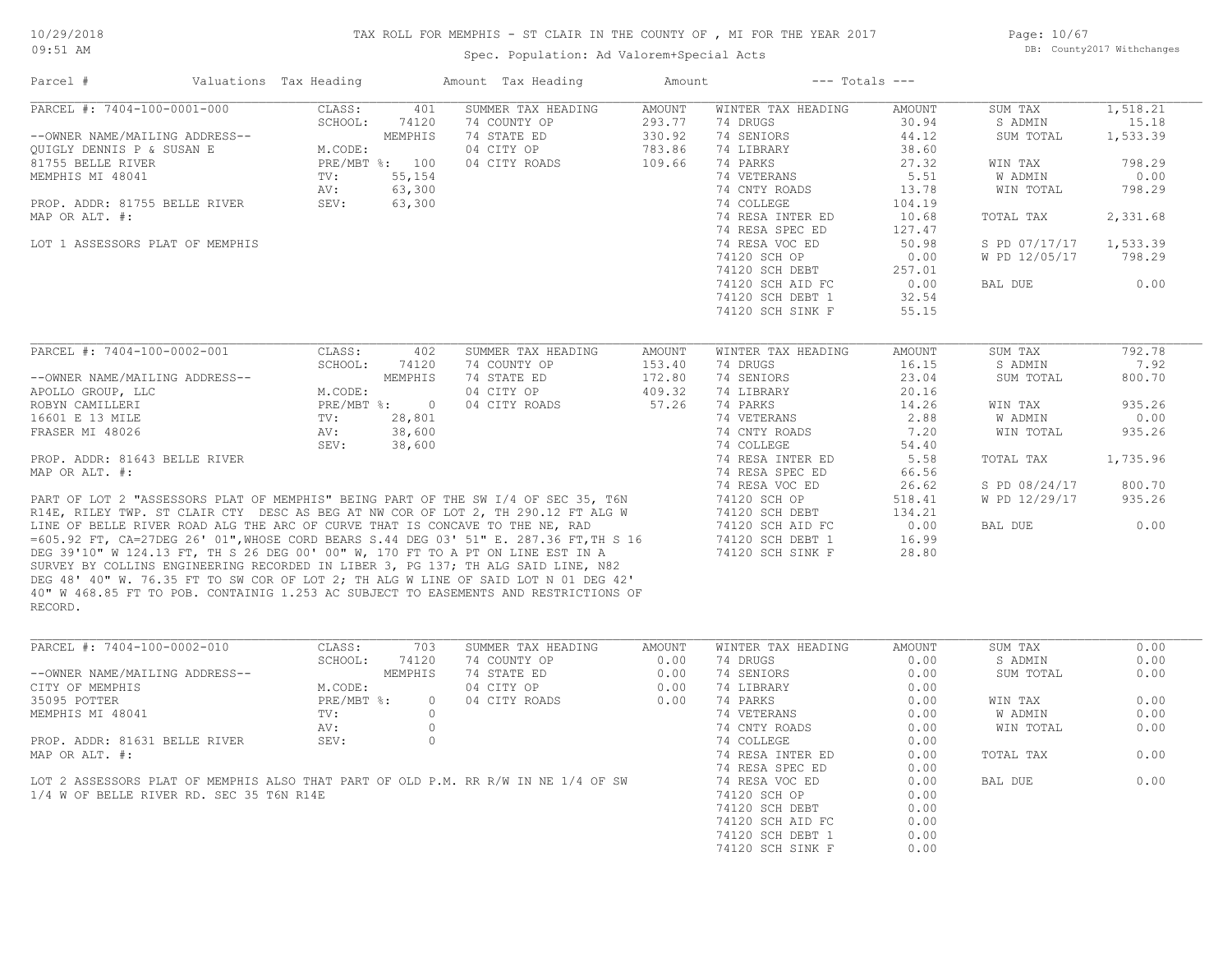Page: 10/67 DB: County2017 Withchanges

# TAX ROLL FOR MEMPHIS - ST CLAIR IN THE COUNTY OF , MI FOR THE YEAR 2017

| Parcel #                        | Valuations Tax Heading |                | Amount Tax Heading                                                                    | Amount                  | $---$ Totals $---$             |                        |                    |                   |
|---------------------------------|------------------------|----------------|---------------------------------------------------------------------------------------|-------------------------|--------------------------------|------------------------|--------------------|-------------------|
| PARCEL #: 7404-100-0001-000     | CLASS:<br>SCHOOL:      | 401<br>74120   | SUMMER TAX HEADING<br>74 COUNTY OP                                                    | <b>AMOUNT</b><br>293.77 | WINTER TAX HEADING<br>74 DRUGS | <b>AMOUNT</b><br>30.94 | SUM TAX<br>S ADMIN | 1,518.21<br>15.18 |
| --OWNER NAME/MAILING ADDRESS--  |                        | MEMPHIS        | 74 STATE ED                                                                           | 330.92                  | 74 SENIORS                     | 44.12                  | SUM TOTAL          | 1,533.39          |
|                                 | M.CODE:                |                |                                                                                       |                         | 74 LIBRARY                     | 38.60                  |                    |                   |
| OUIGLY DENNIS P & SUSAN E       |                        | PRE/MBT %: 100 | 04 CITY OP                                                                            | 783.86<br>109.66        | 74 PARKS                       |                        |                    | 798.29            |
| 81755 BELLE RIVER               |                        |                | 04 CITY ROADS                                                                         |                         |                                | 27.32                  | WIN TAX            |                   |
| MEMPHIS MI 48041                | $\text{TV}$ :          | 55,154         |                                                                                       |                         | 74 VETERANS                    | 5.51                   | W ADMIN            | 0.00              |
|                                 | AV:                    | 63,300         |                                                                                       |                         | 74 CNTY ROADS                  | 13.78                  | WIN TOTAL          | 798.29            |
| PROP. ADDR: 81755 BELLE RIVER   | SEV:                   | 63,300         |                                                                                       |                         | 74 COLLEGE                     | 104.19                 |                    |                   |
| MAP OR ALT. #:                  |                        |                |                                                                                       |                         | 74 RESA INTER ED               | 10.68                  | TOTAL TAX          | 2,331.68          |
|                                 |                        |                |                                                                                       |                         | 74 RESA SPEC ED                | 127.47                 |                    |                   |
| LOT 1 ASSESSORS PLAT OF MEMPHIS |                        |                |                                                                                       |                         | 74 RESA VOC ED                 | 50.98                  | S PD 07/17/17      | 1,533.39          |
|                                 |                        |                |                                                                                       |                         | 74120 SCH OP                   | 0.00                   | W PD 12/05/17      | 798.29            |
|                                 |                        |                |                                                                                       |                         | 74120 SCH DEBT                 | 257.01                 |                    |                   |
|                                 |                        |                |                                                                                       |                         | 74120 SCH AID FC               | 0.00                   | BAL DUE            | 0.00              |
|                                 |                        |                |                                                                                       |                         | 74120 SCH DEBT 1               | 32.54                  |                    |                   |
|                                 |                        |                |                                                                                       |                         | 74120 SCH SINK F               | 55.15                  |                    |                   |
| PARCEL #: 7404-100-0002-001     | CLASS:                 | 402            | SUMMER TAX HEADING                                                                    | AMOUNT                  | WINTER TAX HEADING             | AMOUNT                 | SUM TAX            | 792.78            |
|                                 | SCHOOL:                | 74120          | 74 COUNTY OP                                                                          | 153.40                  | 74 DRUGS                       | 16.15                  | S ADMIN            | 7.92              |
| --OWNER NAME/MAILING ADDRESS--  |                        | MEMPHIS        | 74 STATE ED                                                                           | 172.80                  | 74 SENIORS                     | 23.04                  | SUM TOTAL          | 800.70            |
| APOLLO GROUP, LLC               | M.CODE:                |                | 04 CITY OP                                                                            | 409.32                  | 74 LIBRARY                     | 20.16                  |                    |                   |
|                                 |                        |                |                                                                                       |                         |                                |                        |                    |                   |
| ROBYN CAMILLERI                 | PRE/MBT %:             | $\overline{0}$ | 04 CITY ROADS                                                                         | 57.26                   | 74 PARKS                       | 14.26                  | WIN TAX            | 935.26            |
| 16601 E 13 MILE                 | $\text{TV}$ :          | 28,801         |                                                                                       |                         | 74 VETERANS                    | 2.88                   | W ADMIN            | 0.00              |
| FRASER MI 48026                 | AV:                    | 38,600         |                                                                                       |                         | 74 CNTY ROADS                  | 7.20                   | WIN TOTAL          | 935.26            |
|                                 | SEV:                   | 38,600         |                                                                                       |                         | 74 COLLEGE                     | 54.40                  |                    |                   |
| PROP. ADDR: 81643 BELLE RIVER   |                        |                |                                                                                       |                         | 74 RESA INTER ED               | 5.58                   | TOTAL TAX          | 1,735.96          |
| MAP OR ALT. #:                  |                        |                |                                                                                       |                         | 74 RESA SPEC ED                | 66.56                  |                    |                   |
|                                 |                        |                |                                                                                       |                         | 74 RESA VOC ED                 | 26.62                  | S PD 08/24/17      | 800.70            |
|                                 |                        |                | PART OF LOT 2 "ASSESSORS PLAT OF MEMPHIS" BEING PART OF THE SW I/4 OF SEC 35, T6N     |                         | 74120 SCH OP                   | 518.41                 | W PD 12/29/17      | 935.26            |
|                                 |                        |                | R14E, RILEY TWP. ST CLAIR CTY DESC AS BEG AT NW COR OF LOT 2, TH 290.12 FT ALG W      |                         | 74120 SCH DEBT                 | 134.21                 |                    |                   |
|                                 |                        |                | LINE OF BELLE RIVER ROAD ALG THE ARC OF CURVE THAT IS CONCAVE TO THE NE, RAD          |                         | 74120 SCH AID FC               | 0.00                   | BAL DUE            | 0.00              |
|                                 |                        |                | =605.92 FT, CA=27DEG 26' 01", WHOSE CORD BEARS S.44 DEG 03' 51" E. 287.36 FT, TH S 16 |                         | 74120 SCH DEBT 1               | 16.99                  |                    |                   |
|                                 |                        |                | DEG 39'10" W 124.13 FT, TH S 26 DEG 00' 00" W, 170 FT TO A PT ON LINE EST IN A        |                         | 74120 SCH SINK F               | 28.80                  |                    |                   |
|                                 |                        |                | SURVEY BY COLLINS ENGINEERING RECORDED IN LIBER 3, PG 137; TH ALG SAID LINE, N82      |                         |                                |                        |                    |                   |
|                                 |                        |                | DEG 48' 40" W. 76.35 FT TO SW COR OF LOT 2; TH ALG W LINE OF SAID LOT N 01 DEG 42'    |                         |                                |                        |                    |                   |
| RECORD.                         |                        |                | 40" W 468.85 FT TO POB. CONTAINIG 1.253 AC SUBJECT TO EASEMENTS AND RESTRICTIONS OF   |                         |                                |                        |                    |                   |
| PARCEL #: 7404-100-0002-010     |                        |                | SUMMER TAX HEADING                                                                    |                         |                                |                        |                    | 0.00              |
|                                 | CLASS:                 | 703            |                                                                                       | AMOUNT                  | WINTER TAX HEADING             | AMOUNT                 | SUM TAX            |                   |
|                                 | SCHOOL:                | 74120          | 74 COUNTY OP                                                                          | 0.00                    | 74 DRUGS                       | 0.00                   | S ADMIN            | 0.00              |
| --OWNER NAME/MAILING ADDRESS--  |                        | MEMPHIS        | 74 STATE ED                                                                           | 0.00                    | 74 SENIORS                     | 0.00                   | SUM TOTAL          | 0.00              |
| CITY OF MEMPHIS                 | M.CODE:                |                | 04 CITY OP                                                                            | 0.00                    | 74 LIBRARY                     | 0.00                   |                    |                   |

| CITY OF MEMPHIS                                                                   | M.CODE:      |          | 04 CITY OP    | 0.00 | 74 LIBRARY       | 0.00 |           |      |
|-----------------------------------------------------------------------------------|--------------|----------|---------------|------|------------------|------|-----------|------|
| 35095 POTTER                                                                      | $PRE/MBT$ %: | $\Omega$ | 04 CITY ROADS | 0.00 | 74 PARKS         | 0.00 | WIN TAX   | 0.00 |
| MEMPHIS MI 48041                                                                  | TV:          |          |               |      | 74 VETERANS      | 0.00 | W ADMIN   | 0.00 |
|                                                                                   | AV:          |          |               |      | 74 CNTY ROADS    | 0.00 | WIN TOTAL | 0.00 |
| PROP. ADDR: 81631 BELLE RIVER                                                     | SEV:         |          |               |      | 74 COLLEGE       | 0.00 |           |      |
| MAP OR ALT. #:                                                                    |              |          |               |      | 74 RESA INTER ED | 0.00 | TOTAL TAX | 0.00 |
|                                                                                   |              |          |               |      | 74 RESA SPEC ED  | 0.00 |           |      |
| LOT 2 ASSESSORS PLAT OF MEMPHIS ALSO THAT PART OF OLD P.M. RR R/W IN NE 1/4 OF SW |              |          |               |      | 74 RESA VOC ED   | 0.00 | BAL DUE   | 0.00 |
| 1/4 W OF BELLE RIVER RD. SEC 35 T6N R14E                                          |              |          |               |      | 74120 SCH OP     | 0.00 |           |      |
|                                                                                   |              |          |               |      | 74120 SCH DEBT   | 0.00 |           |      |
|                                                                                   |              |          |               |      | 74120 SCH AID FC | 0.00 |           |      |
|                                                                                   |              |          |               |      | 74120 SCH DEBT 1 | 0.00 |           |      |
|                                                                                   |              |          |               |      | 74120 SCH SINK F | 0.00 |           |      |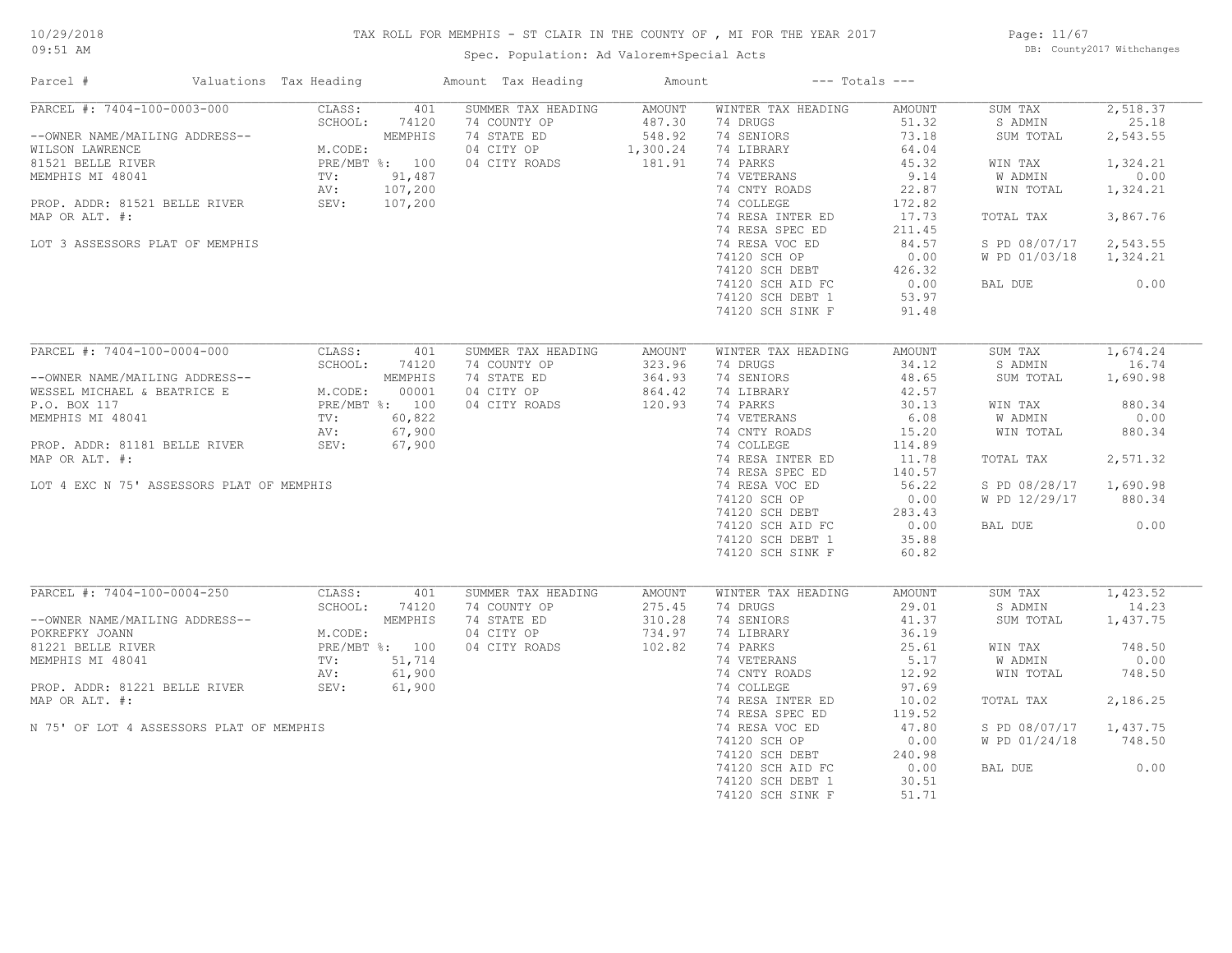# TAX ROLL FOR MEMPHIS - ST CLAIR IN THE COUNTY OF , MI FOR THE YEAR 2017

Spec. Population: Ad Valorem+Special Acts

Page: 11/67 DB: County2017 Withchanges

| Parcel #                                                                                                                                                                                                    | Valuations Tax Heading       |                | Amount Tax Heading | Amount   |                                                                    | $---$ Totals $---$ |               |          |
|-------------------------------------------------------------------------------------------------------------------------------------------------------------------------------------------------------------|------------------------------|----------------|--------------------|----------|--------------------------------------------------------------------|--------------------|---------------|----------|
| PARCEL #: 7404-100-0003-000                                                                                                                                                                                 | CLASS:                       | 401            | SUMMER TAX HEADING | AMOUNT   | WINTER TAX HEADING                                                 | AMOUNT             | SUM TAX       | 2,518.37 |
|                                                                                                                                                                                                             | SCHOOL:                      | 74120          | 74 COUNTY OP       | 487.30   | 74 DRUGS                                                           | 51.32              | S ADMIN       | 25.18    |
| --OWNER NAME/MAILING ADDRESS--                                                                                                                                                                              | $5$ CHOC                     | MEMPHIS        | 74 STATE ED        | 548.92   | 74 SENIORS                                                         | 73.18              | SUM TOTAL     | 2,543.55 |
| WILSON LAWRENCE                                                                                                                                                                                             | M.CODE:                      |                | 04 CITY OP         | 1,300.24 | 74 LIBRARY                                                         | 64.04              |               |          |
| 81521 BELLE RIVER                                                                                                                                                                                           | PRE/ME<br>TV:<br>NV:<br>SEV: | PRE/MBT %: 100 | 04 CITY ROADS      | 181.91   | 74 PARKS                                                           | 45.32              | WIN TAX       | 1,324.21 |
| MEMPHIS MI 48041                                                                                                                                                                                            |                              | 91,487         |                    |          | 74 VETERANS                                                        | 9.14               | W ADMIN       | 0.00     |
|                                                                                                                                                                                                             |                              | 107,200        |                    |          | 74 CNTY ROADS                                                      | 22.87              | WIN TOTAL     | 1,324.21 |
| PROP. ADDR: 81521 BELLE RIVER                                                                                                                                                                               |                              | 107,200        |                    |          | 74 COLLEGE                                                         | 172.82             |               |          |
| MAP OR ALT. #:                                                                                                                                                                                              |                              |                |                    |          | 74 RESA INTER ED                                                   | 17.73              | TOTAL TAX     | 3,867.76 |
|                                                                                                                                                                                                             |                              |                |                    |          | 74 RESA SPEC ED                                                    | 211.45             |               |          |
| LOT 3 ASSESSORS PLAT OF MEMPHIS                                                                                                                                                                             |                              |                |                    |          | 74 RESA VOC ED                                                     | 84.57              | S PD 08/07/17 | 2,543.55 |
|                                                                                                                                                                                                             |                              |                |                    |          |                                                                    |                    |               |          |
|                                                                                                                                                                                                             |                              |                |                    |          | 74120 SCH OP                                                       | 0.00               | W PD 01/03/18 | 1,324.21 |
|                                                                                                                                                                                                             |                              |                |                    |          | 74120 SCH DEBT                                                     | 426.32             |               |          |
|                                                                                                                                                                                                             |                              |                |                    |          | 74120 SCH AID FC                                                   | 0.00               | BAL DUE       | 0.00     |
|                                                                                                                                                                                                             |                              |                |                    |          | 74120 SCH DEBT 1                                                   | 53.97              |               |          |
|                                                                                                                                                                                                             |                              |                |                    |          | 74120 SCH SINK F                                                   | 91.48              |               |          |
|                                                                                                                                                                                                             |                              |                |                    |          |                                                                    |                    |               |          |
| PARCEL #: 7404-100-0004-000                                                                                                                                                                                 | CLASS:                       | 401            | SUMMER TAX HEADING | AMOUNT   | WINTER TAX HEADING                                                 | AMOUNT             | SUM TAX       | 1,674.24 |
| PARCEL TO THE MEMPHIS<br>--OWNER NAME/MAILING ADDRESS--<br>WESSEL MICHAEL & BEATRICE E M.CODE: 00001<br>P.O. BOX 117<br>MEMPHIS MI 48041 TV: 60,822<br>NV: 67,900<br>NV: 67,900<br>TV: 60,822<br>NV: 67,900 |                              |                | 74 COUNTY OP       | 323.96   | 74 DRUGS                                                           | 34.12              | S ADMIN       | 16.74    |
|                                                                                                                                                                                                             |                              |                | 74 STATE ED        | 364.93   | 74 SENIORS                                                         | 48.65              | SUM TOTAL     | 1,690.98 |
|                                                                                                                                                                                                             |                              |                | 04 CITY OP         | 864.42   | 74 LIBRARY                                                         | 42.57              |               |          |
|                                                                                                                                                                                                             |                              |                | 04 CITY ROADS      | 120.93   | 74 PARKS                                                           | 30.13              | WIN TAX       | 880.34   |
|                                                                                                                                                                                                             |                              |                |                    |          | 74 VETERANS                                                        | 6.08               | W ADMIN       | 0.00     |
|                                                                                                                                                                                                             |                              |                |                    |          | 74 CNTY ROADS                                                      | 15.20              | WIN TOTAL     | 880.34   |
| PROP. ADDR: 81181 BELLE RIVER                                                                                                                                                                               | SEV:                         |                | $67,900$<br>67,900 |          | 74 COLLEGE                                                         | 114.89             |               |          |
| MAP OR ALT. #:                                                                                                                                                                                              |                              |                |                    |          | 74 RESA INTER ED                                                   | 11.78              | TOTAL TAX     | 2,571.32 |
|                                                                                                                                                                                                             |                              |                |                    |          | 74 RESA SPEC ED                                                    | 140.57             |               |          |
| LOT 4 EXC N 75' ASSESSORS PLAT OF MEMPHIS                                                                                                                                                                   |                              |                |                    |          | 74 RESA VOC ED                                                     | 56.22              | S PD 08/28/17 | 1,690.98 |
|                                                                                                                                                                                                             |                              |                |                    |          |                                                                    |                    | W PD 12/29/17 | 880.34   |
|                                                                                                                                                                                                             |                              |                |                    |          | 74120 SCH UF<br>74120 SCH DEBT 283.45<br>20.00 20.00 CL 20.00 0.00 |                    |               |          |
|                                                                                                                                                                                                             |                              |                |                    |          |                                                                    |                    | BAL DUE       | 0.00     |
|                                                                                                                                                                                                             |                              |                |                    |          | 74120 SCH DEBT 1                                                   | 35.88              |               |          |
|                                                                                                                                                                                                             |                              |                |                    |          | 74120 SCH SINK F                                                   | 60.82              |               |          |
|                                                                                                                                                                                                             |                              |                |                    |          |                                                                    |                    |               |          |
| PARCEL #: 7404-100-0004-250                                                                                                                                                                                 |                              |                |                    |          |                                                                    |                    |               |          |
|                                                                                                                                                                                                             | CLASS:                       | 401            | SUMMER TAX HEADING | AMOUNT   | WINTER TAX HEADING                                                 | AMOUNT             | SUM TAX       | 1,423.52 |
|                                                                                                                                                                                                             | SCHOOL:                      | 74120          | 74 COUNTY OP       | 275.45   | 74 DRUGS                                                           | 29.01              | S ADMIN       | 14.23    |
| --OWNER NAME/MAILING ADDRESS--                                                                                                                                                                              |                              | MEMPHIS        | 74 STATE ED        | 310.28   | 74 SENIORS                                                         | 41.37              | SUM TOTAL     | 1,437.75 |
| POKREFKY JOANN                                                                                                                                                                                              | M.CODE:                      |                | 04 CITY OP         | 734.97   | 74 LIBRARY                                                         | 36.19              |               |          |
| 81221 BELLE RIVER                                                                                                                                                                                           |                              | PRE/MBT %: 100 | 04 CITY ROADS      | 102.82   | 74 PARKS                                                           | 25.61              | WIN TAX       | 748.50   |
| MEMPHIS MI 48041                                                                                                                                                                                            | TV:                          | 51,714         |                    |          | 74 VETERANS                                                        | 5.17               | W ADMIN       | 0.00     |
|                                                                                                                                                                                                             | AV:                          | 61,900         |                    |          | 74 CNTY ROADS                                                      | 12.92              | WIN TOTAL     | 748.50   |
| PROP. ADDR: 81221 BELLE RIVER                                                                                                                                                                               | SEV:                         | 61,900         |                    |          | 74 COLLEGE                                                         | 97.69              |               |          |
| MAP OR ALT. #:                                                                                                                                                                                              |                              |                |                    |          | 74 RESA INTER ED                                                   | 10.02              | TOTAL TAX     | 2,186.25 |
|                                                                                                                                                                                                             |                              |                |                    |          | 74 RESA SPEC ED                                                    | 119.52             |               |          |
| N 75' OF LOT 4 ASSESSORS PLAT OF MEMPHIS                                                                                                                                                                    |                              |                |                    |          | 74 RESA VOC ED                                                     | 47.80              | S PD 08/07/17 | 1,437.75 |
|                                                                                                                                                                                                             |                              |                |                    |          | 74120 SCH OP                                                       | 0.00               | W PD 01/24/18 | 748.50   |
|                                                                                                                                                                                                             |                              |                |                    |          | 74120 SCH DEBT                                                     | 240.98             |               |          |
|                                                                                                                                                                                                             |                              |                |                    |          | 74120 SCH AID FC                                                   | 0.00               | BAL DUE       | 0.00     |
|                                                                                                                                                                                                             |                              |                |                    |          | 74120 SCH DEBT 1                                                   | 30.51              |               |          |
|                                                                                                                                                                                                             |                              |                |                    |          | 74120 SCH SINK F                                                   | 51.71              |               |          |
|                                                                                                                                                                                                             |                              |                |                    |          |                                                                    |                    |               |          |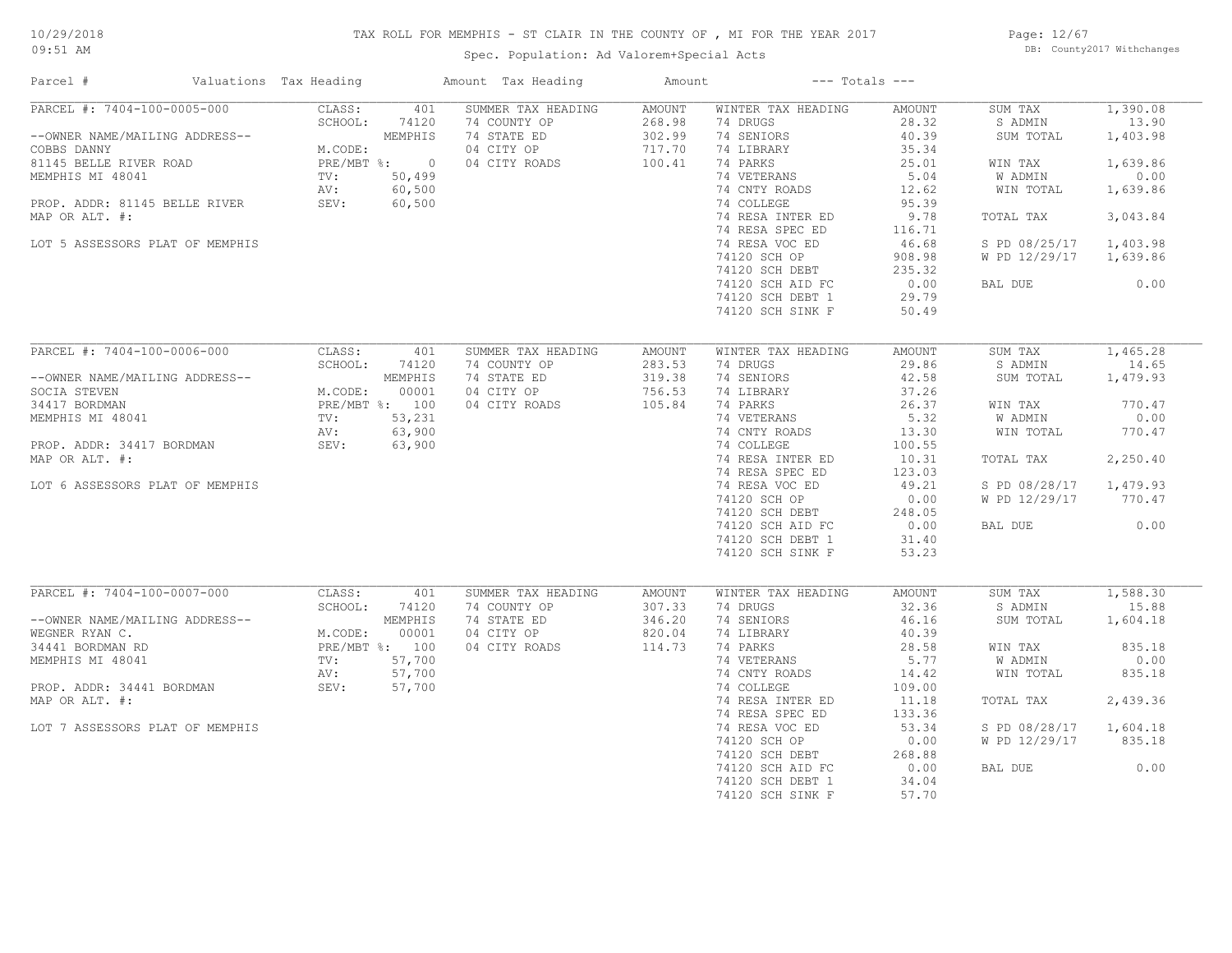# TAX ROLL FOR MEMPHIS - ST CLAIR IN THE COUNTY OF , MI FOR THE YEAR 2017

Spec. Population: Ad Valorem+Special Acts

Page: 12/67 DB: County2017 Withchanges

| Parcel #                                      | Valuations Tax Heading |                  | Amount Tax Heading          | Amount           |                        | $---$ Totals $---$ |                      |                   |
|-----------------------------------------------|------------------------|------------------|-----------------------------|------------------|------------------------|--------------------|----------------------|-------------------|
| PARCEL #: 7404-100-0005-000                   | CLASS:                 | 401              | SUMMER TAX HEADING          | <b>AMOUNT</b>    | WINTER TAX HEADING     | AMOUNT             | SUM TAX              | 1,390.08          |
|                                               | SCHOOL:                | 74120            | 74 COUNTY OP                | 268.98           | 74 DRUGS               | 28.32              | S ADMIN              | 13.90             |
| --OWNER NAME/MAILING ADDRESS--<br>COBBS DANNY | M.CODE:                | MEMPHIS          | 74 STATE ED<br>04 CITY OP   | 302.99<br>717.70 | 74 SENIORS             | 40.39<br>35.34     | SUM TOTAL            | 1,403.98          |
| 81145 BELLE RIVER ROAD                        |                        | PRE/MBT %: 0     | 04 CITY ROADS               | 100.41           | 74 LIBRARY<br>74 PARKS | 25.01              | WIN TAX              | 1,639.86          |
| MEMPHIS MI 48041                              | TV:                    | 50,499           |                             |                  | 74 VETERANS            | 5.04               | W ADMIN              | 0.00              |
|                                               | AV:                    | 60,500           |                             |                  | 74 CNTY ROADS          | 12.62              | WIN TOTAL            | 1,639.86          |
| PROP. ADDR: 81145 BELLE RIVER                 | SEV:                   | 60,500           |                             |                  | 74 COLLEGE             | 95.39              |                      |                   |
| MAP OR ALT. #:                                |                        |                  |                             |                  | 74 RESA INTER ED       | 9.78               | TOTAL TAX            | 3,043.84          |
|                                               |                        |                  |                             |                  | 74 RESA SPEC ED        | 116.71             |                      |                   |
| LOT 5 ASSESSORS PLAT OF MEMPHIS               |                        |                  |                             |                  | 74 RESA VOC ED         | 46.68              | S PD 08/25/17        | 1,403.98          |
|                                               |                        |                  |                             |                  | 74120 SCH OP           | 908.98             | W PD 12/29/17        | 1,639.86          |
|                                               |                        |                  |                             |                  | 74120 SCH DEBT         | 235.32             |                      |                   |
|                                               |                        |                  |                             |                  | 74120 SCH AID FC       | 0.00               | BAL DUE              | 0.00              |
|                                               |                        |                  |                             |                  | 74120 SCH DEBT 1       | 29.79              |                      |                   |
|                                               |                        |                  |                             |                  | 74120 SCH SINK F       | 50.49              |                      |                   |
|                                               |                        |                  |                             |                  |                        |                    |                      |                   |
| PARCEL #: 7404-100-0006-000                   | CLASS:                 | 401              | SUMMER TAX HEADING          | <b>AMOUNT</b>    | WINTER TAX HEADING     | AMOUNT             | SUM TAX              | 1,465.28          |
|                                               | SCHOOL:                | 74120            | 74 COUNTY OP                | 283.53           | 74 DRUGS               | 29.86              | S ADMIN              | 14.65             |
| --OWNER NAME/MAILING ADDRESS--                |                        | MEMPHIS          | 74 STATE ED                 | 319.38           | 74 SENIORS             | 42.58              | SUM TOTAL            | 1,479.93          |
| SOCIA STEVEN                                  | M.CODE:                | 00001            | 04 CITY OP                  | 756.53           | 74 LIBRARY             | 37.26              |                      |                   |
| 34417 BORDMAN                                 |                        | PRE/MBT %: 100   | 04 CITY ROADS               | 105.84           | 74 PARKS               | 26.37              | WIN TAX              | 770.47            |
| MEMPHIS MI 48041                              | TV:                    | 53,231           |                             |                  | 74 VETERANS            | 5.32               | W ADMIN              | 0.00              |
|                                               | AV:                    | 63,900           |                             |                  | 74 CNTY ROADS          | 13.30              | WIN TOTAL            | 770.47            |
| PROP. ADDR: 34417 BORDMAN                     | SEV:                   | 63,900           |                             |                  | 74 COLLEGE             | 100.55             |                      |                   |
| MAP OR ALT. #:                                |                        |                  |                             |                  | 74 RESA INTER ED       | 10.31              | TOTAL TAX            | 2,250.40          |
|                                               |                        |                  |                             |                  | 74 RESA SPEC ED        | 123.03             |                      |                   |
| LOT 6 ASSESSORS PLAT OF MEMPHIS               |                        |                  |                             |                  | 74 RESA VOC ED         | 49.21              | S PD 08/28/17        | 1,479.93          |
|                                               |                        |                  |                             |                  | 74120 SCH OP           | 0.00               | W PD 12/29/17        | 770.47            |
|                                               |                        |                  |                             |                  | 74120 SCH DEBT         | 248.05             |                      |                   |
|                                               |                        |                  |                             |                  | 74120 SCH AID FC       | 0.00               | BAL DUE              | 0.00              |
|                                               |                        |                  |                             |                  | 74120 SCH DEBT 1       | 31.40              |                      |                   |
|                                               |                        |                  |                             |                  | 74120 SCH SINK F       | 53.23              |                      |                   |
|                                               |                        |                  |                             |                  |                        |                    |                      |                   |
| PARCEL #: 7404-100-0007-000                   | CLASS:                 | 401              | SUMMER TAX HEADING          | AMOUNT           | WINTER TAX HEADING     | AMOUNT<br>32.36    | SUM TAX              | 1,588.30<br>15.88 |
| --OWNER NAME/MAILING ADDRESS--                | SCHOOL:                | 74120<br>MEMPHIS | 74 COUNTY OP<br>74 STATE ED | 307.33<br>346.20 | 74 DRUGS<br>74 SENIORS | 46.16              | S ADMIN<br>SUM TOTAL | 1,604.18          |
| WEGNER RYAN C.                                | M.CODE:                | 00001            | 04 CITY OP                  | 820.04           | 74 LIBRARY             | 40.39              |                      |                   |
| 34441 BORDMAN RD                              |                        | PRE/MBT %: 100   | 04 CITY ROADS               | 114.73           | 74 PARKS               | 28.58              | WIN TAX              | 835.18            |
| MEMPHIS MI 48041                              | TV:                    | 57,700           |                             |                  | 74 VETERANS            | 5.77               | W ADMIN              | 0.00              |
|                                               | AV:                    | 57,700           |                             |                  | 74 CNTY ROADS          | 14.42              | WIN TOTAL            | 835.18            |
| PROP. ADDR: 34441 BORDMAN                     | SEV:                   | 57,700           |                             |                  | 74 COLLEGE             | 109.00             |                      |                   |
| MAP OR ALT. #:                                |                        |                  |                             |                  | 74 RESA INTER ED       | 11.18              | TOTAL TAX            | 2,439.36          |
|                                               |                        |                  |                             |                  | 74 RESA SPEC ED        | 133.36             |                      |                   |
| LOT 7 ASSESSORS PLAT OF MEMPHIS               |                        |                  |                             |                  | 74 RESA VOC ED         | 53.34              | S PD 08/28/17        | 1,604.18          |
|                                               |                        |                  |                             |                  | 74120 SCH OP           | 0.00               | W PD 12/29/17        | 835.18            |
|                                               |                        |                  |                             |                  | 74120 SCH DEBT         | 268.88             |                      |                   |
|                                               |                        |                  |                             |                  | 74120 SCH AID FC       | 0.00               | BAL DUE              | 0.00              |
|                                               |                        |                  |                             |                  | 74120 SCH DEBT 1       | 34.04              |                      |                   |
|                                               |                        |                  |                             |                  | 74120 SCH SINK F       | 57.70              |                      |                   |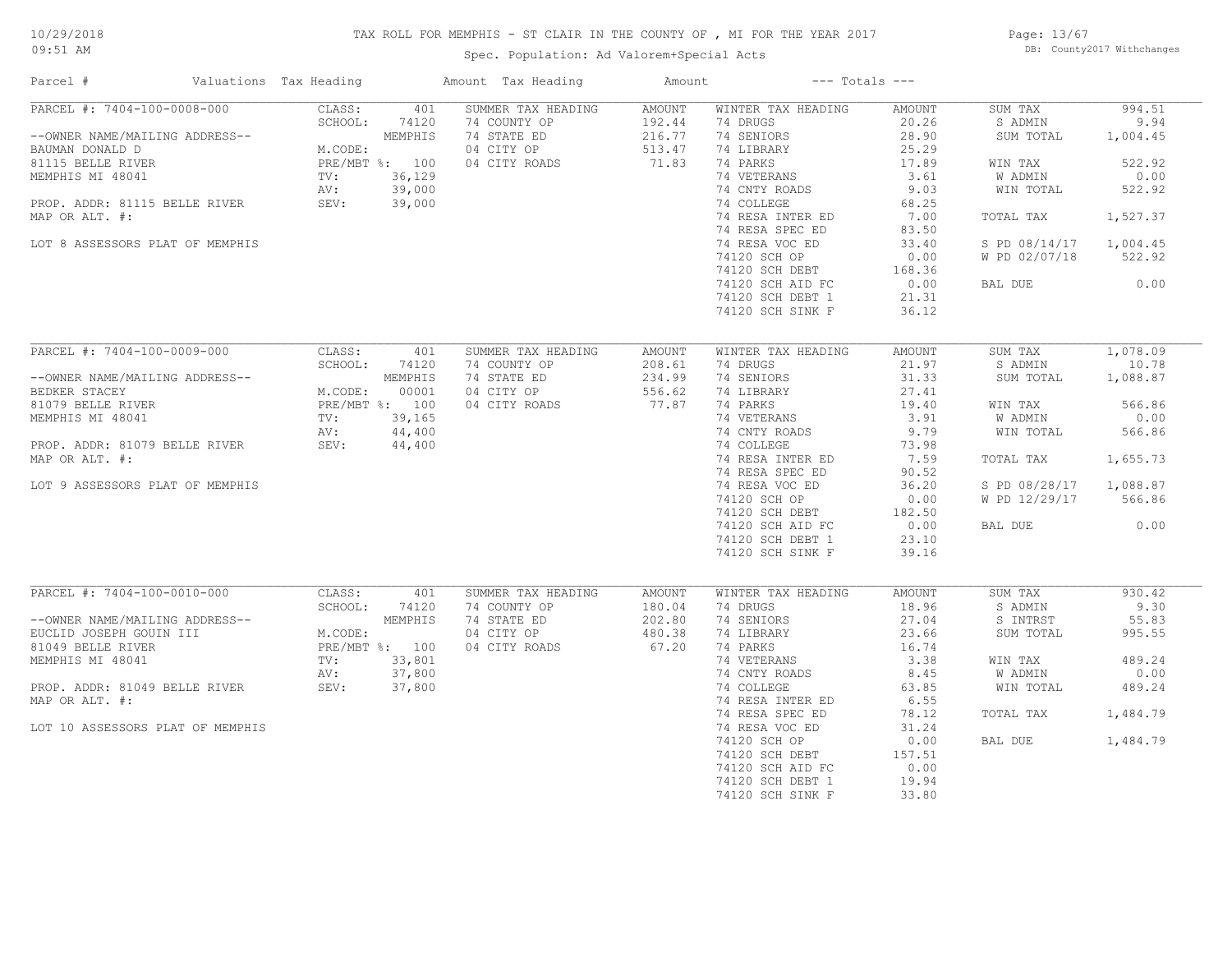# 10/29/2018

# TAX ROLL FOR MEMPHIS - ST CLAIR IN THE COUNTY OF , MI FOR THE YEAR 2017

09:51 AM

# Spec. Population: Ad Valorem+Special Acts

Page: 13/67 DB: County2017 Withchanges

| Parcel #                                          | Valuations Tax Heading          |                          | Amount Tax Heading                        | Amount                     |                                      | $---$ Totals $---$      |                        |                  |
|---------------------------------------------------|---------------------------------|--------------------------|-------------------------------------------|----------------------------|--------------------------------------|-------------------------|------------------------|------------------|
| PARCEL #: 7404-100-0008-000                       | CLASS:                          | 401                      | SUMMER TAX HEADING                        | AMOUNT                     | WINTER TAX HEADING                   | AMOUNT                  | SUM TAX                | 994.51           |
| --OWNER NAME/MAILING ADDRESS--<br>BAUMAN DONALD D | SCHOOL:<br>M.CODE:              | 74120<br>MEMPHIS         | 74 COUNTY OP<br>74 STATE ED<br>04 CITY OP | 192.44<br>216.77<br>513.47 | 74 DRUGS<br>74 SENIORS<br>74 LIBRARY | 20.26<br>28.90<br>25.29 | S ADMIN<br>SUM TOTAL   | 9.94<br>1,004.45 |
| 81115 BELLE RIVER                                 |                                 | PRE/MBT %: 100           | 04 CITY ROADS                             | 71.83                      | 74 PARKS                             | 17.89                   | WIN TAX                | 522.92           |
| MEMPHIS MI 48041                                  | TV:                             | 36,129                   |                                           |                            | 74 VETERANS                          | 3.61                    | W ADMIN                | 0.00             |
|                                                   | AV:                             | 39,000                   |                                           |                            | 74 CNTY ROADS                        | 9.03                    | WIN TOTAL              | 522.92           |
| PROP. ADDR: 81115 BELLE RIVER SEV:                |                                 | 39,000                   |                                           |                            | 74 COLLEGE                           | 68.25                   |                        |                  |
| MAP OR ALT. #:                                    |                                 |                          |                                           |                            | 74 RESA INTER ED                     | 7.00                    | TOTAL TAX              | 1,527.37         |
|                                                   |                                 |                          |                                           |                            | 74 RESA SPEC ED                      | 83.50                   |                        |                  |
| LOT 8 ASSESSORS PLAT OF MEMPHIS                   |                                 |                          |                                           |                            | 74 RESA VOC ED                       | 33.40                   | S PD 08/14/17 1,004.45 |                  |
|                                                   |                                 |                          |                                           |                            | 74120 SCH OP                         | 0.00                    | W PD 02/07/18          | 522.92           |
|                                                   |                                 |                          |                                           |                            | 74120 SCH DEBT                       | 168.36                  |                        |                  |
|                                                   |                                 |                          |                                           |                            | 74120 SCH AID FC                     | 0.00                    | BAL DUE                | 0.00             |
|                                                   |                                 |                          |                                           |                            | 74120 SCH DEBT 1                     | 21.31                   |                        |                  |
|                                                   |                                 |                          |                                           |                            | 74120 SCH SINK F                     | 36.12                   |                        |                  |
|                                                   |                                 |                          |                                           |                            |                                      |                         |                        |                  |
| PARCEL #: 7404-100-0009-000                       | CLASS:                          | 401                      | SUMMER TAX HEADING                        | AMOUNT                     | WINTER TAX HEADING                   | AMOUNT                  | SUM TAX                | 1,078.09         |
|                                                   | SCHOOL:                         | 74120                    | 74 COUNTY OP                              | 208.61                     | 74 DRUGS                             | 21.97                   | S ADMIN                | 10.78            |
| --OWNER NAME/MAILING ADDRESS--                    |                                 | MEMPHIS                  | 74 STATE ED                               | 234.99                     | 74 SENIORS                           | 31.33                   | SUM TOTAL              | 1,088.87         |
| BEDKER STACEY                                     | M.CODE: 00001<br>PRE/MBT %: 100 | 00001                    | 04 CITY OP                                | 556.62                     | 74 LIBRARY                           | 27.41                   |                        |                  |
| 81079 BELLE RIVER                                 |                                 |                          | 04 CITY ROADS                             | 77.87                      | 74 PARKS                             | 19.40                   | WIN TAX                | 566.86           |
| MEMPHIS MI 48041                                  | TV:                             | 39,165                   |                                           |                            | 74 VETERANS                          | 3.91                    | W ADMIN                | 0.00             |
|                                                   | AV:                             | 44,400                   |                                           |                            | 74 CNTY ROADS                        | 9.79                    | WIN TOTAL              | 566.86           |
| PROP. ADDR: 81079 BELLE RIVER SEV:                |                                 | 44,400                   |                                           |                            | 74 COLLEGE                           | 73.98                   |                        |                  |
| MAP OR ALT. #:                                    |                                 |                          |                                           |                            | 74 RESA INTER ED                     | 7.59                    | TOTAL TAX              | 1,655.73         |
|                                                   |                                 |                          |                                           |                            | 74 RESA SPEC ED                      | 90.52                   |                        |                  |
| LOT 9 ASSESSORS PLAT OF MEMPHIS                   |                                 |                          |                                           |                            | 74 RESA VOC ED                       | 36.20                   | S PD 08/28/17          | 1,088.87         |
|                                                   |                                 |                          |                                           |                            | 74120 SCH OP                         | 0.00                    | W PD 12/29/17          | 566.86           |
|                                                   |                                 |                          |                                           |                            | 74120 SCH DEBT                       | 182.50                  |                        |                  |
|                                                   |                                 |                          |                                           |                            | 74120 SCH AID FC                     | 0.00                    | BAL DUE                | 0.00             |
|                                                   |                                 |                          |                                           |                            | 74120 SCH DEBT 1                     | 23.10                   |                        |                  |
|                                                   |                                 |                          |                                           |                            | 74120 SCH SINK F                     | 39.16                   |                        |                  |
|                                                   |                                 |                          |                                           |                            |                                      |                         |                        |                  |
| PARCEL #: 7404-100-0010-000                       | CLASS:                          | 401                      | SUMMER TAX HEADING                        | AMOUNT                     | WINTER TAX HEADING                   | AMOUNT                  | SUM TAX                | 930.42           |
|                                                   | SCHOOL:                         | 74120                    | 74 COUNTY OP                              | 180.04                     | 74 DRUGS                             | 18.96                   | S ADMIN                | 9.30             |
| --OWNER NAME/MAILING ADDRESS--                    |                                 | MEMPHIS                  | 74 STATE ED                               | 202.80                     | 74 SENIORS                           | 27.04                   | S INTRST               | 55.83            |
| EUCLID JOSEPH GOUIN III                           | M.CODE:                         |                          | 04 CITY OP                                | 480.38                     | 74 LIBRARY                           | 23.66                   | SUM TOTAL              | 995.55           |
| 81049 BELLE RIVER<br>MEMPHIS MI 48041             | TV:                             | PRE/MBT %: 100<br>33,801 | 04 CITY ROADS                             | 67.20                      | 74 PARKS<br>74 VETERANS              | 16.74<br>3.38           |                        | 489.24           |
|                                                   | AV:                             | 37,800                   |                                           |                            | 74 CNTY ROADS                        | 8.45                    | WIN TAX<br>W ADMIN     | 0.00             |
| PROP. ADDR: 81049 BELLE RIVER                     | SEV:                            | 37,800                   |                                           |                            | 74 COLLEGE                           | 63.85                   | WIN TOTAL              | 489.24           |
| MAP OR ALT. #:                                    |                                 |                          |                                           |                            | 74 RESA INTER ED                     | 6.55                    |                        |                  |
|                                                   |                                 |                          |                                           |                            | 74 RESA SPEC ED                      | 78.12                   | TOTAL TAX              | 1,484.79         |
| LOT 10 ASSESSORS PLAT OF MEMPHIS                  |                                 |                          |                                           |                            | 74 RESA VOC ED                       | 31.24                   |                        |                  |
|                                                   |                                 |                          |                                           |                            | 74120 SCH OP                         | 0.00                    | BAL DUE                | 1,484.79         |
|                                                   |                                 |                          |                                           |                            | 74120 SCH DEBT                       | 157.51                  |                        |                  |
|                                                   |                                 |                          |                                           |                            | 74120 SCH AID FC                     | 0.00                    |                        |                  |
|                                                   |                                 |                          |                                           |                            | 74120 SCH DEBT 1                     | 19.94                   |                        |                  |
|                                                   |                                 |                          |                                           |                            | 74120 SCH SINK F                     | 33.80                   |                        |                  |
|                                                   |                                 |                          |                                           |                            |                                      |                         |                        |                  |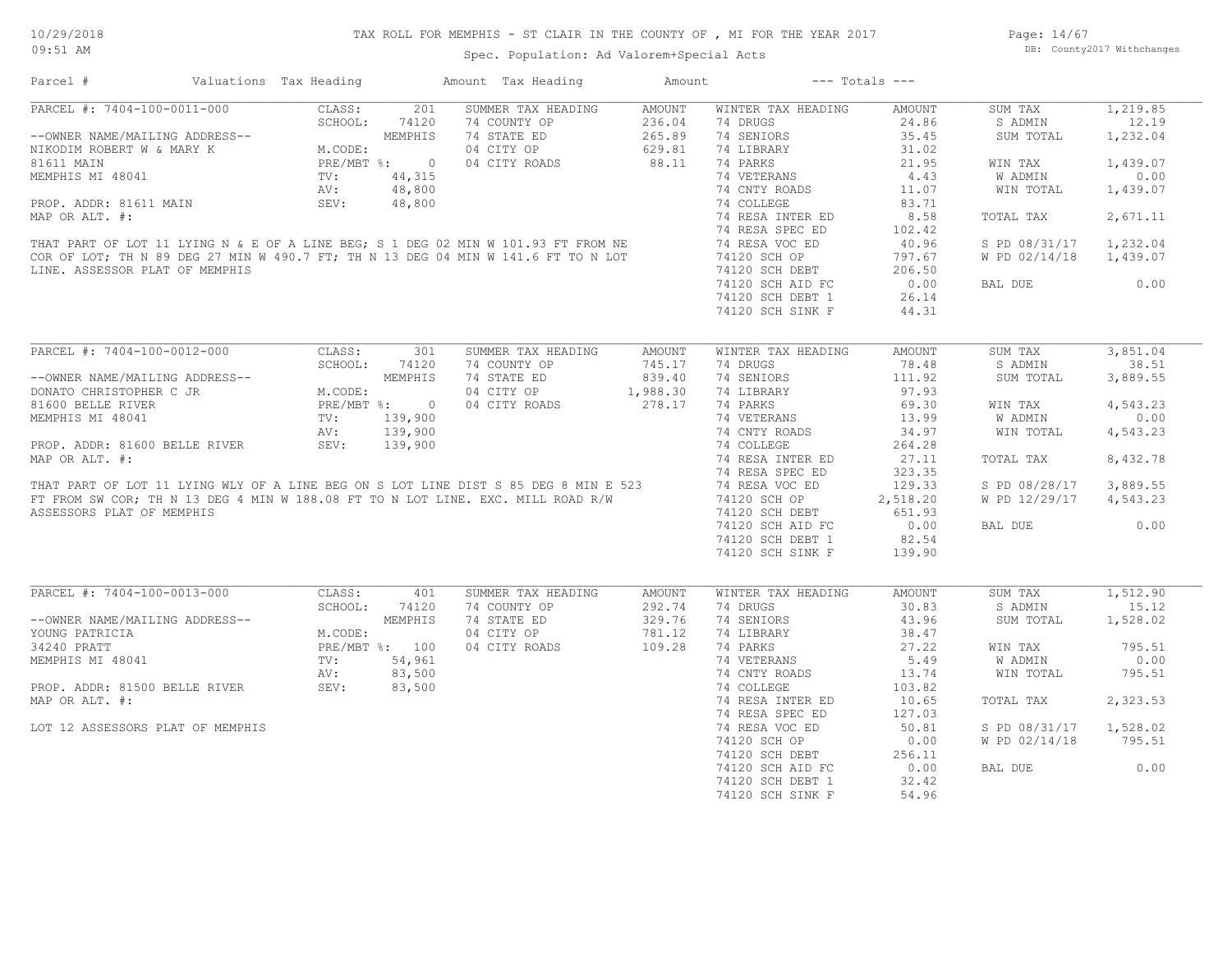Page: 14/67 DB: County2017 Withchanges

| Amount Tax Heading<br>Parcel #<br>Valuations Tax Heading                                                                                                                                                                                                      | Amount                       | $---$ Totals $---$                             |               |                        |          |
|---------------------------------------------------------------------------------------------------------------------------------------------------------------------------------------------------------------------------------------------------------------|------------------------------|------------------------------------------------|---------------|------------------------|----------|
| 201<br>PARCEL #: 7404-100-0011-000<br>--OWNER NAME/MAILING ADDRESS--<br>NIKODIM ROBERT W & MARY K<br>81611 MAIN<br>MEMPHIS MI 48041<br>MEMPHIS MI 48041<br>MEMPHIS MI 48041<br>MEMPHIS MI 48041<br>TV: 44,315<br>AV: 48,800<br>PRE/MBT %: 0<br>AV: 48,800<br> | SUMMER TAX HEADING<br>AMOUNT | WINTER TAX HEADING                             | AMOUNT        | SUM TAX                | 1,219.85 |
| 74 COUNTY OP                                                                                                                                                                                                                                                  | 236.04                       | 74 DRUGS                                       | 24.86         | S ADMIN                | 12.19    |
| 74 STATE ED                                                                                                                                                                                                                                                   | 265.89                       | 74 SENIORS                                     | 35.45         | SUM TOTAL              | 1,232.04 |
| 04 CITY OP                                                                                                                                                                                                                                                    | 629.81                       | 74 LIBRARY                                     | 31.02         |                        |          |
| 04 CITY ROADS                                                                                                                                                                                                                                                 | 88.11                        | 74 PARKS                                       | 21.95         | WIN TAX                | 1,439.07 |
|                                                                                                                                                                                                                                                               |                              | 74 VETERANS                                    | 4.43          | W ADMIN                | 0.00     |
|                                                                                                                                                                                                                                                               |                              |                                                | 11.07         |                        |          |
|                                                                                                                                                                                                                                                               |                              | 74 CNTY ROADS                                  |               | WIN TOTAL              | 1,439.07 |
|                                                                                                                                                                                                                                                               |                              | 74 COLLEGE                                     | 83.71         |                        |          |
|                                                                                                                                                                                                                                                               |                              | 74 RESA INTER ED                               | 8.58          | TOTAL TAX              | 2,671.11 |
|                                                                                                                                                                                                                                                               |                              | 74 RESA SPEC ED                                | 102.42        |                        |          |
| MEMPHIS MI 48041<br>PROP. ADDR: 81611 MAIN<br>MEMPHIS MI 48,800<br>MAP OR ALT. #:<br>THAT PART OF LOT 11 LYING N & E OF A LINE BEG; S 1 DEG 02 MIN W 101.93 FT FROM NE<br>COR OF LOT; TH N 89 DEG 27 MIN W 490.7 FT; TH N 13 DEG 04 MIN                       |                              | 74 RESA VOC ED                                 | 40.96         | S PD 08/31/17          | 1,232.04 |
|                                                                                                                                                                                                                                                               |                              | 74120 SCH OP                                   | 797.67        | W PD 02/14/18          | 1,439.07 |
| LINE. ASSESSOR PLAT OF MEMPHIS                                                                                                                                                                                                                                |                              |                                                | 206.50        |                        |          |
|                                                                                                                                                                                                                                                               |                              | 74120 SUN UL<br>74120 SCH DEBT<br>10000 ATD FC | 0.00          | BAL DUE                | 0.00     |
|                                                                                                                                                                                                                                                               |                              | 74120 SCH DEBT 1                               | 26.14         |                        |          |
|                                                                                                                                                                                                                                                               |                              | 74120 SCH SINK F                               | 44.31         |                        |          |
|                                                                                                                                                                                                                                                               |                              |                                                |               |                        |          |
| PARCEL #: 7404-100-0012-000<br>301<br>CLASS:                                                                                                                                                                                                                  | SUMMER TAX HEADING<br>AMOUNT | WINTER TAX HEADING                             | <b>AMOUNT</b> | SUM TAX                | 3,851.04 |
| SCHOOL:<br>74120<br>74 COUNTY OP                                                                                                                                                                                                                              | 745.17                       | 74 DRUGS                                       | 78.48         | S ADMIN                | 38.51    |
| 74 STATE ED<br>--OWNER NAME/MAILING ADDRESS--                                                                                                                                                                                                                 | 839.40                       | 74 SENIORS                                     | 111.92        | SUM TOTAL              | 3,889.55 |
| DONATO CHRISTOPHER C JR<br>04 CITY OP                                                                                                                                                                                                                         | 1,988.30                     | 74 LIBRARY                                     | 97.93         |                        |          |
| RESS--<br>MEMPHIS<br>M.CODE:<br>PRE/MBT %: 0<br>TV: 139,900<br>AV: 139,900<br>RIVER SEV: 139,900<br>04 CITY ROADS<br>81600 BELLE RIVER                                                                                                                        | 278.17                       | 74 PARKS                                       | 69.30         |                        | 4,543.23 |
|                                                                                                                                                                                                                                                               |                              |                                                |               | WIN TAX                |          |
| MEMPHIS MI 48041                                                                                                                                                                                                                                              |                              | 74 VETERANS                                    | 13.99         | W ADMIN                | 0.00     |
|                                                                                                                                                                                                                                                               |                              | 74 CNTY ROADS                                  | 34.97         | WIN TOTAL              | 4,543.23 |
| PROP. ADDR: 81600 BELLE RIVER                                                                                                                                                                                                                                 |                              | 74 COLLEGE                                     | 264.28        |                        |          |
| MAP OR ALT. #:<br>THAT PART OF LOT 11 LYING WLY OF A LINE BEG ON S LOT LINE DIST S 85 DEG 8 MIN E 523<br>FT FROM SW COR, THIN 13 DEG 4 MIN W 188.08 FT TO N LOT LINE. EXC. MILL ROAD R/W 74 RESA INTER EN<br>FT FROM SW COR, THIN 13                          |                              | 74 RESA INTER ED                               | 27.11         | TOTAL TAX              | 8,432.78 |
|                                                                                                                                                                                                                                                               |                              | 74 RESA SPEC ED                                | 323.35        |                        |          |
|                                                                                                                                                                                                                                                               |                              |                                                | 129.33        | S PD 08/28/17          | 3,889.55 |
|                                                                                                                                                                                                                                                               |                              | 74120 SCH OP                                   | 2,518.20      | W PD 12/29/17          | 4,543.23 |
| ASSESSORS PLAT OF MEMPHIS                                                                                                                                                                                                                                     |                              | 74120 SCH DEBT                                 | 651.93        |                        |          |
|                                                                                                                                                                                                                                                               |                              | 74120 SCH AID FC                               | 0.00          | BAL DUE                | 0.00     |
|                                                                                                                                                                                                                                                               |                              | 74120 SCH DEBT 1                               | 82.54         |                        |          |
|                                                                                                                                                                                                                                                               |                              | 74120 SCH SINK F                               | 139.90        |                        |          |
|                                                                                                                                                                                                                                                               |                              |                                                |               |                        |          |
| PARCEL #: 7404-100-0013-000<br>CLASS:<br>401                                                                                                                                                                                                                  | SUMMER TAX HEADING<br>AMOUNT | WINTER TAX HEADING                             | AMOUNT        | SUM TAX                | 1,512.90 |
| SCHOOL:<br>74 COUNTY OP                                                                                                                                                                                                                                       |                              | 74 DRUGS                                       | 30.83         | S ADMIN                | 15.12    |
| 74120                                                                                                                                                                                                                                                         | 292.74                       |                                                |               |                        |          |
| M.CODE:<br>M.CODE:<br>PRE/MBT %: 100<br>TV: 54,961<br>AV: 83,500<br>SEV: 83,500<br>74 STATE ED<br>--OWNER NAME/MAILING ADDRESS--                                                                                                                              | 329.76                       | 74 SENIORS                                     | 43.96         | SUM TOTAL              | 1,528.02 |
| YOUNG PATRICIA<br>04 CITY OP                                                                                                                                                                                                                                  | 781.12                       | 74 LIBRARY                                     | 38.47         |                        |          |
| 34240 PRATT<br>04 CITY ROADS                                                                                                                                                                                                                                  | 109.28                       | 74 PARKS                                       | 27.22         | WIN TAX                | 795.51   |
| MEMPHIS MI 48041                                                                                                                                                                                                                                              |                              | 74 VETERANS                                    | 5.49          | W ADMIN                | 0.00     |
|                                                                                                                                                                                                                                                               |                              | 74 CNTY ROADS                                  | 13.74         | WIN TOTAL              | 795.51   |
| PROP. ADDR: 81500 BELLE RIVER                                                                                                                                                                                                                                 |                              | 74 COLLEGE                                     | 103.82        |                        |          |
| MAP OR ALT. #:                                                                                                                                                                                                                                                |                              | 74 RESA INTER ED                               | 10.65         | TOTAL TAX              | 2,323.53 |
|                                                                                                                                                                                                                                                               |                              | 74 RESA SPEC ED                                | 127.03        |                        |          |
| LOT 12 ASSESSORS PLAT OF MEMPHIS                                                                                                                                                                                                                              |                              | 74 RESA VOC ED                                 | 50.81         | S PD 08/31/17 1,528.02 |          |
|                                                                                                                                                                                                                                                               |                              | 74120 SCH OP                                   | 0.00          | W PD 02/14/18          | 795.51   |
|                                                                                                                                                                                                                                                               |                              |                                                |               |                        |          |
|                                                                                                                                                                                                                                                               |                              | 74120 SCH DEBT                                 | 256.11        |                        |          |
|                                                                                                                                                                                                                                                               |                              | 74120 SCH AID FC                               | 0.00          | BAL DUE                | 0.00     |
|                                                                                                                                                                                                                                                               |                              | 74120 SCH DEBT 1                               | 32.42         |                        |          |
|                                                                                                                                                                                                                                                               |                              | 74120 SCH SINK F                               | 54.96         |                        |          |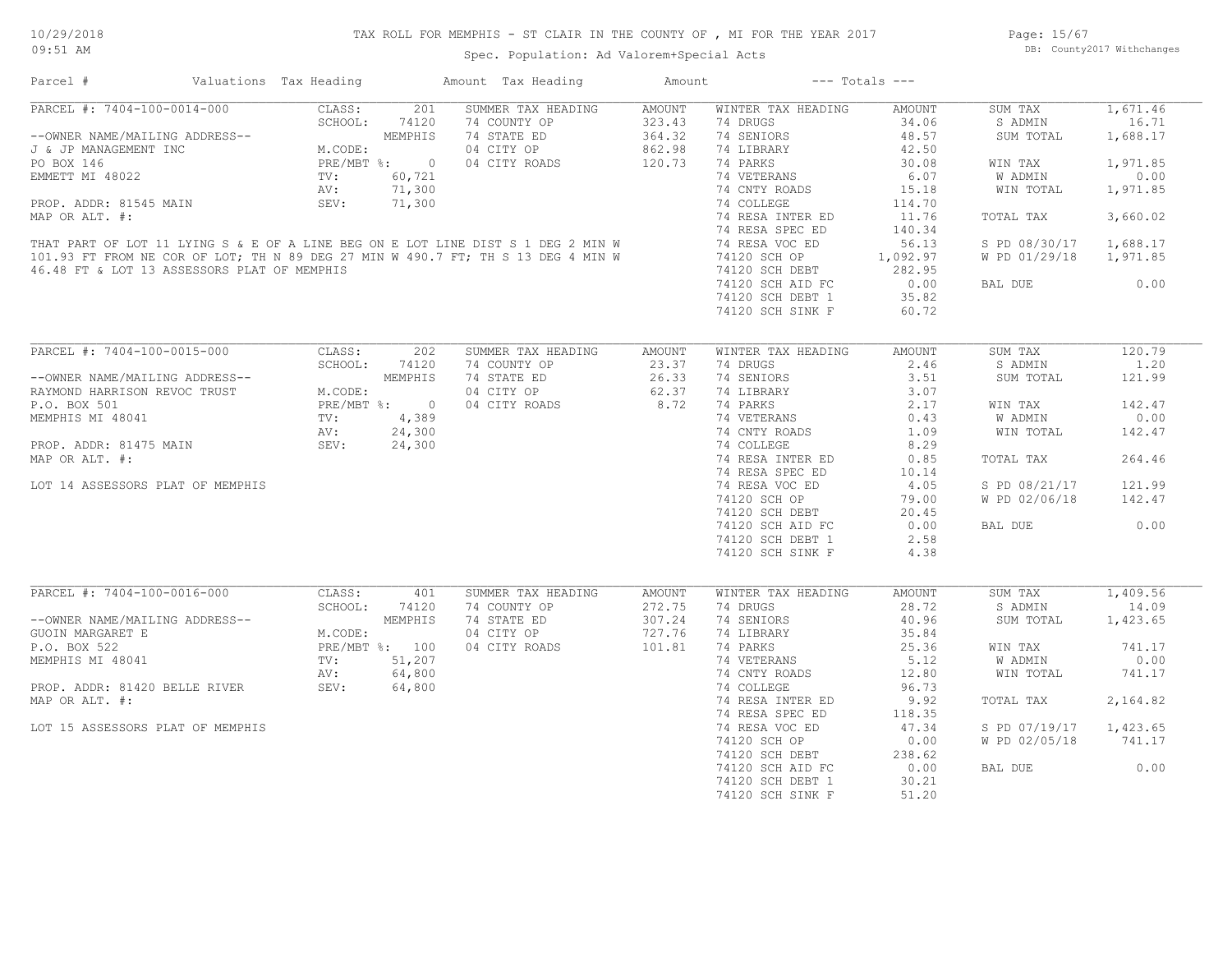# 10/29/2018

#### TAX ROLL FOR MEMPHIS - ST CLAIR IN THE COUNTY OF , MI FOR THE YEAR 2017

Page: 15/67 DB: County2017 Withchanges

### Parcel # Valuations Tax Heading Amount Tax Heading Amount --- Totals ---Spec. Population: Ad Valorem+Special Acts 09:51 AM 74120 SCH SINK F 60.72 74120 SCH DEBT 1 35.82 74120 SCH AID FC 0.00 BAL DUE 0.00 46.48 FT & LOT 13 ASSESSORS PLAT OF MEMPHIS 74120 SCH DEBT 282.95 101.93 FT FROM NE COR OF LOT; TH N 89 DEG 27 MIN W 490.7 FT; TH S 13 DEG 4 MIN W 74120 SCH OP 1,092.97 W PD 01/29/18 1,971.85 THAT PART OF LOT 11 LYING S & E OF A LINE BEG ON E LOT LINE DIST S 1 DEG 2 MIN W 74 RESA VOC ED 56.13 S PD 08/30/17 1,688.17 74 RESA SPEC ED 140.34 MAP OR ALT. #: 74 RESA INTER ED 11.76 TOTAL TAX 3,660.02 PROP. ADDR: 81545 MAIN SEV: 71,300 74 COLLEGE 114.70 AV: 71,300 74 CNTY ROADS 15.18 WIN TOTAL 1,971.85 EMMETT MI 48022 TV: 60,721 74 VETERANS 6.07 W ADMIN 0.00 PO BOX 146 PRE/MBT %: 0 04 CITY ROADS 120.73 74 PARKS 30.08 WIN TAX 1,971.85 J & JP MANAGEMENT INC M.CODE: 04 CITY OP 862.98 74 LIBRARY 42.50 --OWNER NAME/MAILING ADDRESS-- WEMPHIS 74 STATE ED 364.32 74 SENIORS 48.57 SUM TOTAL 1,688.17 SCHOOL: 74120 74 COUNTY OP 323.43 74 DRUGS 34.06 S ADMIN 16.71 PARCEL #: 7404-100-0014-000 CLASS: 201 SUMMER TAX HEADING AMOUNT WINTER TAX HEADING AMOUNT SUM TAX 1,671.46  $\mathcal{L}_\mathcal{L} = \mathcal{L}_\mathcal{L} = \mathcal{L}_\mathcal{L} = \mathcal{L}_\mathcal{L} = \mathcal{L}_\mathcal{L} = \mathcal{L}_\mathcal{L} = \mathcal{L}_\mathcal{L} = \mathcal{L}_\mathcal{L} = \mathcal{L}_\mathcal{L} = \mathcal{L}_\mathcal{L} = \mathcal{L}_\mathcal{L} = \mathcal{L}_\mathcal{L} = \mathcal{L}_\mathcal{L} = \mathcal{L}_\mathcal{L} = \mathcal{L}_\mathcal{L} = \mathcal{L}_\mathcal{L} = \mathcal{L}_\mathcal{L}$ P.O. BOX 501 PRE/MBT %: 0 04 CITY ROADS 8.72 74 PARKS 2.17 WIN TAX 142.47 RAYMOND HARRISON REVOC TRUST M.CODE: 04 CITY OP 62.37 74 LIBRARY 3.07 3.07 --OWNER NAME/MAILING ADDRESS-- MEMPHIS 74 STATE ED 26.33 74 SENIORS 3.51 SUM TOTAL 121.99 SCHOOL: 74120 74 COUNTY OP 23.37 74 DRUGS 2.46 S ADMIN 1.20 PARCEL #: 7404-100-0015-000 CLASS: 202 SUMMER TAX HEADING AMOUNT WINTER TAX HEADING AMOUNT SUM TAX 120.79 \_\_\_\_\_\_\_\_\_\_\_\_\_\_\_\_\_\_\_\_\_\_\_\_\_\_\_\_\_\_\_\_\_\_\_\_\_\_\_\_\_\_\_\_\_\_\_\_\_\_\_\_\_\_\_\_\_\_\_\_\_\_\_\_\_\_\_\_\_\_\_\_\_\_\_\_\_\_\_\_\_\_\_\_\_\_\_\_\_\_\_\_\_\_\_\_\_\_\_\_\_\_\_\_\_\_\_\_\_\_\_\_\_\_\_\_\_\_\_\_\_\_\_\_\_\_\_\_\_\_\_\_\_\_\_\_\_\_\_\_\_\_\_\_\_\_\_\_\_\_\_\_\_\_\_\_\_\_\_\_\_\_\_\_\_\_\_\_\_\_\_\_\_\_\_

|                                  |         |                | 74 RESA SPEC ED    |        | 10.14              |        |               |          |
|----------------------------------|---------|----------------|--------------------|--------|--------------------|--------|---------------|----------|
| LOT 14 ASSESSORS PLAT OF MEMPHIS |         |                |                    |        | 74 RESA VOC ED     | 4.05   | S PD 08/21/17 | 121.99   |
|                                  |         |                |                    |        | 74120 SCH OP       | 79.00  | W PD 02/06/18 | 142.47   |
|                                  |         |                |                    |        | 74120 SCH DEBT     | 20.45  |               |          |
|                                  |         |                |                    |        | 74120 SCH AID FC   | 0.00   | BAL DUE       | 0.00     |
|                                  |         |                |                    |        | 74120 SCH DEBT 1   | 2.58   |               |          |
|                                  |         |                |                    |        | 74120 SCH SINK F   | 4.38   |               |          |
|                                  |         |                |                    |        |                    |        |               |          |
| PARCEL #: 7404-100-0016-000      | CLASS:  | 401            | SUMMER TAX HEADING | AMOUNT | WINTER TAX HEADING | AMOUNT | SUM TAX       | 1,409.56 |
|                                  | SCHOOL: | 74120          |                    |        |                    | 28.72  |               | 14.09    |
|                                  |         |                | 74 COUNTY OP       | 272.75 | 74 DRUGS           |        | S ADMIN       |          |
| --OWNER NAME/MAILING ADDRESS--   |         | MEMPHIS        | 74 STATE ED        | 307.24 | 74 SENIORS         | 40.96  | SUM TOTAL     | 1,423.65 |
| GUOIN MARGARET E                 | M.CODE: |                | 04 CITY OP         | 727.76 | 74 LIBRARY         | 35.84  |               |          |
| P.O. BOX 522                     |         | PRE/MBT %: 100 | 04 CITY ROADS      | 101.81 | 74 PARKS           | 25.36  | WIN TAX       | 741.17   |
| MEMPHIS MI 48041                 | TV:     | 51,207         |                    |        | 74 VETERANS        | 5.12   | W ADMIN       | 0.00     |
|                                  | AV:     | 64,800         |                    |        | 74 CNTY ROADS      | 12.80  | WIN TOTAL     | 741.17   |
| PROP. ADDR: 81420 BELLE RIVER    | SEV:    | 64,800         |                    |        | 74 COLLEGE         | 96.73  |               |          |
| MAP OR ALT. #:                   |         |                |                    |        | 74 RESA INTER ED   | 9.92   | TOTAL TAX     | 2,164.82 |
|                                  |         |                |                    |        | 74 RESA SPEC ED    | 118.35 |               |          |
| LOT 15 ASSESSORS PLAT OF MEMPHIS |         |                |                    |        | 74 RESA VOC ED     | 47.34  | S PD 07/19/17 | 1,423.65 |
|                                  |         |                |                    |        | 74120 SCH OP       | 0.00   | W PD 02/05/18 | 741.17   |

74120 SCH AID FC 0.00 BAL DUE 0.00

74120 SCH OP 0.00 W PD 02/05/18 741.17

74120 SCH DEBT 1 30.21<br>74120 SCH STNK F 51.20

MAP OR ALT. #: THE SALT AND RESA INTER ED 264.46

 AV: 24,300 74 CNTY ROADS 1.09 WIN TOTAL 142.47 MEMPHIS MI 48041 TV: 4,389 74 VETERANS 0.43 W ADMIN 0.00

PROP. ADDR: 81475 MAIN SEV: 24,300 74 COLLEGE 8.29

74120 SCH SINK F 51.20

74120 SCH DEBT 238.62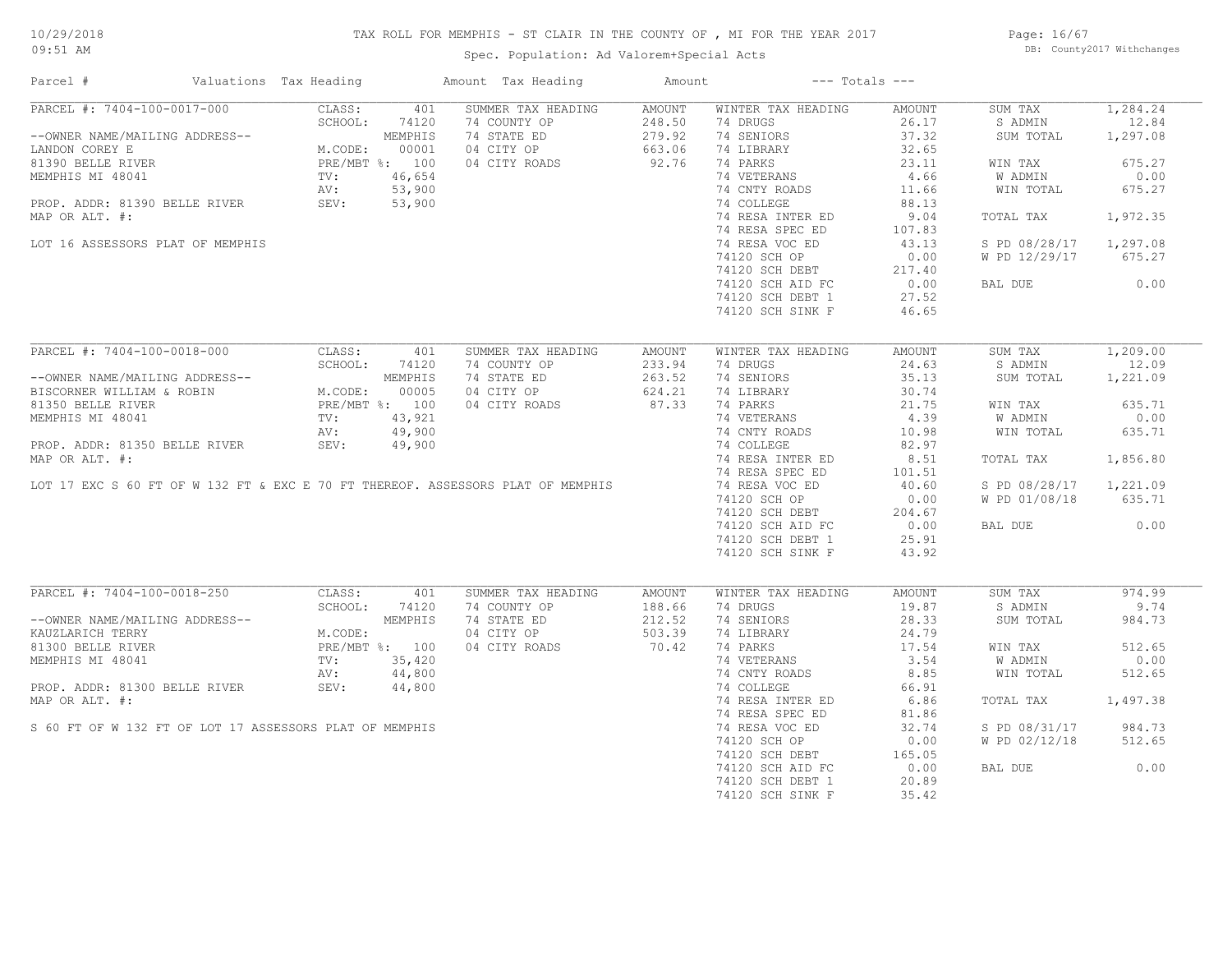# TAX ROLL FOR MEMPHIS - ST CLAIR IN THE COUNTY OF , MI FOR THE YEAR 2017

Spec. Population: Ad Valorem+Special Acts

Page: 16/67 DB: County2017 Withchanges

| Parcel #                                                                                                                                                                                                                                        | Valuations Tax Heading                                           |               | Amount Tax Heading                                                              | Amount                     | $---$ Totals $---$                                               |                   |                        |          |
|-------------------------------------------------------------------------------------------------------------------------------------------------------------------------------------------------------------------------------------------------|------------------------------------------------------------------|---------------|---------------------------------------------------------------------------------|----------------------------|------------------------------------------------------------------|-------------------|------------------------|----------|
| PARCEL #: 7404-100-0017-000                                                                                                                                                                                                                     | CLASS:                                                           | 401           | SUMMER TAX HEADING                                                              | AMOUNT                     | WINTER TAX HEADING                                               | AMOUNT            | SUM TAX                | 1,284.24 |
|                                                                                                                                                                                                                                                 | SCHOOL:                                                          | 74120         | 74 COUNTY OP                                                                    |                            | 74 DRUGS                                                         | 26.17             | S ADMIN                | 12.84    |
| --OWNER NAME/MAILING ADDRESS--<br>LANDON COREY E<br>81390 BELLE RIVER<br>81390 BELLE RIVER<br>MEMPHIS MI 48041<br>PROP. ADDR: 81390 BELLE RIVER<br>PROP. ADDR: 81390 BELLE RIVER<br>PROP. ADDR: 81390 BELLE RIVER<br>SEV: 53,900<br>PROP. ADDR: |                                                                  |               | 74 STATE ED                                                                     | 248.50<br>279.92<br>663.06 | 74 SENIORS                                                       | 37.32             | SUM TOTAL              | 1,297.08 |
|                                                                                                                                                                                                                                                 |                                                                  |               | 04 CITY OP                                                                      | 663.06                     | 74 LIBRARY                                                       | 32.65             |                        |          |
|                                                                                                                                                                                                                                                 |                                                                  |               | 04 CITY ROADS                                                                   | 92.76                      | 74 PARKS                                                         | 23.11             | WIN TAX                | 675.27   |
|                                                                                                                                                                                                                                                 |                                                                  |               |                                                                                 |                            | 74 VETERANS                                                      | 4.66              | W ADMIN                | 0.00     |
|                                                                                                                                                                                                                                                 |                                                                  |               |                                                                                 |                            | 74 CNTY ROADS                                                    | 11.66             | WIN TOTAL              | 675.27   |
|                                                                                                                                                                                                                                                 |                                                                  |               |                                                                                 |                            | 74 COLLEGE                                                       | 88.13             |                        |          |
| MAP OR ALT. #:                                                                                                                                                                                                                                  |                                                                  |               |                                                                                 |                            | 74 RESA INTER ED                                                 | 9.04              | TOTAL TAX              | 1,972.35 |
|                                                                                                                                                                                                                                                 |                                                                  |               |                                                                                 |                            | 74 RESA SPEC ED                                                  | 107.83            |                        |          |
| LOT 16 ASSESSORS PLAT OF MEMPHIS                                                                                                                                                                                                                |                                                                  |               |                                                                                 |                            | 74 RESA VOC ED                                                   | 43.13             | S PD 08/28/17 1,297.08 |          |
|                                                                                                                                                                                                                                                 |                                                                  |               |                                                                                 |                            | 74120 SCH OP                                                     | 0.00              | W PD 12/29/17 675.27   |          |
|                                                                                                                                                                                                                                                 |                                                                  |               |                                                                                 |                            |                                                                  | 217.40            |                        |          |
|                                                                                                                                                                                                                                                 |                                                                  |               |                                                                                 |                            | $74120$ SCH DEBT<br>74120 SCH AID FC                             | 0.00              | BAL DUE                | 0.00     |
|                                                                                                                                                                                                                                                 |                                                                  |               |                                                                                 |                            | 74120 SCH DEBT 1                                                 | 27.52             |                        |          |
|                                                                                                                                                                                                                                                 |                                                                  |               |                                                                                 |                            |                                                                  | 46.65             |                        |          |
|                                                                                                                                                                                                                                                 |                                                                  |               |                                                                                 |                            | 74120 SCH SINK F                                                 |                   |                        |          |
| PARCEL #: 7404-100-0018-000                                                                                                                                                                                                                     | CLASS:                                                           | 401           | SUMMER TAX HEADING                                                              | AMOUNT                     | WINTER TAX HEADING                                               | AMOUNT            | SUM TAX                | 1,209.00 |
|                                                                                                                                                                                                                                                 |                                                                  |               |                                                                                 |                            |                                                                  |                   |                        |          |
|                                                                                                                                                                                                                                                 |                                                                  |               | 74 COUNTY OP                                                                    | 233.94                     | 74 DRUGS                                                         | 24.63             | S ADMIN                | 12.09    |
|                                                                                                                                                                                                                                                 |                                                                  |               | 74 STATE ED                                                                     | 263.52                     | 74 SENIORS                                                       | 35.13             | SUM TOTAL              | 1,221.09 |
|                                                                                                                                                                                                                                                 |                                                                  |               | 04 CITY OP                                                                      | 624.21                     | 74 LIBRARY                                                       | 30.74             |                        |          |
|                                                                                                                                                                                                                                                 |                                                                  |               | 04 CITY ROADS                                                                   | 87.33                      | 74 PARKS                                                         | $21.75$<br>$4.39$ | WIN TAX                | 635.71   |
|                                                                                                                                                                                                                                                 |                                                                  |               |                                                                                 |                            | 74 VETERANS                                                      |                   | W ADMIN                | 0.00     |
|                                                                                                                                                                                                                                                 |                                                                  |               |                                                                                 |                            | 74 CNTY ROADS                                                    | 10.98             | WIN TOTAL              | 635.71   |
| PROP. ADDR: 81350 BELLE RIVER                                                                                                                                                                                                                   | SEV:                                                             | 49,900        |                                                                                 |                            | 74 COLLEGE                                                       | 82.97             |                        |          |
| MAP OR ALT. #:                                                                                                                                                                                                                                  |                                                                  |               |                                                                                 |                            | 74 RESA INTER ED                                                 | 8.51              | TOTAL TAX              | 1,856.80 |
|                                                                                                                                                                                                                                                 |                                                                  |               |                                                                                 |                            | 74 RESA SPEC ED                                                  | 101.51<br>40.60   |                        |          |
|                                                                                                                                                                                                                                                 |                                                                  |               | LOT 17 EXC S 60 FT OF W 132 FT & EXC E 70 FT THEREOF. ASSESSORS PLAT OF MEMPHIS |                            | 74 RESA VOC ED                                                   |                   | S PD 08/28/17          | 1,221.09 |
|                                                                                                                                                                                                                                                 |                                                                  |               |                                                                                 |                            | 74120 SCH OP<br>74120 SCH DEBT 204.67<br>2010 - 2011 ATD FC 0.00 |                   | W PD 01/08/18          | 635.71   |
|                                                                                                                                                                                                                                                 |                                                                  |               |                                                                                 |                            |                                                                  |                   |                        |          |
|                                                                                                                                                                                                                                                 |                                                                  |               |                                                                                 |                            |                                                                  |                   | BAL DUE                | 0.00     |
|                                                                                                                                                                                                                                                 |                                                                  |               |                                                                                 |                            | 74120 SCH DEBT 1                                                 | 25.91             |                        |          |
|                                                                                                                                                                                                                                                 |                                                                  |               |                                                                                 |                            | 74120 SCH SINK F                                                 | 43.92             |                        |          |
|                                                                                                                                                                                                                                                 |                                                                  |               |                                                                                 |                            |                                                                  |                   |                        |          |
| PARCEL #: 7404-100-0018-250 CLASS:                                                                                                                                                                                                              |                                                                  | 401           |                                                                                 |                            | WINTER TAX HEADING                                               | AMOUNT            | SUM TAX                | 974.99   |
|                                                                                                                                                                                                                                                 |                                                                  | SCHOOL: 74120 |                                                                                 |                            | 74 DRUGS                                                         | 19.87             | S ADMIN                | 9.74     |
| --OWNER NAME/MAILING ADDRESS--                                                                                                                                                                                                                  | M.CODE:<br>M.CODE:<br>PRE/MBT %: 100<br>TV: 35,420<br>TV: 44,800 |               |                                                                                 |                            | 74 SENIORS                                                       | 28.33             | SUM TOTAL              | 984.73   |
| KAUZLARICH TERRY                                                                                                                                                                                                                                |                                                                  |               |                                                                                 |                            | 74 LIBRARY                                                       | 24.79             |                        |          |
| 81300 BELLE RIVER                                                                                                                                                                                                                               |                                                                  |               | 04 CITY ROADS                                                                   | 70.42                      | 74 PARKS                                                         | 17.54             | WIN TAX                | 512.65   |
| MEMPHIS MI 48041                                                                                                                                                                                                                                |                                                                  |               |                                                                                 |                            | 74 VETERANS                                                      | 3.54              | W ADMIN                | 0.00     |
|                                                                                                                                                                                                                                                 | AV:                                                              | 44,800        |                                                                                 |                            | 74 CNTY ROADS                                                    | 8.85              | WIN TOTAL              | 512.65   |
| PROP. ADDR: 81300 BELLE RIVER                                                                                                                                                                                                                   | SEV:                                                             | 44,800        |                                                                                 |                            | 74 COLLEGE                                                       | 66.91             |                        |          |
| MAP OR ALT. #:                                                                                                                                                                                                                                  |                                                                  |               |                                                                                 |                            | 74 RESA INTER ED                                                 | 6.86              | TOTAL TAX              | 1,497.38 |
|                                                                                                                                                                                                                                                 |                                                                  |               |                                                                                 |                            | 74 RESA SPEC ED                                                  | 81.86             |                        |          |
| S 60 FT OF W 132 FT OF LOT 17 ASSESSORS PLAT OF MEMPHIS                                                                                                                                                                                         |                                                                  |               |                                                                                 |                            | 74 RESA VOC ED                                                   | 32.74             | S PD 08/31/17          | 984.73   |
|                                                                                                                                                                                                                                                 |                                                                  |               |                                                                                 |                            | 74120 SCH OP                                                     | 0.00              | W PD 02/12/18          | 512.65   |
|                                                                                                                                                                                                                                                 |                                                                  |               |                                                                                 |                            | 74120 SCH DEBT                                                   | 165.05            |                        |          |
|                                                                                                                                                                                                                                                 |                                                                  |               |                                                                                 |                            |                                                                  | 0.00              | BAL DUE                | 0.00     |
|                                                                                                                                                                                                                                                 |                                                                  |               |                                                                                 |                            | 74120 SCH AID FC<br>74120 SCH DEBT 1                             | 20.89             |                        |          |
|                                                                                                                                                                                                                                                 |                                                                  |               |                                                                                 |                            |                                                                  |                   |                        |          |
|                                                                                                                                                                                                                                                 |                                                                  |               |                                                                                 |                            | 74120 SCH SINK F                                                 | 35.42             |                        |          |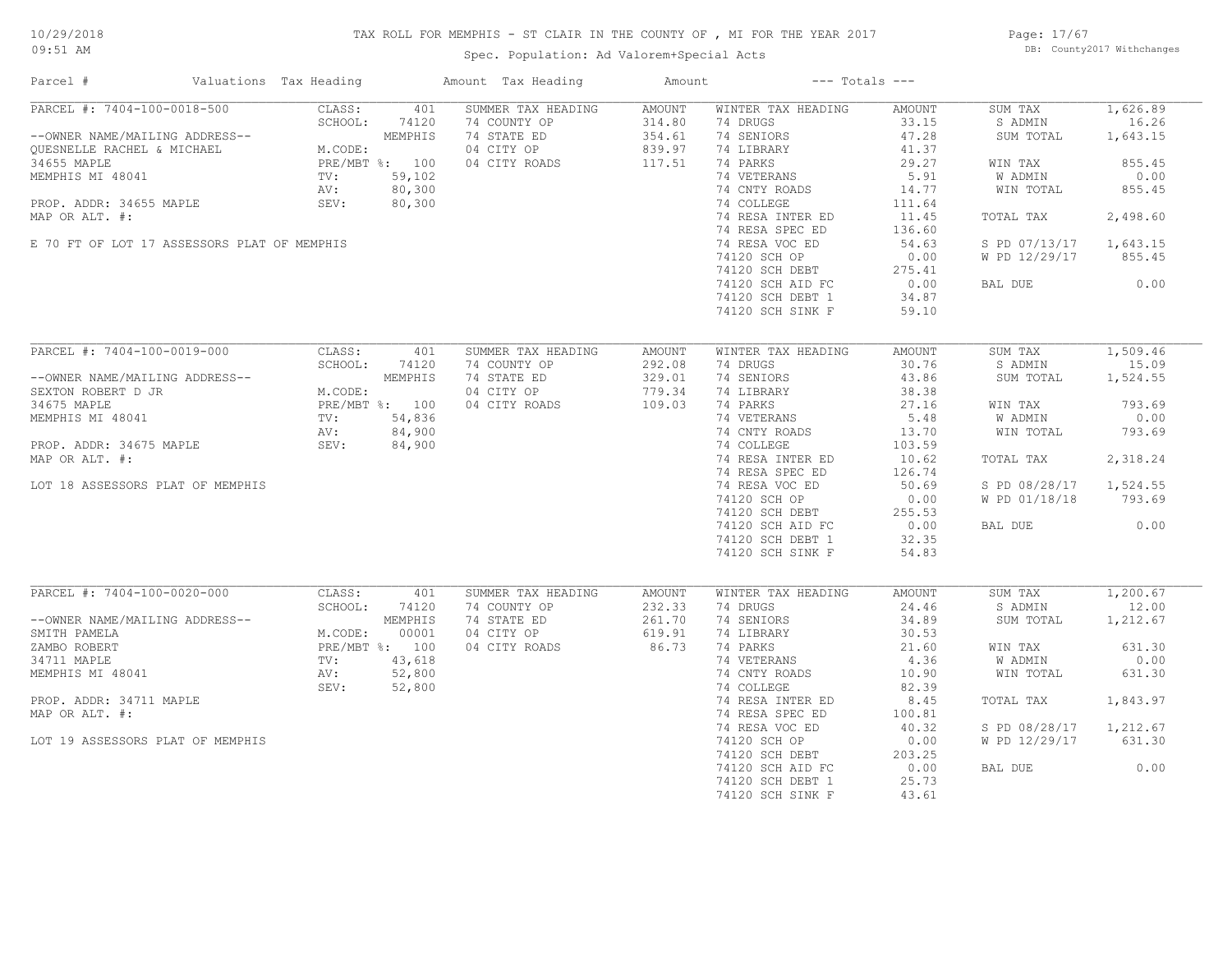# TAX ROLL FOR MEMPHIS - ST CLAIR IN THE COUNTY OF , MI FOR THE YEAR 2017

Spec. Population: Ad Valorem+Special Acts

Page: 17/67 DB: County2017 Withchanges

| Parcel #                                                     | Valuations Tax Heading |              | Amount Tax Heading                 | Amount                  |                                      | $---$ Totals $---$ |                    |                   |
|--------------------------------------------------------------|------------------------|--------------|------------------------------------|-------------------------|--------------------------------------|--------------------|--------------------|-------------------|
| PARCEL #: 7404-100-0018-500                                  | CLASS:<br>SCHOOL:      | 401<br>74120 | SUMMER TAX HEADING<br>74 COUNTY OP | <b>AMOUNT</b><br>314.80 | WINTER TAX HEADING<br>74 DRUGS       | AMOUNT<br>33.15    | SUM TAX<br>S ADMIN | 1,626.89<br>16.26 |
| --OWNER NAME/MAILING ADDRESS--<br>OUESNELLE RACHEL & MICHAEL | M.CODE:                | MEMPHIS      | 74 STATE ED<br>04 CITY OP          | 354.61<br>839.97        | 74 SENIORS<br>74 LIBRARY             | 47.28<br>41.37     | SUM TOTAL          | 1,643.15          |
| 34655 MAPLE                                                  | PRE/MBT %: 100         |              | 04 CITY ROADS                      | 117.51                  | 74 PARKS                             | 29.27              | WIN TAX            | 855.45            |
| MEMPHIS MI 48041                                             | TV:                    | 59,102       |                                    |                         | 74 VETERANS                          | 5.91               | <b>W ADMIN</b>     | 0.00              |
|                                                              | AV:                    | 80,300       |                                    |                         | 74 CNTY ROADS                        | 14.77              | WIN TOTAL          | 855.45            |
| PROP. ADDR: 34655 MAPLE                                      | SEV:                   | 80,300       |                                    |                         | 74 COLLEGE                           | 111.64             |                    |                   |
| MAP OR ALT. #:                                               |                        |              |                                    |                         | 74 RESA INTER ED                     | 11.45              | TOTAL TAX          | 2,498.60          |
|                                                              |                        |              |                                    |                         | 74 RESA SPEC ED                      | 136.60             |                    |                   |
| E 70 FT OF LOT 17 ASSESSORS PLAT OF MEMPHIS                  |                        |              |                                    |                         | 74 RESA VOC ED                       | 54.63              | S PD 07/13/17      | 1,643.15          |
|                                                              |                        |              |                                    |                         | 74120 SCH OP                         | 0.00               | W PD 12/29/17      | 855.45            |
|                                                              |                        |              |                                    |                         | 74120 SCH DEBT                       | 275.41             |                    |                   |
|                                                              |                        |              |                                    |                         | 74120 SCH AID FC                     | 0.00               | BAL DUE            | 0.00              |
|                                                              |                        |              |                                    |                         | 74120 SCH DEBT 1                     | 34.87              |                    |                   |
|                                                              |                        |              |                                    |                         | 74120 SCH SINK F                     | 59.10              |                    |                   |
|                                                              |                        |              |                                    |                         |                                      |                    |                    |                   |
| PARCEL #: 7404-100-0019-000                                  | CLASS:                 | 401          | SUMMER TAX HEADING                 | AMOUNT                  | WINTER TAX HEADING                   | AMOUNT             | SUM TAX            | 1,509.46          |
|                                                              | SCHOOL:                | 74120        | 74 COUNTY OP                       | 292.08                  | 74 DRUGS                             | 30.76              | S ADMIN            | 15.09             |
| --OWNER NAME/MAILING ADDRESS--                               |                        | MEMPHIS      | 74 STATE ED                        | 329.01                  | 74 SENIORS                           | 43.86              | SUM TOTAL          | 1,524.55          |
| SEXTON ROBERT D JR                                           | M.CODE:                |              | 04 CITY OP                         | 779.34                  | 74 LIBRARY                           | 38.38              |                    |                   |
| 34675 MAPLE                                                  | PRE/MBT %: 100         |              | 04 CITY ROADS                      | 109.03                  | 74 PARKS                             | 27.16              | WIN TAX            | 793.69            |
| MEMPHIS MI 48041                                             | TV:                    | 54,836       |                                    |                         | 74 VETERANS                          | 5.48               | W ADMIN            | 0.00              |
|                                                              | AV:                    | 84,900       |                                    |                         | 74 CNTY ROADS                        | 13.70              | WIN TOTAL          | 793.69            |
| PROP. ADDR: 34675 MAPLE                                      | SEV:                   | 84,900       |                                    |                         | 74 COLLEGE                           | 103.59             |                    |                   |
| MAP OR ALT. #:                                               |                        |              |                                    |                         | 74 RESA INTER ED                     | 10.62              | TOTAL TAX          | 2,318.24          |
|                                                              |                        |              |                                    |                         | 74 RESA SPEC ED                      | 126.74             |                    |                   |
| LOT 18 ASSESSORS PLAT OF MEMPHIS                             |                        |              |                                    |                         | 74 RESA VOC ED                       | 50.69              | S PD 08/28/17      | 1,524.55          |
|                                                              |                        |              |                                    |                         | 74120 SCH OP                         | 0.00               | W PD 01/18/18      | 793.69            |
|                                                              |                        |              |                                    |                         | 74120 SCH DEBT                       | 255.53<br>0.00     | BAL DUE            | 0.00              |
|                                                              |                        |              |                                    |                         | 74120 SCH AID FC<br>74120 SCH DEBT 1 | 32.35              |                    |                   |
|                                                              |                        |              |                                    |                         | 74120 SCH SINK F                     | 54.83              |                    |                   |
|                                                              |                        |              |                                    |                         |                                      |                    |                    |                   |
| PARCEL #: 7404-100-0020-000                                  | CLASS:                 | 401          | SUMMER TAX HEADING                 | AMOUNT                  | WINTER TAX HEADING                   | AMOUNT             | SUM TAX            | 1,200.67          |
|                                                              | SCHOOL:                | 74120        | 74 COUNTY OP                       | 232.33                  | 74 DRUGS                             | 24.46              | S ADMIN            | 12.00             |
| --OWNER NAME/MAILING ADDRESS--                               |                        | MEMPHIS      | 74 STATE ED                        | 261.70                  | 74 SENIORS                           | 34.89              | SUM TOTAL          | 1,212.67          |
| SMITH PAMELA                                                 | M.CODE:                | 00001        | 04 CITY OP                         | 619.91                  | 74 LIBRARY                           | 30.53              |                    |                   |
| ZAMBO ROBERT                                                 | PRE/MBT %: 100         |              | 04 CITY ROADS                      | 86.73                   | 74 PARKS                             | 21.60              | WIN TAX            | 631.30            |
| 34711 MAPLE                                                  | TV:                    | 43,618       |                                    |                         | 74 VETERANS                          | 4.36               | W ADMIN            | 0.00              |
| MEMPHIS MI 48041                                             | AV:                    | 52,800       |                                    |                         | 74 CNTY ROADS                        | 10.90              | WIN TOTAL          | 631.30            |
|                                                              | SEV:                   | 52,800       |                                    |                         | 74 COLLEGE                           | 82.39              |                    |                   |
| PROP. ADDR: 34711 MAPLE                                      |                        |              |                                    |                         | 74 RESA INTER ED                     | 8.45               | TOTAL TAX          | 1,843.97          |
| MAP OR ALT. #:                                               |                        |              |                                    |                         | 74 RESA SPEC ED                      | 100.81             |                    |                   |
|                                                              |                        |              |                                    |                         | 74 RESA VOC ED                       | 40.32              | S PD 08/28/17      | 1,212.67          |
| LOT 19 ASSESSORS PLAT OF MEMPHIS                             |                        |              |                                    |                         | 74120 SCH OP                         | 0.00               | W PD 12/29/17      | 631.30            |
|                                                              |                        |              |                                    |                         | 74120 SCH DEBT                       | 203.25             |                    |                   |
|                                                              |                        |              |                                    |                         | 74120 SCH AID FC                     | 0.00               | BAL DUE            | 0.00              |
|                                                              |                        |              |                                    |                         | 74120 SCH DEBT 1                     | 25.73              |                    |                   |
|                                                              |                        |              |                                    |                         | 74120 SCH SINK F                     | 43.61              |                    |                   |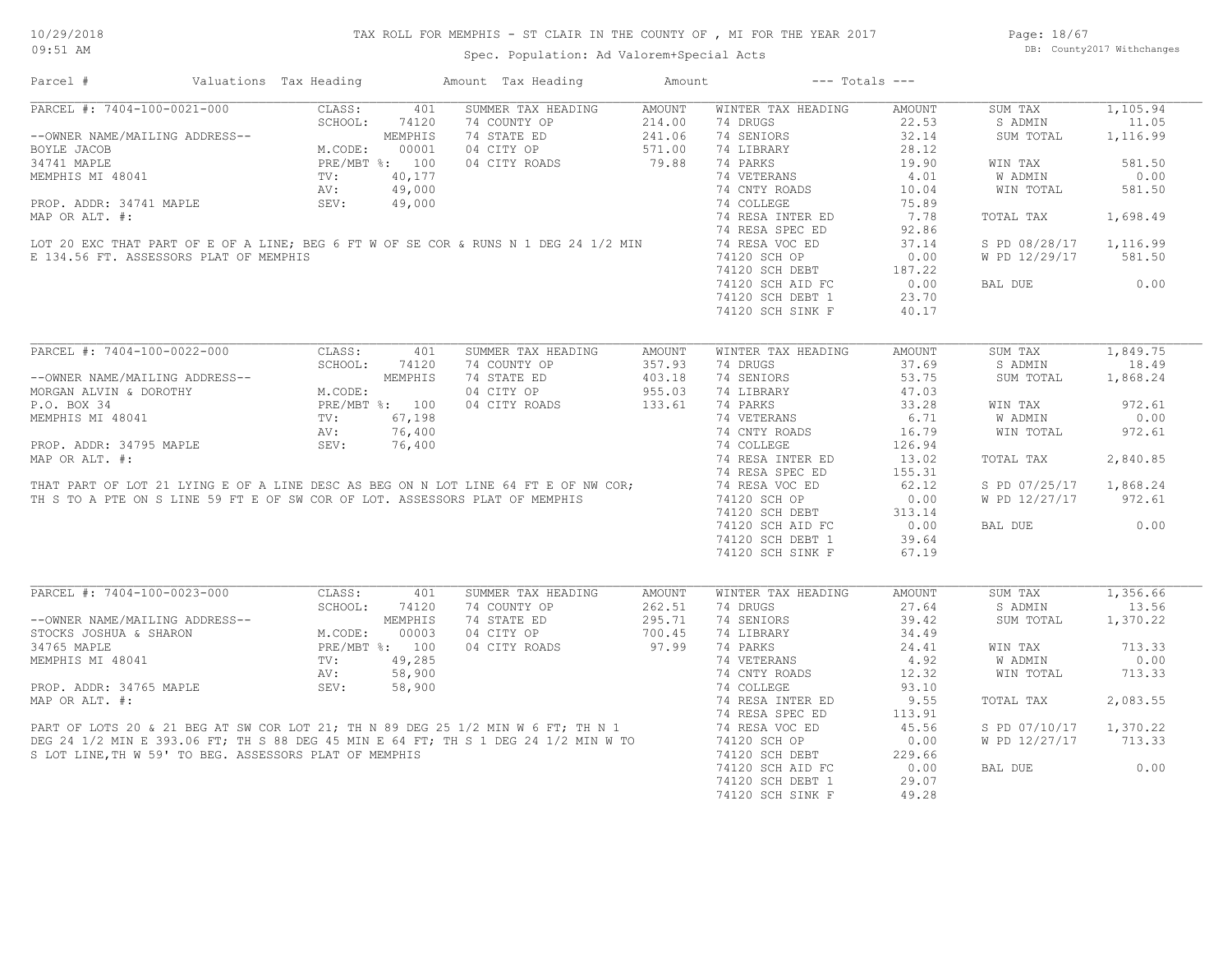Page: 18/67 DB: County2017 Withchanges

| Parcel #                                                                                                                                                                                                                                                                                                                                                                                                                                             | Valuations Tax Heading                                                                |       | Amount Tax Heading                                                                                                                                                                                                                                                                                                                                                                                                         | Amount | $---$ Totals $---$                                           |               |                        |          |
|------------------------------------------------------------------------------------------------------------------------------------------------------------------------------------------------------------------------------------------------------------------------------------------------------------------------------------------------------------------------------------------------------------------------------------------------------|---------------------------------------------------------------------------------------|-------|----------------------------------------------------------------------------------------------------------------------------------------------------------------------------------------------------------------------------------------------------------------------------------------------------------------------------------------------------------------------------------------------------------------------------|--------|--------------------------------------------------------------|---------------|------------------------|----------|
| PARCEL #: 7404-100-0021-000                                                                                                                                                                                                                                                                                                                                                                                                                          | CLASS:                                                                                | 401   | SUMMER TAX HEADING                                                                                                                                                                                                                                                                                                                                                                                                         | AMOUNT | WINTER TAX HEADING                                           | AMOUNT        | SUM TAX                | 1,105.94 |
|                                                                                                                                                                                                                                                                                                                                                                                                                                                      | SCHOOL:                                                                               | 74120 | 74 COUNTY OP                                                                                                                                                                                                                                                                                                                                                                                                               | 214.00 | 74 DRUGS                                                     | 22.53         | S ADMIN                | 11.05    |
| --OWNER NAME/MAILING ADDRESS--                                                                                                                                                                                                                                                                                                                                                                                                                       | MEMPHIS<br>M.CODE: 00001<br>PRE/MBT %: 100<br>TV: 40,177<br>AV: 49,000<br>CIV: 49,000 |       | 74 STATE ED                                                                                                                                                                                                                                                                                                                                                                                                                | 241.06 | 74 SENIORS                                                   | 32.14         | SUM TOTAL              | 1,116.99 |
| BOYLE JACOB                                                                                                                                                                                                                                                                                                                                                                                                                                          |                                                                                       |       | 04 CITY OP                                                                                                                                                                                                                                                                                                                                                                                                                 | 571.00 | 74 LIBRARY                                                   | 28.12         |                        |          |
| 34741 MAPLE                                                                                                                                                                                                                                                                                                                                                                                                                                          |                                                                                       |       | 04 CITY ROADS                                                                                                                                                                                                                                                                                                                                                                                                              | 79.88  | 74 PARKS                                                     | 19.90         | WIN TAX                | 581.50   |
|                                                                                                                                                                                                                                                                                                                                                                                                                                                      |                                                                                       |       |                                                                                                                                                                                                                                                                                                                                                                                                                            |        | 74 VETERANS                                                  | 4.01          | W ADMIN                | 0.00     |
|                                                                                                                                                                                                                                                                                                                                                                                                                                                      |                                                                                       |       |                                                                                                                                                                                                                                                                                                                                                                                                                            |        | 74 CNTY ROADS                                                | 10.04         | WIN TOTAL              | 581.50   |
|                                                                                                                                                                                                                                                                                                                                                                                                                                                      |                                                                                       |       |                                                                                                                                                                                                                                                                                                                                                                                                                            |        | 74 COLLEGE                                                   | 75.89         |                        |          |
|                                                                                                                                                                                                                                                                                                                                                                                                                                                      |                                                                                       |       | MEMPHIS MI 48041<br>MEMPHIS MI 48041<br>PROP. ADDR: 34741 MAPLE<br>MAP OR ALT. #:<br>LOT 20 EXC THAT PART OF E OF A LINE; BEG 6 FT W OF SE COR & RUNS N 1 DEG 24 1/2 MIN<br>FRAME OF A CONSIGNORY NAME OR MEMPHINE                                                                                                                                                                                                         |        | 74 RESA INTER ED                                             | 7.78          | TOTAL TAX              | 1,698.49 |
|                                                                                                                                                                                                                                                                                                                                                                                                                                                      |                                                                                       |       |                                                                                                                                                                                                                                                                                                                                                                                                                            |        | 74 RESA SPEC ED                                              | 92.86         |                        |          |
|                                                                                                                                                                                                                                                                                                                                                                                                                                                      |                                                                                       |       |                                                                                                                                                                                                                                                                                                                                                                                                                            |        | 74 RESA VOC ED                                               | 37.14         | S PD 08/28/17          | 1,116.99 |
| E 134.56 FT. ASSESSORS PLAT OF MEMPHIS                                                                                                                                                                                                                                                                                                                                                                                                               |                                                                                       |       |                                                                                                                                                                                                                                                                                                                                                                                                                            |        |                                                              |               | W PD 12/29/17          | 581.50   |
|                                                                                                                                                                                                                                                                                                                                                                                                                                                      |                                                                                       |       |                                                                                                                                                                                                                                                                                                                                                                                                                            |        |                                                              |               |                        |          |
|                                                                                                                                                                                                                                                                                                                                                                                                                                                      |                                                                                       |       |                                                                                                                                                                                                                                                                                                                                                                                                                            |        | 74120 SCH OF<br>74120 SCH DEBT 187.22<br>20 COUP ATD FC 0.00 |               |                        | 0.00     |
|                                                                                                                                                                                                                                                                                                                                                                                                                                                      |                                                                                       |       |                                                                                                                                                                                                                                                                                                                                                                                                                            |        |                                                              |               | BAL DUE                |          |
|                                                                                                                                                                                                                                                                                                                                                                                                                                                      |                                                                                       |       |                                                                                                                                                                                                                                                                                                                                                                                                                            |        | 74120 SCH DEBT 1                                             | 23.70         |                        |          |
|                                                                                                                                                                                                                                                                                                                                                                                                                                                      |                                                                                       |       |                                                                                                                                                                                                                                                                                                                                                                                                                            |        | 74120 SCH SINK F                                             | 40.17         |                        |          |
| PARCEL #: 7404-100-0022-000                                                                                                                                                                                                                                                                                                                                                                                                                          | CLASS:                                                                                | 401   | SUMMER TAX HEADING                                                                                                                                                                                                                                                                                                                                                                                                         | AMOUNT | WINTER TAX HEADING                                           | <b>AMOUNT</b> | SUM TAX                | 1,849.75 |
|                                                                                                                                                                                                                                                                                                                                                                                                                                                      | SCHOOL:                                                                               | 74120 | 74 COUNTY OP                                                                                                                                                                                                                                                                                                                                                                                                               | 357.93 | 74 DRUGS                                                     | 37.69         | S ADMIN                | 18.49    |
| --OWNER NAME/MAILING ADDRESS--<br>MORGAN ALVIN & DOROTHY<br>P.O. BOX 34<br>MEMPHIS MI 48041<br>MEMPHIS MI 48041<br>PROP. ADDR: 34795 MAPLE<br>MASTROP. ADDR: 34795 MAPLE<br>MASTROP. ADDR: 34795 MAPLE<br>MASTROP. ADDR: 34795 MAPLE<br>MASTROP.                                                                                                                                                                                                     |                                                                                       |       | 74 STATE ED                                                                                                                                                                                                                                                                                                                                                                                                                | 403.18 | 74 SENIORS                                                   | 53.75         | SUM TOTAL              | 1,868.24 |
|                                                                                                                                                                                                                                                                                                                                                                                                                                                      |                                                                                       |       | 04 CITY OP                                                                                                                                                                                                                                                                                                                                                                                                                 | 955.03 | 74 LIBRARY                                                   | 47.03         |                        |          |
|                                                                                                                                                                                                                                                                                                                                                                                                                                                      |                                                                                       |       | 04 CITY ROADS                                                                                                                                                                                                                                                                                                                                                                                                              | 133.61 | 74 PARKS                                                     | 33.28         | WIN TAX                | 972.61   |
|                                                                                                                                                                                                                                                                                                                                                                                                                                                      |                                                                                       |       |                                                                                                                                                                                                                                                                                                                                                                                                                            |        | 74 VETERANS                                                  | 6.71          |                        | 0.00     |
|                                                                                                                                                                                                                                                                                                                                                                                                                                                      |                                                                                       |       |                                                                                                                                                                                                                                                                                                                                                                                                                            |        |                                                              |               | W ADMIN                |          |
|                                                                                                                                                                                                                                                                                                                                                                                                                                                      |                                                                                       |       | $\begin{tabular}{lllllllllllllllllll} \textsc{MEMPHIS} & \textsc{M1} & \textsc{48041} & \textsc{TV:} & \textsc{67,198} & \textsc{74} & \textsc{200} \\ \textsc{PROP.} & \textsc{ADDR: } 34795 \text{ MAPLE} & \textsc{SEV:} & 76,400 & & 74 \text{ COLLEGE} \\ \textsc{MAP OR ALT. } & \textsc{#:} & & 76,400 & & 74 \text{ RESA INTER EI} \\ \textsc{MAP OR ALT. } & \textsc{#:} & & 74 \text{ RESA INTER EI} \\ \textsc$ |        |                                                              | 16.79         | WIN TOTAL              | 972.61   |
|                                                                                                                                                                                                                                                                                                                                                                                                                                                      |                                                                                       |       |                                                                                                                                                                                                                                                                                                                                                                                                                            |        |                                                              | 126.94        |                        |          |
|                                                                                                                                                                                                                                                                                                                                                                                                                                                      |                                                                                       |       |                                                                                                                                                                                                                                                                                                                                                                                                                            |        | 74 RESA INTER ED                                             | 13.02         | TOTAL TAX              | 2,840.85 |
|                                                                                                                                                                                                                                                                                                                                                                                                                                                      |                                                                                       |       |                                                                                                                                                                                                                                                                                                                                                                                                                            |        | 74 RESA SPEC ED                                              | 155.31        |                        |          |
|                                                                                                                                                                                                                                                                                                                                                                                                                                                      |                                                                                       |       |                                                                                                                                                                                                                                                                                                                                                                                                                            |        |                                                              | 62.12         | S PD 07/25/17          | 1,868.24 |
|                                                                                                                                                                                                                                                                                                                                                                                                                                                      |                                                                                       |       |                                                                                                                                                                                                                                                                                                                                                                                                                            |        | 74120 SCH OP                                                 | 0.00          | W PD 12/27/17          | 972.61   |
|                                                                                                                                                                                                                                                                                                                                                                                                                                                      |                                                                                       |       |                                                                                                                                                                                                                                                                                                                                                                                                                            |        | 74120 SCH DEBT                                               | 313.14        |                        |          |
|                                                                                                                                                                                                                                                                                                                                                                                                                                                      |                                                                                       |       |                                                                                                                                                                                                                                                                                                                                                                                                                            |        | 74120 SCH AID FC                                             | 0.00          | BAL DUE                | 0.00     |
|                                                                                                                                                                                                                                                                                                                                                                                                                                                      |                                                                                       |       |                                                                                                                                                                                                                                                                                                                                                                                                                            |        | 74120 SCH DEBT 1                                             | 39.64         |                        |          |
|                                                                                                                                                                                                                                                                                                                                                                                                                                                      |                                                                                       |       |                                                                                                                                                                                                                                                                                                                                                                                                                            |        | 74120 SCH SINK F                                             | 67.19         |                        |          |
| $\begin{tabular}{lllllllllll} \hline \texttt{ArCEL &\#: } & 7404-100-0023-000 & & \texttt{CLASS:} & & & \\ & & & & & & & & \\ \hline \texttt{--OWNER NAME/MAILING ADDRESS--} & & & & & & & \texttt{MEMPIS} & \\ \texttt{--ONNER NAME/MAILING ADDRESS--} & & & & & & & \texttt{MEMPIS} & \\ \texttt{--OTCKS JOSHUA & S HARON} & & & & & & & \texttt{M.CODE:} & 00003 & \\ & & & & & & & & & \texttt{PRZ/MBT & 8:} & 100 & \\ & & & & & & & & & \text$ |                                                                                       |       |                                                                                                                                                                                                                                                                                                                                                                                                                            |        |                                                              |               |                        |          |
|                                                                                                                                                                                                                                                                                                                                                                                                                                                      |                                                                                       |       | SUMMER TAX HEADING                                                                                                                                                                                                                                                                                                                                                                                                         | AMOUNT | WINTER TAX HEADING                                           | AMOUNT        | SUM TAX                | 1,356.66 |
|                                                                                                                                                                                                                                                                                                                                                                                                                                                      |                                                                                       |       | 74 COUNTY OP                                                                                                                                                                                                                                                                                                                                                                                                               | 262.51 | 74 DRUGS                                                     | 27.64         | S ADMIN                | 13.56    |
|                                                                                                                                                                                                                                                                                                                                                                                                                                                      |                                                                                       |       | 74 STATE ED                                                                                                                                                                                                                                                                                                                                                                                                                | 295.71 | 74 SENIORS                                                   | 39.42         | SUM TOTAL              | 1,370.22 |
|                                                                                                                                                                                                                                                                                                                                                                                                                                                      |                                                                                       |       | 04 CITY OP                                                                                                                                                                                                                                                                                                                                                                                                                 | 700.45 | 74 LIBRARY                                                   | 34.49         |                        |          |
|                                                                                                                                                                                                                                                                                                                                                                                                                                                      |                                                                                       |       | 04 CITY ROADS                                                                                                                                                                                                                                                                                                                                                                                                              | 97.99  | 74 PARKS                                                     | 24.41         | WIN TAX                | 713.33   |
|                                                                                                                                                                                                                                                                                                                                                                                                                                                      |                                                                                       |       |                                                                                                                                                                                                                                                                                                                                                                                                                            |        |                                                              | 4.92          | W ADMIN                | 0.00     |
|                                                                                                                                                                                                                                                                                                                                                                                                                                                      |                                                                                       |       |                                                                                                                                                                                                                                                                                                                                                                                                                            |        |                                                              | 12.32         | WIN TOTAL              | 713.33   |
|                                                                                                                                                                                                                                                                                                                                                                                                                                                      |                                                                                       |       |                                                                                                                                                                                                                                                                                                                                                                                                                            |        |                                                              | 93.10         |                        |          |
|                                                                                                                                                                                                                                                                                                                                                                                                                                                      |                                                                                       |       |                                                                                                                                                                                                                                                                                                                                                                                                                            |        | 74 RESA INTER ED                                             | 9.55          | TOTAL TAX              | 2,083.55 |
|                                                                                                                                                                                                                                                                                                                                                                                                                                                      |                                                                                       |       | MEMPHIS MI 48041<br>PROP. ADDR: 34765 MAPLE<br>MRP OR ALT. #:<br>PART OF LOTS 20 & 21 BEG AT SW COR LOT 21; TH N 89 DEG 25 1/2 MIN W 6 FT; TH N 1<br>DEG 24 1/2 MIN E 393.06 FT; TH S 88 DEG 45 MIN E 64 FT; TH S 1 DEG 24 1/2 MIN W T                                                                                                                                                                                     |        |                                                              | 113.91        |                        |          |
|                                                                                                                                                                                                                                                                                                                                                                                                                                                      |                                                                                       |       |                                                                                                                                                                                                                                                                                                                                                                                                                            |        |                                                              | 45.56         | S PD 07/10/17 1,370.22 |          |
|                                                                                                                                                                                                                                                                                                                                                                                                                                                      |                                                                                       |       |                                                                                                                                                                                                                                                                                                                                                                                                                            |        |                                                              | 0.00          | W PD 12/27/17          | 713.33   |
| S LOT LINE, TH W 59' TO BEG. ASSESSORS PLAT OF MEMPHIS                                                                                                                                                                                                                                                                                                                                                                                               |                                                                                       |       |                                                                                                                                                                                                                                                                                                                                                                                                                            |        | 74120 SCH DEBT                                               | 229.66        |                        |          |
|                                                                                                                                                                                                                                                                                                                                                                                                                                                      |                                                                                       |       |                                                                                                                                                                                                                                                                                                                                                                                                                            |        | 74120 SCH AID FC                                             | 0.00          | BAL DUE                | 0.00     |
|                                                                                                                                                                                                                                                                                                                                                                                                                                                      |                                                                                       |       |                                                                                                                                                                                                                                                                                                                                                                                                                            |        | 74120 SCH DEBT 1                                             | 29.07         |                        |          |
|                                                                                                                                                                                                                                                                                                                                                                                                                                                      |                                                                                       |       |                                                                                                                                                                                                                                                                                                                                                                                                                            |        | 74120 SCH SINK F                                             | 49.28         |                        |          |
|                                                                                                                                                                                                                                                                                                                                                                                                                                                      |                                                                                       |       |                                                                                                                                                                                                                                                                                                                                                                                                                            |        |                                                              |               |                        |          |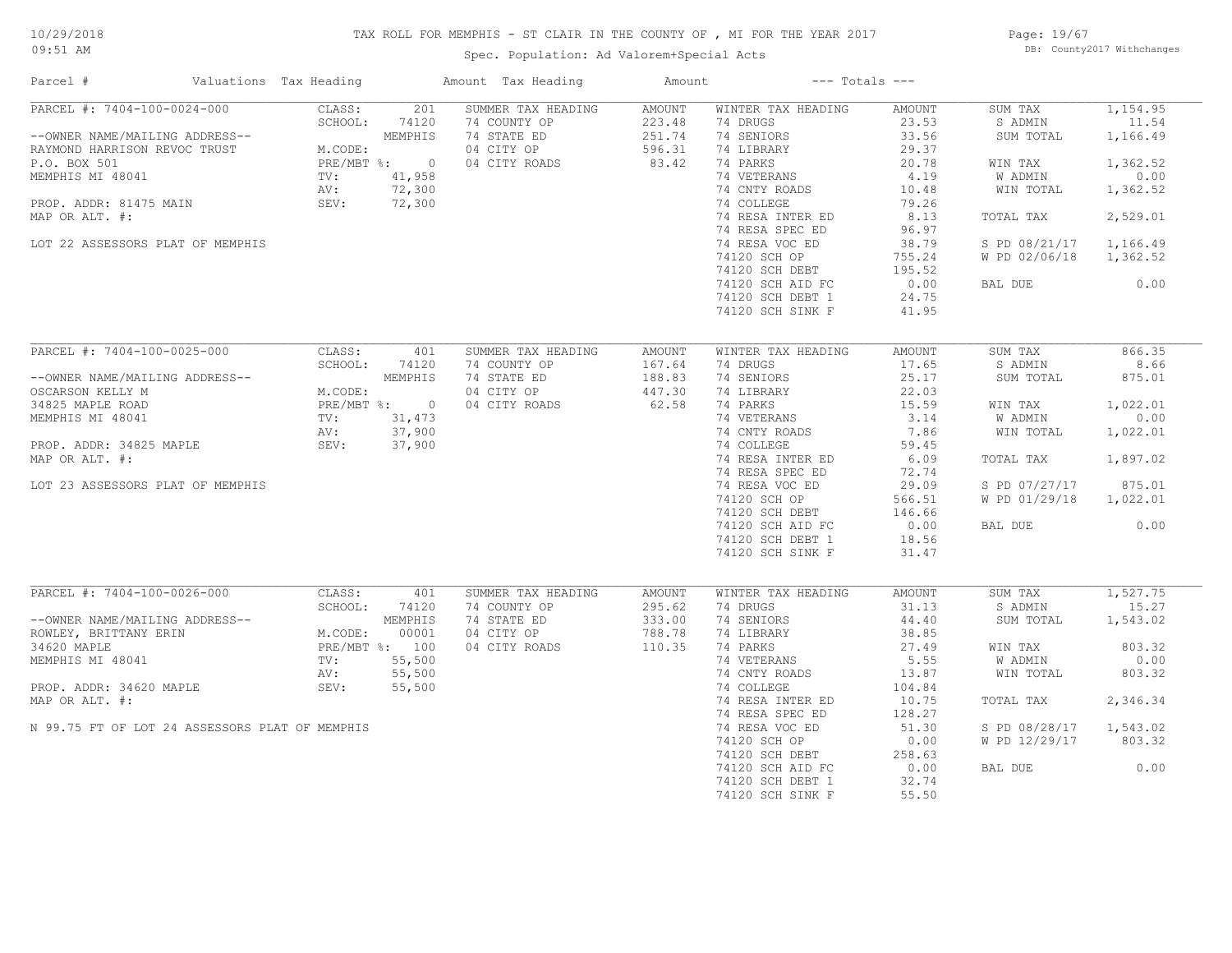# TAX ROLL FOR MEMPHIS - ST CLAIR IN THE COUNTY OF , MI FOR THE YEAR 2017

Spec. Population: Ad Valorem+Special Acts

Page: 19/67 DB: County2017 Withchanges

| Parcel #                                                       | Valuations Tax Heading |                    |                  | Amount Tax Heading                        | Amount                     |                                      | $---$ Totals $---$      |                                |                   |
|----------------------------------------------------------------|------------------------|--------------------|------------------|-------------------------------------------|----------------------------|--------------------------------------|-------------------------|--------------------------------|-------------------|
| PARCEL #: 7404-100-0024-000                                    |                        | CLASS:             | 201              | SUMMER TAX HEADING                        | AMOUNT                     | WINTER TAX HEADING                   | AMOUNT                  | SUM TAX                        | 1,154.95          |
| --OWNER NAME/MAILING ADDRESS--<br>RAYMOND HARRISON REVOC TRUST |                        | SCHOOL:<br>M.CODE: | 74120<br>MEMPHIS | 74 COUNTY OP<br>74 STATE ED<br>04 CITY OP | 223.48<br>251.74<br>596.31 | 74 DRUGS<br>74 SENIORS<br>74 LIBRARY | 23.53<br>33.56<br>29.37 | S ADMIN<br>SUM TOTAL           | 11.54<br>1,166.49 |
| P.O. BOX 501                                                   |                        |                    | PRE/MBT %: 0     | 04 CITY ROADS                             | 83.42                      | 74 PARKS                             | 20.78                   | WIN TAX                        | 1,362.52          |
| MEMPHIS MI 48041                                               | TV:                    |                    | 41,958           |                                           |                            | 74 VETERANS                          | 4.19                    | W ADMIN                        | 0.00              |
|                                                                | AV:                    |                    | 72,300           |                                           |                            | 74 CNTY ROADS                        | 10.48                   | WIN TOTAL                      | 1,362.52          |
| PROP. ADDR: 81475 MAIN                                         | SEV:                   |                    | 72,300           |                                           |                            | 74 COLLEGE                           | 79.26                   |                                |                   |
| MAP OR ALT. #:                                                 |                        |                    |                  |                                           |                            | 74 RESA INTER ED                     | 8.13                    | TOTAL TAX                      | 2,529.01          |
|                                                                |                        |                    |                  |                                           |                            | 74 RESA SPEC ED                      | 96.97                   |                                |                   |
| LOT 22 ASSESSORS PLAT OF MEMPHIS                               |                        |                    |                  |                                           |                            | 74 RESA VOC ED                       | 38.79                   | S PD 08/21/17                  | 1,166.49          |
|                                                                |                        |                    |                  |                                           |                            | 74120 SCH OP                         | 755.24                  | W PD 02/06/18                  | 1,362.52          |
|                                                                |                        |                    |                  |                                           |                            | 74120 SCH DEBT                       | 195.52                  |                                |                   |
|                                                                |                        |                    |                  |                                           |                            | 74120 SCH AID FC                     | 0.00                    | BAL DUE                        | 0.00              |
|                                                                |                        |                    |                  |                                           |                            | 74120 SCH DEBT 1                     | 24.75                   |                                |                   |
|                                                                |                        |                    |                  |                                           |                            | 74120 SCH SINK F                     | 41.95                   |                                |                   |
|                                                                |                        |                    |                  |                                           |                            |                                      |                         |                                |                   |
| PARCEL #: 7404-100-0025-000                                    |                        | CLASS:             | 401              | SUMMER TAX HEADING                        | AMOUNT                     | WINTER TAX HEADING                   | AMOUNT                  | SUM TAX                        | 866.35            |
|                                                                |                        | SCHOOL:            | 74120            | 74 COUNTY OP                              | 167.64                     | 74 DRUGS                             | 17.65                   | S ADMIN                        | 8.66              |
| --OWNER NAME/MAILING ADDRESS--                                 |                        |                    | MEMPHIS          | 74 STATE ED                               | 188.83                     | 74 SENIORS                           | 25.17                   | SUM TOTAL                      | 875.01            |
| OSCARSON KELLY M                                               |                        | M.CODE:            |                  | 04 CITY OP                                | 447.30                     | 74 LIBRARY                           | 22.03                   |                                |                   |
| 34825 MAPLE ROAD                                               |                        |                    | PRE/MBT %: 0     | 04 CITY ROADS                             | 62.58                      | 74 PARKS                             | 15.59                   | WIN TAX                        | 1,022.01          |
| MEMPHIS MI 48041                                               | TV:                    |                    | 31,473           |                                           |                            | 74 VETERANS                          | 3.14                    | W ADMIN                        | 0.00              |
|                                                                | AV:                    |                    | 37,900           |                                           |                            | 74 CNTY ROADS                        | 7.86                    | WIN TOTAL                      | 1,022.01          |
| PROP. ADDR: 34825 MAPLE                                        | SEV:                   |                    | 37,900           |                                           |                            | 74 COLLEGE                           | 59.45                   |                                |                   |
| MAP OR ALT. #:                                                 |                        |                    |                  |                                           |                            | 74 RESA INTER ED                     | 6.09                    | TOTAL TAX                      | 1,897.02          |
|                                                                |                        |                    |                  |                                           |                            | 74 RESA SPEC ED                      | 72.74                   |                                | 875.01            |
| LOT 23 ASSESSORS PLAT OF MEMPHIS                               |                        |                    |                  |                                           |                            | 74 RESA VOC ED<br>74120 SCH OP       | 29.09<br>566.51         | S PD 07/27/17<br>W PD 01/29/18 | 1,022.01          |
|                                                                |                        |                    |                  |                                           |                            | 74120 SCH DEBT                       | 146.66                  |                                |                   |
|                                                                |                        |                    |                  |                                           |                            | 74120 SCH AID FC                     | 0.00                    | BAL DUE                        | 0.00              |
|                                                                |                        |                    |                  |                                           |                            | 74120 SCH DEBT 1                     | 18.56                   |                                |                   |
|                                                                |                        |                    |                  |                                           |                            | 74120 SCH SINK F                     | 31.47                   |                                |                   |
|                                                                |                        |                    |                  |                                           |                            |                                      |                         |                                |                   |
| PARCEL #: 7404-100-0026-000                                    |                        | CLASS:             | 401              | SUMMER TAX HEADING                        | AMOUNT                     | WINTER TAX HEADING                   | AMOUNT                  | SUM TAX                        | 1,527.75          |
|                                                                |                        | SCHOOL:            | 74120            | 74 COUNTY OP                              | 295.62                     | 74 DRUGS                             | 31.13                   | S ADMIN                        | 15.27             |
| --OWNER NAME/MAILING ADDRESS--                                 |                        |                    | MEMPHIS          | 74 STATE ED                               | 333.00                     | 74 SENIORS                           | 44.40                   | SUM TOTAL                      | 1,543.02          |
| ROWLEY, BRITTANY ERIN                                          |                        | M.CODE:            | 00001            | 04 CITY OP                                | 788.78                     | 74 LIBRARY                           | 38.85                   |                                |                   |
| 34620 MAPLE                                                    |                        |                    | PRE/MBT %: 100   | 04 CITY ROADS                             | 110.35                     | 74 PARKS                             | 27.49                   | WIN TAX                        | 803.32            |
| MEMPHIS MI 48041                                               | TV:                    |                    | 55,500           |                                           |                            | 74 VETERANS                          | 5.55                    | W ADMIN                        | 0.00              |
|                                                                | AV:                    |                    | 55,500           |                                           |                            | 74 CNTY ROADS                        | 13.87                   | WIN TOTAL                      | 803.32            |
| PROP. ADDR: 34620 MAPLE                                        | SEV:                   |                    | 55,500           |                                           |                            | 74 COLLEGE                           | 104.84                  |                                |                   |
| MAP OR ALT. #:                                                 |                        |                    |                  |                                           |                            | 74 RESA INTER ED                     | 10.75                   | TOTAL TAX                      | 2,346.34          |
|                                                                |                        |                    |                  |                                           |                            | 74 RESA SPEC ED                      | 128.27                  |                                |                   |
| N 99.75 FT OF LOT 24 ASSESSORS PLAT OF MEMPHIS                 |                        |                    |                  |                                           |                            | 74 RESA VOC ED                       | 51.30                   | S PD 08/28/17                  | 1,543.02          |
|                                                                |                        |                    |                  |                                           |                            | 74120 SCH OP                         | 0.00                    | W PD 12/29/17                  | 803.32            |
|                                                                |                        |                    |                  |                                           |                            | 74120 SCH DEBT                       | 258.63                  |                                |                   |
|                                                                |                        |                    |                  |                                           |                            | 74120 SCH AID FC                     | 0.00                    | BAL DUE                        | 0.00              |
|                                                                |                        |                    |                  |                                           |                            | 74120 SCH DEBT 1                     | 32.74                   |                                |                   |
|                                                                |                        |                    |                  |                                           |                            | 74120 SCH SINK F                     | 55.50                   |                                |                   |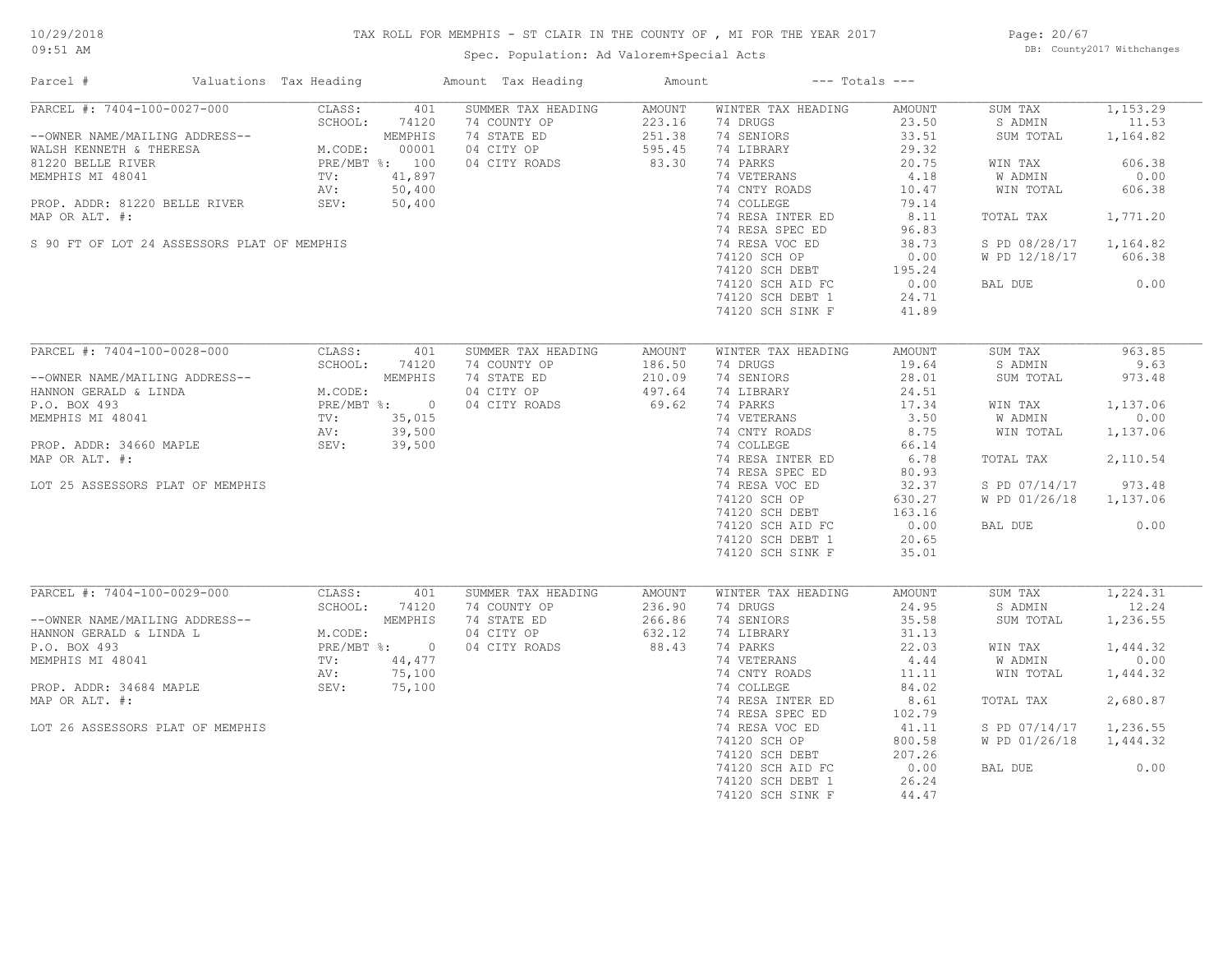# 10/29/2018

# TAX ROLL FOR MEMPHIS - ST CLAIR IN THE COUNTY OF , MI FOR THE YEAR 2017

09:51 AM

# Spec. Population: Ad Valorem+Special Acts

Page: 20/67 DB: County2017 Withchanges

| Parcel #                                    |  | Valuations Tax Heading |                | Amount Tax Heading | Amount        |                    | $---$ Totals $---$ |               |          |
|---------------------------------------------|--|------------------------|----------------|--------------------|---------------|--------------------|--------------------|---------------|----------|
| PARCEL #: 7404-100-0027-000                 |  | CLASS:                 | 401            | SUMMER TAX HEADING | <b>AMOUNT</b> | WINTER TAX HEADING | AMOUNT             | SUM TAX       | 1,153.29 |
|                                             |  | SCHOOL:                | 74120          | 74 COUNTY OP       | 223.16        | 74 DRUGS           | 23.50              | S ADMIN       | 11.53    |
| --OWNER NAME/MAILING ADDRESS--              |  |                        | MEMPHIS        | 74 STATE ED        | 251.38        | 74 SENIORS         | 33.51              | SUM TOTAL     | 1,164.82 |
| WALSH KENNETH & THERESA                     |  | M.CODE:                | 00001          | 04 CITY OP         | 595.45        | 74 LIBRARY         | 29.32              |               |          |
| 81220 BELLE RIVER                           |  |                        | PRE/MBT %: 100 | 04 CITY ROADS      | 83.30         | 74 PARKS           | 20.75              | WIN TAX       | 606.38   |
| MEMPHIS MI 48041                            |  | $\texttt{TV}$ :        | 41,897         |                    |               | 74 VETERANS        | 4.18               | W ADMIN       | 0.00     |
|                                             |  | AV:                    | 50,400         |                    |               | 74 CNTY ROADS      | 10.47              | WIN TOTAL     | 606.38   |
| PROP. ADDR: 81220 BELLE RIVER               |  | SEV:                   | 50,400         |                    |               | 74 COLLEGE         | 79.14              |               |          |
| MAP OR ALT. #:                              |  |                        |                |                    |               | 74 RESA INTER ED   | 8.11               | TOTAL TAX     | 1,771.20 |
|                                             |  |                        |                |                    |               | 74 RESA SPEC ED    | 96.83              |               |          |
| S 90 FT OF LOT 24 ASSESSORS PLAT OF MEMPHIS |  |                        |                |                    |               | 74 RESA VOC ED     | 38.73              | S PD 08/28/17 | 1,164.82 |
|                                             |  |                        |                |                    |               | 74120 SCH OP       | 0.00               | W PD 12/18/17 | 606.38   |
|                                             |  |                        |                |                    |               | 74120 SCH DEBT     | 195.24             |               |          |
|                                             |  |                        |                |                    |               | 74120 SCH AID FC   | 0.00               | BAL DUE       | 0.00     |
|                                             |  |                        |                |                    |               | 74120 SCH DEBT 1   | 24.71              |               |          |
|                                             |  |                        |                |                    |               | 74120 SCH SINK F   | 41.89              |               |          |
|                                             |  |                        |                |                    |               |                    |                    |               |          |
| PARCEL #: 7404-100-0028-000                 |  | CLASS:                 | 401            | SUMMER TAX HEADING | <b>AMOUNT</b> | WINTER TAX HEADING | AMOUNT             | SUM TAX       | 963.85   |
|                                             |  | SCHOOL:                | 74120          | 74 COUNTY OP       | 186.50        | 74 DRUGS           | 19.64              | S ADMIN       | 9.63     |
| --OWNER NAME/MAILING ADDRESS--              |  |                        | MEMPHIS        | 74 STATE ED        | 210.09        | 74 SENIORS         | 28.01              | SUM TOTAL     | 973.48   |
| HANNON GERALD & LINDA                       |  | M.CODE:                |                | 04 CITY OP         | 497.64        | 74 LIBRARY         | 24.51              |               |          |
| P.O. BOX 493                                |  |                        | PRE/MBT %: 0   |                    | 69.62         | 74 PARKS           | 17.34              |               |          |
|                                             |  |                        |                | 04 CITY ROADS      |               |                    |                    | WIN TAX       | 1,137.06 |
| MEMPHIS MI 48041                            |  | TV:                    | 35,015         |                    |               | 74 VETERANS        | 3.50               | W ADMIN       | 0.00     |
|                                             |  | AV:                    | 39,500         |                    |               | 74 CNTY ROADS      | 8.75               | WIN TOTAL     | 1,137.06 |
| PROP. ADDR: 34660 MAPLE                     |  | SEV: 39,500            |                |                    |               | 74 COLLEGE         | 66.14              |               |          |
| MAP OR ALT. #:                              |  |                        |                |                    |               | 74 RESA INTER ED   | 6.78               | TOTAL TAX     | 2,110.54 |
|                                             |  |                        |                |                    |               | 74 RESA SPEC ED    | 80.93              |               |          |
| LOT 25 ASSESSORS PLAT OF MEMPHIS            |  |                        |                |                    |               | 74 RESA VOC ED     | 32.37              | S PD 07/14/17 | 973.48   |
|                                             |  |                        |                |                    |               | 74120 SCH OP       | 630.27             | W PD 01/26/18 | 1,137.06 |
|                                             |  |                        |                |                    |               | 74120 SCH DEBT     | 163.16             |               |          |
|                                             |  |                        |                |                    |               | 74120 SCH AID FC   | 0.00               | BAL DUE       | 0.00     |
|                                             |  |                        |                |                    |               | 74120 SCH DEBT 1   | 20.65              |               |          |
|                                             |  |                        |                |                    |               | 74120 SCH SINK F   | 35.01              |               |          |
|                                             |  |                        |                |                    |               |                    |                    |               |          |
| PARCEL #: 7404-100-0029-000                 |  | CLASS:                 | 401            | SUMMER TAX HEADING | <b>AMOUNT</b> | WINTER TAX HEADING | AMOUNT             | SUM TAX       | 1,224.31 |
|                                             |  | SCHOOL:                | 74120          | 74 COUNTY OP       | 236.90        | 74 DRUGS           | 24.95              | S ADMIN       | 12.24    |
| --OWNER NAME/MAILING ADDRESS--              |  |                        | MEMPHIS        | 74 STATE ED        | 266.86        | 74 SENIORS         | 35.58              | SUM TOTAL     | 1,236.55 |
| HANNON GERALD & LINDA L                     |  | M.CODE:                |                | 04 CITY OP         | 632.12        | 74 LIBRARY         | 31.13              |               |          |
| P.O. BOX 493                                |  |                        | PRE/MBT %: 0   | 04 CITY ROADS      | 88.43         | 74 PARKS           | 22.03              | WIN TAX       | 1,444.32 |
| MEMPHIS MI 48041                            |  | TV:                    | 44,477         |                    |               | 74 VETERANS        | 4.44               | W ADMIN       | 0.00     |
|                                             |  | AV:                    | 75,100         |                    |               | 74 CNTY ROADS      | 11.11              | WIN TOTAL     | 1,444.32 |
| PROP. ADDR: 34684 MAPLE                     |  | SEV:                   | 75,100         |                    |               | 74 COLLEGE         | 84.02              |               |          |
| MAP OR ALT. #:                              |  |                        |                |                    |               | 74 RESA INTER ED   | 8.61               | TOTAL TAX     | 2,680.87 |
|                                             |  |                        |                |                    |               | 74 RESA SPEC ED    | 102.79             |               |          |
| LOT 26 ASSESSORS PLAT OF MEMPHIS            |  |                        |                |                    |               | 74 RESA VOC ED     | 41.11              | S PD 07/14/17 | 1,236.55 |
|                                             |  |                        |                |                    |               | 74120 SCH OP       | 800.58             | W PD 01/26/18 | 1,444.32 |
|                                             |  |                        |                |                    |               | 74120 SCH DEBT     | 207.26             |               |          |
|                                             |  |                        |                |                    |               | 74120 SCH AID FC   | 0.00               | BAL DUE       | 0.00     |
|                                             |  |                        |                |                    |               | 74120 SCH DEBT 1   | 26.24              |               |          |
|                                             |  |                        |                |                    |               | 74120 SCH SINK F   | 44.47              |               |          |
|                                             |  |                        |                |                    |               |                    |                    |               |          |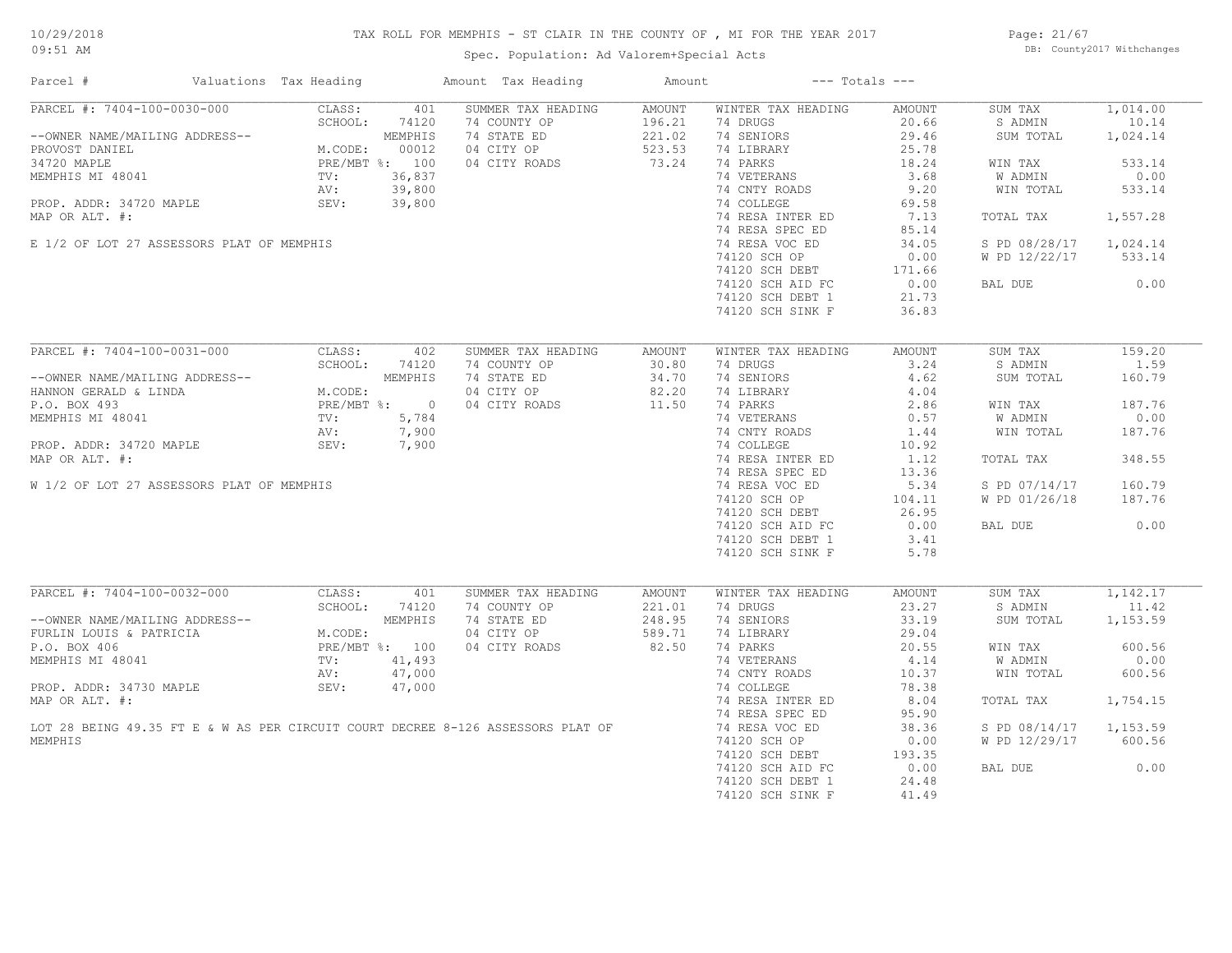# TAX ROLL FOR MEMPHIS - ST CLAIR IN THE COUNTY OF , MI FOR THE YEAR 2017

Spec. Population: Ad Valorem+Special Acts

Page: 21/67 DB: County2017 Withchanges

| Parcel #                                                                        | Valuations Tax Heading                          |                  | Amount Tax Heading                 | Amount                  |                                | $---$ Totals $---$ |                        |                   |
|---------------------------------------------------------------------------------|-------------------------------------------------|------------------|------------------------------------|-------------------------|--------------------------------|--------------------|------------------------|-------------------|
| PARCEL #: 7404-100-0030-000                                                     | CLASS:<br>SCHOOL:                               | 401<br>74120     | SUMMER TAX HEADING<br>74 COUNTY OP | <b>AMOUNT</b><br>196.21 | WINTER TAX HEADING<br>74 DRUGS | AMOUNT<br>20.66    | SUM TAX<br>S ADMIN     | 1,014.00<br>10.14 |
| --OWNER NAME/MAILING ADDRESS--<br>PROVOST DANIEL                                | M.CODE:                                         | MEMPHIS<br>00012 | 74 STATE ED<br>04 CITY OP          | 221.02<br>523.53        | 74 SENIORS<br>74 LIBRARY       | 29.46<br>25.78     | SUM TOTAL              | 1,024.14          |
| 34720 MAPLE                                                                     |                                                 | PRE/MBT %: 100   | 04 CITY ROADS                      | 73.24                   | 74 PARKS                       | 18.24              | WIN TAX                | 533.14            |
| MEMPHIS MI 48041                                                                | TV:                                             | 36,837           |                                    |                         | 74 VETERANS                    | 3.68               | W ADMIN                | 0.00              |
|                                                                                 | AV:                                             | 39,800           |                                    |                         | 74 CNTY ROADS                  | 9.20               | WIN TOTAL              | 533.14            |
| PROP. ADDR: 34720 MAPLE                                                         | SEV:                                            | 39,800           |                                    |                         | 74 COLLEGE                     | 69.58              |                        |                   |
| MAP OR ALT. #:                                                                  |                                                 |                  |                                    |                         | 74 RESA INTER ED               | 7.13               | TOTAL TAX              | 1,557.28          |
|                                                                                 |                                                 |                  |                                    |                         | 74 RESA SPEC ED                | 85.14              |                        |                   |
| E 1/2 OF LOT 27 ASSESSORS PLAT OF MEMPHIS                                       |                                                 |                  |                                    |                         | 74 RESA VOC ED                 | 34.05              | S PD 08/28/17 1,024.14 |                   |
|                                                                                 |                                                 |                  |                                    |                         | 74120 SCH OP                   | 0.00               | W PD 12/22/17          | 533.14            |
|                                                                                 |                                                 |                  |                                    |                         | 74120 SCH DEBT                 | 171.66             |                        |                   |
|                                                                                 |                                                 |                  |                                    |                         | 74120 SCH AID FC               | 0.00               | BAL DUE                | 0.00              |
|                                                                                 |                                                 |                  |                                    |                         | 74120 SCH DEBT 1               | 21.73              |                        |                   |
|                                                                                 |                                                 |                  |                                    |                         | 74120 SCH SINK F               | 36.83              |                        |                   |
|                                                                                 |                                                 |                  |                                    |                         |                                |                    |                        |                   |
| PARCEL #: 7404-100-0031-000                                                     | CLASS:                                          | 402              | SUMMER TAX HEADING                 | <b>AMOUNT</b>           | WINTER TAX HEADING             | <b>AMOUNT</b>      | SUM TAX                | 159.20            |
|                                                                                 | SCHOOL:                                         | 74120            | 74 COUNTY OP                       | 30.80                   | 74 DRUGS                       | 3.24               | S ADMIN                | 1.59              |
| --OWNER NAME/MAILING ADDRESS--                                                  |                                                 | MEMPHIS          | 74 STATE ED                        | 34.70                   | 74 SENIORS                     | 4.62               | SUM TOTAL              | 160.79            |
| HANNON GERALD & LINDA                                                           | M.CODE:                                         |                  | 04 CITY OP                         | 82.20                   | 74 LIBRARY                     | 4.04               |                        |                   |
| P.O. BOX 493                                                                    |                                                 | PRE/MBT %: 0     | 04 CITY ROADS                      | 11.50                   | 74 PARKS                       | 2.86               | WIN TAX                | 187.76            |
| MEMPHIS MI 48041                                                                |                                                 | 5,784            |                                    |                         | 74 VETERANS                    | 0.57               | W ADMIN                | 0.00              |
|                                                                                 |                                                 | 7,900            |                                    |                         | 74 CNTY ROADS                  | 1.44               | WIN TOTAL              | 187.76            |
| PROP. ADDR: 34720 MAPLE                                                         | DRESS--<br>M.COI<br>PRE/M<br>TV:<br>NV:<br>SEV: | 7,900            |                                    |                         | 74 COLLEGE                     | 10.92              |                        |                   |
| MAP OR ALT. #:                                                                  |                                                 |                  |                                    |                         | 74 RESA INTER ED               | 1.12               | TOTAL TAX              | 348.55            |
|                                                                                 |                                                 |                  |                                    |                         | 74 RESA SPEC ED                | 13.36              |                        |                   |
| W 1/2 OF LOT 27 ASSESSORS PLAT OF MEMPHIS                                       |                                                 |                  |                                    |                         | 74 RESA VOC ED                 | 5.34               | S PD 07/14/17          | 160.79            |
|                                                                                 |                                                 |                  |                                    |                         | 74120 SCH OP                   | 104.11             | W PD 01/26/18          | 187.76            |
|                                                                                 |                                                 |                  |                                    |                         | 74120 SCH DEBT                 | 26.95              |                        |                   |
|                                                                                 |                                                 |                  |                                    |                         | 74120 SCH AID FC               | 0.00               | BAL DUE                | 0.00              |
|                                                                                 |                                                 |                  |                                    |                         | 74120 SCH DEBT 1               | 3.41               |                        |                   |
|                                                                                 |                                                 |                  |                                    |                         | 74120 SCH SINK F               | 5.78               |                        |                   |
|                                                                                 |                                                 |                  |                                    |                         |                                |                    |                        |                   |
| PARCEL #: 7404-100-0032-000                                                     | CLASS:                                          | 401              | SUMMER TAX HEADING                 | AMOUNT                  | WINTER TAX HEADING             | <b>AMOUNT</b>      | SUM TAX                | 1,142.17          |
|                                                                                 | SCHOOL:                                         | 74120            | 74 COUNTY OP                       | 221.01                  | 74 DRUGS                       | 23.27              | S ADMIN                | 11.42             |
| --OWNER NAME/MAILING ADDRESS--                                                  |                                                 | MEMPHIS          | 74 STATE ED                        | 248.95                  | 74 SENIORS                     | 33.19              | SUM TOTAL              | 1,153.59          |
| FURLIN LOUIS & PATRICIA                                                         | M.CODE:                                         |                  | 04 CITY OP                         | 589.71                  | 74 LIBRARY                     | 29.04              |                        |                   |
| P.O. BOX 406                                                                    |                                                 | PRE/MBT %: 100   | 04 CITY ROADS                      | 82.50                   | 74 PARKS                       | 20.55              | WIN TAX                | 600.56            |
| MEMPHIS MI 48041                                                                | $\text{TV}$ :                                   | 41,493           |                                    |                         | 74 VETERANS                    | 4.14               | W ADMIN                | 0.00              |
|                                                                                 | AV:                                             | 47,000           |                                    |                         | 74 CNTY ROADS                  | 10.37              | WIN TOTAL              | 600.56            |
| PROP. ADDR: 34730 MAPLE                                                         | SEV:                                            | 47,000           |                                    |                         | 74 COLLEGE                     | 78.38              |                        |                   |
| MAP OR ALT. #:                                                                  |                                                 |                  |                                    |                         | 74 RESA INTER ED               | 8.04               | TOTAL TAX              | 1,754.15          |
|                                                                                 |                                                 |                  |                                    |                         | 74 RESA SPEC ED                | 95.90              |                        |                   |
| LOT 28 BEING 49.35 FT E & W AS PER CIRCUIT COURT DECREE 8-126 ASSESSORS PLAT OF |                                                 |                  |                                    |                         | 74 RESA VOC ED                 | 38.36              | S PD 08/14/17          | 1,153.59          |
| MEMPHIS                                                                         |                                                 |                  |                                    |                         | 74120 SCH OP                   | 0.00               | W PD 12/29/17          | 600.56            |
|                                                                                 |                                                 |                  |                                    |                         | 74120 SCH DEBT                 | 193.35             |                        |                   |
|                                                                                 |                                                 |                  |                                    |                         | 74120 SCH AID FC               | 0.00               | BAL DUE                | 0.00              |
|                                                                                 |                                                 |                  |                                    |                         | 74120 SCH DEBT 1               | 24.48              |                        |                   |
|                                                                                 |                                                 |                  |                                    |                         | 74120 SCH SINK F               | 41.49              |                        |                   |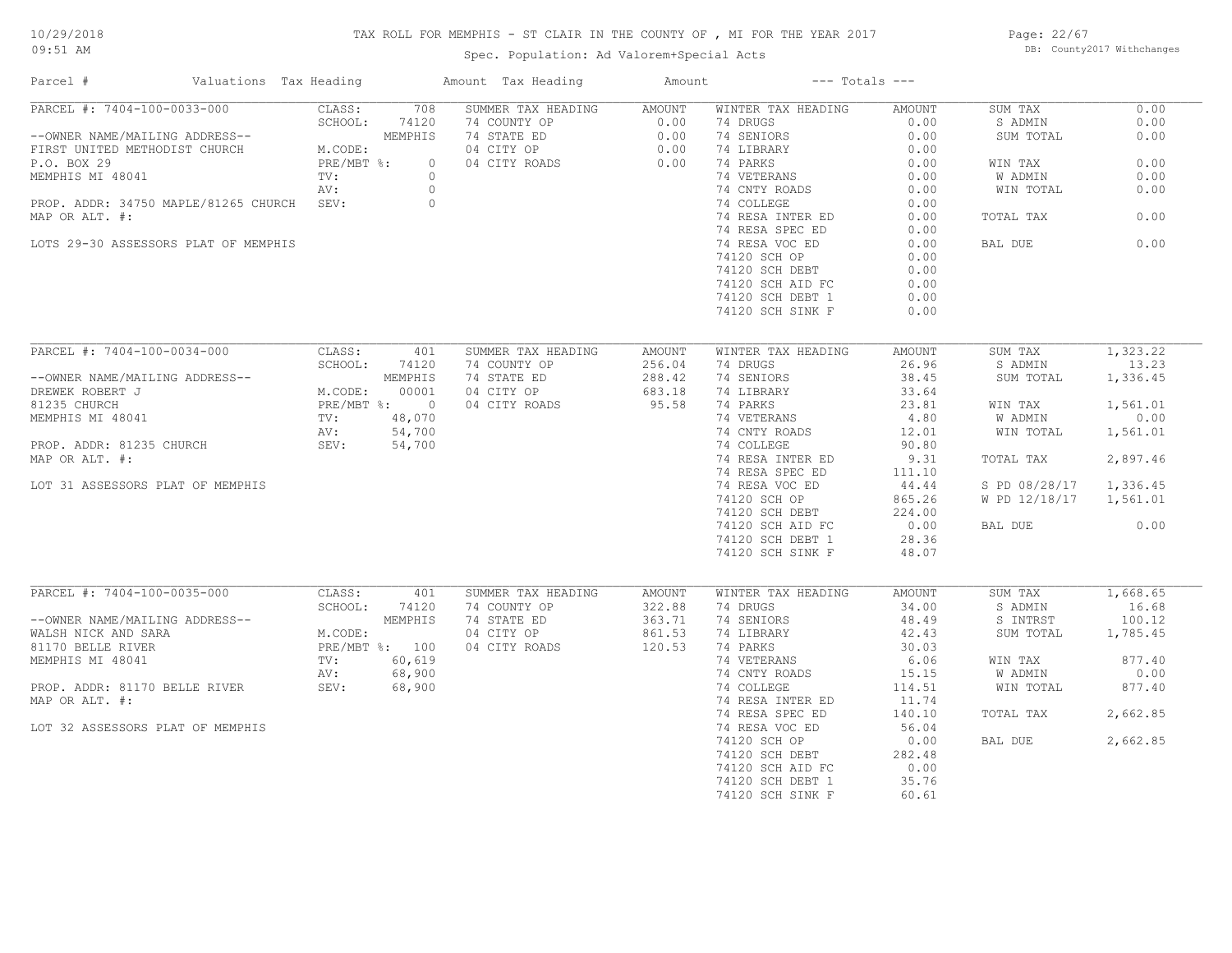# TAX ROLL FOR MEMPHIS - ST CLAIR IN THE COUNTY OF , MI FOR THE YEAR 2017

Spec. Population: Ad Valorem+Special Acts

Page: 22/67 DB: County2017 Withchanges

| Parcel #                                  | Valuations Tax Heading    | Amount Tax Heading       | Amount        |                    | $---$ Totals $---$ |                |          |
|-------------------------------------------|---------------------------|--------------------------|---------------|--------------------|--------------------|----------------|----------|
| PARCEL #: 7404-100-0033-000               | CLASS:<br>708             | SUMMER TAX HEADING       | <b>AMOUNT</b> | WINTER TAX HEADING | AMOUNT             | SUM TAX        | 0.00     |
|                                           | SCHOOL:<br>74120          | 74 COUNTY OP             | 0.00          | 74 DRUGS           | 0.00               | S ADMIN        | 0.00     |
| --OWNER NAME/MAILING ADDRESS--            | MEMPHIS                   | 74 STATE ED              | 0.00          | 74 SENIORS         | 0.00               | SUM TOTAL      | 0.00     |
| FIRST UNITED METHODIST CHURCH             | M.CODE:                   | 04 CITY OP               | 0.00          | 74 LIBRARY         | 0.00               |                |          |
| P.O. BOX 29                               | PRE/MBT %:                | $\circ$<br>04 CITY ROADS | 0.00          | 74 PARKS           | 0.00               | WIN TAX        | 0.00     |
| MEMPHIS MI 48041                          | TV:                       | $\circ$                  |               | 74 VETERANS        | 0.00               | <b>W ADMIN</b> | 0.00     |
|                                           | AV:                       | $\circ$                  |               | 74 CNTY ROADS      | 0.00               | WIN TOTAL      | 0.00     |
| PROP. ADDR: 34750 MAPLE/81265 CHURCH SEV: |                           | $\circ$                  |               | 74 COLLEGE         | 0.00               |                |          |
| MAP OR ALT. #:                            |                           |                          |               | 74 RESA INTER ED   | 0.00               | TOTAL TAX      | 0.00     |
|                                           |                           |                          |               | 74 RESA SPEC ED    | 0.00               |                |          |
| LOTS 29-30 ASSESSORS PLAT OF MEMPHIS      |                           |                          |               | 74 RESA VOC ED     | 0.00               | BAL DUE        | 0.00     |
|                                           |                           |                          |               | 74120 SCH OP       | 0.00               |                |          |
|                                           |                           |                          |               | 74120 SCH DEBT     | 0.00               |                |          |
|                                           |                           |                          |               | 74120 SCH AID FC   | 0.00               |                |          |
|                                           |                           |                          |               | 74120 SCH DEBT 1   | 0.00               |                |          |
|                                           |                           |                          |               | 74120 SCH SINK F   | 0.00               |                |          |
|                                           |                           |                          |               |                    |                    |                |          |
| PARCEL #: 7404-100-0034-000               | CLASS:<br>401             | SUMMER TAX HEADING       | <b>AMOUNT</b> | WINTER TAX HEADING | <b>AMOUNT</b>      | SUM TAX        | 1,323.22 |
|                                           | SCHOOL:<br>74120          | 74 COUNTY OP             | 256.04        | 74 DRUGS           | 26.96              | S ADMIN        | 13.23    |
| --OWNER NAME/MAILING ADDRESS--            | MEMPHIS                   | 74 STATE ED              | 288.42        | 74 SENIORS         | 38.45              | SUM TOTAL      | 1,336.45 |
| DREWEK ROBERT J                           | 00001<br>M.CODE:          | 04 CITY OP               | 683.18        | 74 LIBRARY         | 33.64              |                |          |
| 81235 CHURCH                              | PRE/MBT %: 0              | 04 CITY ROADS            | 95.58         | 74 PARKS           | 23.81              | WIN TAX        | 1,561.01 |
| MEMPHIS MI 48041                          | 48,070<br>$\texttt{TV}$ : |                          |               | 74 VETERANS        | 4.80               | W ADMIN        | 0.00     |
|                                           | 54,700<br>AV:             |                          |               | 74 CNTY ROADS      | 12.01              | WIN TOTAL      | 1,561.01 |
| PROP. ADDR: 81235 CHURCH                  | 54,700<br>SEV:            |                          |               | 74 COLLEGE         | 90.80              |                |          |
|                                           |                           |                          |               |                    |                    |                |          |
| MAP OR ALT. #:                            |                           |                          |               | 74 RESA INTER ED   | 9.31               | TOTAL TAX      | 2,897.46 |
|                                           |                           |                          |               | 74 RESA SPEC ED    | 111.10             |                |          |
| LOT 31 ASSESSORS PLAT OF MEMPHIS          |                           |                          |               | 74 RESA VOC ED     | 44.44              | S PD 08/28/17  | 1,336.45 |
|                                           |                           |                          |               | 74120 SCH OP       | 865.26             | W PD 12/18/17  | 1,561.01 |
|                                           |                           |                          |               | 74120 SCH DEBT     | 224.00             |                |          |
|                                           |                           |                          |               | 74120 SCH AID FC   | 0.00               | BAL DUE        | 0.00     |
|                                           |                           |                          |               | 74120 SCH DEBT 1   | 28.36              |                |          |
|                                           |                           |                          |               | 74120 SCH SINK F   | 48.07              |                |          |
|                                           |                           |                          |               |                    |                    |                |          |
| PARCEL #: 7404-100-0035-000               | CLASS:<br>401             | SUMMER TAX HEADING       | <b>AMOUNT</b> | WINTER TAX HEADING | AMOUNT             | SUM TAX        | 1,668.65 |
|                                           | 74120<br>SCHOOL:          | 74 COUNTY OP             | 322.88        | 74 DRUGS           | 34.00              | S ADMIN        | 16.68    |
| --OWNER NAME/MAILING ADDRESS--            | MEMPHIS                   | 74 STATE ED              | 363.71        | 74 SENIORS         | 48.49              | S INTRST       | 100.12   |
| WALSH NICK AND SARA                       | M.CODE:                   | 04 CITY OP               | 861.53        | 74 LIBRARY         | 42.43              | SUM TOTAL      | 1,785.45 |
| 81170 BELLE RIVER                         | PRE/MBT %: 100            | 04 CITY ROADS            | 120.53        | 74 PARKS           | 30.03              |                |          |
| MEMPHIS MI 48041                          | 60,619<br>TV:             |                          |               | 74 VETERANS        | 6.06               | WIN TAX        | 877.40   |
|                                           | 68,900<br>AV:             |                          |               | 74 CNTY ROADS      | 15.15              | W ADMIN        | 0.00     |
| PROP. ADDR: 81170 BELLE RIVER             | SEV:<br>68,900            |                          |               | 74 COLLEGE         | 114.51             | WIN TOTAL      | 877.40   |
| MAP OR ALT. #:                            |                           |                          |               | 74 RESA INTER ED   | 11.74              |                |          |
|                                           |                           |                          |               | 74 RESA SPEC ED    | 140.10             | TOTAL TAX      | 2,662.85 |
| LOT 32 ASSESSORS PLAT OF MEMPHIS          |                           |                          |               | 74 RESA VOC ED     | 56.04              |                |          |
|                                           |                           |                          |               | 74120 SCH OP       | 0.00               | BAL DUE        | 2,662.85 |
|                                           |                           |                          |               | 74120 SCH DEBT     | 282.48             |                |          |
|                                           |                           |                          |               | 74120 SCH AID FC   | 0.00               |                |          |
|                                           |                           |                          |               | 74120 SCH DEBT 1   | 35.76              |                |          |
|                                           |                           |                          |               | 74120 SCH SINK F   | 60.61              |                |          |
|                                           |                           |                          |               |                    |                    |                |          |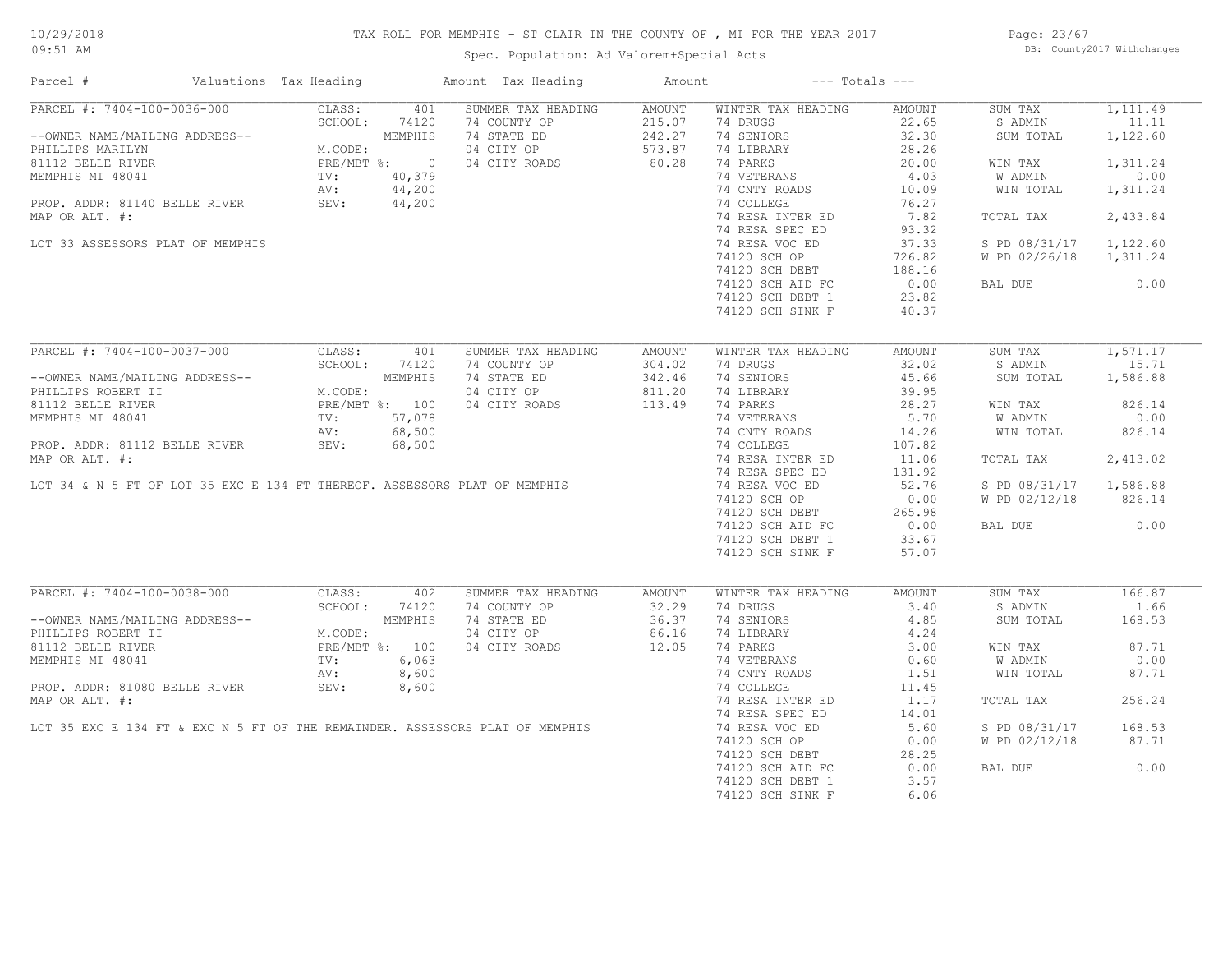# 10/29/2018

# TAX ROLL FOR MEMPHIS - ST CLAIR IN THE COUNTY OF , MI FOR THE YEAR 2017

09:51 AM

# Spec. Population: Ad Valorem+Special Acts

Page: 23/67 DB: County2017 Withchanges

| Parcel #                                                         | Valuations Tax Heading                             |                | Amount Tax Heading                                                           | Amount |                    | $---$ Totals $---$                          |               |          |
|------------------------------------------------------------------|----------------------------------------------------|----------------|------------------------------------------------------------------------------|--------|--------------------|---------------------------------------------|---------------|----------|
| PARCEL #: 7404-100-0036-000                                      | CLASS:                                             | 401            | SUMMER TAX HEADING                                                           | AMOUNT | WINTER TAX HEADING | AMOUNT                                      | SUM TAX       | 1,111.49 |
|                                                                  | SCHOOL:                                            | 74120          | 74 COUNTY OP                                                                 | 215.07 | 74 DRUGS           | 22.65                                       | S ADMIN       | 11.11    |
| --OWNER NAME/MAILING ADDRESS--                                   |                                                    | MEMPHIS        | 74 STATE ED                                                                  | 242.27 | 74 SENIORS         | 32.30                                       | SUM TOTAL     | 1,122.60 |
| PHILLIPS MARILYN                                                 | M.CODE:                                            |                | 04 CITY OP                                                                   | 573.87 | 74 LIBRARY         | 28.26                                       |               |          |
| 81112 BELLE RIVER                                                |                                                    | PRE/MBT %: 0   | 04 CITY ROADS                                                                | 80.28  | 74 PARKS           | 20.00                                       | WIN TAX       | 1,311.24 |
| MEMPHIS MI 48041                                                 | TV:                                                | 40,379         |                                                                              |        | 74 VETERANS        | 4.03                                        | W ADMIN       | 0.00     |
| ROP. ADDR: 81140 BELLE RIVER AV: 44,200<br>THE REVER SEV: 44,200 |                                                    |                |                                                                              |        | 74 CNTY ROADS      | 10.09                                       | WIN TOTAL     | 1,311.24 |
|                                                                  |                                                    |                |                                                                              |        | 74 COLLEGE         | 76.27                                       |               |          |
| MAP OR ALT. #:                                                   |                                                    |                |                                                                              |        | 74 RESA INTER ED   | 7.82                                        | TOTAL TAX     | 2,433.84 |
|                                                                  |                                                    |                |                                                                              |        | 74 RESA SPEC ED    | 93.32                                       |               |          |
| LOT 33 ASSESSORS PLAT OF MEMPHIS                                 |                                                    |                |                                                                              |        | 74 RESA VOC ED     | 37.33                                       | S PD 08/31/17 | 1,122.60 |
|                                                                  |                                                    |                |                                                                              |        | 74120 SCH OP       | 726.82                                      | W PD 02/26/18 | 1,311.24 |
|                                                                  |                                                    |                |                                                                              |        | 74120 SCH DEBT     | 188.16                                      |               |          |
|                                                                  |                                                    |                |                                                                              |        | 74120 SCH AID FC   | 0.00                                        | BAL DUE       | 0.00     |
|                                                                  |                                                    |                |                                                                              |        | 74120 SCH DEBT 1   | 23.82                                       |               |          |
|                                                                  |                                                    |                |                                                                              |        | 74120 SCH SINK F   | 40.37                                       |               |          |
|                                                                  |                                                    |                |                                                                              |        |                    |                                             |               |          |
| PARCEL #: 7404-100-0037-000                                      | CLASS:                                             | 401            | SUMMER TAX HEADING                                                           | AMOUNT | WINTER TAX HEADING | AMOUNT                                      | SUM TAX       | 1,571.17 |
|                                                                  | SCHOOL:                                            | 74120          | 74 COUNTY OP                                                                 | 304.02 | 74 DRUGS           | 32.02                                       | S ADMIN       | 15.71    |
| --OWNER NAME/MAILING ADDRESS--                                   | MEMPHIS<br>M.CODE:<br>PRE/MBT %: 100<br>TV: 57,078 | MEMPHIS        | 74 STATE ED                                                                  | 342.46 | 74 SENIORS         | 45.66                                       | SUM TOTAL     | 1,586.88 |
| PHILLIPS ROBERT II                                               |                                                    |                | 04 CITY OP                                                                   | 811.20 | 74 LIBRARY         | 39.95                                       |               |          |
| 81112 BELLE RIVER                                                |                                                    |                | 04 CITY ROADS                                                                | 113.49 | 74 PARKS           | 28.27                                       | WIN TAX       | 826.14   |
| MEMPHIS MI 48041                                                 |                                                    |                |                                                                              |        | 74 VETERANS        | 5.70                                        | W ADMIN       | 0.00     |
|                                                                  | AV:                                                | 68,500         |                                                                              |        | 74 CNTY ROADS      | 14.26                                       | WIN TOTAL     | 826.14   |
| PROP. ADDR: 81112 BELLE RIVER                                    | SEV:                                               | 68,500         |                                                                              |        | 74 COLLEGE         | 107.82                                      |               |          |
|                                                                  |                                                    |                |                                                                              |        | 74 RESA INTER ED   | 11.06                                       | TOTAL TAX     | 2,413.02 |
|                                                                  |                                                    |                |                                                                              |        | 74 RESA SPEC ED    | 131.92                                      |               |          |
|                                                                  |                                                    |                |                                                                              |        | 74 RESA VOC ED     | 52.76                                       | S PD 08/31/17 | 1,586.88 |
|                                                                  |                                                    |                |                                                                              |        | 74120 SCH OP       | 0.00                                        | W PD 02/12/18 | 826.14   |
|                                                                  |                                                    |                |                                                                              |        | 74120 SCH DEBT     | 265.98                                      |               |          |
|                                                                  |                                                    |                |                                                                              |        | 74120 SCH AID FC   | $\begin{array}{c} 0.00 \\ 0.76 \end{array}$ | BAL DUE       | 0.00     |
|                                                                  |                                                    |                |                                                                              |        | 74120 SCH DEBT 1   | 33.67                                       |               |          |
|                                                                  |                                                    |                |                                                                              |        | 74120 SCH SINK F   | 57.07                                       |               |          |
|                                                                  |                                                    |                |                                                                              |        |                    |                                             |               |          |
| PARCEL #: 7404-100-0038-000                                      | CLASS:                                             | 402            | SUMMER TAX HEADING                                                           | AMOUNT | WINTER TAX HEADING | AMOUNT                                      | SUM TAX       | 166.87   |
|                                                                  | SCHOOL:                                            | 74120          | 74 COUNTY OP                                                                 | 32.29  | 74 DRUGS           | 3.40                                        | S ADMIN       | 1.66     |
| --OWNER NAME/MAILING ADDRESS--                                   |                                                    | MEMPHIS        | 74 STATE ED                                                                  | 36.37  | 74 SENIORS         | 4.85                                        | SUM TOTAL     | 168.53   |
| PHILLIPS ROBERT II                                               | M.CODE:                                            |                | 04 CITY OP                                                                   | 86.16  | 74 LIBRARY         | 4.24                                        |               |          |
| 81112 BELLE RIVER                                                |                                                    | PRE/MBT %: 100 | 04 CITY ROADS                                                                | 12.05  | 74 PARKS           | 3.00                                        | WIN TAX       | 87.71    |
| MEMPHIS MI 48041                                                 | TV:                                                | 6,063          |                                                                              |        | 74 VETERANS        | 0.60                                        | W ADMIN       | 0.00     |
|                                                                  | AV:                                                | 8,600          |                                                                              |        | 74 CNTY ROADS      | 1.51                                        | WIN TOTAL     | 87.71    |
| PROP. ADDR: 81080 BELLE RIVER                                    | SEV:                                               | 8,600          |                                                                              |        | 74 COLLEGE         | 11.45                                       |               |          |
| MAP OR ALT. #:                                                   |                                                    |                |                                                                              |        | 74 RESA INTER ED   | 1.17                                        | TOTAL TAX     | 256.24   |
|                                                                  |                                                    |                |                                                                              |        | 74 RESA SPEC ED    | 14.01                                       |               |          |
|                                                                  |                                                    |                | LOT 35 EXC E 134 FT & EXC N 5 FT OF THE REMAINDER. ASSESSORS PLAT OF MEMPHIS |        | 74 RESA VOC ED     | 5.60                                        | S PD 08/31/17 | 168.53   |
|                                                                  |                                                    |                |                                                                              |        | 74120 SCH OP       | 0.00                                        | W PD 02/12/18 | 87.71    |
|                                                                  |                                                    |                |                                                                              |        | 74120 SCH DEBT     | 28.25                                       |               |          |
|                                                                  |                                                    |                |                                                                              |        | 74120 SCH AID FC   | 0.00                                        | BAL DUE       | 0.00     |
|                                                                  |                                                    |                |                                                                              |        | 74120 SCH DEBT 1   | 3.57                                        |               |          |
|                                                                  |                                                    |                |                                                                              |        | 74120 SCH SINK F   | 6.06                                        |               |          |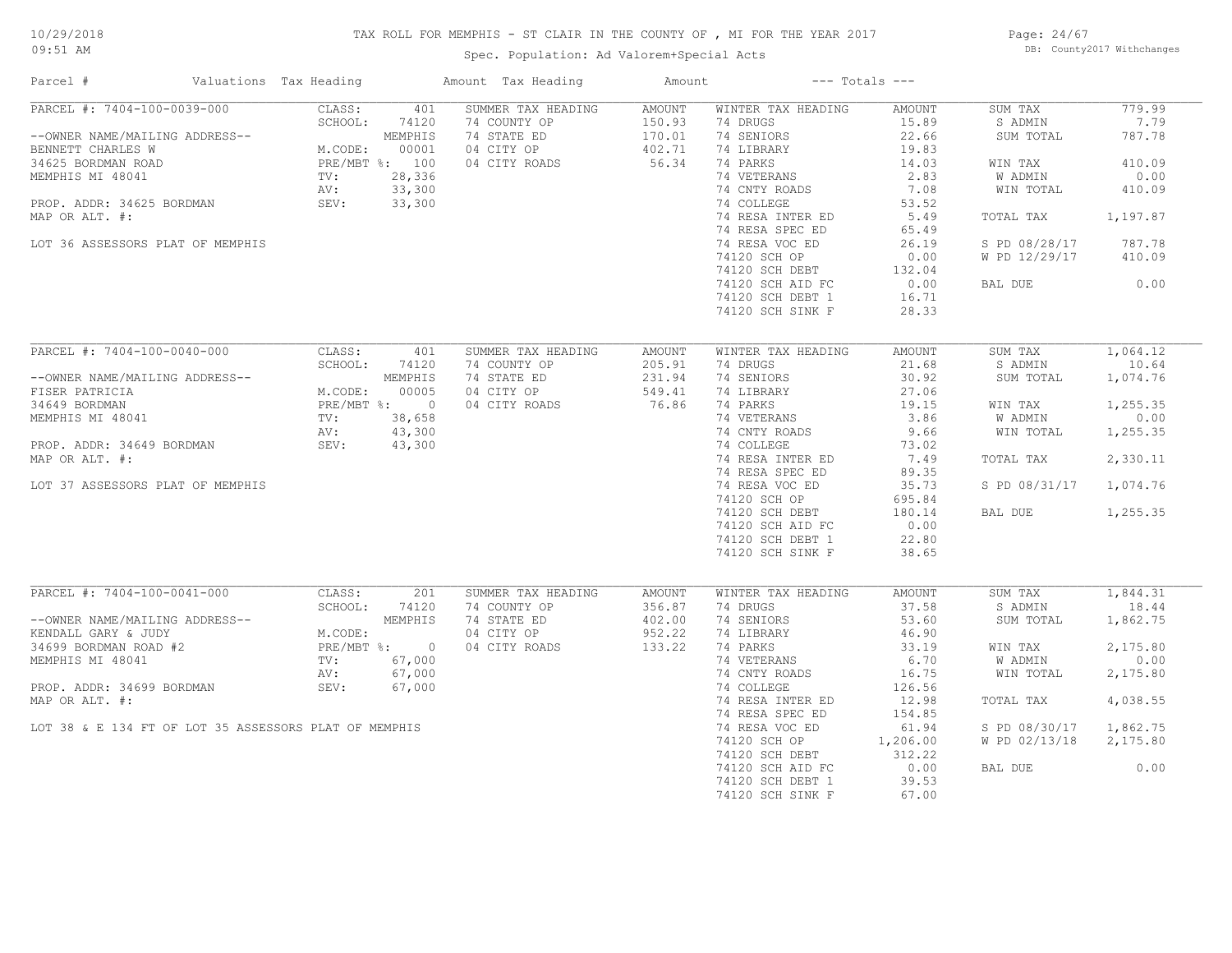# TAX ROLL FOR MEMPHIS - ST CLAIR IN THE COUNTY OF , MI FOR THE YEAR 2017

Spec. Population: Ad Valorem+Special Acts

Page: 24/67 DB: County2017 Withchanges

| Parcel #                                              | Valuations Tax Heading |                | Amount Tax Heading | Amount |                    | $---$ Totals $---$ |               |          |
|-------------------------------------------------------|------------------------|----------------|--------------------|--------|--------------------|--------------------|---------------|----------|
| PARCEL #: 7404-100-0039-000                           | CLASS:                 | 401            | SUMMER TAX HEADING | AMOUNT | WINTER TAX HEADING | AMOUNT             | SUM TAX       | 779.99   |
|                                                       | SCHOOL:                | 74120          | 74 COUNTY OP       | 150.93 | 74 DRUGS           | 15.89              | S ADMIN       | 7.79     |
| --OWNER NAME/MAILING ADDRESS--                        |                        | MEMPHIS        | 74 STATE ED        | 170.01 | 74 SENIORS         | 22.66              | SUM TOTAL     | 787.78   |
| BENNETT CHARLES W                                     | M.CODE:                | 00001          | 04 CITY OP         | 402.71 | 74 LIBRARY         | 19.83              |               |          |
| 34625 BORDMAN ROAD                                    |                        | PRE/MBT %: 100 | 04 CITY ROADS      | 56.34  | 74 PARKS           | 14.03              | WIN TAX       | 410.09   |
| MEMPHIS MI 48041                                      | TV:                    | 28,336         |                    |        | 74 VETERANS        | 2.83               | W ADMIN       | 0.00     |
|                                                       | AV:                    | 33,300         |                    |        | 74 CNTY ROADS      | 7.08               | WIN TOTAL     | 410.09   |
| PROP. ADDR: 34625 BORDMAN                             | SEV:                   | 33,300         |                    |        | 74 COLLEGE         | 53.52              |               |          |
| MAP OR ALT. #:                                        |                        |                |                    |        | 74 RESA INTER ED   | 5.49               | TOTAL TAX     | 1,197.87 |
|                                                       |                        |                |                    |        | 74 RESA SPEC ED    | 65.49              |               |          |
| LOT 36 ASSESSORS PLAT OF MEMPHIS                      |                        |                |                    |        | 74 RESA VOC ED     | 26.19              | S PD 08/28/17 | 787.78   |
|                                                       |                        |                |                    |        | 74120 SCH OP       | 0.00               | W PD 12/29/17 | 410.09   |
|                                                       |                        |                |                    |        | 74120 SCH DEBT     | 132.04             |               |          |
|                                                       |                        |                |                    |        | 74120 SCH AID FC   | 0.00               | BAL DUE       | 0.00     |
|                                                       |                        |                |                    |        | 74120 SCH DEBT 1   | 16.71              |               |          |
|                                                       |                        |                |                    |        | 74120 SCH SINK F   | 28.33              |               |          |
|                                                       |                        |                |                    |        |                    |                    |               |          |
| PARCEL #: 7404-100-0040-000                           | CLASS:                 | 401            | SUMMER TAX HEADING | AMOUNT | WINTER TAX HEADING | <b>AMOUNT</b>      | SUM TAX       | 1,064.12 |
|                                                       | SCHOOL:                | 74120          | 74 COUNTY OP       | 205.91 | 74 DRUGS           | 21.68              | S ADMIN       | 10.64    |
| --OWNER NAME/MAILING ADDRESS--                        |                        | MEMPHIS        | 74 STATE ED        | 231.94 | 74 SENIORS         | 30.92              | SUM TOTAL     | 1,074.76 |
| FISER PATRICIA                                        | M.CODE:                | 00005          | 04 CITY OP         | 549.41 | 74 LIBRARY         | 27.06              |               |          |
| 34649 BORDMAN                                         |                        | PRE/MBT %: 0   | 04 CITY ROADS      | 76.86  | 74 PARKS           | 19.15              | WIN TAX       | 1,255.35 |
| MEMPHIS MI 48041                                      | TV:                    | 38,658         |                    |        | 74 VETERANS        | 3.86               | W ADMIN       | 0.00     |
|                                                       | AV:                    | 43,300         |                    |        | 74 CNTY ROADS      | 9.66               | WIN TOTAL     | 1,255.35 |
| PROP. ADDR: 34649 BORDMAN                             | SEV:                   | 43,300         |                    |        | 74 COLLEGE         | 73.02              |               |          |
| MAP OR ALT. #:                                        |                        |                |                    |        | 74 RESA INTER ED   | 7.49               | TOTAL TAX     | 2,330.11 |
|                                                       |                        |                |                    |        | 74 RESA SPEC ED    | 89.35              |               |          |
| LOT 37 ASSESSORS PLAT OF MEMPHIS                      |                        |                |                    |        | 74 RESA VOC ED     | 35.73              | S PD 08/31/17 | 1,074.76 |
|                                                       |                        |                |                    |        | 74120 SCH OP       | 695.84             |               |          |
|                                                       |                        |                |                    |        | 74120 SCH DEBT     | 180.14             | BAL DUE       | 1,255.35 |
|                                                       |                        |                |                    |        | 74120 SCH AID FC   | 0.00               |               |          |
|                                                       |                        |                |                    |        | 74120 SCH DEBT 1   | 22.80              |               |          |
|                                                       |                        |                |                    |        | 74120 SCH SINK F   | 38.65              |               |          |
|                                                       |                        |                |                    |        |                    |                    |               |          |
| PARCEL #: 7404-100-0041-000                           | CLASS:                 | 201            | SUMMER TAX HEADING | AMOUNT | WINTER TAX HEADING | AMOUNT             | SUM TAX       | 1,844.31 |
|                                                       | SCHOOL:                | 74120          | 74 COUNTY OP       | 356.87 | 74 DRUGS           | 37.58              | S ADMIN       | 18.44    |
| --OWNER NAME/MAILING ADDRESS--                        |                        | MEMPHIS        | 74 STATE ED        | 402.00 | 74 SENIORS         | 53.60              | SUM TOTAL     | 1,862.75 |
| KENDALL GARY & JUDY                                   | M.CODE:                |                | 04 CITY OP         | 952.22 | 74 LIBRARY         | 46.90              |               |          |
| 34699 BORDMAN ROAD #2                                 |                        | PRE/MBT %: 0   | 04 CITY ROADS      | 133.22 | 74 PARKS           | 33.19              | WIN TAX       | 2,175.80 |
| MEMPHIS MI 48041                                      | TV:                    | 67,000         |                    |        | 74 VETERANS        | 6.70               | W ADMIN       | 0.00     |
|                                                       | AV:                    | 67,000         |                    |        | 74 CNTY ROADS      | 16.75              | WIN TOTAL     | 2,175.80 |
| PROP. ADDR: 34699 BORDMAN                             | SEV:                   | 67,000         |                    |        | 74 COLLEGE         | 126.56             |               |          |
| MAP OR ALT. #:                                        |                        |                |                    |        | 74 RESA INTER ED   | 12.98              | TOTAL TAX     | 4,038.55 |
|                                                       |                        |                |                    |        | 74 RESA SPEC ED    | 154.85             |               |          |
| LOT 38 & E 134 FT OF LOT 35 ASSESSORS PLAT OF MEMPHIS |                        |                |                    |        | 74 RESA VOC ED     | 61.94              | S PD 08/30/17 | 1,862.75 |
|                                                       |                        |                |                    |        | 74120 SCH OP       | 1,206.00           | W PD 02/13/18 | 2,175.80 |
|                                                       |                        |                |                    |        | 74120 SCH DEBT     | 312.22             |               |          |
|                                                       |                        |                |                    |        | 74120 SCH AID FC   | 0.00               | BAL DUE       | 0.00     |
|                                                       |                        |                |                    |        | 74120 SCH DEBT 1   | 39.53              |               |          |
|                                                       |                        |                |                    |        | 74120 SCH SINK F   | 67.00              |               |          |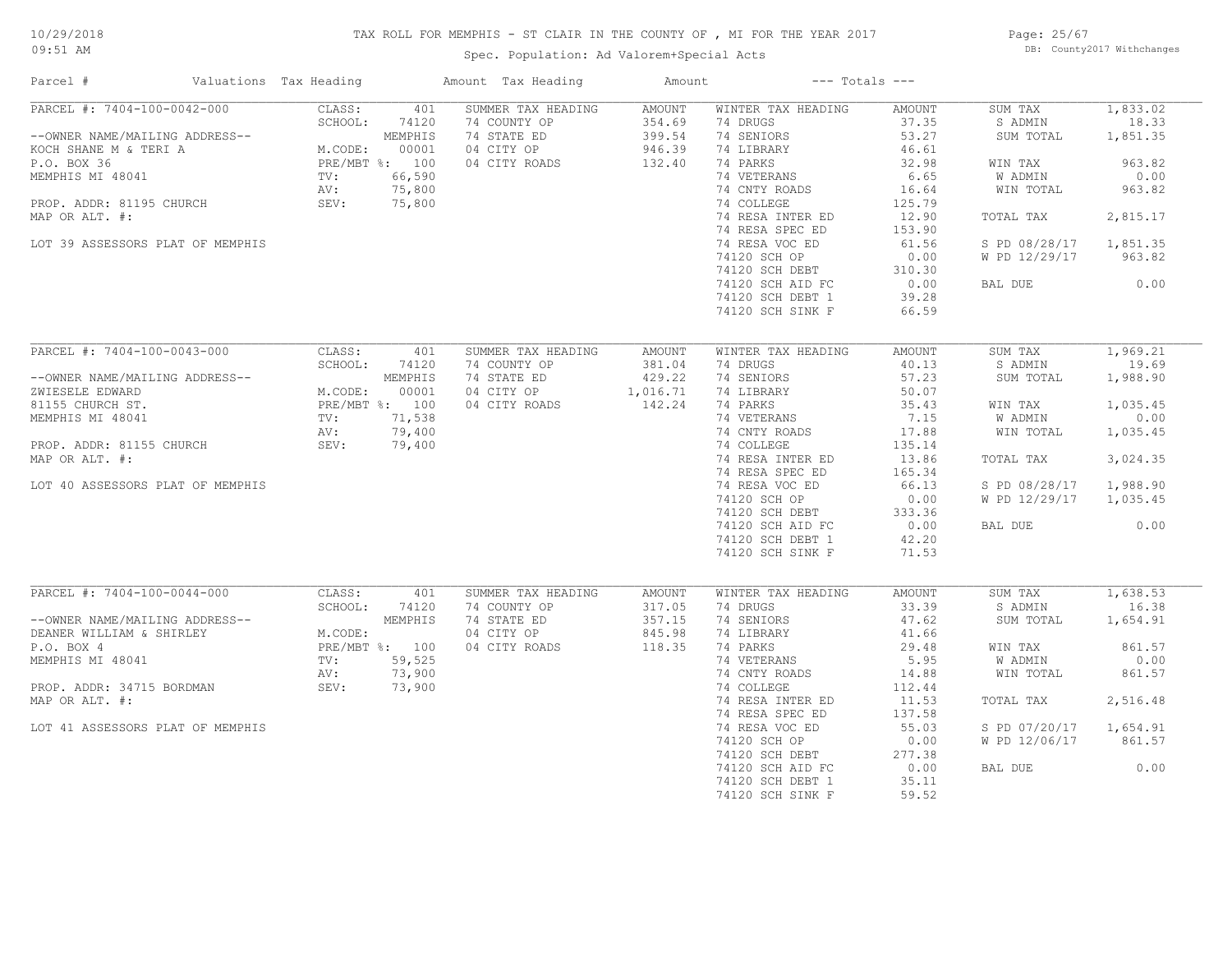# TAX ROLL FOR MEMPHIS - ST CLAIR IN THE COUNTY OF , MI FOR THE YEAR 2017

Spec. Population: Ad Valorem+Special Acts

Page: 25/67 DB: County2017 Withchanges

| Parcel #                         | Valuations Tax Heading   | Amount Tax Heading | Amount        | $---$ Totals $---$          |               |                    |                |
|----------------------------------|--------------------------|--------------------|---------------|-----------------------------|---------------|--------------------|----------------|
| PARCEL #: 7404-100-0042-000      | CLASS:<br>401            | SUMMER TAX HEADING | <b>AMOUNT</b> | WINTER TAX HEADING          | AMOUNT        | SUM TAX            | 1,833.02       |
|                                  | SCHOOL:<br>74120         | 74 COUNTY OP       | 354.69        | 74 DRUGS                    | 37.35         | S ADMIN            | 18.33          |
| --OWNER NAME/MAILING ADDRESS--   | MEMPHIS                  | 74 STATE ED        | 399.54        | 74 SENIORS                  | 53.27         | SUM TOTAL          | 1,851.35       |
| KOCH SHANE M & TERI A            | M.CODE:<br>00001         | 04 CITY OP         | 946.39        | 74 LIBRARY                  | 46.61         |                    |                |
| P.O. BOX 36<br>MEMPHIS MI 48041  | PRE/MBT %: 100<br>66,590 | 04 CITY ROADS      | 132.40        | 74 PARKS<br>74 VETERANS     | 32.98<br>6.65 | WIN TAX<br>W ADMIN | 963.82<br>0.00 |
|                                  | TV:<br>75,800<br>AV:     |                    |               |                             | 16.64         | WIN TOTAL          | 963.82         |
| PROP. ADDR: 81195 CHURCH         | SEV:<br>75,800           |                    |               | 74 CNTY ROADS<br>74 COLLEGE | 125.79        |                    |                |
| MAP OR ALT. #:                   |                          |                    |               | 74 RESA INTER ED            | 12.90         | TOTAL TAX          | 2,815.17       |
|                                  |                          |                    |               | 74 RESA SPEC ED             | 153.90        |                    |                |
| LOT 39 ASSESSORS PLAT OF MEMPHIS |                          |                    |               | 74 RESA VOC ED              | 61.56         | S PD 08/28/17      | 1,851.35       |
|                                  |                          |                    |               | 74120 SCH OP                | 0.00          | W PD 12/29/17      | 963.82         |
|                                  |                          |                    |               | 74120 SCH DEBT              | 310.30        |                    |                |
|                                  |                          |                    |               | 74120 SCH AID FC            | 0.00          | BAL DUE            | 0.00           |
|                                  |                          |                    |               | 74120 SCH DEBT 1            | 39.28         |                    |                |
|                                  |                          |                    |               | 74120 SCH SINK F            | 66.59         |                    |                |
|                                  |                          |                    |               |                             |               |                    |                |
| PARCEL #: 7404-100-0043-000      | CLASS:<br>401            | SUMMER TAX HEADING | <b>AMOUNT</b> | WINTER TAX HEADING          | AMOUNT        | SUM TAX            | 1,969.21       |
|                                  | SCHOOL:<br>74120         | 74 COUNTY OP       | 381.04        | 74 DRUGS                    | 40.13         | S ADMIN            | 19.69          |
| --OWNER NAME/MAILING ADDRESS--   | MEMPHIS                  | 74 STATE ED        | 429.22        | 74 SENIORS                  | 57.23         | SUM TOTAL          | 1,988.90       |
| ZWIESELE EDWARD                  | 00001<br>M.CODE:         | 04 CITY OP         | 1,016.71      | 74 LIBRARY                  | 50.07         |                    |                |
| 81155 CHURCH ST.                 | PRE/MBT %: 100           | 04 CITY ROADS      | 142.24        | 74 PARKS                    | 35.43         | WIN TAX            | 1,035.45       |
| MEMPHIS MI 48041                 | 71,538<br>TV:            |                    |               | 74 VETERANS                 | 7.15          | W ADMIN            | 0.00           |
|                                  | 79,400<br>AV:            |                    |               | 74 CNTY ROADS               | 17.88         | WIN TOTAL          | 1,035.45       |
| PROP. ADDR: 81155 CHURCH         | SEV:<br>79,400           |                    |               | 74 COLLEGE                  | 135.14        |                    |                |
| MAP OR ALT. #:                   |                          |                    |               | 74 RESA INTER ED            | 13.86         | TOTAL TAX          | 3,024.35       |
|                                  |                          |                    |               | 74 RESA SPEC ED             | 165.34        |                    |                |
| LOT 40 ASSESSORS PLAT OF MEMPHIS |                          |                    |               | 74 RESA VOC ED              | 66.13         | S PD 08/28/17      | 1,988.90       |
|                                  |                          |                    |               | 74120 SCH OP                | 0.00          | W PD 12/29/17      | 1,035.45       |
|                                  |                          |                    |               | 74120 SCH DEBT              | 333.36        |                    |                |
|                                  |                          |                    |               | 74120 SCH AID FC            | 0.00          | BAL DUE            | 0.00           |
|                                  |                          |                    |               | 74120 SCH DEBT 1            | 42.20         |                    |                |
|                                  |                          |                    |               | 74120 SCH SINK F            | 71.53         |                    |                |
|                                  |                          |                    |               |                             |               |                    |                |
| PARCEL #: 7404-100-0044-000      | CLASS:<br>401            | SUMMER TAX HEADING | AMOUNT        | WINTER TAX HEADING          | <b>AMOUNT</b> | SUM TAX            | 1,638.53       |
|                                  | SCHOOL:<br>74120         | 74 COUNTY OP       | 317.05        | 74 DRUGS                    | 33.39         | S ADMIN            | 16.38          |
| --OWNER NAME/MAILING ADDRESS--   | MEMPHIS                  | 74 STATE ED        | 357.15        | 74 SENIORS                  | 47.62         | SUM TOTAL          | 1,654.91       |
| DEANER WILLIAM & SHIRLEY         | M.CODE:                  | 04 CITY OP         | 845.98        | 74 LIBRARY                  | 41.66         |                    |                |
| P.O. BOX 4                       | PRE/MBT %: 100           | 04 CITY ROADS      | 118.35        | 74 PARKS                    | 29.48         | WIN TAX            | 861.57         |
| MEMPHIS MI 48041                 | TV:<br>59,525            |                    |               | 74 VETERANS                 | 5.95          | W ADMIN            | 0.00           |
|                                  | 73,900<br>AV:            |                    |               | 74 CNTY ROADS               | 14.88         | WIN TOTAL          | 861.57         |
| PROP. ADDR: 34715 BORDMAN        | SEV:<br>73,900           |                    |               | 74 COLLEGE                  | 112.44        |                    |                |
| MAP OR ALT. #:                   |                          |                    |               | 74 RESA INTER ED            | 11.53         | TOTAL TAX          | 2,516.48       |
|                                  |                          |                    |               | 74 RESA SPEC ED             | 137.58        |                    |                |
| LOT 41 ASSESSORS PLAT OF MEMPHIS |                          |                    |               | 74 RESA VOC ED              | 55.03         | S PD 07/20/17      | 1,654.91       |
|                                  |                          |                    |               | 74120 SCH OP                | 0.00          | W PD 12/06/17      | 861.57         |
|                                  |                          |                    |               | 74120 SCH DEBT              | 277.38        |                    |                |
|                                  |                          |                    |               | 74120 SCH AID FC            | 0.00          | BAL DUE            | 0.00           |
|                                  |                          |                    |               | 74120 SCH DEBT 1            | 35.11         |                    |                |
|                                  |                          |                    |               | 74120 SCH SINK F            | 59.52         |                    |                |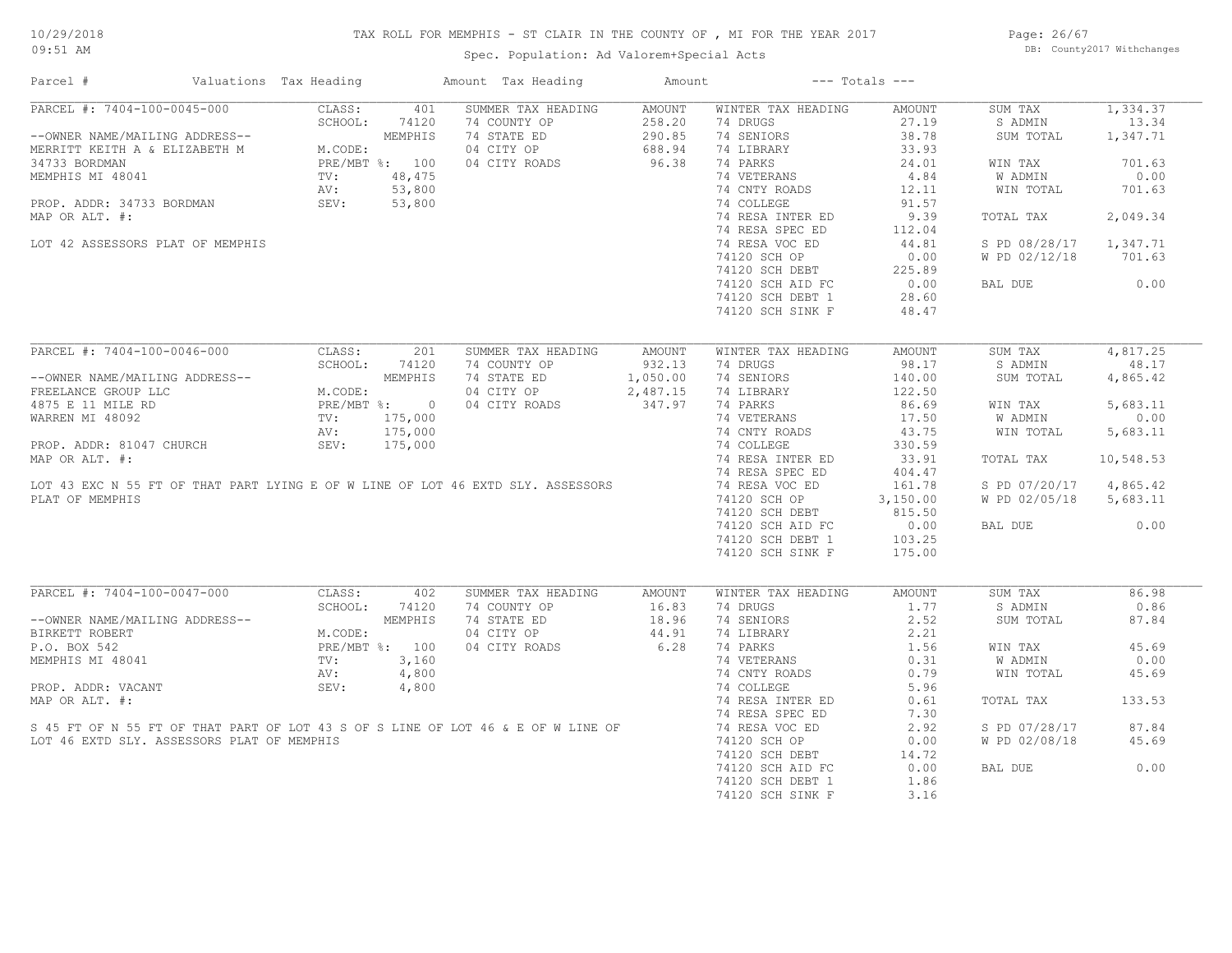# TAX ROLL FOR MEMPHIS - ST CLAIR IN THE COUNTY OF , MI FOR THE YEAR 2017

Page: 26/67 DB: County2017 Withchanges

| Parcel #                                                                                                                                                                                        | Valuations Tax Heading                                                                                                                                                                                                              |       | Amount Tax Heading                                                                                                                                                                   | Amount                                          |                                                         | $---$ Totals $---$ |               |           |
|-------------------------------------------------------------------------------------------------------------------------------------------------------------------------------------------------|-------------------------------------------------------------------------------------------------------------------------------------------------------------------------------------------------------------------------------------|-------|--------------------------------------------------------------------------------------------------------------------------------------------------------------------------------------|-------------------------------------------------|---------------------------------------------------------|--------------------|---------------|-----------|
| PARCEL #: 7404-100-0045-000                                                                                                                                                                     | CLASS:                                                                                                                                                                                                                              | 401   | SUMMER TAX HEADING                                                                                                                                                                   | AMOUNT                                          | WINTER TAX HEADING                                      | AMOUNT             | SUM TAX       | 1,334.37  |
|                                                                                                                                                                                                 | SCHOOL:                                                                                                                                                                                                                             | 74120 | 74 COUNTY OP                                                                                                                                                                         | $G$<br>$250$<br>$290.85$<br>$688.94$<br>$96.38$ | 74 DRUGS                                                | 27.19              | S ADMIN       | 13.34     |
| --OWNER NAME/MAILING ADDRESS--<br>MERRITT KEITH A & ELIZABETH M<br>34733 BORDMAN PRE/MBT %: 100<br>MEMPHIS MI 48041 TV: 48,475<br>PROP. ADDR: 34733 BORDMAN AV: 53,800<br>MAP OR ALT. #: 53,900 |                                                                                                                                                                                                                                     |       | 74 STATE ED                                                                                                                                                                          |                                                 | 74 SENIORS                                              | 38.78              | SUM TOTAL     | 1,347.71  |
|                                                                                                                                                                                                 |                                                                                                                                                                                                                                     |       | 04 CITY OP                                                                                                                                                                           |                                                 | 74 LIBRARY                                              | 33.93              |               |           |
|                                                                                                                                                                                                 |                                                                                                                                                                                                                                     |       | 04 CITY ROADS                                                                                                                                                                        |                                                 | 74 PARKS                                                | 24.01              | WIN TAX       | 701.63    |
|                                                                                                                                                                                                 |                                                                                                                                                                                                                                     |       |                                                                                                                                                                                      |                                                 | 74 VETERANS                                             | 4.84               | W ADMIN       | 0.00      |
|                                                                                                                                                                                                 |                                                                                                                                                                                                                                     |       |                                                                                                                                                                                      |                                                 | 74 CNTY ROADS                                           | 12.11              | WIN TOTAL     | 701.63    |
|                                                                                                                                                                                                 |                                                                                                                                                                                                                                     |       |                                                                                                                                                                                      |                                                 | 74 COLLEGE                                              | 91.57              |               |           |
| MAP OR ALT. #:                                                                                                                                                                                  |                                                                                                                                                                                                                                     |       |                                                                                                                                                                                      |                                                 | 74 RESA INTER ED                                        | 9.39               | TOTAL TAX     | 2,049.34  |
|                                                                                                                                                                                                 |                                                                                                                                                                                                                                     |       |                                                                                                                                                                                      |                                                 | 74 RESA SPEC ED                                         | 112.04             |               |           |
| LOT 42 ASSESSORS PLAT OF MEMPHIS                                                                                                                                                                |                                                                                                                                                                                                                                     |       |                                                                                                                                                                                      |                                                 |                                                         | 44.81              | S PD 08/28/17 | 1,347.71  |
|                                                                                                                                                                                                 |                                                                                                                                                                                                                                     |       |                                                                                                                                                                                      |                                                 | 74 RESA VOC ED                                          |                    |               |           |
|                                                                                                                                                                                                 |                                                                                                                                                                                                                                     |       |                                                                                                                                                                                      |                                                 |                                                         |                    | W PD 02/12/18 | 701.63    |
|                                                                                                                                                                                                 |                                                                                                                                                                                                                                     |       |                                                                                                                                                                                      |                                                 | 74120 SCH OF<br>74120 SCH DEBT 225.89<br>20.00<br>20.60 |                    |               |           |
|                                                                                                                                                                                                 |                                                                                                                                                                                                                                     |       |                                                                                                                                                                                      |                                                 |                                                         |                    | BAL DUE       | 0.00      |
|                                                                                                                                                                                                 |                                                                                                                                                                                                                                     |       |                                                                                                                                                                                      |                                                 | 74120 SCH DEBT 1                                        | 28.60              |               |           |
|                                                                                                                                                                                                 |                                                                                                                                                                                                                                     |       |                                                                                                                                                                                      |                                                 | 74120 SCH SINK F                                        | 48.47              |               |           |
|                                                                                                                                                                                                 |                                                                                                                                                                                                                                     |       |                                                                                                                                                                                      |                                                 |                                                         |                    |               |           |
| PARCEL #: 7404-100-0046-000                                                                                                                                                                     | CLASS:                                                                                                                                                                                                                              | 201   | SUMMER TAX HEADING                                                                                                                                                                   | AMOUNT                                          | WINTER TAX HEADING                                      | AMOUNT             | SUM TAX       | 4,817.25  |
|                                                                                                                                                                                                 | SCHOOL:                                                                                                                                                                                                                             | 74120 | 74 COUNTY OP                                                                                                                                                                         | 932.13                                          | 74 DRUGS                                                | 98.17              | S ADMIN       | 48.17     |
| --OWNER NAME/MAILING ADDRESS--                                                                                                                                                                  | NG ADDRESS--<br>C<br>C<br>C<br>M.CODE:<br>M.CODE:<br>M.CODE:<br>M.CODE:<br>M.CODE:<br>M.CODE:<br>M.CODE:<br>M.CODE:<br>M.CODE:<br>M.CODE:<br>N.CODE:<br>N.CODE:<br>TV:<br>175,000<br>AV:<br>175,000<br>SEV: 175,000<br>SEV: 175,000 |       | 74 STATE ED                                                                                                                                                                          | 1,050.00<br>2,487.15<br>347.97                  | 74 SENIORS                                              | 140.00             | SUM TOTAL     | 4,865.42  |
| FREELANCE GROUP LLC                                                                                                                                                                             |                                                                                                                                                                                                                                     |       | 04 CITY OP                                                                                                                                                                           |                                                 | 74 LIBRARY                                              | 122.50             |               |           |
| 4875 E 11 MILE RD                                                                                                                                                                               |                                                                                                                                                                                                                                     |       | 04 CITY ROADS                                                                                                                                                                        |                                                 | 74 PARKS                                                | 86.69              | WIN TAX       | 5,683.11  |
| WARREN MI 48092                                                                                                                                                                                 |                                                                                                                                                                                                                                     |       |                                                                                                                                                                                      |                                                 | 74 VETERANS                                             | 17.50              | W ADMIN       | 0.00      |
|                                                                                                                                                                                                 |                                                                                                                                                                                                                                     |       |                                                                                                                                                                                      |                                                 |                                                         |                    |               |           |
|                                                                                                                                                                                                 |                                                                                                                                                                                                                                     |       |                                                                                                                                                                                      |                                                 | 74 CNTY ROADS                                           | 43.75              | WIN TOTAL     | 5,683.11  |
| PROP. ADDR: 81047 CHURCH                                                                                                                                                                        |                                                                                                                                                                                                                                     |       |                                                                                                                                                                                      |                                                 | 74 COLLEGE                                              | 330.59             |               |           |
| MAP OR ALT. #:                                                                                                                                                                                  |                                                                                                                                                                                                                                     |       |                                                                                                                                                                                      |                                                 | 74 RESA INTER ED                                        | 33.91              | TOTAL TAX     | 10,548.53 |
|                                                                                                                                                                                                 |                                                                                                                                                                                                                                     |       |                                                                                                                                                                                      |                                                 | 74 RESA SPEC ED                                         | 404.47             |               |           |
|                                                                                                                                                                                                 |                                                                                                                                                                                                                                     |       | LOT 43 EXC N 55 FT OF THAT PART LYING E OF W LINE OF LOT 46 EXTD SLY. ASSESSORS                                                                                                      |                                                 | 74 RESA VOC ED                                          | 161.78             | S PD 07/20/17 | 4,865.42  |
| PLAT OF MEMPHIS                                                                                                                                                                                 |                                                                                                                                                                                                                                     |       |                                                                                                                                                                                      |                                                 | 74120 SCH OP                                            | 3,150.00           | W PD 02/05/18 | 5,683.11  |
|                                                                                                                                                                                                 |                                                                                                                                                                                                                                     |       |                                                                                                                                                                                      |                                                 | 74120 SCH DEBT                                          | 815.50             |               |           |
|                                                                                                                                                                                                 |                                                                                                                                                                                                                                     |       |                                                                                                                                                                                      |                                                 | 74120 SCH AID FC                                        | 0.00               | BAL DUE       | 0.00      |
|                                                                                                                                                                                                 |                                                                                                                                                                                                                                     |       |                                                                                                                                                                                      |                                                 | 74120 SCH DEBT 1                                        | 103.25             |               |           |
|                                                                                                                                                                                                 |                                                                                                                                                                                                                                     |       |                                                                                                                                                                                      |                                                 | 74120 SCH SINK F                                        | 175.00             |               |           |
|                                                                                                                                                                                                 |                                                                                                                                                                                                                                     |       |                                                                                                                                                                                      |                                                 |                                                         |                    |               |           |
| PARCEL #: 7404-100-0047-000                                                                                                                                                                     | CLASS:                                                                                                                                                                                                                              | 402   | SUMMER TAX HEADING                                                                                                                                                                   | AMOUNT                                          | WINTER TAX HEADING                                      | AMOUNT             | SUM TAX       | 86.98     |
|                                                                                                                                                                                                 | SCHOOL:                                                                                                                                                                                                                             | 74120 | 74 COUNTY OP                                                                                                                                                                         | 16.83                                           | 74 DRUGS                                                | 1.77               | S ADMIN       | 0.86      |
|                                                                                                                                                                                                 |                                                                                                                                                                                                                                     |       |                                                                                                                                                                                      |                                                 |                                                         |                    |               |           |
| --OWNER NAME/MAILING ADDRESS--                                                                                                                                                                  |                                                                                                                                                                                                                                     |       | 74 STATE ED                                                                                                                                                                          | 18.96                                           | 74 SENIORS                                              | 2.52               | SUM TOTAL     | 87.84     |
| BIRKETT ROBERT                                                                                                                                                                                  | NG ADDRESS--<br>$M.\text{CODE:}$<br>$\text{PRE/MBT}$ %: 100<br>$\text{TV:}$ 3,160<br>$\frac{1}{100}$                                                                                                                                |       | 04 CITY OP                                                                                                                                                                           | $44.91$<br>6.28                                 | 74 LIBRARY                                              | 2.21               |               |           |
| P.O. BOX 542                                                                                                                                                                                    |                                                                                                                                                                                                                                     |       | 04 CITY ROADS                                                                                                                                                                        |                                                 | 74 PARKS                                                | 1.56               | WIN TAX       | 45.69     |
| MEMPHIS MI 48041                                                                                                                                                                                |                                                                                                                                                                                                                                     |       |                                                                                                                                                                                      |                                                 | 74 VETERANS                                             | 0.31               | W ADMIN       | 0.00      |
|                                                                                                                                                                                                 | AV:                                                                                                                                                                                                                                 | 4,800 |                                                                                                                                                                                      |                                                 | 74 CNTY ROADS<br>74 COLLEGE                             | 0.79               | WIN TOTAL     | 45.69     |
| PROP. ADDR: VACANT                                                                                                                                                                              | SEV:                                                                                                                                                                                                                                | 4,800 |                                                                                                                                                                                      |                                                 |                                                         | 5.96               |               |           |
|                                                                                                                                                                                                 |                                                                                                                                                                                                                                     |       |                                                                                                                                                                                      |                                                 | 74 RESA INTER ED                                        | 0.61               | TOTAL TAX     | 133.53    |
|                                                                                                                                                                                                 |                                                                                                                                                                                                                                     |       |                                                                                                                                                                                      |                                                 | 74 RESA SPEC ED                                         | 7.30               |               |           |
|                                                                                                                                                                                                 |                                                                                                                                                                                                                                     |       | MAP OR ALT. #:<br>S 45 FT OF N 55 FT OF THAT PART OF LOT 43 S OF S LINE OF LOT 46 & E OF W LINE OF<br>S 45 FT OF N 55 FT OF THAT PART OF UTURUS OF S LINE OF LOT 46 & E OF W LINE OF |                                                 | 74 RESA VOC ED                                          | 2.92               | S PD 07/28/17 | 87.84     |
| LOT 46 EXTD SLY. ASSESSORS PLAT OF MEMPHIS                                                                                                                                                      |                                                                                                                                                                                                                                     |       |                                                                                                                                                                                      |                                                 | 74120 SCH OP                                            | 0.00               | W PD 02/08/18 | 45.69     |
|                                                                                                                                                                                                 |                                                                                                                                                                                                                                     |       |                                                                                                                                                                                      |                                                 | 74120 SCH DEBT                                          | 14.72              |               |           |
|                                                                                                                                                                                                 |                                                                                                                                                                                                                                     |       |                                                                                                                                                                                      |                                                 | 74120 SCH AID FC                                        | 0.00               | BAL DUE       | 0.00      |
|                                                                                                                                                                                                 |                                                                                                                                                                                                                                     |       |                                                                                                                                                                                      |                                                 |                                                         |                    |               |           |
|                                                                                                                                                                                                 |                                                                                                                                                                                                                                     |       |                                                                                                                                                                                      |                                                 | 74120 SCH DEBT 1                                        | 1.86               |               |           |
|                                                                                                                                                                                                 |                                                                                                                                                                                                                                     |       |                                                                                                                                                                                      |                                                 | 74120 SCH SINK F                                        | 3.16               |               |           |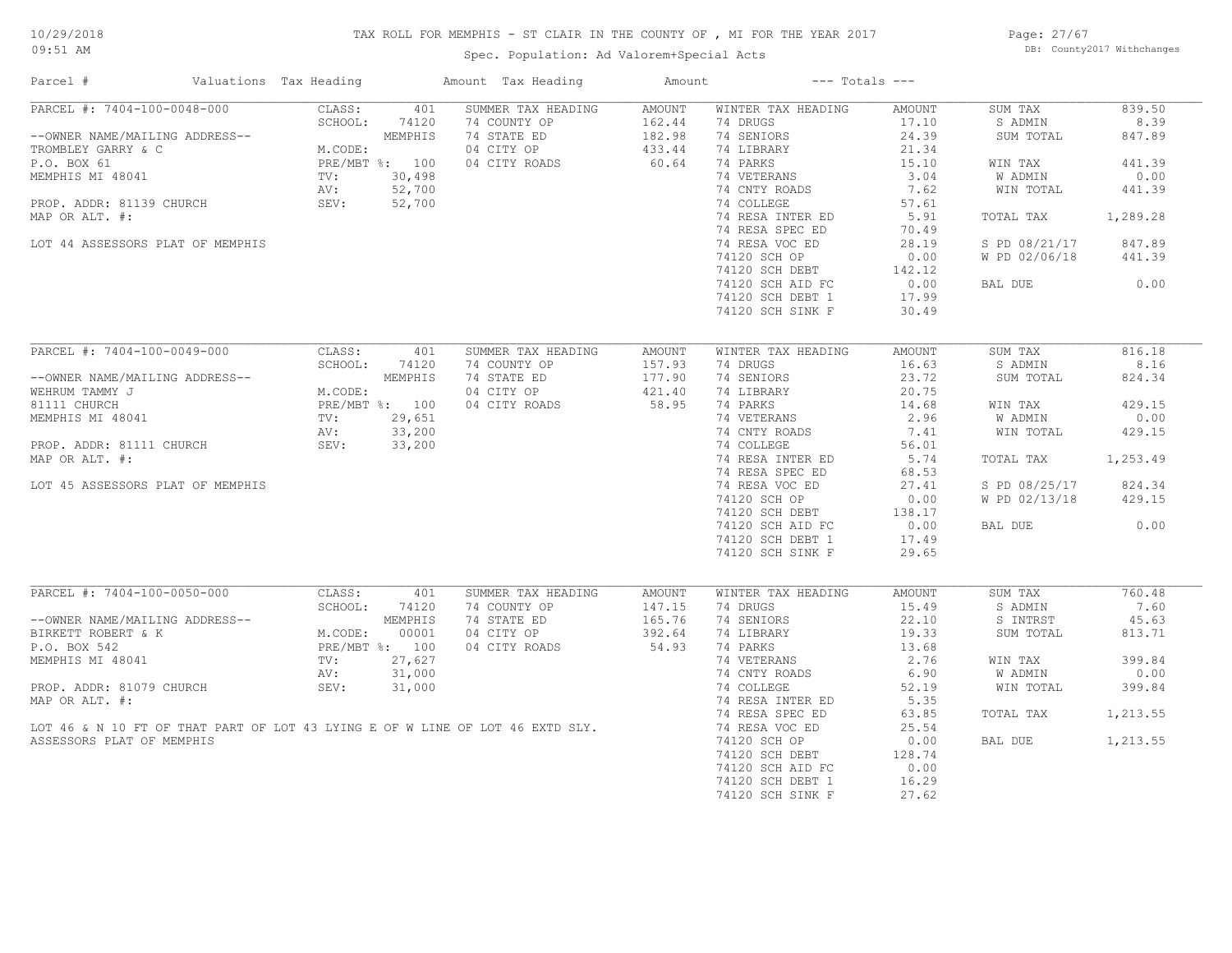# TAX ROLL FOR MEMPHIS - ST CLAIR IN THE COUNTY OF , MI FOR THE YEAR 2017

Spec. Population: Ad Valorem+Special Acts

Page: 27/67 DB: County2017 Withchanges

| Parcel #                                                                                                          | Valuations Tax Heading                                                                   |                | Amount Tax Heading | Amount           |                    | $---$ Totals $---$         |               |          |
|-------------------------------------------------------------------------------------------------------------------|------------------------------------------------------------------------------------------|----------------|--------------------|------------------|--------------------|----------------------------|---------------|----------|
| PARCEL #: 7404-100-0048-000                                                                                       | CLASS:                                                                                   | 401            | SUMMER TAX HEADING | AMOUNT           | WINTER TAX HEADING | AMOUNT                     | SUM TAX       | 839.50   |
|                                                                                                                   | SCHOOL:                                                                                  | 74120          | 74 COUNTY OP       | 162.44           | 74 DRUGS           | 17.10                      | S ADMIN       | 8.39     |
| --OWNER NAME/MAILING ADDRESS--                                                                                    | ESS--<br>MEMPHIS<br>M.CODE:<br>PRE/MBT %: 100<br>TV: 30,498<br>AV: 52,700<br>SEV: 52,700 |                | 74 STATE ED        | 182.98<br>433.44 | 74 SENIORS         | 24.39                      | SUM TOTAL     | 847.89   |
| TROMBLEY GARRY & C                                                                                                |                                                                                          |                | 04 CITY OP         |                  | 74 LIBRARY         | 21.34                      |               |          |
| P.O. BOX 61                                                                                                       |                                                                                          |                | 04 CITY ROADS      | 60.64            | 74 PARKS           | 15.10                      | WIN TAX       | 441.39   |
| MEMPHIS MI 48041                                                                                                  |                                                                                          |                |                    |                  | 74 VETERANS        | 3.04                       | W ADMIN       | 0.00     |
|                                                                                                                   |                                                                                          |                |                    |                  | 74 CNTY ROADS      | 7.62                       | WIN TOTAL     | 441.39   |
| PROP. ADDR: 81139 CHURCH                                                                                          |                                                                                          |                |                    |                  | 74 COLLEGE         | 57.61                      |               |          |
| MAP OR ALT. #:                                                                                                    |                                                                                          |                |                    |                  | 74 RESA INTER ED   | 5.91                       | TOTAL TAX     | 1,289.28 |
|                                                                                                                   |                                                                                          |                |                    |                  | 74 RESA SPEC ED    | 70.49                      |               |          |
| LOT 44 ASSESSORS PLAT OF MEMPHIS                                                                                  |                                                                                          |                |                    |                  | 74 RESA VOC ED     | 28.19                      | S PD 08/21/17 | 847.89   |
|                                                                                                                   |                                                                                          |                |                    |                  | 74120 SCH OP       | 0.00                       | W PD 02/06/18 | 441.39   |
|                                                                                                                   |                                                                                          |                |                    |                  | 74120 SCH DEBT     | 142.12                     |               |          |
|                                                                                                                   |                                                                                          |                |                    |                  | 74120 SCH AID FC   | 0.00                       | BAL DUE       | 0.00     |
|                                                                                                                   |                                                                                          |                |                    |                  | 74120 SCH DEBT 1   | 17.99                      |               |          |
|                                                                                                                   |                                                                                          |                |                    |                  | 74120 SCH SINK F   | 30.49                      |               |          |
|                                                                                                                   |                                                                                          |                |                    |                  |                    |                            |               |          |
| PARCEL #: 7404-100-0049-000                                                                                       | CLASS:                                                                                   | 401            | SUMMER TAX HEADING | AMOUNT           | WINTER TAX HEADING | AMOUNT                     | SUM TAX       | 816.18   |
|                                                                                                                   | SCHOOL:                                                                                  | 74120          | 74 COUNTY OP       | 157.93           | 74 DRUGS           | 16.63                      | S ADMIN       | 8.16     |
| --OWNER NAME/MAILING ADDRESS--                                                                                    |                                                                                          | MEMPHIS        | 74 STATE ED        | 177.90           | 74 SENIORS         | 23.72                      | SUM TOTAL     | 824.34   |
| ING ADDRESS--<br>M.CODE:<br>PRE/MBT %: 100<br>TV: 29,651<br>AV: 33,200<br>CHURCH<br>SEV: 33,200<br>WEHRUM TAMMY J |                                                                                          |                | 04 CITY OP         | 421.40           | 74 LIBRARY         | 20.75                      |               |          |
| 81111 CHURCH                                                                                                      |                                                                                          |                | 04 CITY ROADS      | 58.95            | 74 PARKS           | 14.68                      | WIN TAX       | 429.15   |
| MEMPHIS MI 48041                                                                                                  |                                                                                          |                |                    |                  | 74 VETERANS        | 2.96                       | W ADMIN       | 0.00     |
|                                                                                                                   |                                                                                          |                |                    |                  | 74 CNTY ROADS      | 7.41                       | WIN TOTAL     | 429.15   |
| PROP. ADDR: 81111 CHURCH                                                                                          |                                                                                          |                |                    |                  | 74 COLLEGE         | 56.01                      |               |          |
|                                                                                                                   |                                                                                          |                |                    |                  |                    | 5.74                       |               |          |
| MAP OR ALT. #:                                                                                                    |                                                                                          |                |                    |                  | 74 RESA INTER ED   | 68.53                      | TOTAL TAX     | 1,253.49 |
|                                                                                                                   |                                                                                          |                |                    |                  | 74 RESA SPEC ED    |                            |               |          |
| LOT 45 ASSESSORS PLAT OF MEMPHIS                                                                                  |                                                                                          |                |                    |                  | 74 RESA VOC ED     | 27.41                      | S PD 08/25/17 | 824.34   |
|                                                                                                                   |                                                                                          |                |                    |                  | 74120 SCH OP       | 0.00                       | W PD 02/13/18 | 429.15   |
|                                                                                                                   |                                                                                          |                |                    |                  | 74120 SCH DEBT     | 138.17<br>$10.00$<br>17.49 |               |          |
|                                                                                                                   |                                                                                          |                |                    |                  | 74120 SCH AID FC   |                            | BAL DUE       | 0.00     |
|                                                                                                                   |                                                                                          |                |                    |                  | 74120 SCH DEBT 1   | 17.49                      |               |          |
|                                                                                                                   |                                                                                          |                |                    |                  | 74120 SCH SINK F   | 29.65                      |               |          |
|                                                                                                                   |                                                                                          |                |                    |                  |                    |                            |               |          |
| PARCEL #: 7404-100-0050-000                                                                                       | CLASS:                                                                                   | 401            | SUMMER TAX HEADING | AMOUNT           | WINTER TAX HEADING | AMOUNT                     | SUM TAX       | 760.48   |
|                                                                                                                   |                                                                                          | SCHOOL: 74120  | 74 COUNTY OP       | 147.15           | 74 DRUGS           | 15.49                      | S ADMIN       | 7.60     |
| --OWNER NAME/MAILING ADDRESS--                                                                                    |                                                                                          | MEMPHIS        | 74 STATE ED        | 165.76           | 74 SENIORS         | 22.10                      | S INTRST      | 45.63    |
| BIRKETT ROBERT & K                                                                                                | ME<br>M.CODE:<br>PRE/MBT %:<br>TV:                                                       | 00001          | 04 CITY OP         | 392.64           | 74 LIBRARY         | 19.33                      | SUM TOTAL     | 813.71   |
| P.O. BOX 542                                                                                                      |                                                                                          | PRE/MBT %: 100 | 04 CITY ROADS      | 54.93            | 74 PARKS           | 13.68                      |               |          |
| MEMPHIS MI 48041                                                                                                  |                                                                                          | 27,627         |                    |                  | 74 VETERANS        | 2.76                       | WIN TAX       | 399.84   |
|                                                                                                                   | AV:                                                                                      | 31,000         |                    |                  | 74 CNTY ROADS      | 6.90                       | W ADMIN       | 0.00     |
| PROP. ADDR: 81079 CHURCH                                                                                          | SEV:                                                                                     | 31,000         |                    |                  | 74 COLLEGE         | 52.19                      | WIN TOTAL     | 399.84   |
| MAP OR ALT. #:                                                                                                    |                                                                                          |                |                    |                  | 74 RESA INTER ED   | 5.35                       |               |          |
| LOT 46 & N 10 FT OF THAT PART OF LOT 43 LYING E OF W LINE OF LOT 46 EXTD SLY.                                     |                                                                                          |                |                    |                  | 74 RESA SPEC ED    | 63.85                      | TOTAL TAX     | 1,213.55 |
|                                                                                                                   |                                                                                          |                |                    |                  | 74 RESA VOC ED     | 25.54                      |               |          |
| ASSESSORS PLAT OF MEMPHIS                                                                                         |                                                                                          |                |                    |                  | 74120 SCH OP       | 0.00                       | BAL DUE       | 1,213.55 |
|                                                                                                                   |                                                                                          |                |                    |                  | 74120 SCH DEBT     | 128.74                     |               |          |
|                                                                                                                   |                                                                                          |                |                    |                  | 74120 SCH AID FC   | 0.00                       |               |          |
|                                                                                                                   |                                                                                          |                |                    |                  | 74120 SCH DEBT 1   | 16.29                      |               |          |
|                                                                                                                   |                                                                                          |                |                    |                  | 74120 SCH SINK F   | 27.62                      |               |          |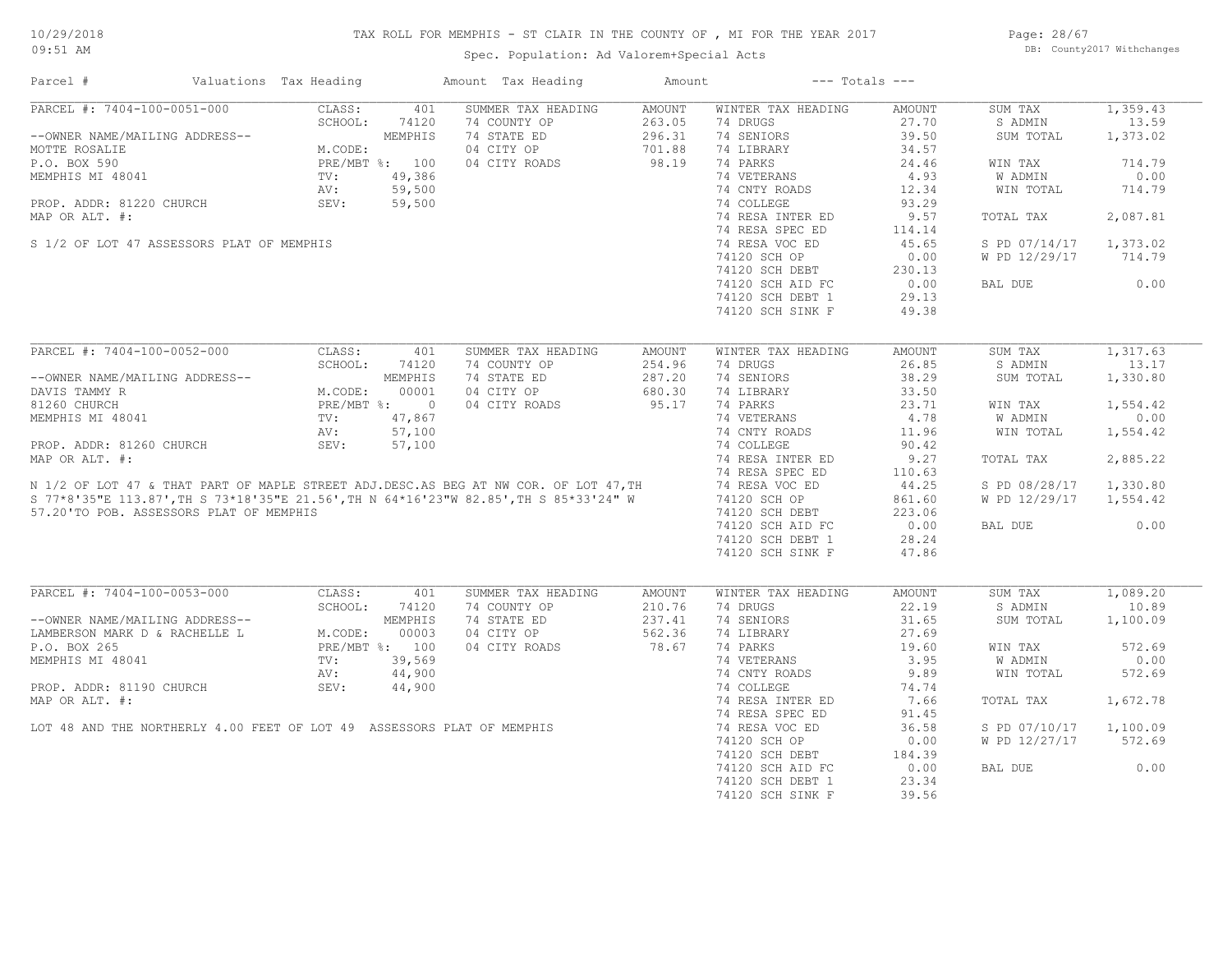# TAX ROLL FOR MEMPHIS - ST CLAIR IN THE COUNTY OF , MI FOR THE YEAR 2017 Spec. Population: Ad Valorem+Special Acts

Page: 28/67 DB: County2017 Withchanges

| Parcel #                                                               | Valuations Tax Heading |                | Amount Tax Heading                                                                                                                                                        | Amount        | $---$ Totals $---$ |        |               |          |
|------------------------------------------------------------------------|------------------------|----------------|---------------------------------------------------------------------------------------------------------------------------------------------------------------------------|---------------|--------------------|--------|---------------|----------|
| PARCEL #: 7404-100-0051-000                                            | CLASS:                 | 401            | SUMMER TAX HEADING                                                                                                                                                        | <b>AMOUNT</b> | WINTER TAX HEADING | AMOUNT | SUM TAX       | 1,359.43 |
|                                                                        | SCHOOL:                | 74120          | 74 COUNTY OP                                                                                                                                                              | 263.05        | 74 DRUGS           | 27.70  | S ADMIN       | 13.59    |
| --OWNER NAME/MAILING ADDRESS--                                         |                        | MEMPHIS        | 74 STATE ED                                                                                                                                                               | 296.31        | 74 SENIORS         | 39.50  | SUM TOTAL     | 1,373.02 |
| MOTTE ROSALIE                                                          | M.CODE:                |                | 04 CITY OP                                                                                                                                                                | 701.88        | 74 LIBRARY         | 34.57  |               |          |
| P.O. BOX 590                                                           |                        | PRE/MBT %: 100 | 04 CITY ROADS                                                                                                                                                             | 98.19         | 74 PARKS           | 24.46  | WIN TAX       | 714.79   |
| MEMPHIS MI 48041                                                       | TV:                    | 49,386         |                                                                                                                                                                           |               | 74 VETERANS        | 4.93   | W ADMIN       | 0.00     |
|                                                                        | AV:                    | 59,500         |                                                                                                                                                                           |               | 74 CNTY ROADS      | 12.34  | WIN TOTAL     | 714.79   |
| PROP. ADDR: 81220 CHURCH                                               | SEV:                   | 59,500         |                                                                                                                                                                           |               | 74 COLLEGE         | 93.29  |               |          |
| MAP OR ALT. #:                                                         |                        |                |                                                                                                                                                                           |               | 74 RESA INTER ED   | 9.57   | TOTAL TAX     | 2,087.81 |
|                                                                        |                        |                |                                                                                                                                                                           |               | 74 RESA SPEC ED    | 114.14 |               |          |
| S 1/2 OF LOT 47 ASSESSORS PLAT OF MEMPHIS                              |                        |                |                                                                                                                                                                           |               | 74 RESA VOC ED     | 45.65  | S PD 07/14/17 | 1,373.02 |
|                                                                        |                        |                |                                                                                                                                                                           |               | 74120 SCH OP       | 0.00   | W PD 12/29/17 | 714.79   |
|                                                                        |                        |                |                                                                                                                                                                           |               | 74120 SCH DEBT     | 230.13 |               |          |
|                                                                        |                        |                |                                                                                                                                                                           |               | 74120 SCH AID FC   | 0.00   | BAL DUE       | 0.00     |
|                                                                        |                        |                |                                                                                                                                                                           |               | 74120 SCH DEBT 1   | 29.13  |               |          |
|                                                                        |                        |                |                                                                                                                                                                           |               | 74120 SCH SINK F   | 49.38  |               |          |
|                                                                        |                        |                |                                                                                                                                                                           |               |                    |        |               |          |
| PARCEL #: 7404-100-0052-000                                            | CLASS:                 | 401            | SUMMER TAX HEADING                                                                                                                                                        | AMOUNT        | WINTER TAX HEADING | AMOUNT | SUM TAX       | 1,317.63 |
|                                                                        | SCHOOL:                | 74120          | 74 COUNTY OP                                                                                                                                                              | 254.96        | 74 DRUGS           | 26.85  | S ADMIN       | 13.17    |
| --OWNER NAME/MAILING ADDRESS--                                         |                        | MEMPHIS        | 74 STATE ED                                                                                                                                                               | 287.20        | 74 SENIORS         | 38.29  | SUM TOTAL     | 1,330.80 |
|                                                                        |                        |                |                                                                                                                                                                           |               |                    |        |               |          |
| DAVIS TAMMY R                                                          | M.CODE:                | 00001          | 04 CITY OP                                                                                                                                                                | 680.30        | 74 LIBRARY         | 33.50  |               |          |
| 81260 CHURCH                                                           |                        | PRE/MBT %: 0   | 04 CITY ROADS                                                                                                                                                             | 95.17         | 74 PARKS           | 23.71  | WIN TAX       | 1,554.42 |
| MEMPHIS MI 48041                                                       | TV:                    | 47,867         |                                                                                                                                                                           |               | 74 VETERANS        | 4.78   | W ADMIN       | 0.00     |
|                                                                        | AV:                    | 57,100         |                                                                                                                                                                           |               | 74 CNTY ROADS      | 11.96  | WIN TOTAL     | 1,554.42 |
| PROP. ADDR: 81260 CHURCH                                               | SEV:                   | 57,100         |                                                                                                                                                                           |               | 74 COLLEGE         | 90.42  |               |          |
| MAP OR ALT. #:                                                         |                        |                |                                                                                                                                                                           |               | 74 RESA INTER ED   | 9.27   | TOTAL TAX     | 2,885.22 |
|                                                                        |                        |                |                                                                                                                                                                           |               | 74 RESA SPEC ED    | 110.63 |               |          |
|                                                                        |                        |                | N 1/2 OF LOT 47 & THAT PART OF MAPLE STREET ADJ.DESC.AS BEG AT NW COR. OF LOT 47,TH<br>S 77*8'35"E 113.87',TH S 73*18'35"E 21.56',TH N 64*16'23"W 82.85',TH S 85*33'24" W |               | 74 RESA VOC ED     | 44.25  | S PD 08/28/17 | 1,330.80 |
|                                                                        |                        |                | S 77*8'35"E 113.87', TH S 73*18'35"E 21.56', TH N 64*16'23"W 82.85', TH S 85*33'24" W                                                                                     |               | 74120 SCH OP       | 861.60 | W PD 12/29/17 | 1,554.42 |
| 57.20'TO POB. ASSESSORS PLAT OF MEMPHIS                                |                        |                |                                                                                                                                                                           |               | 74120 SCH DEBT     | 223.06 |               |          |
|                                                                        |                        |                |                                                                                                                                                                           |               | 74120 SCH AID FC   | 0.00   | BAL DUE       | 0.00     |
|                                                                        |                        |                |                                                                                                                                                                           |               | 74120 SCH DEBT 1   | 28.24  |               |          |
|                                                                        |                        |                |                                                                                                                                                                           |               | 74120 SCH SINK F   | 47.86  |               |          |
|                                                                        |                        |                |                                                                                                                                                                           |               |                    |        |               |          |
| PARCEL #: 7404-100-0053-000                                            | CLASS:                 | 401            | SUMMER TAX HEADING                                                                                                                                                        | AMOUNT        | WINTER TAX HEADING | AMOUNT | SUM TAX       | 1,089.20 |
|                                                                        | SCHOOL:                | 74120          | 74 COUNTY OP                                                                                                                                                              | 210.76        | 74 DRUGS           | 22.19  | S ADMIN       | 10.89    |
| --OWNER NAME/MAILING ADDRESS--                                         |                        | MEMPHIS        | 74 STATE ED                                                                                                                                                               | 237.41        | 74 SENIORS         | 31.65  | SUM TOTAL     | 1,100.09 |
| LAMBERSON MARK D & RACHELLE L                                          | M.CODE:                | 00003          | 04 CITY OP                                                                                                                                                                | 562.36        | 74 LIBRARY         | 27.69  |               |          |
| P.O. BOX 265                                                           |                        | PRE/MBT %: 100 | 04 CITY ROADS                                                                                                                                                             | 78.67         | 74 PARKS           | 19.60  | WIN TAX       | 572.69   |
| MEMPHIS MI 48041                                                       | TV:                    | 39,569         |                                                                                                                                                                           |               | 74 VETERANS        | 3.95   | W ADMIN       | 0.00     |
|                                                                        | AV:                    | 44,900         |                                                                                                                                                                           |               | 74 CNTY ROADS      | 9.89   | WIN TOTAL     | 572.69   |
| PROP. ADDR: 81190 CHURCH                                               | SEV:                   | 44,900         |                                                                                                                                                                           |               | 74 COLLEGE         | 74.74  |               |          |
| MAP OR ALT. #:                                                         |                        |                |                                                                                                                                                                           |               | 74 RESA INTER ED   | 7.66   | TOTAL TAX     | 1,672.78 |
|                                                                        |                        |                |                                                                                                                                                                           |               | 74 RESA SPEC ED    | 91.45  |               |          |
|                                                                        |                        |                |                                                                                                                                                                           |               |                    |        |               |          |
| LOT 48 AND THE NORTHERLY 4.00 FEET OF LOT 49 ASSESSORS PLAT OF MEMPHIS |                        |                |                                                                                                                                                                           |               | 74 RESA VOC ED     | 36.58  | S PD 07/10/17 | 1,100.09 |
|                                                                        |                        |                |                                                                                                                                                                           |               | 74120 SCH OP       | 0.00   | W PD 12/27/17 | 572.69   |
|                                                                        |                        |                |                                                                                                                                                                           |               | 74120 SCH DEBT     | 184.39 |               |          |
|                                                                        |                        |                |                                                                                                                                                                           |               | 74120 SCH AID FC   | 0.00   | BAL DUE       | 0.00     |
|                                                                        |                        |                |                                                                                                                                                                           |               | 74120 SCH DEBT 1   | 23.34  |               |          |

74120 SCH SINK F 39.56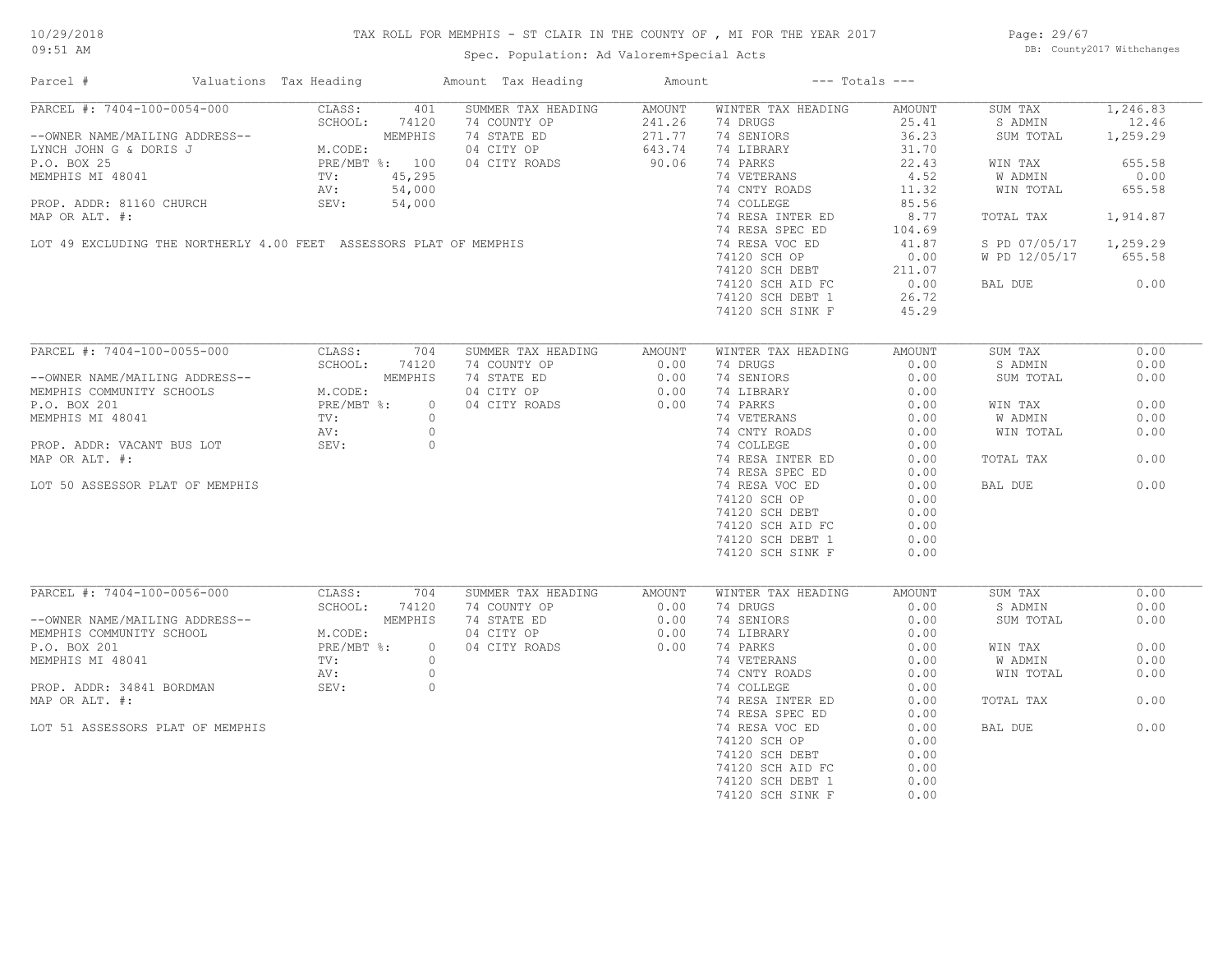# TAX ROLL FOR MEMPHIS - ST CLAIR IN THE COUNTY OF , MI FOR THE YEAR 2017

Spec. Population: Ad Valorem+Special Acts

Page: 29/67 DB: County2017 Withchanges

| Parcel #                                                                                                                                                  | Valuations Tax Heading                                                                                                                                  |                | Amount Tax Heading                                        | Amount                                             |                                                           | $---$ Totals $---$ |                        |                   |
|-----------------------------------------------------------------------------------------------------------------------------------------------------------|---------------------------------------------------------------------------------------------------------------------------------------------------------|----------------|-----------------------------------------------------------|----------------------------------------------------|-----------------------------------------------------------|--------------------|------------------------|-------------------|
| PARCEL #: 7404-100-0054-000                                                                                                                               | CLASS:<br>SCHOOL: 74120                                                                                                                                 | 401            | SUMMER TAX HEADING<br>74 COUNTY OP                        | AMOUNT                                             | WINTER TAX HEADING<br>74 DRUGS                            | AMOUNT<br>25.41    | SUM TAX<br>S ADMIN     | 1,246.83<br>12.46 |
| --OWNER NAME/MAILING ADDRESS--<br>LYNCH JOHN G & DORIS J<br>P.O. BOX 25<br>MEMPHIS MI 48041<br>MEMPHIS MI 48041<br>TV: 45,295<br>AV: 54,000<br>TV: 54,000 |                                                                                                                                                         |                | 74 STATE ED<br>04 CITY OP                                 | $\bar{1}NG$<br>241.20<br>271.77<br>643.74<br>90.06 | 74 SENIORS<br>74 LIBRARY                                  | 36.23<br>31.70     | SUM TOTAL              | 1,259.29          |
|                                                                                                                                                           |                                                                                                                                                         |                | 04 CITY ROADS                                             |                                                    | 74 PARKS                                                  | 22.43              | WIN TAX                | 655.58            |
|                                                                                                                                                           |                                                                                                                                                         |                |                                                           |                                                    | 74 VETERANS                                               | 4.52               | W ADMIN                | 0.00              |
|                                                                                                                                                           |                                                                                                                                                         |                |                                                           |                                                    | 74 CNTY ROADS                                             | 11.32              | WIN TOTAL              | 655.58            |
| PROP. ADDR: 81160 CHURCH                                                                                                                                  | SEV:                                                                                                                                                    | 54,000         |                                                           |                                                    | 74 COLLEGE                                                | 85.56              |                        |                   |
| MAP OR ALT. #:                                                                                                                                            |                                                                                                                                                         |                |                                                           |                                                    | 74 RESA INTER ED                                          | 8.77               | TOTAL TAX              | 1,914.87          |
|                                                                                                                                                           |                                                                                                                                                         |                |                                                           |                                                    | 74 RESA SPEC ED                                           | 104.69             |                        |                   |
| LOT 49 EXCLUDING THE NORTHERLY 4.00 FEET ASSESSORS PLAT OF MEMPHIS                                                                                        |                                                                                                                                                         |                |                                                           |                                                    | 74 RESA VOC ED                                            | 41.87              | S PD 07/05/17 1,259.29 |                   |
|                                                                                                                                                           |                                                                                                                                                         |                |                                                           |                                                    | 74120 SCH OP                                              |                    | W PD 12/05/17          | 655.58            |
|                                                                                                                                                           |                                                                                                                                                         |                |                                                           |                                                    |                                                           |                    |                        |                   |
|                                                                                                                                                           |                                                                                                                                                         |                |                                                           |                                                    | 74120 SCH DEBT<br>74120 SCH DEBT 211.07<br>20.00<br>20.72 |                    | BAL DUE                | 0.00              |
|                                                                                                                                                           |                                                                                                                                                         |                |                                                           |                                                    | 74120 SCH DEBT 1                                          | 26.72              |                        |                   |
|                                                                                                                                                           |                                                                                                                                                         |                |                                                           |                                                    | 74120 SCH SINK F                                          | 45.29              |                        |                   |
|                                                                                                                                                           |                                                                                                                                                         |                |                                                           |                                                    |                                                           |                    |                        |                   |
| PARCEL #: 7404-100-0055-000                                                                                                                               | CLASS:                                                                                                                                                  | 704            | SUMMER TAX HEADING                                        | AMOUNT                                             | WINTER TAX HEADING                                        | AMOUNT             | SUM TAX                | 0.00              |
|                                                                                                                                                           | 74120                                                                                                                                                   |                | 74 COUNTY OP 0.00                                         |                                                    | 74 DRUGS                                                  | 0.00               | S ADMIN                | 0.00              |
| --OWNER NAME/MAILING ADDRESS--                                                                                                                            | MEMPHIS<br>$\begin{minipage}{0.9\linewidth} \begin{tabular}{cc} S S-- \\ & M. \texttt{CODE:} \\ & PRE/ \texttt{MBT} \\ & TV: \\ & AV: \\ \end{tabular}$ |                | 74 STATE ED 0.00<br>04 CITY OP 0.00<br>04 CITY ROADS 0.00 |                                                    | 74 SENIORS                                                | 0.00               | SUM TOTAL              | 0.00              |
| MEMPHIS COMMUNITY SCHOOLS                                                                                                                                 |                                                                                                                                                         |                |                                                           |                                                    | 74 LIBRARY                                                | 0.00               |                        |                   |
| P.O. BOX 201                                                                                                                                              |                                                                                                                                                         | $\circ$        |                                                           |                                                    | 74 PARKS                                                  | 0.00               | WIN TAX                | 0.00              |
| MEMPHIS MI 48041                                                                                                                                          |                                                                                                                                                         | $\circ$        |                                                           |                                                    | 74 VETERANS                                               | 0.00               | W ADMIN                | 0.00              |
|                                                                                                                                                           |                                                                                                                                                         | $\overline{0}$ |                                                           |                                                    | 74 CNTY ROADS                                             | 0.00               | WIN TOTAL              | 0.00              |
| PROP. ADDR: VACANT BUS LOT                                                                                                                                | SEV:                                                                                                                                                    | $\circ$        |                                                           |                                                    | 74 COLLEGE                                                | 0.00               |                        |                   |
| MAP OR ALT. #:                                                                                                                                            |                                                                                                                                                         |                |                                                           |                                                    | 74 RESA INTER ED                                          | 0.00               | TOTAL TAX              | 0.00              |
|                                                                                                                                                           |                                                                                                                                                         |                |                                                           |                                                    | 74 RESA SPEC ED                                           | 0.00               |                        |                   |
| LOT 50 ASSESSOR PLAT OF MEMPHIS                                                                                                                           |                                                                                                                                                         |                |                                                           |                                                    | 74 RESA VOC ED                                            | 0.00               | BAL DUE                | 0.00              |
|                                                                                                                                                           |                                                                                                                                                         |                |                                                           |                                                    | 74120 SCH OP                                              | 0.00               |                        |                   |
|                                                                                                                                                           |                                                                                                                                                         |                |                                                           |                                                    | 74120 SCH DEBT                                            | 0.00               |                        |                   |
|                                                                                                                                                           |                                                                                                                                                         |                |                                                           |                                                    | 74120 SCH AID FC                                          | 0.00               |                        |                   |
|                                                                                                                                                           |                                                                                                                                                         |                |                                                           |                                                    | 74120 SCH DEBT 1                                          | 0.00               |                        |                   |
|                                                                                                                                                           |                                                                                                                                                         |                |                                                           |                                                    | 74120 SCH SINK F                                          | 0.00               |                        |                   |
|                                                                                                                                                           |                                                                                                                                                         |                |                                                           |                                                    |                                                           |                    |                        |                   |
| PARCEL #: 7404-100-0056-000                                                                                                                               | CLASS:                                                                                                                                                  | 704            | SUMMER TAX HEADING                                        | AMOUNT                                             | WINTER TAX HEADING                                        | AMOUNT             | SUM TAX                | 0.00              |
|                                                                                                                                                           | SCHOOL:<br>74120                                                                                                                                        |                | 74 COUNTY OP                                              | 0.00                                               | 74 DRUGS                                                  | 0.00               | S ADMIN                | 0.00              |
| --OWNER NAME/MAILING ADDRESS--<br>MEMPHIS COMMUNITY SCHOOL                                                                                                | MEMPHIS                                                                                                                                                 |                | 74 STATE ED                                               | $0.00$<br>$0.00$                                   | 74 SENIORS                                                | 0.00               | SUM TOTAL              | 0.00              |
|                                                                                                                                                           | M.CODE:<br>$PRE/MBT$ %:                                                                                                                                 | $\overline{0}$ | 04 CITY OP                                                |                                                    | 74 LIBRARY<br>74 PARKS                                    | 0.00               |                        | 0.00              |
| P.O. BOX 201<br>MEMPHIS MI 48041                                                                                                                          | TV:                                                                                                                                                     | $\circ$        | 04 CITY ROADS 0.00                                        |                                                    | 74 VETERANS                                               | 0.00<br>0.00       | WIN TAX<br>W ADMIN     | 0.00              |
|                                                                                                                                                           | AV:                                                                                                                                                     | $\circ$        |                                                           |                                                    | 74 CNTY ROADS                                             | 0.00               | WIN TOTAL              | 0.00              |
| PROP. ADDR: 34841 BORDMAN                                                                                                                                 | SEV:                                                                                                                                                    | $\circ$        |                                                           |                                                    | 74 COLLEGE                                                | 0.00               |                        |                   |
| MAP OR ALT. #:                                                                                                                                            |                                                                                                                                                         |                |                                                           |                                                    | 74 RESA INTER ED                                          | 0.00               | TOTAL TAX              | 0.00              |
|                                                                                                                                                           |                                                                                                                                                         |                |                                                           |                                                    | 74 RESA SPEC ED                                           | 0.00               |                        |                   |
| LOT 51 ASSESSORS PLAT OF MEMPHIS                                                                                                                          |                                                                                                                                                         |                |                                                           |                                                    | 74 RESA VOC ED                                            | 0.00               | BAL DUE                | 0.00              |
|                                                                                                                                                           |                                                                                                                                                         |                |                                                           |                                                    | 74120 SCH OP                                              | 0.00               |                        |                   |
|                                                                                                                                                           |                                                                                                                                                         |                |                                                           |                                                    | 74120 SCH DEBT                                            | 0.00               |                        |                   |
|                                                                                                                                                           |                                                                                                                                                         |                |                                                           |                                                    | 74120 SCH AID FC                                          | 0.00               |                        |                   |
|                                                                                                                                                           |                                                                                                                                                         |                |                                                           |                                                    | 74120 SCH DEBT 1                                          | 0.00               |                        |                   |
|                                                                                                                                                           |                                                                                                                                                         |                |                                                           |                                                    | 74120 SCH SINK F                                          | 0.00               |                        |                   |
|                                                                                                                                                           |                                                                                                                                                         |                |                                                           |                                                    |                                                           |                    |                        |                   |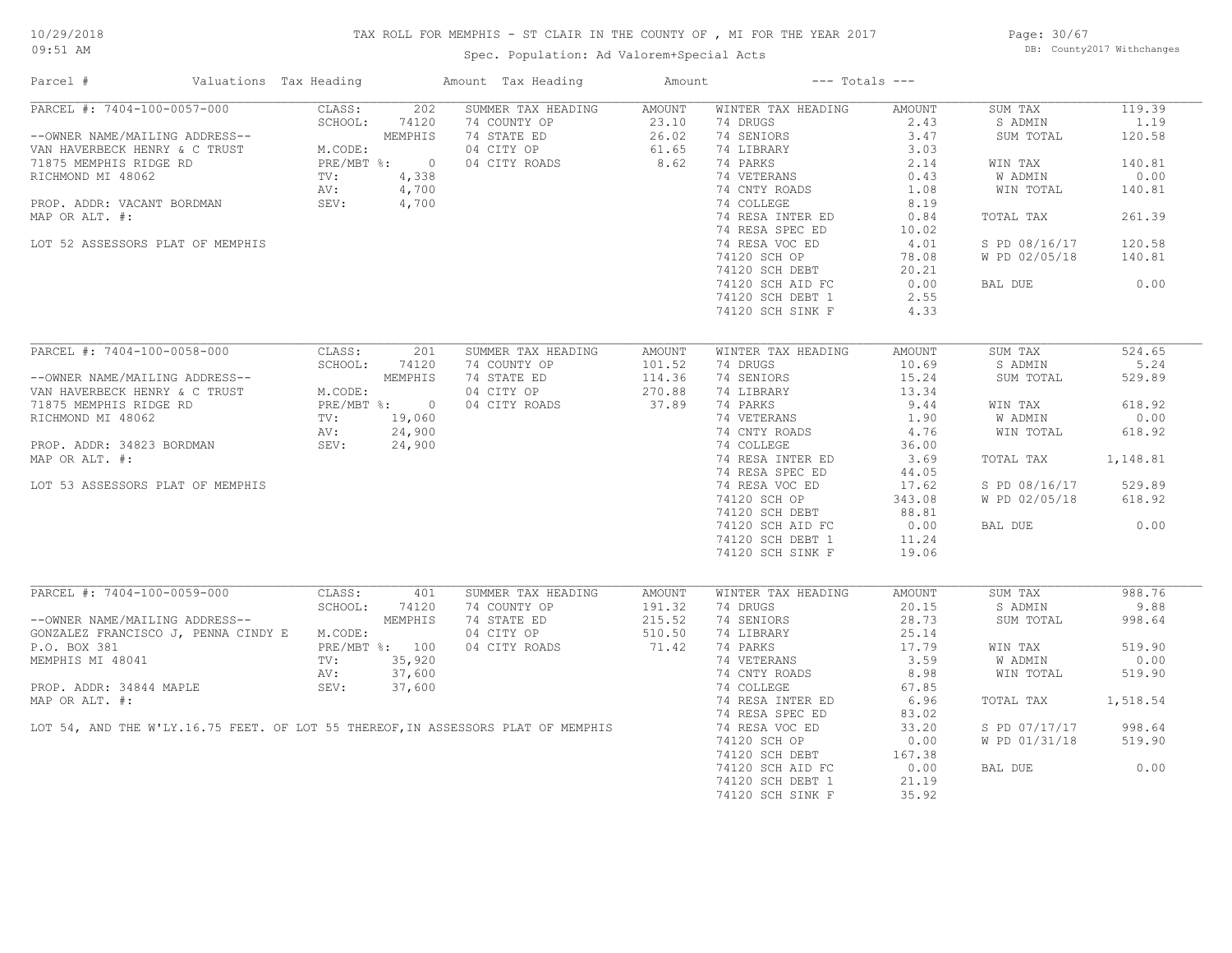# TAX ROLL FOR MEMPHIS - ST CLAIR IN THE COUNTY OF , MI FOR THE YEAR 2017

Page: 30/67 DB: County2017 Withchanges

| Parcel #                                                                                                                                                                                                                                       | Valuations Tax Heading                     |        |               | Amount Tax Heading                                                                                     | Amount |                                                                                                 | $---$ Totals $---$   |                      |        |
|------------------------------------------------------------------------------------------------------------------------------------------------------------------------------------------------------------------------------------------------|--------------------------------------------|--------|---------------|--------------------------------------------------------------------------------------------------------|--------|-------------------------------------------------------------------------------------------------|----------------------|----------------------|--------|
| PARCEL #: 7404-100-0057-000 CLASS:                                                                                                                                                                                                             |                                            |        | 202           | SUMMER TAX HEADING AMOUNT                                                                              |        | WINTER TAX HEADING                                                                              | AMOUNT               | SUM TAX              | 119.39 |
|                                                                                                                                                                                                                                                |                                            |        | SCHOOL: 74120 |                                                                                                        |        | 74 DRUGS                                                                                        | 2.43                 | S ADMIN              | 1.19   |
|                                                                                                                                                                                                                                                |                                            |        |               |                                                                                                        |        | 74 SENIORS                                                                                      | 3.47                 | SUM TOTAL            | 120.58 |
| --OWNER NAME/MAILING ADDRESS--<br>VAN HAVERBECK HENRY & C TRUST<br>71875 MEMPHIS RIDGE RD<br>RICHMOND MI 48062<br>PROP. ADDR: VACANT BORDMAN<br>PROP. ADDR: VACANT BORDMAN<br>MAR OR ATT #                                                     |                                            |        |               | 74 COUNTY OP 23.10<br>74 STATE ED 26.02<br>74 STATE ED 26.02<br>04 CITY OP 61.65<br>04 CITY ROADS 8.62 |        | 74 SENIORS<br>74 LIBRARY 5.00<br>74 PARKS 2.14<br>74 VETERANS 2.14<br>7 CNTV ROADS 1.08<br>8.19 |                      |                      |        |
|                                                                                                                                                                                                                                                |                                            |        |               |                                                                                                        |        |                                                                                                 |                      | WIN TAX              | 140.81 |
|                                                                                                                                                                                                                                                |                                            |        |               |                                                                                                        |        |                                                                                                 |                      | W ADMIN              | 0.00   |
|                                                                                                                                                                                                                                                |                                            |        |               |                                                                                                        |        |                                                                                                 |                      | WIN TOTAL            | 140.81 |
|                                                                                                                                                                                                                                                |                                            |        |               |                                                                                                        |        | 74 CNTY ROADS<br>74 COLLEGE                                                                     | 8.19                 |                      |        |
| MAP OR ALT. #:                                                                                                                                                                                                                                 |                                            |        |               |                                                                                                        |        |                                                                                                 |                      | TOTAL TAX            | 261.39 |
|                                                                                                                                                                                                                                                |                                            |        |               |                                                                                                        |        |                                                                                                 |                      |                      |        |
|                                                                                                                                                                                                                                                |                                            |        |               |                                                                                                        |        |                                                                                                 |                      |                      |        |
| LOT 52 ASSESSORS PLAT OF MEMPHIS                                                                                                                                                                                                               |                                            |        |               |                                                                                                        |        |                                                                                                 |                      | S PD 08/16/17        | 120.58 |
|                                                                                                                                                                                                                                                |                                            |        |               |                                                                                                        |        | 74120 SCH OP                                                                                    | 78.08                | W PD 02/05/18 140.81 |        |
|                                                                                                                                                                                                                                                |                                            |        |               |                                                                                                        |        |                                                                                                 |                      |                      |        |
|                                                                                                                                                                                                                                                |                                            |        |               |                                                                                                        |        | 74120 SCR DEBT<br>74120 SCR DEBT<br>74120 SCR AID FC 0.00                                       |                      | BAL DUE              | 0.00   |
|                                                                                                                                                                                                                                                |                                            |        |               |                                                                                                        |        | 74120 SCH DEBT 1                                                                                | 2.55                 |                      |        |
|                                                                                                                                                                                                                                                |                                            |        |               |                                                                                                        |        | 74120 SCH SINK F                                                                                | 4.33                 |                      |        |
|                                                                                                                                                                                                                                                |                                            |        |               |                                                                                                        |        |                                                                                                 |                      |                      |        |
| PARCEL #: 7404-100-0058-000                                                                                                                                                                                                                    |                                            | CLASS: | 201           | SUMMER TAX HEADING                                                                                     | AMOUNT | WINTER TAX HEADING                                                                              | AMOUNT               | SUM TAX              | 524.65 |
|                                                                                                                                                                                                                                                |                                            |        | SCHOOL: 74120 | 74 COUNTY OP<br>74 STATE ED<br>04 CITY OP<br>04 CITY ROADS<br>37.89                                    |        | 74 DRUGS                                                                                        | 10.69                | S ADMIN              | 5.24   |
| --OWNER NAME/MAILING ADDRESS--<br>VAN HAVERBECK HENRY & C TRUST<br>71875 MEMPHIS RIDGE RD<br>RICHMOND MI 48062<br>PROP. ADDR: 34823 BORDMAN<br>PROP. ADDR: 34823 BORDMAN<br>PROP. ADDR: 34823 BORDMAN<br>PROP. ADDR: 34823 BORDMAN<br>PROP. AD |                                            |        |               |                                                                                                        |        | 74 SENIORS                                                                                      | 15.24                | SUM TOTAL            | 529.89 |
|                                                                                                                                                                                                                                                |                                            |        |               |                                                                                                        |        | 74 LIBRARY                                                                                      | 13.34                |                      |        |
|                                                                                                                                                                                                                                                |                                            |        |               |                                                                                                        |        | 74 PARKS                                                                                        | 9.44                 | WIN TAX              | 618.92 |
|                                                                                                                                                                                                                                                |                                            |        |               |                                                                                                        |        | 74 PARKS<br>74 VETERANS 1.90<br>74 CNTY ROADS 4.76<br>74 COLLEGE 36.00                          |                      |                      | 0.00   |
|                                                                                                                                                                                                                                                |                                            |        |               |                                                                                                        |        |                                                                                                 |                      | W ADMIN<br>WIN TOTAL |        |
|                                                                                                                                                                                                                                                |                                            |        |               |                                                                                                        |        |                                                                                                 |                      |                      | 618.92 |
|                                                                                                                                                                                                                                                |                                            |        |               |                                                                                                        |        |                                                                                                 |                      |                      |        |
| MAP OR ALT. #:                                                                                                                                                                                                                                 |                                            |        |               |                                                                                                        |        | 74 RESA INTER ED 3.69                                                                           |                      | TOTAL TAX 1,148.81   |        |
|                                                                                                                                                                                                                                                |                                            |        |               |                                                                                                        |        | 74 RESA SPEC ED                                                                                 | 44.05                |                      |        |
| LOT 53 ASSESSORS PLAT OF MEMPHIS                                                                                                                                                                                                               |                                            |        |               |                                                                                                        |        | 74 RESA VOC ED<br>74120 SCH OP                                                                  | 17.62                | S PD 08/16/17 529.89 |        |
|                                                                                                                                                                                                                                                |                                            |        |               |                                                                                                        |        |                                                                                                 | 343.08               | W PD 02/05/18 618.92 |        |
|                                                                                                                                                                                                                                                |                                            |        |               |                                                                                                        |        | 74120 SCH DEBT                                                                                  | 88.81                |                      |        |
|                                                                                                                                                                                                                                                |                                            |        |               |                                                                                                        |        | 74120 SCH AID FC                                                                                | 0.00                 | BAL DUE              | 0.00   |
|                                                                                                                                                                                                                                                |                                            |        |               |                                                                                                        |        | 74120 SCH DEBT 1                                                                                | 11.24                |                      |        |
|                                                                                                                                                                                                                                                |                                            |        |               |                                                                                                        |        | 74120 SCH SINK F                                                                                | 19.06                |                      |        |
|                                                                                                                                                                                                                                                |                                            |        |               |                                                                                                        |        |                                                                                                 |                      |                      |        |
| PARCEL #: 7404-100-0059-000 CLASS: 401<br>SCHOOL: 74120<br>--OWNER NAME/MAILING ADDRESS-- MEMPHIS                                                                                                                                              |                                            |        |               | SUMMER TAX HEADING                                                                                     | AMOUNT | WINTER TAX HEADING                                                                              | AMOUNT               | SUM TAX              | 988.76 |
|                                                                                                                                                                                                                                                |                                            |        |               |                                                                                                        |        | 74 DRUGS                                                                                        | 20.15                | S ADMIN              | 9.88   |
|                                                                                                                                                                                                                                                |                                            |        |               | 74 STATE ED                                                                                            |        | 74 SENIORS                                                                                      | 28.73                | SUM TOTAL            | 998.64 |
| GONZALEZ FRANCISCO J, PENNA CINDY E M.CODE:                                                                                                                                                                                                    |                                            |        |               |                                                                                                        |        | 74 LIBRARY                                                                                      | 25.14                |                      |        |
| P.O. BOX 381                                                                                                                                                                                                                                   | PRE/MBT %: 100<br>TV: 35,920<br>AV: 37,600 |        |               | 74 COUNTY OP<br>74 STATE ED<br>74 STATE ED<br>215.52<br>04 CITY ROADS<br>71.42                         |        | 74 PARKS                                                                                        | $\frac{17.79}{3.59}$ | WIN TAX              | 519.90 |
|                                                                                                                                                                                                                                                |                                            |        |               |                                                                                                        |        | 74 VETERANS                                                                                     |                      | W ADMIN              | 0.00   |
|                                                                                                                                                                                                                                                |                                            |        |               |                                                                                                        |        | 74 CNTY ROADS<br>74 COLLEGE 67.85<br>74 DECA TNTED ED 696                                       |                      | WIN TOTAL            | 519.90 |
|                                                                                                                                                                                                                                                |                                            |        |               |                                                                                                        |        |                                                                                                 |                      |                      |        |
|                                                                                                                                                                                                                                                |                                            |        |               |                                                                                                        |        | 74 RESA INTER ED                                                                                | 6.96                 | TOTAL TAX 1,518.54   |        |
|                                                                                                                                                                                                                                                |                                            |        |               |                                                                                                        |        | 74 RESA SPEC ED                                                                                 | 83.02                |                      |        |
|                                                                                                                                                                                                                                                |                                            |        |               |                                                                                                        |        | 74 RESA VOC ED                                                                                  | 33.20                | S PD 07/17/17 998.64 |        |
|                                                                                                                                                                                                                                                |                                            |        |               |                                                                                                        |        |                                                                                                 |                      |                      |        |
|                                                                                                                                                                                                                                                |                                            |        |               |                                                                                                        |        | 74120 SCH OP                                                                                    | 0.00                 | W PD 01/31/18        | 519.90 |
|                                                                                                                                                                                                                                                |                                            |        |               |                                                                                                        |        | 74120 SCH DEBT                                                                                  | 167.38               |                      |        |
|                                                                                                                                                                                                                                                |                                            |        |               |                                                                                                        |        | 74120 SCH AID FC                                                                                | 0.00                 | BAL DUE              | 0.00   |
|                                                                                                                                                                                                                                                |                                            |        |               |                                                                                                        |        | 74120 SCH DEBT 1                                                                                | $21.19$<br>35.92     |                      |        |
|                                                                                                                                                                                                                                                |                                            |        |               |                                                                                                        |        | 74120 SCH SINK F                                                                                |                      |                      |        |
|                                                                                                                                                                                                                                                |                                            |        |               |                                                                                                        |        |                                                                                                 |                      |                      |        |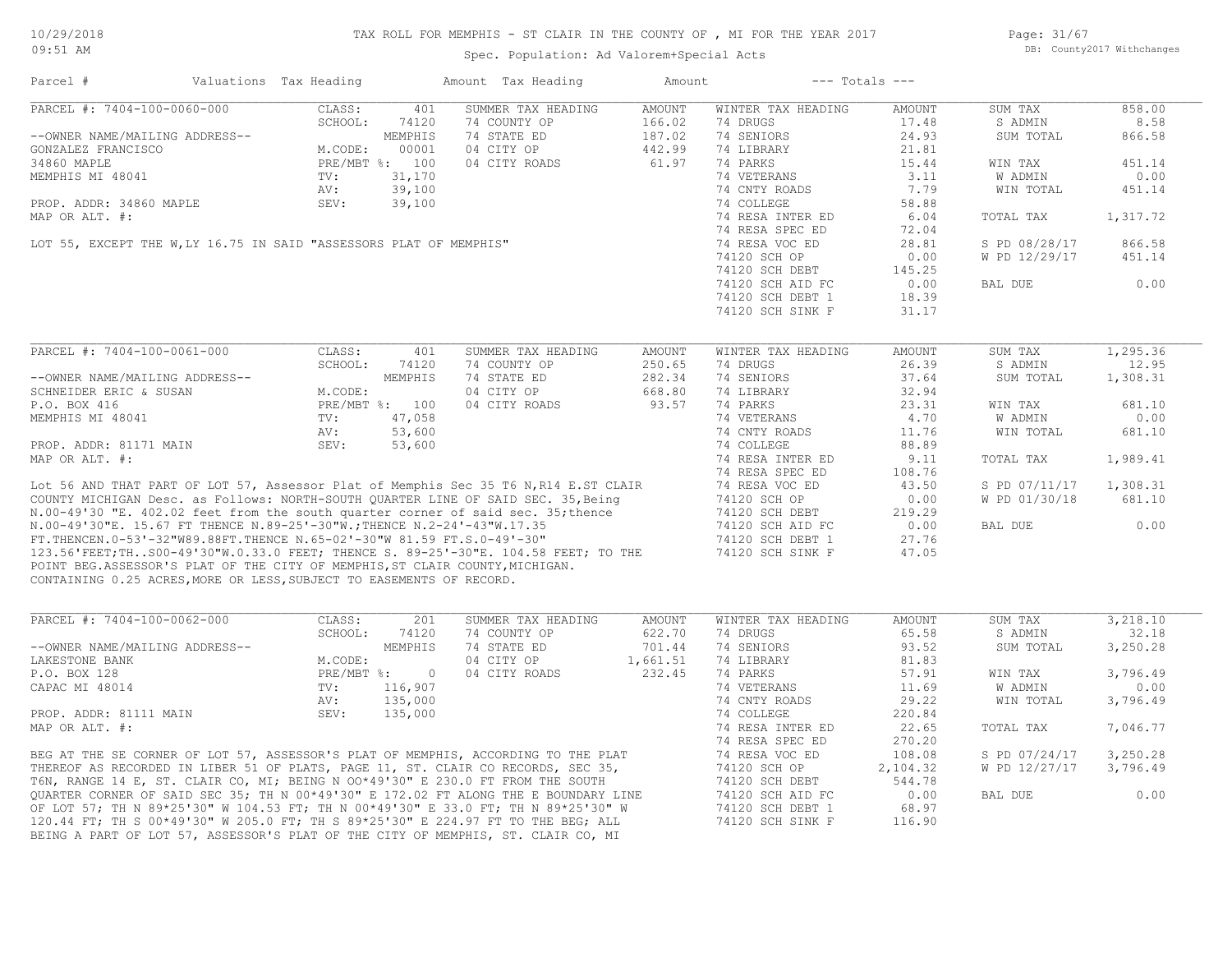Page: 31/67 DB: County2017 Withchanges

| Parcel #                                                                                                                                             | Valuations Tax Heading |                | Amount Tax Heading                                                                                                                                                                                                                   | Amount   |                    | $---$ Totals $---$ |               |          |
|------------------------------------------------------------------------------------------------------------------------------------------------------|------------------------|----------------|--------------------------------------------------------------------------------------------------------------------------------------------------------------------------------------------------------------------------------------|----------|--------------------|--------------------|---------------|----------|
| PARCEL #: 7404-100-0060-000                                                                                                                          | CLASS:                 | 401            | SUMMER TAX HEADING                                                                                                                                                                                                                   | AMOUNT   | WINTER TAX HEADING | AMOUNT             | SUM TAX       | 858.00   |
|                                                                                                                                                      | SCHOOL:                | 74120          | 74 COUNTY OP                                                                                                                                                                                                                         | 166.02   | 74 DRUGS           | 17.48              | S ADMIN       | 8.58     |
| --OWNER NAME/MAILING ADDRESS--                                                                                                                       |                        | MEMPHIS        | 74 STATE ED                                                                                                                                                                                                                          | 187.02   | 74 SENIORS         | 24.93              | SUM TOTAL     | 866.58   |
| GONZALEZ FRANCISCO                                                                                                                                   | M.CODE:                | 00001          | 04 CITY OP                                                                                                                                                                                                                           | 442.99   | 74 LIBRARY         | 21.81              |               |          |
| 34860 MAPLE                                                                                                                                          |                        | PRE/MBT %: 100 | 04 CITY ROADS                                                                                                                                                                                                                        | 61.97    | 74 PARKS           | 15.44              | WIN TAX       | 451.14   |
| MEMPHIS MI 48041                                                                                                                                     | TV:                    | 31,170         |                                                                                                                                                                                                                                      |          | 74 VETERANS        | 3.11               | W ADMIN       | 0.00     |
|                                                                                                                                                      | AV:                    | 39,100         |                                                                                                                                                                                                                                      |          | 74 CNTY ROADS      | 7.79               | WIN TOTAL     | 451.14   |
| PROP. ADDR: 34860 MAPLE                                                                                                                              | SEV:                   | 39,100         |                                                                                                                                                                                                                                      |          | 74 COLLEGE         | 58.88              |               |          |
| MAP OR ALT. #:                                                                                                                                       |                        |                |                                                                                                                                                                                                                                      |          | 74 RESA INTER ED   | 6.04               | TOTAL TAX     | 1,317.72 |
|                                                                                                                                                      |                        |                |                                                                                                                                                                                                                                      |          | 74 RESA SPEC ED    | 72.04              |               |          |
| LOT 55, EXCEPT THE W, LY 16.75 IN SAID "ASSESSORS PLAT OF MEMPHIS"                                                                                   |                        |                |                                                                                                                                                                                                                                      |          | 74 RESA VOC ED     | 28.81              | S PD 08/28/17 | 866.58   |
|                                                                                                                                                      |                        |                |                                                                                                                                                                                                                                      |          | 74120 SCH OP       | 0.00               | W PD 12/29/17 | 451.14   |
|                                                                                                                                                      |                        |                |                                                                                                                                                                                                                                      |          | 74120 SCH DEBT     | 145.25             |               |          |
|                                                                                                                                                      |                        |                |                                                                                                                                                                                                                                      |          | 74120 SCH AID FC   | 0.00               | BAL DUE       | 0.00     |
|                                                                                                                                                      |                        |                |                                                                                                                                                                                                                                      |          | 74120 SCH DEBT 1   | 18.39              |               |          |
|                                                                                                                                                      |                        |                |                                                                                                                                                                                                                                      |          | 74120 SCH SINK F   | 31.17              |               |          |
|                                                                                                                                                      |                        |                |                                                                                                                                                                                                                                      |          |                    |                    |               |          |
| PARCEL #: 7404-100-0061-000                                                                                                                          | CLASS:                 | 401            | SUMMER TAX HEADING                                                                                                                                                                                                                   | AMOUNT   | WINTER TAX HEADING | AMOUNT             | SUM TAX       | 1,295.36 |
|                                                                                                                                                      | SCHOOL:                | 74120          | 74 COUNTY OP                                                                                                                                                                                                                         | 250.65   | 74 DRUGS           | 26.39              | S ADMIN       | 12.95    |
| --OWNER NAME/MAILING ADDRESS--                                                                                                                       |                        | MEMPHIS        | 74 STATE ED                                                                                                                                                                                                                          | 282.34   | 74 SENIORS         | 37.64              | SUM TOTAL     | 1,308.31 |
| SCHNEIDER ERIC & SUSAN                                                                                                                               | M.CODE:                |                | 04 CITY OP                                                                                                                                                                                                                           | 668.80   | 74 LIBRARY         | 32.94              |               |          |
| P.O. BOX 416                                                                                                                                         |                        | PRE/MBT %: 100 | 04 CITY ROADS                                                                                                                                                                                                                        | 93.57    | 74 PARKS           | 23.31              | WIN TAX       | 681.10   |
| MEMPHIS MI 48041                                                                                                                                     | TV:                    | 47,058         |                                                                                                                                                                                                                                      |          | 74 VETERANS        | 4.70               | W ADMIN       | 0.00     |
|                                                                                                                                                      | AV:                    | 53,600         |                                                                                                                                                                                                                                      |          | 74 CNTY ROADS      | 11.76              | WIN TOTAL     | 681.10   |
| PROP. ADDR: 81171 MAIN                                                                                                                               | SEV:                   | 53,600         |                                                                                                                                                                                                                                      |          | 74 COLLEGE         | 88.89              |               |          |
| MAP OR ALT. #:                                                                                                                                       |                        |                |                                                                                                                                                                                                                                      |          | 74 RESA INTER ED   | 9.11               | TOTAL TAX     | 1,989.41 |
|                                                                                                                                                      |                        |                |                                                                                                                                                                                                                                      |          | 74 RESA SPEC ED    | 108.76             |               |          |
|                                                                                                                                                      |                        |                |                                                                                                                                                                                                                                      |          | 74 RESA VOC ED     | 43.50              | S PD 07/11/17 | 1,308.31 |
|                                                                                                                                                      |                        |                | Lot 56 AND THAT PART OF LOT 57, Assessor Plat of Memphis Sec 35 T6 N,R14 E.ST CLAIR<br>COUNTY MICHIGAN Desc. as Follows: NORTH-SOUTH QUARTER LINE OF SAID SEC. 35, Being<br>N 00-49'30 "F. 402.02 feet from the south guarter server |          | 74120 SCH OP       | 0.00               | W PD 01/30/18 | 681.10   |
|                                                                                                                                                      |                        |                | N.00-49'30 "E. 402.02 feet from the south quarter corner of said sec. 35; thence                                                                                                                                                     |          | 74120 SCH DEBT     | 219.29             |               |          |
| N.00-49'30"E. 15.67 FT THENCE N.89-25'-30"W.; THENCE N.2-24'-43"W.17.35                                                                              |                        |                |                                                                                                                                                                                                                                      |          |                    | 0.00               | BAL DUE       | 0.00     |
|                                                                                                                                                      |                        |                |                                                                                                                                                                                                                                      |          | 74120 SCH AID FC   |                    |               |          |
| FT. THENCEN. 0-53'-32"W89.88FT. THENCE N. 65-02'-30"W 81.59 FT. S. 0-49'-30"                                                                         |                        |                |                                                                                                                                                                                                                                      |          | 74120 SCH DEBT 1   | 27.76              |               |          |
|                                                                                                                                                      |                        |                | 123.56'FEET; THS00-49'30"W.0.33.0 FEET; THENCE S. 89-25'-30"E. 104.58 FEET; TO THE                                                                                                                                                   |          | 74120 SCH SINK F   | 47.05              |               |          |
| POINT BEG.ASSESSOR'S PLAT OF THE CITY OF MEMPHIS, ST CLAIR COUNTY, MICHIGAN.<br>CONTAINING 0.25 ACRES, MORE OR LESS, SUBJECT TO EASEMENTS OF RECORD. |                        |                |                                                                                                                                                                                                                                      |          |                    |                    |               |          |
|                                                                                                                                                      |                        |                |                                                                                                                                                                                                                                      |          |                    |                    |               |          |
| PARCEL #: 7404-100-0062-000                                                                                                                          | CLASS:                 | 201            | SUMMER TAX HEADING                                                                                                                                                                                                                   | AMOUNT   | WINTER TAX HEADING | AMOUNT             | SUM TAX       | 3,218.10 |
|                                                                                                                                                      | SCHOOL:                | 74120          | 74 COUNTY OP                                                                                                                                                                                                                         | 622.70   | 74 DRUGS           | 65.58              | S ADMIN       | 32.18    |
| --OWNER NAME/MAILING ADDRESS--                                                                                                                       |                        | MEMPHIS        | 74 STATE ED                                                                                                                                                                                                                          | 701.44   | 74 SENIORS         | 93.52              | SUM TOTAL     | 3,250.28 |
| LAKESTONE BANK                                                                                                                                       | M.CODE:                |                | 04 CITY OP                                                                                                                                                                                                                           | 1,661.51 | 74 LIBRARY         | 81.83              |               |          |
| P.O. BOX 128                                                                                                                                         |                        | PRE/MBT %: 0   | 04 CITY ROADS                                                                                                                                                                                                                        | 232.45   | 74 PARKS           | 57.91              | WIN TAX       | 3,796.49 |
| CAPAC MI 48014                                                                                                                                       | TV:                    | 116,907        |                                                                                                                                                                                                                                      |          | 74 VETERANS        | 11.69              | W ADMIN       | 0.00     |
|                                                                                                                                                      | AV:                    | 135,000        |                                                                                                                                                                                                                                      |          | 74 CNTY ROADS      | 29.22              | WIN TOTAL     | 3,796.49 |
| PROP. ADDR: 81111 MAIN                                                                                                                               | SEV:                   | 135,000        |                                                                                                                                                                                                                                      |          | 74 COLLEGE         | 220.84             |               |          |
| MAP OR ALT. #:                                                                                                                                       |                        |                |                                                                                                                                                                                                                                      |          | 74 RESA INTER ED   | 22.65              | TOTAL TAX     | 7,046.77 |
|                                                                                                                                                      |                        |                |                                                                                                                                                                                                                                      |          | 74 RESA SPEC ED    | 270.20             |               |          |
|                                                                                                                                                      |                        |                |                                                                                                                                                                                                                                      |          | 74 RESA VOC ED     | 108.08             | S PD 07/24/17 | 3,250.28 |
|                                                                                                                                                      |                        |                | BEG AT THE SE CORNER OF LOT 57, ASSESSOR'S PLAT OF MEMPHIS, ACCORDING TO THE PLAT<br>THEREOF AS RECORDED IN LIBER 51 OF PLATS, PAGE 11, ST. CLAIR CO RECORDS, SEC 35,<br>T6N, RANGE 14 E, ST. CLAIR CO, MI; BEING N 00*49'30" E 230. |          | 74120 SCH OP       | 2,104.32           | W PD 12/27/17 | 3,796.49 |
|                                                                                                                                                      |                        |                | T6N, RANGE 14 E, ST. CLAIR CO, MI; BEING N OO*49'30" E 230.0 FT FROM THE SOUTH                                                                                                                                                       |          | 74120 SCH DEBT     | 544.78             |               |          |
|                                                                                                                                                      |                        |                |                                                                                                                                                                                                                                      |          |                    | 0.00               | BAL DUE       | 0.00     |
|                                                                                                                                                      |                        |                | QUARTER CORNER OF SAID SEC 35; TH N 00*49'30" E 172.02 FT ALONG THE E BOUNDARY LINE                                                                                                                                                  |          | 74120 SCH AID FC   |                    |               |          |
|                                                                                                                                                      |                        |                | OF LOT 57; TH N 89*25'30" W 104.53 FT; TH N 00*49'30" E 33.0 FT; TH N 89*25'30" W                                                                                                                                                    |          | 74120 SCH DEBT 1   | 68.97              |               |          |
|                                                                                                                                                      |                        |                | 120.44 FT; TH S 00*49'30" W 205.0 FT; TH S 89*25'30" E 224.97 FT TO THE BEG; ALL                                                                                                                                                     |          | 74120 SCH SINK F   | 116.90             |               |          |
|                                                                                                                                                      |                        |                | BEING A PART OF LOT 57, ASSESSOR'S PLAT OF THE CITY OF MEMPHIS, ST. CLAIR CO, MI                                                                                                                                                     |          |                    |                    |               |          |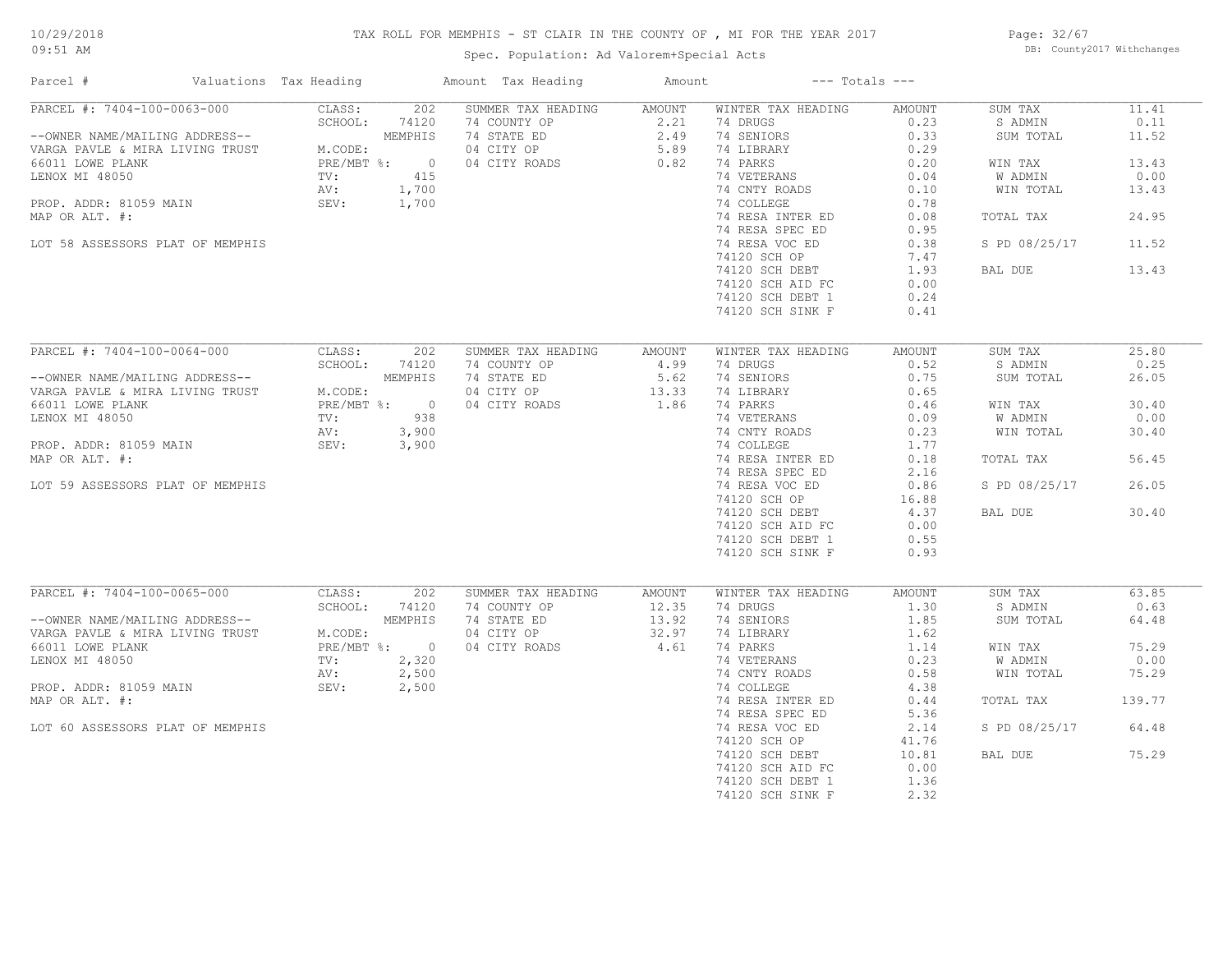# TAX ROLL FOR MEMPHIS - ST CLAIR IN THE COUNTY OF , MI FOR THE YEAR 2017

Spec. Population: Ad Valorem+Special Acts

Page: 32/67 DB: County2017 Withchanges

| Parcel #                                                                              | Valuations Tax Heading       | Amount Tax Heading                 | Amount         | $---$ Totals $---$ |        |               |        |
|---------------------------------------------------------------------------------------|------------------------------|------------------------------------|----------------|--------------------|--------|---------------|--------|
| PARCEL #: 7404-100-0063-000                                                           | 202<br>CLASS:                | SUMMER TAX HEADING                 | AMOUNT         | WINTER TAX HEADING | AMOUNT | SUM TAX       | 11.41  |
|                                                                                       | SCHOOL:<br>74120             | 74 COUNTY OP                       | 2.21           | 74 DRUGS           | 0.23   | S ADMIN       | 0.11   |
|                                                                                       | MEMPHIS                      | 74 STATE ED                        |                | 74 SENIORS         | 0.33   | SUM TOTAL     | 11.52  |
| --OWNER NAME/MAILING ADDRESS--<br>VARGA PAVLE & MIRA LIVING TRUST                     | M.CODE:                      | 04 CITY OP                         | $2.49$<br>5.89 | 74 LIBRARY         | 0.29   |               |        |
| 66011 LOWE PLANK                                                                      | PRE/MBT %:<br>$\overline{0}$ | 04 CITY ROADS                      | 0.82           | 74 PARKS           | 0.20   | WIN TAX       | 13.43  |
| LENOX MI 48050                                                                        | 415<br>$\text{TV}$ :         |                                    |                | 74 VETERANS        | 0.04   | W ADMIN       | 0.00   |
|                                                                                       | 1,700<br>AV:                 |                                    |                | 74 CNTY ROADS      | 0.10   | WIN TOTAL     | 13.43  |
| PROP. ADDR: 81059 MAIN                                                                | SEV:<br>1,700                |                                    |                | 74 COLLEGE         | 0.78   |               |        |
| MAP OR ALT. #:                                                                        |                              |                                    |                | 74 RESA INTER ED   | 0.08   | TOTAL TAX     | 24.95  |
|                                                                                       |                              |                                    |                | 74 RESA SPEC ED    | 0.95   |               |        |
| LOT 58 ASSESSORS PLAT OF MEMPHIS                                                      |                              |                                    |                | 74 RESA VOC ED     | 0.38   | S PD 08/25/17 | 11.52  |
|                                                                                       |                              |                                    |                | 74120 SCH OP       | 7.47   |               |        |
|                                                                                       |                              |                                    |                | 74120 SCH DEBT     | 1.93   | BAL DUE       | 13.43  |
|                                                                                       |                              |                                    |                | 74120 SCH AID FC   | 0.00   |               |        |
|                                                                                       |                              |                                    |                | 74120 SCH DEBT 1   | 0.24   |               |        |
|                                                                                       |                              |                                    |                | 74120 SCH SINK F   | 0.41   |               |        |
|                                                                                       |                              |                                    |                |                    |        |               |        |
| PARCEL #: 7404-100-0064-000                                                           | CLASS:<br>202                | SUMMER TAX HEADING                 | AMOUNT         | WINTER TAX HEADING | AMOUNT | SUM TAX       | 25.80  |
|                                                                                       | SCHOOL:<br>74120             | 74 COUNTY OP                       | 4.99           | 74 DRUGS           | 0.52   | S ADMIN       | 0.25   |
|                                                                                       | MEMPHIS                      | 74 STATE ED                        | 5.62           | 74 SENIORS         | 0.75   | SUM TOTAL     | 26.05  |
| --OWNER NAME/MAILING ADDRESS--<br>VARGA PAVLE & MIRA LIVING TRUST<br>66011 IONE PIANW | M.CODE:                      | 04 CITY OP                         | 13.33          | 74 LIBRARY         | 0.65   |               |        |
| 66011 LOWE PLANK                                                                      | PRE/MBT %: 0                 | 04 CITY ROADS                      | 1.86           | 74 PARKS           | 0.46   | WIN TAX       | 30.40  |
| LENOX MI 48050                                                                        | TV:<br>938                   |                                    |                | 74 VETERANS        | 0.09   | W ADMIN       | 0.00   |
|                                                                                       | AV:<br>3,900                 |                                    |                | 74 CNTY ROADS      | 0.23   | WIN TOTAL     | 30.40  |
| PROP. ADDR: 81059 MAIN                                                                | SEV:<br>3,900                |                                    |                | 74 COLLEGE         | 1.77   |               |        |
| MAP OR ALT. #:                                                                        |                              |                                    |                | 74 RESA INTER ED   | 0.18   | TOTAL TAX     | 56.45  |
|                                                                                       |                              |                                    |                |                    |        |               |        |
|                                                                                       |                              |                                    |                | 74 RESA SPEC ED    | 2.16   |               | 26.05  |
| LOT 59 ASSESSORS PLAT OF MEMPHIS                                                      |                              |                                    |                | 74 RESA VOC ED     | 0.86   | S PD 08/25/17 |        |
|                                                                                       |                              |                                    |                | 74120 SCH OP       | 16.88  |               |        |
|                                                                                       |                              |                                    |                | 74120 SCH DEBT     | 4.37   | BAL DUE       | 30.40  |
|                                                                                       |                              |                                    |                | 74120 SCH AID FC   | 0.00   |               |        |
|                                                                                       |                              |                                    |                | 74120 SCH DEBT 1   | 0.55   |               |        |
|                                                                                       |                              |                                    |                | 74120 SCH SINK F   | 0.93   |               |        |
|                                                                                       |                              |                                    |                |                    |        |               |        |
| PARCEL #: 7404-100-0065-000                                                           | CLASS:<br>202                | SUMMER TAX HEADING<br>74 COUNTY OP | AMOUNT         | WINTER TAX HEADING | AMOUNT | SUM TAX       | 63.85  |
|                                                                                       | SCHOOL:<br>74120             |                                    | 12.35          | 74 DRUGS           | 1.30   | S ADMIN       | 0.63   |
| --OWNER NAME/MAILING ADDRESS--                                                        | MEMPHIS                      | 74 STATE ED                        | 13.92          | 74 SENIORS         | 1.85   | SUM TOTAL     | 64.48  |
| VARGA PAVLE & MIRA LIVING TRUST                                                       | M.CODE:<br>PRE/MBT %: 0      | 04 CITY OP                         | 32.97          | 74 LIBRARY         | 1.62   |               | 75.29  |
| 66011 LOWE PLANK                                                                      |                              | 04 CITY ROADS                      | 4.61           | 74 PARKS           | 1.14   | WIN TAX       |        |
| LENOX MI 48050                                                                        | 2,320<br>TV:                 |                                    |                | 74 VETERANS        | 0.23   | W ADMIN       | 0.00   |
|                                                                                       | 2,500<br>AV:                 |                                    |                | 74 CNTY ROADS      | 0.58   | WIN TOTAL     | 75.29  |
| PROP. ADDR: 81059 MAIN                                                                | SEV:<br>2,500                |                                    |                | 74 COLLEGE         | 4.38   |               |        |
| MAP OR ALT. #:                                                                        |                              |                                    |                | 74 RESA INTER ED   | 0.44   | TOTAL TAX     | 139.77 |
|                                                                                       |                              |                                    |                | 74 RESA SPEC ED    | 5.36   |               |        |
| LOT 60 ASSESSORS PLAT OF MEMPHIS                                                      |                              |                                    |                | 74 RESA VOC ED     | 2.14   | S PD 08/25/17 | 64.48  |
|                                                                                       |                              |                                    |                | 74120 SCH OP       | 41.76  |               |        |
|                                                                                       |                              |                                    |                | 74120 SCH DEBT     | 10.81  | BAL DUE       | 75.29  |
|                                                                                       |                              |                                    |                | 74120 SCH AID FC   | 0.00   |               |        |
|                                                                                       |                              |                                    |                | 74120 SCH DEBT 1   | 1.36   |               |        |
|                                                                                       |                              |                                    |                | 74120 SCH SINK F   | 2.32   |               |        |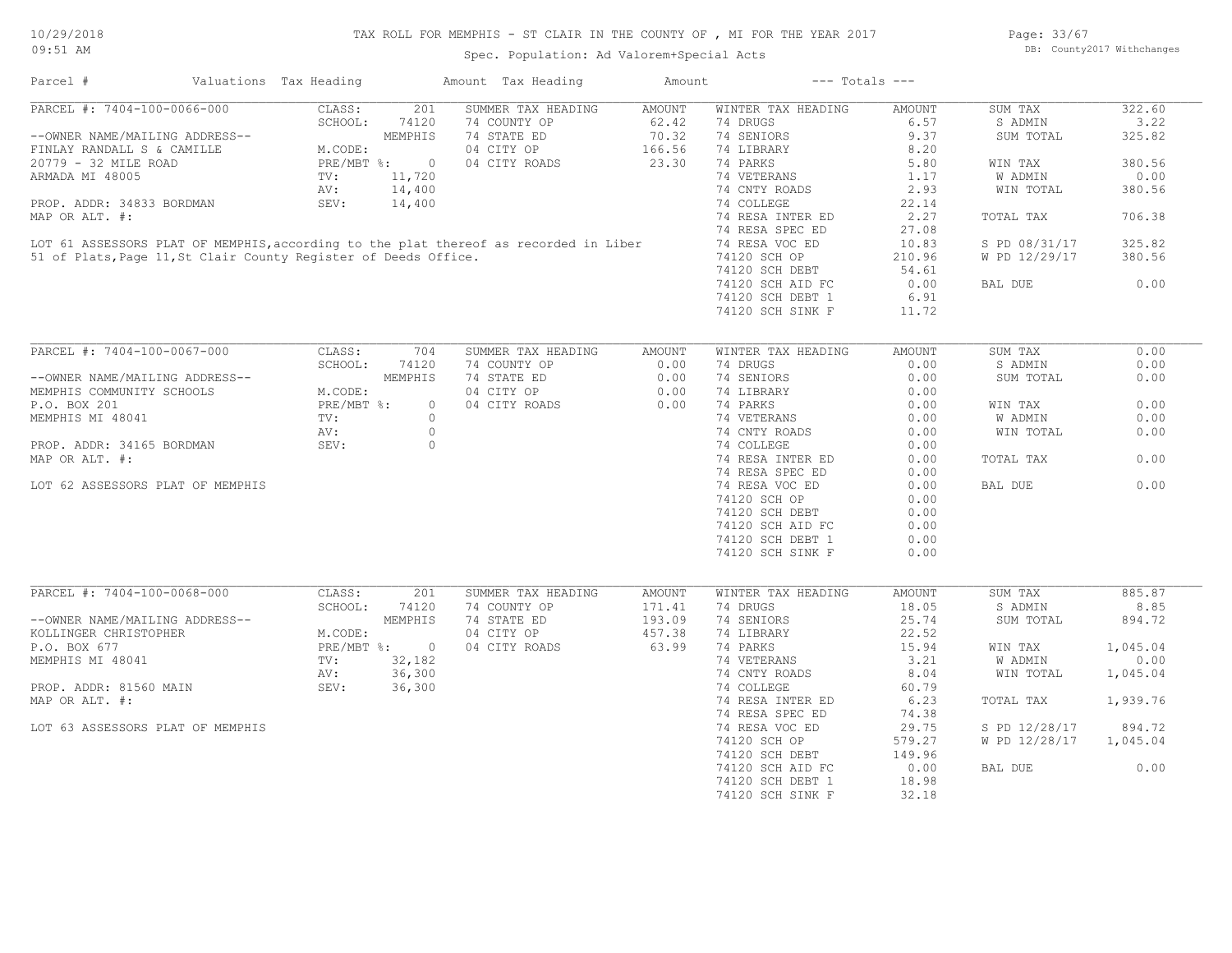# TAX ROLL FOR MEMPHIS - ST CLAIR IN THE COUNTY OF , MI FOR THE YEAR 2017

Spec. Population: Ad Valorem+Special Acts

Page: 33/67 DB: County2017 Withchanges

| Parcel #                                                        | Valuations Tax Heading             |              | Amount Tax Heading                                                                                                                                            | Amount | $---$ Totals $---$ |               |               |          |
|-----------------------------------------------------------------|------------------------------------|--------------|---------------------------------------------------------------------------------------------------------------------------------------------------------------|--------|--------------------|---------------|---------------|----------|
| PARCEL #: 7404-100-0066-000                                     | CLASS:                             |              | 201 SUMMER TAX HEADING                                                                                                                                        | AMOUNT | WINTER TAX HEADING | AMOUNT        | SUM TAX       | 322.60   |
|                                                                 | SCHOOL:                            | 74120        | 74 COUNTY OP                                                                                                                                                  | 62.42  | 74 DRUGS           | 6.57          | S ADMIN       | 3.22     |
| --OWNER NAME/MAILING ADDRESS--                                  |                                    |              | 74 STATE ED                                                                                                                                                   | 70.32  | 74 SENIORS         | 9.37          | SUM TOTAL     | 325.82   |
| FINLAY RANDALL S & CAMILLE                                      | MEMPHIS<br>M.CODE:<br>PRE/MBT %: 0 |              | 04 CITY OP                                                                                                                                                    | 166.56 | 74 LIBRARY         | 8.20          |               |          |
| 20779 - 32 MILE ROAD                                            |                                    |              | 04 CITY ROADS                                                                                                                                                 | 23.30  | 74 PARKS           | 5.80          | WIN TAX       | 380.56   |
| ARMADA MI 48005                                                 | TV:                                | 11,720       |                                                                                                                                                               |        | 74 VETERANS        | 1.17          | W ADMIN       | 0.00     |
|                                                                 |                                    |              |                                                                                                                                                               |        | 74 CNTY ROADS      | 2.93          | WIN TOTAL     | 380.56   |
|                                                                 |                                    |              | AV: 14,400<br>PROP. ADDR: 34833 BORDMAN SEV: 14,400<br>MAP OR ALT. #:<br>LOT 61 ASSESSORS PLAT OF MEMPHIS, according to the plat thereof as recorded in Liber |        | 74 COLLEGE         | 22.14         |               |          |
|                                                                 |                                    |              |                                                                                                                                                               |        | 74 RESA INTER ED   | 2.27          | TOTAL TAX     | 706.38   |
|                                                                 |                                    |              |                                                                                                                                                               |        | 74 RESA SPEC ED    | 27.08         |               |          |
|                                                                 |                                    |              |                                                                                                                                                               |        |                    |               |               | 325.82   |
|                                                                 |                                    |              |                                                                                                                                                               |        | 74 RESA VOC ED     | 10.83         | S PD 08/31/17 |          |
| 51 of Plats, Page 11, St Clair County Register of Deeds Office. |                                    |              |                                                                                                                                                               |        | 74120 SCH OP       | 210.96        | W PD 12/29/17 | 380.56   |
|                                                                 |                                    |              |                                                                                                                                                               |        | 74120 SCH DEBT     | 54.61         |               |          |
|                                                                 |                                    |              |                                                                                                                                                               |        | 74120 SCH AID FC   | 0.00          | BAL DUE       | 0.00     |
|                                                                 |                                    |              |                                                                                                                                                               |        | 74120 SCH DEBT 1   | 6.91          |               |          |
|                                                                 |                                    |              |                                                                                                                                                               |        | 74120 SCH SINK F   | 11.72         |               |          |
|                                                                 |                                    |              |                                                                                                                                                               |        |                    |               |               |          |
| PARCEL #: 7404-100-0067-000                                     | CLASS:                             | 704          | SUMMER TAX HEADING                                                                                                                                            | AMOUNT | WINTER TAX HEADING | <b>AMOUNT</b> | SUM TAX       | 0.00     |
|                                                                 | SCHOOL:                            | 74120        | 74 COUNTY OP                                                                                                                                                  | 0.00   | 74 DRUGS           | 0.00          | S ADMIN       | 0.00     |
| --OWNER NAME/MAILING ADDRESS--                                  |                                    | MEMPHIS      | 74 STATE ED                                                                                                                                                   | 0.00   | 74 SENIORS         | 0.00          | SUM TOTAL     | 0.00     |
| MEMPHIS COMMUNITY SCHOOLS                                       | M.CODE:                            |              | 04 CITY OP                                                                                                                                                    | 0.00   | 74 LIBRARY         | 0.00          |               |          |
| P.O. BOX 201                                                    | PRE/MBT %:                         | $\circ$      | 04 CITY ROADS                                                                                                                                                 | 0.00   | 74 PARKS           | 0.00          | WIN TAX       | 0.00     |
| MEMPHIS MI 48041                                                | TV:                                | $\circ$      |                                                                                                                                                               |        | 74 VETERANS        | 0.00          | W ADMIN       | 0.00     |
|                                                                 | AV:                                | $\circ$      |                                                                                                                                                               |        | 74 CNTY ROADS      | 0.00          | WIN TOTAL     | 0.00     |
|                                                                 |                                    |              |                                                                                                                                                               |        |                    |               |               |          |
| PROP. ADDR: 34165 BORDMAN                                       | SEV:                               | $\circ$      |                                                                                                                                                               |        | 74 COLLEGE         | 0.00          |               |          |
| MAP OR ALT. #:                                                  |                                    |              |                                                                                                                                                               |        | 74 RESA INTER ED   | 0.00          | TOTAL TAX     | 0.00     |
|                                                                 |                                    |              |                                                                                                                                                               |        | 74 RESA SPEC ED    | 0.00          |               |          |
| LOT 62 ASSESSORS PLAT OF MEMPHIS                                |                                    |              |                                                                                                                                                               |        | 74 RESA VOC ED     | 0.00          | BAL DUE       | 0.00     |
|                                                                 |                                    |              |                                                                                                                                                               |        | 74120 SCH OP       | 0.00          |               |          |
|                                                                 |                                    |              |                                                                                                                                                               |        | 74120 SCH DEBT     | 0.00          |               |          |
|                                                                 |                                    |              |                                                                                                                                                               |        | 74120 SCH AID FC   | 0.00          |               |          |
|                                                                 |                                    |              |                                                                                                                                                               |        | 74120 SCH DEBT 1   | 0.00          |               |          |
|                                                                 |                                    |              |                                                                                                                                                               |        | 74120 SCH SINK F   | 0.00          |               |          |
|                                                                 |                                    |              |                                                                                                                                                               |        |                    |               |               |          |
| PARCEL #: 7404-100-0068-000                                     | CLASS:                             | 201          | SUMMER TAX HEADING                                                                                                                                            | AMOUNT | WINTER TAX HEADING | AMOUNT        | SUM TAX       | 885.87   |
|                                                                 | SCHOOL:                            | 74120        | 74 COUNTY OP                                                                                                                                                  | 171.41 | 74 DRUGS           | 18.05         | S ADMIN       | 8.85     |
| --OWNER NAME/MAILING ADDRESS--                                  |                                    | MEMPHIS      | 74 STATE ED                                                                                                                                                   | 193.09 | 74 SENIORS         | 25.74         | SUM TOTAL     | 894.72   |
| KOLLINGER CHRISTOPHER                                           | M.CODE:                            |              | 04 CITY OP                                                                                                                                                    | 457.38 | 74 LIBRARY         | 22.52         |               |          |
| P.O. BOX 677                                                    |                                    | PRE/MBT %: 0 |                                                                                                                                                               | 63.99  | 74 PARKS           | 15.94         |               | 1,045.04 |
|                                                                 |                                    |              | 04 CITY ROADS                                                                                                                                                 |        |                    |               | WIN TAX       | 0.00     |
| MEMPHIS MI 48041                                                | $\text{TV}$ :                      | 32,182       |                                                                                                                                                               |        | 74 VETERANS        | 3.21          | W ADMIN       |          |
|                                                                 | AV:                                | 36,300       |                                                                                                                                                               |        | 74 CNTY ROADS      | 8.04          | WIN TOTAL     | 1,045.04 |
| PROP. ADDR: 81560 MAIN                                          | SEV:                               | 36,300       |                                                                                                                                                               |        | 74 COLLEGE         | 60.79         |               |          |
| MAP OR ALT. #:                                                  |                                    |              |                                                                                                                                                               |        | 74 RESA INTER ED   | 6.23          | TOTAL TAX     | 1,939.76 |
|                                                                 |                                    |              |                                                                                                                                                               |        | 74 RESA SPEC ED    | 74.38         |               |          |
| LOT 63 ASSESSORS PLAT OF MEMPHIS                                |                                    |              |                                                                                                                                                               |        | 74 RESA VOC ED     | 29.75         | S PD 12/28/17 | 894.72   |
|                                                                 |                                    |              |                                                                                                                                                               |        | 74120 SCH OP       | 579.27        | W PD 12/28/17 | 1,045.04 |
|                                                                 |                                    |              |                                                                                                                                                               |        | 74120 SCH DEBT     | 149.96        |               |          |
|                                                                 |                                    |              |                                                                                                                                                               |        | 74120 SCH AID FC   | 0.00          | BAL DUE       | 0.00     |
|                                                                 |                                    |              |                                                                                                                                                               |        | 74120 SCH DEBT 1   | 18.98         |               |          |
|                                                                 |                                    |              |                                                                                                                                                               |        | 74120 SCH SINK F   | 32.18         |               |          |
|                                                                 |                                    |              |                                                                                                                                                               |        |                    |               |               |          |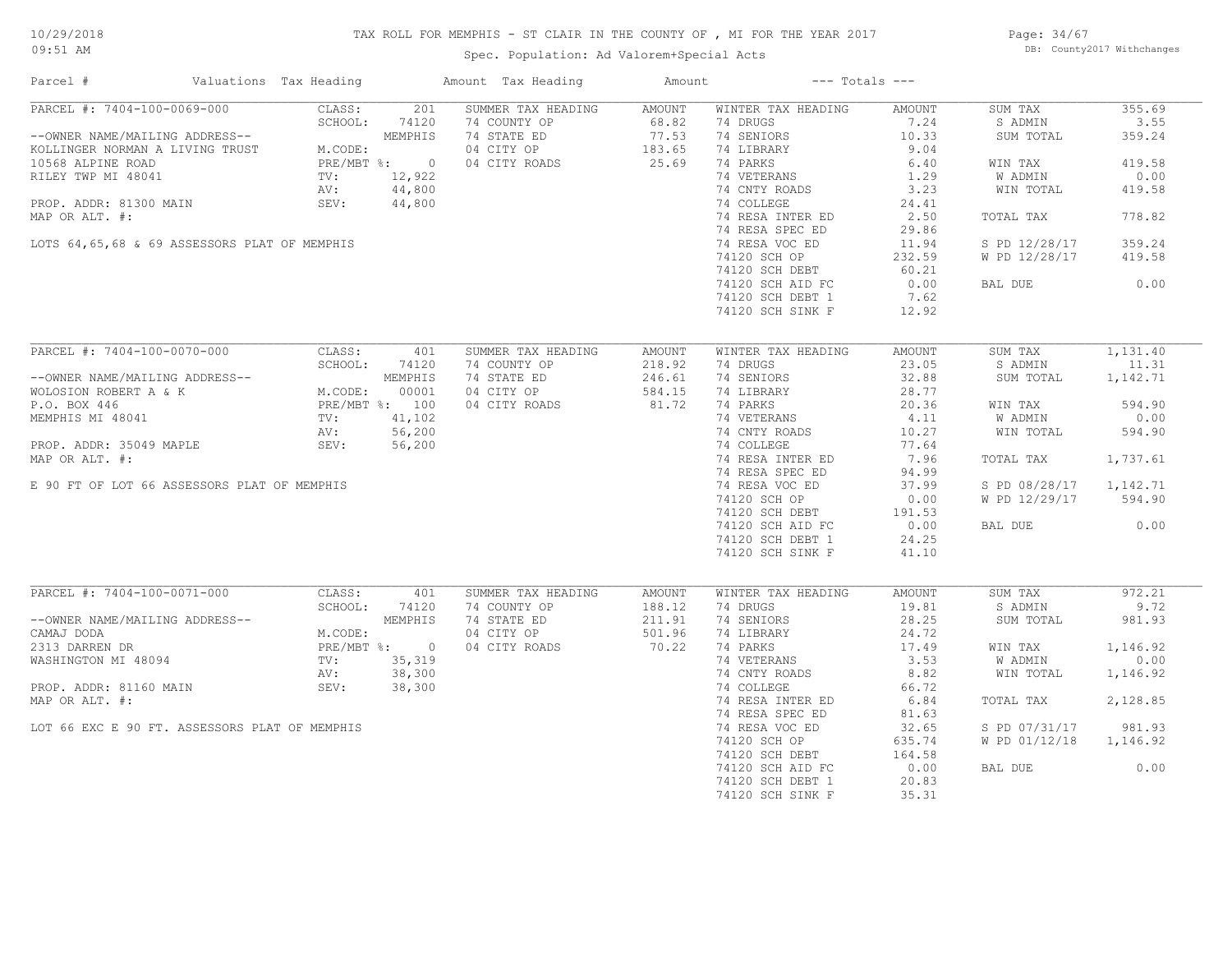# TAX ROLL FOR MEMPHIS - ST CLAIR IN THE COUNTY OF , MI FOR THE YEAR 2017

Spec. Population: Ad Valorem+Special Acts

Page: 34/67 DB: County2017 Withchanges

| Parcel #                                                                                               | Valuations Tax Heading                                   |              | Amount Tax Heading | Amount                     |                    | $---$ Totals $---$ |                |          |
|--------------------------------------------------------------------------------------------------------|----------------------------------------------------------|--------------|--------------------|----------------------------|--------------------|--------------------|----------------|----------|
| PARCEL #: 7404-100-0069-000                                                                            | CLASS:                                                   | 201          | SUMMER TAX HEADING | AMOUNT                     | WINTER TAX HEADING | AMOUNT             | SUM TAX        | 355.69   |
|                                                                                                        | SCHOOL:                                                  | 74120        | 74 COUNTY OP       | 68.82                      | 74 DRUGS           | 7.24               | S ADMIN        | 3.55     |
| --OWNER NAME/MAILING ADDRESS--<br>KOLLINGER NORMAN A LIVING TRUST M.CODE:<br>10568 ALPINE ROAD PRE/MBT |                                                          | MEMPHIS      | 74 STATE ED        | $77.53$<br>183.65<br>25.69 | 74 SENIORS         | 10.33              | SUM TOTAL      | 359.24   |
|                                                                                                        | M.CODE:                                                  |              | 04 CITY OP         |                            | 74 LIBRARY         | 9.04               |                |          |
|                                                                                                        |                                                          | PRE/MBT %: 0 | 04 CITY ROADS      |                            | 74 PARKS           | 6.40               | WIN TAX        | 419.58   |
| RILEY TWP MI 48041                                                                                     | TV:                                                      | 12,922       |                    |                            | 74 VETERANS        | 1.29               | W ADMIN        | 0.00     |
|                                                                                                        | AV:                                                      | 44,800       |                    |                            | 74 CNTY ROADS      | 3.23               | WIN TOTAL      | 419.58   |
| PROP. ADDR: 81300 MAIN                                                                                 | SEV:                                                     | 44,800       |                    |                            | 74 COLLEGE         | 24.41              |                |          |
| MAP OR ALT. #:                                                                                         |                                                          |              |                    |                            | 74 RESA INTER ED   | 2.50               | TOTAL TAX      | 778.82   |
|                                                                                                        |                                                          |              |                    |                            | 74 RESA SPEC ED    | 29.86              |                |          |
| LOTS 64,65,68 & 69 ASSESSORS PLAT OF MEMPHIS                                                           |                                                          |              |                    |                            | 74 RESA VOC ED     | 11.94              | S PD 12/28/17  | 359.24   |
|                                                                                                        |                                                          |              |                    |                            | 74120 SCH OP       | 232.59             | W PD 12/28/17  | 419.58   |
|                                                                                                        |                                                          |              |                    |                            | 74120 SCH DEBT     | 60.21              |                |          |
|                                                                                                        |                                                          |              |                    |                            | 74120 SCH AID FC   | 0.00               | BAL DUE        | 0.00     |
|                                                                                                        |                                                          |              |                    |                            | 74120 SCH DEBT 1   | 7.62               |                |          |
|                                                                                                        |                                                          |              |                    |                            | 74120 SCH SINK F   | 12.92              |                |          |
|                                                                                                        |                                                          |              |                    |                            |                    |                    |                |          |
| PARCEL #: 7404-100-0070-000                                                                            | CLASS:                                                   | 401          | SUMMER TAX HEADING | AMOUNT                     | WINTER TAX HEADING | AMOUNT             | SUM TAX        | 1,131.40 |
|                                                                                                        | NEMPHIS<br>M.CODE: 00001<br>PRE/MBT %: 100<br>TV: 41.100 |              | 74 COUNTY OP       | 218.92                     | 74 DRUGS           | 23.05              | S ADMIN        | 11.31    |
| --OWNER NAME/MAILING ADDRESS--                                                                         |                                                          |              | 74 STATE ED        | 246.61                     | 74 SENIORS         | 32.88              | SUM TOTAL      | 1,142.71 |
| WOLOSION ROBERT A & K                                                                                  |                                                          |              | 04 CITY OP         | 584.15                     | 74 LIBRARY         | 28.77              |                |          |
| P.O. BOX 446                                                                                           |                                                          |              | 04 CITY ROADS      | 81.72                      | 74 PARKS           | 20.36              | WIN TAX        | 594.90   |
| MEMPHIS MI 48041                                                                                       |                                                          |              |                    |                            | 74 VETERANS        | 4.11               | <b>W ADMIN</b> | 0.00     |
|                                                                                                        |                                                          |              |                    |                            | 74 CNTY ROADS      | 10.27              | WIN TOTAL      | 594.90   |
| PROP. ADDR: 35049 MAPLE                                                                                | SEV:                                                     | 56,200       |                    |                            | 74 COLLEGE         | 77.64              |                |          |
| MAP OR ALT. #:                                                                                         |                                                          |              |                    |                            | 74 RESA INTER ED   | 7.96               | TOTAL TAX      | 1,737.61 |
|                                                                                                        |                                                          |              |                    |                            | 74 RESA SPEC ED    | 94.99              |                |          |
| E 90 FT OF LOT 66 ASSESSORS PLAT OF MEMPHIS                                                            |                                                          |              |                    |                            | 74 RESA VOC ED     | 37.99              | S PD 08/28/17  | 1,142.71 |
|                                                                                                        |                                                          |              |                    |                            | 74120 SCH OP       | 0.00               | W PD 12/29/17  | 594.90   |
|                                                                                                        |                                                          |              |                    |                            | 74120 SCH DEBT     | 191.53             |                |          |
|                                                                                                        |                                                          |              |                    |                            | 74120 SCH AID FC   | $\frac{1}{2}$ 0.00 | BAL DUE        | 0.00     |
|                                                                                                        |                                                          |              |                    |                            | 74120 SCH DEBT 1   | 24.25              |                |          |
|                                                                                                        |                                                          |              |                    |                            | 74120 SCH SINK F   | 41.10              |                |          |
|                                                                                                        |                                                          |              |                    |                            |                    |                    |                |          |
| PARCEL #: 7404-100-0071-000                                                                            | CLASS:                                                   | 401          | SUMMER TAX HEADING | AMOUNT                     | WINTER TAX HEADING | AMOUNT             | SUM TAX        | 972.21   |
|                                                                                                        | SCHOOL:                                                  | 74120        | 74 COUNTY OP       | 188.12                     | 74 DRUGS           | 19.81              | S ADMIN        | 9.72     |
| --OWNER NAME/MAILING ADDRESS--                                                                         |                                                          | MEMPHIS      | 74 STATE ED        | 211.91                     | 74 SENIORS         | 28.25              | SUM TOTAL      | 981.93   |
| CAMAJ DODA                                                                                             | M.CODE:                                                  |              | 04 CITY OP         | 501.96                     | 74 LIBRARY         | 24.72              |                |          |
| 2313 DARREN DR                                                                                         |                                                          | PRE/MBT %: 0 | 04 CITY ROADS      | 70.22                      | 74 PARKS           | 17.49              | WIN TAX        | 1,146.92 |
| WASHINGTON MI 48094                                                                                    | TV:                                                      | 35,319       |                    |                            | 74 VETERANS        | 3.53               | W ADMIN        | 0.00     |
|                                                                                                        | AV:                                                      | 38,300       |                    |                            | 74 CNTY ROADS      | 8.82               | WIN TOTAL      | 1,146.92 |
| PROP. ADDR: 81160 MAIN                                                                                 | SEV:                                                     | 38,300       |                    |                            | 74 COLLEGE         | 66.72              |                |          |
| MAP OR ALT. #:                                                                                         |                                                          |              |                    |                            | 74 RESA INTER ED   | 6.84               | TOTAL TAX      | 2,128.85 |
|                                                                                                        |                                                          |              |                    |                            | 74 RESA SPEC ED    | 81.63              |                |          |
| LOT 66 EXC E 90 FT. ASSESSORS PLAT OF MEMPHIS                                                          |                                                          |              |                    |                            | 74 RESA VOC ED     | 32.65              | S PD 07/31/17  | 981.93   |
|                                                                                                        |                                                          |              |                    |                            | 74120 SCH OP       | 635.74             | W PD 01/12/18  | 1,146.92 |
|                                                                                                        |                                                          |              |                    |                            | 74120 SCH DEBT     | 164.58             |                |          |
|                                                                                                        |                                                          |              |                    |                            | 74120 SCH AID FC   | 0.00               | BAL DUE        | 0.00     |
|                                                                                                        |                                                          |              |                    |                            | 74120 SCH DEBT 1   | 20.83              |                |          |
|                                                                                                        |                                                          |              |                    |                            | 74120 SCH SINK F   | 35.31              |                |          |
|                                                                                                        |                                                          |              |                    |                            |                    |                    |                |          |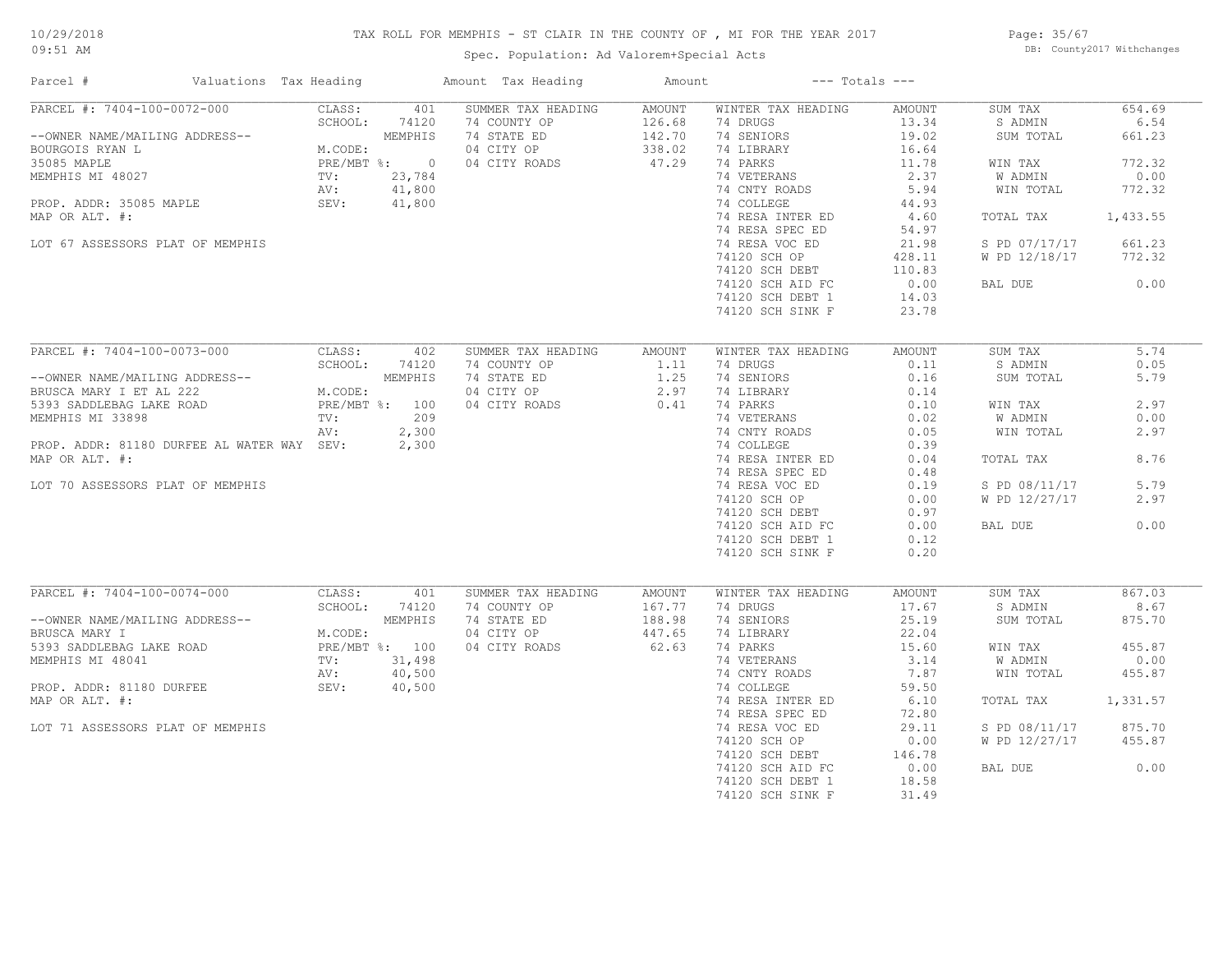# TAX ROLL FOR MEMPHIS - ST CLAIR IN THE COUNTY OF , MI FOR THE YEAR 2017

Spec. Population: Ad Valorem+Special Acts

Page: 35/67 DB: County2017 Withchanges

| Parcel #                                                                                                                                               | Valuations Tax Heading | Amount Tax Heading | Amount | $---$ Totals $---$ |        |               |          |
|--------------------------------------------------------------------------------------------------------------------------------------------------------|------------------------|--------------------|--------|--------------------|--------|---------------|----------|
| PARCEL #: 7404-100-0072-000                                                                                                                            | CLASS:<br>401          | SUMMER TAX HEADING | AMOUNT | WINTER TAX HEADING | AMOUNT | SUM TAX       | 654.69   |
|                                                                                                                                                        | SCHOOL:<br>74120       | 74 COUNTY OP       | 126.68 | 74 DRUGS           | 13.34  | S ADMIN       | 6.54     |
| --OWNER NAME/MAILING ADDRESS--<br>BOURGOIS RYAN L<br>35085 MAPLE PRE/M<br>MEMPHIS MI 48027 TV:<br>PROP. ADDR: 35085 MAPLE SEV:<br>SEV:                 | MEMPHIS                | 74 STATE ED        | 142.70 | 74 SENIORS         | 19.02  | SUM TOTAL     | 661.23   |
|                                                                                                                                                        | M.CODE:                | 04 CITY OP         | 338.02 | 74 LIBRARY         | 16.64  |               |          |
|                                                                                                                                                        | PRE/MBT %: 0           | 04 CITY ROADS      | 47.29  | 74 PARKS           | 11.78  | WIN TAX       | 772.32   |
|                                                                                                                                                        | 23,784                 |                    |        | 74 VETERANS        | 2.37   | W ADMIN       | 0.00     |
|                                                                                                                                                        | 41,800                 |                    |        | 74 CNTY ROADS      | 5.94   | WIN TOTAL     | 772.32   |
|                                                                                                                                                        | 41,800                 |                    |        | 74 COLLEGE         | 44.93  |               |          |
| MAP OR ALT. #:                                                                                                                                         |                        |                    |        | 74 RESA INTER ED   | 4.60   | TOTAL TAX     | 1,433.55 |
|                                                                                                                                                        |                        |                    |        | 74 RESA SPEC ED    | 54.97  |               |          |
|                                                                                                                                                        |                        |                    |        |                    |        |               | 661.23   |
| LOT 67 ASSESSORS PLAT OF MEMPHIS                                                                                                                       |                        |                    |        | 74 RESA VOC ED     | 21.98  | S PD 07/17/17 |          |
|                                                                                                                                                        |                        |                    |        | 74120 SCH OP       | 428.11 | W PD 12/18/17 | 772.32   |
|                                                                                                                                                        |                        |                    |        | 74120 SCH DEBT     | 110.83 |               |          |
|                                                                                                                                                        |                        |                    |        | 74120 SCH AID FC   | 0.00   | BAL DUE       | 0.00     |
|                                                                                                                                                        |                        |                    |        | 74120 SCH DEBT 1   | 14.03  |               |          |
|                                                                                                                                                        |                        |                    |        | 74120 SCH SINK F   | 23.78  |               |          |
|                                                                                                                                                        |                        |                    |        |                    |        |               |          |
| PARCEL #: 7404-100-0073-000                                                                                                                            | CLASS:<br>402          | SUMMER TAX HEADING | AMOUNT | WINTER TAX HEADING | AMOUNT | SUM TAX       | 5.74     |
|                                                                                                                                                        | SCHOOL:<br>74120       | 74 COUNTY OP       | 1.11   | 74 DRUGS           | 0.11   | S ADMIN       | 0.05     |
|                                                                                                                                                        |                        | 74 STATE ED        | 1.25   | 74 SENIORS         | 0.16   | SUM TOTAL     | 5.79     |
| --OWNER NAME/MAILING ADDRESS--<br>BRUSCA MARY I ET AL 222 M.CODE:<br>5393 SADDLEBAG LAKE ROAD PRE/MBT \$: 100<br>MEMPHIS MI 33898 TV: 209<br>AV: 2,300 |                        | 04 CITY OP         | 2.97   | 74 LIBRARY         | 0.14   |               |          |
|                                                                                                                                                        |                        | 04 CITY ROADS      | 0.41   | 74 PARKS           | 0.10   | WIN TAX       | 2.97     |
|                                                                                                                                                        |                        |                    |        | 74 VETERANS        | 0.02   | W ADMIN       | 0.00     |
|                                                                                                                                                        | AV:<br>2,300           |                    |        | 74 CNTY ROADS      | 0.05   | WIN TOTAL     | 2.97     |
| PROP. ADDR: 81180 DURFEE AL WATER WAY SEV:                                                                                                             | 2,300                  |                    |        | 74 COLLEGE         | 0.39   |               |          |
| MAP OR ALT. #:                                                                                                                                         |                        |                    |        | 74 RESA INTER ED   | 0.04   | TOTAL TAX     | 8.76     |
|                                                                                                                                                        |                        |                    |        | 74 RESA SPEC ED    | 0.48   |               |          |
| LOT 70 ASSESSORS PLAT OF MEMPHIS                                                                                                                       |                        |                    |        | 74 RESA VOC ED     | 0.19   | S PD 08/11/17 | 5.79     |
|                                                                                                                                                        |                        |                    |        | 74120 SCH OP       | 0.00   | W PD 12/27/17 | 2.97     |
|                                                                                                                                                        |                        |                    |        | 74120 SCH DEBT     | 0.97   |               |          |
|                                                                                                                                                        |                        |                    |        | 74120 SCH AID FC   | 0.00   | BAL DUE       | 0.00     |
|                                                                                                                                                        |                        |                    |        | 74120 SCH DEBT 1   | 0.12   |               |          |
|                                                                                                                                                        |                        |                    |        | 74120 SCH SINK F   | 0.20   |               |          |
|                                                                                                                                                        |                        |                    |        |                    |        |               |          |
| PARCEL #: 7404-100-0074-000                                                                                                                            | CLASS:<br>401          | SUMMER TAX HEADING | AMOUNT | WINTER TAX HEADING | AMOUNT | SUM TAX       | 867.03   |
|                                                                                                                                                        | SCHOOL:<br>74120       | 74 COUNTY OP       | 167.77 | 74 DRUGS           | 17.67  | S ADMIN       | 8.67     |
| --OWNER NAME/MAILING ADDRESS--                                                                                                                         | MEMPHIS                | 74 STATE ED        | 188.98 | 74 SENIORS         | 25.19  | SUM TOTAL     | 875.70   |
| BRUSCA MARY I                                                                                                                                          | M.CODE:                | 04 CITY OP         | 447.65 | 74 LIBRARY         | 22.04  |               |          |
| 5393 SADDLEBAG LAKE ROAD                                                                                                                               | PRE/MBT %: 100         | 04 CITY ROADS      | 62.63  | 74 PARKS           | 15.60  | WIN TAX       | 455.87   |
| MEMPHIS MI 48041                                                                                                                                       | 31,498<br>TV:          |                    |        | 74 VETERANS        | 3.14   | W ADMIN       | 0.00     |
|                                                                                                                                                        | 40,500<br>AV:          |                    |        | 74 CNTY ROADS      | 7.87   | WIN TOTAL     | 455.87   |
| PROP. ADDR: 81180 DURFEE                                                                                                                               | SEV:<br>40,500         |                    |        | 74 COLLEGE         | 59.50  |               |          |
| MAP OR ALT. #:                                                                                                                                         |                        |                    |        | 74 RESA INTER ED   | 6.10   | TOTAL TAX     | 1,331.57 |
|                                                                                                                                                        |                        |                    |        |                    |        |               |          |
|                                                                                                                                                        |                        |                    |        | 74 RESA SPEC ED    | 72.80  |               |          |
| LOT 71 ASSESSORS PLAT OF MEMPHIS                                                                                                                       |                        |                    |        | 74 RESA VOC ED     | 29.11  | S PD 08/11/17 | 875.70   |
|                                                                                                                                                        |                        |                    |        | 74120 SCH OP       | 0.00   | W PD 12/27/17 | 455.87   |
|                                                                                                                                                        |                        |                    |        | 74120 SCH DEBT     | 146.78 |               |          |
|                                                                                                                                                        |                        |                    |        | 74120 SCH AID FC   | 0.00   | BAL DUE       | 0.00     |
|                                                                                                                                                        |                        |                    |        | 74120 SCH DEBT 1   | 18.58  |               |          |
|                                                                                                                                                        |                        |                    |        | 74120 SCH SINK F   | 31.49  |               |          |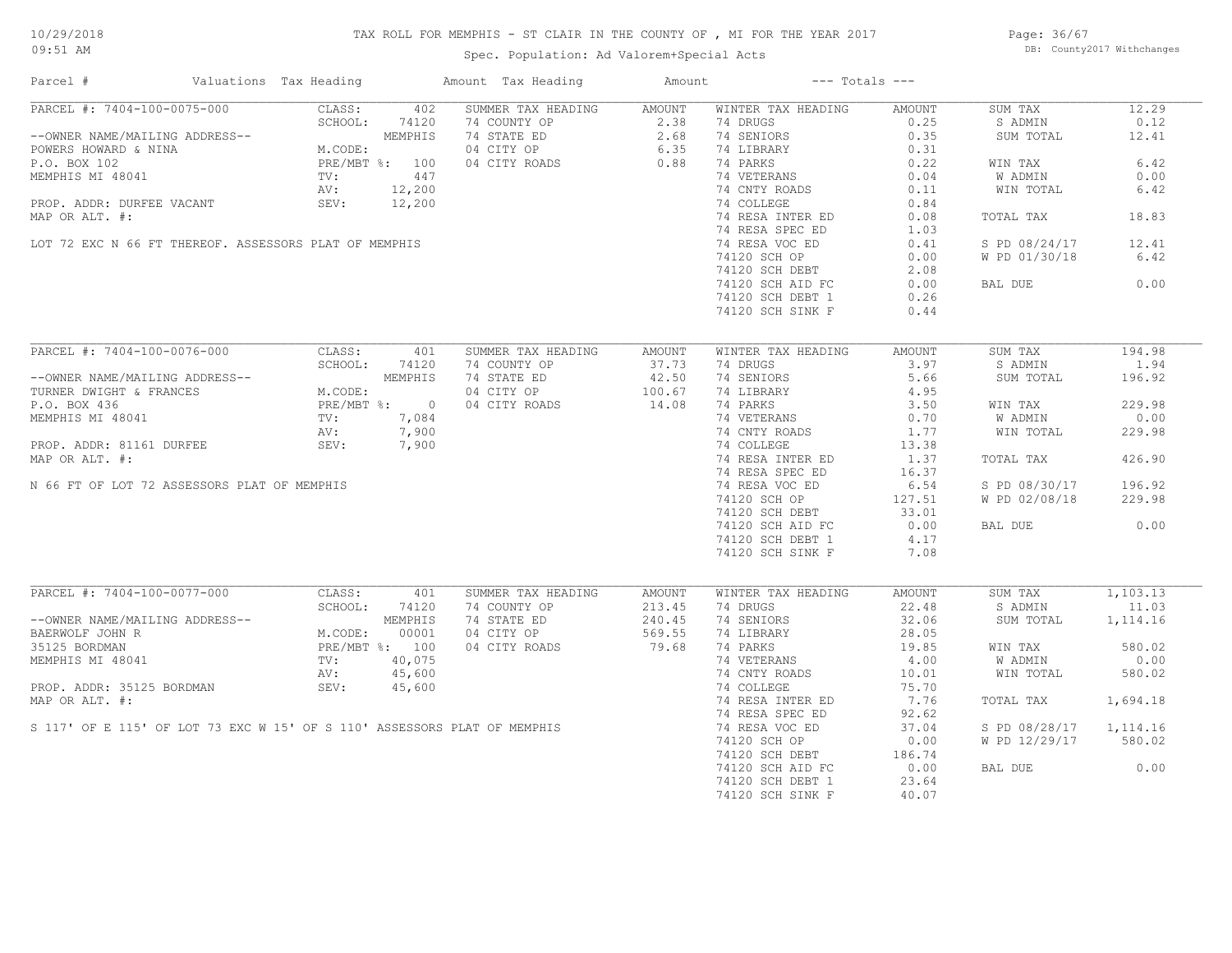# TAX ROLL FOR MEMPHIS - ST CLAIR IN THE COUNTY OF , MI FOR THE YEAR 2017

Spec. Population: Ad Valorem+Special Acts

Page: 36/67 DB: County2017 Withchanges

| Parcel #                                                                 | Valuations Tax Heading                                                                                                                                                                                                                                                                                                                                                                                                                                                                      |                | Amount Tax Heading | Amount           |                    | $---$ Totals $---$ |               |           |
|--------------------------------------------------------------------------|---------------------------------------------------------------------------------------------------------------------------------------------------------------------------------------------------------------------------------------------------------------------------------------------------------------------------------------------------------------------------------------------------------------------------------------------------------------------------------------------|----------------|--------------------|------------------|--------------------|--------------------|---------------|-----------|
| PARCEL #: 7404-100-0075-000                                              | CLASS:                                                                                                                                                                                                                                                                                                                                                                                                                                                                                      | 402            | SUMMER TAX HEADING | AMOUNT           | WINTER TAX HEADING | AMOUNT             | SUM TAX       | 12.29     |
|                                                                          | SCHOOL:                                                                                                                                                                                                                                                                                                                                                                                                                                                                                     | 74120          | 74 COUNTY OP       | 2.38             | 74 DRUGS           | 0.25               | S ADMIN       | 0.12      |
| --OWNER NAME/MAILING ADDRESS--                                           |                                                                                                                                                                                                                                                                                                                                                                                                                                                                                             | MEMPHIS        | 74 STATE ED        | $2.68$<br>$6.35$ | 74 SENIORS         | 0.35               | SUM TOTAL     | 12.41     |
| POWERS HOWARD & NINA                                                     | M.CODE:                                                                                                                                                                                                                                                                                                                                                                                                                                                                                     |                | 04 CITY OP         |                  | 74 LIBRARY         | 0.31               |               |           |
| P.O. BOX 102                                                             |                                                                                                                                                                                                                                                                                                                                                                                                                                                                                             | PRE/MBT %: 100 | 04 CITY ROADS      | 0.88             | 74 PARKS           | 0.22               | WIN TAX       | 6.42      |
| MEMPHIS MI 48041                                                         | $\text{TV}$ :                                                                                                                                                                                                                                                                                                                                                                                                                                                                               | 447            |                    |                  | 74 VETERANS        | 0.04               | W ADMIN       | 0.00      |
|                                                                          | AV:                                                                                                                                                                                                                                                                                                                                                                                                                                                                                         | 12,200         |                    |                  | 74 CNTY ROADS      | 0.11               | WIN TOTAL     | 6.42      |
| PROP. ADDR: DURFEE VACANT                                                | SEV:                                                                                                                                                                                                                                                                                                                                                                                                                                                                                        | 12,200         |                    |                  | 74 COLLEGE         | 0.84               |               |           |
| MAP OR ALT. #:                                                           |                                                                                                                                                                                                                                                                                                                                                                                                                                                                                             |                |                    |                  | 74 RESA INTER ED   | 0.08               | TOTAL TAX     | 18.83     |
|                                                                          |                                                                                                                                                                                                                                                                                                                                                                                                                                                                                             |                |                    |                  | 74 RESA SPEC ED    | 1.03               |               |           |
| LOT 72 EXC N 66 FT THEREOF. ASSESSORS PLAT OF MEMPHIS                    |                                                                                                                                                                                                                                                                                                                                                                                                                                                                                             |                |                    |                  | 74 RESA VOC ED     | 0.41               | S PD 08/24/17 | 12.41     |
|                                                                          |                                                                                                                                                                                                                                                                                                                                                                                                                                                                                             |                |                    |                  | 74120 SCH OP       |                    | W PD 01/30/18 | 6.42      |
|                                                                          |                                                                                                                                                                                                                                                                                                                                                                                                                                                                                             |                |                    |                  |                    | 0.00               |               |           |
|                                                                          |                                                                                                                                                                                                                                                                                                                                                                                                                                                                                             |                |                    |                  | 74120 SCH DEBT     | 2.08               |               |           |
|                                                                          |                                                                                                                                                                                                                                                                                                                                                                                                                                                                                             |                |                    |                  | 74120 SCH AID FC   | 0.00               | BAL DUE       | 0.00      |
|                                                                          |                                                                                                                                                                                                                                                                                                                                                                                                                                                                                             |                |                    |                  | 74120 SCH DEBT 1   | 0.26               |               |           |
|                                                                          |                                                                                                                                                                                                                                                                                                                                                                                                                                                                                             |                |                    |                  | 74120 SCH SINK F   | 0.44               |               |           |
|                                                                          |                                                                                                                                                                                                                                                                                                                                                                                                                                                                                             |                |                    |                  |                    |                    |               |           |
| PARCEL #: 7404-100-0076-000                                              | CLASS:                                                                                                                                                                                                                                                                                                                                                                                                                                                                                      | 401            | SUMMER TAX HEADING | AMOUNT           | WINTER TAX HEADING | AMOUNT             | SUM TAX       | 194.98    |
|                                                                          | SCHOOL:                                                                                                                                                                                                                                                                                                                                                                                                                                                                                     | 74120          | 74 COUNTY OP       | 37.73            | 74 DRUGS           | 3.97               | S ADMIN       | 1.94      |
| --OWNER NAME/MAILING ADDRESS--                                           |                                                                                                                                                                                                                                                                                                                                                                                                                                                                                             | MEMPHIS        | 74 STATE ED        | 42.50            | 74 SENIORS         | 5.66               | SUM TOTAL     | 196.92    |
| TURNER DWIGHT & FRANCES                                                  | M.CODE:                                                                                                                                                                                                                                                                                                                                                                                                                                                                                     |                | 04 CITY OP         | 100.67           | 74 LIBRARY         | 4.95               |               |           |
| P.O. BOX 436                                                             | $\begin{minipage}{0.9\linewidth} \begin{tabular}{cc} \multicolumn{2}{c}{\textbf{PRL}} \end{tabular} & \multicolumn{2}{c}{\textbf{PRL}} \end{minipage} \vspace{0.05in} \begin{minipage}{0.9\linewidth} \begin{tabular}{c} \multicolumn{2}{c}{\textbf{PRL}} \end{tabular} & \multicolumn{2}{c}{\textbf{PRL}} \end{minipage} \vspace{0.05in} \begin{minipage}{0.9\linewidth} \multicolumn{2}{c}{\textbf{PRL}} \end{minipage} \vspace{0.05in} \begin{minipage}{0.9\linewidth} \multicolumn{2}{$ | PRE/MBT %: 0   | 04 CITY ROADS      | 14.08            | 74 PARKS           | 3.50               | WIN TAX       | 229.98    |
| MEMPHIS MI 48041                                                         |                                                                                                                                                                                                                                                                                                                                                                                                                                                                                             | 7,084          |                    |                  | 74 VETERANS        | 0.70               | W ADMIN       | 0.00      |
|                                                                          |                                                                                                                                                                                                                                                                                                                                                                                                                                                                                             | 7,900          |                    |                  | 74 CNTY ROADS      | 1.77               | WIN TOTAL     | 229.98    |
|                                                                          |                                                                                                                                                                                                                                                                                                                                                                                                                                                                                             |                |                    |                  |                    |                    |               |           |
| PROP. ADDR: 81161 DURFEE                                                 | SEV:                                                                                                                                                                                                                                                                                                                                                                                                                                                                                        | 7,900          |                    |                  | 74 COLLEGE         | 13.38              |               |           |
| MAP OR ALT. #:                                                           |                                                                                                                                                                                                                                                                                                                                                                                                                                                                                             |                |                    |                  | 74 RESA INTER ED   | 1.37               | TOTAL TAX     | 426.90    |
|                                                                          |                                                                                                                                                                                                                                                                                                                                                                                                                                                                                             |                |                    |                  | 74 RESA SPEC ED    | 16.37              |               |           |
| N 66 FT OF LOT 72 ASSESSORS PLAT OF MEMPHIS                              |                                                                                                                                                                                                                                                                                                                                                                                                                                                                                             |                |                    |                  | 74 RESA VOC ED     | 6.54               | S PD 08/30/17 | 196.92    |
|                                                                          |                                                                                                                                                                                                                                                                                                                                                                                                                                                                                             |                |                    |                  | 74120 SCH OP       | 127.51             | W PD 02/08/18 | 229.98    |
|                                                                          |                                                                                                                                                                                                                                                                                                                                                                                                                                                                                             |                |                    |                  | 74120 SCH DEBT     | 33.01              |               |           |
|                                                                          |                                                                                                                                                                                                                                                                                                                                                                                                                                                                                             |                |                    |                  | 74120 SCH AID FC   | 0.00               | BAL DUE       | 0.00      |
|                                                                          |                                                                                                                                                                                                                                                                                                                                                                                                                                                                                             |                |                    |                  | 74120 SCH DEBT 1   | 4.17               |               |           |
|                                                                          |                                                                                                                                                                                                                                                                                                                                                                                                                                                                                             |                |                    |                  | 74120 SCH SINK F   | 7.08               |               |           |
|                                                                          |                                                                                                                                                                                                                                                                                                                                                                                                                                                                                             |                |                    |                  |                    |                    |               |           |
| PARCEL #: 7404-100-0077-000                                              | CLASS:                                                                                                                                                                                                                                                                                                                                                                                                                                                                                      | 401            | SUMMER TAX HEADING | AMOUNT           | WINTER TAX HEADING | AMOUNT             | SUM TAX       | 1,103.13  |
|                                                                          | SCHOOL:                                                                                                                                                                                                                                                                                                                                                                                                                                                                                     | 74120          | 74 COUNTY OP       | 213.45           | 74 DRUGS           | 22.48              | S ADMIN       | 11.03     |
| --OWNER NAME/MAILING ADDRESS--                                           |                                                                                                                                                                                                                                                                                                                                                                                                                                                                                             | MEMPHIS        | 74 STATE ED        | 240.45           | 74 SENIORS         | 32.06              | SUM TOTAL     | 1, 114.16 |
| BAERWOLF JOHN R                                                          | M.CODE:                                                                                                                                                                                                                                                                                                                                                                                                                                                                                     | 00001          | 04 CITY OP         | 569.55           | 74 LIBRARY         | 28.05              |               |           |
| 35125 BORDMAN                                                            |                                                                                                                                                                                                                                                                                                                                                                                                                                                                                             | PRE/MBT %: 100 | 04 CITY ROADS      | 79.68            | 74 PARKS           | 19.85              | WIN TAX       | 580.02    |
| MEMPHIS MI 48041                                                         | TV:                                                                                                                                                                                                                                                                                                                                                                                                                                                                                         | 40,075         |                    |                  | 74 VETERANS        | 4.00               | W ADMIN       | 0.00      |
|                                                                          | AV:                                                                                                                                                                                                                                                                                                                                                                                                                                                                                         | 45,600         |                    |                  | 74 CNTY ROADS      | 10.01              | WIN TOTAL     | 580.02    |
| PROP. ADDR: 35125 BORDMAN                                                | SEV:                                                                                                                                                                                                                                                                                                                                                                                                                                                                                        | 45,600         |                    |                  | 74 COLLEGE         | 75.70              |               |           |
| MAP OR ALT. #:                                                           |                                                                                                                                                                                                                                                                                                                                                                                                                                                                                             |                |                    |                  | 74 RESA INTER ED   | 7.76               | TOTAL TAX     | 1,694.18  |
|                                                                          |                                                                                                                                                                                                                                                                                                                                                                                                                                                                                             |                |                    |                  |                    |                    |               |           |
|                                                                          |                                                                                                                                                                                                                                                                                                                                                                                                                                                                                             |                |                    |                  | 74 RESA SPEC ED    | 92.62              |               |           |
| S 117' OF E 115' OF LOT 73 EXC W 15' OF S 110' ASSESSORS PLAT OF MEMPHIS |                                                                                                                                                                                                                                                                                                                                                                                                                                                                                             |                |                    |                  | 74 RESA VOC ED     | 37.04              | S PD 08/28/17 | 1, 114.16 |
|                                                                          |                                                                                                                                                                                                                                                                                                                                                                                                                                                                                             |                |                    |                  | 74120 SCH OP       | 0.00               | W PD 12/29/17 | 580.02    |
|                                                                          |                                                                                                                                                                                                                                                                                                                                                                                                                                                                                             |                |                    |                  | 74120 SCH DEBT     | 186.74             |               |           |
|                                                                          |                                                                                                                                                                                                                                                                                                                                                                                                                                                                                             |                |                    |                  | 74120 SCH AID FC   | 0.00               | BAL DUE       | 0.00      |
|                                                                          |                                                                                                                                                                                                                                                                                                                                                                                                                                                                                             |                |                    |                  | 74120 SCH DEBT 1   | 23.64              |               |           |
|                                                                          |                                                                                                                                                                                                                                                                                                                                                                                                                                                                                             |                |                    |                  | 74120 SCH SINK F   | 40.07              |               |           |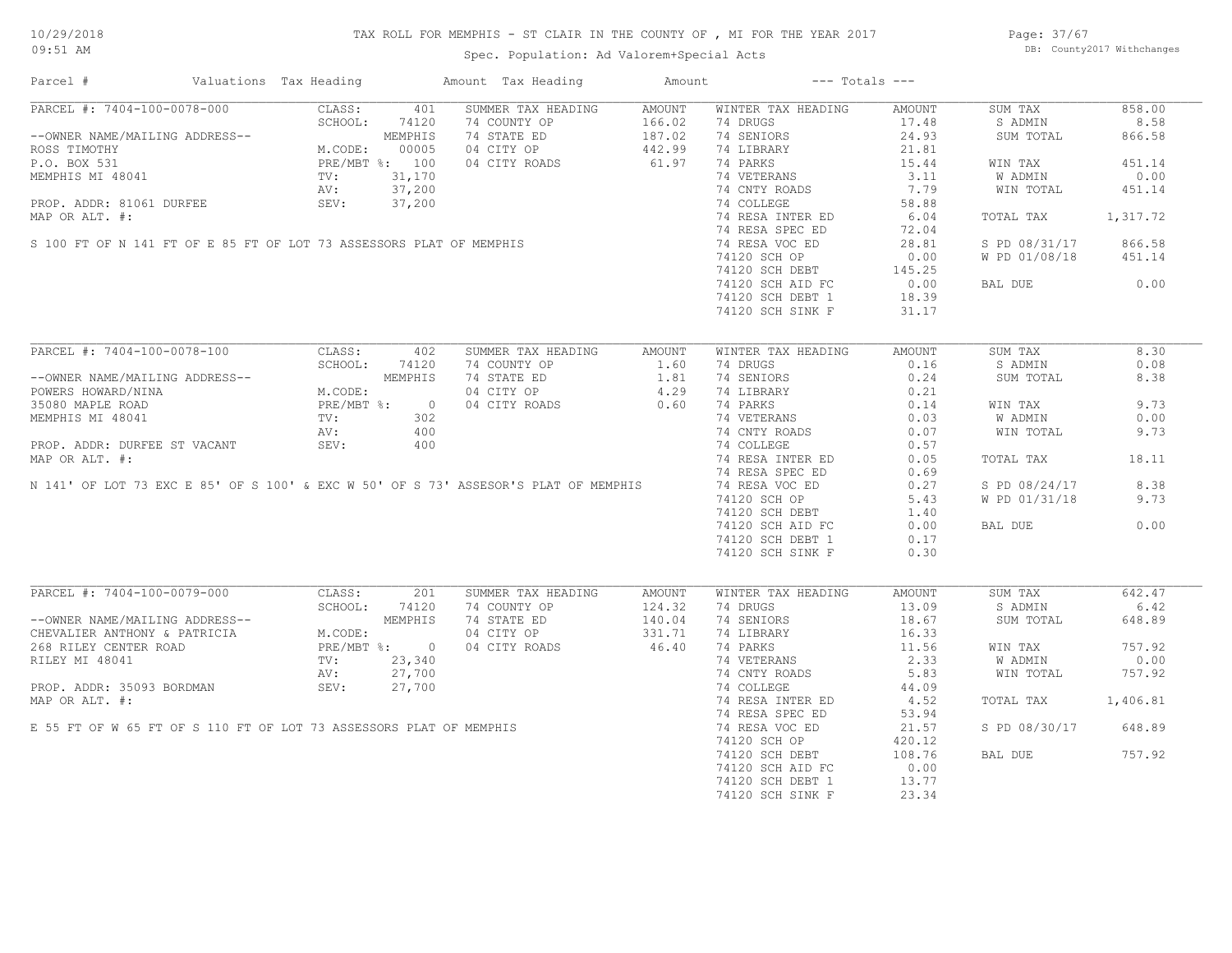# TAX ROLL FOR MEMPHIS - ST CLAIR IN THE COUNTY OF , MI FOR THE YEAR 2017

Spec. Population: Ad Valorem+Special Acts

Page: 37/67 DB: County2017 Withchanges

| Parcel #                                                                                                                            | Valuations Tax Heading |                | Amount Tax Heading | Amount             |                    | $---$ Totals $---$ |               |          |
|-------------------------------------------------------------------------------------------------------------------------------------|------------------------|----------------|--------------------|--------------------|--------------------|--------------------|---------------|----------|
| PARCEL #: 7404-100-0078-000                                                                                                         | CLASS:                 | 401            | SUMMER TAX HEADING | AMOUNT             | WINTER TAX HEADING | AMOUNT             | SUM TAX       | 858.00   |
|                                                                                                                                     | SCHOOL:                | 74120          | 74 COUNTY OP       | 166.02             | 74 DRUGS           | 17.48              | S ADMIN       | 8.58     |
| --OWNER NAME/MAILING ADDRESS--                                                                                                      |                        | MEMPHIS        | 74 STATE ED        | $187.99$<br>442.99 | 74 SENIORS         | 24.93              | SUM TOTAL     | 866.58   |
| ROSS TIMOTHY                                                                                                                        | M.CODE:                | 00005          | 04 CITY OP         |                    | 74 LIBRARY         | 21.81              |               |          |
| P.O. BOX 531                                                                                                                        |                        | PRE/MBT %: 100 | 04 CITY ROADS      |                    | 74 PARKS           | 15.44              | WIN TAX       | 451.14   |
| MEMPHIS MI 48041                                                                                                                    | TV:                    | 31,170         |                    |                    | 74 VETERANS        | 3.11               | W ADMIN       | 0.00     |
|                                                                                                                                     | AV:                    | 37,200         |                    |                    | 74 CNTY ROADS      | 7.79               | WIN TOTAL     | 451.14   |
|                                                                                                                                     |                        |                |                    |                    | 74 COLLEGE         | 58.88              |               |          |
| PROP. ADDR: 81061 DURFEE SEV: 37,200<br>MAP OR ALT. #:<br>S 100 FT OF N 141 FT OF E 85 FT OF LOT 73 ASSESSORS PLAT OF MEMPHIS       |                        |                |                    |                    | 74 RESA INTER ED   | 6.04               | TOTAL TAX     | 1,317.72 |
|                                                                                                                                     |                        |                |                    |                    | 74 RESA SPEC ED    | 72.04              |               |          |
|                                                                                                                                     |                        |                |                    |                    | 74 RESA VOC ED     | 28.81              | S PD 08/31/17 | 866.58   |
|                                                                                                                                     |                        |                |                    |                    | 74120 SCH OP       | 0.00               | W PD 01/08/18 | 451.14   |
|                                                                                                                                     |                        |                |                    |                    | 74120 SCH DEBT     | 145.25             |               |          |
|                                                                                                                                     |                        |                |                    |                    | 74120 SCH AID FC   | 0.00               | BAL DUE       | 0.00     |
|                                                                                                                                     |                        |                |                    |                    | 74120 SCH DEBT 1   | 18.39              |               |          |
|                                                                                                                                     |                        |                |                    |                    | 74120 SCH SINK F   | 31.17              |               |          |
|                                                                                                                                     |                        |                |                    |                    |                    |                    |               |          |
|                                                                                                                                     |                        |                |                    |                    |                    |                    |               |          |
| PARCEL #: 7404-100-0078-100                                                                                                         | CLASS:                 | 402            | SUMMER TAX HEADING | AMOUNT             | WINTER TAX HEADING | AMOUNT             | SUM TAX       | 8.30     |
|                                                                                                                                     | SCHOOL:                | 74120          | 74 COUNTY OP       | 1.60               | 74 DRUGS           | 0.16               | S ADMIN       | 0.08     |
| --OWNER NAME/MAILING ADDRESS--                                                                                                      |                        | MEMPHIS        | 74 STATE ED        | 1.81               | 74 SENIORS         | 0.24               | SUM TOTAL     | 8.38     |
| POWERS HOWARD/NINA                                                                                                                  | M.CODE:                |                | 04 CITY OP         | 4.29               | 74 LIBRARY         | 0.21               |               |          |
| 35080 MAPLE ROAD                                                                                                                    | PRE/MBT %:             | $\overline{0}$ | 04 CITY ROADS      | 0.60               | 74 PARKS           | 0.14               | WIN TAX       | 9.73     |
| MEMPHIS MI 48041                                                                                                                    | TV:                    | 302            |                    |                    | 74 VETERANS        | 0.03               | W ADMIN       | 0.00     |
|                                                                                                                                     | AV:                    | 400            |                    |                    | 74 CNTY ROADS      | 0.07               | WIN TOTAL     | 9.73     |
| PROP. ADDR: DURFEE ST VACANT                                                                                                        | SEV:                   | 400            |                    |                    | 74 COLLEGE         | 0.57               |               |          |
| MAP OR ALT. #:                                                                                                                      |                        |                |                    |                    | 74 RESA INTER ED   | 0.05               | TOTAL TAX     | 18.11    |
|                                                                                                                                     |                        |                |                    |                    | 74 RESA SPEC ED    | 0.69               |               |          |
| N 141' OF LOT 73 EXC E 85' OF S 100' & EXC W 50' OF S 73' ASSESOR'S PLAT OF MEMPHIS                                                 |                        |                |                    |                    | 74 RESA VOC ED     | 0.27               | S PD 08/24/17 | 8.38     |
|                                                                                                                                     |                        |                |                    |                    | 74120 SCH OP       | 5.43               | W PD 01/31/18 | 9.73     |
|                                                                                                                                     |                        |                |                    |                    | 74120 SCH DEBT     | 1.40               |               |          |
|                                                                                                                                     |                        |                |                    |                    | 74120 SCH AID FC   | 0.00               | BAL DUE       | 0.00     |
|                                                                                                                                     |                        |                |                    |                    | 74120 SCH DEBT 1   | 0.17               |               |          |
|                                                                                                                                     |                        |                |                    |                    | 74120 SCH SINK F   | 0.30               |               |          |
|                                                                                                                                     |                        |                |                    |                    |                    |                    |               |          |
| PARCEL #: 7404-100-0079-000                                                                                                         | CLASS:                 | 201            | SUMMER TAX HEADING | AMOUNT             | WINTER TAX HEADING | AMOUNT             | SUM TAX       | 642.47   |
|                                                                                                                                     | SCHOOL:                | 74120          | 74 COUNTY OP       | 124.32             | 74 DRUGS           | 13.09              | S ADMIN       | 6.42     |
|                                                                                                                                     |                        | MEMPHIS        | 74 STATE ED        | 140.04             | 74 SENIORS         | 18.67              | SUM TOTAL     | 648.89   |
|                                                                                                                                     |                        |                |                    |                    |                    |                    |               |          |
| --OWNER NAME/MAILING ADDRESS--<br>CHEVALIER ANTHONY & PATRICIA                                                                      | M.CODE:                |                | 04 CITY OP         | 331.71             | 74 LIBRARY         | 16.33              |               |          |
| 268 RILEY CENTER ROAD                                                                                                               |                        | PRE/MBT %: 0   | 04 CITY ROADS      | 46.40              | 74 PARKS           | 11.56              | WIN TAX       | 757.92   |
| RILEY MI 48041                                                                                                                      | TV:                    | 23,340         |                    |                    | 74 VETERANS        | 2.33               | W ADMIN       | 0.00     |
|                                                                                                                                     |                        |                |                    |                    | 74 CNTY ROADS      | 5.83               | WIN TOTAL     | 757.92   |
|                                                                                                                                     |                        |                |                    |                    | 74 COLLEGE         | 44.09              |               |          |
|                                                                                                                                     |                        |                |                    |                    | 74 RESA INTER ED   | 4.52               | TOTAL TAX     | 1,406.81 |
|                                                                                                                                     |                        |                |                    |                    | 74 RESA SPEC ED    | 53.94              |               |          |
| RILEY MI 48041<br>PROP. ADDR: 35093 BORDMAN<br>MAP OR ALT. #:<br>E 55 FT OF W 65 FT OF S 110 FT OF LOT 73 ASSESSORS PLAT OF MEMPHIS |                        |                |                    |                    | 74 RESA VOC ED     | 21.57              | S PD 08/30/17 | 648.89   |
|                                                                                                                                     |                        |                |                    |                    | 74120 SCH OP       | 420.12             |               |          |
|                                                                                                                                     |                        |                |                    |                    | 74120 SCH DEBT     | 108.76             | BAL DUE       | 757.92   |
|                                                                                                                                     |                        |                |                    |                    | 74120 SCH AID FC   | 0.00               |               |          |
|                                                                                                                                     |                        |                |                    |                    | 74120 SCH DEBT 1   | 13.77              |               |          |
|                                                                                                                                     |                        |                |                    |                    | 74120 SCH SINK F   | 23.34              |               |          |
|                                                                                                                                     |                        |                |                    |                    |                    |                    |               |          |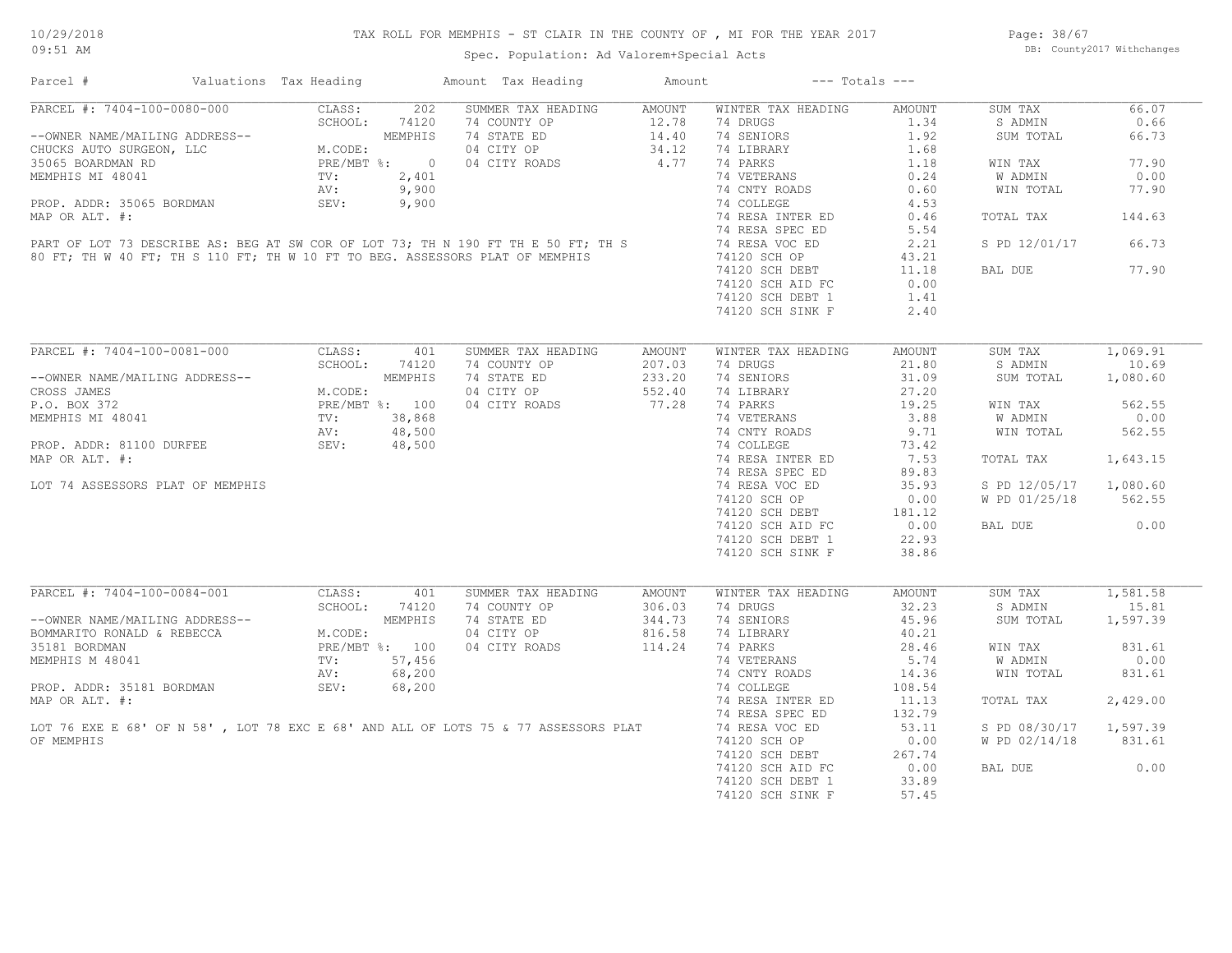# TAX ROLL FOR MEMPHIS - ST CLAIR IN THE COUNTY OF , MI FOR THE YEAR 2017

Spec. Population: Ad Valorem+Special Acts

Page: 38/67 DB: County2017 Withchanges

| Parcel #                                                                                                                                                                               | Valuations Tax Heading                                          |                | Amount Tax Heading                                                                                                                                                                  | Amount             |                    | $---$ Totals $---$ |               |          |
|----------------------------------------------------------------------------------------------------------------------------------------------------------------------------------------|-----------------------------------------------------------------|----------------|-------------------------------------------------------------------------------------------------------------------------------------------------------------------------------------|--------------------|--------------------|--------------------|---------------|----------|
| PARCEL #: 7404-100-0080-000                                                                                                                                                            | CLASS:                                                          | 202            | SUMMER TAX HEADING                                                                                                                                                                  | <b>AMOUNT</b>      | WINTER TAX HEADING | <b>AMOUNT</b>      | SUM TAX       | 66.07    |
|                                                                                                                                                                                        | SCHOOL:                                                         | 74120          | 74 COUNTY OP                                                                                                                                                                        | 12.78              | 74 DRUGS           | 1.34               | S ADMIN       | 0.66     |
| --OWNER NAME/MAILING ADDRESS--<br>CHUCKS AUTO SURGEON, LLC<br>35065 BOARDMAN RD<br>MEMPHIS MI 48041<br>MEMPHIS MI 48041<br>PRE/MBT %:<br>2,401<br>NV:<br>2,401<br>NV:<br>9,900<br>---- |                                                                 |                | 74 STATE ED                                                                                                                                                                         | $14.40$<br>$34.12$ | 74 SENIORS         | 1.92               | SUM TOTAL     | 66.73    |
|                                                                                                                                                                                        |                                                                 |                | 04 CITY OP                                                                                                                                                                          |                    | 74 LIBRARY         | 1.68               |               |          |
|                                                                                                                                                                                        |                                                                 |                | 04 CITY ROADS                                                                                                                                                                       | 4.77               | 74 PARKS           | 1.18               | WIN TAX       | 77.90    |
|                                                                                                                                                                                        |                                                                 |                |                                                                                                                                                                                     |                    | 74 VETERANS        | 0.24               | W ADMIN       | 0.00     |
|                                                                                                                                                                                        |                                                                 |                |                                                                                                                                                                                     |                    | 74 CNTY ROADS      | 0.60               | WIN TOTAL     | 77.90    |
| PROP. ADDR: 35065 BORDMAN                                                                                                                                                              | SEV:                                                            | 9,900          |                                                                                                                                                                                     |                    | 74 COLLEGE         | 4.53               |               |          |
|                                                                                                                                                                                        |                                                                 |                |                                                                                                                                                                                     |                    | 74 RESA INTER ED   | 0.46               | TOTAL TAX     | 144.63   |
|                                                                                                                                                                                        |                                                                 |                |                                                                                                                                                                                     |                    | 74 RESA SPEC ED    | 5.54               |               |          |
|                                                                                                                                                                                        |                                                                 |                |                                                                                                                                                                                     |                    | 74 RESA VOC ED     | 2.21               | S PD 12/01/17 | 66.73    |
|                                                                                                                                                                                        |                                                                 |                | MAP OR ALT. #:<br>PART OF LOT 73 DESCRIBE AS: BEG AT SW COR OF LOT 73; TH N 190 FT TH E 50 FT; TH S<br>80 FT; TH W 40 FT; TH S 110 FT; TH W 10 FT TO BEG. ASSESSORS PLAT OF MEMPHIS |                    | 74120 SCH OP       | 43.21              |               |          |
|                                                                                                                                                                                        |                                                                 |                |                                                                                                                                                                                     |                    | 74120 SCH DEBT     | 11.18              | BAL DUE       | 77.90    |
|                                                                                                                                                                                        |                                                                 |                |                                                                                                                                                                                     |                    | 74120 SCH AID FC   | 0.00               |               |          |
|                                                                                                                                                                                        |                                                                 |                |                                                                                                                                                                                     |                    | 74120 SCH DEBT 1   | 1.41               |               |          |
|                                                                                                                                                                                        |                                                                 |                |                                                                                                                                                                                     |                    | 74120 SCH SINK F   | 2.40               |               |          |
|                                                                                                                                                                                        |                                                                 |                |                                                                                                                                                                                     |                    |                    |                    |               |          |
| PARCEL #: 7404-100-0081-000                                                                                                                                                            | CLASS:                                                          | 401            | SUMMER TAX HEADING                                                                                                                                                                  | <b>AMOUNT</b>      | WINTER TAX HEADING | AMOUNT             | SUM TAX       | 1,069.91 |
|                                                                                                                                                                                        | SCHOOL:                                                         | 74120          | 74 COUNTY OP                                                                                                                                                                        | 207.03             | 74 DRUGS           | 21.80              | S ADMIN       | 10.69    |
| --OWNER NAME/MAILING ADDRESS--                                                                                                                                                         | ADDRESS--<br>M.CODE:<br>M.CODE:<br>PRE/MBT %: 100<br>TV: 38,868 |                | 74 STATE ED                                                                                                                                                                         | 233.20             | 74 SENIORS         | 31.09              | SUM TOTAL     | 1,080.60 |
| CROSS JAMES                                                                                                                                                                            |                                                                 |                | 04 CITY OP                                                                                                                                                                          | 552.40             | 74 LIBRARY         | 27.20              |               |          |
| P.O. BOX 372                                                                                                                                                                           |                                                                 |                | 04 CITY ROADS                                                                                                                                                                       | 77.28              | 74 PARKS           | 19.25              | WIN TAX       | 562.55   |
| MEMPHIS MI 48041                                                                                                                                                                       |                                                                 |                |                                                                                                                                                                                     |                    | 74 VETERANS        | 3.88               | W ADMIN       | 0.00     |
|                                                                                                                                                                                        | AV:                                                             | 48,500         |                                                                                                                                                                                     |                    | 74 CNTY ROADS      | 9.71               | WIN TOTAL     | 562.55   |
| PROP. ADDR: 81100 DURFEE                                                                                                                                                               | SEV:                                                            | 48,500         |                                                                                                                                                                                     |                    | 74 COLLEGE         | 73.42              |               |          |
| MAP OR ALT. #:                                                                                                                                                                         |                                                                 |                |                                                                                                                                                                                     |                    | 74 RESA INTER ED   | 7.53               | TOTAL TAX     | 1,643.15 |
|                                                                                                                                                                                        |                                                                 |                |                                                                                                                                                                                     |                    | 74 RESA SPEC ED    | 89.83              |               |          |
| LOT 74 ASSESSORS PLAT OF MEMPHIS                                                                                                                                                       |                                                                 |                |                                                                                                                                                                                     |                    |                    | 35.93              |               | 1,080.60 |
|                                                                                                                                                                                        |                                                                 |                |                                                                                                                                                                                     |                    | 74 RESA VOC ED     |                    | S PD 12/05/17 |          |
|                                                                                                                                                                                        |                                                                 |                |                                                                                                                                                                                     |                    | 74120 SCH OP       | 0.00               | W PD 01/25/18 | 562.55   |
|                                                                                                                                                                                        |                                                                 |                |                                                                                                                                                                                     |                    | 74120 SCH DEBT     | 181.12             |               |          |
|                                                                                                                                                                                        |                                                                 |                |                                                                                                                                                                                     |                    | 74120 SCH AID FC   | 0.00               | BAL DUE       | 0.00     |
|                                                                                                                                                                                        |                                                                 |                |                                                                                                                                                                                     |                    | 74120 SCH DEBT 1   | 22.93              |               |          |
|                                                                                                                                                                                        |                                                                 |                |                                                                                                                                                                                     |                    | 74120 SCH SINK F   | 38.86              |               |          |
|                                                                                                                                                                                        |                                                                 |                |                                                                                                                                                                                     |                    |                    |                    |               |          |
| PARCEL #: 7404-100-0084-001                                                                                                                                                            | CLASS:                                                          | 401            | SUMMER TAX HEADING                                                                                                                                                                  | AMOUNT             | WINTER TAX HEADING | <b>AMOUNT</b>      | SUM TAX       | 1,581.58 |
|                                                                                                                                                                                        | SCHOOL:                                                         | 74120          | 74 COUNTY OP                                                                                                                                                                        | 306.03             | 74 DRUGS           | 32.23              | S ADMIN       | 15.81    |
| --OWNER NAME/MAILING ADDRESS--<br>BOMMARITO RONALD & REBECCA                                                                                                                           |                                                                 | MEMPHIS        | 74 STATE ED                                                                                                                                                                         | 344.73             | 74 SENIORS         | 45.96              | SUM TOTAL     | 1,597.39 |
|                                                                                                                                                                                        | M.CODE:                                                         |                | 04 CITY OP                                                                                                                                                                          | 816.58             | 74 LIBRARY         | 40.21              |               |          |
| 35181 BORDMAN                                                                                                                                                                          |                                                                 | PRE/MBT %: 100 | 04 CITY ROADS                                                                                                                                                                       | 114.24             | 74 PARKS           | 28.46              | WIN TAX       | 831.61   |
| MEMPHIS M 48041                                                                                                                                                                        | TV:                                                             | 57,456         |                                                                                                                                                                                     |                    | 74 VETERANS        | 5.74               | W ADMIN       | 0.00     |
|                                                                                                                                                                                        | AV:                                                             | 68,200         |                                                                                                                                                                                     |                    | 74 CNTY ROADS      | 14.36              | WIN TOTAL     | 831.61   |
| PROP. ADDR: 35181 BORDMAN                                                                                                                                                              | SEV:                                                            | 68,200         |                                                                                                                                                                                     |                    | 74 COLLEGE         | 108.54             |               |          |
|                                                                                                                                                                                        |                                                                 |                | MAP OR ALT. #:<br>MAP OR ALT. #:<br>LOT 76 EXE E 68' OF N 58', LOT 78 EXC E 68' AND ALL OF LOTS 75 & 77 ASSESSORS PLAT                                                              |                    | 74 RESA INTER ED   | 11.13              | TOTAL TAX     | 2,429.00 |
|                                                                                                                                                                                        |                                                                 |                |                                                                                                                                                                                     |                    | 74 RESA SPEC ED    | 132.79             |               |          |
|                                                                                                                                                                                        |                                                                 |                |                                                                                                                                                                                     |                    | 74 RESA VOC ED     | 53.11              | S PD 08/30/17 | 1,597.39 |
| OF MEMPHIS                                                                                                                                                                             |                                                                 |                |                                                                                                                                                                                     |                    | 74120 SCH OP       | 0.00               | W PD 02/14/18 | 831.61   |
|                                                                                                                                                                                        |                                                                 |                |                                                                                                                                                                                     |                    | 74120 SCH DEBT     | 267.74             |               |          |
|                                                                                                                                                                                        |                                                                 |                |                                                                                                                                                                                     |                    | 74120 SCH AID FC   | 0.00               | BAL DUE       | 0.00     |
|                                                                                                                                                                                        |                                                                 |                |                                                                                                                                                                                     |                    | 74120 SCH DEBT 1   | 33.89              |               |          |
|                                                                                                                                                                                        |                                                                 |                |                                                                                                                                                                                     |                    | 74120 SCH SINK F   | 57.45              |               |          |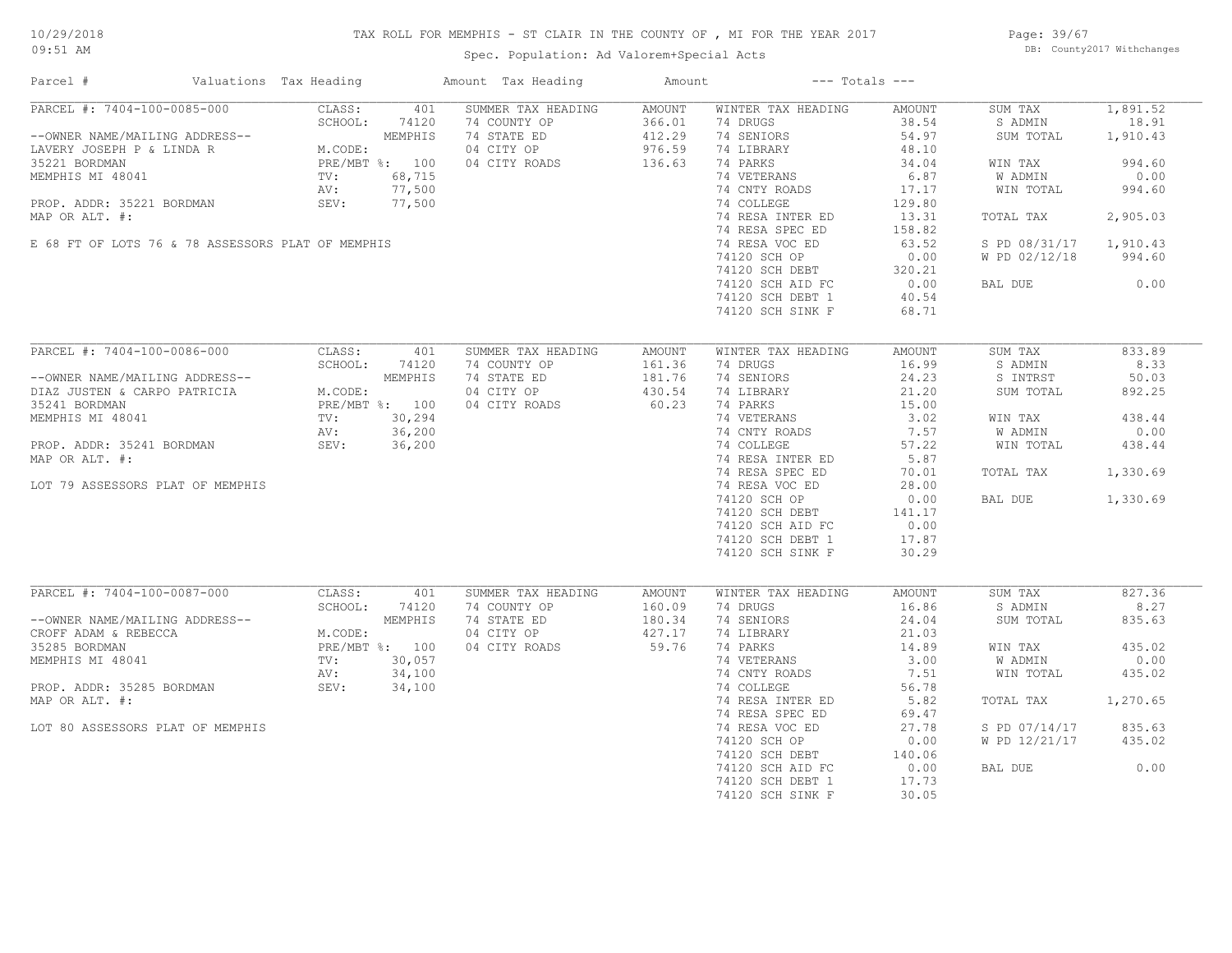# TAX ROLL FOR MEMPHIS - ST CLAIR IN THE COUNTY OF , MI FOR THE YEAR 2017

Spec. Population: Ad Valorem+Special Acts

Page: 39/67 DB: County2017 Withchanges

| Parcel #<br>Valuations Tax Heading                                                                                                                                                                                                  |                                                                                                                               | Amount Tax Heading                                                               | Amount                                         | $---$ Totals $---$                                                                                                                                                                            |                                                                                                           |                                                                                                                            |                                                                                 |
|-------------------------------------------------------------------------------------------------------------------------------------------------------------------------------------------------------------------------------------|-------------------------------------------------------------------------------------------------------------------------------|----------------------------------------------------------------------------------|------------------------------------------------|-----------------------------------------------------------------------------------------------------------------------------------------------------------------------------------------------|-----------------------------------------------------------------------------------------------------------|----------------------------------------------------------------------------------------------------------------------------|---------------------------------------------------------------------------------|
| PARCEL #: 7404-100-0085-000<br>--OWNER NAME/MAILING ADDRESS--<br>LAVERY JOSEPH P & LINDA R<br>35221 BORDMAN<br>MEMPHIS MI 48041<br>PROP. ADDR: 35221 BORDMAN<br>MAP OR ALT. #:<br>E 68 FT OF LOTS 76 & 78 ASSESSORS PLAT OF MEMPHIS | CLASS:<br>401<br>SCHOOL:<br>74120<br>MEMPHIS<br>M.CODE:<br>PRE/MBT %: 100<br>68,715<br>TV:<br>77,500<br>AV:<br>SEV:<br>77,500 | SUMMER TAX HEADING<br>74 COUNTY OP<br>74 STATE ED<br>04 CITY OP<br>04 CITY ROADS | AMOUNT<br>366.01<br>412.29<br>976.59<br>136.63 | WINTER TAX HEADING<br>74 DRUGS<br>74 SENIORS<br>74 LIBRARY<br>74 PARKS<br>74 VETERANS<br>74 CNTY ROADS<br>74 COLLEGE<br>74 RESA INTER ED<br>74 RESA SPEC ED<br>74 RESA VOC ED<br>74120 SCH OP | AMOUNT<br>38.54<br>54.97<br>48.10<br>34.04<br>6.87<br>17.17<br>129.80<br>13.31<br>158.82<br>63.52<br>0.00 | SUM TAX<br>S ADMIN<br>SUM TOTAL<br>WIN TAX<br>W ADMIN<br>WIN TOTAL<br>TOTAL TAX<br>S PD 08/31/17 1,910.43<br>W PD 02/12/18 | 1,891.52<br>18.91<br>1,910.43<br>994.60<br>0.00<br>994.60<br>2,905.03<br>994.60 |
|                                                                                                                                                                                                                                     |                                                                                                                               |                                                                                  |                                                | 74120 SCH DEBT<br>74120 SCH AID FC<br>74120 SCH DEBT 1<br>74120 SCH SINK F                                                                                                                    | 320.21<br>0.00<br>40.54<br>68.71                                                                          | BAL DUE                                                                                                                    | 0.00                                                                            |
| PARCEL #: 7404-100-0086-000                                                                                                                                                                                                         | CLASS:<br>401                                                                                                                 | SUMMER TAX HEADING                                                               | AMOUNT                                         | WINTER TAX HEADING                                                                                                                                                                            | AMOUNT                                                                                                    | SUM TAX                                                                                                                    | 833.89                                                                          |
|                                                                                                                                                                                                                                     | SCHOOL:<br>74120                                                                                                              | 74 COUNTY OP                                                                     | 161.36                                         | 74 DRUGS                                                                                                                                                                                      | 16.99                                                                                                     | S ADMIN                                                                                                                    | 8.33                                                                            |
| --OWNER NAME/MAILING ADDRESS--                                                                                                                                                                                                      | MEMPHIS                                                                                                                       | 74 STATE ED                                                                      | 181.76                                         | 74 SENIORS                                                                                                                                                                                    | 24.23                                                                                                     | S INTRST                                                                                                                   | 50.03                                                                           |
| DIAZ JUSTEN & CARPO PATRICIA                                                                                                                                                                                                        | M.CODE:                                                                                                                       | 04 CITY OP                                                                       | 430.54                                         | 74 LIBRARY                                                                                                                                                                                    | 21.20                                                                                                     | SUM TOTAL                                                                                                                  | 892.25                                                                          |
| 35241 BORDMAN                                                                                                                                                                                                                       | PRE/MBT %: 100                                                                                                                | 04 CITY ROADS                                                                    | 60.23                                          | 74 PARKS                                                                                                                                                                                      | 15.00                                                                                                     |                                                                                                                            |                                                                                 |
| MEMPHIS MI 48041                                                                                                                                                                                                                    | TV:<br>30,294                                                                                                                 |                                                                                  |                                                | 74 VETERANS                                                                                                                                                                                   | 3.02                                                                                                      | WIN TAX                                                                                                                    | 438.44                                                                          |
|                                                                                                                                                                                                                                     | 36,200<br>AV:                                                                                                                 |                                                                                  |                                                | 74 CNTY ROADS                                                                                                                                                                                 | 7.57                                                                                                      | W ADMIN                                                                                                                    | 0.00                                                                            |
| PROP. ADDR: 35241 BORDMAN                                                                                                                                                                                                           | SEV:<br>36,200                                                                                                                |                                                                                  |                                                | 74 COLLEGE                                                                                                                                                                                    | 57.22                                                                                                     | WIN TOTAL                                                                                                                  | 438.44                                                                          |
| MAP OR ALT. #:                                                                                                                                                                                                                      |                                                                                                                               |                                                                                  |                                                | 74 RESA INTER ED                                                                                                                                                                              | 5.87                                                                                                      |                                                                                                                            |                                                                                 |
|                                                                                                                                                                                                                                     |                                                                                                                               |                                                                                  |                                                | 74 RESA SPEC ED                                                                                                                                                                               | 70.01                                                                                                     | TOTAL TAX                                                                                                                  | 1,330.69                                                                        |
| LOT 79 ASSESSORS PLAT OF MEMPHIS                                                                                                                                                                                                    |                                                                                                                               |                                                                                  |                                                | 74 RESA VOC ED                                                                                                                                                                                | 28.00                                                                                                     |                                                                                                                            |                                                                                 |
|                                                                                                                                                                                                                                     |                                                                                                                               |                                                                                  |                                                | 74120 SCH OP                                                                                                                                                                                  | 0.00                                                                                                      | BAL DUE                                                                                                                    | 1,330.69                                                                        |
|                                                                                                                                                                                                                                     |                                                                                                                               |                                                                                  |                                                | 74120 SCH DEBT<br>74120 SCH AID FC                                                                                                                                                            | 141.17<br>0.00                                                                                            |                                                                                                                            |                                                                                 |
|                                                                                                                                                                                                                                     |                                                                                                                               |                                                                                  |                                                | 74120 SCH DEBT 1                                                                                                                                                                              | 17.87                                                                                                     |                                                                                                                            |                                                                                 |
|                                                                                                                                                                                                                                     |                                                                                                                               |                                                                                  |                                                | 74120 SCH SINK F                                                                                                                                                                              | 30.29                                                                                                     |                                                                                                                            |                                                                                 |
|                                                                                                                                                                                                                                     |                                                                                                                               |                                                                                  |                                                |                                                                                                                                                                                               |                                                                                                           |                                                                                                                            |                                                                                 |
| PARCEL #: 7404-100-0087-000                                                                                                                                                                                                         | CLASS:<br>401                                                                                                                 | SUMMER TAX HEADING                                                               | AMOUNT                                         | WINTER TAX HEADING                                                                                                                                                                            | AMOUNT                                                                                                    | SUM TAX                                                                                                                    | 827.36                                                                          |
|                                                                                                                                                                                                                                     | SCHOOL:<br>74120                                                                                                              | 74 COUNTY OP                                                                     | 160.09                                         | 74 DRUGS                                                                                                                                                                                      | 16.86                                                                                                     | S ADMIN                                                                                                                    | 8.27                                                                            |
| --OWNER NAME/MAILING ADDRESS--                                                                                                                                                                                                      | MEMPHIS                                                                                                                       | 74 STATE ED                                                                      | 180.34                                         | 74 SENIORS                                                                                                                                                                                    | 24.04                                                                                                     | SUM TOTAL                                                                                                                  | 835.63                                                                          |
| CROFF ADAM & REBECCA                                                                                                                                                                                                                | M.CODE:                                                                                                                       | 04 CITY OP                                                                       | 427.17                                         | 74 LIBRARY                                                                                                                                                                                    | 21.03                                                                                                     |                                                                                                                            |                                                                                 |
| 35285 BORDMAN                                                                                                                                                                                                                       | PRE/MBT %: 100                                                                                                                | 04 CITY ROADS                                                                    | 59.76                                          | 74 PARKS                                                                                                                                                                                      | 14.89                                                                                                     | WIN TAX                                                                                                                    | 435.02                                                                          |
| MEMPHIS MI 48041                                                                                                                                                                                                                    | 30,057<br>$\text{TV}$ :                                                                                                       |                                                                                  |                                                | 74 VETERANS                                                                                                                                                                                   | 3.00                                                                                                      | W ADMIN                                                                                                                    | 0.00                                                                            |
|                                                                                                                                                                                                                                     | 34,100<br>AV:                                                                                                                 |                                                                                  |                                                | 74 CNTY ROADS                                                                                                                                                                                 | 7.51                                                                                                      | WIN TOTAL                                                                                                                  | 435.02                                                                          |
| PROP. ADDR: 35285 BORDMAN                                                                                                                                                                                                           | SEV:<br>34,100                                                                                                                |                                                                                  |                                                | 74 COLLEGE                                                                                                                                                                                    | 56.78                                                                                                     |                                                                                                                            |                                                                                 |
| MAP OR ALT. #:                                                                                                                                                                                                                      |                                                                                                                               |                                                                                  |                                                | 74 RESA INTER ED                                                                                                                                                                              | 5.82                                                                                                      | TOTAL TAX                                                                                                                  | 1,270.65                                                                        |
|                                                                                                                                                                                                                                     |                                                                                                                               |                                                                                  |                                                | 74 RESA SPEC ED                                                                                                                                                                               | 69.47                                                                                                     |                                                                                                                            |                                                                                 |
| LOT 80 ASSESSORS PLAT OF MEMPHIS                                                                                                                                                                                                    |                                                                                                                               |                                                                                  |                                                | 74 RESA VOC ED                                                                                                                                                                                | 27.78                                                                                                     | S PD 07/14/17                                                                                                              | 835.63                                                                          |
|                                                                                                                                                                                                                                     |                                                                                                                               |                                                                                  |                                                | 74120 SCH OP                                                                                                                                                                                  | 0.00                                                                                                      | W PD 12/21/17                                                                                                              | 435.02                                                                          |
|                                                                                                                                                                                                                                     |                                                                                                                               |                                                                                  |                                                | 74120 SCH DEBT                                                                                                                                                                                | 140.06                                                                                                    |                                                                                                                            |                                                                                 |
|                                                                                                                                                                                                                                     |                                                                                                                               |                                                                                  |                                                | 74120 SCH AID FC                                                                                                                                                                              | 0.00                                                                                                      | BAL DUE                                                                                                                    | 0.00                                                                            |
|                                                                                                                                                                                                                                     |                                                                                                                               |                                                                                  |                                                | 74120 SCH DEBT 1                                                                                                                                                                              | 17.73                                                                                                     |                                                                                                                            |                                                                                 |
|                                                                                                                                                                                                                                     |                                                                                                                               |                                                                                  |                                                | 74120 SCH SINK F                                                                                                                                                                              | 30.05                                                                                                     |                                                                                                                            |                                                                                 |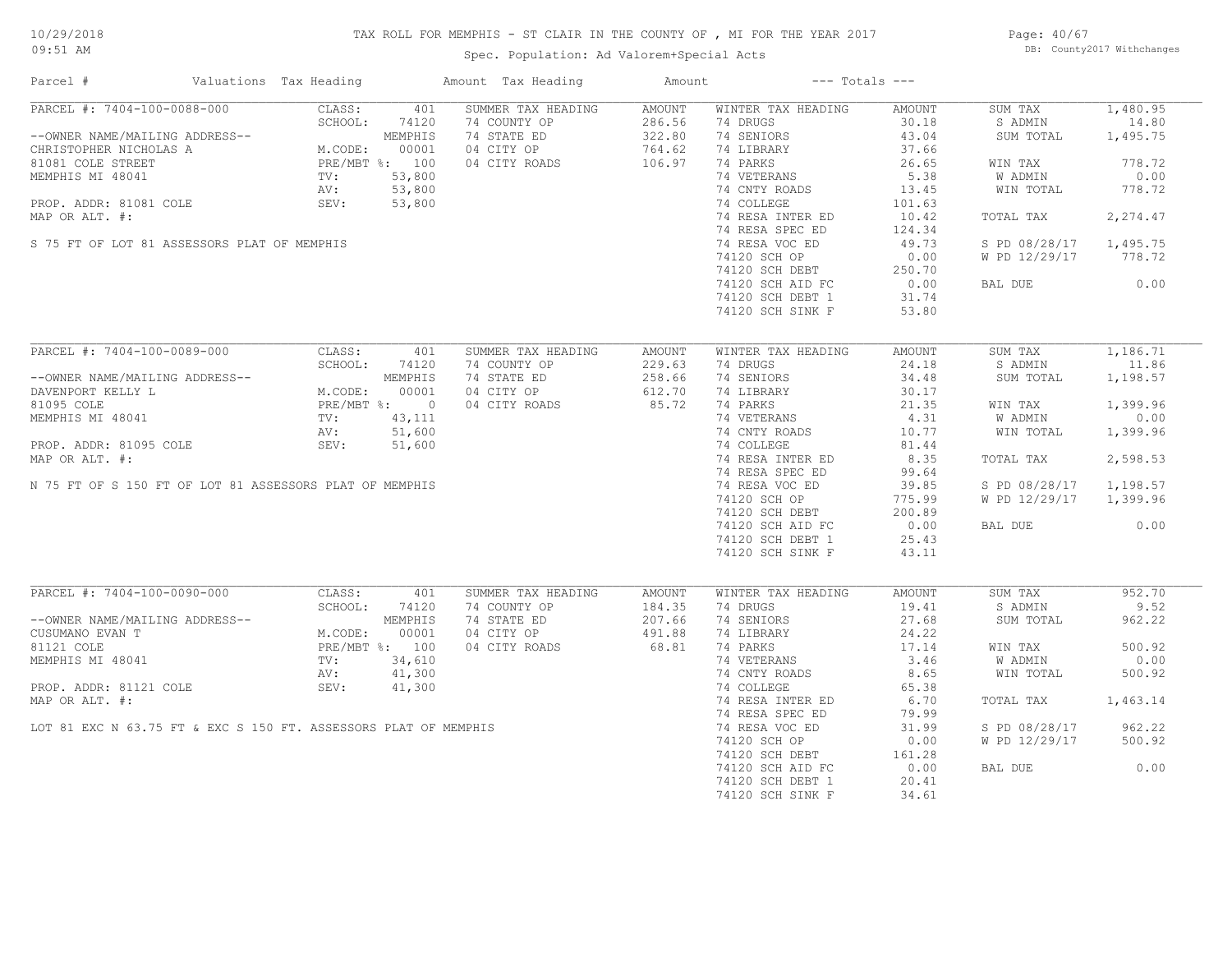# TAX ROLL FOR MEMPHIS - ST CLAIR IN THE COUNTY OF , MI FOR THE YEAR 2017

Spec. Population: Ad Valorem+Special Acts

Page: 40/67 DB: County2017 Withchanges

| Parcel #                       |                                                                                                                                                                                                                                                      | Valuations Tax Heading |         | Amount Tax Heading | Amount |                    | $---$ Totals $---$ |               |          |
|--------------------------------|------------------------------------------------------------------------------------------------------------------------------------------------------------------------------------------------------------------------------------------------------|------------------------|---------|--------------------|--------|--------------------|--------------------|---------------|----------|
| PARCEL #: 7404-100-0088-000    | PARCEL #: /404-100 0001<br>--OWNER NAME/MAILING ADDRESS--<br>CHRISTOPHER NICHOLAS A<br>81081 COLE STREET<br>MEMPHIS MI 48041<br>TV: 53,800<br>----- 01081 COLE<br>----- 01081 COLE<br>----- 01081 COLE<br>----- 01081 COLE<br>PRE/MBT %: 100<br>SEV: | CLASS:                 | 401     | SUMMER TAX HEADING | AMOUNT | WINTER TAX HEADING | AMOUNT             | SUM TAX       | 1,480.95 |
|                                |                                                                                                                                                                                                                                                      |                        |         | 74 COUNTY OP       | 286.56 | 74 DRUGS           | 30.18              | S ADMIN       | 14.80    |
|                                |                                                                                                                                                                                                                                                      |                        |         | 74 STATE ED        | 322.80 | 74 SENIORS         | 43.04              | SUM TOTAL     | 1,495.75 |
|                                |                                                                                                                                                                                                                                                      |                        |         | 04 CITY OP         | 764.62 | 74 LIBRARY         | 37.66              |               |          |
|                                |                                                                                                                                                                                                                                                      |                        |         | 04 CITY ROADS      | 106.97 | 74 PARKS           | 26.65              | WIN TAX       | 778.72   |
|                                |                                                                                                                                                                                                                                                      |                        |         |                    |        | 74 VETERANS        | 5.38               | W ADMIN       | 0.00     |
|                                |                                                                                                                                                                                                                                                      |                        |         |                    |        | 74 CNTY ROADS      | 13.45              | WIN TOTAL     | 778.72   |
|                                |                                                                                                                                                                                                                                                      |                        |         |                    |        | 74 COLLEGE         | 101.63             |               |          |
| MAP OR ALT. #:                 |                                                                                                                                                                                                                                                      |                        |         |                    |        | 74 RESA INTER ED   | 10.42              | TOTAL TAX     | 2,274.47 |
|                                |                                                                                                                                                                                                                                                      |                        |         |                    |        | 74 RESA SPEC ED    | 124.34             |               |          |
|                                | S 75 FT OF LOT 81 ASSESSORS PLAT OF MEMPHIS                                                                                                                                                                                                          |                        |         |                    |        | 74 RESA VOC ED     | 49.73              | S PD 08/28/17 | 1,495.75 |
|                                |                                                                                                                                                                                                                                                      |                        |         |                    |        | 74120 SCH OP       | 0.00               | W PD 12/29/17 | 778.72   |
|                                |                                                                                                                                                                                                                                                      |                        |         |                    |        | 74120 SCH DEBT     | 250.70             |               |          |
|                                |                                                                                                                                                                                                                                                      |                        |         |                    |        | 74120 SCH AID FC   | 0.00               | BAL DUE       | 0.00     |
|                                |                                                                                                                                                                                                                                                      |                        |         |                    |        | 74120 SCH DEBT 1   | 31.74              |               |          |
|                                |                                                                                                                                                                                                                                                      |                        |         |                    |        | 74120 SCH SINK F   | 53.80              |               |          |
|                                |                                                                                                                                                                                                                                                      |                        |         |                    |        |                    |                    |               |          |
|                                | PARCEL #: 7404-100-0089-000                                                                                                                                                                                                                          | CLASS:                 | 401     | SUMMER TAX HEADING | AMOUNT | WINTER TAX HEADING | AMOUNT             | SUM TAX       | 1,186.71 |
|                                |                                                                                                                                                                                                                                                      |                        |         | 74 COUNTY OP       | 229.63 | 74 DRUGS           | 24.18              | S ADMIN       | 11.86    |
| --OWNER NAME/MAILING ADDRESS-- |                                                                                                                                                                                                                                                      |                        |         | 74 STATE ED        | 258.66 | 74 SENIORS         | 34.48              | SUM TOTAL     | 1,198.57 |
| DAVENPORT KELLY L              |                                                                                                                                                                                                                                                      |                        |         | 04 CITY OP         | 612.70 | 74 LIBRARY         | 30.17              |               |          |
| 81095 COLE                     |                                                                                                                                                                                                                                                      |                        |         | 04 CITY ROADS      | 85.72  | 74 PARKS           | 21.35              | WIN TAX       | 1,399.96 |
| MEMPHIS MI 48041               |                                                                                                                                                                                                                                                      |                        |         |                    |        | 74 VETERANS        | 4.31               | W ADMIN       | 0.00     |
|                                |                                                                                                                                                                                                                                                      |                        |         |                    |        | 74 CNTY ROADS      | 10.77              | WIN TOTAL     | 1,399.96 |
| PROP. ADDR: 81095 COLE         |                                                                                                                                                                                                                                                      |                        |         |                    |        | 74 COLLEGE         | 81.44              |               |          |
| MAP OR ALT. #:                 |                                                                                                                                                                                                                                                      |                        |         |                    |        | 74 RESA INTER ED   | 8.35               | TOTAL TAX     | 2,598.53 |
|                                |                                                                                                                                                                                                                                                      |                        |         |                    |        | 74 RESA SPEC ED    | 99.64              |               |          |
|                                | N 75 FT OF S 150 FT OF LOT 81 ASSESSORS PLAT OF MEMPHIS                                                                                                                                                                                              |                        |         |                    |        | 74 RESA VOC ED     | 39.85              | S PD 08/28/17 | 1,198.57 |
|                                |                                                                                                                                                                                                                                                      |                        |         |                    |        | 74120 SCH OP       | 775.99             | W PD 12/29/17 | 1,399.96 |
|                                |                                                                                                                                                                                                                                                      |                        |         |                    |        | 74120 SCH DEBT     | 200.89             |               |          |
|                                |                                                                                                                                                                                                                                                      |                        |         |                    |        | 74120 SCH AID FC   | 0.00               | BAL DUE       | 0.00     |
|                                |                                                                                                                                                                                                                                                      |                        |         |                    |        | 74120 SCH DEBT 1   | 25.43              |               |          |
|                                |                                                                                                                                                                                                                                                      |                        |         |                    |        | 74120 SCH SINK F   | 43.11              |               |          |
|                                |                                                                                                                                                                                                                                                      |                        |         |                    |        |                    |                    |               |          |
| PARCEL #: 7404-100-0090-000    |                                                                                                                                                                                                                                                      | CLASS:                 | 401     | SUMMER TAX HEADING | AMOUNT | WINTER TAX HEADING | AMOUNT             | SUM TAX       | 952.70   |
|                                |                                                                                                                                                                                                                                                      | SCHOOL:                | 74120   | 74 COUNTY OP       | 184.35 | 74 DRUGS           | 19.41              | S ADMIN       | 9.52     |
| --OWNER NAME/MAILING ADDRESS-- |                                                                                                                                                                                                                                                      |                        | MEMPHIS | 74 STATE ED        | 207.66 | 74 SENIORS         | 27.68              | SUM TOTAL     | 962.22   |
| CUSUMANO EVAN T                |                                                                                                                                                                                                                                                      | M.CODE:                | 00001   | 04 CITY OP         | 491.88 | 74 LIBRARY         | 24.22              |               |          |
| 81121 COLE                     |                                                                                                                                                                                                                                                      | PRE/MBT %: 100         |         | 04 CITY ROADS      | 68.81  | 74 PARKS           | 17.14              | WIN TAX       | 500.92   |
| MEMPHIS MI 48041               |                                                                                                                                                                                                                                                      | TV:                    | 34,610  |                    |        | 74 VETERANS        | 3.46               | W ADMIN       | 0.00     |
|                                |                                                                                                                                                                                                                                                      | AV:                    | 41,300  |                    |        | 74 CNTY ROADS      | 8.65               | WIN TOTAL     | 500.92   |
| PROP. ADDR: 81121 COLE         |                                                                                                                                                                                                                                                      | SEV:                   | 41,300  |                    |        | 74 COLLEGE         | 65.38              |               |          |
| MAP OR ALT. #:                 |                                                                                                                                                                                                                                                      |                        |         |                    |        | 74 RESA INTER ED   | 6.70               | TOTAL TAX     | 1,463.14 |
|                                |                                                                                                                                                                                                                                                      |                        |         |                    |        | 74 RESA SPEC ED    | 79.99              |               |          |
|                                | LOT 81 EXC N 63.75 FT & EXC S 150 FT. ASSESSORS PLAT OF MEMPHIS                                                                                                                                                                                      |                        |         |                    |        | 74 RESA VOC ED     | 31.99              | S PD 08/28/17 | 962.22   |
|                                |                                                                                                                                                                                                                                                      |                        |         |                    |        | 74120 SCH OP       | 0.00               | W PD 12/29/17 | 500.92   |
|                                |                                                                                                                                                                                                                                                      |                        |         |                    |        | 74120 SCH DEBT     | 161.28             |               |          |
|                                |                                                                                                                                                                                                                                                      |                        |         |                    |        |                    | 0.00               |               | 0.00     |
|                                |                                                                                                                                                                                                                                                      |                        |         |                    |        | 74120 SCH AID FC   | 20.41              | BAL DUE       |          |
|                                |                                                                                                                                                                                                                                                      |                        |         |                    |        | 74120 SCH DEBT 1   |                    |               |          |
|                                |                                                                                                                                                                                                                                                      |                        |         |                    |        | 74120 SCH SINK F   | 34.61              |               |          |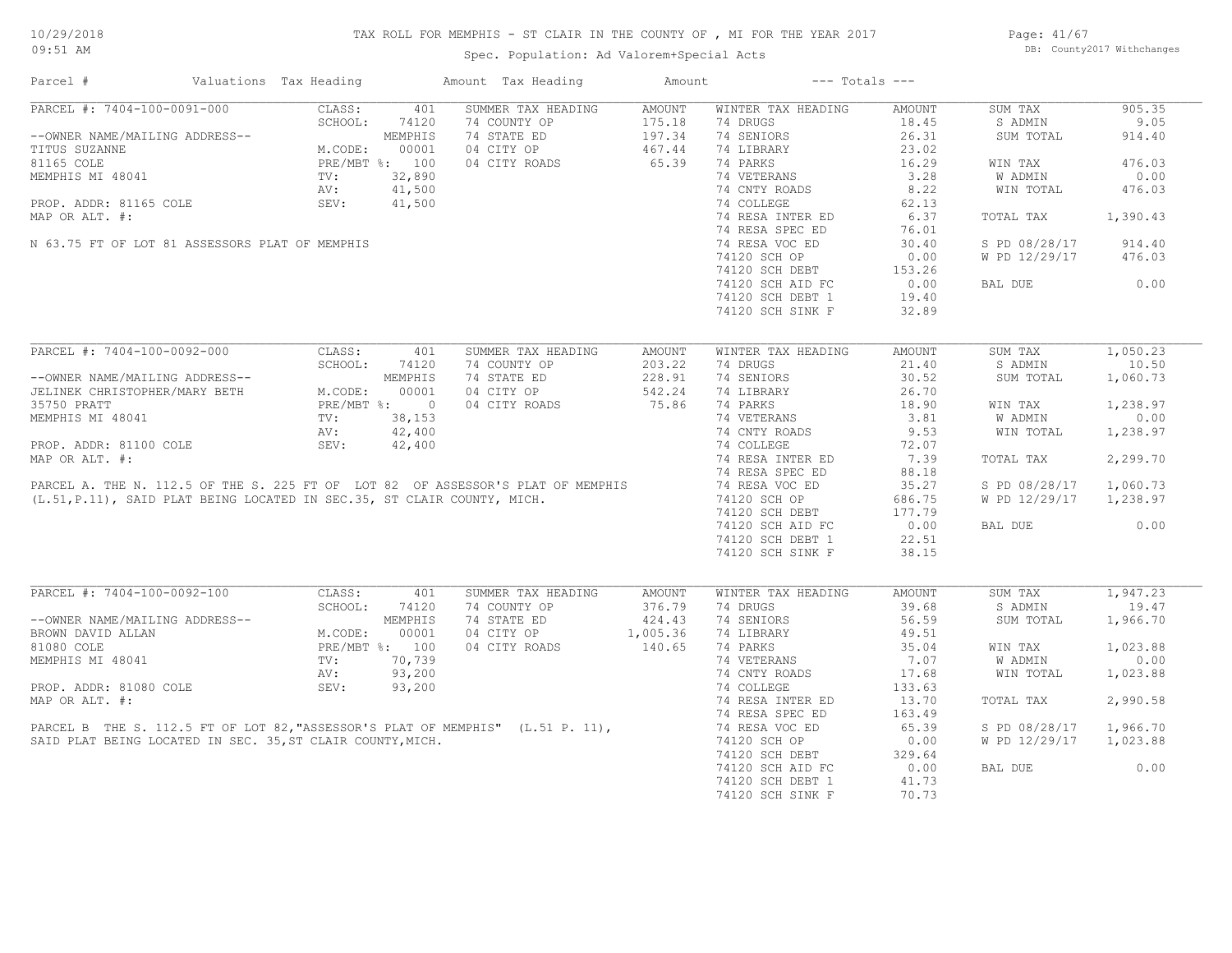Page: 41/67 DB: County2017 Withchanges

| PARCEL #: 7404-100-0091-000<br>CLASS:<br>SUMMER TAX HEADING<br>WINTER TAX HEADING<br>905.35<br>401<br>AMOUNT<br>AMOUNT<br>SUM TAX<br>SCHOOL:<br>74 COUNTY OP<br>175.18<br>74 DRUGS<br>18.45<br>S ADMIN<br>9.05<br>74120<br>$\frac{197.34}{467.44}$<br>74 STATE ED<br>74 SENIORS<br>26.31<br>--OWNER NAME/MAILING ADDRESS--<br>TITUS SUZANNE<br>TITUS SUZANNE<br>MEMPHIS MI 48041<br>MEMPHIS MI 48041<br>PROP. ADDR: 81165 COLE<br>PROP. ADDR: 81165 COLE<br>MAR OP ALT #.<br>MAR OP ALT #.<br>MAR OP ALT #.<br>SUM TOTAL<br>914.40<br>04 CITY OP<br>74 LIBRARY<br>23.02<br>65.39<br>74 PARKS<br>16.29<br>476.03<br>04 CITY ROADS<br>WIN TAX<br>74 VETERANS<br>3.28<br><b>W ADMIN</b><br>0.00<br>$41,500$<br>$41,500$<br>$41,500$<br>8.22<br>74 CNTY ROADS<br>WIN TOTAL<br>476.03<br>74 COLLEGE<br>62.13<br>MAP OR ALT. #:<br>74 RESA INTER ED<br>6.37<br>1,390.43<br>TOTAL TAX<br>74 RESA SPEC ED<br>76.01<br>N 63.75 FT OF LOT 81 ASSESSORS PLAT OF MEMPHIS<br>74 RESA VOC ED<br>30.40<br>S PD 08/28/17<br>914.40<br>74120 SCH OP<br>0.00<br>W PD 12/29/17<br>476.03<br>74120 SCH DEBT<br>74120 SCH DEBT 153.26<br>74120 SCH AID FC 1.0.00<br>0.00<br>BAL DUE<br>74120 SCH DEBT 1<br>19.40<br>74120 SCH SINK F<br>32.89<br>PARCEL #: 7404-100-0092-000<br>1,050.23<br>CLASS:<br>401<br>SUMMER TAX HEADING<br>WINTER TAX HEADING<br>AMOUNT<br>SUM TAX<br>AMOUNT<br>10.50<br>SCHOOL:<br>74120<br>74 COUNTY OP<br>203.22<br>74 DRUGS<br>21.40<br>S ADMIN<br>--OWNER NAME/MAILING ADDRESS--<br>JELINEK CHRISTOPHER/MARY BETH M.CODE: 00001<br>35750 PRATT MEMPHIS MI 48041<br>MEMPHIS MI 48041 TV: 38,153<br>PROP. ADDR: 81100 COLE SEV: 42,400<br>PROP. ADDR: 81100 COLE SEV: 42,400<br>228.91<br>542.24<br>75.86<br>30.52<br>74 STATE ED<br>74 SENIORS<br>SUM TOTAL<br>1,060.73<br>04 CITY OP<br>74 LIBRARY<br>26.70<br>18.90<br>1,238.97<br>WIN TAX<br>74 VETERANS<br>3.81<br>W ADMIN<br>0.00<br>9.53<br>1,238.97<br>WIN TOTAL<br>72.07<br>7.39<br>2,299.70<br>TOTAL TAX<br>88.18<br>35.27<br>S PD 08/28/17<br>1,060.73<br>686.75<br>W PD 12/29/17 1,238.97<br>177.79<br>0.00<br>0.00<br>BAL DUE<br>22.51<br>38.15<br>PARCEL #: 7404-100-0092-100 CLASS:<br>401<br>SUMMER TAX HEADING<br>AMOUNT<br>SUM TAX<br>1,947.23<br>AMOUNT<br>WINTER TAX HEADING<br>SCHOOL: 74120<br>74 COUNTY OP<br>74 DRUGS<br>39.68<br>S ADMIN<br>19.47<br>376.79<br>--OWNER NAME/MAILING ADDRESS--<br>BROWN DAVID ALLAN<br>81080 COLE<br>81080 COLE<br>81080 COLE<br>23 200<br>83 200<br>83 200<br>74 STATE ED<br>424.43<br>74 SENIORS<br>56.59<br>1,966.70<br>SUM TOTAL<br>1,005.36<br>04 CITY OP<br>74 LIBRARY<br>49.51<br>04 CITY ROADS<br>140.65<br>74 PARKS<br>35.04<br>1,023.88<br>WIN TAX<br>0.00<br>74 VETERANS<br>7.07<br>W ADMIN<br>74 CNTY ROADS<br>17.68<br>WIN TOTAL<br>1,023.88<br>SEV: 93,200<br>PARCEL B THE S. 112.5 FT OF LOT 82, "ASSESSOR'S PLAT OF MEMPHIS" (L.51 P. 11),<br>SAID PLAT BEING LOCATED IN SEC. 35, ST CLAIR COUNTY, MICH.<br>74 COLLEGE<br>133.63<br>2,990.58<br>74 RESA INTER ED<br>13.70<br>TOTAL TAX<br>74 RESA SPEC ED<br>163.49<br>74 RESA VOC ED<br>65.39<br>S PD 08/28/17 1,966.70<br>W PD 12/29/17 1,023.88<br>74120 SCH OP<br>0.00<br>74120 SCH DEBT<br>329.64<br>74120 SCH AID FC<br>0.00<br>0.00<br>BAL DUE<br>74120 SCH DEBT 1<br>41.73<br>70.73<br>74120 SCH SINK F | Parcel # | Valuations Tax Heading |  | Amount Tax Heading | Amount | $---$ Totals $---$ |  |  |
|-----------------------------------------------------------------------------------------------------------------------------------------------------------------------------------------------------------------------------------------------------------------------------------------------------------------------------------------------------------------------------------------------------------------------------------------------------------------------------------------------------------------------------------------------------------------------------------------------------------------------------------------------------------------------------------------------------------------------------------------------------------------------------------------------------------------------------------------------------------------------------------------------------------------------------------------------------------------------------------------------------------------------------------------------------------------------------------------------------------------------------------------------------------------------------------------------------------------------------------------------------------------------------------------------------------------------------------------------------------------------------------------------------------------------------------------------------------------------------------------------------------------------------------------------------------------------------------------------------------------------------------------------------------------------------------------------------------------------------------------------------------------------------------------------------------------------------------------------------------------------------------------------------------------------------------------------------------------------------------------------------------------------------------------------------------------------------------------------------------------------------------------------------------------------------------------------------------------------------------------------------------------------------------------------------------------------------------------------------------------------------------------------------------------------------------------------------------------------------------------------------------------------------------------------------------------------------------------------------------------------------------------------------------------------------------------------------------------------------------------------------------------------------------------------------------------------------------------------------------------------------------------------------------------------------------------------------------------------------------------------------------------------------------------------------------------------------------------------------------------------------------------------------------------------------------------------------------------------------------------------------------------------------------------------|----------|------------------------|--|--------------------|--------|--------------------|--|--|
|                                                                                                                                                                                                                                                                                                                                                                                                                                                                                                                                                                                                                                                                                                                                                                                                                                                                                                                                                                                                                                                                                                                                                                                                                                                                                                                                                                                                                                                                                                                                                                                                                                                                                                                                                                                                                                                                                                                                                                                                                                                                                                                                                                                                                                                                                                                                                                                                                                                                                                                                                                                                                                                                                                                                                                                                                                                                                                                                                                                                                                                                                                                                                                                                                                                                                               |          |                        |  |                    |        |                    |  |  |
|                                                                                                                                                                                                                                                                                                                                                                                                                                                                                                                                                                                                                                                                                                                                                                                                                                                                                                                                                                                                                                                                                                                                                                                                                                                                                                                                                                                                                                                                                                                                                                                                                                                                                                                                                                                                                                                                                                                                                                                                                                                                                                                                                                                                                                                                                                                                                                                                                                                                                                                                                                                                                                                                                                                                                                                                                                                                                                                                                                                                                                                                                                                                                                                                                                                                                               |          |                        |  |                    |        |                    |  |  |
|                                                                                                                                                                                                                                                                                                                                                                                                                                                                                                                                                                                                                                                                                                                                                                                                                                                                                                                                                                                                                                                                                                                                                                                                                                                                                                                                                                                                                                                                                                                                                                                                                                                                                                                                                                                                                                                                                                                                                                                                                                                                                                                                                                                                                                                                                                                                                                                                                                                                                                                                                                                                                                                                                                                                                                                                                                                                                                                                                                                                                                                                                                                                                                                                                                                                                               |          |                        |  |                    |        |                    |  |  |
|                                                                                                                                                                                                                                                                                                                                                                                                                                                                                                                                                                                                                                                                                                                                                                                                                                                                                                                                                                                                                                                                                                                                                                                                                                                                                                                                                                                                                                                                                                                                                                                                                                                                                                                                                                                                                                                                                                                                                                                                                                                                                                                                                                                                                                                                                                                                                                                                                                                                                                                                                                                                                                                                                                                                                                                                                                                                                                                                                                                                                                                                                                                                                                                                                                                                                               |          |                        |  |                    |        |                    |  |  |
|                                                                                                                                                                                                                                                                                                                                                                                                                                                                                                                                                                                                                                                                                                                                                                                                                                                                                                                                                                                                                                                                                                                                                                                                                                                                                                                                                                                                                                                                                                                                                                                                                                                                                                                                                                                                                                                                                                                                                                                                                                                                                                                                                                                                                                                                                                                                                                                                                                                                                                                                                                                                                                                                                                                                                                                                                                                                                                                                                                                                                                                                                                                                                                                                                                                                                               |          |                        |  |                    |        |                    |  |  |
|                                                                                                                                                                                                                                                                                                                                                                                                                                                                                                                                                                                                                                                                                                                                                                                                                                                                                                                                                                                                                                                                                                                                                                                                                                                                                                                                                                                                                                                                                                                                                                                                                                                                                                                                                                                                                                                                                                                                                                                                                                                                                                                                                                                                                                                                                                                                                                                                                                                                                                                                                                                                                                                                                                                                                                                                                                                                                                                                                                                                                                                                                                                                                                                                                                                                                               |          |                        |  |                    |        |                    |  |  |
|                                                                                                                                                                                                                                                                                                                                                                                                                                                                                                                                                                                                                                                                                                                                                                                                                                                                                                                                                                                                                                                                                                                                                                                                                                                                                                                                                                                                                                                                                                                                                                                                                                                                                                                                                                                                                                                                                                                                                                                                                                                                                                                                                                                                                                                                                                                                                                                                                                                                                                                                                                                                                                                                                                                                                                                                                                                                                                                                                                                                                                                                                                                                                                                                                                                                                               |          |                        |  |                    |        |                    |  |  |
|                                                                                                                                                                                                                                                                                                                                                                                                                                                                                                                                                                                                                                                                                                                                                                                                                                                                                                                                                                                                                                                                                                                                                                                                                                                                                                                                                                                                                                                                                                                                                                                                                                                                                                                                                                                                                                                                                                                                                                                                                                                                                                                                                                                                                                                                                                                                                                                                                                                                                                                                                                                                                                                                                                                                                                                                                                                                                                                                                                                                                                                                                                                                                                                                                                                                                               |          |                        |  |                    |        |                    |  |  |
|                                                                                                                                                                                                                                                                                                                                                                                                                                                                                                                                                                                                                                                                                                                                                                                                                                                                                                                                                                                                                                                                                                                                                                                                                                                                                                                                                                                                                                                                                                                                                                                                                                                                                                                                                                                                                                                                                                                                                                                                                                                                                                                                                                                                                                                                                                                                                                                                                                                                                                                                                                                                                                                                                                                                                                                                                                                                                                                                                                                                                                                                                                                                                                                                                                                                                               |          |                        |  |                    |        |                    |  |  |
|                                                                                                                                                                                                                                                                                                                                                                                                                                                                                                                                                                                                                                                                                                                                                                                                                                                                                                                                                                                                                                                                                                                                                                                                                                                                                                                                                                                                                                                                                                                                                                                                                                                                                                                                                                                                                                                                                                                                                                                                                                                                                                                                                                                                                                                                                                                                                                                                                                                                                                                                                                                                                                                                                                                                                                                                                                                                                                                                                                                                                                                                                                                                                                                                                                                                                               |          |                        |  |                    |        |                    |  |  |
|                                                                                                                                                                                                                                                                                                                                                                                                                                                                                                                                                                                                                                                                                                                                                                                                                                                                                                                                                                                                                                                                                                                                                                                                                                                                                                                                                                                                                                                                                                                                                                                                                                                                                                                                                                                                                                                                                                                                                                                                                                                                                                                                                                                                                                                                                                                                                                                                                                                                                                                                                                                                                                                                                                                                                                                                                                                                                                                                                                                                                                                                                                                                                                                                                                                                                               |          |                        |  |                    |        |                    |  |  |
|                                                                                                                                                                                                                                                                                                                                                                                                                                                                                                                                                                                                                                                                                                                                                                                                                                                                                                                                                                                                                                                                                                                                                                                                                                                                                                                                                                                                                                                                                                                                                                                                                                                                                                                                                                                                                                                                                                                                                                                                                                                                                                                                                                                                                                                                                                                                                                                                                                                                                                                                                                                                                                                                                                                                                                                                                                                                                                                                                                                                                                                                                                                                                                                                                                                                                               |          |                        |  |                    |        |                    |  |  |
|                                                                                                                                                                                                                                                                                                                                                                                                                                                                                                                                                                                                                                                                                                                                                                                                                                                                                                                                                                                                                                                                                                                                                                                                                                                                                                                                                                                                                                                                                                                                                                                                                                                                                                                                                                                                                                                                                                                                                                                                                                                                                                                                                                                                                                                                                                                                                                                                                                                                                                                                                                                                                                                                                                                                                                                                                                                                                                                                                                                                                                                                                                                                                                                                                                                                                               |          |                        |  |                    |        |                    |  |  |
|                                                                                                                                                                                                                                                                                                                                                                                                                                                                                                                                                                                                                                                                                                                                                                                                                                                                                                                                                                                                                                                                                                                                                                                                                                                                                                                                                                                                                                                                                                                                                                                                                                                                                                                                                                                                                                                                                                                                                                                                                                                                                                                                                                                                                                                                                                                                                                                                                                                                                                                                                                                                                                                                                                                                                                                                                                                                                                                                                                                                                                                                                                                                                                                                                                                                                               |          |                        |  |                    |        |                    |  |  |
|                                                                                                                                                                                                                                                                                                                                                                                                                                                                                                                                                                                                                                                                                                                                                                                                                                                                                                                                                                                                                                                                                                                                                                                                                                                                                                                                                                                                                                                                                                                                                                                                                                                                                                                                                                                                                                                                                                                                                                                                                                                                                                                                                                                                                                                                                                                                                                                                                                                                                                                                                                                                                                                                                                                                                                                                                                                                                                                                                                                                                                                                                                                                                                                                                                                                                               |          |                        |  |                    |        |                    |  |  |
|                                                                                                                                                                                                                                                                                                                                                                                                                                                                                                                                                                                                                                                                                                                                                                                                                                                                                                                                                                                                                                                                                                                                                                                                                                                                                                                                                                                                                                                                                                                                                                                                                                                                                                                                                                                                                                                                                                                                                                                                                                                                                                                                                                                                                                                                                                                                                                                                                                                                                                                                                                                                                                                                                                                                                                                                                                                                                                                                                                                                                                                                                                                                                                                                                                                                                               |          |                        |  |                    |        |                    |  |  |
|                                                                                                                                                                                                                                                                                                                                                                                                                                                                                                                                                                                                                                                                                                                                                                                                                                                                                                                                                                                                                                                                                                                                                                                                                                                                                                                                                                                                                                                                                                                                                                                                                                                                                                                                                                                                                                                                                                                                                                                                                                                                                                                                                                                                                                                                                                                                                                                                                                                                                                                                                                                                                                                                                                                                                                                                                                                                                                                                                                                                                                                                                                                                                                                                                                                                                               |          |                        |  |                    |        |                    |  |  |
|                                                                                                                                                                                                                                                                                                                                                                                                                                                                                                                                                                                                                                                                                                                                                                                                                                                                                                                                                                                                                                                                                                                                                                                                                                                                                                                                                                                                                                                                                                                                                                                                                                                                                                                                                                                                                                                                                                                                                                                                                                                                                                                                                                                                                                                                                                                                                                                                                                                                                                                                                                                                                                                                                                                                                                                                                                                                                                                                                                                                                                                                                                                                                                                                                                                                                               |          |                        |  |                    |        |                    |  |  |
|                                                                                                                                                                                                                                                                                                                                                                                                                                                                                                                                                                                                                                                                                                                                                                                                                                                                                                                                                                                                                                                                                                                                                                                                                                                                                                                                                                                                                                                                                                                                                                                                                                                                                                                                                                                                                                                                                                                                                                                                                                                                                                                                                                                                                                                                                                                                                                                                                                                                                                                                                                                                                                                                                                                                                                                                                                                                                                                                                                                                                                                                                                                                                                                                                                                                                               |          |                        |  |                    |        |                    |  |  |
|                                                                                                                                                                                                                                                                                                                                                                                                                                                                                                                                                                                                                                                                                                                                                                                                                                                                                                                                                                                                                                                                                                                                                                                                                                                                                                                                                                                                                                                                                                                                                                                                                                                                                                                                                                                                                                                                                                                                                                                                                                                                                                                                                                                                                                                                                                                                                                                                                                                                                                                                                                                                                                                                                                                                                                                                                                                                                                                                                                                                                                                                                                                                                                                                                                                                                               |          |                        |  |                    |        |                    |  |  |
|                                                                                                                                                                                                                                                                                                                                                                                                                                                                                                                                                                                                                                                                                                                                                                                                                                                                                                                                                                                                                                                                                                                                                                                                                                                                                                                                                                                                                                                                                                                                                                                                                                                                                                                                                                                                                                                                                                                                                                                                                                                                                                                                                                                                                                                                                                                                                                                                                                                                                                                                                                                                                                                                                                                                                                                                                                                                                                                                                                                                                                                                                                                                                                                                                                                                                               |          |                        |  |                    |        |                    |  |  |
|                                                                                                                                                                                                                                                                                                                                                                                                                                                                                                                                                                                                                                                                                                                                                                                                                                                                                                                                                                                                                                                                                                                                                                                                                                                                                                                                                                                                                                                                                                                                                                                                                                                                                                                                                                                                                                                                                                                                                                                                                                                                                                                                                                                                                                                                                                                                                                                                                                                                                                                                                                                                                                                                                                                                                                                                                                                                                                                                                                                                                                                                                                                                                                                                                                                                                               |          |                        |  |                    |        |                    |  |  |
|                                                                                                                                                                                                                                                                                                                                                                                                                                                                                                                                                                                                                                                                                                                                                                                                                                                                                                                                                                                                                                                                                                                                                                                                                                                                                                                                                                                                                                                                                                                                                                                                                                                                                                                                                                                                                                                                                                                                                                                                                                                                                                                                                                                                                                                                                                                                                                                                                                                                                                                                                                                                                                                                                                                                                                                                                                                                                                                                                                                                                                                                                                                                                                                                                                                                                               |          |                        |  |                    |        |                    |  |  |
|                                                                                                                                                                                                                                                                                                                                                                                                                                                                                                                                                                                                                                                                                                                                                                                                                                                                                                                                                                                                                                                                                                                                                                                                                                                                                                                                                                                                                                                                                                                                                                                                                                                                                                                                                                                                                                                                                                                                                                                                                                                                                                                                                                                                                                                                                                                                                                                                                                                                                                                                                                                                                                                                                                                                                                                                                                                                                                                                                                                                                                                                                                                                                                                                                                                                                               |          |                        |  |                    |        |                    |  |  |
|                                                                                                                                                                                                                                                                                                                                                                                                                                                                                                                                                                                                                                                                                                                                                                                                                                                                                                                                                                                                                                                                                                                                                                                                                                                                                                                                                                                                                                                                                                                                                                                                                                                                                                                                                                                                                                                                                                                                                                                                                                                                                                                                                                                                                                                                                                                                                                                                                                                                                                                                                                                                                                                                                                                                                                                                                                                                                                                                                                                                                                                                                                                                                                                                                                                                                               |          |                        |  |                    |        |                    |  |  |
|                                                                                                                                                                                                                                                                                                                                                                                                                                                                                                                                                                                                                                                                                                                                                                                                                                                                                                                                                                                                                                                                                                                                                                                                                                                                                                                                                                                                                                                                                                                                                                                                                                                                                                                                                                                                                                                                                                                                                                                                                                                                                                                                                                                                                                                                                                                                                                                                                                                                                                                                                                                                                                                                                                                                                                                                                                                                                                                                                                                                                                                                                                                                                                                                                                                                                               |          |                        |  |                    |        |                    |  |  |
|                                                                                                                                                                                                                                                                                                                                                                                                                                                                                                                                                                                                                                                                                                                                                                                                                                                                                                                                                                                                                                                                                                                                                                                                                                                                                                                                                                                                                                                                                                                                                                                                                                                                                                                                                                                                                                                                                                                                                                                                                                                                                                                                                                                                                                                                                                                                                                                                                                                                                                                                                                                                                                                                                                                                                                                                                                                                                                                                                                                                                                                                                                                                                                                                                                                                                               |          |                        |  |                    |        |                    |  |  |
|                                                                                                                                                                                                                                                                                                                                                                                                                                                                                                                                                                                                                                                                                                                                                                                                                                                                                                                                                                                                                                                                                                                                                                                                                                                                                                                                                                                                                                                                                                                                                                                                                                                                                                                                                                                                                                                                                                                                                                                                                                                                                                                                                                                                                                                                                                                                                                                                                                                                                                                                                                                                                                                                                                                                                                                                                                                                                                                                                                                                                                                                                                                                                                                                                                                                                               |          |                        |  |                    |        |                    |  |  |
|                                                                                                                                                                                                                                                                                                                                                                                                                                                                                                                                                                                                                                                                                                                                                                                                                                                                                                                                                                                                                                                                                                                                                                                                                                                                                                                                                                                                                                                                                                                                                                                                                                                                                                                                                                                                                                                                                                                                                                                                                                                                                                                                                                                                                                                                                                                                                                                                                                                                                                                                                                                                                                                                                                                                                                                                                                                                                                                                                                                                                                                                                                                                                                                                                                                                                               |          |                        |  |                    |        |                    |  |  |
|                                                                                                                                                                                                                                                                                                                                                                                                                                                                                                                                                                                                                                                                                                                                                                                                                                                                                                                                                                                                                                                                                                                                                                                                                                                                                                                                                                                                                                                                                                                                                                                                                                                                                                                                                                                                                                                                                                                                                                                                                                                                                                                                                                                                                                                                                                                                                                                                                                                                                                                                                                                                                                                                                                                                                                                                                                                                                                                                                                                                                                                                                                                                                                                                                                                                                               |          |                        |  |                    |        |                    |  |  |
|                                                                                                                                                                                                                                                                                                                                                                                                                                                                                                                                                                                                                                                                                                                                                                                                                                                                                                                                                                                                                                                                                                                                                                                                                                                                                                                                                                                                                                                                                                                                                                                                                                                                                                                                                                                                                                                                                                                                                                                                                                                                                                                                                                                                                                                                                                                                                                                                                                                                                                                                                                                                                                                                                                                                                                                                                                                                                                                                                                                                                                                                                                                                                                                                                                                                                               |          |                        |  |                    |        |                    |  |  |
|                                                                                                                                                                                                                                                                                                                                                                                                                                                                                                                                                                                                                                                                                                                                                                                                                                                                                                                                                                                                                                                                                                                                                                                                                                                                                                                                                                                                                                                                                                                                                                                                                                                                                                                                                                                                                                                                                                                                                                                                                                                                                                                                                                                                                                                                                                                                                                                                                                                                                                                                                                                                                                                                                                                                                                                                                                                                                                                                                                                                                                                                                                                                                                                                                                                                                               |          |                        |  |                    |        |                    |  |  |
|                                                                                                                                                                                                                                                                                                                                                                                                                                                                                                                                                                                                                                                                                                                                                                                                                                                                                                                                                                                                                                                                                                                                                                                                                                                                                                                                                                                                                                                                                                                                                                                                                                                                                                                                                                                                                                                                                                                                                                                                                                                                                                                                                                                                                                                                                                                                                                                                                                                                                                                                                                                                                                                                                                                                                                                                                                                                                                                                                                                                                                                                                                                                                                                                                                                                                               |          |                        |  |                    |        |                    |  |  |
|                                                                                                                                                                                                                                                                                                                                                                                                                                                                                                                                                                                                                                                                                                                                                                                                                                                                                                                                                                                                                                                                                                                                                                                                                                                                                                                                                                                                                                                                                                                                                                                                                                                                                                                                                                                                                                                                                                                                                                                                                                                                                                                                                                                                                                                                                                                                                                                                                                                                                                                                                                                                                                                                                                                                                                                                                                                                                                                                                                                                                                                                                                                                                                                                                                                                                               |          |                        |  |                    |        |                    |  |  |
|                                                                                                                                                                                                                                                                                                                                                                                                                                                                                                                                                                                                                                                                                                                                                                                                                                                                                                                                                                                                                                                                                                                                                                                                                                                                                                                                                                                                                                                                                                                                                                                                                                                                                                                                                                                                                                                                                                                                                                                                                                                                                                                                                                                                                                                                                                                                                                                                                                                                                                                                                                                                                                                                                                                                                                                                                                                                                                                                                                                                                                                                                                                                                                                                                                                                                               |          |                        |  |                    |        |                    |  |  |
|                                                                                                                                                                                                                                                                                                                                                                                                                                                                                                                                                                                                                                                                                                                                                                                                                                                                                                                                                                                                                                                                                                                                                                                                                                                                                                                                                                                                                                                                                                                                                                                                                                                                                                                                                                                                                                                                                                                                                                                                                                                                                                                                                                                                                                                                                                                                                                                                                                                                                                                                                                                                                                                                                                                                                                                                                                                                                                                                                                                                                                                                                                                                                                                                                                                                                               |          |                        |  |                    |        |                    |  |  |
|                                                                                                                                                                                                                                                                                                                                                                                                                                                                                                                                                                                                                                                                                                                                                                                                                                                                                                                                                                                                                                                                                                                                                                                                                                                                                                                                                                                                                                                                                                                                                                                                                                                                                                                                                                                                                                                                                                                                                                                                                                                                                                                                                                                                                                                                                                                                                                                                                                                                                                                                                                                                                                                                                                                                                                                                                                                                                                                                                                                                                                                                                                                                                                                                                                                                                               |          |                        |  |                    |        |                    |  |  |
|                                                                                                                                                                                                                                                                                                                                                                                                                                                                                                                                                                                                                                                                                                                                                                                                                                                                                                                                                                                                                                                                                                                                                                                                                                                                                                                                                                                                                                                                                                                                                                                                                                                                                                                                                                                                                                                                                                                                                                                                                                                                                                                                                                                                                                                                                                                                                                                                                                                                                                                                                                                                                                                                                                                                                                                                                                                                                                                                                                                                                                                                                                                                                                                                                                                                                               |          |                        |  |                    |        |                    |  |  |
|                                                                                                                                                                                                                                                                                                                                                                                                                                                                                                                                                                                                                                                                                                                                                                                                                                                                                                                                                                                                                                                                                                                                                                                                                                                                                                                                                                                                                                                                                                                                                                                                                                                                                                                                                                                                                                                                                                                                                                                                                                                                                                                                                                                                                                                                                                                                                                                                                                                                                                                                                                                                                                                                                                                                                                                                                                                                                                                                                                                                                                                                                                                                                                                                                                                                                               |          |                        |  |                    |        |                    |  |  |
|                                                                                                                                                                                                                                                                                                                                                                                                                                                                                                                                                                                                                                                                                                                                                                                                                                                                                                                                                                                                                                                                                                                                                                                                                                                                                                                                                                                                                                                                                                                                                                                                                                                                                                                                                                                                                                                                                                                                                                                                                                                                                                                                                                                                                                                                                                                                                                                                                                                                                                                                                                                                                                                                                                                                                                                                                                                                                                                                                                                                                                                                                                                                                                                                                                                                                               |          |                        |  |                    |        |                    |  |  |
|                                                                                                                                                                                                                                                                                                                                                                                                                                                                                                                                                                                                                                                                                                                                                                                                                                                                                                                                                                                                                                                                                                                                                                                                                                                                                                                                                                                                                                                                                                                                                                                                                                                                                                                                                                                                                                                                                                                                                                                                                                                                                                                                                                                                                                                                                                                                                                                                                                                                                                                                                                                                                                                                                                                                                                                                                                                                                                                                                                                                                                                                                                                                                                                                                                                                                               |          |                        |  |                    |        |                    |  |  |
|                                                                                                                                                                                                                                                                                                                                                                                                                                                                                                                                                                                                                                                                                                                                                                                                                                                                                                                                                                                                                                                                                                                                                                                                                                                                                                                                                                                                                                                                                                                                                                                                                                                                                                                                                                                                                                                                                                                                                                                                                                                                                                                                                                                                                                                                                                                                                                                                                                                                                                                                                                                                                                                                                                                                                                                                                                                                                                                                                                                                                                                                                                                                                                                                                                                                                               |          |                        |  |                    |        |                    |  |  |
|                                                                                                                                                                                                                                                                                                                                                                                                                                                                                                                                                                                                                                                                                                                                                                                                                                                                                                                                                                                                                                                                                                                                                                                                                                                                                                                                                                                                                                                                                                                                                                                                                                                                                                                                                                                                                                                                                                                                                                                                                                                                                                                                                                                                                                                                                                                                                                                                                                                                                                                                                                                                                                                                                                                                                                                                                                                                                                                                                                                                                                                                                                                                                                                                                                                                                               |          |                        |  |                    |        |                    |  |  |
|                                                                                                                                                                                                                                                                                                                                                                                                                                                                                                                                                                                                                                                                                                                                                                                                                                                                                                                                                                                                                                                                                                                                                                                                                                                                                                                                                                                                                                                                                                                                                                                                                                                                                                                                                                                                                                                                                                                                                                                                                                                                                                                                                                                                                                                                                                                                                                                                                                                                                                                                                                                                                                                                                                                                                                                                                                                                                                                                                                                                                                                                                                                                                                                                                                                                                               |          |                        |  |                    |        |                    |  |  |
|                                                                                                                                                                                                                                                                                                                                                                                                                                                                                                                                                                                                                                                                                                                                                                                                                                                                                                                                                                                                                                                                                                                                                                                                                                                                                                                                                                                                                                                                                                                                                                                                                                                                                                                                                                                                                                                                                                                                                                                                                                                                                                                                                                                                                                                                                                                                                                                                                                                                                                                                                                                                                                                                                                                                                                                                                                                                                                                                                                                                                                                                                                                                                                                                                                                                                               |          |                        |  |                    |        |                    |  |  |
|                                                                                                                                                                                                                                                                                                                                                                                                                                                                                                                                                                                                                                                                                                                                                                                                                                                                                                                                                                                                                                                                                                                                                                                                                                                                                                                                                                                                                                                                                                                                                                                                                                                                                                                                                                                                                                                                                                                                                                                                                                                                                                                                                                                                                                                                                                                                                                                                                                                                                                                                                                                                                                                                                                                                                                                                                                                                                                                                                                                                                                                                                                                                                                                                                                                                                               |          |                        |  |                    |        |                    |  |  |
|                                                                                                                                                                                                                                                                                                                                                                                                                                                                                                                                                                                                                                                                                                                                                                                                                                                                                                                                                                                                                                                                                                                                                                                                                                                                                                                                                                                                                                                                                                                                                                                                                                                                                                                                                                                                                                                                                                                                                                                                                                                                                                                                                                                                                                                                                                                                                                                                                                                                                                                                                                                                                                                                                                                                                                                                                                                                                                                                                                                                                                                                                                                                                                                                                                                                                               |          |                        |  |                    |        |                    |  |  |
|                                                                                                                                                                                                                                                                                                                                                                                                                                                                                                                                                                                                                                                                                                                                                                                                                                                                                                                                                                                                                                                                                                                                                                                                                                                                                                                                                                                                                                                                                                                                                                                                                                                                                                                                                                                                                                                                                                                                                                                                                                                                                                                                                                                                                                                                                                                                                                                                                                                                                                                                                                                                                                                                                                                                                                                                                                                                                                                                                                                                                                                                                                                                                                                                                                                                                               |          |                        |  |                    |        |                    |  |  |
|                                                                                                                                                                                                                                                                                                                                                                                                                                                                                                                                                                                                                                                                                                                                                                                                                                                                                                                                                                                                                                                                                                                                                                                                                                                                                                                                                                                                                                                                                                                                                                                                                                                                                                                                                                                                                                                                                                                                                                                                                                                                                                                                                                                                                                                                                                                                                                                                                                                                                                                                                                                                                                                                                                                                                                                                                                                                                                                                                                                                                                                                                                                                                                                                                                                                                               |          |                        |  |                    |        |                    |  |  |
|                                                                                                                                                                                                                                                                                                                                                                                                                                                                                                                                                                                                                                                                                                                                                                                                                                                                                                                                                                                                                                                                                                                                                                                                                                                                                                                                                                                                                                                                                                                                                                                                                                                                                                                                                                                                                                                                                                                                                                                                                                                                                                                                                                                                                                                                                                                                                                                                                                                                                                                                                                                                                                                                                                                                                                                                                                                                                                                                                                                                                                                                                                                                                                                                                                                                                               |          |                        |  |                    |        |                    |  |  |
|                                                                                                                                                                                                                                                                                                                                                                                                                                                                                                                                                                                                                                                                                                                                                                                                                                                                                                                                                                                                                                                                                                                                                                                                                                                                                                                                                                                                                                                                                                                                                                                                                                                                                                                                                                                                                                                                                                                                                                                                                                                                                                                                                                                                                                                                                                                                                                                                                                                                                                                                                                                                                                                                                                                                                                                                                                                                                                                                                                                                                                                                                                                                                                                                                                                                                               |          |                        |  |                    |        |                    |  |  |
|                                                                                                                                                                                                                                                                                                                                                                                                                                                                                                                                                                                                                                                                                                                                                                                                                                                                                                                                                                                                                                                                                                                                                                                                                                                                                                                                                                                                                                                                                                                                                                                                                                                                                                                                                                                                                                                                                                                                                                                                                                                                                                                                                                                                                                                                                                                                                                                                                                                                                                                                                                                                                                                                                                                                                                                                                                                                                                                                                                                                                                                                                                                                                                                                                                                                                               |          |                        |  |                    |        |                    |  |  |
|                                                                                                                                                                                                                                                                                                                                                                                                                                                                                                                                                                                                                                                                                                                                                                                                                                                                                                                                                                                                                                                                                                                                                                                                                                                                                                                                                                                                                                                                                                                                                                                                                                                                                                                                                                                                                                                                                                                                                                                                                                                                                                                                                                                                                                                                                                                                                                                                                                                                                                                                                                                                                                                                                                                                                                                                                                                                                                                                                                                                                                                                                                                                                                                                                                                                                               |          |                        |  |                    |        |                    |  |  |
|                                                                                                                                                                                                                                                                                                                                                                                                                                                                                                                                                                                                                                                                                                                                                                                                                                                                                                                                                                                                                                                                                                                                                                                                                                                                                                                                                                                                                                                                                                                                                                                                                                                                                                                                                                                                                                                                                                                                                                                                                                                                                                                                                                                                                                                                                                                                                                                                                                                                                                                                                                                                                                                                                                                                                                                                                                                                                                                                                                                                                                                                                                                                                                                                                                                                                               |          |                        |  |                    |        |                    |  |  |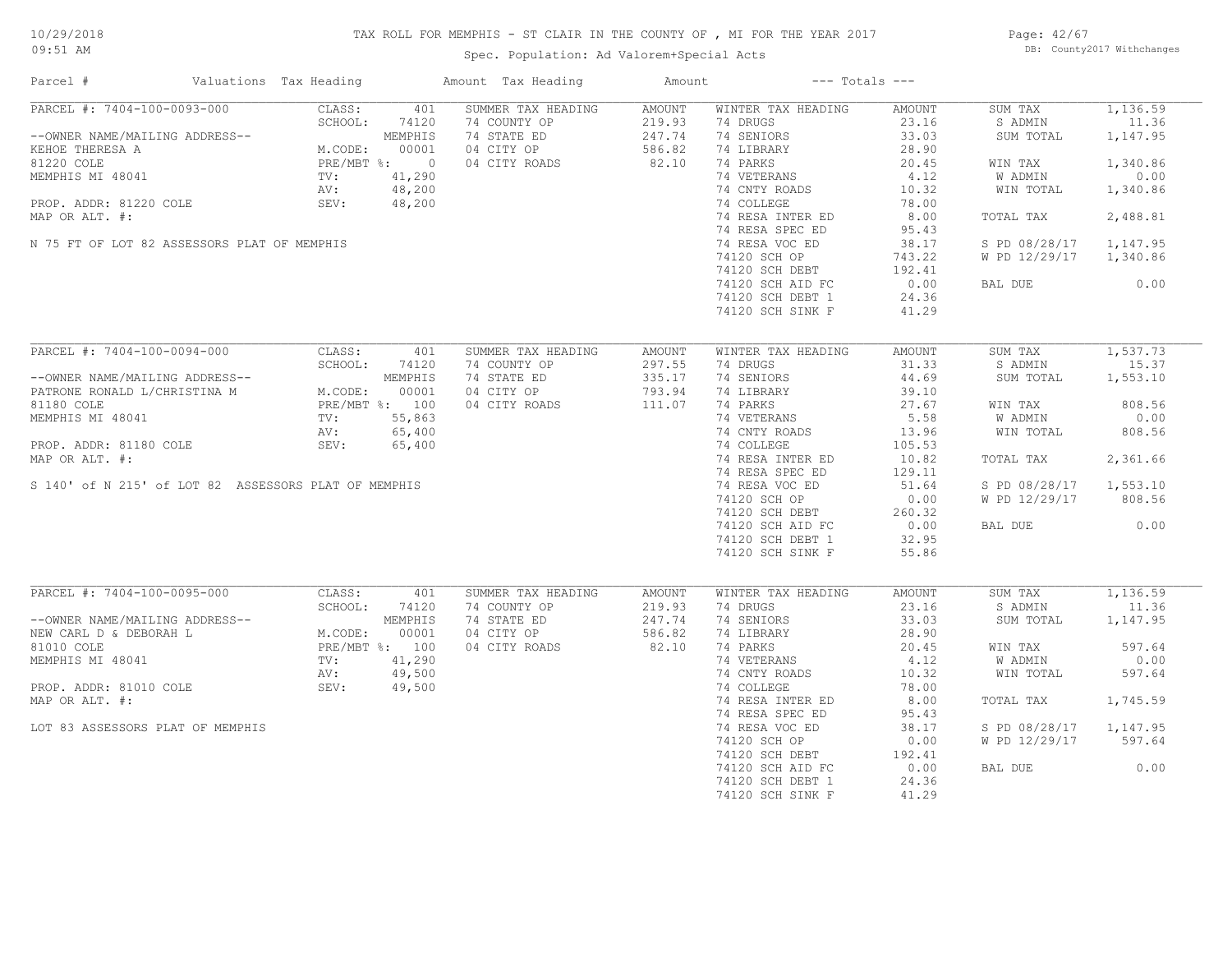# TAX ROLL FOR MEMPHIS - ST CLAIR IN THE COUNTY OF , MI FOR THE YEAR 2017

Spec. Population: Ad Valorem+Special Acts

Page: 42/67 DB: County2017 Withchanges

| Parcel #                                                                                                                                                                                                      | Valuations Tax Heading                                                                            |                        | Amount Tax Heading                                                               | Amount                                        |                                                                                                                                                                               | $---$ Totals $---$                                                                             |                                                                                                  |                                                                                       |
|---------------------------------------------------------------------------------------------------------------------------------------------------------------------------------------------------------------|---------------------------------------------------------------------------------------------------|------------------------|----------------------------------------------------------------------------------|-----------------------------------------------|-------------------------------------------------------------------------------------------------------------------------------------------------------------------------------|------------------------------------------------------------------------------------------------|--------------------------------------------------------------------------------------------------|---------------------------------------------------------------------------------------|
| PARCEL #: 7404-100-0093-000<br>--OWNER NAME/MAILING ADDRESS--<br>KEHOE THERESA A<br>81220 COLE<br>MEMPHIS MI 48041<br>PROP. ADDR: 81220 COLE<br>MAP OR ALT. #:<br>N 75 FT OF LOT 82 ASSESSORS PLAT OF MEMPHIS | CLASS:<br>SCHOOL:<br>MEMPHIS<br>M.CODE: 00001<br>PRE/MBT %: 0<br>TV: 41,290<br>AV: 48,200<br>SEV: | 401<br>74120<br>48,200 | SUMMER TAX HEADING<br>74 COUNTY OP<br>74 STATE ED<br>04 CITY OP<br>04 CITY ROADS | AMOUNT<br>219.93<br>247.74<br>586.82<br>82.10 | WINTER TAX HEADING<br>74 DRUGS<br>74 SENIORS<br>74 LIBRARY<br>74 PARKS<br>74 VETERANS<br>74 CNTY ROADS<br>74 COLLEGE<br>74 RESA INTER ED<br>74 RESA SPEC ED<br>74 RESA VOC ED | AMOUNT<br>23.16<br>33.03<br>28.90<br>20.45<br>4.12<br>10.32<br>78.00<br>8.00<br>95.43<br>38.17 | SUM TAX<br>S ADMIN<br>SUM TOTAL<br>WIN TAX<br>W ADMIN<br>WIN TOTAL<br>TOTAL TAX<br>S PD 08/28/17 | 1,136.59<br>11.36<br>1,147.95<br>1,340.86<br>0.00<br>1,340.86<br>2,488.81<br>1,147.95 |
|                                                                                                                                                                                                               |                                                                                                   |                        |                                                                                  |                                               | 74120 SCH OP<br>74120 SCH DEBT<br>74120 SCH AID FC<br>74120 SCH DEBT 1<br>74120 SCH SINK F                                                                                    | 743.22<br>192.41<br>0.00<br>24.36<br>41.29                                                     | W PD 12/29/17<br>BAL DUE                                                                         | 1,340.86<br>0.00                                                                      |
| PARCEL #: 7404-100-0094-000                                                                                                                                                                                   | CLASS:<br>SCHOOL:                                                                                 | 401<br>74120           | SUMMER TAX HEADING<br>74 COUNTY OP                                               | AMOUNT<br>297.55                              | WINTER TAX HEADING<br>74 DRUGS                                                                                                                                                | AMOUNT<br>31.33                                                                                | SUM TAX<br>S ADMIN                                                                               | 1,537.73<br>15.37                                                                     |
| --OWNER NAME/MAILING ADDRESS--<br>PATRONE RONALD L/CHRISTINA M<br>81180 COLE                                                                                                                                  |                                                                                                   |                        | 74 STATE ED<br>04 CITY OP<br>04 CITY ROADS                                       | 335.17<br>793.94<br>111.07                    | 74 SENIORS<br>74 LIBRARY<br>74 PARKS                                                                                                                                          | 44.69<br>39.10<br>27.67                                                                        | SUM TOTAL<br>WIN TAX                                                                             | 1,553.10<br>808.56                                                                    |
| MEMPHIS MI 48041                                                                                                                                                                                              | NG ADDRESS--<br>HRISTINA M M.CODE: 00001<br>PRE/MBT %: 100<br>TV: 55,863<br>AV: 65,400            |                        |                                                                                  |                                               | 74 VETERANS<br>74 CNTY ROADS                                                                                                                                                  | 5.58<br>13.96                                                                                  | W ADMIN<br>WIN TOTAL                                                                             | 0.00<br>808.56                                                                        |
| PROP. ADDR: 81180 COLE<br>MAP OR ALT. #:                                                                                                                                                                      | SEV:                                                                                              | 65,400                 |                                                                                  |                                               | 74 COLLEGE<br>74 RESA INTER ED<br>74 RESA SPEC ED                                                                                                                             | 105.53<br>10.82<br>129.11                                                                      | TOTAL TAX                                                                                        | 2,361.66                                                                              |
| S 140' of N 215' of LOT 82 ASSESSORS PLAT OF MEMPHIS                                                                                                                                                          |                                                                                                   |                        |                                                                                  |                                               | 74 RESA VOC ED<br>74120 SCH OP<br>$74120$ SCH DEBT                                                                                                                            | 51.64<br>0.00<br>260.32                                                                        | S PD 08/28/17<br>W PD 12/29/17                                                                   | 1,553.10<br>808.56                                                                    |
|                                                                                                                                                                                                               |                                                                                                   |                        |                                                                                  |                                               | 74120 SCH AID FC<br>74120 SCH DEBT 1<br>74120 SCH SINK F                                                                                                                      | 0.00<br>32.95<br>55.86                                                                         | BAL DUE                                                                                          | 0.00                                                                                  |
| PARCEL #: 7404-100-0095-000                                                                                                                                                                                   | CLASS:<br>SCHOOL:                                                                                 | 401<br>74120           | SUMMER TAX HEADING<br>74 COUNTY OP                                               | AMOUNT<br>219.93                              | WINTER TAX HEADING<br>74 DRUGS                                                                                                                                                | AMOUNT<br>23.16                                                                                | SUM TAX<br>S ADMIN                                                                               | 1,136.59<br>11.36                                                                     |
| --OWNER NAME/MAILING ADDRESS--<br>NEW CARL D & DEBORAH L                                                                                                                                                      | M.CODE:                                                                                           | MEMPHIS<br>00001       | 74 STATE ED<br>04 CITY OP                                                        | 247.74<br>586.82                              | 74 SENIORS<br>74 LIBRARY                                                                                                                                                      | 33.03<br>28.90                                                                                 | SUM TOTAL                                                                                        | 1,147.95                                                                              |
| 81010 COLE<br>MEMPHIS MI 48041                                                                                                                                                                                | PRE/MBT %: 100<br>TV:                                                                             | 41,290                 | 04 CITY ROADS                                                                    | 82.10                                         | 74 PARKS<br>74 VETERANS                                                                                                                                                       | 20.45<br>4.12                                                                                  | WIN TAX<br>W ADMIN                                                                               | 597.64<br>0.00                                                                        |
| PROP. ADDR: 81010 COLE                                                                                                                                                                                        | AV:<br>SEV:                                                                                       | 49,500<br>49,500       |                                                                                  |                                               | 74 CNTY ROADS<br>74 COLLEGE                                                                                                                                                   | 10.32<br>78.00                                                                                 | WIN TOTAL                                                                                        | 597.64                                                                                |
| MAP OR ALT. #:                                                                                                                                                                                                |                                                                                                   |                        |                                                                                  |                                               | 74 RESA INTER ED<br>74 RESA SPEC ED                                                                                                                                           | 8.00<br>95.43                                                                                  | TOTAL TAX                                                                                        | 1,745.59                                                                              |
| LOT 83 ASSESSORS PLAT OF MEMPHIS                                                                                                                                                                              |                                                                                                   |                        |                                                                                  |                                               | 74 RESA VOC ED<br>74120 SCH OP<br>74120 SCH DEBT                                                                                                                              | 38.17<br>0.00<br>192.41                                                                        | S PD 08/28/17<br>W PD 12/29/17                                                                   | 1,147.95<br>597.64                                                                    |
|                                                                                                                                                                                                               |                                                                                                   |                        |                                                                                  |                                               | 74120 SCH AID FC<br>74120 SCH DEBT 1<br>74120 SCH SINK F                                                                                                                      | 0.00<br>24.36<br>41.29                                                                         | BAL DUE                                                                                          | 0.00                                                                                  |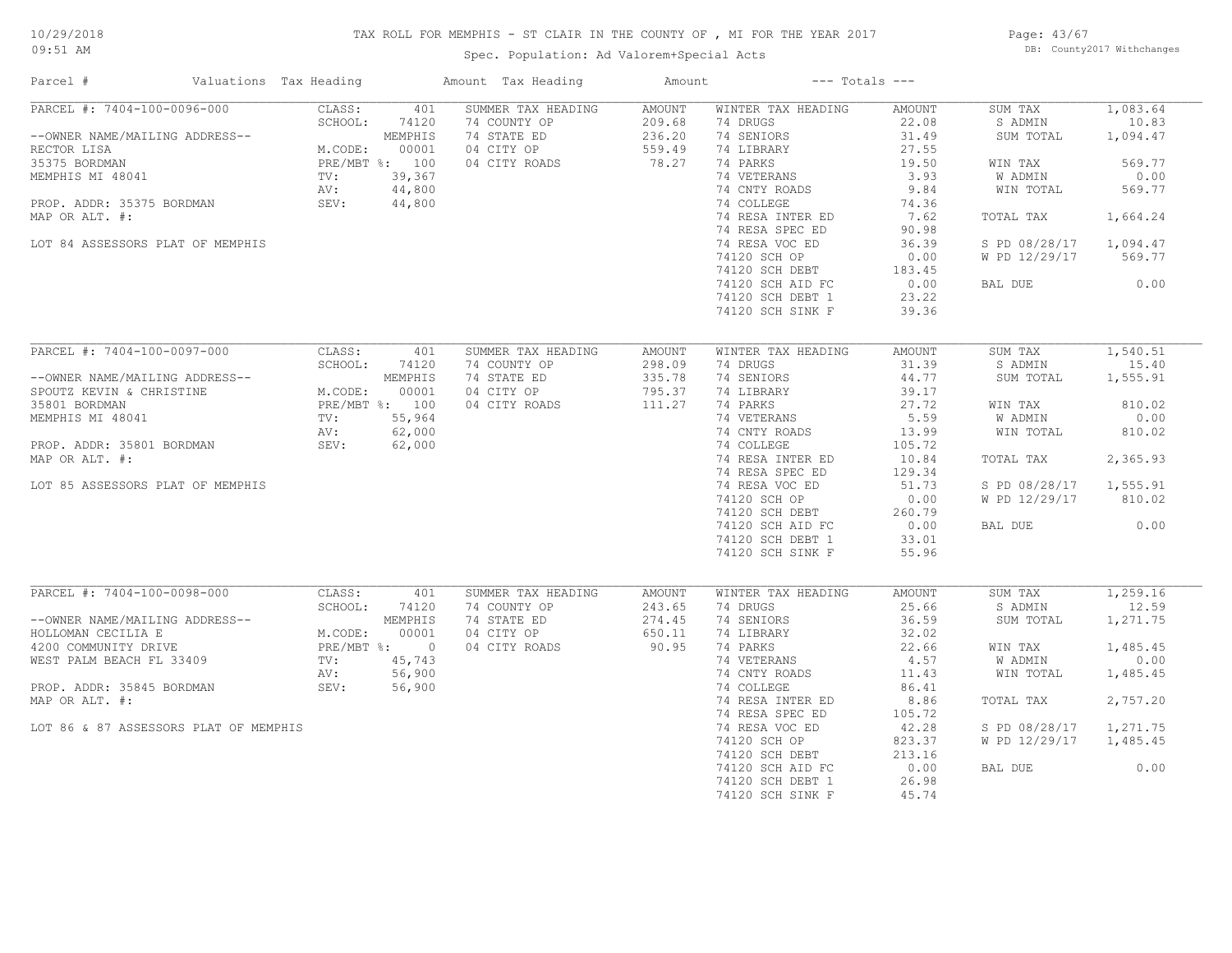# TAX ROLL FOR MEMPHIS - ST CLAIR IN THE COUNTY OF , MI FOR THE YEAR 2017

Spec. Population: Ad Valorem+Special Acts

Page: 43/67 DB: County2017 Withchanges

| Parcel #                       |                                       | Valuations Tax Heading                                                                                                                                                                                                                 |                | Amount Tax Heading | Amount |                    | $---$ Totals $---$ |               |          |
|--------------------------------|---------------------------------------|----------------------------------------------------------------------------------------------------------------------------------------------------------------------------------------------------------------------------------------|----------------|--------------------|--------|--------------------|--------------------|---------------|----------|
| PARCEL #: 7404-100-0096-000    |                                       | CLASS:                                                                                                                                                                                                                                 | 401            | SUMMER TAX HEADING | AMOUNT | WINTER TAX HEADING | AMOUNT             | SUM TAX       | 1,083.64 |
|                                |                                       | SCHOOL:                                                                                                                                                                                                                                | 74120          | 74 COUNTY OP       | 209.68 | 74 DRUGS           | 22.08              | S ADMIN       | 10.83    |
| --OWNER NAME/MAILING ADDRESS-- |                                       |                                                                                                                                                                                                                                        | MEMPHIS        | 74 STATE ED        | 236.20 | 74 SENIORS         | 31.49              | SUM TOTAL     | 1,094.47 |
| RECTOR LISA                    |                                       | M.CODE:                                                                                                                                                                                                                                | 00001          | 04 CITY OP         | 559.49 | 74 LIBRARY         | 27.55              |               |          |
| 35375 BORDMAN                  |                                       |                                                                                                                                                                                                                                        | PRE/MBT %: 100 | 04 CITY ROADS      | 78.27  | 74 PARKS           | 19.50              | WIN TAX       | 569.77   |
| MEMPHIS MI 48041               |                                       | TV:                                                                                                                                                                                                                                    | 39,367         |                    |        | 74 VETERANS        | 3.93               | W ADMIN       | 0.00     |
|                                |                                       | AV:                                                                                                                                                                                                                                    | 44,800         |                    |        | 74 CNTY ROADS      | 9.84               | WIN TOTAL     | 569.77   |
| PROP. ADDR: 35375 BORDMAN      |                                       | SEV:                                                                                                                                                                                                                                   | 44,800         |                    |        | 74 COLLEGE         | 74.36              |               |          |
| MAP OR ALT. #:                 |                                       |                                                                                                                                                                                                                                        |                |                    |        | 74 RESA INTER ED   | 7.62               | TOTAL TAX     | 1,664.24 |
|                                |                                       |                                                                                                                                                                                                                                        |                |                    |        | 74 RESA SPEC ED    | 90.98              |               |          |
|                                | LOT 84 ASSESSORS PLAT OF MEMPHIS      |                                                                                                                                                                                                                                        |                |                    |        | 74 RESA VOC ED     | 36.39              | S PD 08/28/17 | 1,094.47 |
|                                |                                       |                                                                                                                                                                                                                                        |                |                    |        | 74120 SCH OP       | 0.00               | W PD 12/29/17 | 569.77   |
|                                |                                       |                                                                                                                                                                                                                                        |                |                    |        |                    |                    |               |          |
|                                |                                       |                                                                                                                                                                                                                                        |                |                    |        | 74120 SCH DEBT     | 183.45             |               |          |
|                                |                                       |                                                                                                                                                                                                                                        |                |                    |        | 74120 SCH AID FC   | 0.00               | BAL DUE       | 0.00     |
|                                |                                       |                                                                                                                                                                                                                                        |                |                    |        | 74120 SCH DEBT 1   | 23.22              |               |          |
|                                |                                       |                                                                                                                                                                                                                                        |                |                    |        | 74120 SCH SINK F   | 39.36              |               |          |
|                                |                                       |                                                                                                                                                                                                                                        |                |                    |        |                    |                    |               |          |
| PARCEL #: 7404-100-0097-000    |                                       | CLASS:                                                                                                                                                                                                                                 | 401            | SUMMER TAX HEADING | AMOUNT | WINTER TAX HEADING | AMOUNT             | SUM TAX       | 1,540.51 |
|                                |                                       | SCHOOL:                                                                                                                                                                                                                                | 74120          | 74 COUNTY OP       | 298.09 | 74 DRUGS           | 31.39              | S ADMIN       | 15.40    |
| --OWNER NAME/MAILING ADDRESS-- |                                       | $\begin{array}{cccc} \text{{\it NS--}} & & & & \text{{\it M.CODE:}} & & & \text{{\it UUUU}} \\ \text{{\it PRE/MBT 8: }} & 100 \\ \text{{\it TV: }} & 55,964 \\ \text{{\it AV: }} & 62,000 \\ \text{{\it TU: }} & 62,00 \\ \end{array}$ |                | 74 STATE ED        | 335.78 | 74 SENIORS         | 44.77              | SUM TOTAL     | 1,555.91 |
| SPOUTZ KEVIN & CHRISTINE       |                                       |                                                                                                                                                                                                                                        |                | 04 CITY OP         | 795.37 | 74 LIBRARY         | 39.17              |               |          |
| 35801 BORDMAN                  |                                       |                                                                                                                                                                                                                                        |                | 04 CITY ROADS      | 111.27 | 74 PARKS           | 27.72              | WIN TAX       | 810.02   |
| MEMPHIS MI 48041               |                                       |                                                                                                                                                                                                                                        |                |                    |        | 74 VETERANS        | 5.59               | W ADMIN       | 0.00     |
|                                |                                       |                                                                                                                                                                                                                                        |                |                    |        | 74 CNTY ROADS      | 13.99              | WIN TOTAL     | 810.02   |
| PROP. ADDR: 35801 BORDMAN      |                                       |                                                                                                                                                                                                                                        |                |                    |        | 74 COLLEGE         | 105.72             |               |          |
| MAP OR ALT. #:                 |                                       |                                                                                                                                                                                                                                        |                |                    |        | 74 RESA INTER ED   | 10.84              | TOTAL TAX     | 2,365.93 |
|                                |                                       |                                                                                                                                                                                                                                        |                |                    |        | 74 RESA SPEC ED    | 129.34             |               |          |
|                                | LOT 85 ASSESSORS PLAT OF MEMPHIS      |                                                                                                                                                                                                                                        |                |                    |        | 74 RESA VOC ED     | 51.73              | S PD 08/28/17 | 1,555.91 |
|                                |                                       |                                                                                                                                                                                                                                        |                |                    |        | 74120 SCH OP       | 0.00               | W PD 12/29/17 | 810.02   |
|                                |                                       |                                                                                                                                                                                                                                        |                |                    |        | 74120 SCH DEBT     | 260.79             |               |          |
|                                |                                       |                                                                                                                                                                                                                                        |                |                    |        | 74120 SCH AID FC   | 0.00               | BAL DUE       | 0.00     |
|                                |                                       |                                                                                                                                                                                                                                        |                |                    |        | 74120 SCH DEBT 1   | 33.01              |               |          |
|                                |                                       |                                                                                                                                                                                                                                        |                |                    |        | 74120 SCH SINK F   | 55.96              |               |          |
|                                |                                       |                                                                                                                                                                                                                                        |                |                    |        |                    |                    |               |          |
| PARCEL #: 7404-100-0098-000    |                                       | CLASS:                                                                                                                                                                                                                                 | 401            | SUMMER TAX HEADING | AMOUNT | WINTER TAX HEADING | AMOUNT             | SUM TAX       | 1,259.16 |
|                                |                                       | SCHOOL:                                                                                                                                                                                                                                | 74120          | 74 COUNTY OP       | 243.65 | 74 DRUGS           | 25.66              | S ADMIN       | 12.59    |
| --OWNER NAME/MAILING ADDRESS-- |                                       |                                                                                                                                                                                                                                        | MEMPHIS        | 74 STATE ED        | 274.45 | 74 SENIORS         | 36.59              | SUM TOTAL     | 1,271.75 |
| HOLLOMAN CECILIA E             |                                       | M.CODE:                                                                                                                                                                                                                                | 00001          | 04 CITY OP         | 650.11 | 74 LIBRARY         | 32.02              |               |          |
|                                |                                       |                                                                                                                                                                                                                                        | PRE/MBT %: 0   |                    | 90.95  |                    |                    |               | 1,485.45 |
| 4200 COMMUNITY DRIVE           |                                       |                                                                                                                                                                                                                                        |                | 04 CITY ROADS      |        | 74 PARKS           | 22.66              | WIN TAX       |          |
| WEST PALM BEACH FL 33409       |                                       | $\texttt{TV}$ :                                                                                                                                                                                                                        | 45,743         |                    |        | 74 VETERANS        | 4.57               | W ADMIN       | 0.00     |
|                                |                                       | AV:                                                                                                                                                                                                                                    | 56,900         |                    |        | 74 CNTY ROADS      | 11.43              | WIN TOTAL     | 1,485.45 |
| PROP. ADDR: 35845 BORDMAN      |                                       | SEV:                                                                                                                                                                                                                                   | 56,900         |                    |        | 74 COLLEGE         | 86.41              |               |          |
| MAP OR ALT. #:                 |                                       |                                                                                                                                                                                                                                        |                |                    |        | 74 RESA INTER ED   | 8.86               | TOTAL TAX     | 2,757.20 |
|                                |                                       |                                                                                                                                                                                                                                        |                |                    |        | 74 RESA SPEC ED    | 105.72             |               |          |
|                                | LOT 86 & 87 ASSESSORS PLAT OF MEMPHIS |                                                                                                                                                                                                                                        |                |                    |        | 74 RESA VOC ED     | 42.28              | S PD 08/28/17 | 1,271.75 |
|                                |                                       |                                                                                                                                                                                                                                        |                |                    |        | 74120 SCH OP       | 823.37             | W PD 12/29/17 | 1,485.45 |
|                                |                                       |                                                                                                                                                                                                                                        |                |                    |        | 74120 SCH DEBT     | 213.16             |               |          |
|                                |                                       |                                                                                                                                                                                                                                        |                |                    |        | 74120 SCH AID FC   | 0.00               | BAL DUE       | 0.00     |
|                                |                                       |                                                                                                                                                                                                                                        |                |                    |        | 74120 SCH DEBT 1   | 26.98              |               |          |
|                                |                                       |                                                                                                                                                                                                                                        |                |                    |        | 74120 SCH SINK F   | 45.74              |               |          |
|                                |                                       |                                                                                                                                                                                                                                        |                |                    |        |                    |                    |               |          |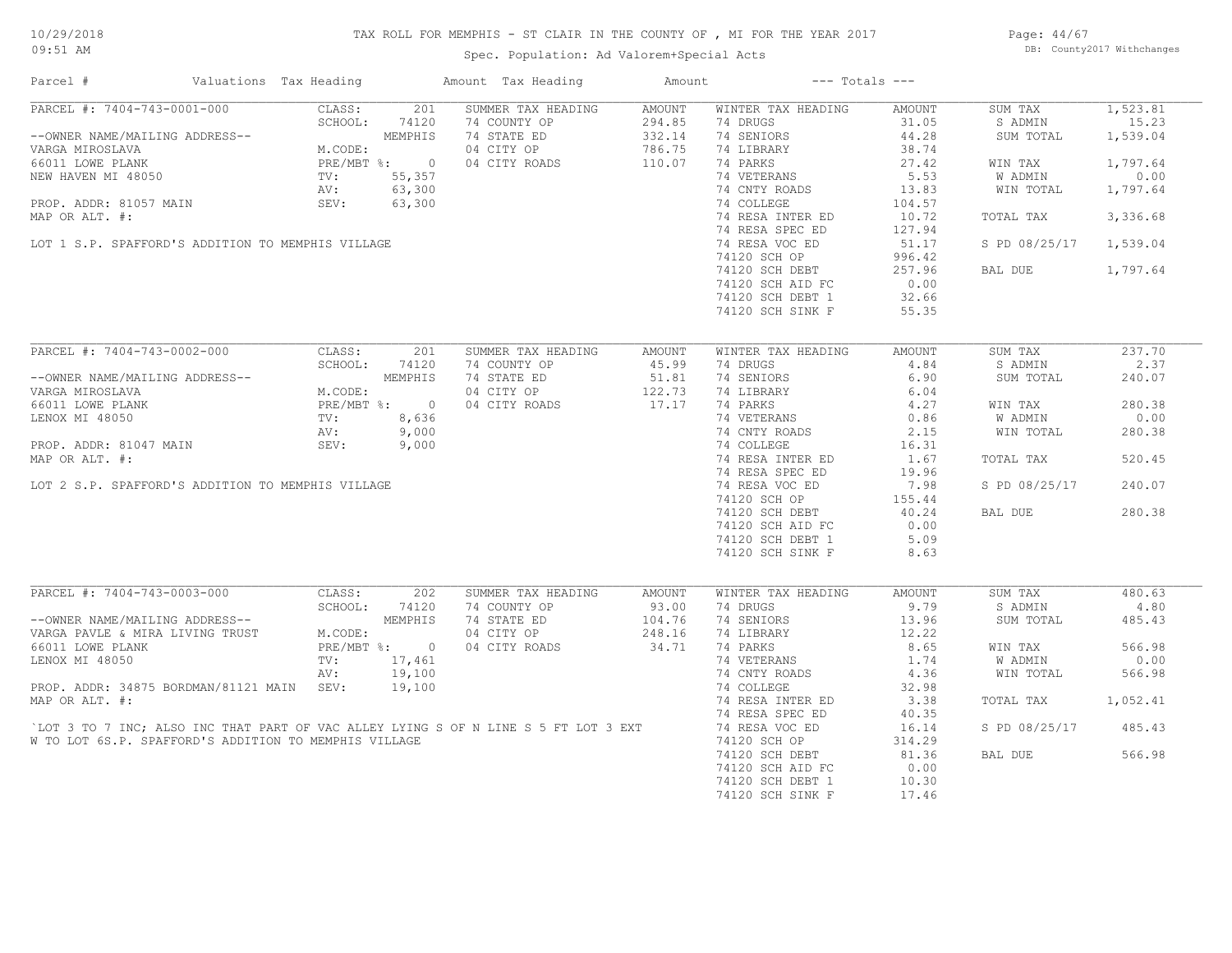# TAX ROLL FOR MEMPHIS - ST CLAIR IN THE COUNTY OF , MI FOR THE YEAR 2017

Spec. Population: Ad Valorem+Special Acts

Page: 44/67 DB: County2017 Withchanges

| Parcel #                                                                           | Valuations Tax Heading |                   |                  | Amount Tax Heading                 | Amount           |                                | $---$ Totals $---$ |                    |                   |
|------------------------------------------------------------------------------------|------------------------|-------------------|------------------|------------------------------------|------------------|--------------------------------|--------------------|--------------------|-------------------|
| PARCEL #: 7404-743-0001-000                                                        |                        | CLASS:<br>SCHOOL: | 201<br>74120     | SUMMER TAX HEADING<br>74 COUNTY OP | AMOUNT<br>294.85 | WINTER TAX HEADING<br>74 DRUGS | AMOUNT<br>31.05    | SUM TAX<br>S ADMIN | 1,523.81<br>15.23 |
| --OWNER NAME/MAILING ADDRESS--<br>VARGA MIROSLAVA                                  |                        | M.CODE:           | MEMPHIS          | 74 STATE ED<br>04 CITY OP          | 332.14<br>786.75 | 74 SENIORS<br>74 LIBRARY       | 44.28<br>38.74     | SUM TOTAL          | 1,539.04          |
| 66011 LOWE PLANK                                                                   |                        |                   | PRE/MBT %: 0     | 04 CITY ROADS                      | 110.07           | 74 PARKS                       | 27.42              | WIN TAX            | 1,797.64          |
| NEW HAVEN MI 48050                                                                 |                        | TV:               | 55,357           |                                    |                  | 74 VETERANS                    | 5.53               | W ADMIN            | 0.00              |
|                                                                                    |                        | AV:               | 63,300           |                                    |                  | 74 CNTY ROADS                  | 13.83              | WIN TOTAL          | 1,797.64          |
| PROP. ADDR: 81057 MAIN                                                             |                        | SEV:              | 63,300           |                                    |                  | 74 COLLEGE                     | 104.57             |                    |                   |
| MAP OR ALT. #:                                                                     |                        |                   |                  |                                    |                  | 74 RESA INTER ED               | 10.72              | TOTAL TAX          | 3,336.68          |
|                                                                                    |                        |                   |                  |                                    |                  | 74 RESA SPEC ED                | 127.94             |                    |                   |
| LOT 1 S.P. SPAFFORD'S ADDITION TO MEMPHIS VILLAGE                                  |                        |                   |                  |                                    |                  | 74 RESA VOC ED                 | 51.17              | S PD 08/25/17      | 1,539.04          |
|                                                                                    |                        |                   |                  |                                    |                  | 74120 SCH OP                   | 996.42             |                    |                   |
|                                                                                    |                        |                   |                  |                                    |                  | 74120 SCH DEBT                 | 257.96             | BAL DUE            | 1,797.64          |
|                                                                                    |                        |                   |                  |                                    |                  | 74120 SCH AID FC               | 0.00               |                    |                   |
|                                                                                    |                        |                   |                  |                                    |                  | 74120 SCH DEBT 1               | 32.66              |                    |                   |
|                                                                                    |                        |                   |                  |                                    |                  | 74120 SCH SINK F               | 55.35              |                    |                   |
| PARCEL #: 7404-743-0002-000                                                        |                        | CLASS:            | 201              | SUMMER TAX HEADING                 | AMOUNT           | WINTER TAX HEADING             | AMOUNT             | SUM TAX            | 237.70            |
|                                                                                    |                        | SCHOOL:           | 74120            | 74 COUNTY OP                       | 45.99            | 74 DRUGS                       | 4.84               | S ADMIN            | 2.37              |
| --OWNER NAME/MAILING ADDRESS--                                                     |                        |                   | MEMPHIS          | 74 STATE ED                        | 51.81            | 74 SENIORS                     | 6.90               | SUM TOTAL          | 240.07            |
| VARGA MIROSLAVA                                                                    |                        | M.CODE:           |                  | 04 CITY OP                         | 122.73           | 74 LIBRARY                     | 6.04               |                    |                   |
| 66011 LOWE PLANK                                                                   |                        |                   | PRE/MBT %: 0     | 04 CITY ROADS                      | 17.17            | 74 PARKS                       | 4.27               | WIN TAX            | 280.38            |
| LENOX MI 48050                                                                     |                        | $\texttt{TV}$ :   | 8,636            |                                    |                  | 74 VETERANS                    | 0.86               | W ADMIN            | 0.00              |
|                                                                                    |                        | AV:               | 9,000            |                                    |                  | 74 CNTY ROADS                  | 2.15               | WIN TOTAL          | 280.38            |
| PROP. ADDR: 81047 MAIN                                                             |                        | SEV:              | 9,000            |                                    |                  | 74 COLLEGE                     | 16.31              |                    |                   |
| MAP OR ALT. #:                                                                     |                        |                   |                  |                                    |                  | 74 RESA INTER ED               | 1.67               | TOTAL TAX          | 520.45            |
|                                                                                    |                        |                   |                  |                                    |                  | 74 RESA SPEC ED                | 19.96              |                    |                   |
| LOT 2 S.P. SPAFFORD'S ADDITION TO MEMPHIS VILLAGE                                  |                        |                   |                  |                                    |                  | 74 RESA VOC ED                 | 7.98               | S PD 08/25/17      | 240.07            |
|                                                                                    |                        |                   |                  |                                    |                  | 74120 SCH OP                   | 155.44             |                    |                   |
|                                                                                    |                        |                   |                  |                                    |                  | 74120 SCH DEBT                 | 40.24              | BAL DUE            | 280.38            |
|                                                                                    |                        |                   |                  |                                    |                  | 74120 SCH AID FC               | 0.00               |                    |                   |
|                                                                                    |                        |                   |                  |                                    |                  | 74120 SCH DEBT 1               | 5.09               |                    |                   |
|                                                                                    |                        |                   |                  |                                    |                  | 74120 SCH SINK F               | 8.63               |                    |                   |
|                                                                                    |                        |                   |                  |                                    |                  |                                |                    |                    |                   |
| PARCEL #: 7404-743-0003-000                                                        |                        | CLASS:            | 202              | SUMMER TAX HEADING                 | AMOUNT           | WINTER TAX HEADING             | AMOUNT             | SUM TAX            | 480.63            |
|                                                                                    |                        | SCHOOL:           | 74120            | 74 COUNTY OP                       | 93.00            | 74 DRUGS                       | 9.79               | S ADMIN            | 4.80              |
| --OWNER NAME/MAILING ADDRESS--                                                     |                        |                   | MEMPHIS          | 74 STATE ED                        | 104.76           | 74 SENIORS                     | 13.96              | SUM TOTAL          | 485.43            |
| VARGA PAVLE & MIRA LIVING TRUST                                                    |                        | M.CODE:           |                  | 04 CITY OP                         | 248.16           | 74 LIBRARY                     | 12.22              |                    |                   |
| 66011 LOWE PLANK                                                                   |                        |                   | PRE/MBT %: 0     | 04 CITY ROADS                      | 34.71            | 74 PARKS                       | 8.65<br>1.74       | WIN TAX            | 566.98<br>0.00    |
| LENOX MI 48050                                                                     |                        | TV:               | 17,461           |                                    |                  | 74 VETERANS                    |                    | W ADMIN            |                   |
| PROP. ADDR: 34875 BORDMAN/81121 MAIN SEV:                                          |                        | AV:               | 19,100<br>19,100 |                                    |                  | 74 CNTY ROADS                  | 4.36<br>32.98      | WIN TOTAL          | 566.98            |
| MAP OR ALT. #:                                                                     |                        |                   |                  |                                    |                  | 74 COLLEGE                     |                    |                    |                   |
|                                                                                    |                        |                   |                  |                                    |                  | 74 RESA INTER ED               | 3.38               | TOTAL TAX          | 1,052.41          |
| LOT 3 TO 7 INC; ALSO INC THAT PART OF VAC ALLEY LYING S OF N LINE S 5 FT LOT 3 EXT |                        |                   |                  |                                    |                  | 74 RESA SPEC ED                | 40.35<br>16.14     | S PD 08/25/17      | 485.43            |
|                                                                                    |                        |                   |                  |                                    |                  | 74 RESA VOC ED                 |                    |                    |                   |
| W TO LOT 6S.P. SPAFFORD'S ADDITION TO MEMPHIS VILLAGE                              |                        |                   |                  |                                    |                  | 74120 SCH OP<br>74120 SCH DEBT | 314.29<br>81.36    | BAL DUE            | 566.98            |
|                                                                                    |                        |                   |                  |                                    |                  | 74120 SCH AID FC               | 0.00               |                    |                   |
|                                                                                    |                        |                   |                  |                                    |                  | 74120 SCH DEBT 1               | 10.30              |                    |                   |
|                                                                                    |                        |                   |                  |                                    |                  | 74120 SCH SINK F               | 17.46              |                    |                   |
|                                                                                    |                        |                   |                  |                                    |                  |                                |                    |                    |                   |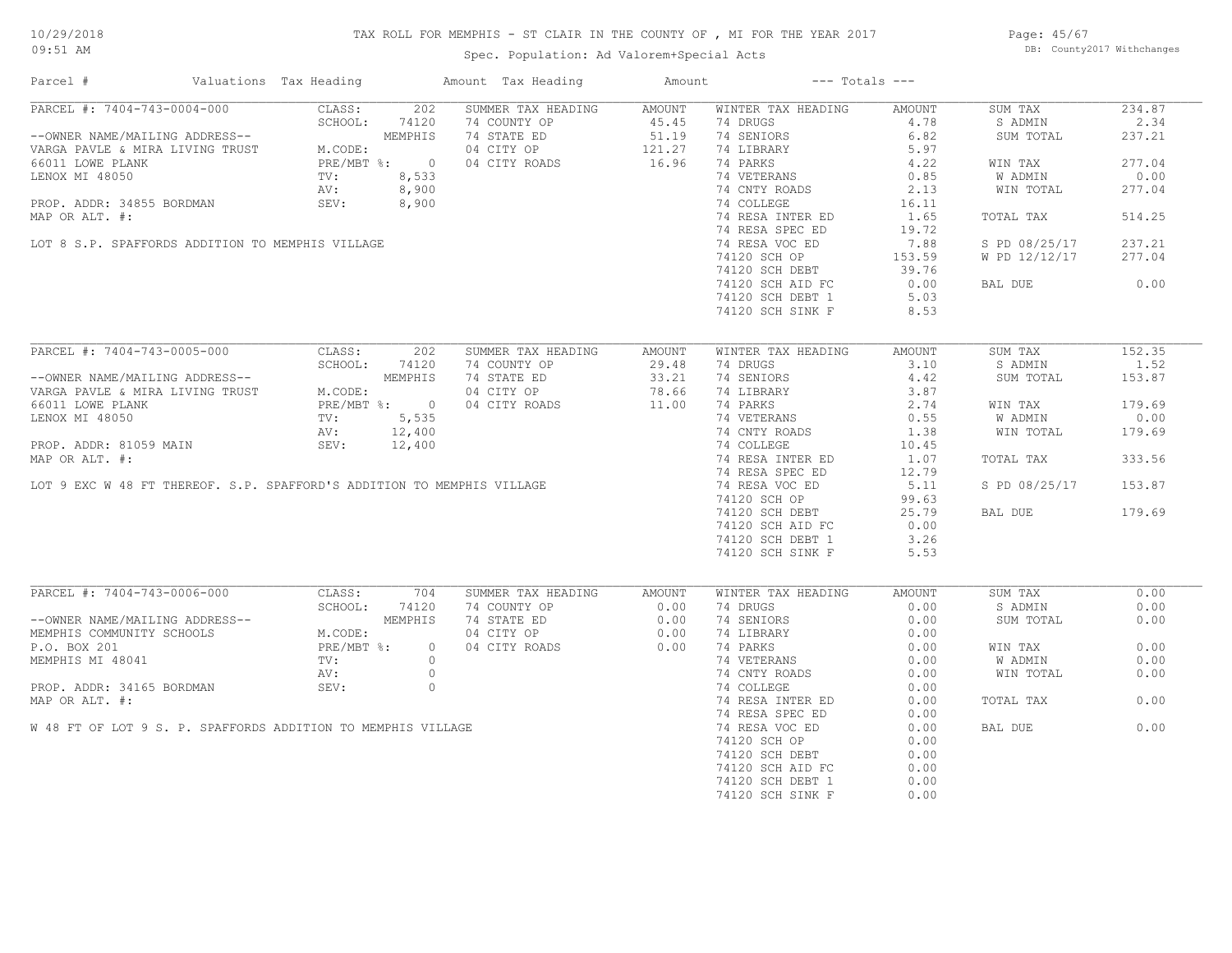# TAX ROLL FOR MEMPHIS - ST CLAIR IN THE COUNTY OF , MI FOR THE YEAR 2017

Spec. Population: Ad Valorem+Special Acts

Page: 45/67 DB: County2017 Withchanges

| Parcel #                                                                                                                                                                                                                                                                                                                                                                                                                                                               | Valuations Tax Heading |                          | Amount Tax Heading | Amount              |                    | $---$ Totals $---$ |               |        |
|------------------------------------------------------------------------------------------------------------------------------------------------------------------------------------------------------------------------------------------------------------------------------------------------------------------------------------------------------------------------------------------------------------------------------------------------------------------------|------------------------|--------------------------|--------------------|---------------------|--------------------|--------------------|---------------|--------|
| PARCEL #: 7404-743-0004-000                                                                                                                                                                                                                                                                                                                                                                                                                                            | CLASS:                 | 202                      | SUMMER TAX HEADING | AMOUNT              | WINTER TAX HEADING | AMOUNT             | SUM TAX       | 234.87 |
|                                                                                                                                                                                                                                                                                                                                                                                                                                                                        |                        | SCHOOL: 74120            | 74 COUNTY OP       | 45.45               | 74 DRUGS           | 4.78               | S ADMIN       | 2.34   |
| --OWNER NAME/MAILING ADDRESS--<br>VARGA PAVLE & MIRA LIVING TRUST                                                                                                                                                                                                                                                                                                                                                                                                      |                        | MEMPHIS                  | 74 STATE ED        | $51.19$<br>$121.27$ | 74 SENIORS         | 6.82               | SUM TOTAL     | 237.21 |
|                                                                                                                                                                                                                                                                                                                                                                                                                                                                        | M.CODE:                |                          | 04 CITY OP         |                     | 74 LIBRARY         | 5.97               |               |        |
|                                                                                                                                                                                                                                                                                                                                                                                                                                                                        |                        | PRE/MBT %: 0             | 04 CITY ROADS      | 16.96               | 74 PARKS           | 4.22               | WIN TAX       | 277.04 |
| LENOX MI 48050                                                                                                                                                                                                                                                                                                                                                                                                                                                         | TV:                    | 8,533                    |                    |                     | 74 VETERANS        | 0.85               | W ADMIN       | 0.00   |
|                                                                                                                                                                                                                                                                                                                                                                                                                                                                        | AV:                    | 8,900                    |                    |                     | 74 CNTY ROADS      | 2.13               | WIN TOTAL     | 277.04 |
| PROP. ADDR: 34855 BORDMAN                                                                                                                                                                                                                                                                                                                                                                                                                                              | SEV:                   |                          | $3,900$<br>$3,900$ |                     | 74 COLLEGE         | 16.11              |               |        |
| MAP OR ALT. #:                                                                                                                                                                                                                                                                                                                                                                                                                                                         |                        |                          |                    |                     | 74 RESA INTER ED   | 1.65               | TOTAL TAX     | 514.25 |
|                                                                                                                                                                                                                                                                                                                                                                                                                                                                        |                        |                          |                    |                     | 74 RESA SPEC ED    | 19.72              |               |        |
| LOT 8 S.P. SPAFFORDS ADDITION TO MEMPHIS VILLAGE                                                                                                                                                                                                                                                                                                                                                                                                                       |                        |                          |                    |                     | 74 RESA VOC ED     | 7.88               | S PD 08/25/17 | 237.21 |
|                                                                                                                                                                                                                                                                                                                                                                                                                                                                        |                        |                          |                    |                     | 74120 SCH OP       | 153.59             | W PD 12/12/17 | 277.04 |
|                                                                                                                                                                                                                                                                                                                                                                                                                                                                        |                        |                          |                    |                     | 74120 SCH DEBT     | 39.76              |               |        |
|                                                                                                                                                                                                                                                                                                                                                                                                                                                                        |                        |                          |                    |                     | 74120 SCH AID FC   | 0.00               | BAL DUE       | 0.00   |
|                                                                                                                                                                                                                                                                                                                                                                                                                                                                        |                        |                          |                    |                     | 74120 SCH DEBT 1   | 5.03               |               |        |
|                                                                                                                                                                                                                                                                                                                                                                                                                                                                        |                        |                          |                    |                     | 74120 SCH SINK F   | 8.53               |               |        |
|                                                                                                                                                                                                                                                                                                                                                                                                                                                                        |                        |                          |                    |                     |                    |                    |               |        |
| $\begin{tabular}{lllllllllll} \multicolumn{2}{c}{\textbf{ACEL & $\#:\;\;7404-743-0005-000}$}}\\ \multicolumn{2}{c}{\textbf{--OWNER NAME/MALING ADDRESS--}} & & & & & & & & \\ \multicolumn{2}{c}{\textbf{--OWNER NAME/MALING ADDRESS--}} & & & & & & & \\ \multicolumn{2}{c}{\textbf{--OWNER NAME}} & & & & & & \\ \multicolumn{2}{c}{\textbf{--W_RGA PAVLE & $\mathbb{M} \text{ IRRA LIVING TRUST} $} & & & & & \\ \multicolumn{2}{c}{\textbf{--W. CODE:}} & & & & &$ |                        |                          |                    |                     |                    |                    |               |        |
|                                                                                                                                                                                                                                                                                                                                                                                                                                                                        |                        |                          | SUMMER TAX HEADING | AMOUNT              | WINTER TAX HEADING | AMOUNT             | SUM TAX       | 152.35 |
|                                                                                                                                                                                                                                                                                                                                                                                                                                                                        |                        |                          | 74 COUNTY OP       | 29.48               | 74 DRUGS           | 3.10               | S ADMIN       | 1.52   |
|                                                                                                                                                                                                                                                                                                                                                                                                                                                                        |                        |                          | 74 STATE ED        | 33.21               | 74 SENIORS         | 4.42               | SUM TOTAL     | 153.87 |
|                                                                                                                                                                                                                                                                                                                                                                                                                                                                        |                        |                          | 04 CITY OP         | 78.66               | 74 LIBRARY         | 3.87               |               |        |
|                                                                                                                                                                                                                                                                                                                                                                                                                                                                        |                        |                          | 04 CITY ROADS      | 11.00               | 74 PARKS           | 2.74               | WIN TAX       | 179.69 |
|                                                                                                                                                                                                                                                                                                                                                                                                                                                                        |                        |                          |                    |                     | 74 VETERANS        | 0.55               | W ADMIN       | 0.00   |
|                                                                                                                                                                                                                                                                                                                                                                                                                                                                        |                        |                          |                    |                     | 74 CNTY ROADS      | 1.38               | WIN TOTAL     | 179.69 |
| LENOX MI 48050 TV: 5,535<br>AV: 12,400<br>PROP. ADDR: 81059 MAIN SEV: 12,400<br>MAP OR ALT. #:<br>LOT 9 EXC W 48 FT THEREOF. S.P. SPAFFORD'S ADDITION TO MEMPHIS VILLAGE                                                                                                                                                                                                                                                                                               |                        |                          |                    |                     | 74 COLLEGE         | 10.45              |               |        |
|                                                                                                                                                                                                                                                                                                                                                                                                                                                                        |                        |                          |                    |                     | 74 RESA INTER ED   | 1.07               | TOTAL TAX     | 333.56 |
|                                                                                                                                                                                                                                                                                                                                                                                                                                                                        |                        |                          |                    |                     | 74 RESA SPEC ED    | 12.79              |               |        |
|                                                                                                                                                                                                                                                                                                                                                                                                                                                                        |                        |                          |                    |                     | 74 RESA VOC ED     | 5.11               | S PD 08/25/17 | 153.87 |
|                                                                                                                                                                                                                                                                                                                                                                                                                                                                        |                        |                          |                    |                     | 74120 SCH OP       | 99.63              |               |        |
|                                                                                                                                                                                                                                                                                                                                                                                                                                                                        |                        |                          |                    |                     | 74120 SCH DEBT     | 25.79              | BAL DUE       | 179.69 |
|                                                                                                                                                                                                                                                                                                                                                                                                                                                                        |                        |                          |                    |                     | 74120 SCH AID FC   | 0.00               |               |        |
|                                                                                                                                                                                                                                                                                                                                                                                                                                                                        |                        |                          |                    |                     | 74120 SCH DEBT 1   | 3.26               |               |        |
|                                                                                                                                                                                                                                                                                                                                                                                                                                                                        |                        |                          |                    |                     | 74120 SCH SINK F   | 5.53               |               |        |
|                                                                                                                                                                                                                                                                                                                                                                                                                                                                        |                        |                          |                    |                     |                    |                    |               |        |
| PARCEL #: 7404-743-0006-000                                                                                                                                                                                                                                                                                                                                                                                                                                            | CLASS:                 | 704                      | SUMMER TAX HEADING | AMOUNT              | WINTER TAX HEADING | AMOUNT             | SUM TAX       | 0.00   |
|                                                                                                                                                                                                                                                                                                                                                                                                                                                                        | SCHOOL:                | 74120                    | 74 COUNTY OP       | 0.00                | 74 DRUGS           | 0.00               | S ADMIN       | 0.00   |
|                                                                                                                                                                                                                                                                                                                                                                                                                                                                        |                        | MEMPHIS                  |                    |                     |                    |                    |               |        |
| --OWNER NAME/MAILING ADDRESS--<br>MEMPHIS COMMUNITY SCHOOLS                                                                                                                                                                                                                                                                                                                                                                                                            |                        |                          | 74 STATE ED        | 0.00                | 74 SENIORS         | 0.00               | SUM TOTAL     | 0.00   |
|                                                                                                                                                                                                                                                                                                                                                                                                                                                                        | M.CODE:                |                          | 04 CITY OP         | 0.00                | 74 LIBRARY         | 0.00               |               |        |
| P.O. BOX 201                                                                                                                                                                                                                                                                                                                                                                                                                                                           |                        | $PRE/MBT$ %:<br>$\Omega$ | 04 CITY ROADS      | 0.00                | 74 PARKS           | 0.00               | WIN TAX       | 0.00   |
| MEMPHIS MI 48041                                                                                                                                                                                                                                                                                                                                                                                                                                                       | TV:                    | $\circ$                  |                    |                     | 74 VETERANS        | 0.00               | W ADMIN       | 0.00   |
|                                                                                                                                                                                                                                                                                                                                                                                                                                                                        | AV:                    | $\circ$                  |                    |                     | 74 CNTY ROADS      | 0.00               | WIN TOTAL     | 0.00   |
| PROP. ADDR: 34165 BORDMAN                                                                                                                                                                                                                                                                                                                                                                                                                                              | SEV:                   | $\circ$                  |                    |                     | 74 COLLEGE         | 0.00               |               |        |
| MAP OR ALT. #:                                                                                                                                                                                                                                                                                                                                                                                                                                                         |                        |                          |                    |                     | 74 RESA INTER ED   | 0.00               | TOTAL TAX     | 0.00   |
|                                                                                                                                                                                                                                                                                                                                                                                                                                                                        |                        |                          |                    |                     | 74 RESA SPEC ED    | 0.00               |               |        |
| W 48 FT OF LOT 9 S. P. SPAFFORDS ADDITION TO MEMPHIS VILLAGE                                                                                                                                                                                                                                                                                                                                                                                                           |                        |                          |                    |                     | 74 RESA VOC ED     | 0.00               | BAL DUE       | 0.00   |
|                                                                                                                                                                                                                                                                                                                                                                                                                                                                        |                        |                          |                    |                     | 74120 SCH OP       | 0.00               |               |        |
|                                                                                                                                                                                                                                                                                                                                                                                                                                                                        |                        |                          |                    |                     | 74120 SCH DEBT     | 0.00               |               |        |
|                                                                                                                                                                                                                                                                                                                                                                                                                                                                        |                        |                          |                    |                     | 74120 SCH AID FC   | 0.00               |               |        |
|                                                                                                                                                                                                                                                                                                                                                                                                                                                                        |                        |                          |                    |                     | 74120 SCH DEBT 1   | 0.00               |               |        |
|                                                                                                                                                                                                                                                                                                                                                                                                                                                                        |                        |                          |                    |                     | 74120 SCH SINK F   | 0.00               |               |        |
|                                                                                                                                                                                                                                                                                                                                                                                                                                                                        |                        |                          |                    |                     |                    |                    |               |        |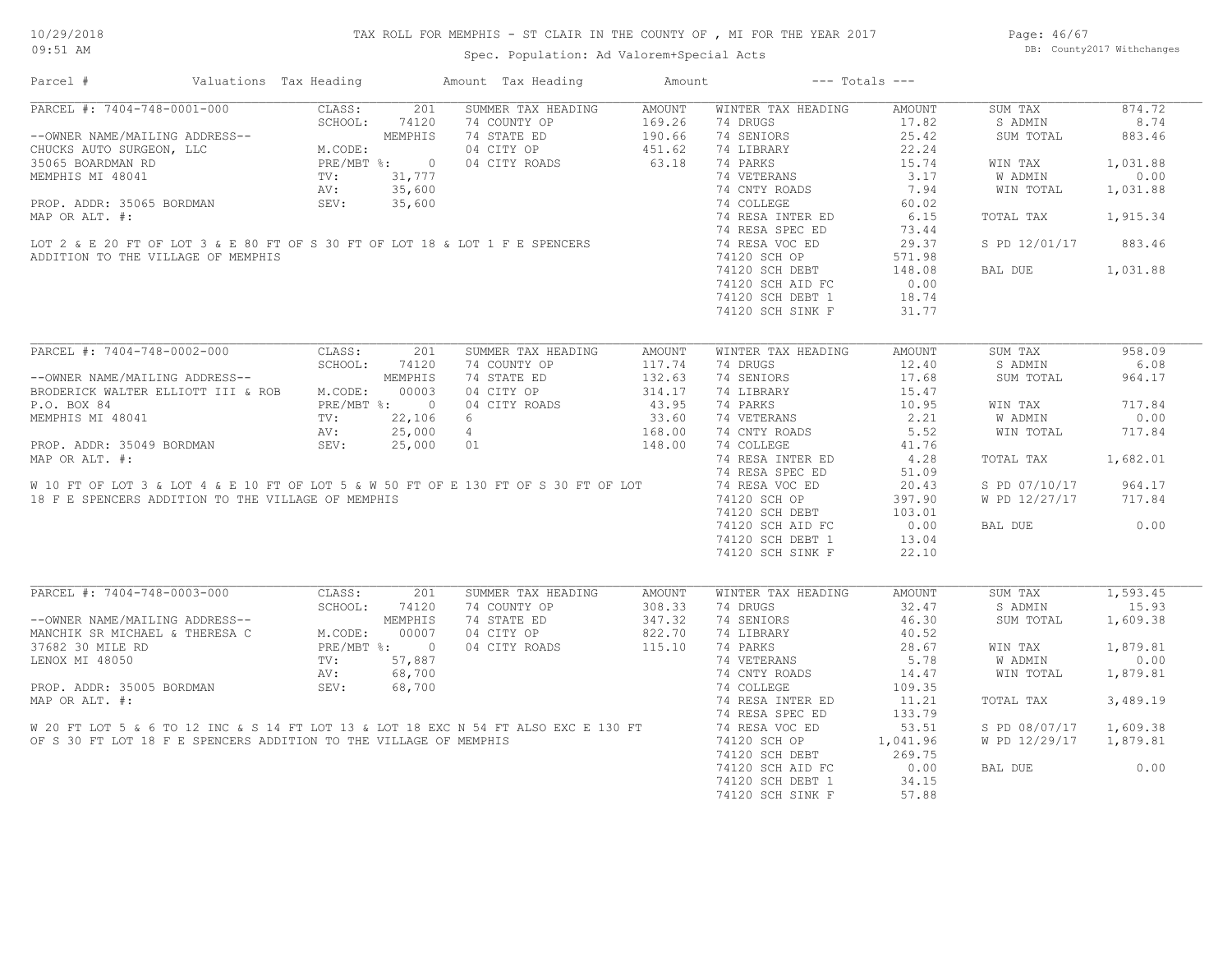Page: 46/67 DB: County2017 Withchanges

| Parcel #                                                                                              | Valuations Tax Heading                                                                                                                                                                                                                                                                                                                                                            |         |              | Amount Tax Heading | Amount        |                    | $---$ Totals $---$ |               |          |
|-------------------------------------------------------------------------------------------------------|-----------------------------------------------------------------------------------------------------------------------------------------------------------------------------------------------------------------------------------------------------------------------------------------------------------------------------------------------------------------------------------|---------|--------------|--------------------|---------------|--------------------|--------------------|---------------|----------|
| PARCEL #: 7404-748-0001-000                                                                           |                                                                                                                                                                                                                                                                                                                                                                                   | CLASS:  | 201          | SUMMER TAX HEADING | AMOUNT        | WINTER TAX HEADING | AMOUNT             | SUM TAX       | 874.72   |
|                                                                                                       |                                                                                                                                                                                                                                                                                                                                                                                   | SCHOOL: | 74120        | 74 COUNTY OP       | 169.26        | 74 DRUGS           | 17.82              | S ADMIN       | 8.74     |
| --OWNER NAME/MAILING ADDRESS--                                                                        | $\begin{minipage}{0.9\linewidth} \begin{tabular}{c} \multicolumn{2}{c}{\textbf{0.00}}\\ \multicolumn{2}{c}{\textbf{0.00}}\\ \multicolumn{2}{c}{\textbf{0.00}}\\ \multicolumn{2}{c}{\textbf{PRE}/M}\\ \multicolumn{2}{c}{\textbf{W. COD}}\\ \multicolumn{2}{c}{\textbf{PRE}/M}\\ \multicolumn{2}{c}{\textbf{TV:}}\\ \multicolumn{2}{c}{\textbf{AV:}} \end{tabular} \end{minipage}$ |         | MEMPHIS      | 74 STATE ED        | 190.66        | 74 SENIORS         | 25.42              | SUM TOTAL     | 883.46   |
| CHUCKS AUTO SURGEON, LLC                                                                              |                                                                                                                                                                                                                                                                                                                                                                                   | M.CODE: |              | 04 CITY OP         | 451.62        | 74 LIBRARY         | 22.24              |               |          |
| 35065 BOARDMAN RD                                                                                     |                                                                                                                                                                                                                                                                                                                                                                                   |         | PRE/MBT %: 0 | 04 CITY ROADS      | 63.18         | 74 PARKS           | 15.74              | WIN TAX       | 1,031.88 |
| MEMPHIS MI 48041                                                                                      |                                                                                                                                                                                                                                                                                                                                                                                   |         | 31,777       |                    |               | 74 VETERANS        | 3.17               | W ADMIN       | 0.00     |
|                                                                                                       |                                                                                                                                                                                                                                                                                                                                                                                   |         | 35,600       |                    |               | 74 CNTY ROADS      | 7.94               | WIN TOTAL     | 1,031.88 |
| PROP. ADDR: 35065 BORDMAN                                                                             |                                                                                                                                                                                                                                                                                                                                                                                   | SEV:    | 35,600       |                    |               | 74 COLLEGE         | 60.02              |               |          |
| MAP OR ALT. #:                                                                                        |                                                                                                                                                                                                                                                                                                                                                                                   |         |              |                    |               | 74 RESA INTER ED   | 6.15               | TOTAL TAX     | 1,915.34 |
|                                                                                                       |                                                                                                                                                                                                                                                                                                                                                                                   |         |              |                    |               | 74 RESA SPEC ED    | 73.44              |               |          |
| LOT 2 & E 20 FT OF LOT 3 & E 80 FT OF S 30 FT OF LOT 18 & LOT 1 F E SPENCERS                          |                                                                                                                                                                                                                                                                                                                                                                                   |         |              |                    |               | 74 RESA VOC ED     | 29.37              | S PD 12/01/17 | 883.46   |
| ADDITION TO THE VILLAGE OF MEMPHIS                                                                    |                                                                                                                                                                                                                                                                                                                                                                                   |         |              |                    |               | 74120 SCH OP       | 571.98             |               |          |
|                                                                                                       |                                                                                                                                                                                                                                                                                                                                                                                   |         |              |                    |               | 74120 SCH DEBT     | 148.08             | BAL DUE       | 1,031.88 |
|                                                                                                       |                                                                                                                                                                                                                                                                                                                                                                                   |         |              |                    |               | 74120 SCH AID FC   | 0.00               |               |          |
|                                                                                                       |                                                                                                                                                                                                                                                                                                                                                                                   |         |              |                    |               | 74120 SCH DEBT 1   | 18.74              |               |          |
|                                                                                                       |                                                                                                                                                                                                                                                                                                                                                                                   |         |              |                    |               | 74120 SCH SINK F   | 31.77              |               |          |
|                                                                                                       |                                                                                                                                                                                                                                                                                                                                                                                   |         |              |                    |               |                    |                    |               |          |
| PARCEL #: 7404-748-0002-000                                                                           |                                                                                                                                                                                                                                                                                                                                                                                   | CLASS:  | 201          | SUMMER TAX HEADING | AMOUNT        | WINTER TAX HEADING | <b>AMOUNT</b>      | SUM TAX       | 958.09   |
|                                                                                                       |                                                                                                                                                                                                                                                                                                                                                                                   | SCHOOL: | 74120        | 74 COUNTY OP       | 117.74        | 74 DRUGS           | 12.40              | S ADMIN       | 6.08     |
| --OWNER NAME/MAILING ADDRESS--                                                                        |                                                                                                                                                                                                                                                                                                                                                                                   |         | MEMPHIS      | 74 STATE ED        | 132.63        | 74 SENIORS         | 17.68              | SUM TOTAL     | 964.17   |
| BRODERICK WALTER ELLIOTT III & ROB                                                                    |                                                                                                                                                                                                                                                                                                                                                                                   | M.CODE: | 00003        | 04 CITY OP         | 314.17        | 74 LIBRARY         | 15.47              |               |          |
| P.O. BOX 84                                                                                           |                                                                                                                                                                                                                                                                                                                                                                                   |         | PRE/MBT %: 0 | 04 CITY ROADS      | 43.95         | 74 PARKS           | 10.95              | WIN TAX       | 717.84   |
|                                                                                                       |                                                                                                                                                                                                                                                                                                                                                                                   |         |              |                    |               |                    | 2.21               |               | 0.00     |
| MEMPHIS MI 48041                                                                                      |                                                                                                                                                                                                                                                                                                                                                                                   | TV:     | 22,106       | - 6                | 33.60         | 74 VETERANS        |                    | W ADMIN       |          |
|                                                                                                       |                                                                                                                                                                                                                                                                                                                                                                                   | AV:     | 25,000       | $4\overline{4}$    | 168.00        | 74 CNTY ROADS      | 5.52               | WIN TOTAL     | 717.84   |
| PROP. ADDR: 35049 BORDMAN                                                                             |                                                                                                                                                                                                                                                                                                                                                                                   | SEV:    | 25,000       | 01                 | 148.00        | 74 COLLEGE         | 41.76              |               |          |
| MAP OR ALT. #:                                                                                        |                                                                                                                                                                                                                                                                                                                                                                                   |         |              |                    |               | 74 RESA INTER ED   | 4.28               | TOTAL TAX     | 1,682.01 |
|                                                                                                       |                                                                                                                                                                                                                                                                                                                                                                                   |         |              |                    |               | 74 RESA SPEC ED    | 51.09              |               |          |
| W 10 FT OF LOT 3 & LOT 4 & E 10 FT OF LOT 5 & W 50 FT OF E 130 FT OF S 30 FT OF LOT                   |                                                                                                                                                                                                                                                                                                                                                                                   |         |              |                    |               | 74 RESA VOC ED     | 20.43              | S PD 07/10/17 | 964.17   |
| 18 F E SPENCERS ADDITION TO THE VILLAGE OF MEMPHIS                                                    |                                                                                                                                                                                                                                                                                                                                                                                   |         |              |                    |               | 74120 SCH OP       | 397.90             | W PD 12/27/17 | 717.84   |
|                                                                                                       |                                                                                                                                                                                                                                                                                                                                                                                   |         |              |                    |               | 74120 SCH DEBT     | 103.01             |               |          |
|                                                                                                       |                                                                                                                                                                                                                                                                                                                                                                                   |         |              |                    |               | 74120 SCH AID FC   | 0.00               | BAL DUE       | 0.00     |
|                                                                                                       |                                                                                                                                                                                                                                                                                                                                                                                   |         |              |                    |               | 74120 SCH DEBT 1   | 13.04              |               |          |
|                                                                                                       |                                                                                                                                                                                                                                                                                                                                                                                   |         |              |                    |               | 74120 SCH SINK F   | 22.10              |               |          |
|                                                                                                       |                                                                                                                                                                                                                                                                                                                                                                                   |         |              |                    |               |                    |                    |               |          |
| PARCEL #: 7404-748-0003-000                                                                           |                                                                                                                                                                                                                                                                                                                                                                                   | CLASS:  | 201          | SUMMER TAX HEADING | <b>AMOUNT</b> | WINTER TAX HEADING | AMOUNT             | SUM TAX       | 1,593.45 |
|                                                                                                       |                                                                                                                                                                                                                                                                                                                                                                                   | SCHOOL: | 74120        | 74 COUNTY OP       | 308.33        | 74 DRUGS           | 32.47              | S ADMIN       | 15.93    |
| --OWNER NAME/MAILING ADDRESS--                                                                        | $M. COI$<br>$RRE/I$                                                                                                                                                                                                                                                                                                                                                               |         | MEMPHIS      | 74 STATE ED        | 347.32        | 74 SENIORS         | 46.30              | SUM TOTAL     | 1,609.38 |
| MANCHIK SR MICHAEL & THERESA C                                                                        |                                                                                                                                                                                                                                                                                                                                                                                   | M.CODE: | 00007        | 04 CITY OP         | 822.70        | 74 LIBRARY         | 40.52              |               |          |
| 37682 30 MILE RD                                                                                      |                                                                                                                                                                                                                                                                                                                                                                                   |         | PRE/MBT %: 0 | 04 CITY ROADS      | 115.10        | 74 PARKS           | 28.67              | WIN TAX       | 1,879.81 |
| LENOX MI 48050                                                                                        |                                                                                                                                                                                                                                                                                                                                                                                   | TV:     | 57,887       |                    |               | 74 VETERANS        | 5.78               | W ADMIN       | 0.00     |
|                                                                                                       |                                                                                                                                                                                                                                                                                                                                                                                   | AV:     | 68,700       |                    |               | 74 CNTY ROADS      | 14.47              | WIN TOTAL     | 1,879.81 |
| PROP. ADDR: 35005 BORDMAN                                                                             |                                                                                                                                                                                                                                                                                                                                                                                   | SEV:    | 68,700       |                    |               | 74 COLLEGE         | 109.35             |               |          |
| MAP OR ALT. #:                                                                                        |                                                                                                                                                                                                                                                                                                                                                                                   |         |              |                    |               | 74 RESA INTER ED   | 11.21              | TOTAL TAX     | 3,489.19 |
|                                                                                                       |                                                                                                                                                                                                                                                                                                                                                                                   |         |              |                    |               | 74 RESA SPEC ED    | 133.79             |               |          |
| MAP OR ALT. #:<br>W 20 FT LOT 5 & 6 TO 12 INC & S 14 FT LOT 13 & LOT 18 EXC N 54 FT ALSO EXC E 130 FT |                                                                                                                                                                                                                                                                                                                                                                                   |         |              |                    |               | 74 RESA VOC ED     | 53.51              | S PD 08/07/17 | 1,609.38 |
| OF S 30 FT LOT 18 F E SPENCERS ADDITION TO THE VILLAGE OF MEMPHIS                                     |                                                                                                                                                                                                                                                                                                                                                                                   |         |              |                    |               | 74120 SCH OP       | 1,041.96           | W PD 12/29/17 | 1,879.81 |
|                                                                                                       |                                                                                                                                                                                                                                                                                                                                                                                   |         |              |                    |               | 74120 SCH DEBT     | 269.75             |               |          |
|                                                                                                       |                                                                                                                                                                                                                                                                                                                                                                                   |         |              |                    |               | 74120 SCH AID FC   | 0.00               | BAL DUE       | 0.00     |
|                                                                                                       |                                                                                                                                                                                                                                                                                                                                                                                   |         |              |                    |               | 74120 SCH DEBT 1   | 34.15              |               |          |
|                                                                                                       |                                                                                                                                                                                                                                                                                                                                                                                   |         |              |                    |               | 74120 SCH SINK F   | 57.88              |               |          |
|                                                                                                       |                                                                                                                                                                                                                                                                                                                                                                                   |         |              |                    |               |                    |                    |               |          |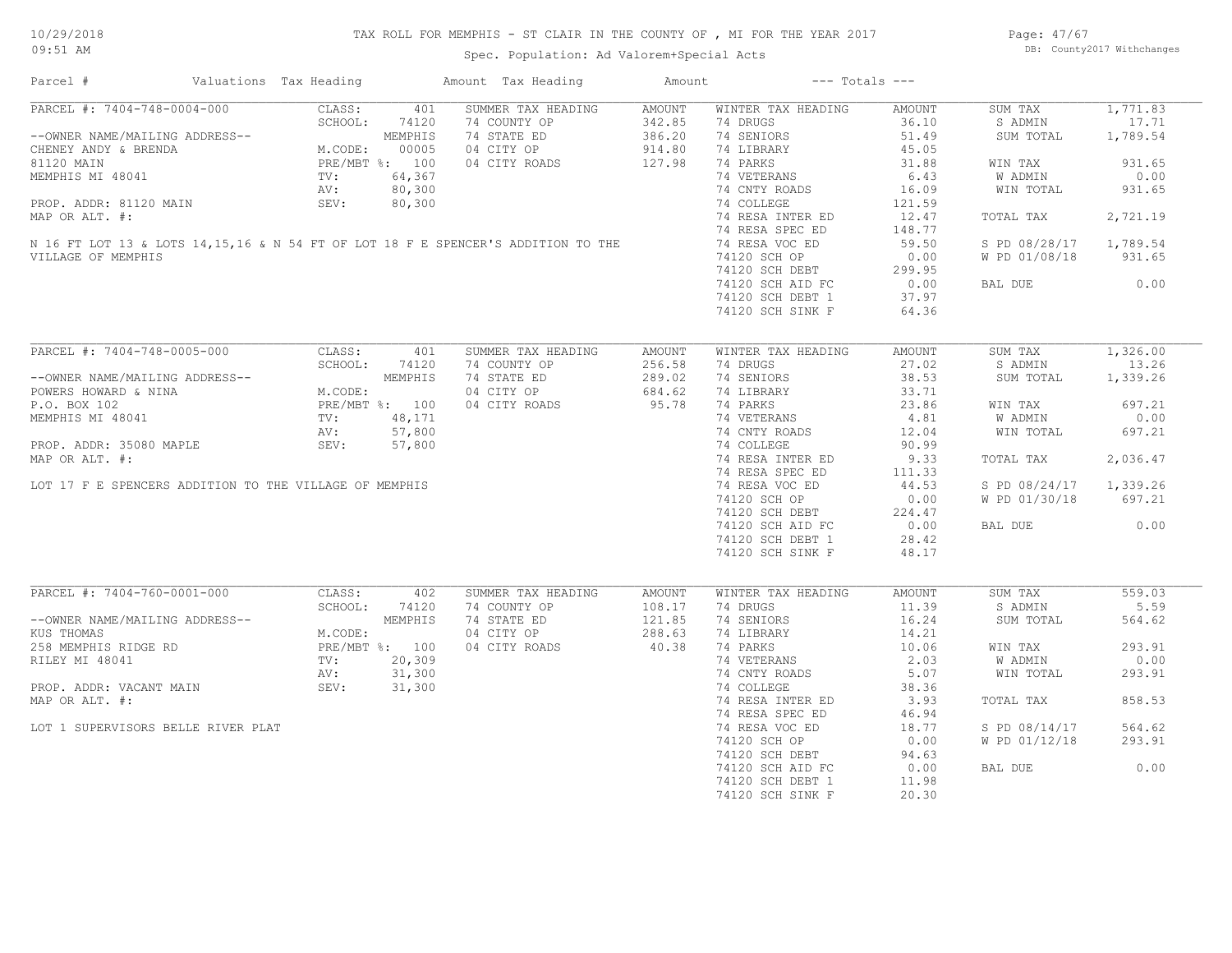# TAX ROLL FOR MEMPHIS - ST CLAIR IN THE COUNTY OF , MI FOR THE YEAR 2017

Spec. Population: Ad Valorem+Special Acts

Page: 47/67 DB: County2017 Withchanges

| Parcel #                                                                           | Valuations Tax Heading                                                       | Amount Tax Heading        | Amount        |                    | $---$ Totals $---$ |                        |          |
|------------------------------------------------------------------------------------|------------------------------------------------------------------------------|---------------------------|---------------|--------------------|--------------------|------------------------|----------|
| PARCEL #: 7404-748-0004-000                                                        | CLASS:                                                                       | 401<br>SUMMER TAX HEADING | <b>AMOUNT</b> | WINTER TAX HEADING | AMOUNT             | SUM TAX                | 1,771.83 |
|                                                                                    | SCHOOL:<br>74120                                                             | 74 COUNTY OP              | 342.85        | 74 DRUGS           | 36.10              | S ADMIN                | 17.71    |
| --OWNER NAME/MAILING ADDRESS--                                                     | MEMPHIS<br>M.CODE: 00005<br>PRE/MBT %: 100<br>TV: 64,367                     | 74 STATE ED               | 386.20        | 74 SENIORS         | 51.49              | SUM TOTAL              | 1,789.54 |
| CHENEY ANDY & BRENDA                                                               |                                                                              | 04 CITY OP                | 914.80        | 74 LIBRARY         | 45.05              |                        |          |
| 81120 MAIN                                                                         |                                                                              | 04 CITY ROADS             | 127.98        | 74 PARKS           | 31.88              | WIN TAX                | 931.65   |
| MEMPHIS MI 48041                                                                   |                                                                              |                           |               | 74 VETERANS        | 6.43               | W ADMIN                | 0.00     |
|                                                                                    | 80,300<br>AV:                                                                |                           |               | 74 CNTY ROADS      | 16.09              | WIN TOTAL              | 931.65   |
| PROP. ADDR: 81120 MAIN                                                             | SEV:<br>80,300                                                               |                           |               | 74 COLLEGE         | 121.59             |                        |          |
| MAP OR ALT. #:                                                                     |                                                                              |                           |               | 74 RESA INTER ED   | 12.47              | TOTAL TAX              | 2,721.19 |
| N 16 FT LOT 13 & LOTS 14, 15, 16 & N 54 FT OF LOT 18 F E SPENCER'S ADDITION TO THE |                                                                              |                           |               | 74 RESA SPEC ED    | 148.77             |                        |          |
|                                                                                    |                                                                              |                           |               | 74 RESA VOC ED     | 59.50              | S PD 08/28/17 1,789.54 |          |
| VILLAGE OF MEMPHIS                                                                 |                                                                              |                           |               | 74120 SCH OP       | 0.00               | W PD 01/08/18          | 931.65   |
|                                                                                    |                                                                              |                           |               | 74120 SCH DEBT     | 299.95             |                        |          |
|                                                                                    |                                                                              |                           |               | 74120 SCH AID FC   | 0.00               | BAL DUE                | 0.00     |
|                                                                                    |                                                                              |                           |               | 74120 SCH DEBT 1   | 37.97              |                        |          |
|                                                                                    |                                                                              |                           |               | 74120 SCH SINK F   | 64.36              |                        |          |
|                                                                                    |                                                                              |                           |               |                    |                    |                        |          |
| PARCEL #: 7404-748-0005-000                                                        | CLASS:                                                                       | 401<br>SUMMER TAX HEADING | <b>AMOUNT</b> | WINTER TAX HEADING | AMOUNT             | SUM TAX                | 1,326.00 |
|                                                                                    |                                                                              | 74 COUNTY OP              | 256.58        | 74 DRUGS           | 27.02              | S ADMIN                | 13.26    |
| --OWNER NAME/MAILING ADDRESS--                                                     |                                                                              | 74 STATE ED               | 289.02        | 74 SENIORS         | 38.53              | SUM TOTAL              | 1,339.26 |
| POWERS HOWARD & NINA                                                               | NEMPHIS<br>--------<br>M.CODE:<br>PRE/MBT %: 100<br>TV:<br>PRE/MBT %: 48.171 | 04 CITY OP                | 684.62        | 74 LIBRARY         | 33.71              |                        |          |
| P.O. BOX 102                                                                       |                                                                              | 04 CITY ROADS             | 95.78         | 74 PARKS           | 23.86              | WIN TAX                | 697.21   |
| MEMPHIS MI 48041                                                                   |                                                                              |                           |               | 74 VETERANS        | 4.81               | W ADMIN                | 0.00     |
|                                                                                    |                                                                              |                           |               | 74 CNTY ROADS      | 12.04              | WIN TOTAL              | 697.21   |
| PROP. ADDR: 35080 MAPLE                                                            | SEV:<br>57,800                                                               |                           |               | 74 COLLEGE         | 90.99              |                        |          |
| MAP OR ALT. #:                                                                     |                                                                              |                           |               | 74 RESA INTER ED   | 9.33               | TOTAL TAX              | 2,036.47 |
|                                                                                    |                                                                              |                           |               | 74 RESA SPEC ED    | 111.33             |                        |          |
| LOT 17 F E SPENCERS ADDITION TO THE VILLAGE OF MEMPHIS                             |                                                                              |                           |               | 74 RESA VOC ED     | 44.53              | S PD 08/24/17          | 1,339.26 |
|                                                                                    |                                                                              |                           |               | 74120 SCH OP       | 0.00               | W PD 01/30/18          | 697.21   |
|                                                                                    |                                                                              |                           |               | 74120 SCH DEBT     | 224.47             |                        |          |
|                                                                                    |                                                                              |                           |               | 74120 SCH AID FC   | 0.00               | BAL DUE                | 0.00     |
|                                                                                    |                                                                              |                           |               | 74120 SCH DEBT 1   | 28.42              |                        |          |
|                                                                                    |                                                                              |                           |               | 74120 SCH SINK F   | 48.17              |                        |          |
|                                                                                    |                                                                              |                           |               |                    |                    |                        |          |
| PARCEL #: 7404-760-0001-000                                                        | CLASS:                                                                       | 402<br>SUMMER TAX HEADING | AMOUNT        | WINTER TAX HEADING | <b>AMOUNT</b>      | SUM TAX                | 559.03   |
|                                                                                    | SCHOOL:<br>74120                                                             | 74 COUNTY OP              | 108.17        | 74 DRUGS           | 11.39              | S ADMIN                | 5.59     |
| --OWNER NAME/MAILING ADDRESS--                                                     | MEMPHIS                                                                      | 74 STATE ED               | 121.85        | 74 SENIORS         | 16.24              | SUM TOTAL              | 564.62   |
| KUS THOMAS                                                                         | M.CODE:                                                                      | 04 CITY OP                | 288.63        | 74 LIBRARY         | 14.21              |                        |          |
| 258 MEMPHIS RIDGE RD                                                               | PRE/MBT %: 100                                                               | 04 CITY ROADS             | 40.38         | 74 PARKS           | 10.06              | WIN TAX                | 293.91   |
| RILEY MI 48041                                                                     | TV:<br>20,309                                                                |                           |               | 74 VETERANS        | 2.03               | W ADMIN                | 0.00     |
|                                                                                    | 31,300<br>AV:                                                                |                           |               | 74 CNTY ROADS      | 5.07               | WIN TOTAL              | 293.91   |
| PROP. ADDR: VACANT MAIN                                                            | SEV:<br>31,300                                                               |                           |               | 74 COLLEGE         | 38.36              |                        |          |
| MAP OR ALT. #:                                                                     |                                                                              |                           |               | 74 RESA INTER ED   | 3.93               | TOTAL TAX              | 858.53   |
|                                                                                    |                                                                              |                           |               | 74 RESA SPEC ED    | 46.94              |                        |          |
| LOT 1 SUPERVISORS BELLE RIVER PLAT                                                 |                                                                              |                           |               | 74 RESA VOC ED     | 18.77              | S PD 08/14/17          | 564.62   |
|                                                                                    |                                                                              |                           |               | 74120 SCH OP       | 0.00               | W PD 01/12/18          | 293.91   |
|                                                                                    |                                                                              |                           |               | 74120 SCH DEBT     | 94.63              |                        |          |
|                                                                                    |                                                                              |                           |               | 74120 SCH AID FC   | 0.00               | BAL DUE                | 0.00     |
|                                                                                    |                                                                              |                           |               | 74120 SCH DEBT 1   | 11.98              |                        |          |
|                                                                                    |                                                                              |                           |               | 74120 SCH SINK F   | 20.30              |                        |          |
|                                                                                    |                                                                              |                           |               |                    |                    |                        |          |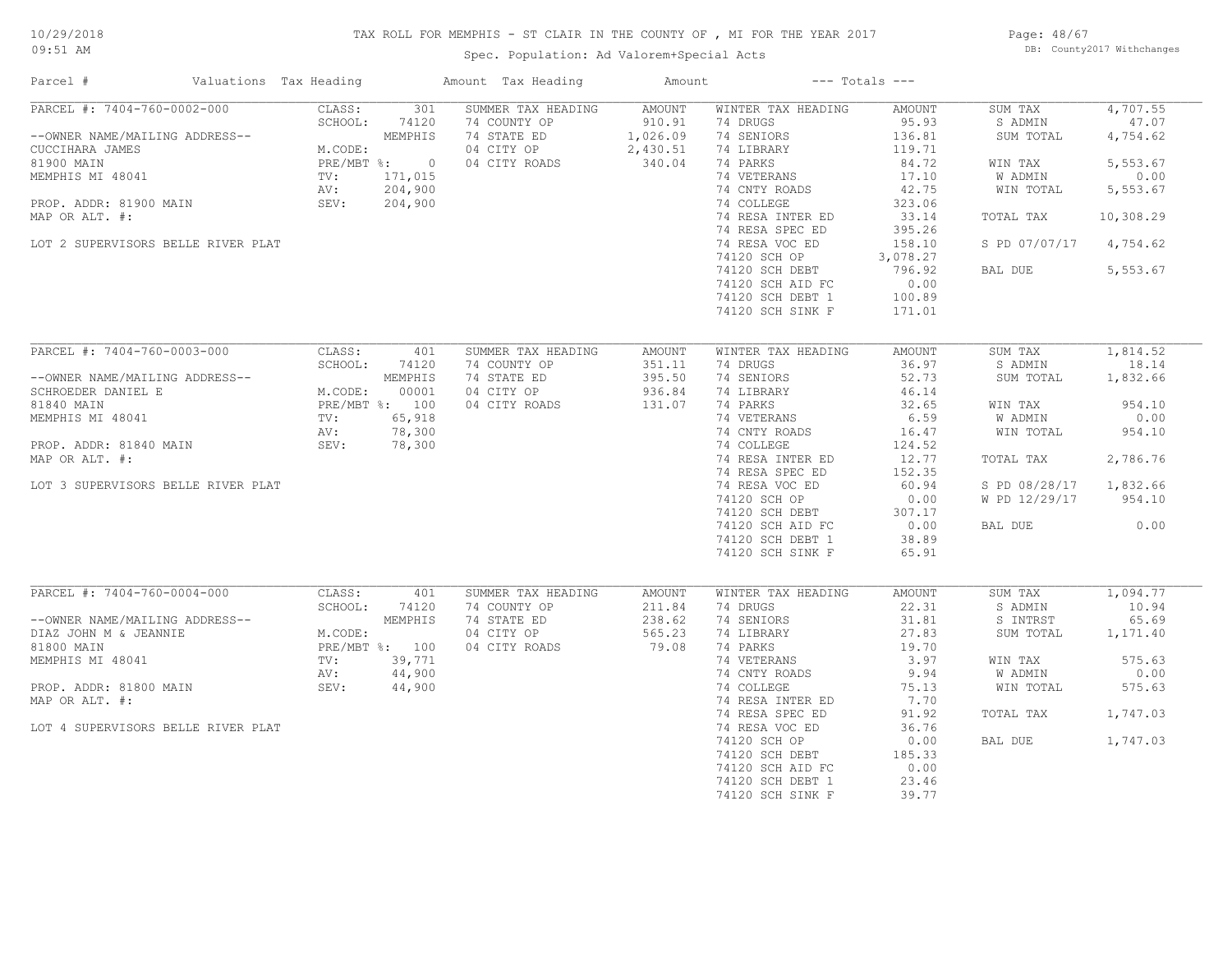# TAX ROLL FOR MEMPHIS - ST CLAIR IN THE COUNTY OF , MI FOR THE YEAR 2017

Spec. Population: Ad Valorem+Special Acts

Page: 48/67 DB: County2017 Withchanges

| Parcel #                                                                                                                                                                                             | Valuations Tax Heading                                                                          |                                                                          | Amount Tax Heading                                                               | Amount                                             |                                                                                                                                                                                                                                                                             | $---$ Totals $---$                                                                                                                                      |                                                                                                             |                                                                                                    |
|------------------------------------------------------------------------------------------------------------------------------------------------------------------------------------------------------|-------------------------------------------------------------------------------------------------|--------------------------------------------------------------------------|----------------------------------------------------------------------------------|----------------------------------------------------|-----------------------------------------------------------------------------------------------------------------------------------------------------------------------------------------------------------------------------------------------------------------------------|---------------------------------------------------------------------------------------------------------------------------------------------------------|-------------------------------------------------------------------------------------------------------------|----------------------------------------------------------------------------------------------------|
| PARCEL #: 7404-760-0002-000<br>--OWNER NAME/MAILING ADDRESS--<br>CUCCIHARA JAMES<br>81900 MAIN<br>MEMPHIS MI 48041<br>PROP. ADDR: 81900 MAIN<br>MAP OR ALT. #:<br>LOT 2 SUPERVISORS BELLE RIVER PLAT | CLASS:<br>SCHOOL:<br>M.CODE:<br>TV:<br>AV:<br>SEV:                                              | 301<br>74120<br>MEMPHIS<br>PRE/MBT %: 0<br>171,015<br>204,900<br>204,900 | SUMMER TAX HEADING<br>74 COUNTY OP<br>74 STATE ED<br>04 CITY OP<br>04 CITY ROADS | AMOUNT<br>910.91<br>1,026.09<br>2,430.51<br>340.04 | WINTER TAX HEADING<br>74 DRUGS<br>74 SENIORS<br>74 LIBRARY<br>74 PARKS<br>74 VETERANS<br>74 CNTY ROADS<br>74 COLLEGE<br>74 RESA INTER ED<br>74 RESA SPEC ED<br>74 RESA VOC ED<br>74120 SCH OP<br>74120 SCH DEBT<br>74120 SCH AID FC<br>74120 SCH DEBT 1<br>74120 SCH SINK F | AMOUNT<br>95.93<br>136.81<br>119.71<br>84.72<br>17.10<br>42.75<br>323.06<br>33.14<br>395.26<br>158.10<br>3,078.27<br>796.92<br>0.00<br>100.89<br>171.01 | SUM TAX<br>S ADMIN<br>SUM TOTAL<br>WIN TAX<br>W ADMIN<br>WIN TOTAL<br>TOTAL TAX<br>S PD 07/07/17<br>BAL DUE | 4,707.55<br>47.07<br>4,754.62<br>5,553.67<br>0.00<br>5,553.67<br>10,308.29<br>4,754.62<br>5,553.67 |
| PARCEL #: 7404-760-0003-000                                                                                                                                                                          | CLASS:                                                                                          | 401                                                                      | SUMMER TAX HEADING                                                               | AMOUNT                                             | WINTER TAX HEADING                                                                                                                                                                                                                                                          | <b>AMOUNT</b>                                                                                                                                           | SUM TAX                                                                                                     | 1,814.52                                                                                           |
| --OWNER NAME/MAILING ADDRESS--<br>SCHROEDER DANIEL E                                                                                                                                                 | SCHOOL:<br>ADDRESS---<br>MEMPHIS<br>M.CODE: 00001<br>PRE/MBT %: 100<br>TV: 65,918<br>AV: 78,300 | 74120                                                                    | 74 COUNTY OP<br>74 STATE ED<br>04 CITY OP                                        | 351.11<br>395.50<br>936.84                         | 74 DRUGS<br>74 SENIORS<br>74 LIBRARY                                                                                                                                                                                                                                        | 36.97<br>52.73<br>46.14                                                                                                                                 | S ADMIN<br>SUM TOTAL                                                                                        | 18.14<br>1,832.66                                                                                  |
| 81840 MAIN                                                                                                                                                                                           |                                                                                                 |                                                                          | 04 CITY ROADS                                                                    | 131.07                                             | 74 PARKS                                                                                                                                                                                                                                                                    | 32.65                                                                                                                                                   | WIN TAX                                                                                                     | 954.10                                                                                             |
| MEMPHIS MI 48041                                                                                                                                                                                     |                                                                                                 |                                                                          |                                                                                  |                                                    | 74 VETERANS                                                                                                                                                                                                                                                                 | 6.59                                                                                                                                                    | W ADMIN                                                                                                     | 0.00                                                                                               |
| PROP. ADDR: 81840 MAIN                                                                                                                                                                               | SEV:                                                                                            | 78,300                                                                   |                                                                                  |                                                    | 74 CNTY ROADS                                                                                                                                                                                                                                                               | 16.47<br>124.52                                                                                                                                         | WIN TOTAL                                                                                                   | 954.10                                                                                             |
| MAP OR ALT. #:                                                                                                                                                                                       |                                                                                                 |                                                                          |                                                                                  |                                                    | 74 COLLEGE<br>74 RESA INTER ED                                                                                                                                                                                                                                              | 12.77                                                                                                                                                   | TOTAL TAX                                                                                                   | 2,786.76                                                                                           |
|                                                                                                                                                                                                      |                                                                                                 |                                                                          |                                                                                  |                                                    | 74 RESA SPEC ED                                                                                                                                                                                                                                                             | 152.35                                                                                                                                                  |                                                                                                             |                                                                                                    |
| LOT 3 SUPERVISORS BELLE RIVER PLAT                                                                                                                                                                   |                                                                                                 |                                                                          |                                                                                  |                                                    | 74 RESA VOC ED                                                                                                                                                                                                                                                              | 60.94                                                                                                                                                   | S PD 08/28/17                                                                                               | 1,832.66                                                                                           |
|                                                                                                                                                                                                      |                                                                                                 |                                                                          |                                                                                  |                                                    | 74120 SCH OP                                                                                                                                                                                                                                                                | 0.00                                                                                                                                                    | W PD 12/29/17                                                                                               | 954.10                                                                                             |
|                                                                                                                                                                                                      |                                                                                                 |                                                                          |                                                                                  |                                                    | 74120 SCH DEBT                                                                                                                                                                                                                                                              | 307.17                                                                                                                                                  |                                                                                                             |                                                                                                    |
|                                                                                                                                                                                                      |                                                                                                 |                                                                          |                                                                                  |                                                    | 74120 SCH AID FC                                                                                                                                                                                                                                                            | 0.00                                                                                                                                                    | BAL DUE                                                                                                     | 0.00                                                                                               |
|                                                                                                                                                                                                      |                                                                                                 |                                                                          |                                                                                  |                                                    | 74120 SCH DEBT 1                                                                                                                                                                                                                                                            | 38.89                                                                                                                                                   |                                                                                                             |                                                                                                    |
|                                                                                                                                                                                                      |                                                                                                 |                                                                          |                                                                                  |                                                    | 74120 SCH SINK F                                                                                                                                                                                                                                                            | 65.91                                                                                                                                                   |                                                                                                             |                                                                                                    |
| PARCEL #: 7404-760-0004-000                                                                                                                                                                          | CLASS:                                                                                          | 401                                                                      | SUMMER TAX HEADING                                                               | AMOUNT                                             | WINTER TAX HEADING                                                                                                                                                                                                                                                          | <b>AMOUNT</b>                                                                                                                                           | SUM TAX                                                                                                     | 1,094.77                                                                                           |
|                                                                                                                                                                                                      | SCHOOL:                                                                                         | 74120                                                                    | 74 COUNTY OP                                                                     | 211.84                                             | 74 DRUGS                                                                                                                                                                                                                                                                    | 22.31                                                                                                                                                   | S ADMIN                                                                                                     | 10.94                                                                                              |
| --OWNER NAME/MAILING ADDRESS--<br>DIAZ JOHN M & JEANNIE                                                                                                                                              | M.CODE:                                                                                         | MEMPHIS                                                                  | 74 STATE ED<br>04 CITY OP                                                        | 238.62<br>565.23                                   | 74 SENIORS<br>74 LIBRARY                                                                                                                                                                                                                                                    | 31.81<br>27.83                                                                                                                                          | S INTRST<br>SUM TOTAL                                                                                       | 65.69<br>1,171.40                                                                                  |
| 81800 MAIN                                                                                                                                                                                           |                                                                                                 | PRE/MBT %: 100                                                           | 04 CITY ROADS                                                                    | 79.08                                              | 74 PARKS                                                                                                                                                                                                                                                                    | 19.70                                                                                                                                                   |                                                                                                             |                                                                                                    |
| MEMPHIS MI 48041                                                                                                                                                                                     | TV:                                                                                             | 39,771                                                                   |                                                                                  |                                                    | 74 VETERANS                                                                                                                                                                                                                                                                 | 3.97                                                                                                                                                    | WIN TAX                                                                                                     | 575.63                                                                                             |
|                                                                                                                                                                                                      | AV:                                                                                             | 44,900                                                                   |                                                                                  |                                                    | 74 CNTY ROADS                                                                                                                                                                                                                                                               | 9.94                                                                                                                                                    | W ADMIN                                                                                                     | 0.00                                                                                               |
| PROP. ADDR: 81800 MAIN                                                                                                                                                                               | SEV:                                                                                            | 44,900                                                                   |                                                                                  |                                                    | 74 COLLEGE                                                                                                                                                                                                                                                                  | 75.13                                                                                                                                                   | WIN TOTAL                                                                                                   | 575.63                                                                                             |
| MAP OR ALT. #:                                                                                                                                                                                       |                                                                                                 |                                                                          |                                                                                  |                                                    | 74 RESA INTER ED                                                                                                                                                                                                                                                            | 7.70                                                                                                                                                    |                                                                                                             |                                                                                                    |
|                                                                                                                                                                                                      |                                                                                                 |                                                                          |                                                                                  |                                                    | 74 RESA SPEC ED                                                                                                                                                                                                                                                             | 91.92                                                                                                                                                   | TOTAL TAX                                                                                                   | 1,747.03                                                                                           |
| LOT 4 SUPERVISORS BELLE RIVER PLAT                                                                                                                                                                   |                                                                                                 |                                                                          |                                                                                  |                                                    | 74 RESA VOC ED                                                                                                                                                                                                                                                              | 36.76                                                                                                                                                   |                                                                                                             |                                                                                                    |
|                                                                                                                                                                                                      |                                                                                                 |                                                                          |                                                                                  |                                                    | 74120 SCH OP                                                                                                                                                                                                                                                                | 0.00                                                                                                                                                    | BAL DUE                                                                                                     | 1,747.03                                                                                           |
|                                                                                                                                                                                                      |                                                                                                 |                                                                          |                                                                                  |                                                    | 74120 SCH DEBT                                                                                                                                                                                                                                                              | 185.33                                                                                                                                                  |                                                                                                             |                                                                                                    |
|                                                                                                                                                                                                      |                                                                                                 |                                                                          |                                                                                  |                                                    | 74120 SCH AID FC                                                                                                                                                                                                                                                            | 0.00                                                                                                                                                    |                                                                                                             |                                                                                                    |
|                                                                                                                                                                                                      |                                                                                                 |                                                                          |                                                                                  |                                                    | 74120 SCH DEBT 1                                                                                                                                                                                                                                                            | 23.46                                                                                                                                                   |                                                                                                             |                                                                                                    |
|                                                                                                                                                                                                      |                                                                                                 |                                                                          |                                                                                  |                                                    | 74120 SCH SINK F                                                                                                                                                                                                                                                            | 39.77                                                                                                                                                   |                                                                                                             |                                                                                                    |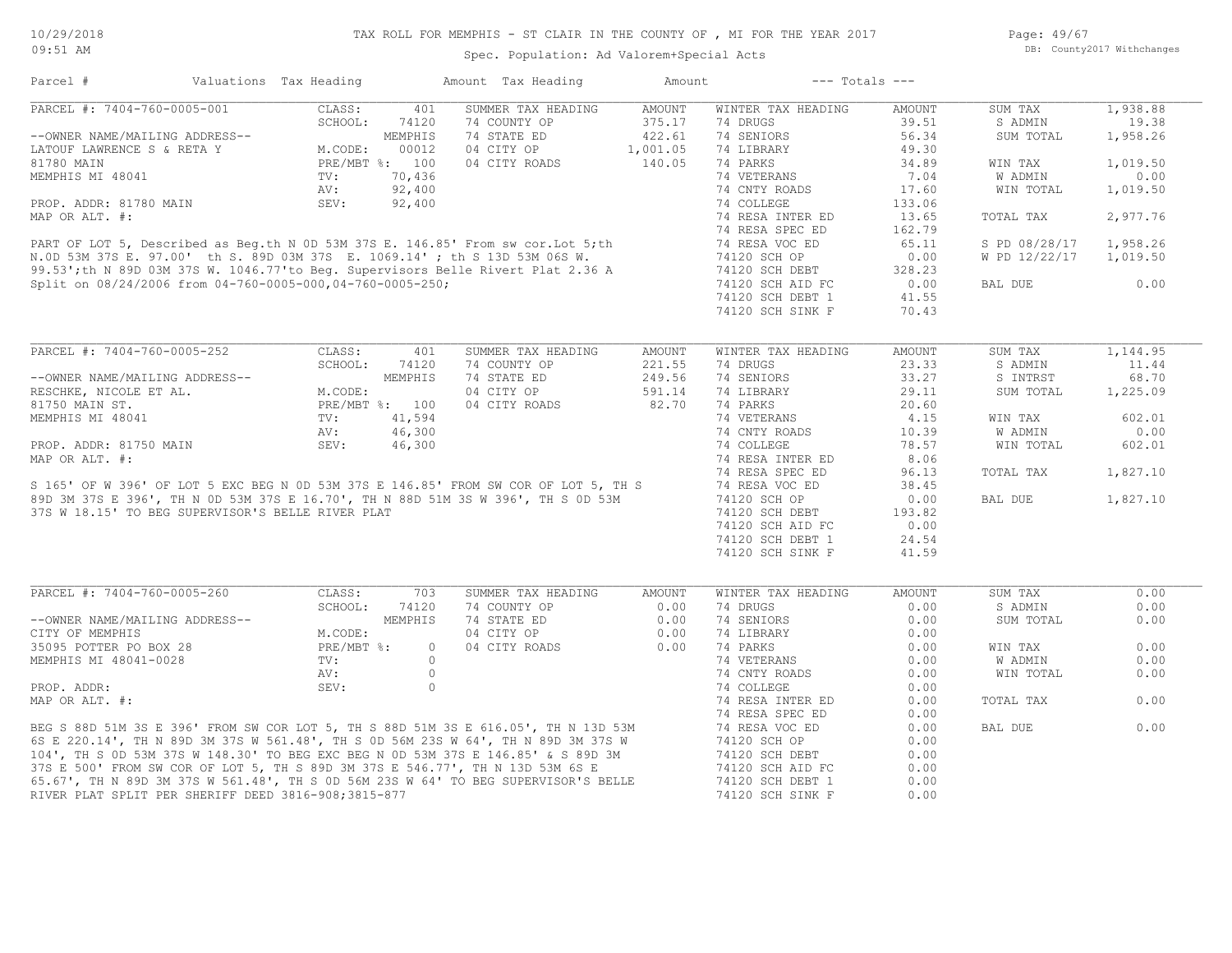Page: 49/67 DB: County2017 Withchanges

Spec. Population: Ad Valorem+Special Acts

Parcel # Valuations Tax Heading Amount Tax Heading Amount --- Totals ---

| PARCEL #: 7404-760-0005-001                                                                                                                                                                                                          | CLASS:         | 401     | SUMMER TAX HEADING | <b>AMOUNT</b> | WINTER TAX HEADING | <b>AMOUNT</b> | SUM TAX       | 1,938.88     |
|--------------------------------------------------------------------------------------------------------------------------------------------------------------------------------------------------------------------------------------|----------------|---------|--------------------|---------------|--------------------|---------------|---------------|--------------|
|                                                                                                                                                                                                                                      | SCHOOL:        | 74120   | 74 COUNTY OP       | 375.17        | 74 DRUGS           | 39.51         | S ADMIN       | 19.38        |
| --OWNER NAME/MAILING ADDRESS--                                                                                                                                                                                                       |                | MEMPHIS | 74 STATE ED        | 422.61        | 74 SENIORS         | 56.34         | SUM TOTAL     | 1,958.26     |
| LATOUF LAWRENCE S & RETA Y                                                                                                                                                                                                           | M.CODE:        | 00012   | 04 CITY OP         | 1,001.05      | 74 LIBRARY         | 49.30         |               |              |
| 81780 MAIN                                                                                                                                                                                                                           | PRE/MBT %: 100 |         | 04 CITY ROADS      | 140.05        | 74 PARKS           | 34.89         | WIN TAX       | 1,019.50     |
| MEMPHIS MI 48041                                                                                                                                                                                                                     | TV:            | 70,436  |                    |               | 74 VETERANS        | 7.04          | W ADMIN       | 0.00         |
|                                                                                                                                                                                                                                      | AV:            | 92,400  |                    |               | 74 CNTY ROADS      | 17.60         | WIN TOTAL     | 1,019.50     |
| PROP. ADDR: 81780 MAIN                                                                                                                                                                                                               | SEV:           | 92,400  |                    |               | 74 COLLEGE         | 133.06        |               |              |
| MAP OR ALT. #:                                                                                                                                                                                                                       |                |         |                    |               | 74 RESA INTER ED   | 13.65         | TOTAL TAX     | 2,977.76     |
|                                                                                                                                                                                                                                      |                |         |                    |               | 74 RESA SPEC ED    | 162.79        |               |              |
| PART OF LOT 5, Described as Beg.th N 0D 53M 37S E. 146.85' From sw cor. Lot 5; th<br>N.OD 53M 37S E. 97.00' th S. 89D 03M 37S E. 1069.14'; th S 13D 53M 06S W.<br>99.53'; th N 89D 03M 37S W. 1046.77'to Beg. Supervisors Belle Rive |                |         |                    |               | 74 RESA VOC ED     | 65.11         | S PD 08/28/17 | 1,958.26     |
|                                                                                                                                                                                                                                      |                |         |                    |               | 74120 SCH OP       | 0.00          | W PD 12/22/17 | 1,019.50     |
|                                                                                                                                                                                                                                      |                |         |                    |               | 74120 SCH DEBT     | 328.23        |               |              |
| Split on 08/24/2006 from 04-760-0005-000,04-760-0005-250;                                                                                                                                                                            |                |         |                    |               | 74120 SCH AID FC   | 0.00          | BAL DUE       | 0.00         |
|                                                                                                                                                                                                                                      |                |         |                    |               | 74120 SCH DEBT 1   | 41.55         |               |              |
|                                                                                                                                                                                                                                      |                |         |                    |               | 74120 SCH SINK F   | 70.43         |               |              |
|                                                                                                                                                                                                                                      |                |         |                    |               |                    |               |               |              |
| PARCEL #: 7404-760-0005-252                                                                                                                                                                                                          | CLASS:         | 401     | SUMMER TAX HEADING | AMOUNT        | WINTER TAX HEADING | <b>AMOUNT</b> | SUM TAX       | 1,144.95     |
|                                                                                                                                                                                                                                      | SCHOOL:        | 74120   | 74 COUNTY OP       | 221.55        | 74 DRUGS           | 23.33         | S ADMIN       | 11.44        |
| --OWNER NAME/MAILING ADDRESS--                                                                                                                                                                                                       |                | MEMPHIS | 74 STATE ED        | 249.56        | 74 SENIORS         | 33.27         | S INTRST      | 68.70        |
| RESCHKE, NICOLE ET AL.                                                                                                                                                                                                               | M.CODE:        |         | 04 CITY OP         | 591.14        | 74 LIBRARY         | 29.11         | SUM TOTAL     | 1,225.09     |
| 81750 MAIN ST.                                                                                                                                                                                                                       | PRE/MBT %: 100 |         | 04 CITY ROADS      | 82.70         | 74 PARKS           | 20.60         |               |              |
| MEMPHIS MI 48041                                                                                                                                                                                                                     | TV:            | 41,594  |                    |               | 74 VETERANS        | 4.15          | WIN TAX       | 602.01       |
|                                                                                                                                                                                                                                      | AV:            | 46,300  |                    |               | 74 CNTY ROADS      | 10.39         | W ADMIN       | 0.00         |
|                                                                                                                                                                                                                                      |                |         |                    |               |                    |               |               |              |
|                                                                                                                                                                                                                                      |                |         |                    |               |                    |               |               |              |
| PROP. ADDR: 81750 MAIN                                                                                                                                                                                                               | SEV:           | 46,300  |                    |               | 74 COLLEGE         | 78.57         | WIN TOTAL     | 602.01       |
| MAP OR ALT. #:                                                                                                                                                                                                                       |                |         |                    |               | 74 RESA INTER ED   | 8.06          |               |              |
|                                                                                                                                                                                                                                      |                |         |                    |               | 74 RESA SPEC ED    | 96.13         | TOTAL TAX     | 1,827.10     |
| S 165' OF W 396' OF LOT 5 EXC BEG N 0D 53M 37S E 146.85' FROM SW COR OF LOT 5, TH S                                                                                                                                                  |                |         |                    |               | 74 RESA VOC ED     | 38.45         |               |              |
| 89D 3M 37S E 396', TH N 0D 53M 37S E 16.70', TH N 88D 51M 3S W 396', TH S 0D 53M                                                                                                                                                     |                |         |                    |               | 74120 SCH OP       | 0.00          | BAL DUE       | 1,827.10     |
| 37S W 18.15' TO BEG SUPERVISOR'S BELLE RIVER PLAT                                                                                                                                                                                    |                |         |                    |               | 74120 SCH DEBT     | 193.82        |               |              |
|                                                                                                                                                                                                                                      |                |         |                    |               | 74120 SCH AID FC   | 0.00          |               |              |
|                                                                                                                                                                                                                                      |                |         |                    |               | 74120 SCH DEBT 1   | 24.54         |               |              |
|                                                                                                                                                                                                                                      |                |         |                    |               | 74120 SCH SINK F   | 41.59         |               |              |
|                                                                                                                                                                                                                                      |                |         |                    |               |                    |               |               |              |
|                                                                                                                                                                                                                                      | CLASS:         | 703     | SUMMER TAX HEADING | <b>AMOUNT</b> | WINTER TAX HEADING | <b>AMOUNT</b> | SUM TAX       |              |
|                                                                                                                                                                                                                                      | SCHOOL:        | 74120   | 74 COUNTY OP       | 0.00          | 74 DRUGS           | 0.00          | S ADMIN       |              |
| --OWNER NAME/MAILING ADDRESS--                                                                                                                                                                                                       |                | MEMPHIS | 74 STATE ED        | 0.00          | 74 SENIORS         | 0.00          | SUM TOTAL     | 0.00         |
| CITY OF MEMPHIS                                                                                                                                                                                                                      | M.CODE:        |         | 04 CITY OP         | 0.00          | 74 LIBRARY         | 0.00          |               |              |
|                                                                                                                                                                                                                                      | PRE/MBT %:     | $\circ$ | 04 CITY ROADS      | 0.00          | 74 PARKS           | 0.00          | WIN TAX       | 0.00         |
|                                                                                                                                                                                                                                      | TV:            | $\circ$ |                    |               | 74 VETERANS        | 0.00          | W ADMIN       | 0.00         |
|                                                                                                                                                                                                                                      | AV:            | $\circ$ |                    |               | 74 CNTY ROADS      | 0.00          | WIN TOTAL     |              |
| PROP. ADDR:                                                                                                                                                                                                                          | SEV:           | $\circ$ |                    |               | 74 COLLEGE         | 0.00          |               |              |
|                                                                                                                                                                                                                                      |                |         |                    |               | 74 RESA INTER ED   | 0.00          | TOTAL TAX     | 0.00         |
| PARCEL #: 7404-760-0005-260<br>35095 POTTER PO BOX 28<br>MEMPHIS MI 48041-0028<br>MAP OR ALT. #:                                                                                                                                     |                |         |                    |               | 74 RESA SPEC ED    | 0.00          |               |              |
| BEG S 88D 51M 3S E 396' FROM SW COR LOT 5, TH S 88D 51M 3S E 616.05', TH N 13D 53M                                                                                                                                                   |                |         |                    |               | 74 RESA VOC ED     | 0.00          | BAL DUE       |              |
| 6S E 220.14', TH N 89D 3M 37S W 561.48', TH S 0D 56M 23S W 64', TH N 89D 3M 37S W                                                                                                                                                    |                |         |                    |               | 74120 SCH OP       | 0.00          |               | 0.00<br>0.00 |
| 104', TH S OD 53M 37S W 148.30' TO BEG EXC BEG N OD 53M 37S E 146.85' & S 89D 3M                                                                                                                                                     |                |         |                    |               | 74120 SCH DEBT     | 0.00          |               |              |
| 37S E 500' FROM SW COR OF LOT 5, TH S 89D 3M 37S E 546.77', TH N 13D 53M 6S E                                                                                                                                                        |                |         |                    |               | 74120 SCH AID FC   | 0.00          |               | 0.00<br>0.00 |
| 65.67', TH N 89D 3M 37S W 561.48', TH S OD 56M 23S W 64' TO BEG SUPERVISOR'S BELLE                                                                                                                                                   |                |         |                    |               | 74120 SCH DEBT 1   | 0.00          |               |              |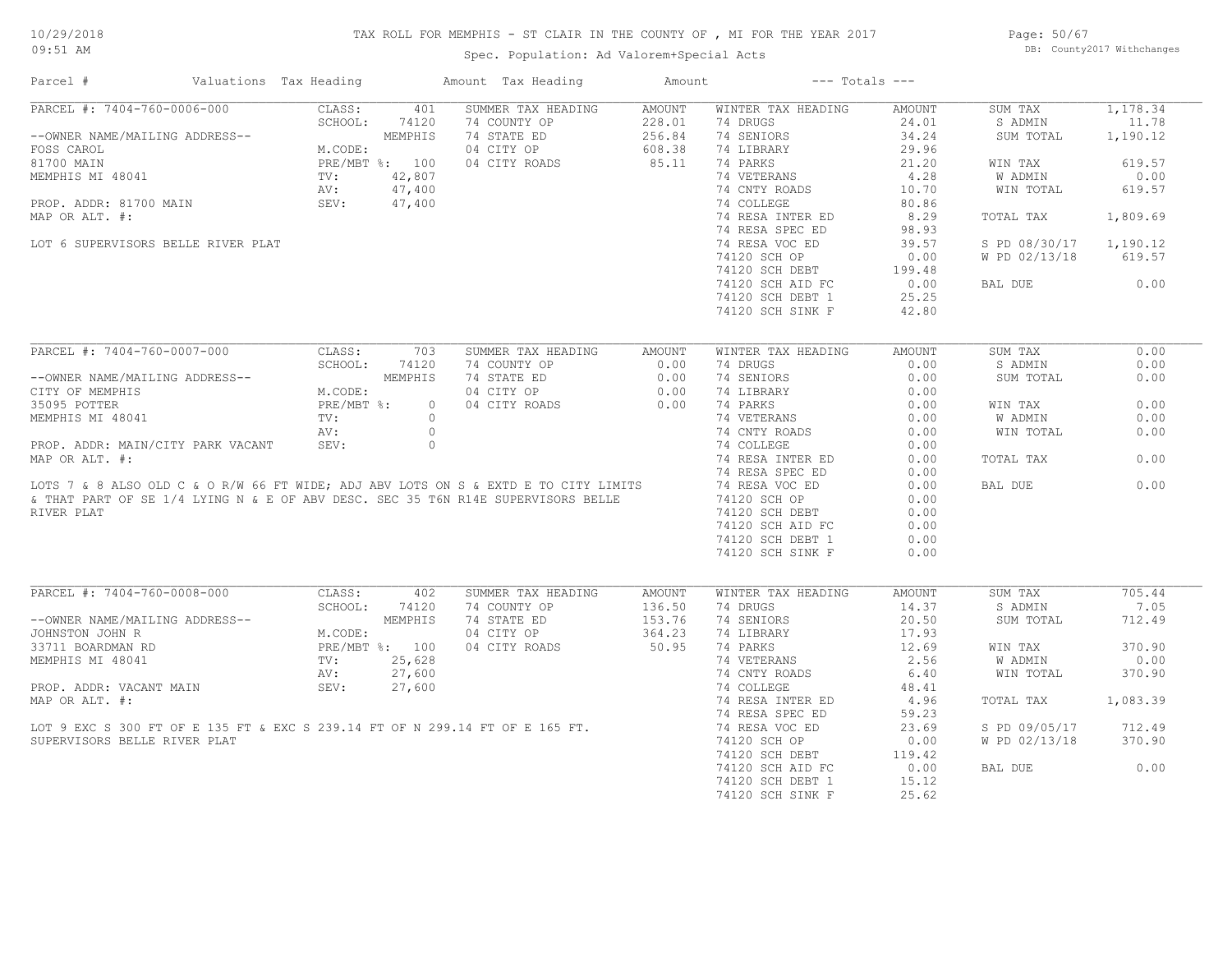# TAX ROLL FOR MEMPHIS - ST CLAIR IN THE COUNTY OF , MI FOR THE YEAR 2017

Spec. Population: Ad Valorem+Special Acts

Page: 50/67 DB: County2017 Withchanges

| Parcel #                                                                                                                                                                | Valuations Tax Heading |              | Amount Tax Heading                 | Amount                  | $---$ Totals $---$             |                        |                    |                |
|-------------------------------------------------------------------------------------------------------------------------------------------------------------------------|------------------------|--------------|------------------------------------|-------------------------|--------------------------------|------------------------|--------------------|----------------|
| PARCEL #: 7404-760-0006-000                                                                                                                                             | CLASS:                 | 401          | SUMMER TAX HEADING                 | <b>AMOUNT</b>           | WINTER TAX HEADING             | <b>AMOUNT</b>          | SUM TAX            | 1,178.34       |
|                                                                                                                                                                         | SCHOOL:                | 74120        | 74 COUNTY OP                       | 228.01                  | 74 DRUGS                       | 24.01                  | S ADMIN            | 11.78          |
| --OWNER NAME/MAILING ADDRESS--                                                                                                                                          |                        | MEMPHIS      | 74 STATE ED                        | 256.84                  | 74 SENIORS                     | 34.24                  | SUM TOTAL          | 1,190.12       |
| FOSS CAROL                                                                                                                                                              | M.CODE:                |              | 04 CITY OP                         | 608.38                  | 74 LIBRARY                     | 29.96                  |                    |                |
| 81700 MAIN                                                                                                                                                              | PRE/MBT %: 100         |              | 04 CITY ROADS                      | 85.11                   | 74 PARKS                       | 21.20                  | WIN TAX            | 619.57         |
| MEMPHIS MI 48041                                                                                                                                                        | TV:                    | 42,807       |                                    |                         | 74 VETERANS                    | 4.28                   | W ADMIN            | 0.00           |
|                                                                                                                                                                         | AV:                    | 47,400       |                                    |                         | 74 CNTY ROADS                  | 10.70                  | WIN TOTAL          | 619.57         |
| PROP. ADDR: 81700 MAIN                                                                                                                                                  | SEV:                   | 47,400       |                                    |                         | 74 COLLEGE                     | 80.86                  |                    |                |
| MAP OR ALT. #:                                                                                                                                                          |                        |              |                                    |                         | 74 RESA INTER ED               | 8.29                   | TOTAL TAX          | 1,809.69       |
|                                                                                                                                                                         |                        |              |                                    |                         | 74 RESA SPEC ED                | 98.93                  |                    |                |
| LOT 6 SUPERVISORS BELLE RIVER PLAT                                                                                                                                      |                        |              |                                    |                         | 74 RESA VOC ED                 | 39.57                  | S PD 08/30/17      | 1,190.12       |
|                                                                                                                                                                         |                        |              |                                    |                         | 74120 SCH OP                   | 0.00                   | W PD 02/13/18      | 619.57         |
|                                                                                                                                                                         |                        |              |                                    |                         | 74120 SCH DEBT                 | 199.48                 |                    |                |
|                                                                                                                                                                         |                        |              |                                    |                         | 74120 SCH AID FC               | 0.00                   | BAL DUE            | 0.00           |
|                                                                                                                                                                         |                        |              |                                    |                         | 74120 SCH DEBT 1               | 25.25                  |                    |                |
|                                                                                                                                                                         |                        |              |                                    |                         | 74120 SCH SINK F               | 42.80                  |                    |                |
|                                                                                                                                                                         |                        |              |                                    |                         |                                |                        |                    |                |
| PARCEL #: 7404-760-0007-000                                                                                                                                             | CLASS:                 | 703          | SUMMER TAX HEADING                 | AMOUNT                  | WINTER TAX HEADING             | <b>AMOUNT</b>          | SUM TAX            | 0.00           |
|                                                                                                                                                                         | SCHOOL:                | 74120        | 74 COUNTY OP                       | 0.00                    | 74 DRUGS                       | 0.00                   | S ADMIN            | 0.00           |
| --OWNER NAME/MAILING ADDRESS--                                                                                                                                          |                        | MEMPHIS      | 74 STATE ED                        | 0.00                    | 74 SENIORS                     | 0.00                   | SUM TOTAL          | 0.00           |
| CITY OF MEMPHIS                                                                                                                                                         | M.CODE:                |              | 04 CITY OP                         | 0.00                    | 74 LIBRARY                     | 0.00                   |                    |                |
| 35095 POTTER                                                                                                                                                            | PRE/MBT %:             | $\circ$      | 04 CITY ROADS                      | 0.00                    | 74 PARKS                       | 0.00                   | WIN TAX            | 0.00           |
| MEMPHIS MI 48041                                                                                                                                                        | TV:                    | $\circ$      |                                    |                         | 74 VETERANS                    | 0.00                   | W ADMIN            | 0.00           |
|                                                                                                                                                                         | AV:                    | $\circ$      |                                    |                         | 74 CNTY ROADS                  | 0.00                   | WIN TOTAL          | 0.00           |
| PROP. ADDR: MAIN/CITY PARK VACANT                                                                                                                                       | SEV:                   | $\circ$      |                                    |                         | 74 COLLEGE                     | 0.00                   |                    |                |
| MAP OR ALT. #:                                                                                                                                                          |                        |              |                                    |                         | 74 RESA INTER ED               | 0.00                   | TOTAL TAX          | 0.00           |
|                                                                                                                                                                         |                        |              |                                    |                         | 74 RESA SPEC ED                | 0.00                   |                    |                |
|                                                                                                                                                                         |                        |              |                                    |                         | 74 RESA VOC ED                 | 0.00                   | BAL DUE            | 0.00           |
| LOTS 7 & 8 ALSO OLD C & O R/W 66 FT WIDE; ADJ ABV LOTS ON S & EXTD E TO CITY LIMITS<br>& THAT PART OF SE 1/4 LYING N & E OF ABV DESC. SEC 35 T6N R14E SUPERVISORS BELLE |                        |              |                                    |                         | 74120 SCH OP                   | 0.00                   |                    |                |
| RIVER PLAT                                                                                                                                                              |                        |              |                                    |                         |                                |                        |                    |                |
|                                                                                                                                                                         |                        |              |                                    |                         | 74120 SCH DEBT                 | 0.00                   |                    |                |
|                                                                                                                                                                         |                        |              |                                    |                         | 74120 SCH AID FC               | 0.00                   |                    |                |
|                                                                                                                                                                         |                        |              |                                    |                         | 74120 SCH DEBT 1               | 0.00                   |                    |                |
|                                                                                                                                                                         |                        |              |                                    |                         | 74120 SCH SINK F               | 0.00                   |                    |                |
|                                                                                                                                                                         |                        |              |                                    |                         |                                |                        |                    |                |
| PARCEL #: 7404-760-0008-000                                                                                                                                             | CLASS:<br>SCHOOL:      | 402<br>74120 | SUMMER TAX HEADING<br>74 COUNTY OP | <b>AMOUNT</b><br>136.50 | WINTER TAX HEADING<br>74 DRUGS | <b>AMOUNT</b><br>14.37 | SUM TAX<br>S ADMIN | 705.44<br>7.05 |
|                                                                                                                                                                         |                        |              |                                    |                         |                                |                        |                    |                |
| --OWNER NAME/MAILING ADDRESS--                                                                                                                                          |                        | MEMPHIS      | 74 STATE ED                        | 153.76                  | 74 SENIORS                     | 20.50                  | SUM TOTAL          | 712.49         |
| JOHNSTON JOHN R                                                                                                                                                         | M.CODE:                |              | 04 CITY OP                         | 364.23                  | 74 LIBRARY                     | 17.93                  |                    |                |
| 33711 BOARDMAN RD                                                                                                                                                       | PRE/MBT %: 100         |              | 04 CITY ROADS                      | 50.95                   | 74 PARKS                       | 12.69                  | WIN TAX            | 370.90         |
| MEMPHIS MI 48041                                                                                                                                                        | TV:                    | 25,628       |                                    |                         | 74 VETERANS                    | 2.56                   | W ADMIN            | 0.00           |
|                                                                                                                                                                         | AV:                    | 27,600       |                                    |                         | 74 CNTY ROADS                  | 6.40                   | WIN TOTAL          | 370.90         |
| PROP. ADDR: VACANT MAIN                                                                                                                                                 | SEV:                   | 27,600       |                                    |                         | 74 COLLEGE                     | 48.41                  |                    |                |
| MAP OR ALT. #:                                                                                                                                                          |                        |              |                                    |                         | 74 RESA INTER ED               | 4.96                   | TOTAL TAX          | 1,083.39       |
|                                                                                                                                                                         |                        |              |                                    |                         | 74 RESA SPEC ED                | 59.23                  |                    |                |
| LOT 9 EXC S 300 FT OF E 135 FT & EXC S 239.14 FT OF N 299.14 FT OF E 165 FT.                                                                                            |                        |              |                                    |                         | 74 RESA VOC ED                 | 23.69                  | S PD 09/05/17      | 712.49         |
| SUPERVISORS BELLE RIVER PLAT                                                                                                                                            |                        |              |                                    |                         | 74120 SCH OP                   | 0.00                   | W PD 02/13/18      | 370.90         |
|                                                                                                                                                                         |                        |              |                                    |                         | 74120 SCH DEBT                 | 119.42                 |                    |                |
|                                                                                                                                                                         |                        |              |                                    |                         | 74120 SCH AID FC               | 0.00                   | BAL DUE            | 0.00           |
|                                                                                                                                                                         |                        |              |                                    |                         | 74120 SCH DEBT 1               | 15.12                  |                    |                |
|                                                                                                                                                                         |                        |              |                                    |                         | 74120 SCH SINK F               | 25.62                  |                    |                |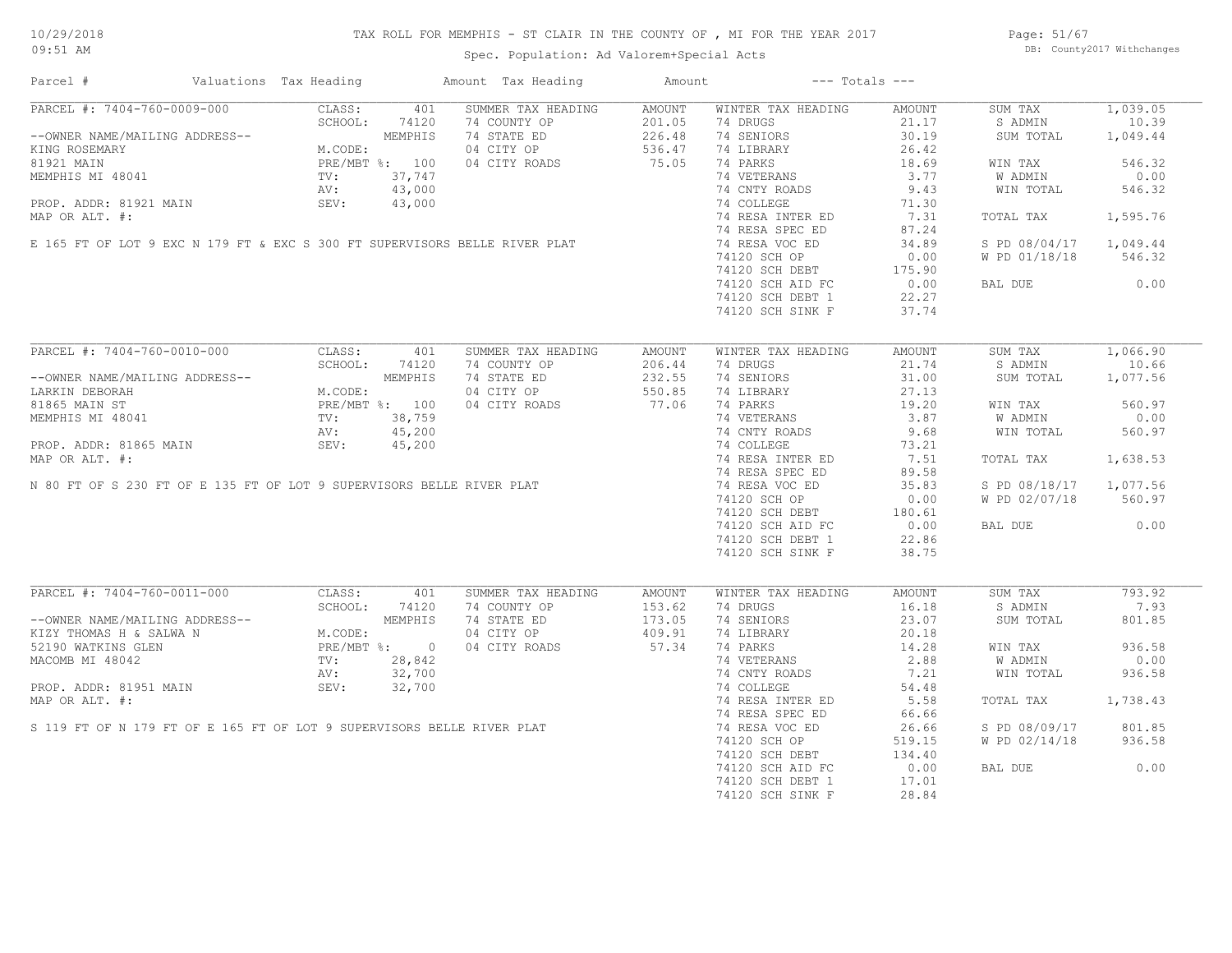# TAX ROLL FOR MEMPHIS - ST CLAIR IN THE COUNTY OF , MI FOR THE YEAR 2017

Spec. Population: Ad Valorem+Special Acts

Page: 51/67 DB: County2017 Withchanges

| Parcel #                                                                                                                                                 | Valuations Tax Heading                                                                                                                                                                                                                                                                                                                                              |                      | Amount Tax Heading                 | Amount           |                                      | $---$ Totals $---$ |                        |                   |
|----------------------------------------------------------------------------------------------------------------------------------------------------------|---------------------------------------------------------------------------------------------------------------------------------------------------------------------------------------------------------------------------------------------------------------------------------------------------------------------------------------------------------------------|----------------------|------------------------------------|------------------|--------------------------------------|--------------------|------------------------|-------------------|
| PARCEL #: 7404-760-0009-000                                                                                                                              | CLASS:                                                                                                                                                                                                                                                                                                                                                              | 401<br>SCHOOL: 74120 | SUMMER TAX HEADING<br>74 COUNTY OP | AMOUNT<br>201.05 | WINTER TAX HEADING<br>74 DRUGS       | AMOUNT<br>21.17    | SUM TAX<br>S ADMIN     | 1,039.05<br>10.39 |
| --OWNER NAME/MAILING ADDRESS--<br>KING ROSEMARY                                                                                                          | M.CODE:<br>PRE/MBT %: 100<br>TV: 37,747<br>AV: 43,00'<br>°EV: 43,0'                                                                                                                                                                                                                                                                                                 |                      | 74 STATE ED<br>04 CITY OP          | 226.48<br>536.47 | 74 SENIORS<br>74 LIBRARY             | 30.19<br>26.42     | SUM TOTAL              | 1,049.44          |
| 81921 MAIN                                                                                                                                               |                                                                                                                                                                                                                                                                                                                                                                     |                      | 04 CITY ROADS                      | 75.05            | 74 PARKS                             | 18.69              | WIN TAX                | 546.32            |
| MEMPHIS MI 48041                                                                                                                                         |                                                                                                                                                                                                                                                                                                                                                                     |                      |                                    |                  | 74 VETERANS                          | 3.77               | W ADMIN                | 0.00              |
| SEV: $43,000$<br>SEV: $43,000$<br>E 165 FT OF LOT 9 EXC N 179 FT & EXC S 300 FT SUPERVISORS BELLE RIVER PLAT                                             |                                                                                                                                                                                                                                                                                                                                                                     |                      |                                    |                  | 74 CNTY ROADS                        | 9.43               | WIN TOTAL              | 546.32            |
|                                                                                                                                                          |                                                                                                                                                                                                                                                                                                                                                                     |                      |                                    |                  | 74 COLLEGE                           | 71.30              |                        |                   |
|                                                                                                                                                          |                                                                                                                                                                                                                                                                                                                                                                     |                      |                                    |                  | 74 RESA INTER ED                     | 7.31               | TOTAL TAX              | 1,595.76          |
|                                                                                                                                                          |                                                                                                                                                                                                                                                                                                                                                                     |                      |                                    |                  | 74 RESA SPEC ED                      | 87.24              |                        |                   |
|                                                                                                                                                          |                                                                                                                                                                                                                                                                                                                                                                     |                      |                                    |                  | 74 RESA VOC ED                       | 34.89              | S PD 08/04/17 1,049.44 |                   |
|                                                                                                                                                          |                                                                                                                                                                                                                                                                                                                                                                     |                      |                                    |                  | 74120 SCH OP                         | 0.00               | W PD 01/18/18          | 546.32            |
|                                                                                                                                                          |                                                                                                                                                                                                                                                                                                                                                                     |                      |                                    |                  | $74120$ SCH DEBT<br>$74120$ SCH DEBT | 175.90             |                        |                   |
|                                                                                                                                                          |                                                                                                                                                                                                                                                                                                                                                                     |                      |                                    |                  | 74120 SCH AID FC                     | 0.00               | BAL DUE                | 0.00              |
|                                                                                                                                                          |                                                                                                                                                                                                                                                                                                                                                                     |                      |                                    |                  | 74120 SCH DEBT 1                     | 22.27              |                        |                   |
|                                                                                                                                                          |                                                                                                                                                                                                                                                                                                                                                                     |                      |                                    |                  | 74120 SCH SINK F                     | 37.74              |                        |                   |
|                                                                                                                                                          |                                                                                                                                                                                                                                                                                                                                                                     |                      |                                    |                  |                                      |                    |                        |                   |
| PARCEL #: 7404-760-0010-000                                                                                                                              | CLASS:                                                                                                                                                                                                                                                                                                                                                              | 401                  | SUMMER TAX HEADING                 | AMOUNT           | WINTER TAX HEADING                   | AMOUNT             | SUM TAX                | 1,066.90          |
|                                                                                                                                                          | $\begin{tabular}{ll} $\scriptstyle \text{{\tt ADDRES}}$--\\ \tiny \begin{tabular}{l} \text{{\tt ADDRES}}$--\\ & \text{{\tt M.CODE}:}\\ & \text{{\tt PRE/MBT}}$\color{red}{\end{tabular}}$: & $100$\\ \tiny TV: & $38,759$\\ & \tiny \begin{tabular}{l} \text{{\tt NU}:} \\ \text{{\tt NU}:} \\ \text{{\tt SEV}:} \\ \text{{\tt SEV}:} \end{tabular}} \end{tabular}$ |                      | 74 COUNTY OP                       | 206.44           | 74 DRUGS                             | 21.74              | S ADMIN                | 10.66             |
| --OWNER NAME/MAILING ADDRESS--                                                                                                                           |                                                                                                                                                                                                                                                                                                                                                                     |                      | 74 STATE ED                        | 232.55           | 74 SENIORS                           | 31.00              | SUM TOTAL              | 1,077.56          |
| LARKIN DEBORAH                                                                                                                                           |                                                                                                                                                                                                                                                                                                                                                                     |                      | 04 CITY OP                         | 550.85           | 74 LIBRARY                           | 27.13              |                        |                   |
| 81865 MAIN ST                                                                                                                                            |                                                                                                                                                                                                                                                                                                                                                                     |                      | 04 CITY ROADS                      | 77.06            | 74 PARKS                             | 19.20              | WIN TAX                | 560.97            |
| MEMPHIS MI 48041                                                                                                                                         |                                                                                                                                                                                                                                                                                                                                                                     |                      |                                    |                  | 74 VETERANS                          | 3.87               | W ADMIN                | 0.00              |
|                                                                                                                                                          |                                                                                                                                                                                                                                                                                                                                                                     |                      |                                    |                  | 74 CNTY ROADS                        | 9.68               | WIN TOTAL              | 560.97            |
| MEMPHIS MI 48041 TV: 38,759<br>PROP. ADDR: 81865 MAIN SEV: 45,200<br>MAP OR ALT. #: 480 FT OF S 230 FT OF E 135 FT OF LOT 9 SUPERVISORS BELLE RIVER PLAT |                                                                                                                                                                                                                                                                                                                                                                     |                      |                                    |                  | 74 COLLEGE                           | 73.21              |                        |                   |
|                                                                                                                                                          |                                                                                                                                                                                                                                                                                                                                                                     |                      |                                    |                  | 74 RESA INTER ED                     | 7.51               | TOTAL TAX              | 1,638.53          |
|                                                                                                                                                          |                                                                                                                                                                                                                                                                                                                                                                     |                      |                                    |                  | 74 RESA SPEC ED                      | 89.58              |                        |                   |
|                                                                                                                                                          |                                                                                                                                                                                                                                                                                                                                                                     |                      |                                    |                  | 74 RESA VOC ED                       | 35.83              | S PD 08/18/17          | 1,077.56          |
|                                                                                                                                                          |                                                                                                                                                                                                                                                                                                                                                                     |                      |                                    |                  | 74120 SCH OP                         | 0.00               | W PD 02/07/18          | 560.97            |
|                                                                                                                                                          |                                                                                                                                                                                                                                                                                                                                                                     |                      |                                    |                  | 74120 SCH DEBT                       | 180.61             |                        |                   |
|                                                                                                                                                          |                                                                                                                                                                                                                                                                                                                                                                     |                      |                                    |                  | 74120 SCH AID FC                     | 0.00               | BAL DUE                | 0.00              |
|                                                                                                                                                          |                                                                                                                                                                                                                                                                                                                                                                     |                      |                                    |                  | 74120 SCH DEBT 1                     | 22.86              |                        |                   |
|                                                                                                                                                          |                                                                                                                                                                                                                                                                                                                                                                     |                      |                                    |                  | 74120 SCH SINK F                     | 38.75              |                        |                   |
|                                                                                                                                                          |                                                                                                                                                                                                                                                                                                                                                                     |                      |                                    |                  |                                      |                    |                        |                   |
| ARCEL #: 7404-760-0011<br>--OWNER NAME/MAILING ADDRESS--<br>KIZY THOMAS H & SALWA N M.CODE:<br>PRE/MBT %: 0<br>TV: 28,842<br>AV: 32,700<br>29.700        |                                                                                                                                                                                                                                                                                                                                                                     |                      | SUMMER TAX HEADING                 | AMOUNT           | WINTER TAX HEADING                   | AMOUNT             | SUM TAX                | 793.92            |
|                                                                                                                                                          |                                                                                                                                                                                                                                                                                                                                                                     |                      | 74 COUNTY OP                       | 153.62           | 74 DRUGS                             | 16.18              | S ADMIN                | 7.93              |
|                                                                                                                                                          |                                                                                                                                                                                                                                                                                                                                                                     |                      | 74 STATE ED                        | 173.05           | 74 SENIORS                           | 23.07              | SUM TOTAL              | 801.85            |
|                                                                                                                                                          |                                                                                                                                                                                                                                                                                                                                                                     |                      | 04 CITY OP                         | 409.91           | 74 LIBRARY                           | 20.18              |                        |                   |
|                                                                                                                                                          |                                                                                                                                                                                                                                                                                                                                                                     |                      | 04 CITY ROADS                      | 57.34            | 74 PARKS                             | 14.28              | WIN TAX                | 936.58            |
|                                                                                                                                                          |                                                                                                                                                                                                                                                                                                                                                                     |                      |                                    |                  | 74 VETERANS                          | 2.88               | W ADMIN                | 0.00              |
|                                                                                                                                                          |                                                                                                                                                                                                                                                                                                                                                                     |                      |                                    |                  | 74 CNTY ROADS                        | 7.21               | WIN TOTAL              | 936.58            |
|                                                                                                                                                          |                                                                                                                                                                                                                                                                                                                                                                     |                      |                                    |                  | 74 COLLEGE                           | 54.48              |                        |                   |
|                                                                                                                                                          |                                                                                                                                                                                                                                                                                                                                                                     |                      |                                    |                  | 74 RESA INTER ED                     | 5.58               | TOTAL TAX              | 1,738.43          |
| MACOMB MI 48042<br>PROP. ADDR: 81951 MAIN<br>MAP OR ALT. #:<br>S 119 FT OF N 179 FT OF E 165 FT OF LOT 9 SUPERVISORS BELLE RIVER PLAT                    |                                                                                                                                                                                                                                                                                                                                                                     |                      |                                    |                  | 74 RESA SPEC ED                      | 66.66              |                        |                   |
|                                                                                                                                                          |                                                                                                                                                                                                                                                                                                                                                                     |                      |                                    |                  | 74 RESA VOC ED                       | 26.66              | S PD 08/09/17          | 801.85            |
|                                                                                                                                                          |                                                                                                                                                                                                                                                                                                                                                                     |                      |                                    |                  | 74120 SCH OP                         | 519.15             | W PD 02/14/18          | 936.58            |
|                                                                                                                                                          |                                                                                                                                                                                                                                                                                                                                                                     |                      |                                    |                  | 74120 SCH DEBT                       | 134.40             |                        |                   |
|                                                                                                                                                          |                                                                                                                                                                                                                                                                                                                                                                     |                      |                                    |                  | 74120 SCH AID FC                     | 0.00               | BAL DUE                | 0.00              |
|                                                                                                                                                          |                                                                                                                                                                                                                                                                                                                                                                     |                      |                                    |                  | 74120 SCH DEBT 1                     | 17.01              |                        |                   |
|                                                                                                                                                          |                                                                                                                                                                                                                                                                                                                                                                     |                      |                                    |                  | 74120 SCH SINK F                     | 28.84              |                        |                   |
|                                                                                                                                                          |                                                                                                                                                                                                                                                                                                                                                                     |                      |                                    |                  |                                      |                    |                        |                   |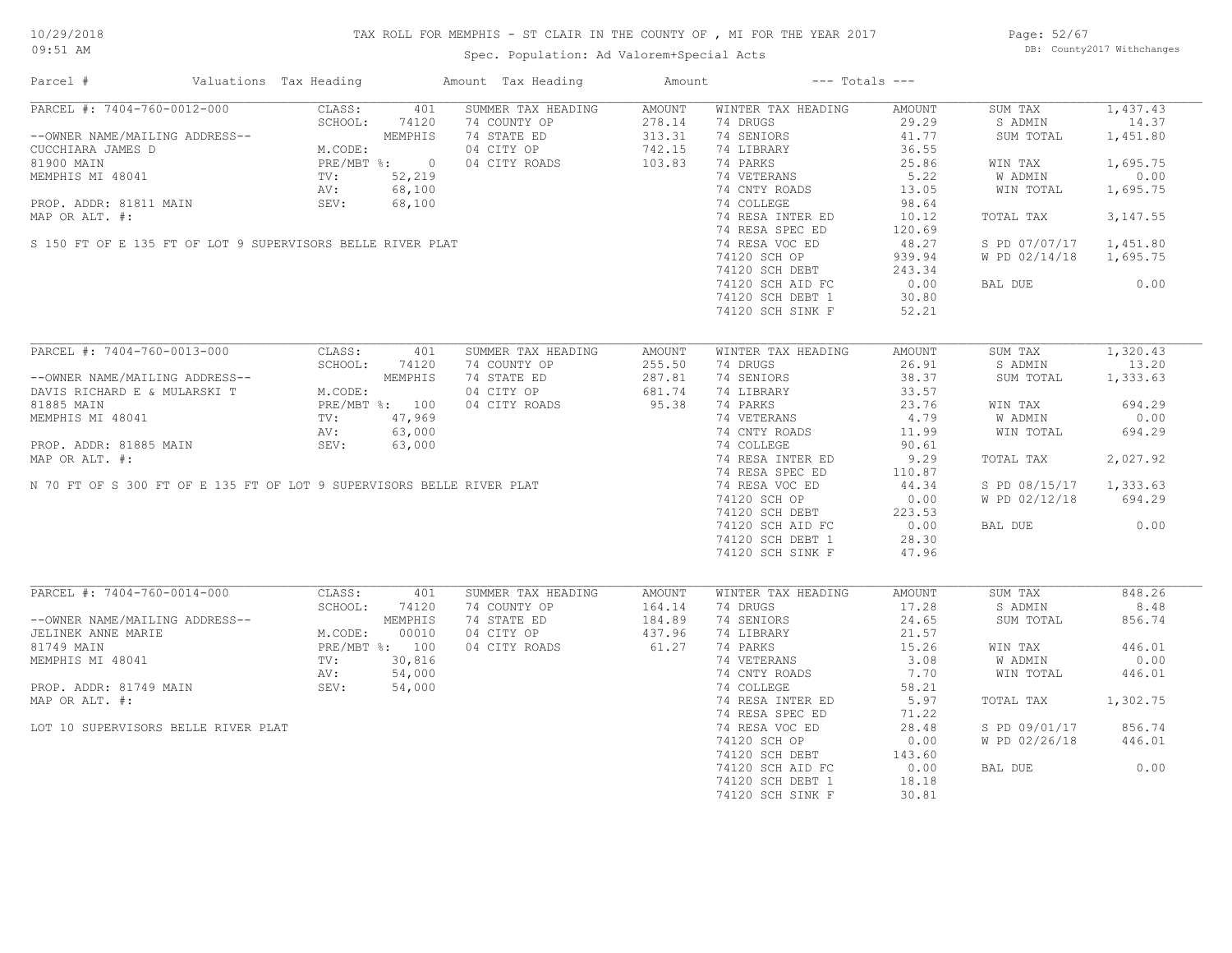# TAX ROLL FOR MEMPHIS - ST CLAIR IN THE COUNTY OF , MI FOR THE YEAR 2017

Spec. Population: Ad Valorem+Special Acts

Page: 52/67 DB: County2017 Withchanges

| Parcel #                                                       | Valuations Tax Heading                                                                                                                |         | Amount Tax Heading | Amount        |                    | $---$ Totals $---$ |               |           |
|----------------------------------------------------------------|---------------------------------------------------------------------------------------------------------------------------------------|---------|--------------------|---------------|--------------------|--------------------|---------------|-----------|
| PARCEL #: 7404-760-0012-000                                    | CLASS:                                                                                                                                | 401     | SUMMER TAX HEADING | <b>AMOUNT</b> | WINTER TAX HEADING | AMOUNT             | SUM TAX       | 1,437.43  |
|                                                                | SCHOOL:                                                                                                                               | 74120   | 74 COUNTY OP       | 278.14        | 74 DRUGS           | 29.29              | S ADMIN       | 14.37     |
| --OWNER NAME/MAILING ADDRESS--                                 | MEMPHIS<br>M.CODE:<br>PRE/MBT %: 0<br>TV: 52,219                                                                                      |         | 74 STATE ED        | 313.31        | 74 SENIORS         | 41.77              | SUM TOTAL     | 1,451.80  |
| CUCCHIARA JAMES D                                              |                                                                                                                                       |         | 04 CITY OP         | 742.15        | 74 LIBRARY         | 36.55              |               |           |
| 81900 MAIN                                                     |                                                                                                                                       |         | 04 CITY ROADS      | 103.83        | 74 PARKS           | 25.86              | WIN TAX       | 1,695.75  |
| MEMPHIS MI 48041                                               |                                                                                                                                       |         |                    |               | 74 VETERANS        | 5.22               | W ADMIN       | 0.00      |
|                                                                |                                                                                                                                       |         |                    |               | 74 CNTY ROADS      | 13.05              | WIN TOTAL     | 1,695.75  |
|                                                                |                                                                                                                                       |         |                    |               | 74 COLLEGE         | 98.64              |               |           |
|                                                                | NETTING THE SUBSET OF THE SUPERVISORS BELLE RIVER PLAT<br>SEV: 68,100<br>SEV: 68,100<br>SEV: 68,100<br>SEV: 68,100                    |         |                    |               | 74 RESA INTER ED   | 10.12              | TOTAL TAX     | 3, 147.55 |
|                                                                |                                                                                                                                       |         |                    |               | 74 RESA SPEC ED    | 120.69             |               |           |
|                                                                |                                                                                                                                       |         |                    |               | 74 RESA VOC ED     | 48.27              | S PD 07/07/17 | 1,451.80  |
|                                                                |                                                                                                                                       |         |                    |               | 74120 SCH OP       | 939.94             | W PD 02/14/18 | 1,695.75  |
|                                                                |                                                                                                                                       |         |                    |               |                    |                    |               |           |
|                                                                |                                                                                                                                       |         |                    |               | 74120 SCH DEBT     | 243.34             |               |           |
|                                                                |                                                                                                                                       |         |                    |               | 74120 SCH AID FC   | 0.00               | BAL DUE       | 0.00      |
|                                                                |                                                                                                                                       |         |                    |               | 74120 SCH DEBT 1   | 30.80              |               |           |
|                                                                |                                                                                                                                       |         |                    |               | 74120 SCH SINK F   | 52.21              |               |           |
|                                                                |                                                                                                                                       |         |                    |               |                    |                    |               |           |
| PARCEL #: 7404-760-0013-000                                    | CLASS:                                                                                                                                | 401     | SUMMER TAX HEADING | AMOUNT        | WINTER TAX HEADING | AMOUNT             | SUM TAX       | 1,320.43  |
|                                                                | SCHOOL:                                                                                                                               | 74120   | 74 COUNTY OP       | 255.50        | 74 DRUGS           | 26.91              | S ADMIN       | 13.20     |
|                                                                |                                                                                                                                       | MEMPHIS | 74 STATE ED        | 287.81        | 74 SENIORS         | 38.37              | SUM TOTAL     | 1,333.63  |
| --OWNER NAME/MAILING ADDRESS--<br>DAVIS RICHARD E & MULARSKI T | M.CODE:                                                                                                                               |         | 04 CITY OP         | 681.74        | 74 LIBRARY         | 33.57              |               |           |
| 81885 MAIN                                                     | PRE/MBT %: 100                                                                                                                        |         | 04 CITY ROADS      | 95.38         | 74 PARKS           | 23.76              | WIN TAX       | 694.29    |
| MEMPHIS MI 48041                                               | TV :<br>TV :<br>AV :                                                                                                                  | 47,969  |                    |               | 74 VETERANS        | 4.79               | W ADMIN       | 0.00      |
|                                                                | MEMPHIS MI 48041<br>PROP. ADDR: 81885 MAIN<br>MAP OR ALT. #:<br>N 70 FT OF S 300 FT OF E 135 FT OF LOT 9 SUPERVISORS BELLE RIVER PLAT |         |                    |               | 74 CNTY ROADS      | 11.99              | WIN TOTAL     | 694.29    |
|                                                                |                                                                                                                                       |         |                    |               | 74 COLLEGE         | 90.61              |               |           |
|                                                                |                                                                                                                                       |         |                    |               | 74 RESA INTER ED   | 9.29               | TOTAL TAX     | 2,027.92  |
|                                                                |                                                                                                                                       |         |                    |               | 74 RESA SPEC ED    | 110.87             |               |           |
|                                                                |                                                                                                                                       |         |                    |               |                    |                    |               |           |
|                                                                |                                                                                                                                       |         |                    |               | 74 RESA VOC ED     | 44.34              | S PD 08/15/17 | 1,333.63  |
|                                                                |                                                                                                                                       |         |                    |               | 74120 SCH OP       | 0.00               | W PD 02/12/18 | 694.29    |
|                                                                |                                                                                                                                       |         |                    |               | 74120 SCH DEBT     | 223.53             |               |           |
|                                                                |                                                                                                                                       |         |                    |               | 74120 SCH AID FC   | 0.00               | BAL DUE       | 0.00      |
|                                                                |                                                                                                                                       |         |                    |               | 74120 SCH DEBT 1   | 28.30              |               |           |
|                                                                |                                                                                                                                       |         |                    |               | 74120 SCH SINK F   | 47.96              |               |           |
|                                                                |                                                                                                                                       |         |                    |               |                    |                    |               |           |
| PARCEL #: 7404-760-0014-000                                    | CLASS:                                                                                                                                | 401     | SUMMER TAX HEADING | AMOUNT        | WINTER TAX HEADING | AMOUNT             | SUM TAX       | 848.26    |
|                                                                | SCHOOL: 74120                                                                                                                         |         | 74 COUNTY OP       | 164.14        | 74 DRUGS           | 17.28              | S ADMIN       | 8.48      |
| --OWNER NAME/MAILING ADDRESS--                                 |                                                                                                                                       | MEMPHIS | 74 STATE ED        | 184.89        | 74 SENIORS         | 24.65              | SUM TOTAL     | 856.74    |
| JELINEK ANNE MARIE                                             | M.CODE:                                                                                                                               | 00010   | 04 CITY OP         | 437.96        | 74 LIBRARY         | 21.57              |               |           |
| 81749 MAIN                                                     | PRE/MBT %: 100                                                                                                                        |         | 04 CITY ROADS      | 61.27         | 74 PARKS           | 15.26              | WIN TAX       | 446.01    |
| MEMPHIS MI 48041                                               | TV:                                                                                                                                   | 30,816  |                    |               | 74 VETERANS        | 3.08               | W ADMIN       | 0.00      |
|                                                                | AV:                                                                                                                                   | 54,000  |                    |               | 74 CNTY ROADS      | 7.70               | WIN TOTAL     | 446.01    |
| PROP. ADDR: 81749 MAIN                                         | SEV:                                                                                                                                  | 54,000  |                    |               | 74 COLLEGE         | 58.21              |               |           |
| MAP OR ALT. #:                                                 |                                                                                                                                       |         |                    |               | 74 RESA INTER ED   | 5.97               | TOTAL TAX     | 1,302.75  |
|                                                                |                                                                                                                                       |         |                    |               | 74 RESA SPEC ED    |                    |               |           |
|                                                                |                                                                                                                                       |         |                    |               |                    | 71.22              |               |           |
| LOT 10 SUPERVISORS BELLE RIVER PLAT                            |                                                                                                                                       |         |                    |               | 74 RESA VOC ED     | 28.48              | S PD 09/01/17 | 856.74    |
|                                                                |                                                                                                                                       |         |                    |               | 74120 SCH OP       | 0.00               | W PD 02/26/18 | 446.01    |
|                                                                |                                                                                                                                       |         |                    |               | 74120 SCH DEBT     | 143.60             |               |           |
|                                                                |                                                                                                                                       |         |                    |               | 74120 SCH AID FC   | 0.00               | BAL DUE       | 0.00      |
|                                                                |                                                                                                                                       |         |                    |               | 74120 SCH DEBT 1   | 18.18              |               |           |
|                                                                |                                                                                                                                       |         |                    |               | 74120 SCH SINK F   | 30.81              |               |           |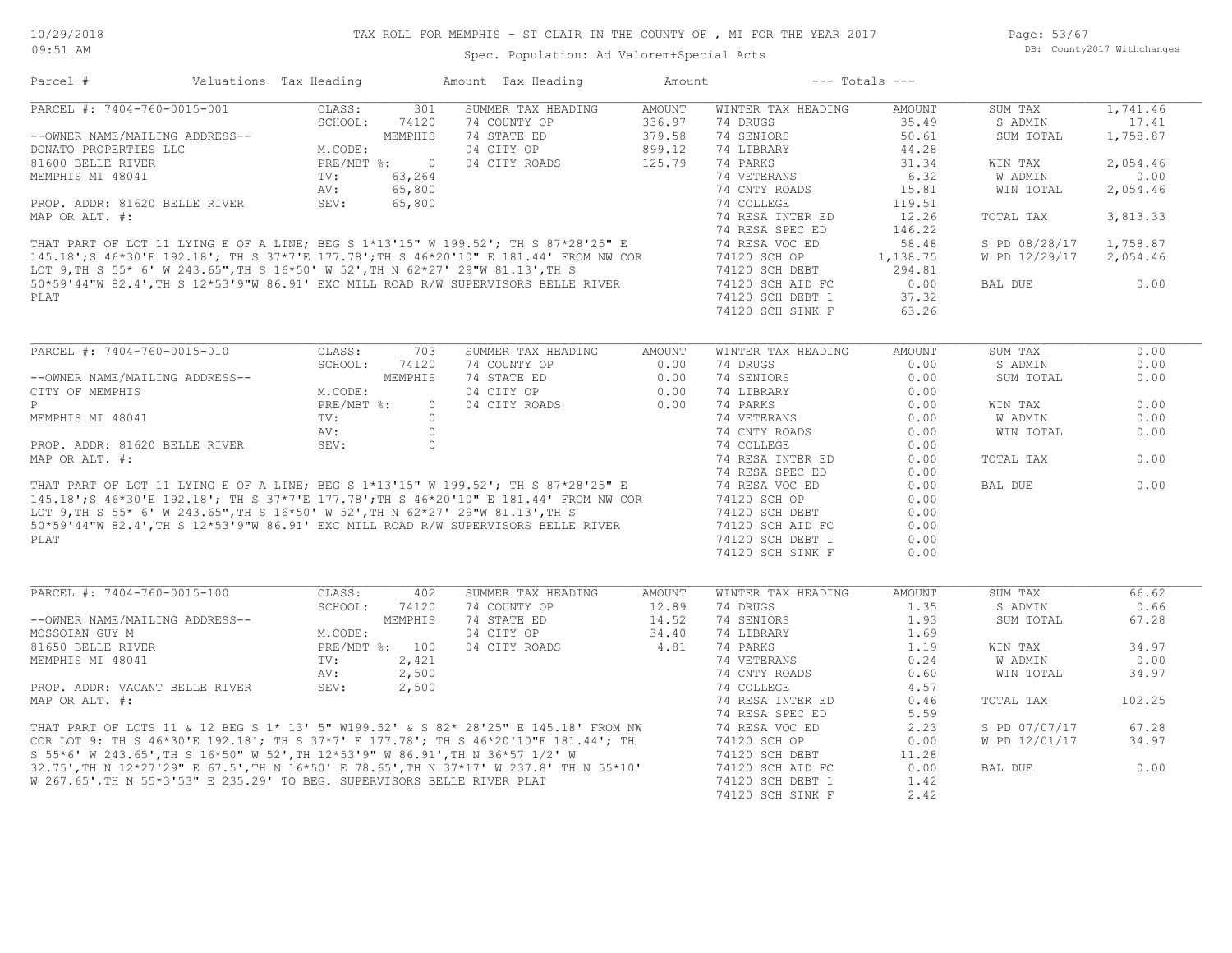Page: 53/67 DB: County2017 Withchanges

| Parcel #                                                                | Valuations Tax Heading |                | Amount Tax Heading                                                                                                                                                                                                                      | Amount        |                    | $---$ Totals $---$ |               |          |
|-------------------------------------------------------------------------|------------------------|----------------|-----------------------------------------------------------------------------------------------------------------------------------------------------------------------------------------------------------------------------------------|---------------|--------------------|--------------------|---------------|----------|
| PARCEL #: 7404-760-0015-001                                             | CLASS:                 | 301            | SUMMER TAX HEADING                                                                                                                                                                                                                      | <b>AMOUNT</b> | WINTER TAX HEADING | <b>AMOUNT</b>      | SUM TAX       | 1,741.46 |
|                                                                         | SCHOOL:                | 74120          | 74 COUNTY OP                                                                                                                                                                                                                            | 336.97        | 74 DRUGS           | 35.49              | S ADMIN       | 17.41    |
| --OWNER NAME/MAILING ADDRESS--                                          |                        | <b>MEMPHIS</b> | 74 STATE ED                                                                                                                                                                                                                             | 379.58        | 74 SENIORS         | 50.61              | SUM TOTAL     | 1,758.87 |
| DONATO PROPERTIES LLC                                                   | M.CODE:                |                | 04 CITY OP                                                                                                                                                                                                                              | 899.12        | 74 LIBRARY         | 44.28              |               |          |
| 81600 BELLE RIVER                                                       | PRE/MBT %:             | $\overline{0}$ | 04 CITY ROADS                                                                                                                                                                                                                           | 125.79        | 74 PARKS           | 31.34              | WIN TAX       | 2,054.46 |
| MEMPHIS MI 48041                                                        | TV:                    | 63,264         |                                                                                                                                                                                                                                         |               | 74 VETERANS        | 6.32               | W ADMIN       | 0.00     |
|                                                                         | AV:                    | 65,800         |                                                                                                                                                                                                                                         |               | 74 CNTY ROADS      | 15.81              | WIN TOTAL     | 2,054.46 |
| PROP. ADDR: 81620 BELLE RIVER                                           | SEV:                   | 65,800         |                                                                                                                                                                                                                                         |               | 74 COLLEGE         | 119.51             |               |          |
| MAP OR ALT. #:                                                          |                        |                |                                                                                                                                                                                                                                         |               | 74 RESA INTER ED   | 12.26              | TOTAL TAX     | 3,813.33 |
|                                                                         |                        |                |                                                                                                                                                                                                                                         |               | 74 RESA SPEC ED    | 146.22             |               |          |
|                                                                         |                        |                | WAF OR ALT. #:<br>THAT PART OF LOT 11 LYING E OF A LINE; BEG S 1*13'15" W 199.52'; TH S 87*28'25" E<br>145.18';S 46*30'E 192.18'; TH S 37*7'E 177.78';TH S 46*20'10" E 181.44' FROM NW COR<br>LOT 9,TH S 55* 6' W 243.65",TH S 16*50' W |               | 74 RESA VOC ED     | 58.48              | S PD 08/28/17 | 1,758.87 |
|                                                                         |                        |                |                                                                                                                                                                                                                                         |               | 74120 SCH OP       | 1,138.75           | W PD 12/29/17 | 2,054.46 |
|                                                                         |                        |                |                                                                                                                                                                                                                                         |               | 74120 SCH DEBT     | 294.81             |               |          |
|                                                                         |                        |                |                                                                                                                                                                                                                                         |               | 74120 SCH AID FC   | 0.00               | BAL DUE       | 0.00     |
| PLAT                                                                    |                        |                |                                                                                                                                                                                                                                         |               | 74120 SCH DEBT 1   | 37.32              |               |          |
|                                                                         |                        |                |                                                                                                                                                                                                                                         |               | 74120 SCH SINK F   | 63.26              |               |          |
|                                                                         |                        |                |                                                                                                                                                                                                                                         |               |                    |                    |               |          |
| PARCEL #: 7404-760-0015-010                                             | CLASS:                 | 703            | SUMMER TAX HEADING                                                                                                                                                                                                                      | AMOUNT        | WINTER TAX HEADING | <b>AMOUNT</b>      | SUM TAX       | 0.00     |
|                                                                         | SCHOOL:                | 74120          | 74 COUNTY OP                                                                                                                                                                                                                            | 0.00          | 74 DRUGS           | 0.00               | S ADMIN       | 0.00     |
| --OWNER NAME/MAILING ADDRESS--                                          |                        | MEMPHIS        | 74 STATE ED                                                                                                                                                                                                                             | 0.00          | 74 SENIORS         | 0.00               | SUM TOTAL     | 0.00     |
| CITY OF MEMPHIS                                                         | M.CODE:                |                | 04 CITY OP                                                                                                                                                                                                                              | 0.00          | 74 LIBRARY         | 0.00               |               |          |
| P                                                                       | PRE/MBT %:             | $\circ$        | 04 CITY ROADS                                                                                                                                                                                                                           | 0.00          | 74 PARKS           | 0.00               | WIN TAX       | 0.00     |
| MEMPHIS MI 48041                                                        | TV:                    | $\circ$        |                                                                                                                                                                                                                                         |               | 74 VETERANS        | 0.00               | W ADMIN       | 0.00     |
|                                                                         | AV:                    | $\circ$        |                                                                                                                                                                                                                                         |               | 74 CNTY ROADS      | 0.00               | WIN TOTAL     | 0.00     |
| PROP. ADDR: 81620 BELLE RIVER                                           | SEV:                   | $\circ$        |                                                                                                                                                                                                                                         |               | 74 COLLEGE         | 0.00               |               |          |
| MAP OR ALT. #:                                                          |                        |                |                                                                                                                                                                                                                                         |               | 74 RESA INTER ED   | 0.00               | TOTAL TAX     | 0.00     |
|                                                                         |                        |                |                                                                                                                                                                                                                                         |               | 74 RESA SPEC ED    | 0.00               |               |          |
|                                                                         |                        |                |                                                                                                                                                                                                                                         |               | 74 RESA VOC ED     | 0.00               | BAL DUE       | 0.00     |
|                                                                         |                        |                |                                                                                                                                                                                                                                         |               | 74120 SCH OP       | 0.00               |               |          |
|                                                                         |                        |                |                                                                                                                                                                                                                                         |               | 74120 SCH DEBT     | 0.00               |               |          |
|                                                                         |                        |                | THAT PART OF LOT 11 LYING E OF A LINE; BEG S 1*13'15" W 199.52'; TH S 87*28'25" E<br>145.18';S 46*30'E 192.18'; TH S 37*7'E 177.78';TH S 46*20'10" E 181.44' FROM NW COR<br>LOT 9,TH S 55* 6' W 243.65",TH S 16*50' W 52',TH N 62*27    |               | 74120 SCH AID FC   | 0.00               |               |          |
| PLAT                                                                    |                        |                |                                                                                                                                                                                                                                         |               | 74120 SCH DEBT 1   | 0.00               |               |          |
|                                                                         |                        |                |                                                                                                                                                                                                                                         |               | 74120 SCH SINK F   | 0.00               |               |          |
|                                                                         |                        |                |                                                                                                                                                                                                                                         |               |                    |                    |               |          |
| PARCEL #: 7404-760-0015-100                                             | CLASS:                 | 402            | SUMMER TAX HEADING                                                                                                                                                                                                                      | AMOUNT        | WINTER TAX HEADING | <b>AMOUNT</b>      | SUM TAX       | 66.62    |
|                                                                         | SCHOOL:                | 74120          | 74 COUNTY OP                                                                                                                                                                                                                            | 12.89         | 74 DRUGS           | 1.35               | S ADMIN       | 0.66     |
| --OWNER NAME/MAILING ADDRESS--                                          |                        | MEMPHIS        | 74 STATE ED                                                                                                                                                                                                                             | 14.52         | 74 SENIORS         | 1.93               | SUM TOTAL     | 67.28    |
| MOSSOIAN GUY M                                                          | M.CODE:                |                | 04 CITY OP                                                                                                                                                                                                                              | 34.40         | 74 LIBRARY         | 1.69               |               |          |
| 81650 BELLE RIVER                                                       |                        | PRE/MBT %: 100 | 04 CITY ROADS                                                                                                                                                                                                                           | 4.81          | 74 PARKS           | 1.19               | WIN TAX       | 34.97    |
| MEMPHIS MI 48041                                                        | $\text{TV}$ :          | 2,421          |                                                                                                                                                                                                                                         |               | 74 VETERANS        | 0.24               | W ADMIN       | 0.00     |
|                                                                         | AV:                    | 2,500          |                                                                                                                                                                                                                                         |               | 74 CNTY ROADS      | 0.60               | WIN TOTAL     | 34.97    |
| PROP. ADDR: VACANT BELLE RIVER                                          | SEV:                   | 2,500          |                                                                                                                                                                                                                                         |               | 74 COLLEGE         | 4.57               |               |          |
| MAP OR ALT. #:                                                          |                        |                |                                                                                                                                                                                                                                         |               | 74 RESA INTER ED   | 0.46               | TOTAL TAX     | 102.25   |
|                                                                         |                        |                |                                                                                                                                                                                                                                         |               | 74 RESA SPEC ED    | 5.59               |               |          |
|                                                                         |                        |                | THAT PART OF LOTS 11 & 12 BEG S 1* 13' 5" W199.52' & S 82* 28'25" E 145.18' FROM NW<br>COR LOT 9; TH S 46*30'E 192.18'; TH S 37*7' E 177.78'; TH S 46*20'10"E 181.44'; TH<br>S 55*6' W 243.65',TH S 16*50" W 52',TH 12*53'9" W 86.91    |               | 74 RESA VOC ED     | 2.23               | S PD 07/07/17 | 67.28    |
|                                                                         |                        |                |                                                                                                                                                                                                                                         |               | 74120 SCH OP       | 0.00               | W PD 12/01/17 | 34.97    |
|                                                                         |                        |                |                                                                                                                                                                                                                                         |               | 74120 SCH DEBT     | 11.28              |               |          |
|                                                                         |                        |                |                                                                                                                                                                                                                                         |               | 74120 SCH AID FC   | 0.00               | BAL DUE       | 0.00     |
| W 267.65', TH N 55*3'53" E 235.29' TO BEG. SUPERVISORS BELLE RIVER PLAT |                        |                |                                                                                                                                                                                                                                         |               | 74120 SCH DEBT 1   | 1.42               |               |          |
|                                                                         |                        |                |                                                                                                                                                                                                                                         |               | 74120 SCH SINK F   | 2.42               |               |          |
|                                                                         |                        |                |                                                                                                                                                                                                                                         |               |                    |                    |               |          |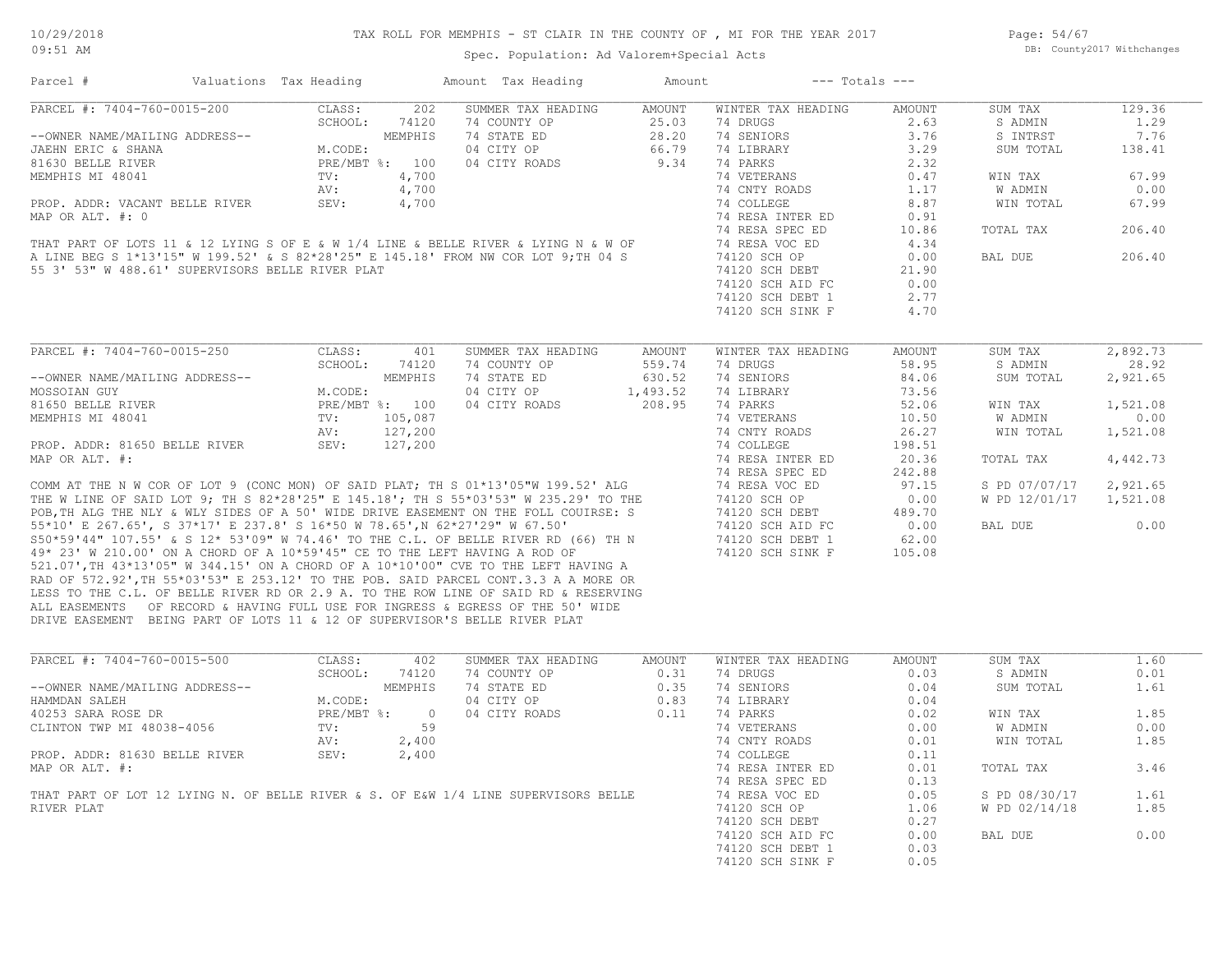Page: 54/67 DB: County2017 Withchanges

# Spec. Population: Ad Valorem+Special Acts

Parcel # Valuations Tax Heading Amount Tax Heading Amount --- Totals ---

| PARCEL #: 7404-760-0015-200                                                         | CLASS:<br>202         | SUMMER TAX HEADING | <b>AMOUNT</b> | WINTER TAX HEADING | AMOUNT | SUM TAX        | 129.36   |
|-------------------------------------------------------------------------------------|-----------------------|--------------------|---------------|--------------------|--------|----------------|----------|
|                                                                                     | SCHOOL:<br>74120      | 74 COUNTY OP       | 25.03         | 74 DRUGS           | 2.63   | S ADMIN        | 1.29     |
| --OWNER NAME/MAILING ADDRESS--                                                      | MEMPHIS               | 74 STATE ED        | 28.20         | 74 SENIORS         | 3.76   | S INTRST       | 7.76     |
| JAEHN ERIC & SHANA                                                                  | M.CODE:               | 04 CITY OP         | 66.79         | 74 LIBRARY         | 3.29   | SUM TOTAL      | 138.41   |
| 81630 BELLE RIVER                                                                   | PRE/MBT %: 100        | 04 CITY ROADS      | 9.34          | 74 PARKS           | 2.32   |                |          |
| MEMPHIS MI 48041                                                                    | 4,700<br>TV:          |                    |               | 74 VETERANS        | 0.47   | WIN TAX        | 67.99    |
|                                                                                     | 4,700<br>AV:          |                    |               | 74 CNTY ROADS      | 1.17   | W ADMIN        | 0.00     |
| PROP. ADDR: VACANT BELLE RIVER                                                      | 4,700<br>SEV:         |                    |               | 74 COLLEGE         | 8.87   | WIN TOTAL      | 67.99    |
| MAP OR ALT. #: 0                                                                    |                       |                    |               | 74 RESA INTER ED   | 0.91   |                |          |
|                                                                                     |                       |                    |               | 74 RESA SPEC ED    | 10.86  | TOTAL TAX      | 206.40   |
| THAT PART OF LOTS 11 & 12 LYING S OF E & W 1/4 LINE & BELLE RIVER & LYING N & W OF  |                       |                    |               | 74 RESA VOC ED     | 4.34   |                |          |
| A LINE BEG S 1*13'15" W 199.52' & S 82*28'25" E 145.18' FROM NW COR LOT 9; TH 04 S  |                       |                    |               | 74120 SCH OP       | 0.00   | BAL DUE        | 206.40   |
| 55 3' 53" W 488.61' SUPERVISORS BELLE RIVER PLAT                                    |                       |                    |               | 74120 SCH DEBT     | 21.90  |                |          |
|                                                                                     |                       |                    |               | 74120 SCH AID FC   | 0.00   |                |          |
|                                                                                     |                       |                    |               | 74120 SCH DEBT 1   | 2.77   |                |          |
|                                                                                     |                       |                    |               |                    |        |                |          |
|                                                                                     |                       |                    |               | 74120 SCH SINK F   | 4.70   |                |          |
|                                                                                     |                       |                    |               |                    |        |                |          |
| PARCEL #: 7404-760-0015-250                                                         | CLASS:<br>401         | SUMMER TAX HEADING | AMOUNT        | WINTER TAX HEADING | AMOUNT | SUM TAX        | 2,892.73 |
|                                                                                     | SCHOOL:<br>74120      | 74 COUNTY OP       | 559.74        | 74 DRUGS           | 58.95  | S ADMIN        | 28.92    |
| --OWNER NAME/MAILING ADDRESS--                                                      | MEMPHIS               | 74 STATE ED        | 630.52        | 74 SENIORS         | 84.06  | SUM TOTAL      | 2,921.65 |
| MOSSOIAN GUY                                                                        | M.CODE:               | 04 CITY OP         | 1,493.52      | 74 LIBRARY         | 73.56  |                |          |
| 81650 BELLE RIVER                                                                   | PRE/MBT %: 100        | 04 CITY ROADS      | 208.95        | 74 PARKS           | 52.06  | WIN TAX        | 1,521.08 |
| MEMPHIS MI 48041                                                                    | TV:<br>105,087        |                    |               | 74 VETERANS        | 10.50  | <b>W ADMIN</b> | 0.00     |
|                                                                                     | 127,200<br>AV:        |                    |               | 74 CNTY ROADS      | 26.27  | WIN TOTAL      | 1,521.08 |
| PROP. ADDR: 81650 BELLE RIVER                                                       | SEV:<br>127,200       |                    |               | 74 COLLEGE         | 198.51 |                |          |
| MAP OR ALT. #:                                                                      |                       |                    |               | 74 RESA INTER ED   | 20.36  | TOTAL TAX      | 4,442.73 |
|                                                                                     |                       |                    |               | 74 RESA SPEC ED    | 242.88 |                |          |
| COMM AT THE N W COR OF LOT 9 (CONC MON) OF SAID PLAT; TH S 01*13'05"W 199.52' ALG   |                       |                    |               | 74 RESA VOC ED     | 97.15  | S PD 07/07/17  | 2,921.65 |
| THE W LINE OF SAID LOT 9: TH S 82*28'25" E 145.18': TH S 55*03'53" W 235.29' TO THE |                       |                    |               | 74120 SCH OP       | 0.00   | W PD 12/01/17  | 1,521.08 |
| POB, TH ALG THE NLY & WLY SIDES OF A 50' WIDE DRIVE EASEMENT ON THE FOLL COUIRSE: S |                       |                    |               | 74120 SCH DEBT     | 489.70 |                |          |
| 55*10' E 267.65', S 37*17' E 237.8' S 16*50 W 78.65', N 62*27'29" W 67.50'          |                       |                    |               | 74120 SCH AID FC   | 0.00   | BAL DUE        | 0.00     |
| S50*59'44" 107.55' & S 12* 53'09" W 74.46' TO THE C.L. OF BELLE RIVER RD (66) TH N  |                       |                    |               | 74120 SCH DEBT 1   | 62.00  |                |          |
| 49* 23' W 210.00' ON A CHORD OF A 10*59'45" CE TO THE LEFT HAVING A ROD OF          |                       |                    |               | 74120 SCH SINK F   | 105.08 |                |          |
| 521.07', TH 43*13'05" W 344.15' ON A CHORD OF A 10*10'00" CVE TO THE LEFT HAVING A  |                       |                    |               |                    |        |                |          |
| RAD OF 572.92', TH 55*03'53" E 253.12' TO THE POB. SAID PARCEL CONT.3.3 A A MORE OR |                       |                    |               |                    |        |                |          |
| LESS TO THE C.L. OF BELLE RIVER RD OR 2.9 A. TO THE ROW LINE OF SAID RD & RESERVING |                       |                    |               |                    |        |                |          |
| ALL EASEMENTS OF RECORD & HAVING FULL USE FOR INGRESS & EGRESS OF THE 50' WIDE      |                       |                    |               |                    |        |                |          |
| DRIVE EASEMENT BEING PART OF LOTS 11 & 12 OF SUPERVISOR'S BELLE RIVER PLAT          |                       |                    |               |                    |        |                |          |
|                                                                                     |                       |                    |               |                    |        |                |          |
| PARCEL #: 7404-760-0015-500                                                         | CLASS:<br>402         | SUMMER TAX HEADING | <b>AMOUNT</b> | WINTER TAX HEADING | AMOUNT | SUM TAX        | 1.60     |
|                                                                                     | SCHOOL:<br>74120      | 74 COUNTY OP       | 0.31          | 74 DRUGS           | 0.03   | S ADMIN        | 0.01     |
| --OWNER NAME/MAILING ADDRESS--                                                      | MEMPHIS               | 74 STATE ED        | 0.35          | 74 SENIORS         | 0.04   | SUM TOTAL      | 1.61     |
| HAMMDAN SALEH                                                                       | M.CODE:               | 04 CITY OP         | 0.83          | 74 LIBRARY         | 0.04   |                |          |
| 40253 SARA ROSE DR                                                                  | PRE/MBT %:<br>$\circ$ | 04 CITY ROADS      | 0.11          | 74 PARKS           | 0.02   | WIN TAX        | 1.85     |
| CLINTON TWP MI 48038-4056                                                           | TV:<br>59             |                    |               | 74 VETERANS        | 0.00   | W ADMIN        | 0.00     |
|                                                                                     | 2,400<br>AV:          |                    |               | 74 CNTY ROADS      | 0.01   | WIN TOTAL      | 1.85     |
| PROP. ADDR: 81630 BELLE RIVER                                                       | SEV:                  |                    |               | 74 COLLEGE         | 0.11   |                |          |
|                                                                                     | 2,400                 |                    |               |                    |        |                |          |
| MAP OR ALT. #:                                                                      |                       |                    |               | 74 RESA INTER ED   | 0.01   | TOTAL TAX      | 3.46     |
|                                                                                     |                       |                    |               | 74 RESA SPEC ED    | 0.13   |                |          |
| THAT PART OF LOT 12 LYING N. OF BELLE RIVER & S. OF E&W 1/4 LINE SUPERVISORS BELLE  |                       |                    |               | 74 RESA VOC ED     | 0.05   | S PD 08/30/17  | 1.61     |
| RIVER PLAT                                                                          |                       |                    |               | 74120 SCH OP       | 1.06   | W PD 02/14/18  | 1.85     |
|                                                                                     |                       |                    |               | 74120 SCH DEBT     | 0.27   |                |          |
|                                                                                     |                       |                    |               | 74120 SCH AID FC   | 0.00   | BAL DUE        | 0.00     |
|                                                                                     |                       |                    |               | 74120 SCH DEBT 1   | 0.03   |                |          |
|                                                                                     |                       |                    |               | 74120 SCH SINK F   | 0.05   |                |          |
|                                                                                     |                       |                    |               |                    |        |                |          |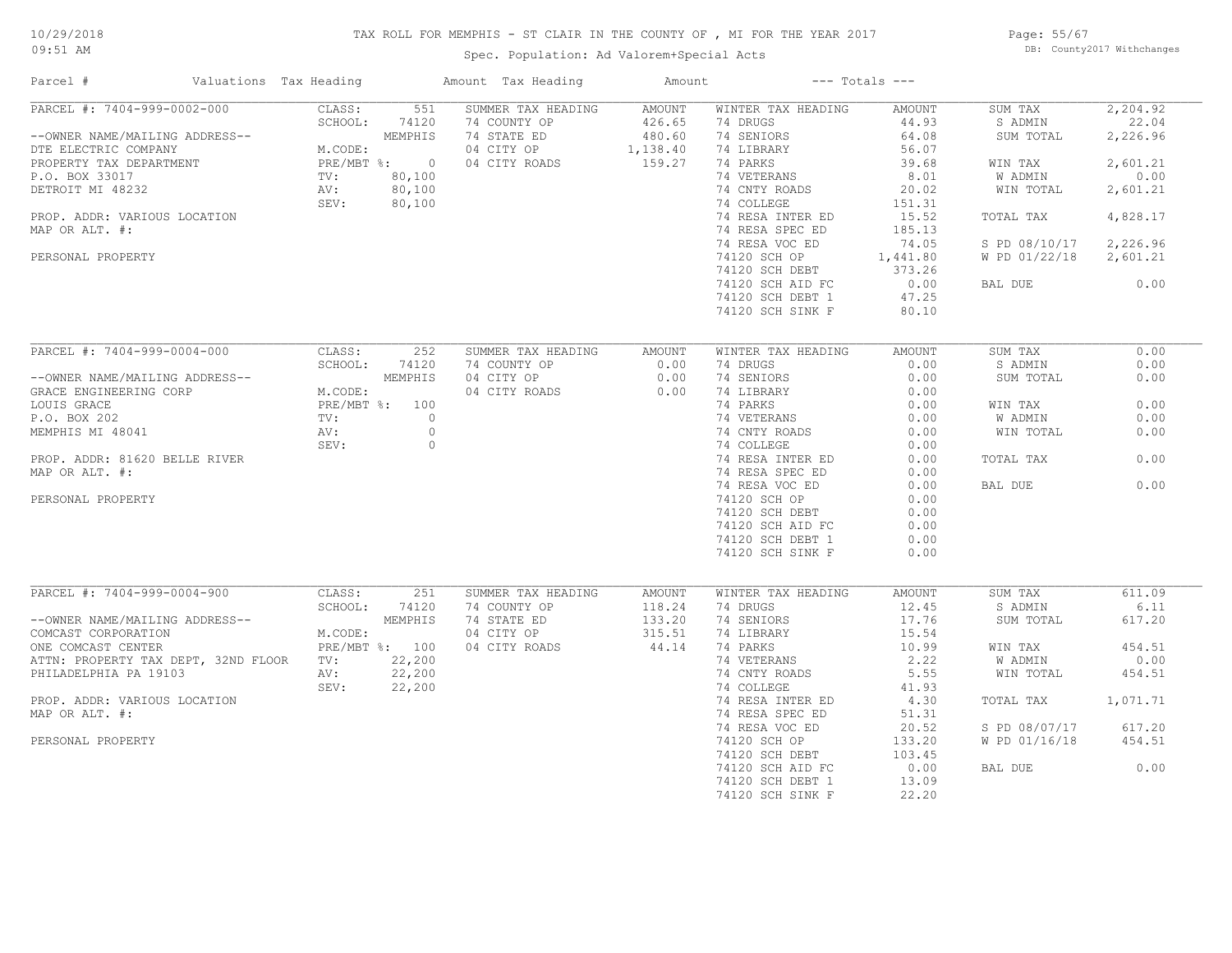# 10/29/2018

# TAX ROLL FOR MEMPHIS - ST CLAIR IN THE COUNTY OF , MI FOR THE YEAR 2017

09:51 AM

# Spec. Population: Ad Valorem+Special Acts

Page: 55/67 DB: County2017 Withchanges

| Parcel #                                                                                                                                                                                                                      | Valuations Tax Heading                             |                                                                             | Amount Tax Heading                                                               | Amount                                           |                                                                                                                                                                                                                                                                             | $---$ Totals $---$                                                                                                                                |                                                                                                                              |                                                                                                           |
|-------------------------------------------------------------------------------------------------------------------------------------------------------------------------------------------------------------------------------|----------------------------------------------------|-----------------------------------------------------------------------------|----------------------------------------------------------------------------------|--------------------------------------------------|-----------------------------------------------------------------------------------------------------------------------------------------------------------------------------------------------------------------------------------------------------------------------------|---------------------------------------------------------------------------------------------------------------------------------------------------|------------------------------------------------------------------------------------------------------------------------------|-----------------------------------------------------------------------------------------------------------|
| PARCEL #: 7404-999-0002-000<br>--OWNER NAME/MAILING ADDRESS--<br>DTE ELECTRIC COMPANY<br>PROPERTY TAX DEPARTMENT<br>P.O. BOX 33017<br>DETROIT MI 48232<br>PROP. ADDR: VARIOUS LOCATION<br>MAP OR ALT. #:<br>PERSONAL PROPERTY | CLASS:<br>SCHOOL:<br>M.CODE:<br>TV:<br>AV:<br>SEV: | 551<br>74120<br>MEMPHIS<br>$PRE/MBT$ $\div$ 0<br>80,100<br>80,100<br>80,100 | SUMMER TAX HEADING<br>74 COUNTY OP<br>74 STATE ED<br>04 CITY OP<br>04 CITY ROADS | AMOUNT<br>426.65<br>480.60<br>1,138.40<br>159.27 | WINTER TAX HEADING<br>74 DRUGS<br>74 SENIORS<br>74 LIBRARY<br>74 PARKS<br>74 VETERANS<br>74 CNTY ROADS<br>74 COLLEGE<br>74 RESA INTER ED<br>74 RESA SPEC ED<br>74 RESA VOC ED<br>74120 SCH OP<br>74120 SCH DEBT<br>74120 SCH AID FC<br>74120 SCH DEBT 1<br>74120 SCH SINK F | AMOUNT<br>44.93<br>64.08<br>56.07<br>39.68<br>8.01<br>20.02<br>151.31<br>15.52<br>185.13<br>74.05<br>1,441.80<br>373.26<br>0.00<br>47.25<br>80.10 | SUM TAX<br>S ADMIN<br>SUM TOTAL<br>WIN TAX<br>W ADMIN<br>WIN TOTAL<br>TOTAL TAX<br>S PD 08/10/17<br>W PD 01/22/18<br>BAL DUE | 2,204.92<br>22.04<br>2,226.96<br>2,601.21<br>0.00<br>2,601.21<br>4,828.17<br>2,226.96<br>2,601.21<br>0.00 |
| PARCEL #: 7404-999-0004-000                                                                                                                                                                                                   | CLASS:                                             | 252                                                                         | SUMMER TAX HEADING                                                               | AMOUNT                                           | WINTER TAX HEADING                                                                                                                                                                                                                                                          | AMOUNT                                                                                                                                            | SUM TAX                                                                                                                      | 0.00                                                                                                      |
|                                                                                                                                                                                                                               | SCHOOL:                                            | 74120                                                                       | 74 COUNTY OP                                                                     | 0.00                                             | 74 DRUGS                                                                                                                                                                                                                                                                    | 0.00                                                                                                                                              | S ADMIN                                                                                                                      | 0.00                                                                                                      |
| --OWNER NAME/MAILING ADDRESS--                                                                                                                                                                                                |                                                    | MEMPHIS                                                                     | 04 CITY OP                                                                       | 0.00                                             | 74 SENIORS                                                                                                                                                                                                                                                                  | 0.00                                                                                                                                              | SUM TOTAL                                                                                                                    | 0.00                                                                                                      |
| GRACE ENGINEERING CORP                                                                                                                                                                                                        | M.CODE:                                            |                                                                             | 04 CITY ROADS                                                                    | 0.00                                             | 74 LIBRARY                                                                                                                                                                                                                                                                  | 0.00                                                                                                                                              |                                                                                                                              |                                                                                                           |
| LOUIS GRACE                                                                                                                                                                                                                   |                                                    | PRE/MBT %: 100                                                              |                                                                                  |                                                  | 74 PARKS                                                                                                                                                                                                                                                                    | 0.00                                                                                                                                              | WIN TAX                                                                                                                      | 0.00                                                                                                      |
| P.O. BOX 202                                                                                                                                                                                                                  | TV:                                                | $\circ$                                                                     |                                                                                  |                                                  | 74 VETERANS                                                                                                                                                                                                                                                                 | 0.00                                                                                                                                              | W ADMIN                                                                                                                      | 0.00                                                                                                      |
| MEMPHIS MI 48041                                                                                                                                                                                                              | AV:                                                | $\circ$                                                                     |                                                                                  |                                                  | 74 CNTY ROADS                                                                                                                                                                                                                                                               | 0.00                                                                                                                                              | WIN TOTAL                                                                                                                    | 0.00                                                                                                      |
|                                                                                                                                                                                                                               | SEV:                                               | $\circ$                                                                     |                                                                                  |                                                  | 74 COLLEGE                                                                                                                                                                                                                                                                  | 0.00                                                                                                                                              |                                                                                                                              |                                                                                                           |
| PROP. ADDR: 81620 BELLE RIVER                                                                                                                                                                                                 |                                                    |                                                                             |                                                                                  |                                                  | 74 RESA INTER ED                                                                                                                                                                                                                                                            | 0.00                                                                                                                                              | TOTAL TAX                                                                                                                    | 0.00                                                                                                      |
| MAP OR ALT. #:                                                                                                                                                                                                                |                                                    |                                                                             |                                                                                  |                                                  | 74 RESA SPEC ED                                                                                                                                                                                                                                                             | 0.00                                                                                                                                              |                                                                                                                              |                                                                                                           |
|                                                                                                                                                                                                                               |                                                    |                                                                             |                                                                                  |                                                  | 74 RESA VOC ED                                                                                                                                                                                                                                                              | 0.00                                                                                                                                              | BAL DUE                                                                                                                      | 0.00                                                                                                      |
| PERSONAL PROPERTY                                                                                                                                                                                                             |                                                    |                                                                             |                                                                                  |                                                  | 74120 SCH OP                                                                                                                                                                                                                                                                | 0.00                                                                                                                                              |                                                                                                                              |                                                                                                           |
|                                                                                                                                                                                                                               |                                                    |                                                                             |                                                                                  |                                                  | 74120 SCH DEBT                                                                                                                                                                                                                                                              | 0.00<br>0.00                                                                                                                                      |                                                                                                                              |                                                                                                           |
|                                                                                                                                                                                                                               |                                                    |                                                                             |                                                                                  |                                                  | 74120 SCH AID FC<br>74120 SCH DEBT 1                                                                                                                                                                                                                                        | 0.00                                                                                                                                              |                                                                                                                              |                                                                                                           |
|                                                                                                                                                                                                                               |                                                    |                                                                             |                                                                                  |                                                  | 74120 SCH SINK F                                                                                                                                                                                                                                                            | 0.00                                                                                                                                              |                                                                                                                              |                                                                                                           |
|                                                                                                                                                                                                                               |                                                    |                                                                             |                                                                                  |                                                  |                                                                                                                                                                                                                                                                             |                                                                                                                                                   |                                                                                                                              |                                                                                                           |
| PARCEL #: 7404-999-0004-900                                                                                                                                                                                                   | CLASS:                                             | 251                                                                         | SUMMER TAX HEADING                                                               | AMOUNT                                           | WINTER TAX HEADING                                                                                                                                                                                                                                                          | AMOUNT                                                                                                                                            | SUM TAX                                                                                                                      | 611.09                                                                                                    |
|                                                                                                                                                                                                                               | SCHOOL:                                            | 74120                                                                       | 74 COUNTY OP                                                                     | 118.24                                           | 74 DRUGS                                                                                                                                                                                                                                                                    | 12.45                                                                                                                                             | S ADMIN                                                                                                                      | 6.11                                                                                                      |
| --OWNER NAME/MAILING ADDRESS--                                                                                                                                                                                                |                                                    | MEMPHIS                                                                     | 74 STATE ED                                                                      | 133.20                                           | 74 SENIORS                                                                                                                                                                                                                                                                  | 17.76                                                                                                                                             | SUM TOTAL                                                                                                                    | 617.20                                                                                                    |
| COMCAST CORPORATION                                                                                                                                                                                                           | M.CODE:                                            |                                                                             | 04 CITY OP                                                                       | 315.51                                           | 74 LIBRARY                                                                                                                                                                                                                                                                  | 15.54                                                                                                                                             |                                                                                                                              |                                                                                                           |
| ONE COMCAST CENTER<br>ATTN: PROPERTY TAX DEPT, 32ND FLOOR                                                                                                                                                                     | TV:                                                | PRE/MBT %: 100<br>22,200                                                    | 04 CITY ROADS                                                                    | 44.14                                            | 74 PARKS<br>74 VETERANS                                                                                                                                                                                                                                                     | 10.99<br>2.22                                                                                                                                     | WIN TAX<br>W ADMIN                                                                                                           | 454.51<br>0.00                                                                                            |
| PHILADELPHIA PA 19103                                                                                                                                                                                                         | AV:                                                | 22,200                                                                      |                                                                                  |                                                  | 74 CNTY ROADS                                                                                                                                                                                                                                                               | 5.55                                                                                                                                              | WIN TOTAL                                                                                                                    | 454.51                                                                                                    |
|                                                                                                                                                                                                                               | SEV:                                               | 22,200                                                                      |                                                                                  |                                                  | 74 COLLEGE                                                                                                                                                                                                                                                                  | 41.93                                                                                                                                             |                                                                                                                              |                                                                                                           |
| PROP. ADDR: VARIOUS LOCATION                                                                                                                                                                                                  |                                                    |                                                                             |                                                                                  |                                                  | 74 RESA INTER ED                                                                                                                                                                                                                                                            | 4.30                                                                                                                                              | TOTAL TAX                                                                                                                    | 1,071.71                                                                                                  |
| MAP OR ALT. #:                                                                                                                                                                                                                |                                                    |                                                                             |                                                                                  |                                                  | 74 RESA SPEC ED                                                                                                                                                                                                                                                             | 51.31                                                                                                                                             |                                                                                                                              |                                                                                                           |
|                                                                                                                                                                                                                               |                                                    |                                                                             |                                                                                  |                                                  | 74 RESA VOC ED                                                                                                                                                                                                                                                              | 20.52                                                                                                                                             | S PD 08/07/17                                                                                                                | 617.20                                                                                                    |
| PERSONAL PROPERTY                                                                                                                                                                                                             |                                                    |                                                                             |                                                                                  |                                                  | 74120 SCH OP                                                                                                                                                                                                                                                                | 133.20                                                                                                                                            | W PD 01/16/18                                                                                                                | 454.51                                                                                                    |
|                                                                                                                                                                                                                               |                                                    |                                                                             |                                                                                  |                                                  | 74120 SCH DEBT                                                                                                                                                                                                                                                              | 103.45                                                                                                                                            |                                                                                                                              |                                                                                                           |
|                                                                                                                                                                                                                               |                                                    |                                                                             |                                                                                  |                                                  | 74120 SCH AID FC                                                                                                                                                                                                                                                            | 0.00                                                                                                                                              | BAL DUE                                                                                                                      | 0.00                                                                                                      |
|                                                                                                                                                                                                                               |                                                    |                                                                             |                                                                                  |                                                  | 74120 SCH DEBT 1                                                                                                                                                                                                                                                            | 13.09                                                                                                                                             |                                                                                                                              |                                                                                                           |
|                                                                                                                                                                                                                               |                                                    |                                                                             |                                                                                  |                                                  | 74120 SCH SINK F                                                                                                                                                                                                                                                            | 22.20                                                                                                                                             |                                                                                                                              |                                                                                                           |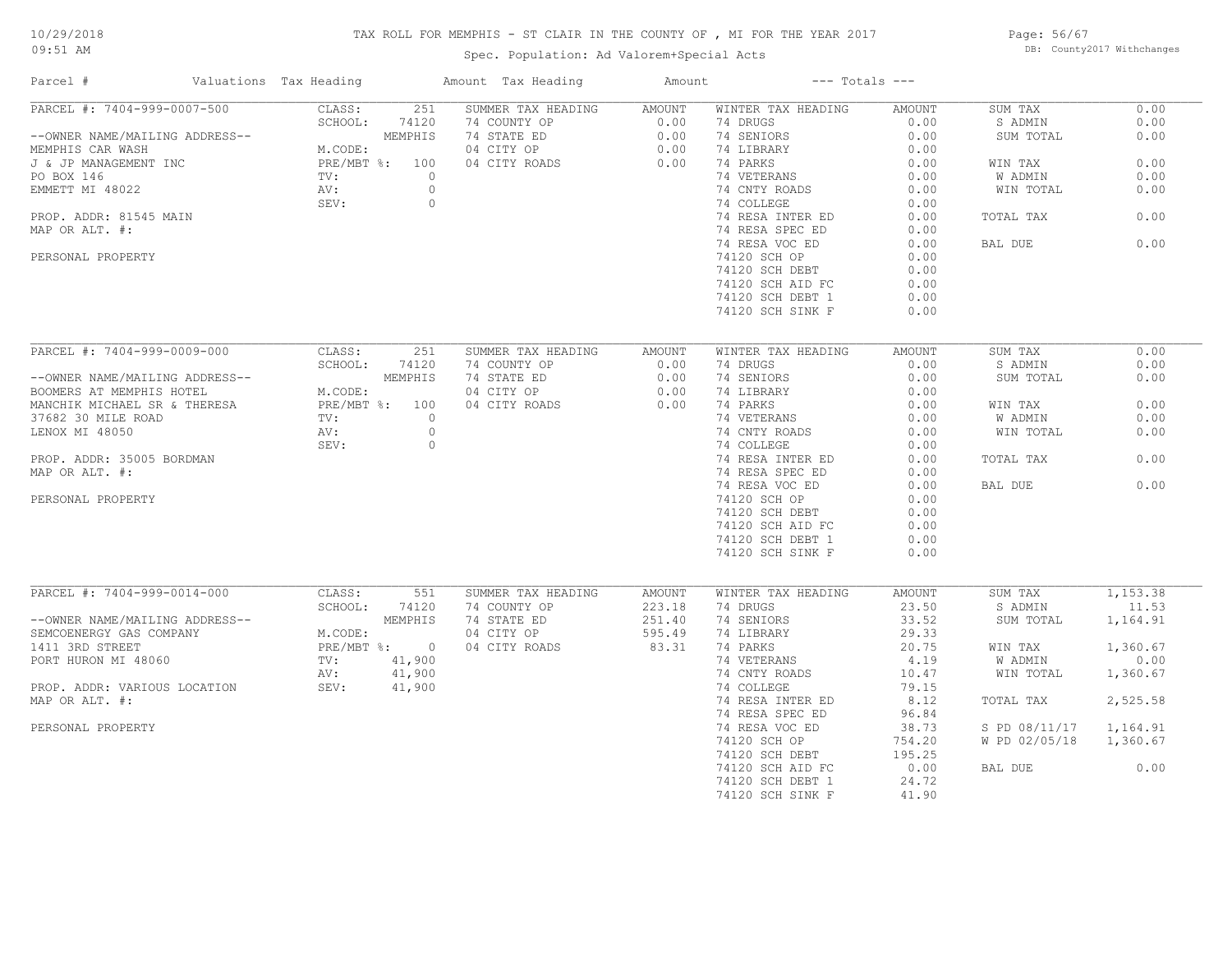# TAX ROLL FOR MEMPHIS - ST CLAIR IN THE COUNTY OF , MI FOR THE YEAR 2017

Spec. Population: Ad Valorem+Special Acts

Page: 56/67 DB: County2017 Withchanges

| Parcel #                                           | Valuations Tax Heading            | Amount Tax Heading                 | Amount         |                                | $---$ Totals $---$ |                    |              |
|----------------------------------------------------|-----------------------------------|------------------------------------|----------------|--------------------------------|--------------------|--------------------|--------------|
| PARCEL #: 7404-999-0007-500                        | 251<br>CLASS:<br>SCHOOL:<br>74120 | SUMMER TAX HEADING<br>74 COUNTY OP | AMOUNT<br>0.00 | WINTER TAX HEADING<br>74 DRUGS | AMOUNT<br>0.00     | SUM TAX<br>S ADMIN | 0.00<br>0.00 |
| --OWNER NAME/MAILING ADDRESS--<br>MEMPHIS CAR WASH | MEMPHIS<br>M.CODE:                | 74 STATE ED<br>04 CITY OP          | 0.00<br>0.00   | 74 SENIORS<br>74 LIBRARY       | 0.00<br>0.00       | SUM TOTAL          | 0.00         |
| J & JP MANAGEMENT INC                              | PRE/MBT %: 100                    | 04 CITY ROADS                      | 0.00           | 74 PARKS                       | 0.00               | WIN TAX            | 0.00         |
| PO BOX 146                                         | TV:                               | $\Omega$                           |                | 74 VETERANS                    | 0.00               | W ADMIN            | 0.00         |
| EMMETT MI 48022                                    | AV:                               | $\circ$                            |                | 74 CNTY ROADS                  | 0.00               | WIN TOTAL          | 0.00         |
|                                                    | SEV:                              | $\circ$                            |                | 74 COLLEGE                     | 0.00               |                    |              |
| PROP. ADDR: 81545 MAIN                             |                                   |                                    |                | 74 RESA INTER ED               | 0.00               | TOTAL TAX          | 0.00         |
| MAP OR ALT. #:                                     |                                   |                                    |                | 74 RESA SPEC ED                | 0.00               |                    |              |
|                                                    |                                   |                                    |                | 74 RESA VOC ED                 | 0.00               | BAL DUE            | 0.00         |
| PERSONAL PROPERTY                                  |                                   |                                    |                | 74120 SCH OP                   | 0.00               |                    |              |
|                                                    |                                   |                                    |                | 74120 SCH DEBT                 | 0.00               |                    |              |
|                                                    |                                   |                                    |                | 74120 SCH AID FC               | 0.00               |                    |              |
|                                                    |                                   |                                    |                | 74120 SCH DEBT 1               | 0.00               |                    |              |
|                                                    |                                   |                                    |                | 74120 SCH SINK F               | 0.00               |                    |              |
|                                                    |                                   |                                    |                |                                |                    |                    |              |
| PARCEL #: 7404-999-0009-000                        | CLASS:<br>251                     | SUMMER TAX HEADING                 | AMOUNT         | WINTER TAX HEADING             | AMOUNT             | SUM TAX            | 0.00         |
|                                                    | SCHOOL:<br>74120                  | 74 COUNTY OP                       | 0.00           | 74 DRUGS                       | 0.00               | S ADMIN            | 0.00         |
| --OWNER NAME/MAILING ADDRESS--                     | MEMPHIS                           | 74 STATE ED                        | 0.00           | 74 SENIORS                     | 0.00               | SUM TOTAL          | 0.00         |
| BOOMERS AT MEMPHIS HOTEL                           | M.CODE:                           | 04 CITY OP                         | 0.00           | 74 LIBRARY                     | 0.00               |                    |              |
| MANCHIK MICHAEL SR & THERESA                       | PRE/MBT %: 100                    | 04 CITY ROADS                      | 0.00           | 74 PARKS                       | 0.00               | WIN TAX            | 0.00         |
| 37682 30 MILE ROAD                                 | TV:                               | $\Omega$                           |                | 74 VETERANS                    | 0.00               | W ADMIN            | 0.00         |
| LENOX MI 48050                                     | AV:                               | $\circ$                            |                | 74 CNTY ROADS                  | 0.00               | WIN TOTAL          | 0.00         |
|                                                    | SEV:                              | $\circ$                            |                | 74 COLLEGE                     | 0.00               |                    |              |
| PROP. ADDR: 35005 BORDMAN                          |                                   |                                    |                | 74 RESA INTER ED               | 0.00               | TOTAL TAX          | 0.00         |
| MAP OR ALT. #:                                     |                                   |                                    |                | 74 RESA SPEC ED                | 0.00               |                    |              |
|                                                    |                                   |                                    |                | 74 RESA VOC ED                 | 0.00               | BAL DUE            | 0.00         |
| PERSONAL PROPERTY                                  |                                   |                                    |                | 74120 SCH OP                   | 0.00               |                    |              |
|                                                    |                                   |                                    |                | 74120 SCH DEBT                 | 0.00               |                    |              |
|                                                    |                                   |                                    |                | 74120 SCH AID FC               | 0.00               |                    |              |
|                                                    |                                   |                                    |                | 74120 SCH DEBT 1               | 0.00               |                    |              |
|                                                    |                                   |                                    |                | 74120 SCH SINK F               | 0.00               |                    |              |
|                                                    |                                   |                                    |                |                                |                    |                    |              |
| PARCEL #: 7404-999-0014-000                        | CLASS:<br>551                     | SUMMER TAX HEADING                 | AMOUNT         | WINTER TAX HEADING             | AMOUNT             | SUM TAX            | 1,153.38     |
|                                                    | SCHOOL:<br>74120                  | 74 COUNTY OP                       | 223.18         | 74 DRUGS                       | 23.50              | S ADMIN            | 11.53        |
| --OWNER NAME/MAILING ADDRESS--                     | MEMPHIS                           | 74 STATE ED                        | 251.40         | 74 SENIORS                     | 33.52              | SUM TOTAL          | 1,164.91     |
| SEMCOENERGY GAS COMPANY                            | M.CODE:                           | 04 CITY OP                         | 595.49         | 74 LIBRARY                     | 29.33              |                    |              |
| 1411 3RD STREET                                    | PRE/MBT %: 0                      | 04 CITY ROADS                      | 83.31          | 74 PARKS                       | 20.75              | WIN TAX            | 1,360.67     |
| PORT HURON MI 48060                                | 41,900<br>TV:                     |                                    |                | 74 VETERANS                    | 4.19               | W ADMIN            | 0.00         |
|                                                    | 41,900<br>AV:                     |                                    |                | 74 CNTY ROADS                  | 10.47              | WIN TOTAL          | 1,360.67     |
| PROP. ADDR: VARIOUS LOCATION                       | 41,900<br>SEV:                    |                                    |                | 74 COLLEGE                     | 79.15              |                    |              |
| MAP OR ALT. #:                                     |                                   |                                    |                | 74 RESA INTER ED               | 8.12               | TOTAL TAX          | 2,525.58     |
|                                                    |                                   |                                    |                | 74 RESA SPEC ED                | 96.84              |                    |              |
| PERSONAL PROPERTY                                  |                                   |                                    |                | 74 RESA VOC ED                 | 38.73              | S PD 08/11/17      | 1,164.91     |
|                                                    |                                   |                                    |                | 74120 SCH OP                   | 754.20             | W PD 02/05/18      | 1,360.67     |
|                                                    |                                   |                                    |                | 74120 SCH DEBT                 | 195.25             |                    |              |
|                                                    |                                   |                                    |                | 74120 SCH AID FC               | 0.00               | BAL DUE            | 0.00         |
|                                                    |                                   |                                    |                |                                | 24.72              |                    |              |
|                                                    |                                   |                                    |                | 74120 SCH DEBT 1               |                    |                    |              |
|                                                    |                                   |                                    |                | 74120 SCH SINK F               | 41.90              |                    |              |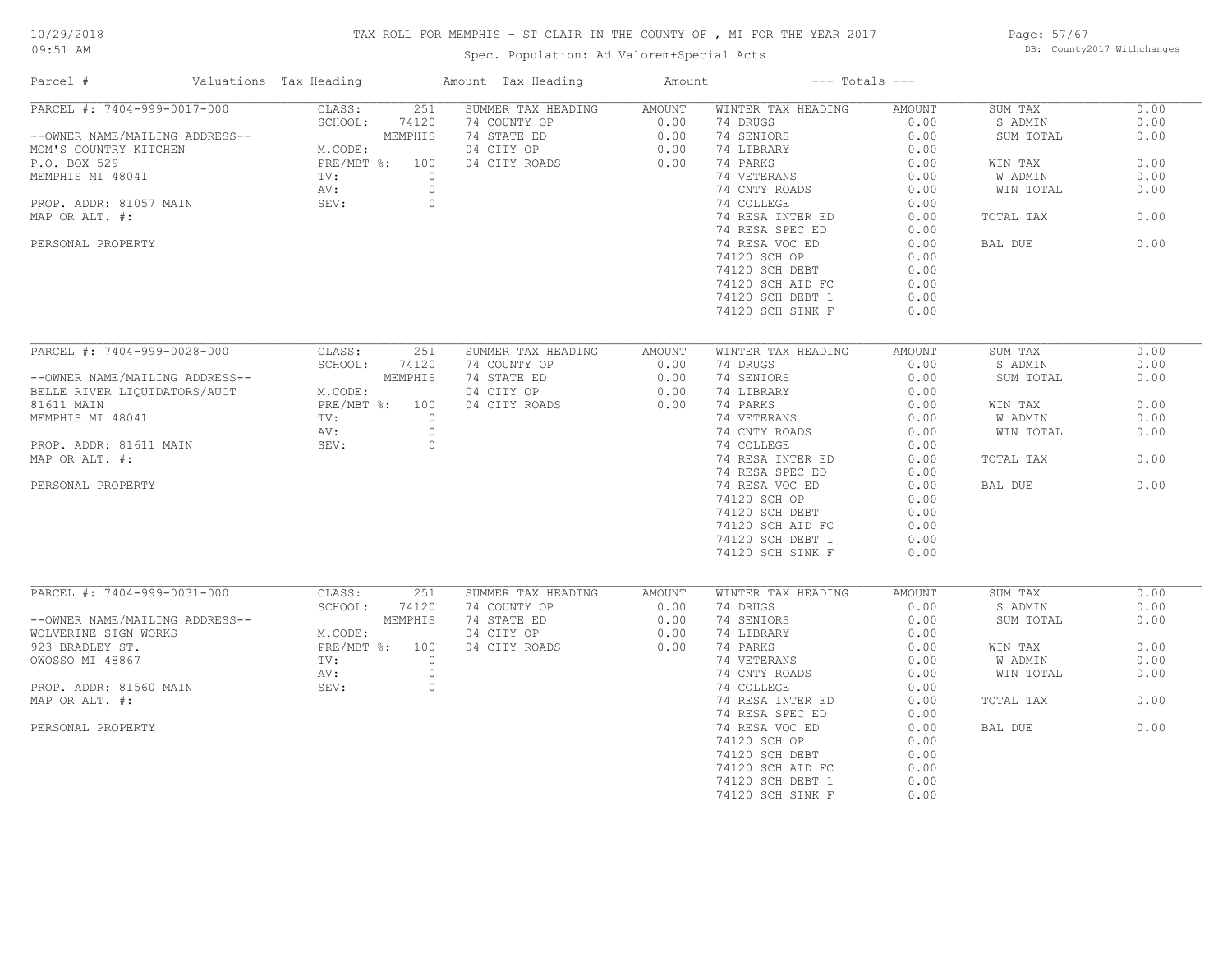# TAX ROLL FOR MEMPHIS - ST CLAIR IN THE COUNTY OF , MI FOR THE YEAR 2017

Spec. Population: Ad Valorem+Special Acts

Page: 57/67 DB: County2017 Withchanges

| Parcel #                       | Valuations Tax Heading | Amount Tax Heading | Amount |                    | $---$ Totals $---$ |           |      |
|--------------------------------|------------------------|--------------------|--------|--------------------|--------------------|-----------|------|
| PARCEL #: 7404-999-0017-000    | 251<br>CLASS:          | SUMMER TAX HEADING | AMOUNT | WINTER TAX HEADING | AMOUNT             | SUM TAX   | 0.00 |
|                                | SCHOOL:<br>74120       | 74 COUNTY OP       | 0.00   | 74 DRUGS           | 0.00               | S ADMIN   | 0.00 |
| --OWNER NAME/MAILING ADDRESS-- | MEMPHIS                | 74 STATE ED        | 0.00   | 74 SENIORS         | 0.00               | SUM TOTAL | 0.00 |
| MOM'S COUNTRY KITCHEN          | M.CODE:                | 04 CITY OP         | 0.00   | 74 LIBRARY         | 0.00               |           |      |
| P.O. BOX 529                   | PRE/MBT %: 100         | 04 CITY ROADS      | 0.00   | 74 PARKS           | 0.00               | WIN TAX   | 0.00 |
| MEMPHIS MI 48041               | TV:<br>$\circ$         |                    |        | 74 VETERANS        | 0.00               | W ADMIN   | 0.00 |
|                                | $\circ$<br>AV:         |                    |        | 74 CNTY ROADS      | 0.00               | WIN TOTAL | 0.00 |
| PROP. ADDR: 81057 MAIN         | SEV:                   | $\circ$            |        | 74 COLLEGE         | 0.00               |           |      |
| MAP OR ALT. #:                 |                        |                    |        | 74 RESA INTER ED   | 0.00               | TOTAL TAX | 0.00 |
|                                |                        |                    |        | 74 RESA SPEC ED    | 0.00               |           |      |
| PERSONAL PROPERTY              |                        |                    |        | 74 RESA VOC ED     | 0.00               | BAL DUE   | 0.00 |
|                                |                        |                    |        |                    |                    |           |      |
|                                |                        |                    |        | 74120 SCH OP       | 0.00               |           |      |
|                                |                        |                    |        | 74120 SCH DEBT     | 0.00               |           |      |
|                                |                        |                    |        | 74120 SCH AID FC   | 0.00               |           |      |
|                                |                        |                    |        | 74120 SCH DEBT 1   | 0.00               |           |      |
|                                |                        |                    |        | 74120 SCH SINK F   | 0.00               |           |      |
|                                |                        |                    |        |                    |                    |           |      |
| PARCEL #: 7404-999-0028-000    | 251<br>CLASS:          | SUMMER TAX HEADING | AMOUNT | WINTER TAX HEADING | <b>AMOUNT</b>      | SUM TAX   | 0.00 |
|                                | SCHOOL:<br>74120       | 74 COUNTY OP       | 0.00   | 74 DRUGS           | 0.00               | S ADMIN   | 0.00 |
| --OWNER NAME/MAILING ADDRESS-- | MEMPHIS                | 74 STATE ED        | 0.00   | 74 SENIORS         | 0.00               | SUM TOTAL | 0.00 |
| BELLE RIVER LIQUIDATORS/AUCT   | M.CODE:                | 04 CITY OP         | 0.00   | 74 LIBRARY         | 0.00               |           |      |
| 81611 MAIN                     | PRE/MBT %: 100         | 04 CITY ROADS      | 0.00   | 74 PARKS           | 0.00               | WIN TAX   | 0.00 |
| MEMPHIS MI 48041               | TV:<br>$\circ$         |                    |        | 74 VETERANS        | 0.00               | W ADMIN   | 0.00 |
|                                | $\circ$<br>AV:         |                    |        | 74 CNTY ROADS      | 0.00               | WIN TOTAL | 0.00 |
|                                | SEV:                   |                    |        |                    |                    |           |      |
| PROP. ADDR: 81611 MAIN         | $\circ$                |                    |        | 74 COLLEGE         | 0.00               |           |      |
| MAP OR ALT. #:                 |                        |                    |        | 74 RESA INTER ED   | 0.00               | TOTAL TAX | 0.00 |
|                                |                        |                    |        | 74 RESA SPEC ED    | 0.00               |           |      |
| PERSONAL PROPERTY              |                        |                    |        | 74 RESA VOC ED     | 0.00               | BAL DUE   | 0.00 |
|                                |                        |                    |        | 74120 SCH OP       | 0.00               |           |      |
|                                |                        |                    |        | 74120 SCH DEBT     | 0.00               |           |      |
|                                |                        |                    |        | 74120 SCH AID FC   | 0.00               |           |      |
|                                |                        |                    |        | 74120 SCH DEBT 1   | 0.00               |           |      |
|                                |                        |                    |        | 74120 SCH SINK F   | 0.00               |           |      |
|                                |                        |                    |        |                    |                    |           |      |
| PARCEL #: 7404-999-0031-000    | CLASS:<br>251          | SUMMER TAX HEADING | AMOUNT | WINTER TAX HEADING | AMOUNT             | SUM TAX   | 0.00 |
|                                | SCHOOL:<br>74120       | 74 COUNTY OP       | 0.00   | 74 DRUGS           | 0.00               | S ADMIN   | 0.00 |
| --OWNER NAME/MAILING ADDRESS-- | MEMPHIS                | 74 STATE ED        | 0.00   | 74 SENIORS         | 0.00               | SUM TOTAL | 0.00 |
| WOLVERINE SIGN WORKS           | M.CODE:                | 04 CITY OP         | 0.00   | 74 LIBRARY         | 0.00               |           |      |
| 923 BRADLEY ST.                | PRE/MBT %: 100         | 04 CITY ROADS      | 0.00   | 74 PARKS           | 0.00               | WIN TAX   | 0.00 |
| OWOSSO MI 48867                | TV:<br>$\circ$         |                    |        | 74 VETERANS        | 0.00               | W ADMIN   | 0.00 |
|                                | $\circ$                |                    |        | 74 CNTY ROADS      | 0.00               | WIN TOTAL | 0.00 |
|                                | AV:                    |                    |        |                    |                    |           |      |
| PROP. ADDR: 81560 MAIN         | SEV:<br>$\circ$        |                    |        | 74 COLLEGE         | 0.00               |           |      |
| MAP OR ALT. #:                 |                        |                    |        | 74 RESA INTER ED   | 0.00               | TOTAL TAX | 0.00 |
|                                |                        |                    |        | 74 RESA SPEC ED    | 0.00               |           |      |
| PERSONAL PROPERTY              |                        |                    |        | 74 RESA VOC ED     | 0.00               | BAL DUE   | 0.00 |
|                                |                        |                    |        | 74120 SCH OP       | 0.00               |           |      |
|                                |                        |                    |        | 74120 SCH DEBT     | 0.00               |           |      |
|                                |                        |                    |        | 74120 SCH AID FC   | 0.00               |           |      |
|                                |                        |                    |        | 74120 SCH DEBT 1   | 0.00               |           |      |
|                                |                        |                    |        | 74120 SCH SINK F   | 0.00               |           |      |
|                                |                        |                    |        |                    |                    |           |      |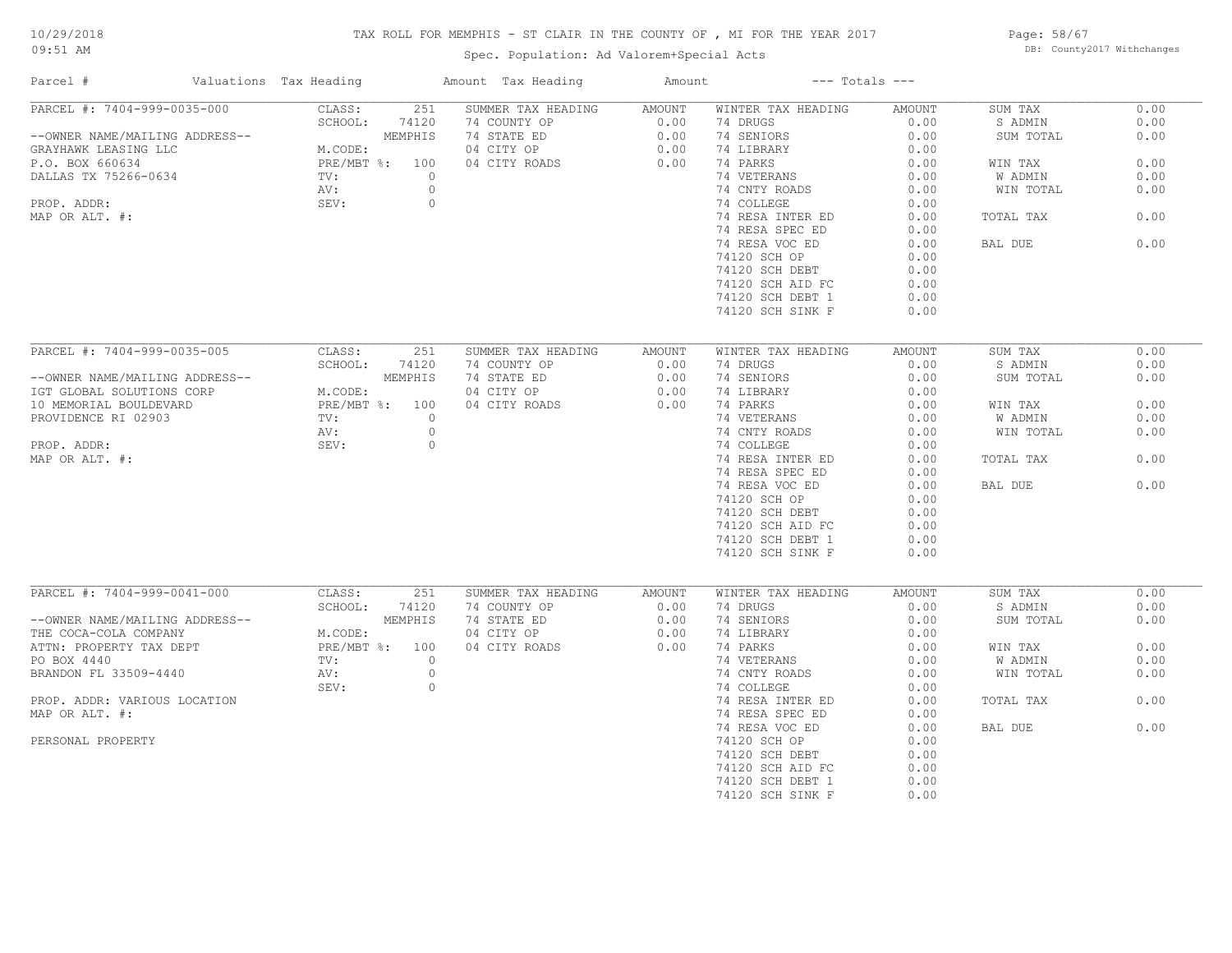# TAX ROLL FOR MEMPHIS - ST CLAIR IN THE COUNTY OF , MI FOR THE YEAR 2017

Page: 58/67 DB: County2017 Withchanges

| Parcel #                       | Valuations Tax Heading |         |                  | Amount Tax Heading | Amount |                    | $---$ Totals $---$ |                      |      |
|--------------------------------|------------------------|---------|------------------|--------------------|--------|--------------------|--------------------|----------------------|------|
| PARCEL #: 7404-999-0035-000    |                        | CLASS:  | 251              | SUMMER TAX HEADING | AMOUNT | WINTER TAX HEADING | AMOUNT             | SUM TAX              | 0.00 |
|                                |                        | SCHOOL: | 74120            | 74 COUNTY OP       | 0.00   | 74 DRUGS           | 0.00               | S ADMIN              | 0.00 |
| --OWNER NAME/MAILING ADDRESS-- |                        |         | MEMPHIS          | 74 STATE ED        | 0.00   | 74 SENIORS         | 0.00               | SUM TOTAL            | 0.00 |
| GRAYHAWK LEASING LLC           |                        | M.CODE: |                  | 04 CITY OP         | 0.00   | 74 LIBRARY         | 0.00               |                      |      |
| P.O. BOX 660634                |                        |         | PRE/MBT %: 100   | 04 CITY ROADS      | 0.00   | 74 PARKS           | 0.00               | WIN TAX              | 0.00 |
| DALLAS TX 75266-0634           |                        | TV:     | $\circ$          |                    |        | 74 VETERANS        | 0.00               | W ADMIN              | 0.00 |
|                                |                        | AV:     | $\circ$          |                    |        | 74 CNTY ROADS      | 0.00               | WIN TOTAL            | 0.00 |
| PROP. ADDR:                    |                        | SEV:    | $\circ$          |                    |        | 74 COLLEGE         | 0.00               |                      |      |
| MAP OR ALT. #:                 |                        |         |                  |                    |        | 74 RESA INTER ED   | 0.00               | TOTAL TAX            | 0.00 |
|                                |                        |         |                  |                    |        | 74 RESA SPEC ED    | 0.00               |                      |      |
|                                |                        |         |                  |                    |        | 74 RESA VOC ED     | 0.00               | BAL DUE              | 0.00 |
|                                |                        |         |                  |                    |        | 74120 SCH OP       | 0.00               |                      |      |
|                                |                        |         |                  |                    |        | 74120 SCH DEBT     | 0.00               |                      |      |
|                                |                        |         |                  |                    |        | 74120 SCH AID FC   | 0.00               |                      |      |
|                                |                        |         |                  |                    |        |                    |                    |                      |      |
|                                |                        |         |                  |                    |        | 74120 SCH DEBT 1   | 0.00               |                      |      |
|                                |                        |         |                  |                    |        | 74120 SCH SINK F   | 0.00               |                      |      |
|                                |                        |         |                  |                    |        |                    |                    |                      |      |
| PARCEL #: 7404-999-0035-005    |                        | CLASS:  | 251              | SUMMER TAX HEADING | AMOUNT | WINTER TAX HEADING | AMOUNT             | SUM TAX              | 0.00 |
|                                |                        | SCHOOL: | 74120            | 74 COUNTY OP       | 0.00   | 74 DRUGS           | 0.00               | S ADMIN              | 0.00 |
| --OWNER NAME/MAILING ADDRESS-- |                        |         | MEMPHIS          | 74 STATE ED        | 0.00   | 74 SENIORS         | 0.00               | SUM TOTAL            | 0.00 |
| IGT GLOBAL SOLUTIONS CORP      |                        | M.CODE: |                  | 04 CITY OP         | 0.00   | 74 LIBRARY         | 0.00               |                      |      |
| 10 MEMORIAL BOULDEVARD         |                        |         | PRE/MBT %: 100   | 04 CITY ROADS      | 0.00   | 74 PARKS           | 0.00               | WIN TAX              | 0.00 |
| PROVIDENCE RI 02903            |                        | TV:     | $\circ$          |                    |        | 74 VETERANS        | 0.00               | W ADMIN              | 0.00 |
|                                |                        | AV:     | $\circ$          |                    |        | 74 CNTY ROADS      | 0.00               | WIN TOTAL            | 0.00 |
| PROP. ADDR:                    |                        | SEV:    | $\circ$          |                    |        | 74 COLLEGE         | 0.00               |                      |      |
| MAP OR ALT. #:                 |                        |         |                  |                    |        | 74 RESA INTER ED   | 0.00               | TOTAL TAX            | 0.00 |
|                                |                        |         |                  |                    |        | 74 RESA SPEC ED    | 0.00               |                      |      |
|                                |                        |         |                  |                    |        | 74 RESA VOC ED     | 0.00               | BAL DUE              | 0.00 |
|                                |                        |         |                  |                    |        | 74120 SCH OP       | 0.00               |                      |      |
|                                |                        |         |                  |                    |        | 74120 SCH DEBT     | 0.00               |                      |      |
|                                |                        |         |                  |                    |        | 74120 SCH AID FC   | 0.00               |                      |      |
|                                |                        |         |                  |                    |        | 74120 SCH DEBT 1   | 0.00               |                      |      |
|                                |                        |         |                  |                    |        | 74120 SCH SINK F   | 0.00               |                      |      |
|                                |                        |         |                  |                    |        |                    |                    |                      |      |
| PARCEL #: 7404-999-0041-000    |                        | CLASS:  | 251              | SUMMER TAX HEADING |        | WINTER TAX HEADING | AMOUNT             |                      | 0.00 |
|                                |                        |         |                  |                    | AMOUNT | 74 DRUGS           | 0.00               | SUM TAX              | 0.00 |
|                                |                        | SCHOOL: | 74120<br>MEMPHIS | 74 COUNTY OP       | 0.00   |                    |                    | S ADMIN<br>SUM TOTAL | 0.00 |
| --OWNER NAME/MAILING ADDRESS-- |                        |         |                  | 74 STATE ED        | 0.00   | 74 SENIORS         | 0.00               |                      |      |
| THE COCA-COLA COMPANY          |                        | M.CODE: |                  | 04 CITY OP         | 0.00   | 74 LIBRARY         | 0.00               |                      |      |
| ATTN: PROPERTY TAX DEPT        |                        |         | PRE/MBT %: 100   | 04 CITY ROADS      | 0.00   | 74 PARKS           | 0.00               | WIN TAX              | 0.00 |
| PO BOX 4440                    |                        | TV:     | $\circ$          |                    |        | 74 VETERANS        | 0.00               | W ADMIN              | 0.00 |
| BRANDON FL 33509-4440          |                        | AV:     | $\circ$          |                    |        | 74 CNTY ROADS      | 0.00               | WIN TOTAL            | 0.00 |
|                                |                        | SEV:    | $\circ$          |                    |        | 74 COLLEGE         | 0.00               |                      |      |
| PROP. ADDR: VARIOUS LOCATION   |                        |         |                  |                    |        | 74 RESA INTER ED   | 0.00               | TOTAL TAX            | 0.00 |
| MAP OR ALT. #:                 |                        |         |                  |                    |        | 74 RESA SPEC ED    | 0.00               |                      |      |
|                                |                        |         |                  |                    |        | 74 RESA VOC ED     | 0.00               | BAL DUE              | 0.00 |
| PERSONAL PROPERTY              |                        |         |                  |                    |        | 74120 SCH OP       | 0.00               |                      |      |
|                                |                        |         |                  |                    |        | 74120 SCH DEBT     | 0.00               |                      |      |
|                                |                        |         |                  |                    |        | 74120 SCH AID FC   | 0.00               |                      |      |
|                                |                        |         |                  |                    |        | 74120 SCH DEBT 1   | 0.00               |                      |      |
|                                |                        |         |                  |                    |        |                    |                    |                      |      |
|                                |                        |         |                  |                    |        | 74120 SCH SINK F   | 0.00               |                      |      |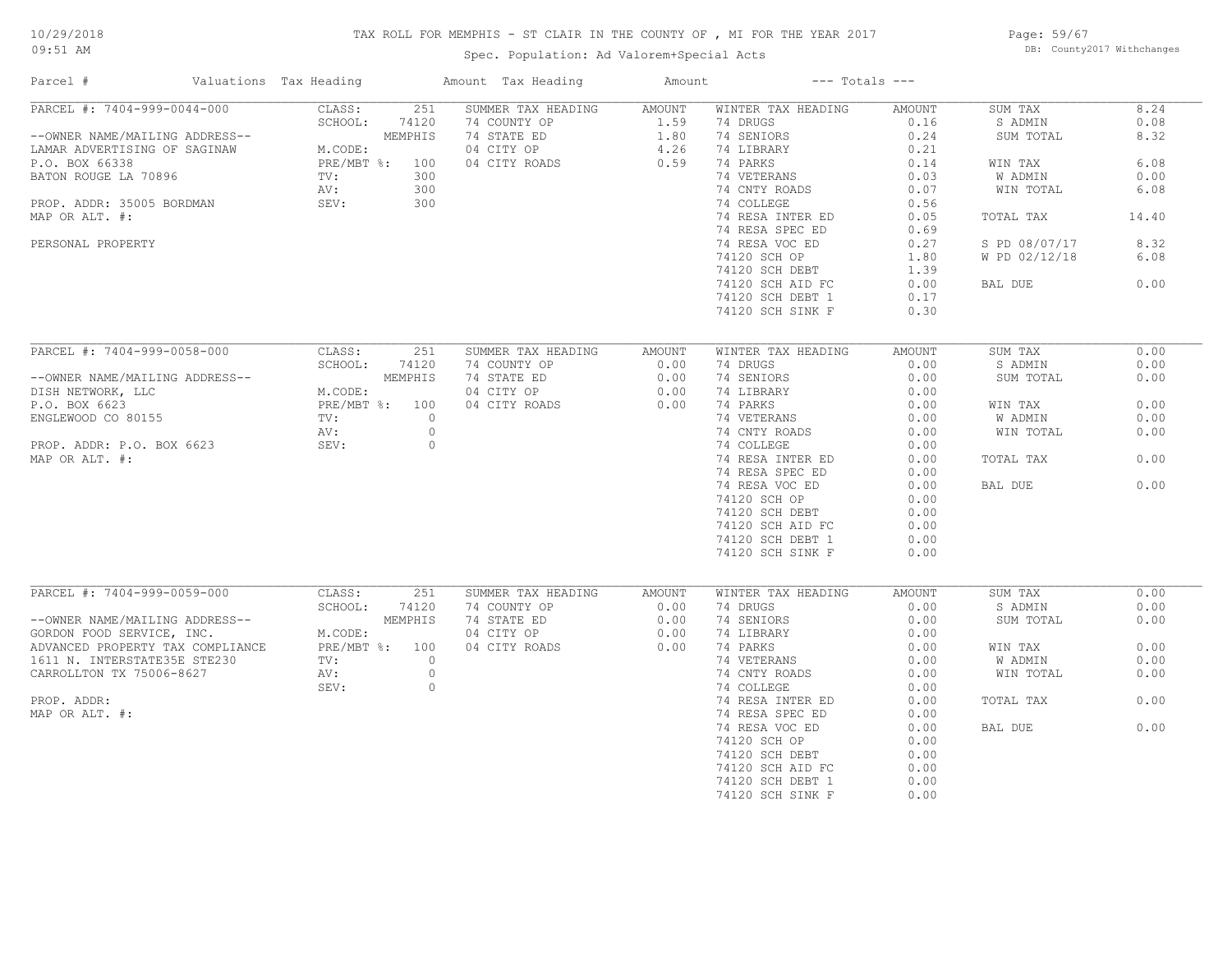# TAX ROLL FOR MEMPHIS - ST CLAIR IN THE COUNTY OF , MI FOR THE YEAR 2017

Page: 59/67 DB: County2017 Withchanges

| Parcel #                         | Valuations Tax Heading |            | Amount Tax Heading | Amount |                    | $---$ Totals $---$ |               |       |
|----------------------------------|------------------------|------------|--------------------|--------|--------------------|--------------------|---------------|-------|
| PARCEL #: 7404-999-0044-000      | CLASS:                 | 251        | SUMMER TAX HEADING | AMOUNT | WINTER TAX HEADING | AMOUNT             | SUM TAX       | 8.24  |
|                                  | SCHOOL:                | 74120      | 74 COUNTY OP       | 1.59   | 74 DRUGS           | 0.16               | S ADMIN       | 0.08  |
| --OWNER NAME/MAILING ADDRESS--   |                        | MEMPHIS    | 74 STATE ED        | 1.80   | 74 SENIORS         | 0.24               | SUM TOTAL     | 8.32  |
| LAMAR ADVERTISING OF SAGINAW     | M.CODE:                |            | 04 CITY OP         | 4.26   | 74 LIBRARY         | 0.21               |               |       |
| P.O. BOX 66338                   | PRE/MBT %: 100         |            | 04 CITY ROADS      | 0.59   | 74 PARKS           | 0.14               | WIN TAX       | 6.08  |
| BATON ROUGE LA 70896             | TV:                    | 300        |                    |        | 74 VETERANS        | 0.03               | W ADMIN       | 0.00  |
|                                  | AV:                    | 300        |                    |        | 74 CNTY ROADS      | 0.07               | WIN TOTAL     | 6.08  |
| PROP. ADDR: 35005 BORDMAN        | SEV:                   | 300        |                    |        | 74 COLLEGE         | 0.56               |               |       |
| MAP OR ALT. #:                   |                        |            |                    |        | 74 RESA INTER ED   | 0.05               | TOTAL TAX     | 14.40 |
|                                  |                        |            |                    |        | 74 RESA SPEC ED    | 0.69               |               |       |
| PERSONAL PROPERTY                |                        |            |                    |        | 74 RESA VOC ED     | 0.27               | S PD 08/07/17 | 8.32  |
|                                  |                        |            |                    |        | 74120 SCH OP       | 1.80               | W PD 02/12/18 | 6.08  |
|                                  |                        |            |                    |        |                    |                    |               |       |
|                                  |                        |            |                    |        | 74120 SCH DEBT     | 1.39               |               |       |
|                                  |                        |            |                    |        | 74120 SCH AID FC   | 0.00               | BAL DUE       | 0.00  |
|                                  |                        |            |                    |        | 74120 SCH DEBT 1   | 0.17               |               |       |
|                                  |                        |            |                    |        | 74120 SCH SINK F   | 0.30               |               |       |
|                                  |                        |            |                    |        |                    |                    |               |       |
| PARCEL #: 7404-999-0058-000      | CLASS:                 | 251        | SUMMER TAX HEADING | AMOUNT | WINTER TAX HEADING | AMOUNT             | SUM TAX       | 0.00  |
|                                  | SCHOOL:                | 74120      | 74 COUNTY OP       | 0.00   | 74 DRUGS           | 0.00               | S ADMIN       | 0.00  |
| --OWNER NAME/MAILING ADDRESS--   |                        | MEMPHIS    | 74 STATE ED        | 0.00   | 74 SENIORS         | 0.00               | SUM TOTAL     | 0.00  |
| DISH NETWORK, LLC                | M.CODE:                |            | 04 CITY OP         | 0.00   | 74 LIBRARY         | 0.00               |               |       |
| P.O. BOX 6623                    | PRE/MBT %: 100         |            | 04 CITY ROADS      | 0.00   | 74 PARKS           | 0.00               | WIN TAX       | 0.00  |
| ENGLEWOOD CO 80155               | TV:                    | $\circ$    |                    |        | 74 VETERANS        | 0.00               | W ADMIN       | 0.00  |
|                                  | AV:                    | $\circ$    |                    |        | 74 CNTY ROADS      | 0.00               | WIN TOTAL     | 0.00  |
| PROP. ADDR: P.O. BOX 6623        | SEV:                   | $\circ$    |                    |        | 74 COLLEGE         | 0.00               |               |       |
| MAP OR ALT. #:                   |                        |            |                    |        | 74 RESA INTER ED   | 0.00               |               | 0.00  |
|                                  |                        |            |                    |        |                    |                    | TOTAL TAX     |       |
|                                  |                        |            |                    |        | 74 RESA SPEC ED    | 0.00               |               |       |
|                                  |                        |            |                    |        | 74 RESA VOC ED     | 0.00               | BAL DUE       | 0.00  |
|                                  |                        |            |                    |        | 74120 SCH OP       | 0.00               |               |       |
|                                  |                        |            |                    |        | 74120 SCH DEBT     | 0.00               |               |       |
|                                  |                        |            |                    |        | 74120 SCH AID FC   | 0.00               |               |       |
|                                  |                        |            |                    |        | 74120 SCH DEBT 1   | 0.00               |               |       |
|                                  |                        |            |                    |        | 74120 SCH SINK F   | 0.00               |               |       |
|                                  |                        |            |                    |        |                    |                    |               |       |
| PARCEL #: 7404-999-0059-000      | CLASS:                 | 251        | SUMMER TAX HEADING | AMOUNT | WINTER TAX HEADING | AMOUNT             | SUM TAX       | 0.00  |
|                                  | SCHOOL:                | 74120      | 74 COUNTY OP       | 0.00   | 74 DRUGS           | 0.00               | S ADMIN       | 0.00  |
| --OWNER NAME/MAILING ADDRESS--   |                        | MEMPHIS    | 74 STATE ED        | 0.00   | 74 SENIORS         | 0.00               | SUM TOTAL     | 0.00  |
| GORDON FOOD SERVICE, INC.        | M.CODE:                |            | 04 CITY OP         | 0.00   | 74 LIBRARY         | 0.00               |               |       |
| ADVANCED PROPERTY TAX COMPLIANCE | PRE/MBT %: 100         |            | 04 CITY ROADS      | 0.00   | 74 PARKS           | 0.00               | WIN TAX       | 0.00  |
| 1611 N. INTERSTATE35E STE230     | TV:                    | $\bigcirc$ |                    |        | 74 VETERANS        | 0.00               | W ADMIN       | 0.00  |
| CARROLLTON TX 75006-8627         | AV:                    | $\circ$    |                    |        | 74 CNTY ROADS      | 0.00               | WIN TOTAL     | 0.00  |
|                                  | SEV:                   | $\circ$    |                    |        | 74 COLLEGE         | 0.00               |               |       |
| PROP. ADDR:                      |                        |            |                    |        | 74 RESA INTER ED   | 0.00               | TOTAL TAX     | 0.00  |
| MAP OR ALT. #:                   |                        |            |                    |        | 74 RESA SPEC ED    | 0.00               |               |       |
|                                  |                        |            |                    |        | 74 RESA VOC ED     | 0.00               | BAL DUE       | 0.00  |
|                                  |                        |            |                    |        |                    |                    |               |       |
|                                  |                        |            |                    |        | 74120 SCH OP       | 0.00               |               |       |
|                                  |                        |            |                    |        | 74120 SCH DEBT     | 0.00               |               |       |
|                                  |                        |            |                    |        | 74120 SCH AID FC   | 0.00               |               |       |
|                                  |                        |            |                    |        | 74120 SCH DEBT 1   | 0.00               |               |       |
|                                  |                        |            |                    |        | 74120 SCH SINK F   | 0.00               |               |       |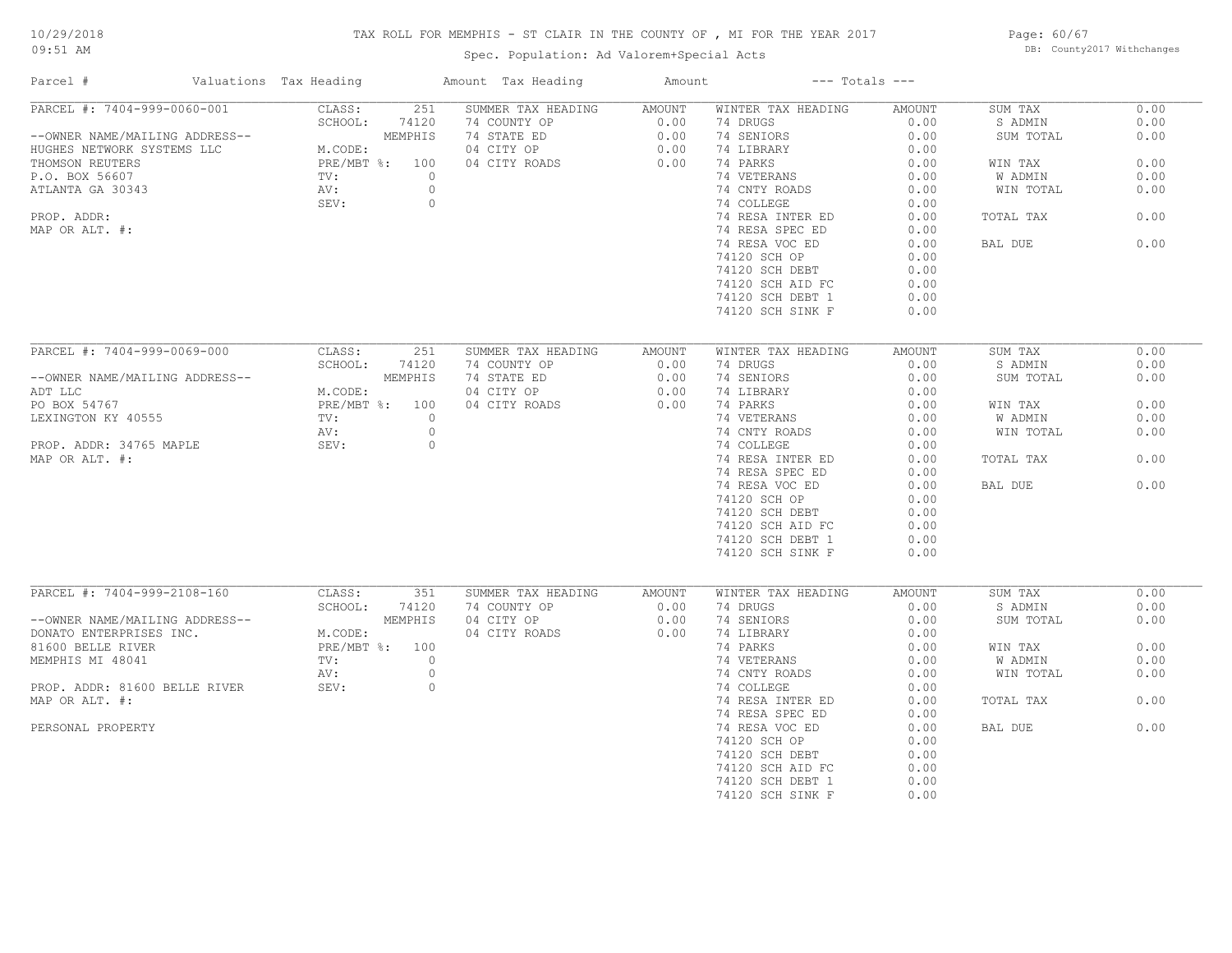# TAX ROLL FOR MEMPHIS - ST CLAIR IN THE COUNTY OF , MI FOR THE YEAR 2017

Spec. Population: Ad Valorem+Special Acts

Page: 60/67 DB: County2017 Withchanges

| Parcel #                       | Valuations Tax Heading |          | Amount Tax Heading | Amount        |                                     | $---$ Totals $---$ |                |      |
|--------------------------------|------------------------|----------|--------------------|---------------|-------------------------------------|--------------------|----------------|------|
| PARCEL #: 7404-999-0060-001    | CLASS:                 | 251      | SUMMER TAX HEADING | AMOUNT        | WINTER TAX HEADING                  | AMOUNT             | SUM TAX        | 0.00 |
|                                | SCHOOL:                | 74120    | 74 COUNTY OP       | 0.00          | 74 DRUGS                            | 0.00               | S ADMIN        | 0.00 |
| --OWNER NAME/MAILING ADDRESS-- |                        | MEMPHIS  | 74 STATE ED        | 0.00          | 74 SENIORS                          | 0.00               | SUM TOTAL      | 0.00 |
| HUGHES NETWORK SYSTEMS LLC     | M.CODE:                |          | 04 CITY OP         | 0.00          | 74 LIBRARY                          | 0.00               |                |      |
| THOMSON REUTERS                | PRE/MBT %: 100         |          | 04 CITY ROADS      | 0.00          | 74 PARKS                            | 0.00               | WIN TAX        | 0.00 |
| P.O. BOX 56607                 | TV:                    | $\Omega$ |                    |               | 74 VETERANS                         | 0.00               | W ADMIN        | 0.00 |
| ATLANTA GA 30343               | AV:                    | $\circ$  |                    |               | 74 CNTY ROADS                       | 0.00               | WIN TOTAL      | 0.00 |
|                                | SEV:                   | $\circ$  |                    |               | 74 COLLEGE                          | 0.00               |                |      |
| PROP. ADDR:                    |                        |          |                    |               | 74 RESA INTER ED                    | 0.00               | TOTAL TAX      | 0.00 |
| MAP OR ALT. #:                 |                        |          |                    |               | 74 RESA SPEC ED                     | 0.00               |                |      |
|                                |                        |          |                    |               | 74 RESA VOC ED                      | 0.00               | BAL DUE        | 0.00 |
|                                |                        |          |                    |               |                                     |                    |                |      |
|                                |                        |          |                    |               | 74120 SCH OP                        | 0.00               |                |      |
|                                |                        |          |                    |               | 74120 SCH DEBT                      | 0.00               |                |      |
|                                |                        |          |                    |               | 74120 SCH AID FC                    | 0.00               |                |      |
|                                |                        |          |                    |               | 74120 SCH DEBT 1                    | 0.00               |                |      |
|                                |                        |          |                    |               | 74120 SCH SINK F                    | 0.00               |                |      |
|                                |                        |          |                    |               |                                     |                    |                |      |
| PARCEL #: 7404-999-0069-000    | CLASS:                 | 251      | SUMMER TAX HEADING | <b>AMOUNT</b> | WINTER TAX HEADING                  | <b>AMOUNT</b>      | SUM TAX        | 0.00 |
|                                | SCHOOL:                | 74120    | 74 COUNTY OP       | 0.00          | 74 DRUGS                            | 0.00               | S ADMIN        | 0.00 |
| --OWNER NAME/MAILING ADDRESS-- |                        | MEMPHIS  | 74 STATE ED        | 0.00          | 74 SENIORS                          | 0.00               | SUM TOTAL      | 0.00 |
| ADT LLC                        | M.CODE:                |          | 04 CITY OP         | 0.00          | 74 LIBRARY                          | 0.00               |                |      |
| PO BOX 54767                   | PRE/MBT %: 100         |          | 04 CITY ROADS      | 0.00          | 74 PARKS                            | 0.00               | WIN TAX        | 0.00 |
| LEXINGTON KY 40555             | $\text{TV}$ :          | $\circ$  |                    |               | 74 VETERANS                         | 0.00               | <b>W ADMIN</b> | 0.00 |
|                                | AV:                    | $\circ$  |                    |               | 74 CNTY ROADS                       | 0.00               | WIN TOTAL      | 0.00 |
| PROP. ADDR: 34765 MAPLE        | SEV:                   | $\circ$  |                    |               | 74 COLLEGE                          | 0.00               |                |      |
| MAP OR ALT. #:                 |                        |          |                    |               |                                     | 0.00               | TOTAL TAX      | 0.00 |
|                                |                        |          |                    |               | 74 RESA INTER ED<br>74 RESA SPEC ED |                    |                |      |
|                                |                        |          |                    |               |                                     | 0.00               |                |      |
|                                |                        |          |                    |               | 74 RESA VOC ED                      | 0.00               | BAL DUE        | 0.00 |
|                                |                        |          |                    |               | 74120 SCH OP                        | 0.00               |                |      |
|                                |                        |          |                    |               | 74120 SCH DEBT                      | 0.00               |                |      |
|                                |                        |          |                    |               | 74120 SCH AID FC                    | 0.00               |                |      |
|                                |                        |          |                    |               | 74120 SCH DEBT 1                    | 0.00               |                |      |
|                                |                        |          |                    |               | 74120 SCH SINK F                    | 0.00               |                |      |
|                                |                        |          |                    |               |                                     |                    |                |      |
| PARCEL #: 7404-999-2108-160    | CLASS:                 | 351      | SUMMER TAX HEADING | <b>AMOUNT</b> | WINTER TAX HEADING                  | <b>AMOUNT</b>      | SUM TAX        | 0.00 |
|                                | SCHOOL:                | 74120    | 74 COUNTY OP       | 0.00          | 74 DRUGS                            | 0.00               | S ADMIN        | 0.00 |
| --OWNER NAME/MAILING ADDRESS-- |                        | MEMPHIS  | 04 CITY OP         | 0.00          | 74 SENIORS                          | 0.00               | SUM TOTAL      | 0.00 |
| DONATO ENTERPRISES INC.        | M.CODE:                |          | 04 CITY ROADS      | 0.00          | 74 LIBRARY                          | 0.00               |                |      |
| 81600 BELLE RIVER              | PRE/MBT %: 100         |          |                    |               | 74 PARKS                            | 0.00               | WIN TAX        | 0.00 |
| MEMPHIS MI 48041               | $\text{TV}$ :          | $\circ$  |                    |               | 74 VETERANS                         | 0.00               | W ADMIN        | 0.00 |
|                                | AV:                    | $\circ$  |                    |               | 74 CNTY ROADS                       | 0.00               | WIN TOTAL      | 0.00 |
| PROP. ADDR: 81600 BELLE RIVER  | SEV:                   | $\circ$  |                    |               | 74 COLLEGE                          | 0.00               |                |      |
| MAP OR ALT. #:                 |                        |          |                    |               | 74 RESA INTER ED                    | 0.00               | TOTAL TAX      | 0.00 |
|                                |                        |          |                    |               | 74 RESA SPEC ED                     | 0.00               |                |      |
| PERSONAL PROPERTY              |                        |          |                    |               | 74 RESA VOC ED                      | 0.00               | BAL DUE        | 0.00 |
|                                |                        |          |                    |               | 74120 SCH OP                        | 0.00               |                |      |
|                                |                        |          |                    |               |                                     | 0.00               |                |      |
|                                |                        |          |                    |               | 74120 SCH DEBT                      |                    |                |      |
|                                |                        |          |                    |               | 74120 SCH AID FC                    | 0.00               |                |      |
|                                |                        |          |                    |               | 74120 SCH DEBT 1                    | 0.00               |                |      |
|                                |                        |          |                    |               | 74120 SCH SINK F                    | 0.00               |                |      |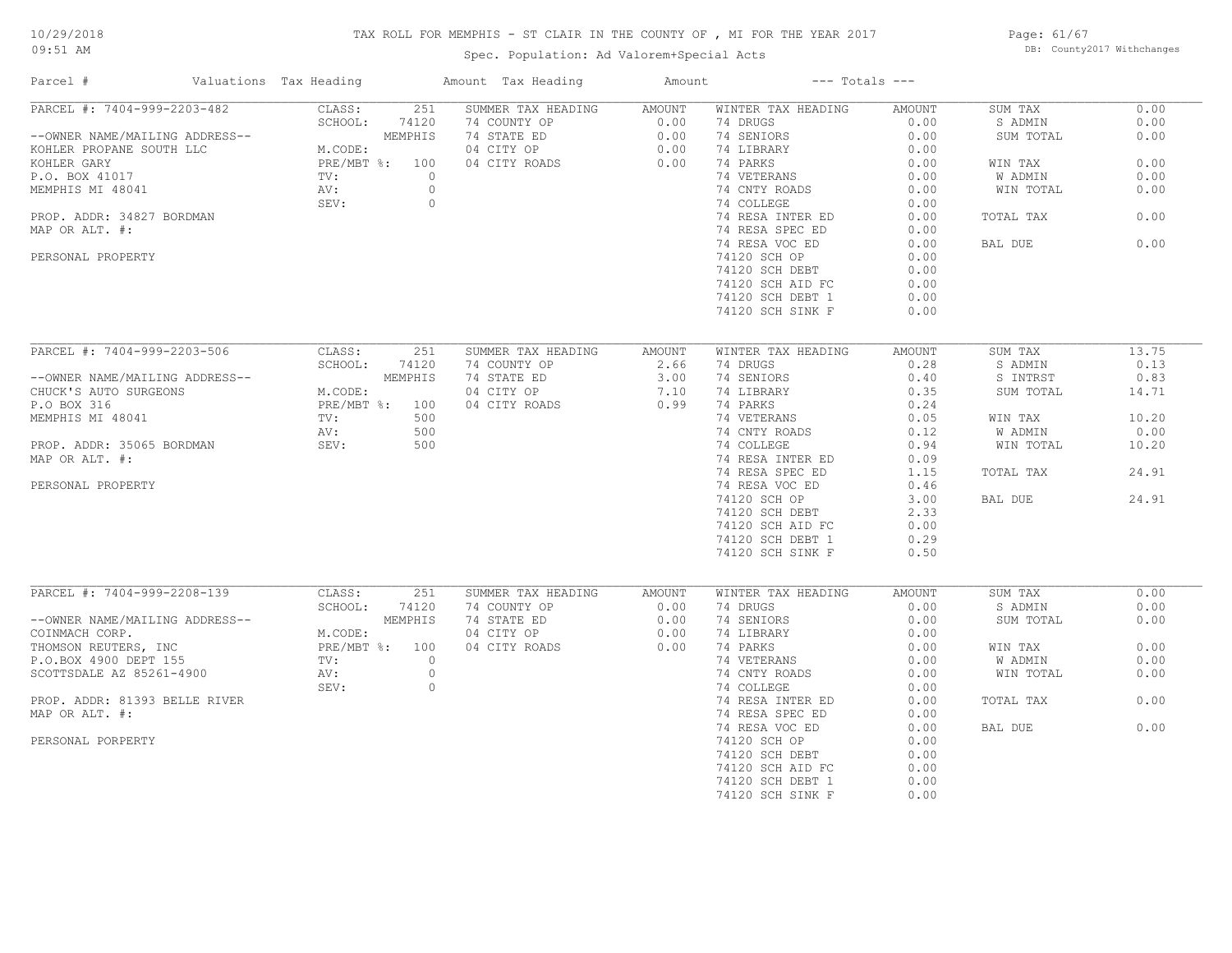# 10/29/2018

# TAX ROLL FOR MEMPHIS - ST CLAIR IN THE COUNTY OF , MI FOR THE YEAR 2017

09:51 AM

# Spec. Population: Ad Valorem+Special Acts

Page: 61/67 DB: County2017 Withchanges

| Parcel #                       | Valuations Tax Heading | Amount Tax Heading | Amount | $---$ Totals $---$ |        |           |       |
|--------------------------------|------------------------|--------------------|--------|--------------------|--------|-----------|-------|
| PARCEL #: 7404-999-2203-482    | CLASS:<br>251          | SUMMER TAX HEADING | AMOUNT | WINTER TAX HEADING | AMOUNT | SUM TAX   | 0.00  |
|                                | SCHOOL:<br>74120       | 74 COUNTY OP       | 0.00   | 74 DRUGS           | 0.00   | S ADMIN   | 0.00  |
| --OWNER NAME/MAILING ADDRESS-- | MEMPHIS                | 74 STATE ED        | 0.00   | 74 SENIORS         | 0.00   | SUM TOTAL | 0.00  |
| KOHLER PROPANE SOUTH LLC       | M.CODE:                | 04 CITY OP         | 0.00   | 74 LIBRARY         | 0.00   |           |       |
| KOHLER GARY                    | PRE/MBT %: 100         | 04 CITY ROADS      | 0.00   | 74 PARKS           | 0.00   | WIN TAX   | 0.00  |
| P.O. BOX 41017                 | TV:<br>$\circ$         |                    |        | 74 VETERANS        | 0.00   | W ADMIN   | 0.00  |
| MEMPHIS MI 48041               | AV:<br>$\circ$         |                    |        | 74 CNTY ROADS      | 0.00   | WIN TOTAL | 0.00  |
|                                | SEV:<br>$\circ$        |                    |        | 74 COLLEGE         | 0.00   |           |       |
| PROP. ADDR: 34827 BORDMAN      |                        |                    |        | 74 RESA INTER ED   | 0.00   | TOTAL TAX | 0.00  |
| MAP OR ALT. #:                 |                        |                    |        | 74 RESA SPEC ED    | 0.00   |           |       |
|                                |                        |                    |        | 74 RESA VOC ED     | 0.00   | BAL DUE   | 0.00  |
| PERSONAL PROPERTY              |                        |                    |        | 74120 SCH OP       | 0.00   |           |       |
|                                |                        |                    |        | 74120 SCH DEBT     | 0.00   |           |       |
|                                |                        |                    |        | 74120 SCH AID FC   | 0.00   |           |       |
|                                |                        |                    |        | 74120 SCH DEBT 1   | 0.00   |           |       |
|                                |                        |                    |        |                    | 0.00   |           |       |
|                                |                        |                    |        | 74120 SCH SINK F   |        |           |       |
|                                |                        |                    |        |                    |        |           |       |
| PARCEL #: 7404-999-2203-506    | CLASS:<br>251          | SUMMER TAX HEADING | AMOUNT | WINTER TAX HEADING | AMOUNT | SUM TAX   | 13.75 |
|                                | SCHOOL:<br>74120       | 74 COUNTY OP       | 2.66   | 74 DRUGS           | 0.28   | S ADMIN   | 0.13  |
| --OWNER NAME/MAILING ADDRESS-- | MEMPHIS                | 74 STATE ED        | 3.00   | 74 SENIORS         | 0.40   | S INTRST  | 0.83  |
| CHUCK'S AUTO SURGEONS          | M.CODE:                | 04 CITY OP         | 7.10   | 74 LIBRARY         | 0.35   | SUM TOTAL | 14.71 |
| P.O BOX 316                    | PRE/MBT %: 100         | 04 CITY ROADS      | 0.99   | 74 PARKS           | 0.24   |           |       |
| MEMPHIS MI 48041               | TV:<br>500             |                    |        | 74 VETERANS        | 0.05   | WIN TAX   | 10.20 |
|                                | 500<br>AV:             |                    |        | 74 CNTY ROADS      | 0.12   | W ADMIN   | 0.00  |
| PROP. ADDR: 35065 BORDMAN      | SEV:<br>500            |                    |        | 74 COLLEGE         | 0.94   | WIN TOTAL | 10.20 |
| MAP OR ALT. #:                 |                        |                    |        | 74 RESA INTER ED   | 0.09   |           |       |
|                                |                        |                    |        | 74 RESA SPEC ED    | 1.15   | TOTAL TAX | 24.91 |
| PERSONAL PROPERTY              |                        |                    |        | 74 RESA VOC ED     | 0.46   |           |       |
|                                |                        |                    |        | 74120 SCH OP       | 3.00   | BAL DUE   | 24.91 |
|                                |                        |                    |        | 74120 SCH DEBT     | 2.33   |           |       |
|                                |                        |                    |        |                    | 0.00   |           |       |
|                                |                        |                    |        | 74120 SCH AID FC   |        |           |       |
|                                |                        |                    |        | 74120 SCH DEBT 1   | 0.29   |           |       |
|                                |                        |                    |        | 74120 SCH SINK F   | 0.50   |           |       |
|                                |                        |                    |        |                    |        |           |       |
| PARCEL #: 7404-999-2208-139    | CLASS:<br>251          | SUMMER TAX HEADING | AMOUNT | WINTER TAX HEADING | AMOUNT | SUM TAX   | 0.00  |
|                                | SCHOOL:<br>74120       | 74 COUNTY OP       | 0.00   | 74 DRUGS           | 0.00   | S ADMIN   | 0.00  |
| --OWNER NAME/MAILING ADDRESS-- | MEMPHIS                | 74 STATE ED        | 0.00   | 74 SENIORS         | 0.00   | SUM TOTAL | 0.00  |
| COINMACH CORP.                 | M.CODE:                | 04 CITY OP         | 0.00   | 74 LIBRARY         | 0.00   |           |       |
| THOMSON REUTERS, INC           | PRE/MBT %: 100         | 04 CITY ROADS      | 0.00   | 74 PARKS           | 0.00   | WIN TAX   | 0.00  |
| P.O.BOX 4900 DEPT 155          | $\Omega$<br>TV:        |                    |        | 74 VETERANS        | 0.00   | W ADMIN   | 0.00  |
| SCOTTSDALE AZ 85261-4900       | AV:<br>$\circ$         |                    |        | 74 CNTY ROADS      | 0.00   | WIN TOTAL | 0.00  |
|                                | SEV:<br>$\circ$        |                    |        | 74 COLLEGE         | 0.00   |           |       |
| PROP. ADDR: 81393 BELLE RIVER  |                        |                    |        | 74 RESA INTER ED   | 0.00   | TOTAL TAX | 0.00  |
| MAP OR ALT. #:                 |                        |                    |        | 74 RESA SPEC ED    | 0.00   |           |       |
|                                |                        |                    |        | 74 RESA VOC ED     | 0.00   | BAL DUE   | 0.00  |
| PERSONAL PORPERTY              |                        |                    |        | 74120 SCH OP       | 0.00   |           |       |
|                                |                        |                    |        | 74120 SCH DEBT     | 0.00   |           |       |
|                                |                        |                    |        | 74120 SCH AID FC   | 0.00   |           |       |
|                                |                        |                    |        | 74120 SCH DEBT 1   | 0.00   |           |       |
|                                |                        |                    |        | 74120 SCH SINK F   | 0.00   |           |       |
|                                |                        |                    |        |                    |        |           |       |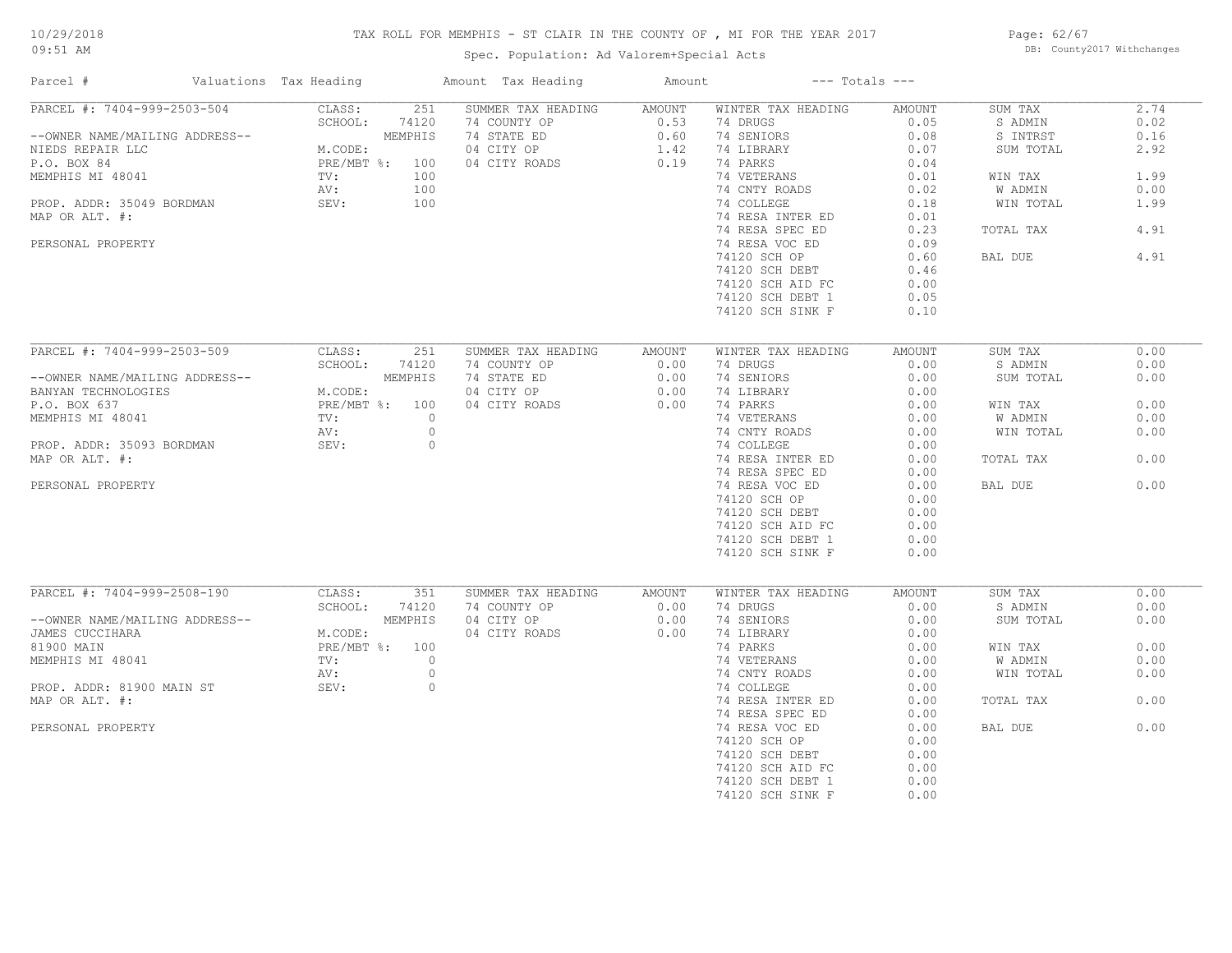# TAX ROLL FOR MEMPHIS - ST CLAIR IN THE COUNTY OF , MI FOR THE YEAR 2017

Spec. Population: Ad Valorem+Special Acts

Page: 62/67 DB: County2017 Withchanges

| Parcel #                       | Valuations Tax Heading | Amount Tax Heading | Amount              |                    | $---$ Totals $---$ |           |      |
|--------------------------------|------------------------|--------------------|---------------------|--------------------|--------------------|-----------|------|
| PARCEL #: 7404-999-2503-504    | 251<br>CLASS:          | SUMMER TAX HEADING | AMOUNT              | WINTER TAX HEADING | AMOUNT             | SUM TAX   | 2.74 |
|                                | SCHOOL:<br>74120       | 74 COUNTY OP       | 0.53                | 74 DRUGS           | 0.05               | S ADMIN   | 0.02 |
| --OWNER NAME/MAILING ADDRESS-- | MEMPHIS                | 74 STATE ED        | 0.60                | 74 SENIORS         | 0.08               | S INTRST  | 0.16 |
| NIEDS REPAIR LLC               | M.CODE:                | 04 CITY OP         | $\frac{0.60}{1.42}$ | 74 LIBRARY         | 0.07               | SUM TOTAL | 2.92 |
| P.O. BOX 84                    | PRE/MBT %: 100         | 04 CITY ROADS      |                     | 74 PARKS           | 0.04               |           |      |
| MEMPHIS MI 48041               | 100<br>TV:             |                    |                     | 74 VETERANS        | 0.01               | WIN TAX   | 1.99 |
|                                | 100<br>AV:             |                    |                     | 74 CNTY ROADS      | 0.02               | W ADMIN   | 0.00 |
| PROP. ADDR: 35049 BORDMAN      | 100<br>SEV:            |                    |                     | 74 COLLEGE         | 0.18               | WIN TOTAL | 1.99 |
| MAP OR ALT. #:                 |                        |                    |                     | 74 RESA INTER ED   | 0.01               |           |      |
|                                |                        |                    |                     | 74 RESA SPEC ED    | 0.23               | TOTAL TAX | 4.91 |
| PERSONAL PROPERTY              |                        |                    |                     |                    | 0.09               |           |      |
|                                |                        |                    |                     | 74 RESA VOC ED     |                    |           |      |
|                                |                        |                    |                     | 74120 SCH OP       | 0.60               | BAL DUE   | 4.91 |
|                                |                        |                    |                     | 74120 SCH DEBT     | 0.46               |           |      |
|                                |                        |                    |                     | 74120 SCH AID FC   | 0.00               |           |      |
|                                |                        |                    |                     | 74120 SCH DEBT 1   | 0.05               |           |      |
|                                |                        |                    |                     | 74120 SCH SINK F   | 0.10               |           |      |
|                                |                        |                    |                     |                    |                    |           |      |
| PARCEL #: 7404-999-2503-509    | CLASS:<br>251          | SUMMER TAX HEADING | AMOUNT              | WINTER TAX HEADING | AMOUNT             | SUM TAX   | 0.00 |
|                                | SCHOOL:<br>74120       | 74 COUNTY OP       | 0.00                | 74 DRUGS           | 0.00               | S ADMIN   | 0.00 |
| --OWNER NAME/MAILING ADDRESS-- | MEMPHIS                | 74 STATE ED        | 0.00                | 74 SENIORS         | 0.00               | SUM TOTAL | 0.00 |
| BANYAN TECHNOLOGIES            | M.CODE:                | 04 CITY OP         | 0.00                | 74 LIBRARY         | 0.00               |           |      |
| P.O. BOX 637                   | PRE/MBT %: 100         | 04 CITY ROADS      | 0.00                | 74 PARKS           | 0.00               | WIN TAX   | 0.00 |
| MEMPHIS MI 48041               | TV:<br>$\circ$         |                    |                     | 74 VETERANS        | 0.00               | W ADMIN   | 0.00 |
|                                | $\circ$<br>AV:         |                    |                     | 74 CNTY ROADS      | 0.00               | WIN TOTAL | 0.00 |
| PROP. ADDR: 35093 BORDMAN      | SEV:<br>$\circ$        |                    |                     | 74 COLLEGE         | 0.00               |           |      |
| MAP OR ALT. #:                 |                        |                    |                     | 74 RESA INTER ED   | 0.00               | TOTAL TAX | 0.00 |
|                                |                        |                    |                     |                    |                    |           |      |
|                                |                        |                    |                     | 74 RESA SPEC ED    | 0.00               |           |      |
| PERSONAL PROPERTY              |                        |                    |                     | 74 RESA VOC ED     | 0.00               | BAL DUE   | 0.00 |
|                                |                        |                    |                     | 74120 SCH OP       | 0.00               |           |      |
|                                |                        |                    |                     | 74120 SCH DEBT     | 0.00               |           |      |
|                                |                        |                    |                     | 74120 SCH AID FC   | 0.00               |           |      |
|                                |                        |                    |                     | 74120 SCH DEBT 1   | 0.00               |           |      |
|                                |                        |                    |                     | 74120 SCH SINK F   | 0.00               |           |      |
|                                |                        |                    |                     |                    |                    |           |      |
| PARCEL #: 7404-999-2508-190    | CLASS:<br>351          | SUMMER TAX HEADING | AMOUNT              | WINTER TAX HEADING | AMOUNT             | SUM TAX   | 0.00 |
|                                | SCHOOL:<br>74120       | 74 COUNTY OP       | 0.00                | 74 DRUGS           | 0.00               | S ADMIN   | 0.00 |
| --OWNER NAME/MAILING ADDRESS-- | MEMPHIS                | 04 CITY OP         | 0.00                | 74 SENIORS         | 0.00               | SUM TOTAL | 0.00 |
| JAMES CUCCIHARA                | M.CODE:                | 04 CITY ROADS      | 0.00                | 74 LIBRARY         | 0.00               |           |      |
| 81900 MAIN                     | PRE/MBT %: 100         |                    |                     | 74 PARKS           | 0.00               | WIN TAX   | 0.00 |
| MEMPHIS MI 48041               | $\circ$<br>TV:         |                    |                     | 74 VETERANS        | 0.00               | W ADMIN   | 0.00 |
|                                | $\circ$<br>AV:         |                    |                     | 74 CNTY ROADS      | 0.00               | WIN TOTAL | 0.00 |
| PROP. ADDR: 81900 MAIN ST      | SEV:<br>$\circ$        |                    |                     | 74 COLLEGE         | 0.00               |           |      |
| MAP OR ALT. #:                 |                        |                    |                     | 74 RESA INTER ED   | 0.00               | TOTAL TAX | 0.00 |
|                                |                        |                    |                     | 74 RESA SPEC ED    | 0.00               |           |      |
| PERSONAL PROPERTY              |                        |                    |                     | 74 RESA VOC ED     | 0.00               | BAL DUE   | 0.00 |
|                                |                        |                    |                     | 74120 SCH OP       | 0.00               |           |      |
|                                |                        |                    |                     | 74120 SCH DEBT     | 0.00               |           |      |
|                                |                        |                    |                     | 74120 SCH AID FC   | 0.00               |           |      |
|                                |                        |                    |                     | 74120 SCH DEBT 1   | 0.00               |           |      |
|                                |                        |                    |                     |                    |                    |           |      |
|                                |                        |                    |                     | 74120 SCH SINK F   | 0.00               |           |      |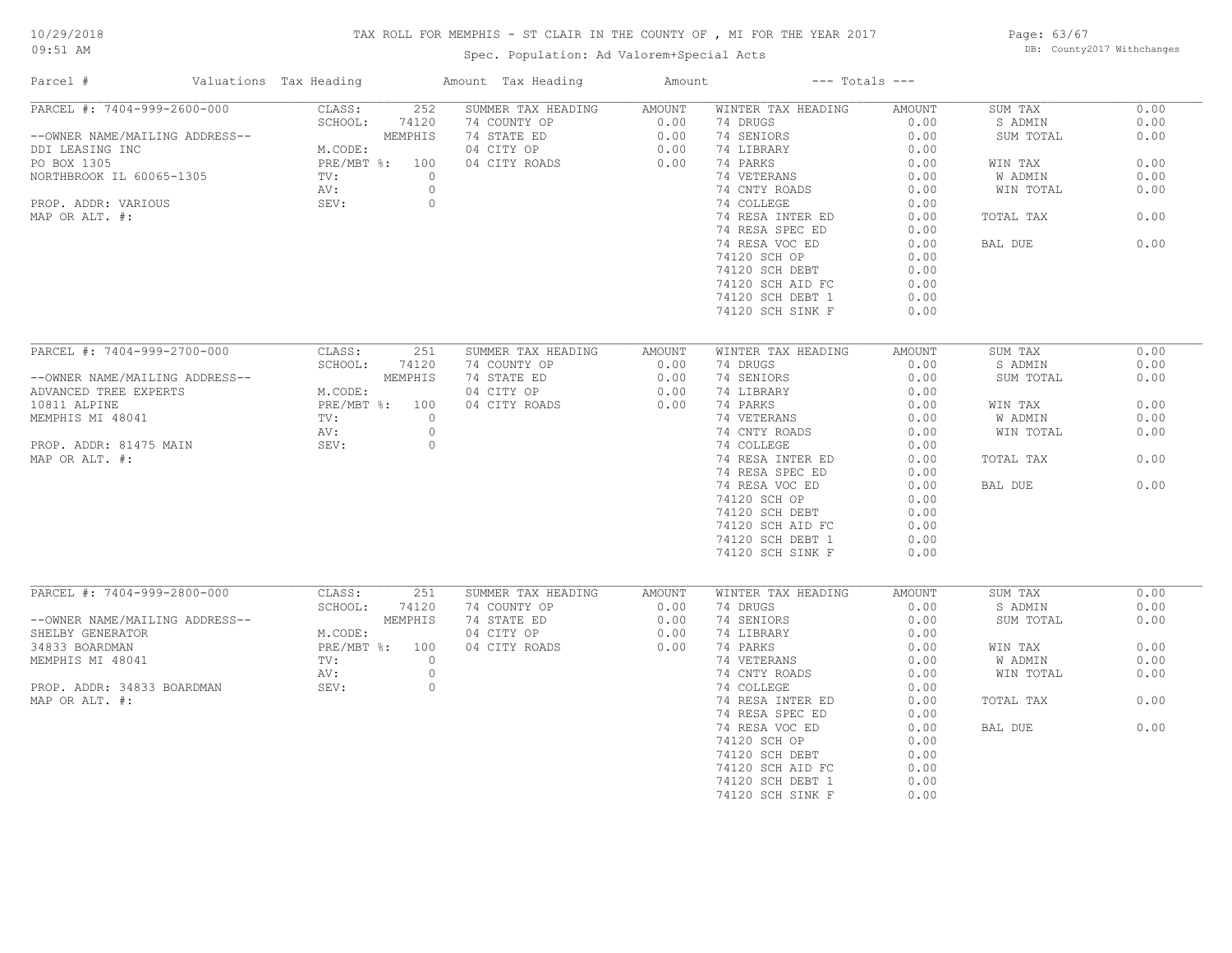# TAX ROLL FOR MEMPHIS - ST CLAIR IN THE COUNTY OF , MI FOR THE YEAR 2017

Spec. Population: Ad Valorem+Special Acts

Page: 63/67 DB: County2017 Withchanges

| Parcel #                       | Valuations Tax Heading |         | Amount Tax Heading | Amount        |                    | $---$ Totals $---$ |           |      |
|--------------------------------|------------------------|---------|--------------------|---------------|--------------------|--------------------|-----------|------|
| PARCEL #: 7404-999-2600-000    | CLASS:                 | 252     | SUMMER TAX HEADING | AMOUNT        | WINTER TAX HEADING | AMOUNT             | SUM TAX   | 0.00 |
|                                | SCHOOL:                | 74120   | 74 COUNTY OP       | 0.00          | 74 DRUGS           | 0.00               | S ADMIN   | 0.00 |
| --OWNER NAME/MAILING ADDRESS-- |                        | MEMPHIS | 74 STATE ED        | 0.00          | 74 SENIORS         | 0.00               | SUM TOTAL | 0.00 |
| DDI LEASING INC                | M.CODE:                |         | 04 CITY OP         | 0.00          | 74 LIBRARY         | 0.00               |           |      |
| PO BOX 1305                    | PRE/MBT %: 100         |         | 04 CITY ROADS      | 0.00          | 74 PARKS           | 0.00               | WIN TAX   | 0.00 |
| NORTHBROOK IL 60065-1305       | TV:                    | $\circ$ |                    |               | 74 VETERANS        | 0.00               | W ADMIN   | 0.00 |
|                                | AV:                    | $\circ$ |                    |               | 74 CNTY ROADS      | 0.00               | WIN TOTAL | 0.00 |
| PROP. ADDR: VARIOUS            | SEV:                   | $\circ$ |                    |               | 74 COLLEGE         | 0.00               |           |      |
| MAP OR ALT. #:                 |                        |         |                    |               | 74 RESA INTER ED   | 0.00               | TOTAL TAX | 0.00 |
|                                |                        |         |                    |               | 74 RESA SPEC ED    | 0.00               |           |      |
|                                |                        |         |                    |               | 74 RESA VOC ED     | 0.00               | BAL DUE   | 0.00 |
|                                |                        |         |                    |               | 74120 SCH OP       | 0.00               |           |      |
|                                |                        |         |                    |               |                    |                    |           |      |
|                                |                        |         |                    |               | 74120 SCH DEBT     | 0.00               |           |      |
|                                |                        |         |                    |               | 74120 SCH AID FC   | 0.00               |           |      |
|                                |                        |         |                    |               | 74120 SCH DEBT 1   | 0.00               |           |      |
|                                |                        |         |                    |               | 74120 SCH SINK F   | 0.00               |           |      |
|                                |                        |         |                    |               |                    |                    |           |      |
| PARCEL #: 7404-999-2700-000    | CLASS:                 | 251     | SUMMER TAX HEADING | AMOUNT        | WINTER TAX HEADING | AMOUNT             | SUM TAX   | 0.00 |
|                                | SCHOOL:                | 74120   | 74 COUNTY OP       | 0.00          | 74 DRUGS           | 0.00               | S ADMIN   | 0.00 |
| --OWNER NAME/MAILING ADDRESS-- |                        | MEMPHIS | 74 STATE ED        | 0.00          | 74 SENIORS         | 0.00               | SUM TOTAL | 0.00 |
| ADVANCED TREE EXPERTS          | M.CODE:                |         | 04 CITY OP         | 0.00          | 74 LIBRARY         | 0.00               |           |      |
| 10811 ALPINE                   | PRE/MBT %: 100         |         | 04 CITY ROADS      | 0.00          | 74 PARKS           | 0.00               | WIN TAX   | 0.00 |
| MEMPHIS MI 48041               | TV:                    | $\circ$ |                    |               | 74 VETERANS        | 0.00               | W ADMIN   | 0.00 |
|                                | AV:                    | $\circ$ |                    |               | 74 CNTY ROADS      | 0.00               | WIN TOTAL | 0.00 |
| PROP. ADDR: 81475 MAIN         | SEV:                   | $\circ$ |                    |               | 74 COLLEGE         | 0.00               |           |      |
| MAP OR ALT. #:                 |                        |         |                    |               | 74 RESA INTER ED   | 0.00               | TOTAL TAX | 0.00 |
|                                |                        |         |                    |               |                    |                    |           |      |
|                                |                        |         |                    |               | 74 RESA SPEC ED    | 0.00               |           |      |
|                                |                        |         |                    |               | 74 RESA VOC ED     | 0.00               | BAL DUE   | 0.00 |
|                                |                        |         |                    |               | 74120 SCH OP       | 0.00               |           |      |
|                                |                        |         |                    |               | 74120 SCH DEBT     | 0.00               |           |      |
|                                |                        |         |                    |               | 74120 SCH AID FC   | 0.00               |           |      |
|                                |                        |         |                    |               | 74120 SCH DEBT 1   | 0.00               |           |      |
|                                |                        |         |                    |               | 74120 SCH SINK F   | 0.00               |           |      |
|                                |                        |         |                    |               |                    |                    |           |      |
| PARCEL #: 7404-999-2800-000    | CLASS:                 | 251     | SUMMER TAX HEADING | <b>AMOUNT</b> | WINTER TAX HEADING | AMOUNT             | SUM TAX   | 0.00 |
|                                | SCHOOL:                | 74120   | 74 COUNTY OP       | 0.00          | 74 DRUGS           | 0.00               | S ADMIN   | 0.00 |
| --OWNER NAME/MAILING ADDRESS-- |                        | MEMPHIS | 74 STATE ED        | 0.00          | 74 SENIORS         | 0.00               | SUM TOTAL | 0.00 |
| SHELBY GENERATOR               | M.CODE:                |         | 04 CITY OP         | 0.00          | 74 LIBRARY         | 0.00               |           |      |
| 34833 BOARDMAN                 | PRE/MBT %: 100         |         | 04 CITY ROADS      | 0.00          | 74 PARKS           | 0.00               | WIN TAX   | 0.00 |
| MEMPHIS MI 48041               | TV:                    | $\circ$ |                    |               | 74 VETERANS        | 0.00               | W ADMIN   | 0.00 |
|                                | AV:                    | $\circ$ |                    |               | 74 CNTY ROADS      | 0.00               | WIN TOTAL | 0.00 |
|                                |                        |         |                    |               |                    |                    |           |      |
| PROP. ADDR: 34833 BOARDMAN     | SEV:                   | $\circ$ |                    |               | 74 COLLEGE         | 0.00               |           |      |
| MAP OR ALT. #:                 |                        |         |                    |               | 74 RESA INTER ED   | 0.00               | TOTAL TAX | 0.00 |
|                                |                        |         |                    |               | 74 RESA SPEC ED    | 0.00               |           |      |
|                                |                        |         |                    |               | 74 RESA VOC ED     | 0.00               | BAL DUE   | 0.00 |
|                                |                        |         |                    |               | 74120 SCH OP       | 0.00               |           |      |
|                                |                        |         |                    |               | 74120 SCH DEBT     | 0.00               |           |      |
|                                |                        |         |                    |               | 74120 SCH AID FC   | 0.00               |           |      |
|                                |                        |         |                    |               | 74120 SCH DEBT 1   | 0.00               |           |      |
|                                |                        |         |                    |               | 74120 SCH SINK F   | 0.00               |           |      |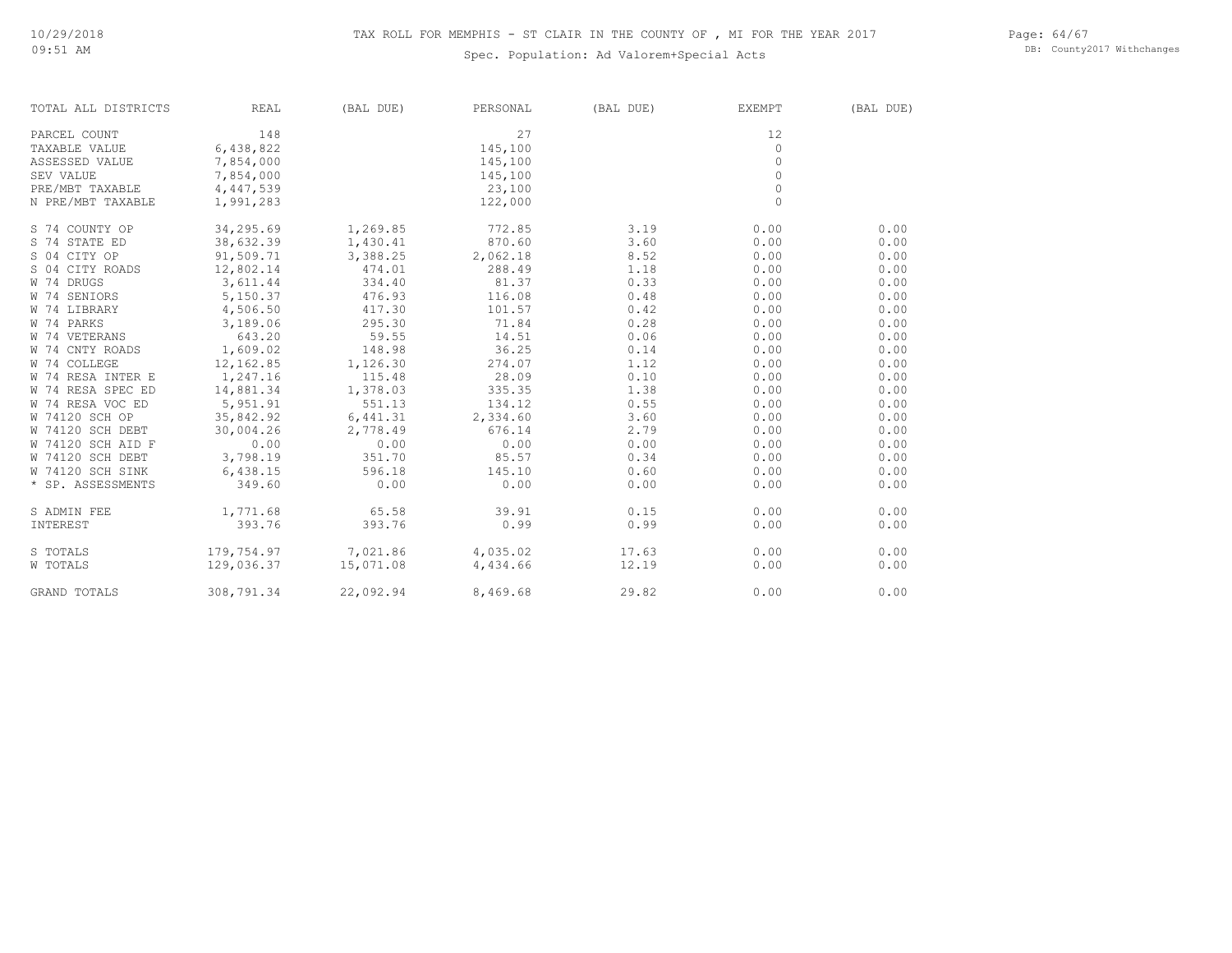Page: 64/67 DB: County2017 Withchanges

| TOTAL ALL DISTRICTS | REAL       | (BAL DUE) | PERSONAL | (BAL DUE) | EXEMPT   | (BAL DUE) |
|---------------------|------------|-----------|----------|-----------|----------|-----------|
| PARCEL COUNT        | 148        |           | 27       |           | 12       |           |
| TAXABLE VALUE       | 6,438,822  |           | 145,100  |           | $\circ$  |           |
| ASSESSED VALUE      | 7,854,000  |           | 145,100  |           | $\Omega$ |           |
| SEV VALUE           | 7,854,000  |           | 145,100  |           | $\circ$  |           |
| PRE/MBT TAXABLE     | 4,447,539  |           | 23,100   |           | $\circ$  |           |
| N PRE/MBT TAXABLE   | 1,991,283  |           | 122,000  |           | $\circ$  |           |
| S 74 COUNTY OP      | 34,295.69  | 1,269.85  | 772.85   | 3.19      | 0.00     | 0.00      |
| S 74 STATE ED       | 38,632.39  | 1,430.41  | 870.60   | 3.60      | 0.00     | 0.00      |
| S 04 CITY OP        | 91,509.71  | 3,388.25  | 2,062.18 | 8.52      | 0.00     | 0.00      |
| S 04 CITY ROADS     | 12,802.14  | 474.01    | 288.49   | 1.18      | 0.00     | 0.00      |
| W 74 DRUGS          | 3,611.44   | 334.40    | 81.37    | 0.33      | 0.00     | 0.00      |
| W 74 SENIORS        | 5,150.37   | 476.93    | 116.08   | 0.48      | 0.00     | 0.00      |
| W 74 LIBRARY        | 4,506.50   | 417.30    | 101.57   | 0.42      | 0.00     | 0.00      |
| W 74 PARKS          | 3,189.06   | 295.30    | 71.84    | 0.28      | 0.00     | 0.00      |
| W 74 VETERANS       | 643.20     | 59.55     | 14.51    | 0.06      | 0.00     | 0.00      |
| W 74 CNTY ROADS     | 1,609.02   | 148.98    | 36.25    | 0.14      | 0.00     | 0.00      |
| W 74 COLLEGE        | 12,162.85  | 1,126.30  | 274.07   | 1.12      | 0.00     | 0.00      |
| W 74 RESA INTER E   | 1,247.16   | 115.48    | 28.09    | 0.10      | 0.00     | 0.00      |
| W 74 RESA SPEC ED   | 14,881.34  | 1,378.03  | 335.35   | 1.38      | 0.00     | 0.00      |
| W 74 RESA VOC ED    | 5,951.91   | 551.13    | 134.12   | 0.55      | 0.00     | 0.00      |
| W 74120 SCH OP      | 35,842.92  | 6,441.31  | 2,334.60 | 3.60      | 0.00     | 0.00      |
| W 74120 SCH DEBT    | 30,004.26  | 2,778.49  | 676.14   | 2.79      | 0.00     | 0.00      |
| W 74120 SCH AID F   | 0.00       | 0.00      | 0.00     | 0.00      | 0.00     | 0.00      |
| W 74120 SCH DEBT    | 3,798.19   | 351.70    | 85.57    | 0.34      | 0.00     | 0.00      |
| W 74120 SCH SINK    | 6,438.15   | 596.18    | 145.10   | 0.60      | 0.00     | 0.00      |
| * SP. ASSESSMENTS   | 349.60     | 0.00      | 0.00     | 0.00      | 0.00     | 0.00      |
| S ADMIN FEE         | 1,771.68   | 65.58     | 39.91    | 0.15      | 0.00     | 0.00      |
| INTEREST            | 393.76     | 393.76    | 0.99     | 0.99      | 0.00     | 0.00      |
| S TOTALS            | 179,754.97 | 7,021.86  | 4,035.02 | 17.63     | 0.00     | 0.00      |
| <b>W TOTALS</b>     | 129,036.37 | 15,071.08 | 4,434.66 | 12.19     | 0.00     | 0.00      |
| <b>GRAND TOTALS</b> | 308,791.34 | 22,092.94 | 8,469.68 | 29.82     | 0.00     | 0.00      |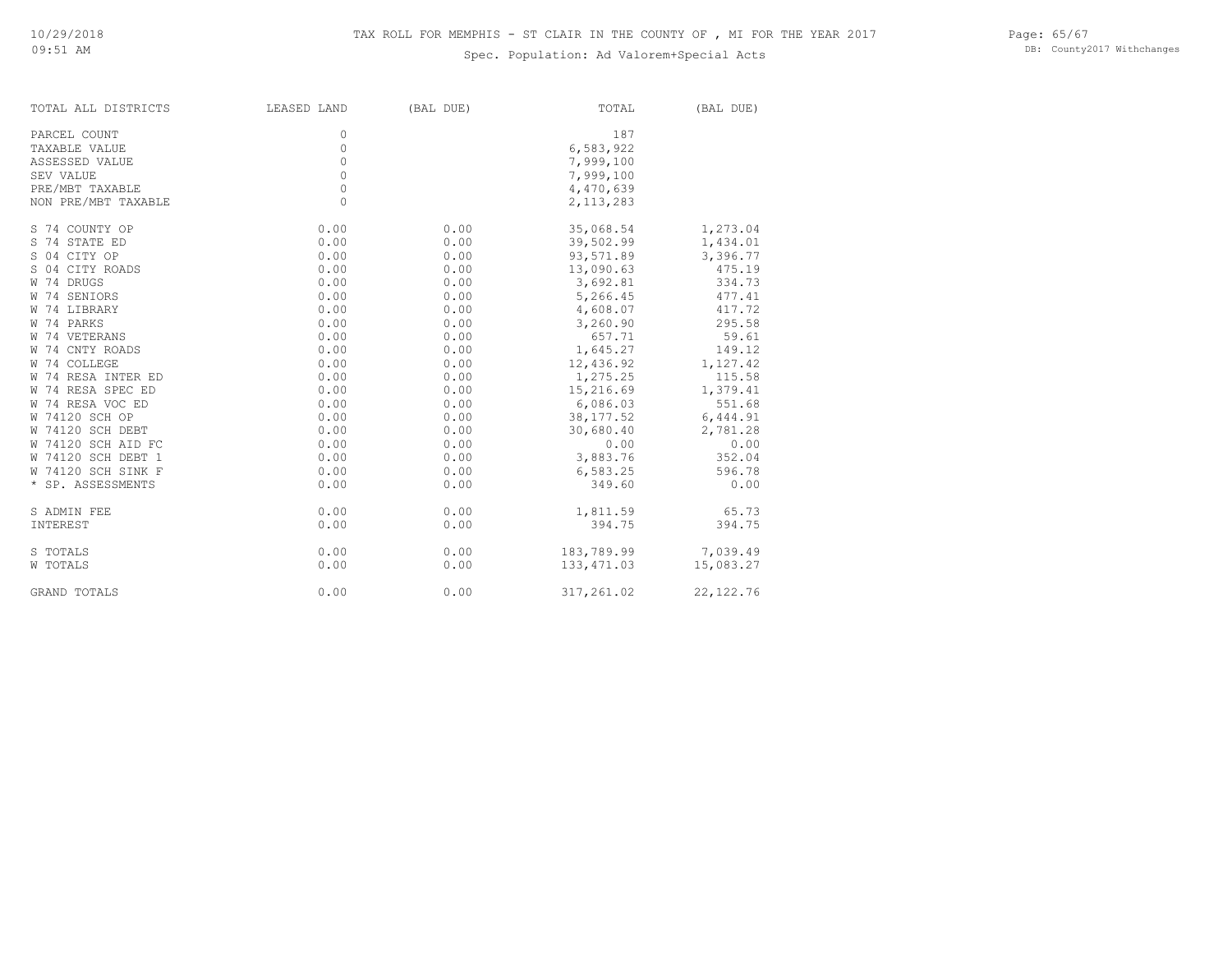Page: 65/67 DB: County2017 Withchanges

| TOTAL ALL DISTRICTS | LEASED LAND | (BAL DUE) | TOTAL       | (BAL DUE)  |
|---------------------|-------------|-----------|-------------|------------|
| PARCEL COUNT        | $\circ$     |           | 187         |            |
| TAXABLE VALUE       | $\circ$     |           | 6,583,922   |            |
| ASSESSED VALUE      | $\circ$     |           | 7,999,100   |            |
| SEV VALUE           | $\circ$     |           | 7,999,100   |            |
| PRE/MBT TAXABLE     | $\circ$     |           | 4,470,639   |            |
| NON PRE/MBT TAXABLE | $\Omega$    |           | 2, 113, 283 |            |
| S 74 COUNTY OP      | 0.00        | 0.00      | 35,068.54   | 1,273.04   |
| S 74 STATE ED       | 0.00        | 0.00      | 39,502.99   | 1,434.01   |
| S 04 CITY OP        | 0.00        | 0.00      | 93,571.89   | 3,396.77   |
| S 04 CITY ROADS     | 0.00        | 0.00      | 13,090.63   | 475.19     |
| W 74 DRUGS          | 0.00        | 0.00      | 3,692.81    | 334.73     |
| W 74 SENIORS        | 0.00        | 0.00      | 5,266.45    | 477.41     |
| W 74 LIBRARY        | 0.00        | 0.00      | 4,608.07    | 417.72     |
| W 74 PARKS          | 0.00        | 0.00      | 3,260.90    | 295.58     |
| W 74 VETERANS       | 0.00        | 0.00      | 657.71      | 59.61      |
| W 74 CNTY ROADS     | 0.00        | 0.00      | 1,645.27    | 149.12     |
| W 74 COLLEGE        | 0.00        | 0.00      | 12,436.92   | 1,127.42   |
| W 74 RESA INTER ED  | 0.00        | 0.00      | 1,275.25    | 115.58     |
| W 74 RESA SPEC ED   | 0.00        | 0.00      | 15,216.69   | 1,379.41   |
| W 74 RESA VOC ED    | 0.00        | 0.00      | 6,086.03    | 551.68     |
| W 74120 SCH OP      | 0.00        | 0.00      | 38, 177.52  | 6,444.91   |
| W 74120 SCH DEBT    | 0.00        | 0.00      | 30,680.40   | 2,781.28   |
| W 74120 SCH AID FC  | 0.00        | 0.00      | 0.00        | 0.00       |
| W 74120 SCH DEBT 1  | 0.00        | 0.00      | 3,883.76    | 352.04     |
| W 74120 SCH SINK F  | 0.00        | 0.00      | 6,583.25    | 596.78     |
| * SP. ASSESSMENTS   | 0.00        | 0.00      | 349.60      | 0.00       |
| S ADMIN FEE         | 0.00        | 0.00      | 1,811.59    | 65.73      |
| INTEREST            | 0.00        | 0.00      | 394.75      | 394.75     |
| S TOTALS            | 0.00        | 0.00      | 183,789.99  | 7,039.49   |
| W TOTALS            | 0.00        | 0.00      | 133, 471.03 | 15,083.27  |
| <b>GRAND TOTALS</b> | 0.00        | 0.00      | 317,261.02  | 22, 122.76 |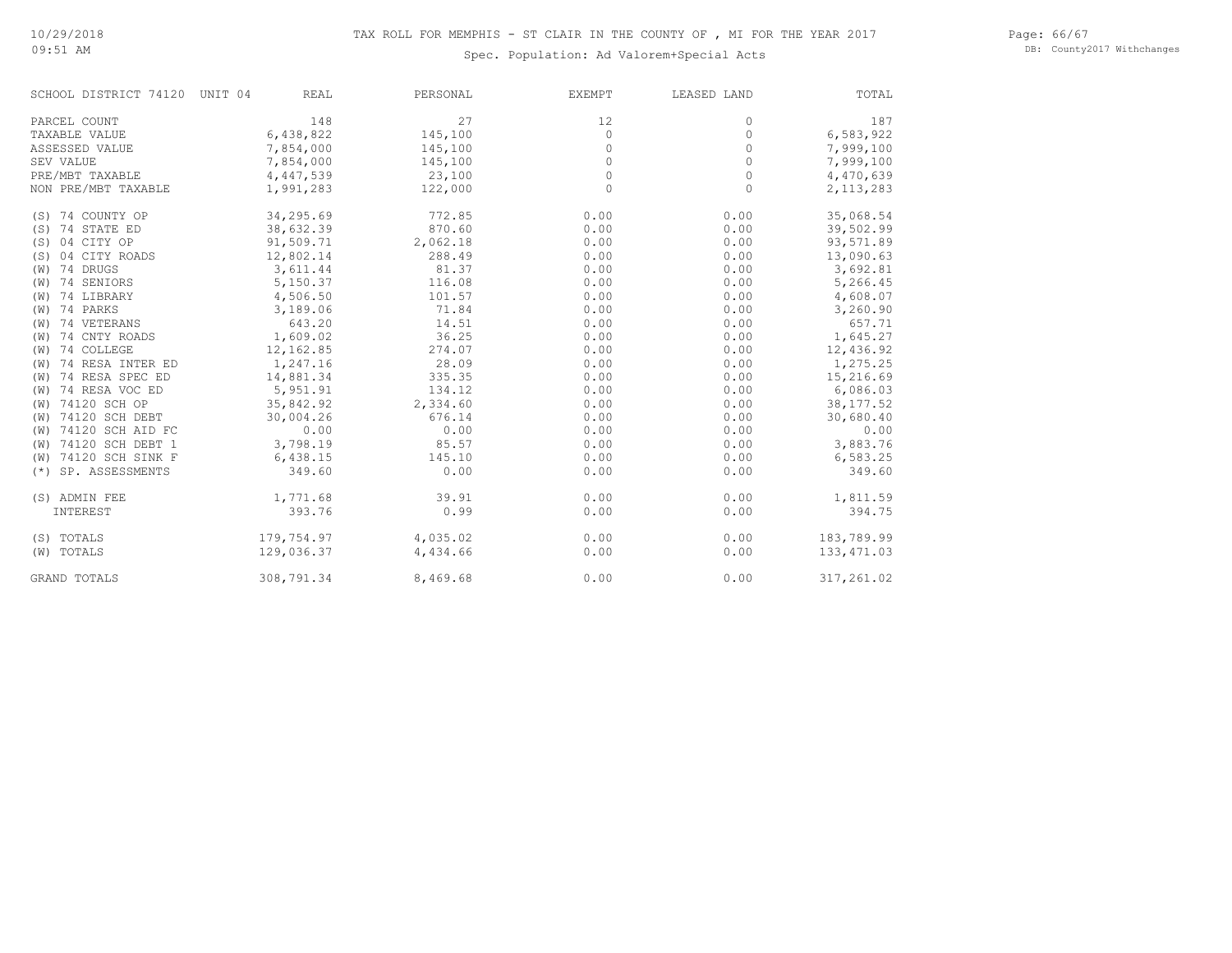Page: 66/67 DB: County2017 Withchanges

| SCHOOL DISTRICT 74120     | UNIT 04<br><b>REAL</b> | PERSONAL | EXEMPT   | LEASED LAND | TOTAL       |
|---------------------------|------------------------|----------|----------|-------------|-------------|
| PARCEL COUNT              | 148                    | 27       | 12       | 0           | 187         |
| TAXABLE VALUE             | 6,438,822              | 145,100  | $\circ$  | 0           | 6,583,922   |
| ASSESSED VALUE            | 7,854,000              | 145,100  | $\circ$  | 0           | 7,999,100   |
| SEV VALUE                 | 7,854,000              | 145,100  | 0        | 0           | 7,999,100   |
| PRE/MBT TAXABLE           | 4,447,539              | 23,100   | $\circ$  | 0           | 4,470,639   |
| NON PRE/MBT TAXABLE       | 1,991,283              | 122,000  | $\Omega$ | $\Omega$    | 2, 113, 283 |
| (S) 74 COUNTY OP          | 34,295.69              | 772.85   | 0.00     | 0.00        | 35,068.54   |
| 74 STATE ED<br>(S)        | 38,632.39              | 870.60   | 0.00     | 0.00        | 39,502.99   |
| 04 CITY OP<br>(S)         | 91,509.71              | 2,062.18 | 0.00     | 0.00        | 93,571.89   |
| 04 CITY ROADS<br>(S)      | 12,802.14              | 288.49   | 0.00     | 0.00        | 13,090.63   |
| 74 DRUGS<br>(W)           | 3,611.44               | 81.37    | 0.00     | 0.00        | 3,692.81    |
| 74 SENIORS<br>(W)         | 5,150.37               | 116.08   | 0.00     | 0.00        | 5,266.45    |
| (W) 74 LIBRARY            | 4,506.50               | 101.57   | 0.00     | 0.00        | 4,608.07    |
| 74 PARKS<br>(W)           | 3,189.06               | 71.84    | 0.00     | 0.00        | 3,260.90    |
| 74 VETERANS<br>(W)        | 643.20                 | 14.51    | 0.00     | 0.00        | 657.71      |
| 74 CNTY ROADS<br>(W)      | 1,609.02               | 36.25    | 0.00     | 0.00        | 1,645.27    |
| 74 COLLEGE<br>(W)         | 12,162.85              | 274.07   | 0.00     | 0.00        | 12,436.92   |
| 74 RESA INTER ED<br>(W)   | 1,247.16               | 28.09    | 0.00     | 0.00        | 1,275.25    |
| 74 RESA SPEC ED<br>(W)    | 14,881.34              | 335.35   | 0.00     | 0.00        | 15,216.69   |
| 74 RESA VOC ED<br>(W)     | 5,951.91               | 134.12   | 0.00     | 0.00        | 6,086.03    |
| 74120 SCH OP<br>(W)       | 35,842.92              | 2,334.60 | 0.00     | 0.00        | 38, 177.52  |
| 74120 SCH DEBT<br>(W)     | 30,004.26              | 676.14   | 0.00     | 0.00        | 30,680.40   |
| 74120 SCH AID FC<br>(W)   | 0.00                   | 0.00     | 0.00     | 0.00        | 0.00        |
| 74120 SCH DEBT 1<br>(W)   | 3,798.19               | 85.57    | 0.00     | 0.00        | 3,883.76    |
| 74120 SCH SINK F<br>(W)   | 6,438.15               | 145.10   | 0.00     | 0.00        | 6,583.25    |
| SP. ASSESSMENTS<br>$(* )$ | 349.60                 | 0.00     | 0.00     | 0.00        | 349.60      |
| (S) ADMIN FEE             | 1,771.68               | 39.91    | 0.00     | 0.00        | 1,811.59    |
| INTEREST                  | 393.76                 | 0.99     | 0.00     | 0.00        | 394.75      |
| (S) TOTALS                | 179,754.97             | 4,035.02 | 0.00     | 0.00        | 183,789.99  |
| (W) TOTALS                | 129,036.37             | 4,434.66 | 0.00     | 0.00        | 133, 471.03 |
| <b>GRAND TOTALS</b>       | 308,791.34             | 8,469.68 | 0.00     | 0.00        | 317,261.02  |